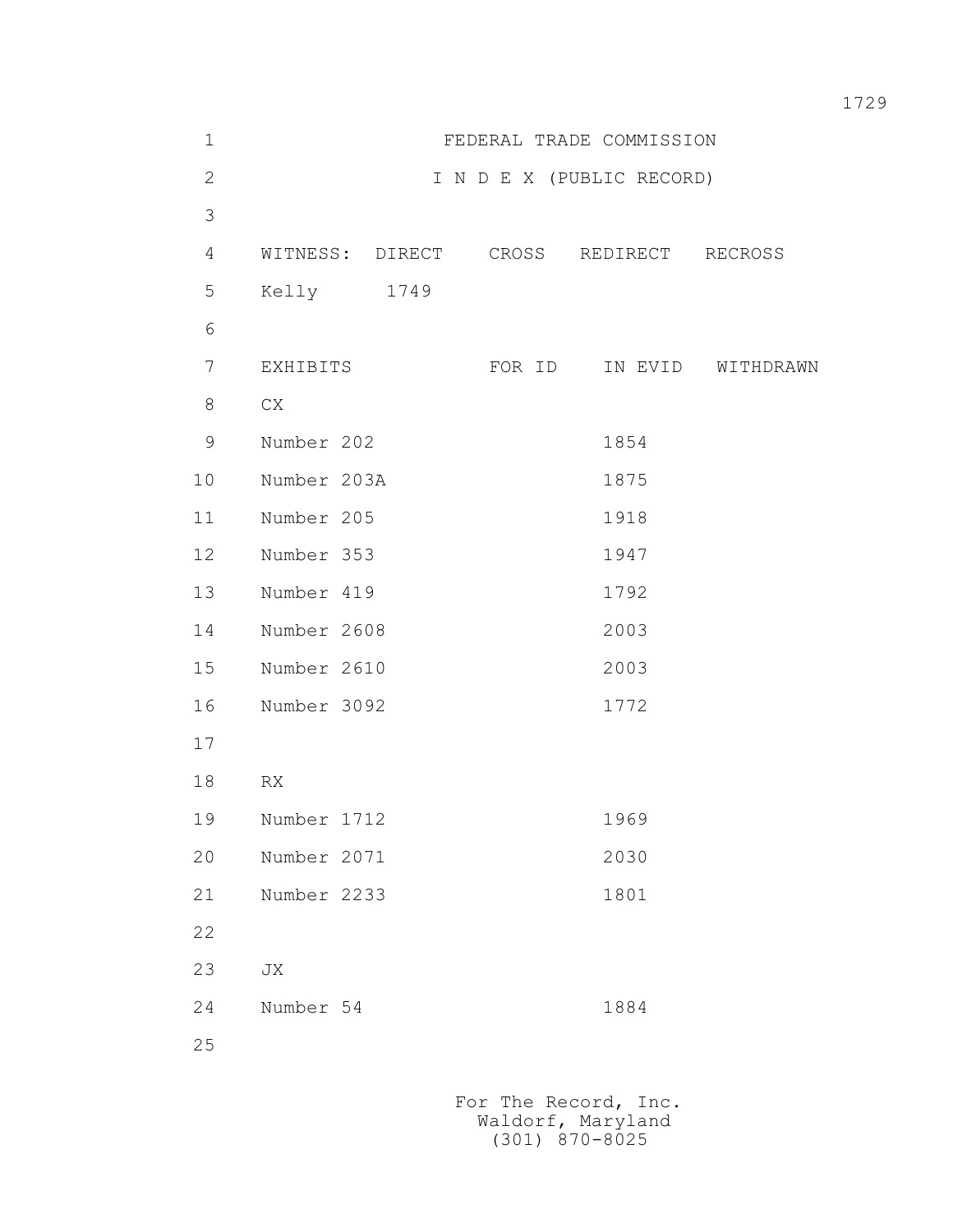| $1\,$        | FEDERAL TRADE COMMISSION               |        |                           |                   |  |  |
|--------------|----------------------------------------|--------|---------------------------|-------------------|--|--|
| $\mathbf{2}$ |                                        |        | I N D E X (PUBLIC RECORD) |                   |  |  |
| 3            |                                        |        |                           |                   |  |  |
| 4            | WITNESS: DIRECT CROSS REDIRECT RECROSS |        |                           |                   |  |  |
| 5            | Kelly 1749                             |        |                           |                   |  |  |
| $\sqrt{6}$   |                                        |        |                           |                   |  |  |
| 7            | EXHIBITS                               | FOR ID |                           | IN EVID WITHDRAWN |  |  |
| 8            | CX                                     |        |                           |                   |  |  |
| 9            | Number 202                             |        | 1854                      |                   |  |  |
| 10           | Number 203A                            |        | 1875                      |                   |  |  |
| 11           | Number 205                             |        | 1918                      |                   |  |  |
| 12           | Number 353                             |        | 1947                      |                   |  |  |
| 13           | Number 419                             |        | 1792                      |                   |  |  |
| 14           | Number 2608                            |        | 2003                      |                   |  |  |
| 15           | Number 2610                            |        | 2003                      |                   |  |  |
| 16           | Number 3092                            |        | 1772                      |                   |  |  |
| 17           |                                        |        |                           |                   |  |  |
| 18           | RX                                     |        |                           |                   |  |  |
| 19           | Number 1712                            |        | 1969                      |                   |  |  |
| 20           | Number 2071                            |        | 2030                      |                   |  |  |
| 21           | Number 2233                            |        | 1801                      |                   |  |  |
| 22           |                                        |        |                           |                   |  |  |
| 23           | JX                                     |        |                           |                   |  |  |
| 24           | Number 54                              |        | 1884                      |                   |  |  |
| 25           |                                        |        |                           |                   |  |  |
|              |                                        |        |                           |                   |  |  |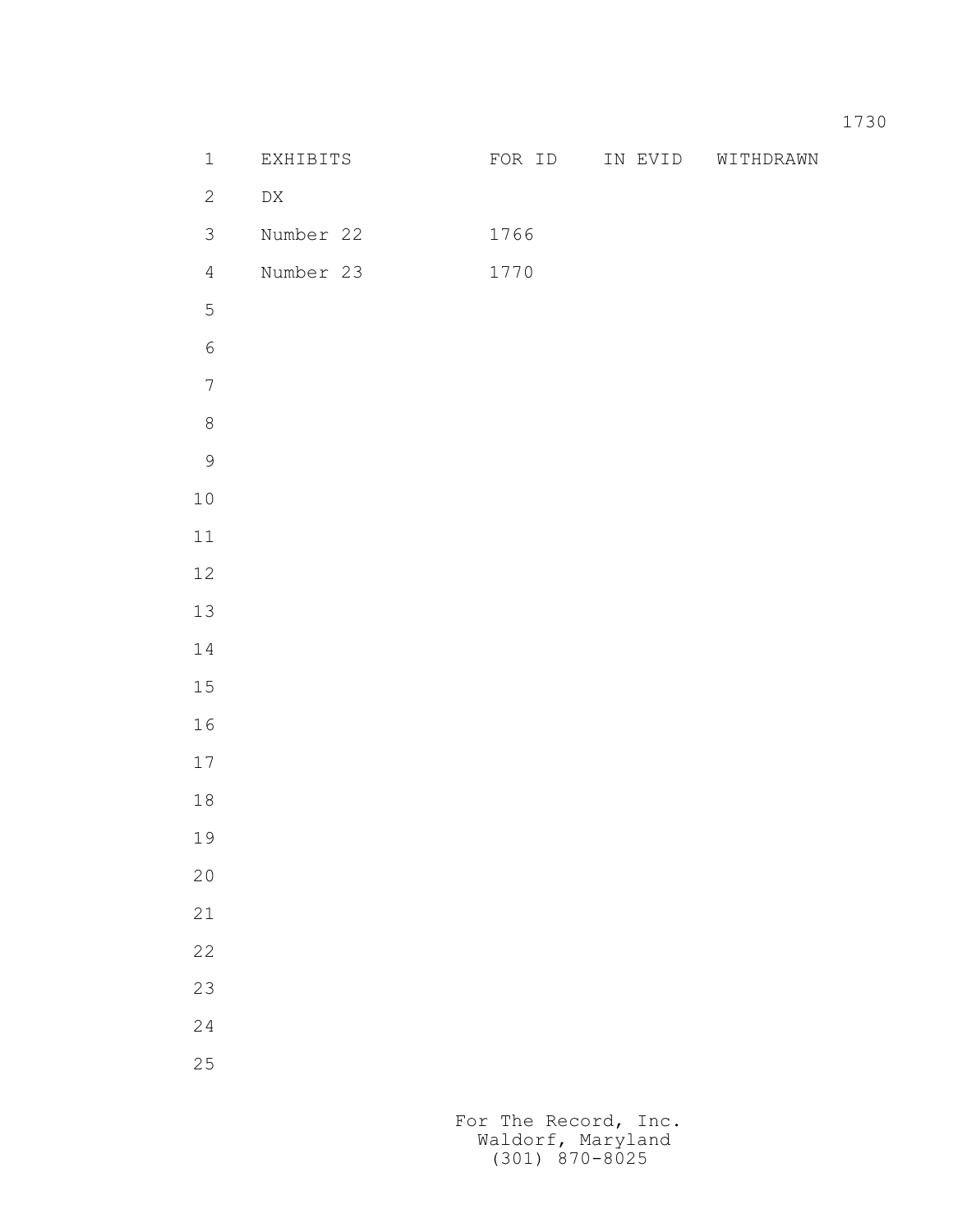| $\mathbbm{1}$    | EXHIBITS         | FOR ID | IN EVID | WITHDRAWN |
|------------------|------------------|--------|---------|-----------|
| $\mathbf{2}$     | ${\rm D}{\rm X}$ |        |         |           |
| $\mathfrak{Z}$   | Number 22        | 1766   |         |           |
| $\overline{4}$   | Number 23        | 1770   |         |           |
| 5                |                  |        |         |           |
| $\sqrt{6}$       |                  |        |         |           |
| $\boldsymbol{7}$ |                  |        |         |           |
| $\,8\,$          |                  |        |         |           |
| $\mathcal{G}$    |                  |        |         |           |
| $1\,0$           |                  |        |         |           |
| $11\,$           |                  |        |         |           |
| $12\,$           |                  |        |         |           |
| $13\,$           |                  |        |         |           |
| $1\,4$           |                  |        |         |           |
| $1\,5$           |                  |        |         |           |
| 16               |                  |        |         |           |
| $17$             |                  |        |         |           |
| $1\,8$           |                  |        |         |           |
| 19               |                  |        |         |           |
| $2\,0$           |                  |        |         |           |
| $2\sqrt{1}$      |                  |        |         |           |
| 22               |                  |        |         |           |
| 23               |                  |        |         |           |
| $2\,4$           |                  |        |         |           |
| $2\,5$           |                  |        |         |           |
|                  |                  |        |         |           |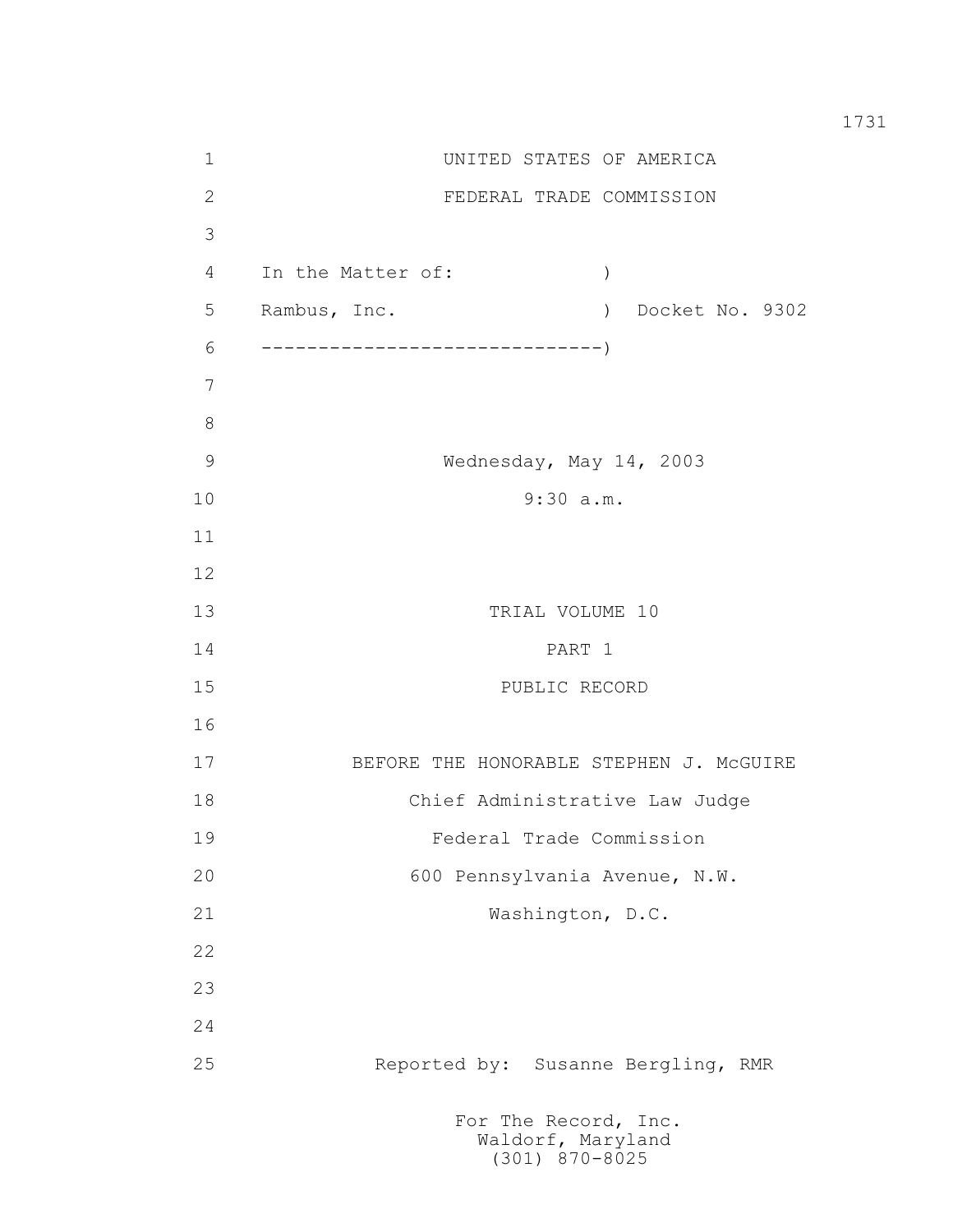1 UNITED STATES OF AMERICA 2 FEDERAL TRADE COMMISSION 3 4 In the Matter of: ) 5 Rambus, Inc. ) Docket No. 9302 6 ------------------------------) 7 8 9 Wednesday, May 14, 2003 10 9:30 a.m. 11 12 13 TRIAL VOLUME 10 14 PART 1 15 PUBLIC RECORD 16 17 BEFORE THE HONORABLE STEPHEN J. McGUIRE 18 Chief Administrative Law Judge 19 Federal Trade Commission 20 600 Pennsylvania Avenue, N.W. 21 Washington, D.C. 22 23 24 25 Reported by: Susanne Bergling, RMR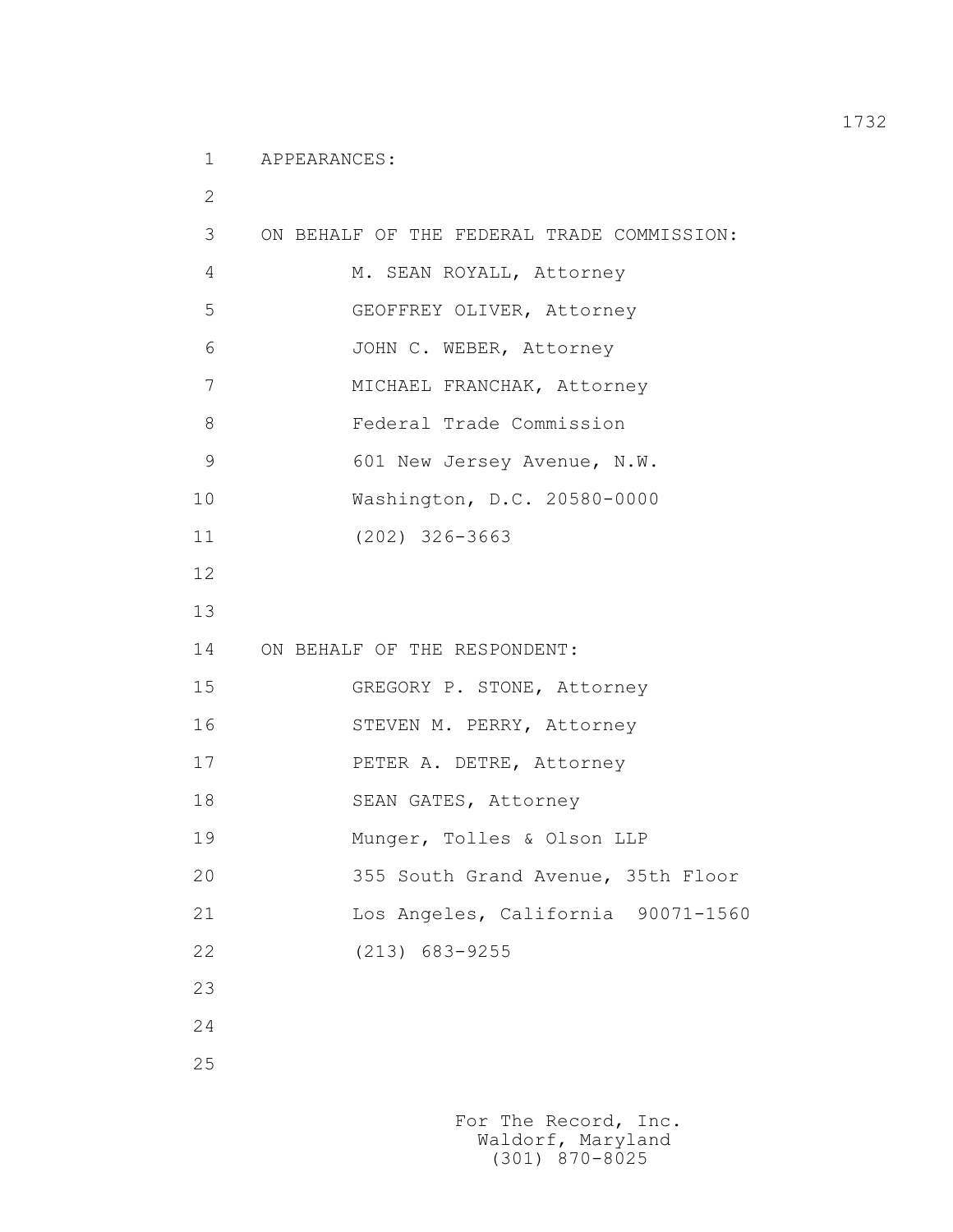1 APPEARANCES:

 2 3 ON BEHALF OF THE FEDERAL TRADE COMMISSION: 4 M. SEAN ROYALL, Attorney 5 GEOFFREY OLIVER, Attorney 6 JOHN C. WEBER, Attorney 7 MICHAEL FRANCHAK, Attorney 8 Federal Trade Commission 9 601 New Jersey Avenue, N.W. 10 Washington, D.C. 20580-0000 11 (202) 326-3663 12 13 14 ON BEHALF OF THE RESPONDENT: 15 GREGORY P. STONE, Attorney 16 STEVEN M. PERRY, Attorney 17 PETER A. DETRE, Attorney 18 SEAN GATES, Attorney 19 Munger, Tolles & Olson LLP 20 355 South Grand Avenue, 35th Floor 21 Los Angeles, California 90071-1560 22 (213) 683-9255 23 24 25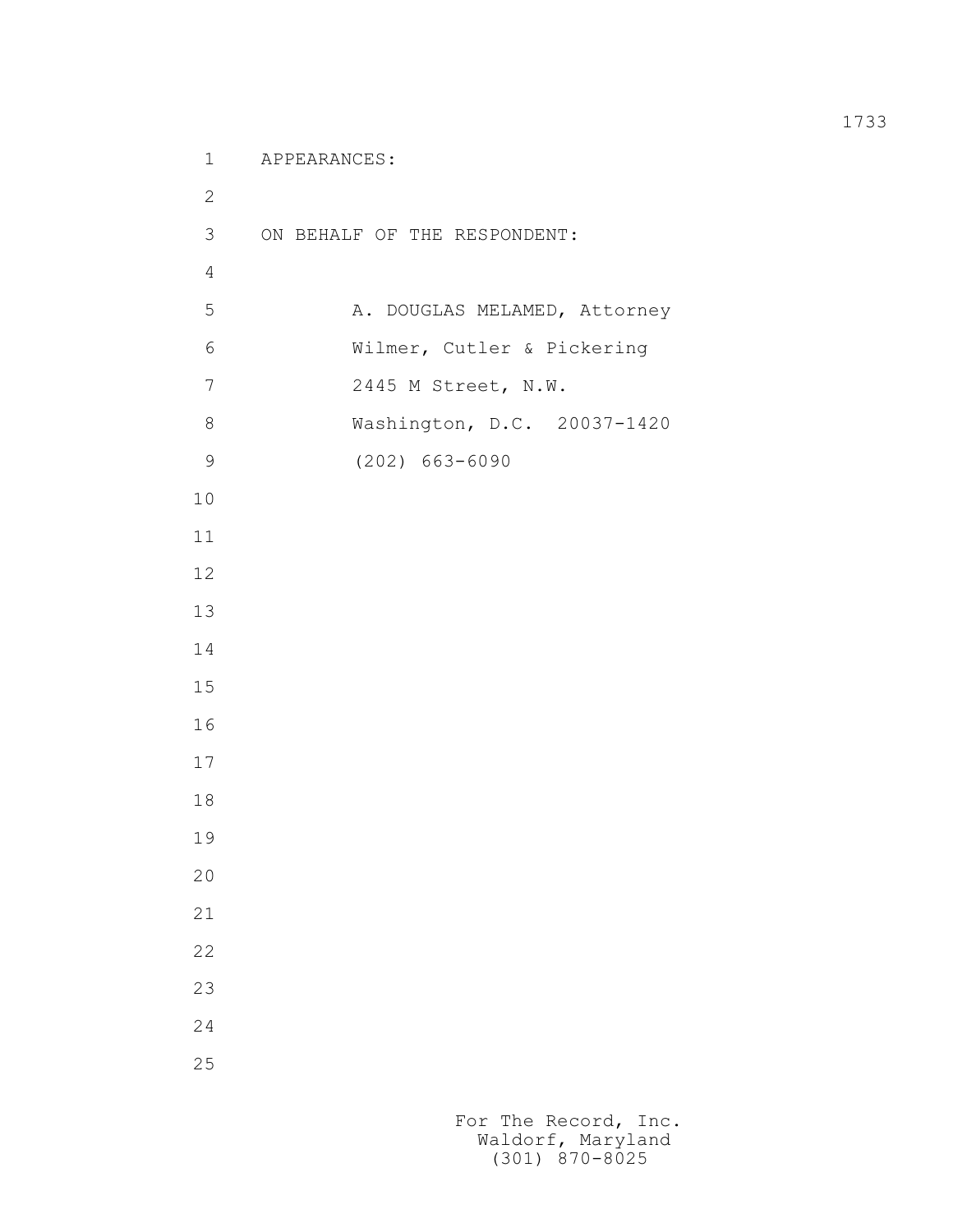```
 1 APPEARANCES:
2
          3 ON BEHALF OF THE RESPONDENT:
4
         5 A. DOUGLAS MELAMED, Attorney
          6 Wilmer, Cutler & Pickering
          7 2445 M Street, N.W.
          8 Washington, D.C. 20037-1420
          9 (202) 663-6090
         10
         11
         12
         13
         14
         15
         16
         17
         18
         19
         20
         21
         22
         23
         24
         25
```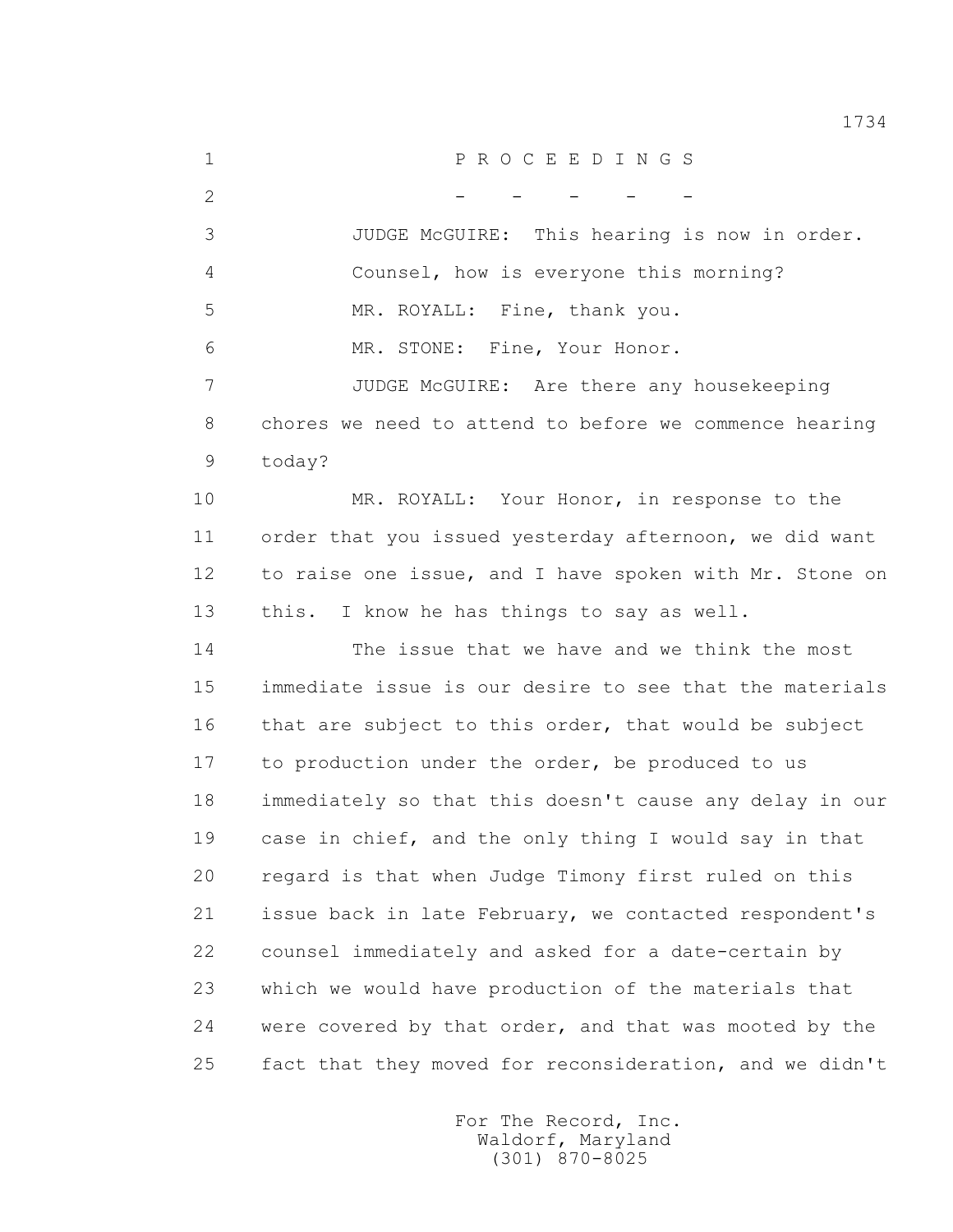1 P R O C E E D I N G S  $2$  - - - - - 3 JUDGE McGUIRE: This hearing is now in order. 4 Counsel, how is everyone this morning? 5 MR. ROYALL: Fine, thank you. 6 MR. STONE: Fine, Your Honor. 7 JUDGE McGUIRE: Are there any housekeeping 8 chores we need to attend to before we commence hearing 9 today? 10 MR. ROYALL: Your Honor, in response to the 11 order that you issued yesterday afternoon, we did want 12 to raise one issue, and I have spoken with Mr. Stone on 13 this. I know he has things to say as well. 14 The issue that we have and we think the most 15 immediate issue is our desire to see that the materials 16 that are subject to this order, that would be subject 17 to production under the order, be produced to us 18 immediately so that this doesn't cause any delay in our 19 case in chief, and the only thing I would say in that 20 regard is that when Judge Timony first ruled on this 21 issue back in late February, we contacted respondent's 22 counsel immediately and asked for a date-certain by 23 which we would have production of the materials that 24 were covered by that order, and that was mooted by the 25 fact that they moved for reconsideration, and we didn't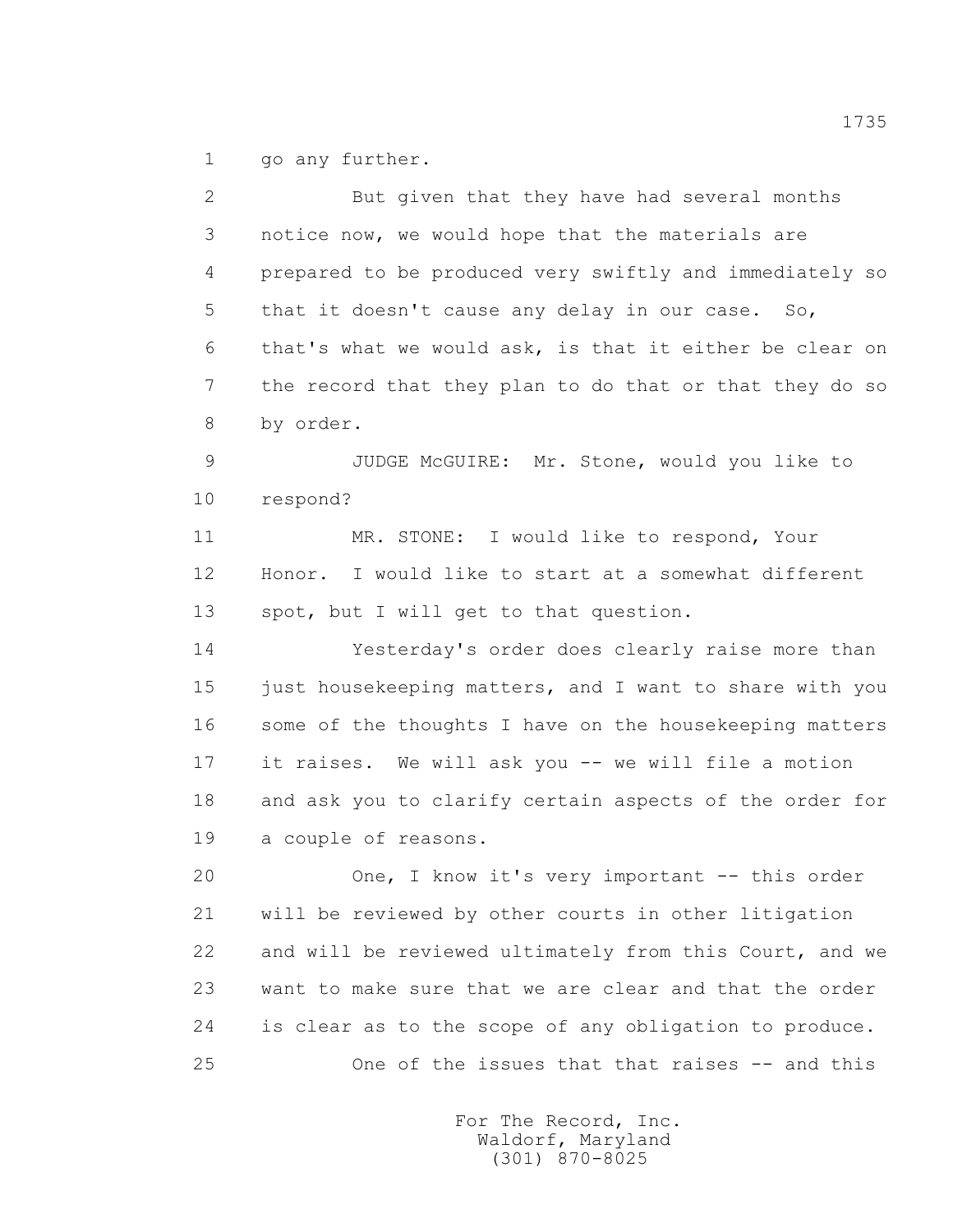1 go any further.

 2 But given that they have had several months 3 notice now, we would hope that the materials are 4 prepared to be produced very swiftly and immediately so 5 that it doesn't cause any delay in our case. So, 6 that's what we would ask, is that it either be clear on 7 the record that they plan to do that or that they do so 8 by order. 9 JUDGE McGUIRE: Mr. Stone, would you like to 10 respond? 11 MR. STONE: I would like to respond, Your 12 Honor. I would like to start at a somewhat different 13 spot, but I will get to that question. 14 Yesterday's order does clearly raise more than 15 just housekeeping matters, and I want to share with you 16 some of the thoughts I have on the housekeeping matters 17 it raises. We will ask you -- we will file a motion 18 and ask you to clarify certain aspects of the order for 19 a couple of reasons. 20 One, I know it's very important -- this order 21 will be reviewed by other courts in other litigation 22 and will be reviewed ultimately from this Court, and we 23 want to make sure that we are clear and that the order 24 is clear as to the scope of any obligation to produce. 25 One of the issues that that raises -- and this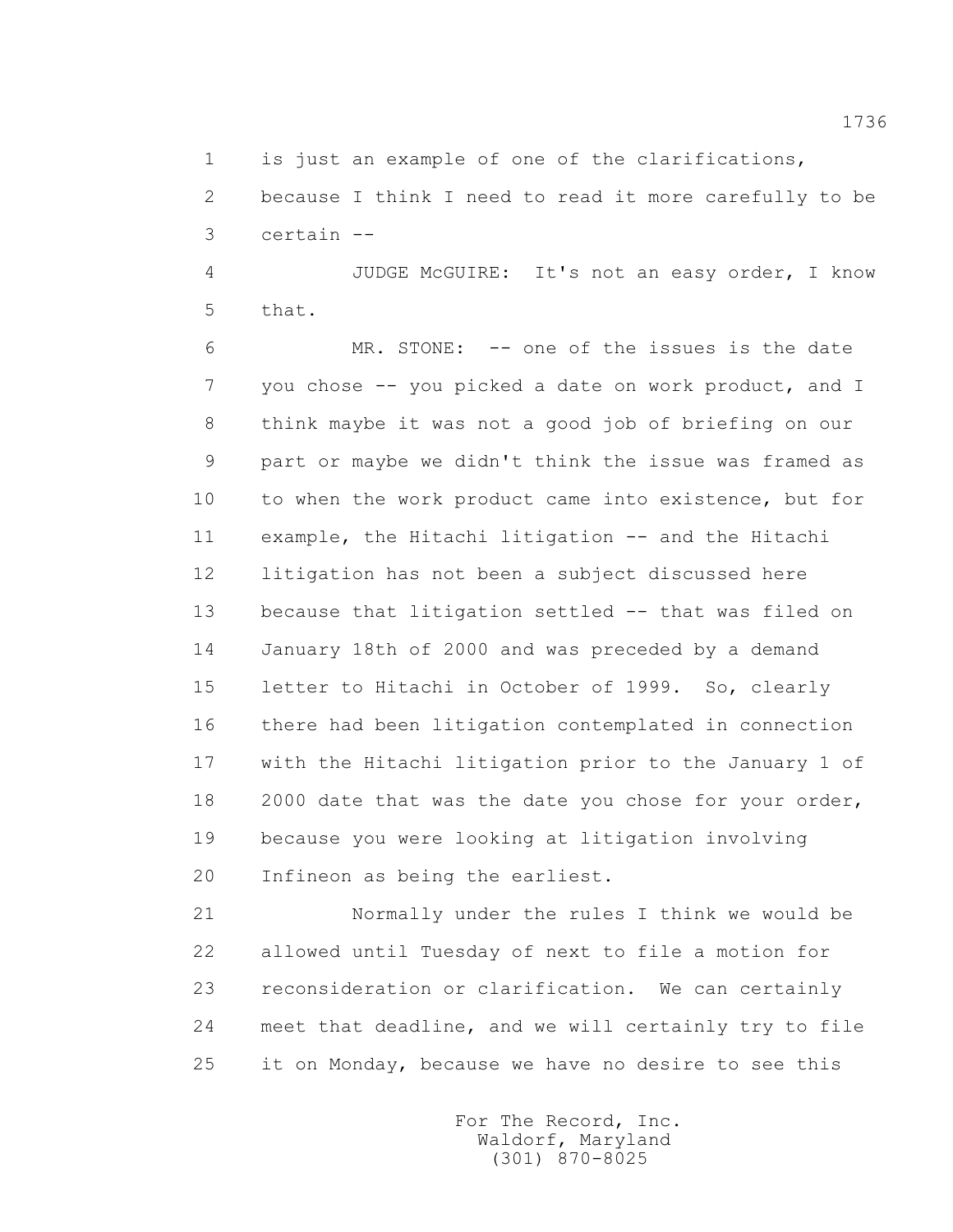1 is just an example of one of the clarifications,

 2 because I think I need to read it more carefully to be 3 certain --

 4 JUDGE McGUIRE: It's not an easy order, I know 5 that.

 6 MR. STONE: -- one of the issues is the date 7 you chose -- you picked a date on work product, and I 8 think maybe it was not a good job of briefing on our 9 part or maybe we didn't think the issue was framed as 10 to when the work product came into existence, but for 11 example, the Hitachi litigation -- and the Hitachi 12 litigation has not been a subject discussed here 13 because that litigation settled -- that was filed on 14 January 18th of 2000 and was preceded by a demand 15 letter to Hitachi in October of 1999. So, clearly 16 there had been litigation contemplated in connection 17 with the Hitachi litigation prior to the January 1 of 18 2000 date that was the date you chose for your order, 19 because you were looking at litigation involving 20 Infineon as being the earliest.

 21 Normally under the rules I think we would be 22 allowed until Tuesday of next to file a motion for 23 reconsideration or clarification. We can certainly 24 meet that deadline, and we will certainly try to file 25 it on Monday, because we have no desire to see this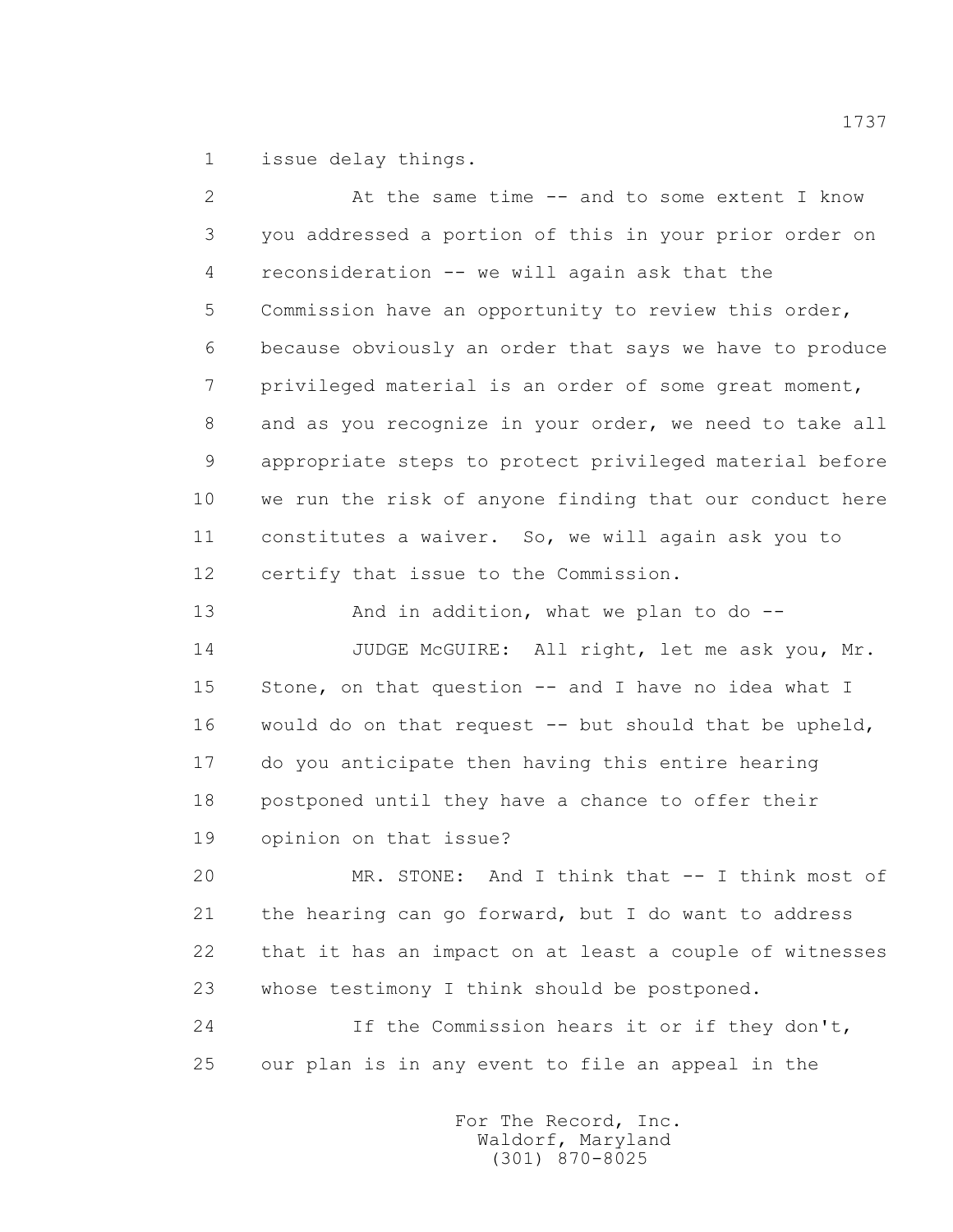1 issue delay things.

 2 At the same time -- and to some extent I know 3 you addressed a portion of this in your prior order on 4 reconsideration -- we will again ask that the 5 Commission have an opportunity to review this order, 6 because obviously an order that says we have to produce 7 privileged material is an order of some great moment, 8 and as you recognize in your order, we need to take all 9 appropriate steps to protect privileged material before 10 we run the risk of anyone finding that our conduct here 11 constitutes a waiver. So, we will again ask you to 12 certify that issue to the Commission.

13 And in addition, what we plan to do --

14 JUDGE McGUIRE: All right, let me ask you, Mr. 15 Stone, on that question -- and I have no idea what I 16 would do on that request -- but should that be upheld, 17 do you anticipate then having this entire hearing 18 postponed until they have a chance to offer their 19 opinion on that issue?

 20 MR. STONE: And I think that -- I think most of 21 the hearing can go forward, but I do want to address 22 that it has an impact on at least a couple of witnesses 23 whose testimony I think should be postponed.

 24 If the Commission hears it or if they don't, 25 our plan is in any event to file an appeal in the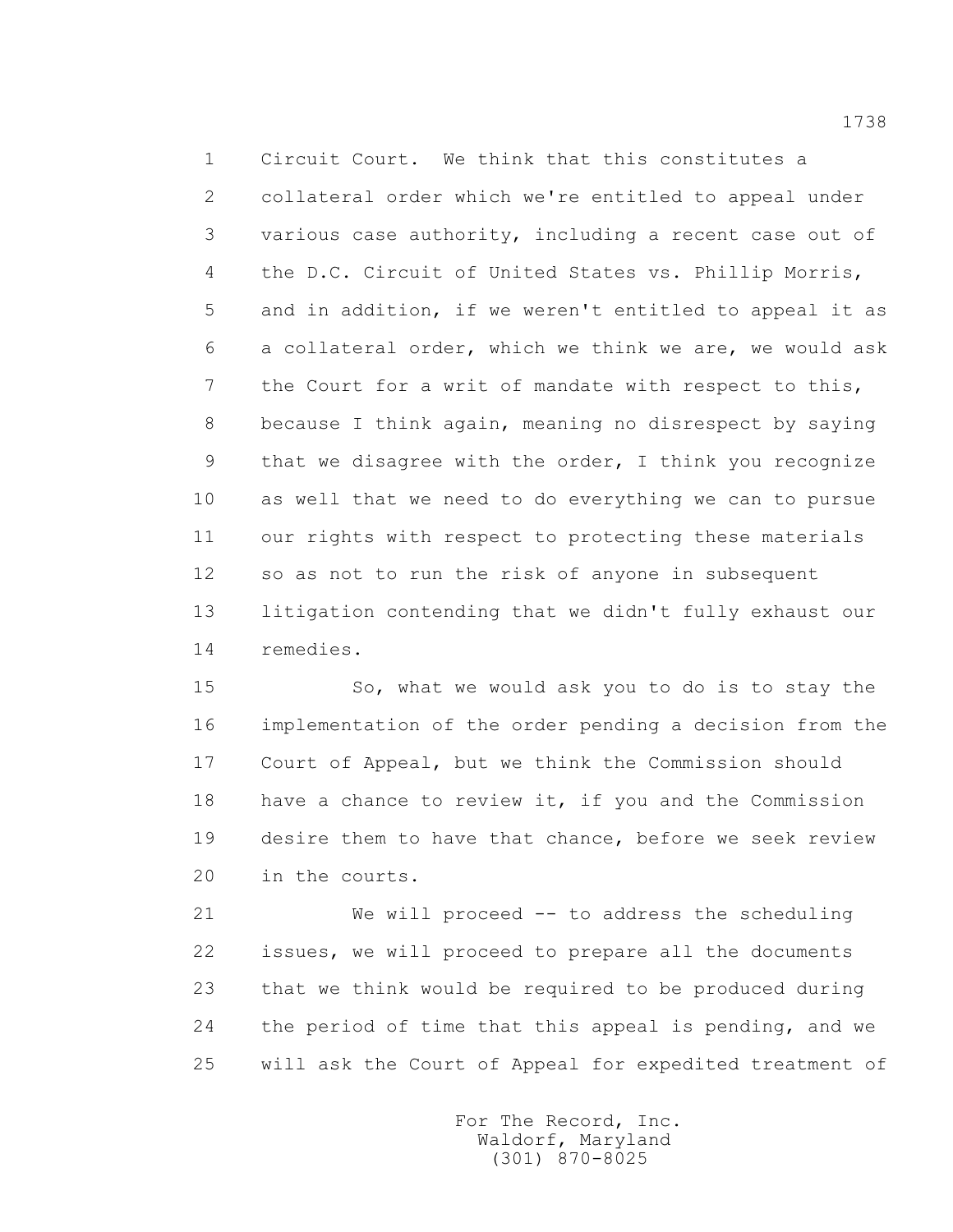1 Circuit Court. We think that this constitutes a 2 collateral order which we're entitled to appeal under 3 various case authority, including a recent case out of 4 the D.C. Circuit of United States vs. Phillip Morris, 5 and in addition, if we weren't entitled to appeal it as 6 a collateral order, which we think we are, we would ask 7 the Court for a writ of mandate with respect to this, 8 because I think again, meaning no disrespect by saying 9 that we disagree with the order, I think you recognize 10 as well that we need to do everything we can to pursue 11 our rights with respect to protecting these materials 12 so as not to run the risk of anyone in subsequent 13 litigation contending that we didn't fully exhaust our 14 remedies.

 15 So, what we would ask you to do is to stay the 16 implementation of the order pending a decision from the 17 Court of Appeal, but we think the Commission should 18 have a chance to review it, if you and the Commission 19 desire them to have that chance, before we seek review 20 in the courts.

 21 We will proceed -- to address the scheduling 22 issues, we will proceed to prepare all the documents 23 that we think would be required to be produced during 24 the period of time that this appeal is pending, and we 25 will ask the Court of Appeal for expedited treatment of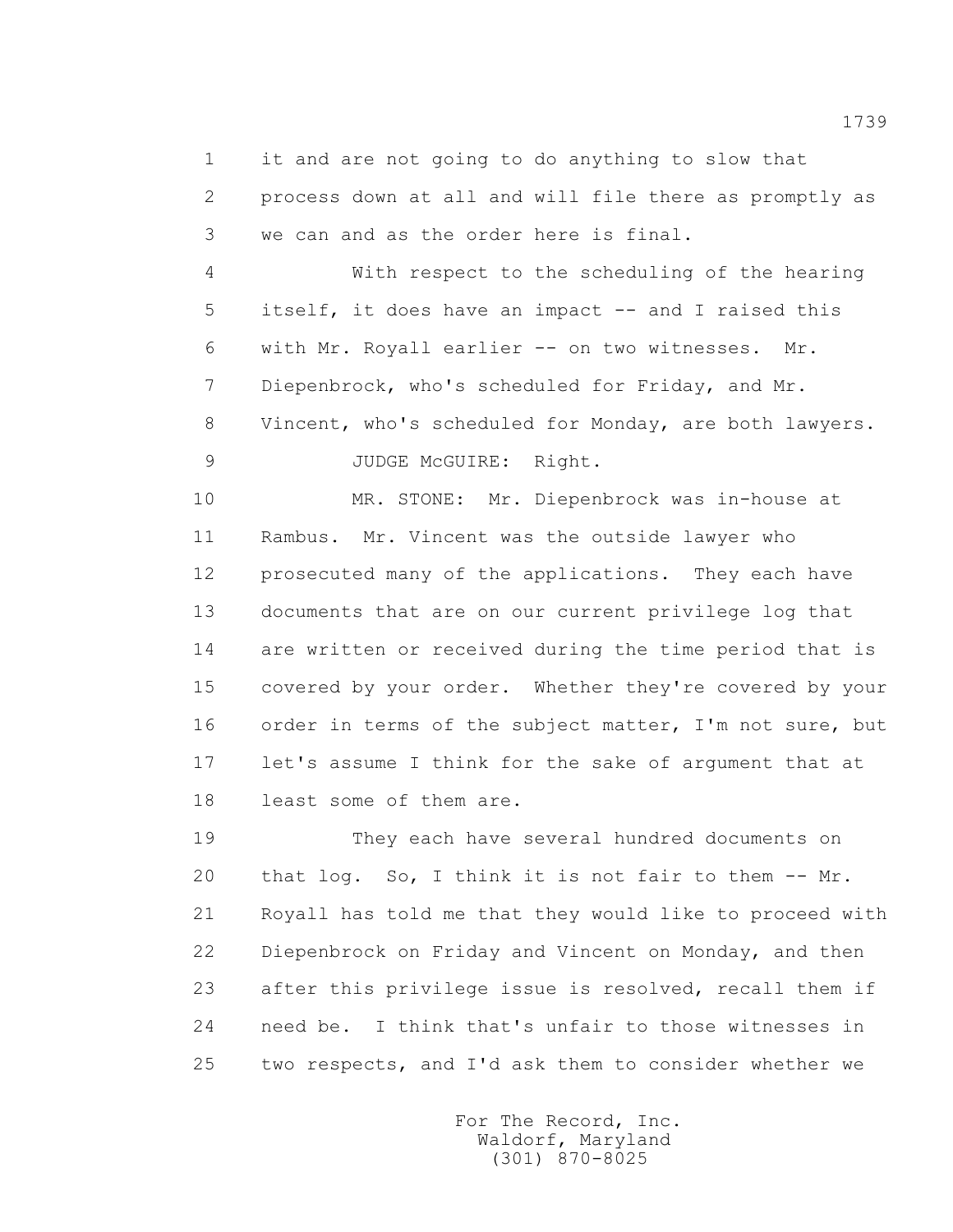1 it and are not going to do anything to slow that 2 process down at all and will file there as promptly as 3 we can and as the order here is final.

 4 With respect to the scheduling of the hearing 5 itself, it does have an impact -- and I raised this 6 with Mr. Royall earlier -- on two witnesses. Mr. 7 Diepenbrock, who's scheduled for Friday, and Mr. 8 Vincent, who's scheduled for Monday, are both lawyers. 9 JUDGE McGUIRE: Right.

 10 MR. STONE: Mr. Diepenbrock was in-house at 11 Rambus. Mr. Vincent was the outside lawyer who 12 prosecuted many of the applications. They each have 13 documents that are on our current privilege log that 14 are written or received during the time period that is 15 covered by your order. Whether they're covered by your 16 order in terms of the subject matter, I'm not sure, but 17 let's assume I think for the sake of argument that at 18 least some of them are.

 19 They each have several hundred documents on 20 that log. So, I think it is not fair to them -- Mr. 21 Royall has told me that they would like to proceed with 22 Diepenbrock on Friday and Vincent on Monday, and then 23 after this privilege issue is resolved, recall them if 24 need be. I think that's unfair to those witnesses in 25 two respects, and I'd ask them to consider whether we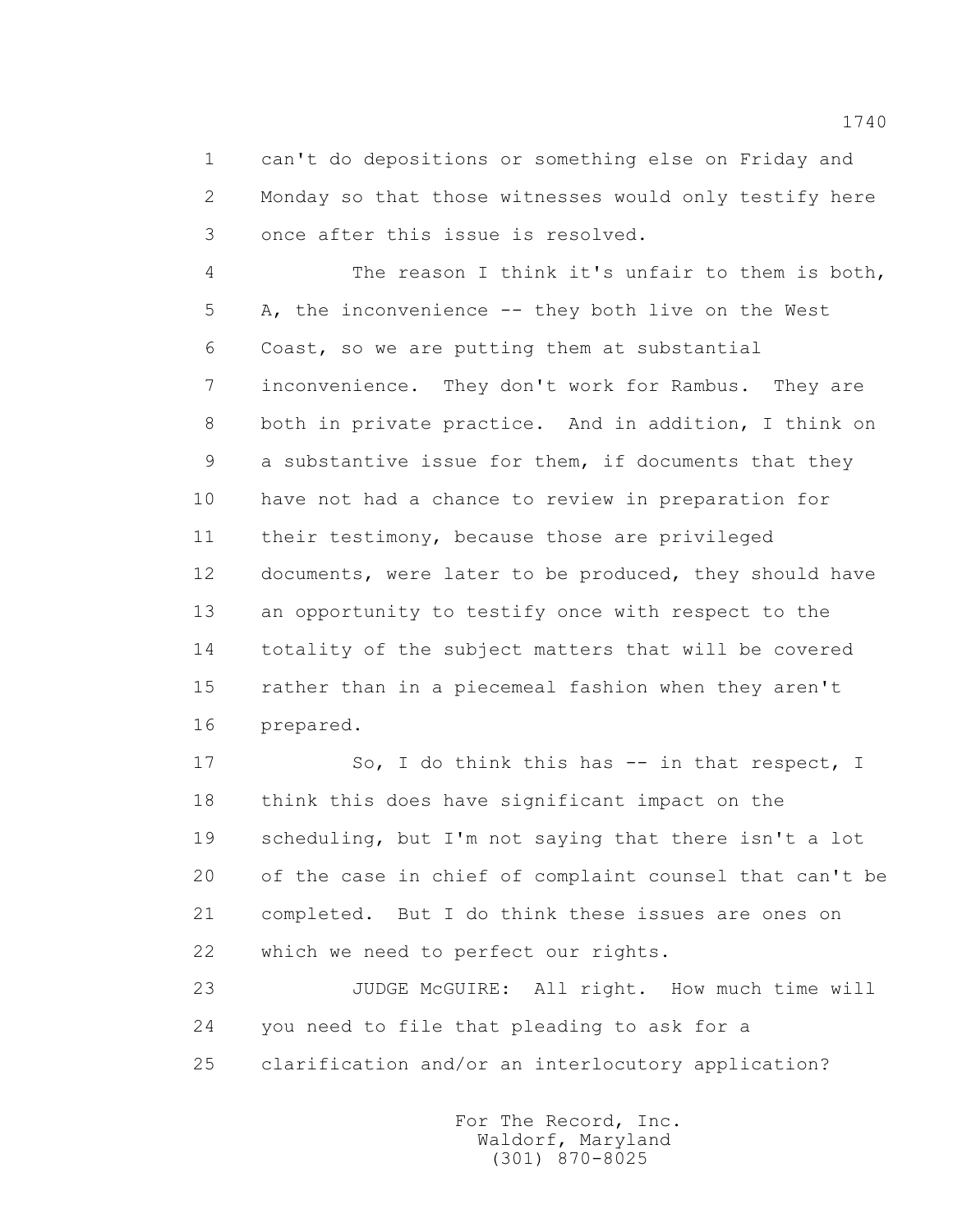1 can't do depositions or something else on Friday and 2 Monday so that those witnesses would only testify here 3 once after this issue is resolved.

 4 The reason I think it's unfair to them is both, 5 A, the inconvenience -- they both live on the West 6 Coast, so we are putting them at substantial 7 inconvenience. They don't work for Rambus. They are 8 both in private practice. And in addition, I think on 9 a substantive issue for them, if documents that they 10 have not had a chance to review in preparation for 11 their testimony, because those are privileged 12 documents, were later to be produced, they should have 13 an opportunity to testify once with respect to the 14 totality of the subject matters that will be covered 15 rather than in a piecemeal fashion when they aren't 16 prepared.

17 So, I do think this has -- in that respect, I 18 think this does have significant impact on the 19 scheduling, but I'm not saying that there isn't a lot 20 of the case in chief of complaint counsel that can't be 21 completed. But I do think these issues are ones on 22 which we need to perfect our rights.

 23 JUDGE McGUIRE: All right. How much time will 24 you need to file that pleading to ask for a 25 clarification and/or an interlocutory application?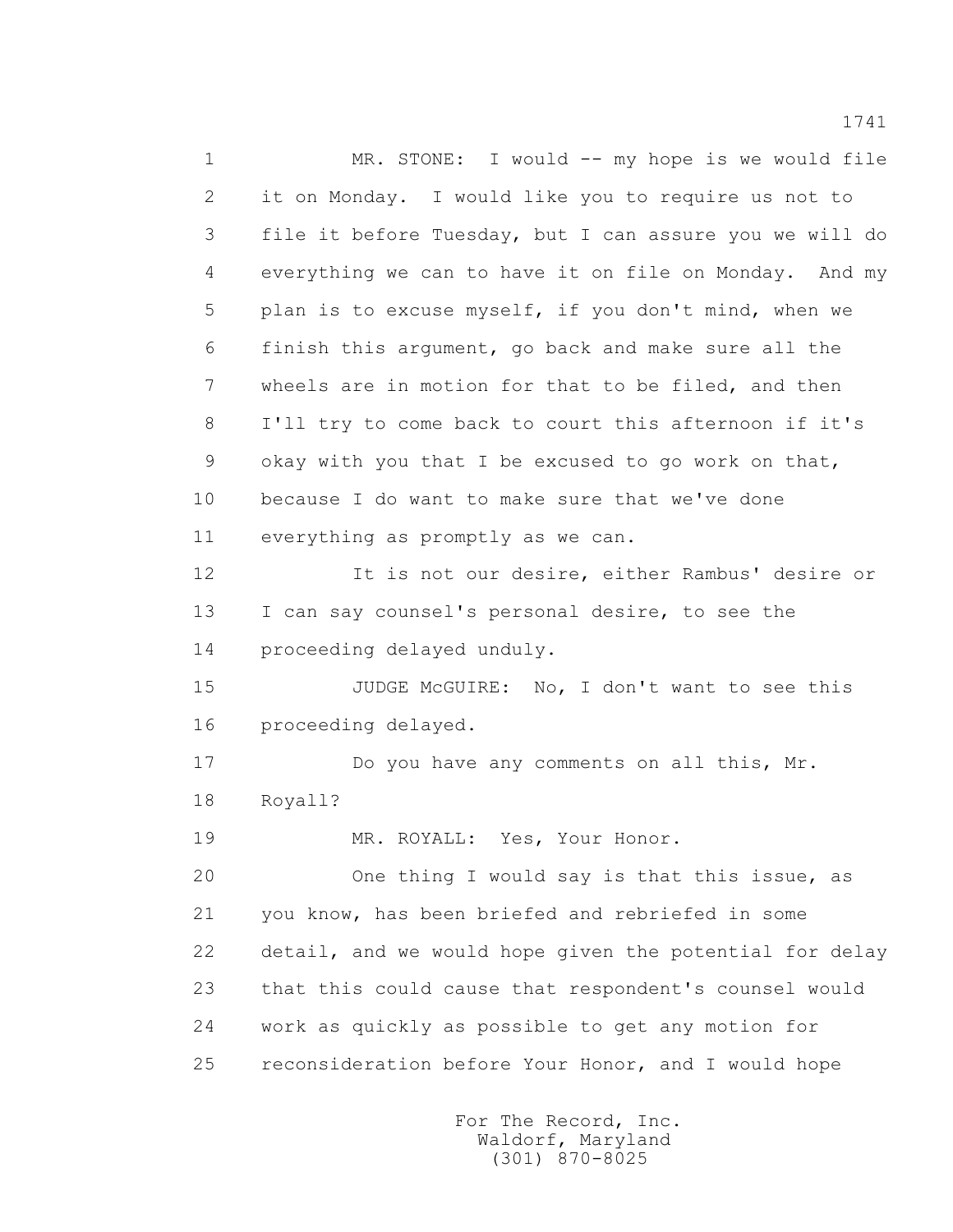1 MR. STONE: I would -- my hope is we would file 2 it on Monday. I would like you to require us not to 3 file it before Tuesday, but I can assure you we will do 4 everything we can to have it on file on Monday. And my 5 plan is to excuse myself, if you don't mind, when we 6 finish this argument, go back and make sure all the 7 wheels are in motion for that to be filed, and then 8 I'll try to come back to court this afternoon if it's 9 okay with you that I be excused to go work on that, 10 because I do want to make sure that we've done 11 everything as promptly as we can. 12 It is not our desire, either Rambus' desire or 13 I can say counsel's personal desire, to see the 14 proceeding delayed unduly. 15 JUDGE McGUIRE: No, I don't want to see this 16 proceeding delayed. 17 Do you have any comments on all this, Mr. 18 Royall? 19 MR. ROYALL: Yes, Your Honor. 20 One thing I would say is that this issue, as 21 you know, has been briefed and rebriefed in some 22 detail, and we would hope given the potential for delay 23 that this could cause that respondent's counsel would 24 work as quickly as possible to get any motion for 25 reconsideration before Your Honor, and I would hope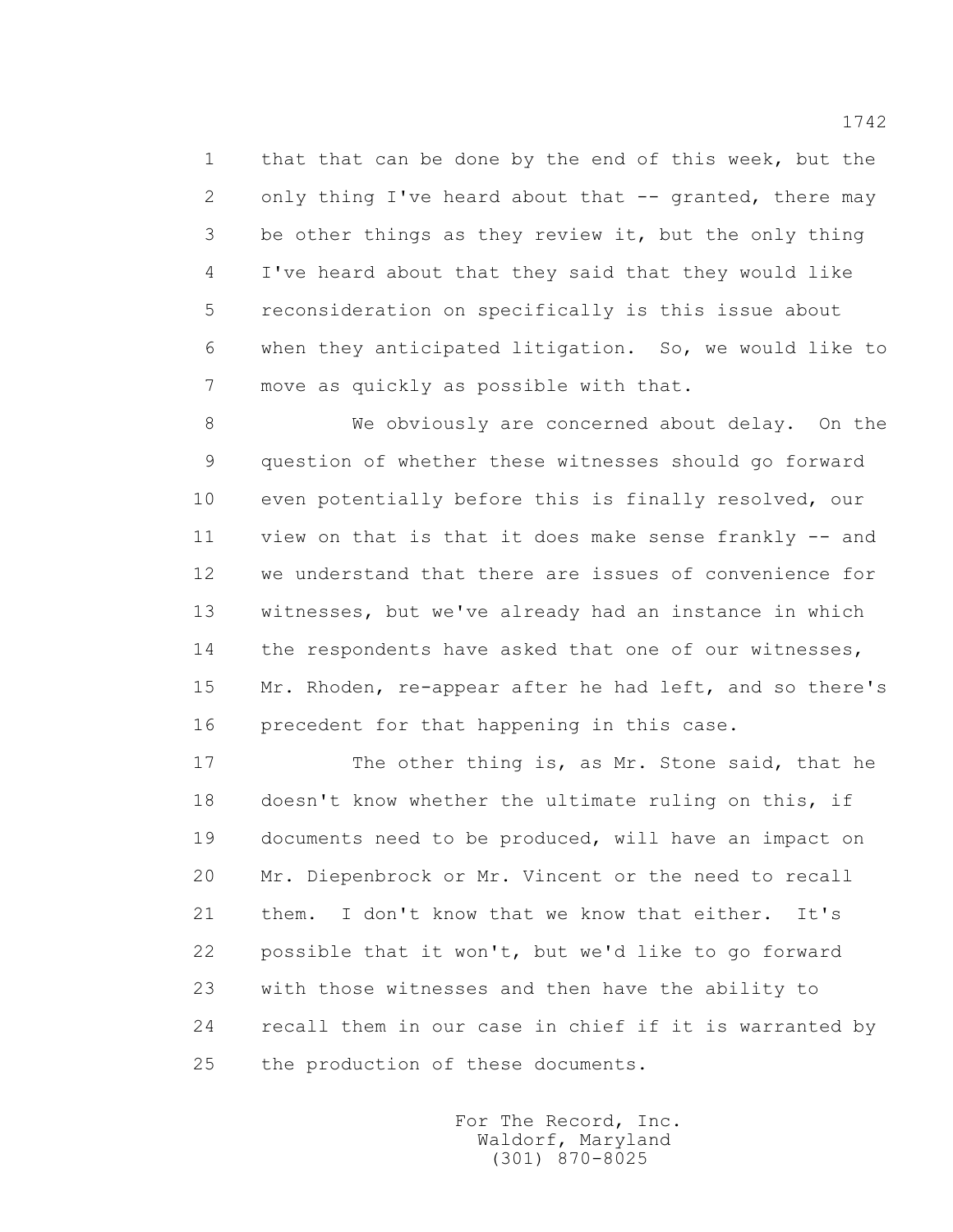1 that that can be done by the end of this week, but the 2 only thing I've heard about that -- granted, there may 3 be other things as they review it, but the only thing 4 I've heard about that they said that they would like 5 reconsideration on specifically is this issue about 6 when they anticipated litigation. So, we would like to 7 move as quickly as possible with that.

 8 We obviously are concerned about delay. On the 9 question of whether these witnesses should go forward 10 even potentially before this is finally resolved, our 11 view on that is that it does make sense frankly -- and 12 we understand that there are issues of convenience for 13 witnesses, but we've already had an instance in which 14 the respondents have asked that one of our witnesses, 15 Mr. Rhoden, re-appear after he had left, and so there's 16 precedent for that happening in this case.

 17 The other thing is, as Mr. Stone said, that he 18 doesn't know whether the ultimate ruling on this, if 19 documents need to be produced, will have an impact on 20 Mr. Diepenbrock or Mr. Vincent or the need to recall 21 them. I don't know that we know that either. It's 22 possible that it won't, but we'd like to go forward 23 with those witnesses and then have the ability to 24 recall them in our case in chief if it is warranted by 25 the production of these documents.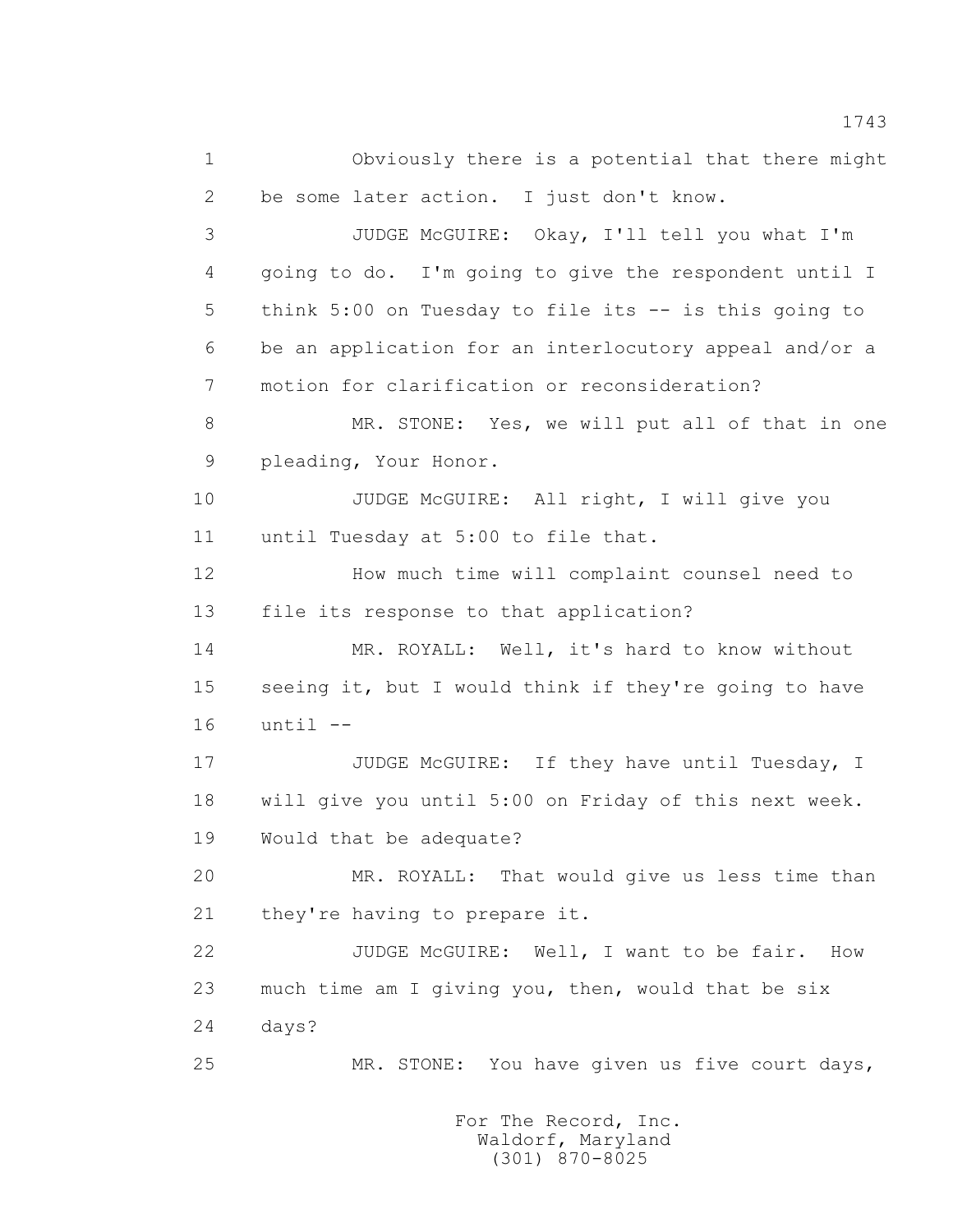1 Obviously there is a potential that there might 2 be some later action. I just don't know. 3 JUDGE McGUIRE: Okay, I'll tell you what I'm 4 going to do. I'm going to give the respondent until I 5 think 5:00 on Tuesday to file its -- is this going to 6 be an application for an interlocutory appeal and/or a 7 motion for clarification or reconsideration? 8 MR. STONE: Yes, we will put all of that in one 9 pleading, Your Honor. 10 JUDGE McGUIRE: All right, I will give you 11 until Tuesday at 5:00 to file that. 12 How much time will complaint counsel need to 13 file its response to that application? 14 MR. ROYALL: Well, it's hard to know without 15 seeing it, but I would think if they're going to have 16 until -- 17 JUDGE McGUIRE: If they have until Tuesday, I 18 will give you until 5:00 on Friday of this next week. 19 Would that be adequate? 20 MR. ROYALL: That would give us less time than 21 they're having to prepare it. 22 JUDGE McGUIRE: Well, I want to be fair. How 23 much time am I giving you, then, would that be six 24 days? 25 MR. STONE: You have given us five court days,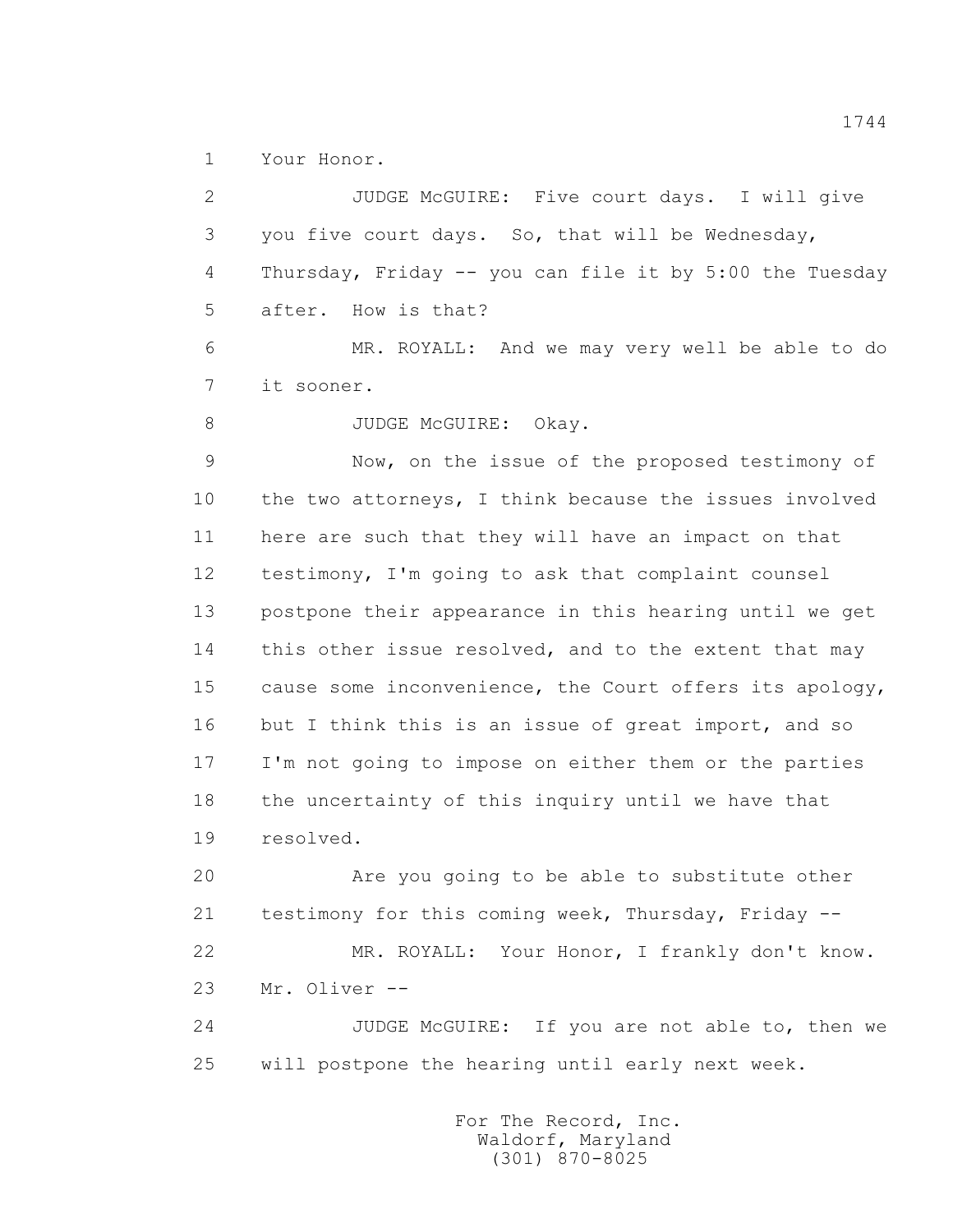1 Your Honor.

 2 JUDGE McGUIRE: Five court days. I will give 3 you five court days. So, that will be Wednesday, 4 Thursday, Friday -- you can file it by 5:00 the Tuesday 5 after. How is that? 6 MR. ROYALL: And we may very well be able to do 7 it sooner. 8 JUDGE McGUIRE: Okay. 9 Now, on the issue of the proposed testimony of 10 the two attorneys, I think because the issues involved 11 here are such that they will have an impact on that 12 testimony, I'm going to ask that complaint counsel 13 postpone their appearance in this hearing until we get 14 this other issue resolved, and to the extent that may 15 cause some inconvenience, the Court offers its apology, 16 but I think this is an issue of great import, and so 17 I'm not going to impose on either them or the parties 18 the uncertainty of this inquiry until we have that 19 resolved. 20 Are you going to be able to substitute other 21 testimony for this coming week, Thursday, Friday -- 22 MR. ROYALL: Your Honor, I frankly don't know. 23 Mr. Oliver -- 24 JUDGE McGUIRE: If you are not able to, then we 25 will postpone the hearing until early next week.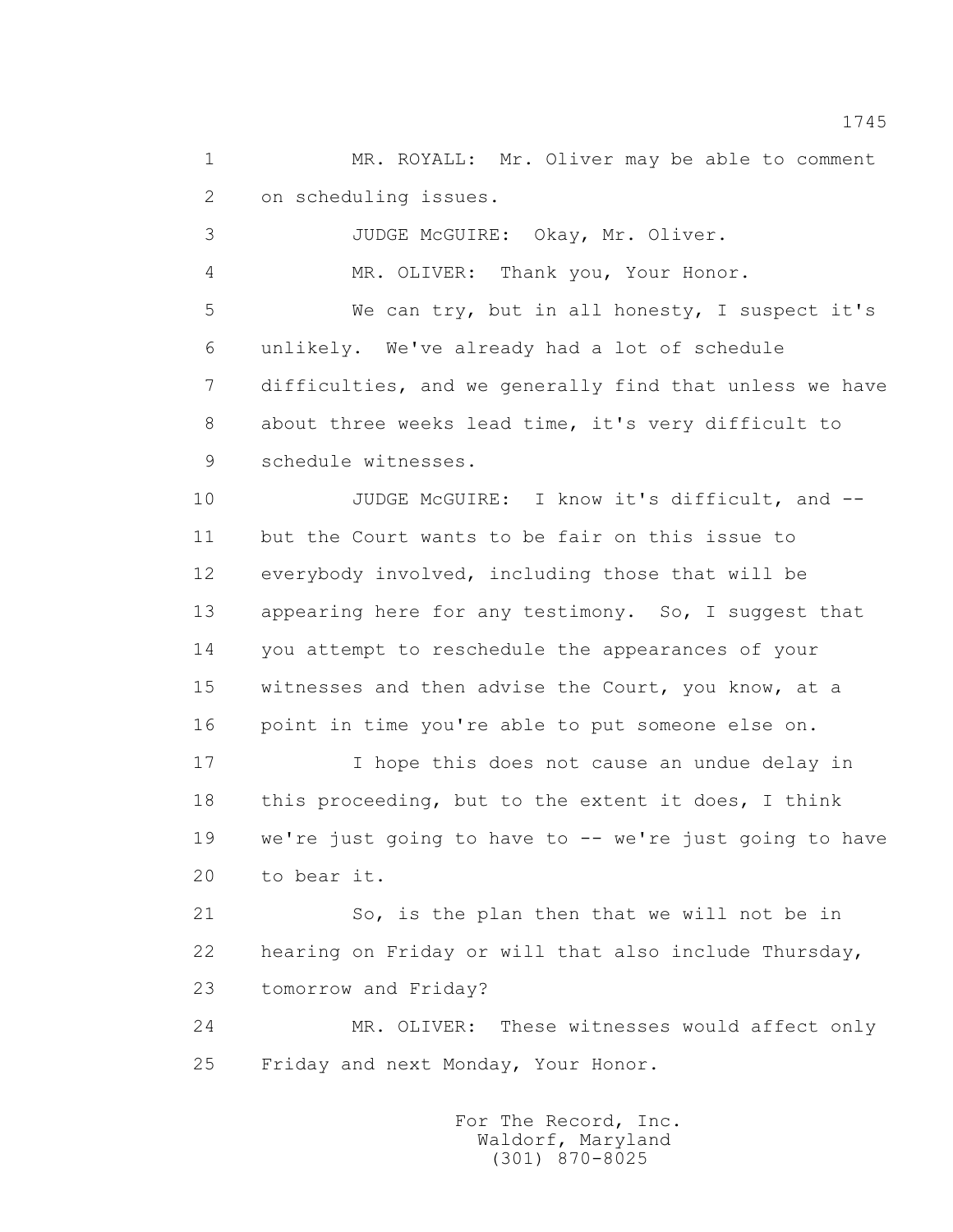1 MR. ROYALL: Mr. Oliver may be able to comment 2 on scheduling issues.

3 JUDGE McGUIRE: Okay, Mr. Oliver.

4 MR. OLIVER: Thank you, Your Honor.

 5 We can try, but in all honesty, I suspect it's 6 unlikely. We've already had a lot of schedule 7 difficulties, and we generally find that unless we have 8 about three weeks lead time, it's very difficult to 9 schedule witnesses.

10 JUDGE McGUIRE: I know it's difficult, and -- 11 but the Court wants to be fair on this issue to 12 everybody involved, including those that will be 13 appearing here for any testimony. So, I suggest that 14 you attempt to reschedule the appearances of your 15 witnesses and then advise the Court, you know, at a 16 point in time you're able to put someone else on.

 17 I hope this does not cause an undue delay in 18 this proceeding, but to the extent it does, I think 19 we're just going to have to -- we're just going to have 20 to bear it.

 21 So, is the plan then that we will not be in 22 hearing on Friday or will that also include Thursday, 23 tomorrow and Friday?

 24 MR. OLIVER: These witnesses would affect only 25 Friday and next Monday, Your Honor.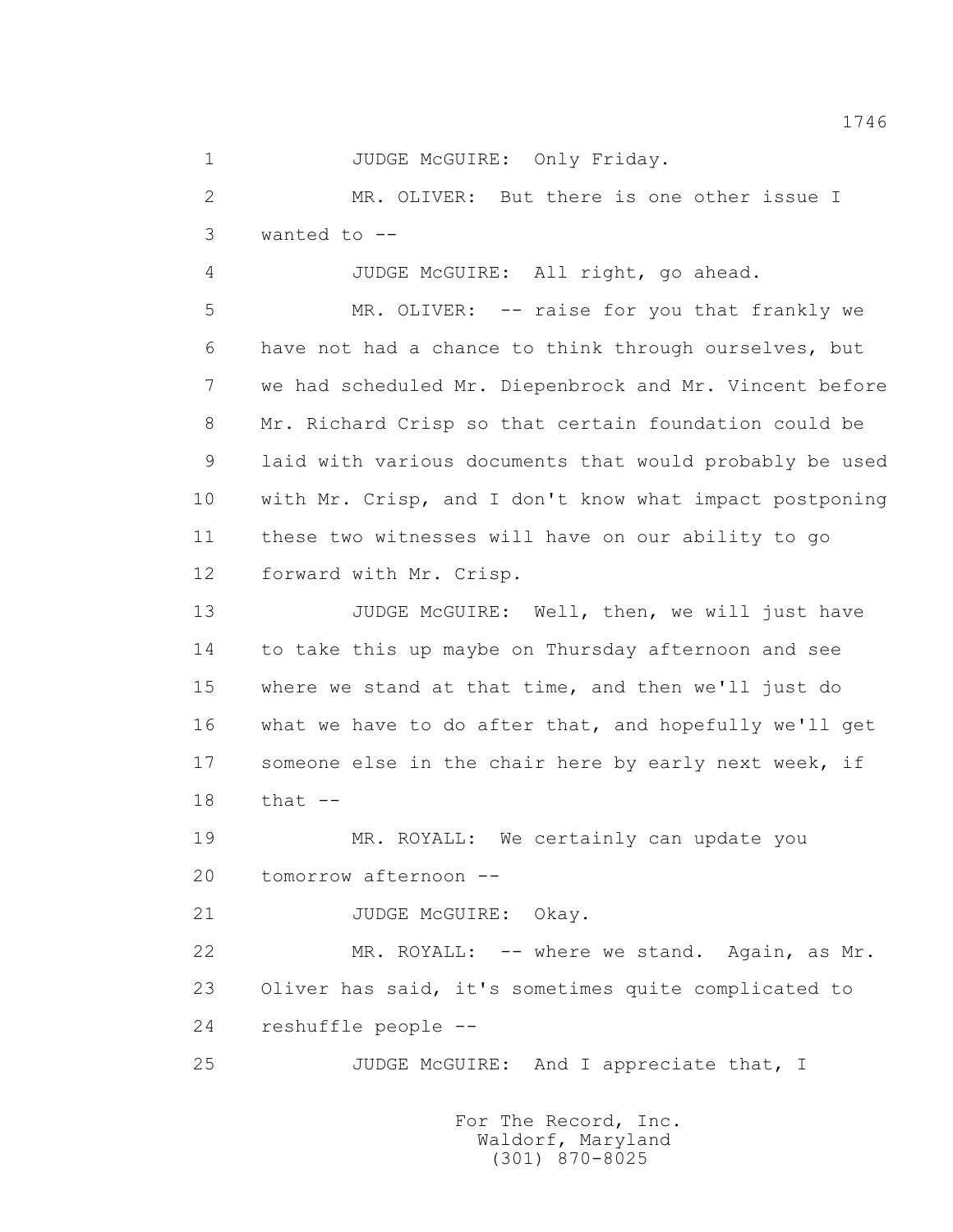1 JUDGE McGUIRE: Only Friday.

 2 MR. OLIVER: But there is one other issue I  $3$  wanted to  $-$ 

4 JUDGE McGUIRE: All right, go ahead.

 5 MR. OLIVER: -- raise for you that frankly we 6 have not had a chance to think through ourselves, but 7 we had scheduled Mr. Diepenbrock and Mr. Vincent before 8 Mr. Richard Crisp so that certain foundation could be 9 laid with various documents that would probably be used 10 with Mr. Crisp, and I don't know what impact postponing 11 these two witnesses will have on our ability to go 12 forward with Mr. Crisp.

13 JUDGE McGUIRE: Well, then, we will just have 14 to take this up maybe on Thursday afternoon and see 15 where we stand at that time, and then we'll just do 16 what we have to do after that, and hopefully we'll get 17 someone else in the chair here by early next week, if 18 that --

19 MR. ROYALL: We certainly can update you 20 tomorrow afternoon --

21 JUDGE McGUIRE: Okay.

 22 MR. ROYALL: -- where we stand. Again, as Mr. 23 Oliver has said, it's sometimes quite complicated to 24 reshuffle people --

25 JUDGE McGUIRE: And I appreciate that, I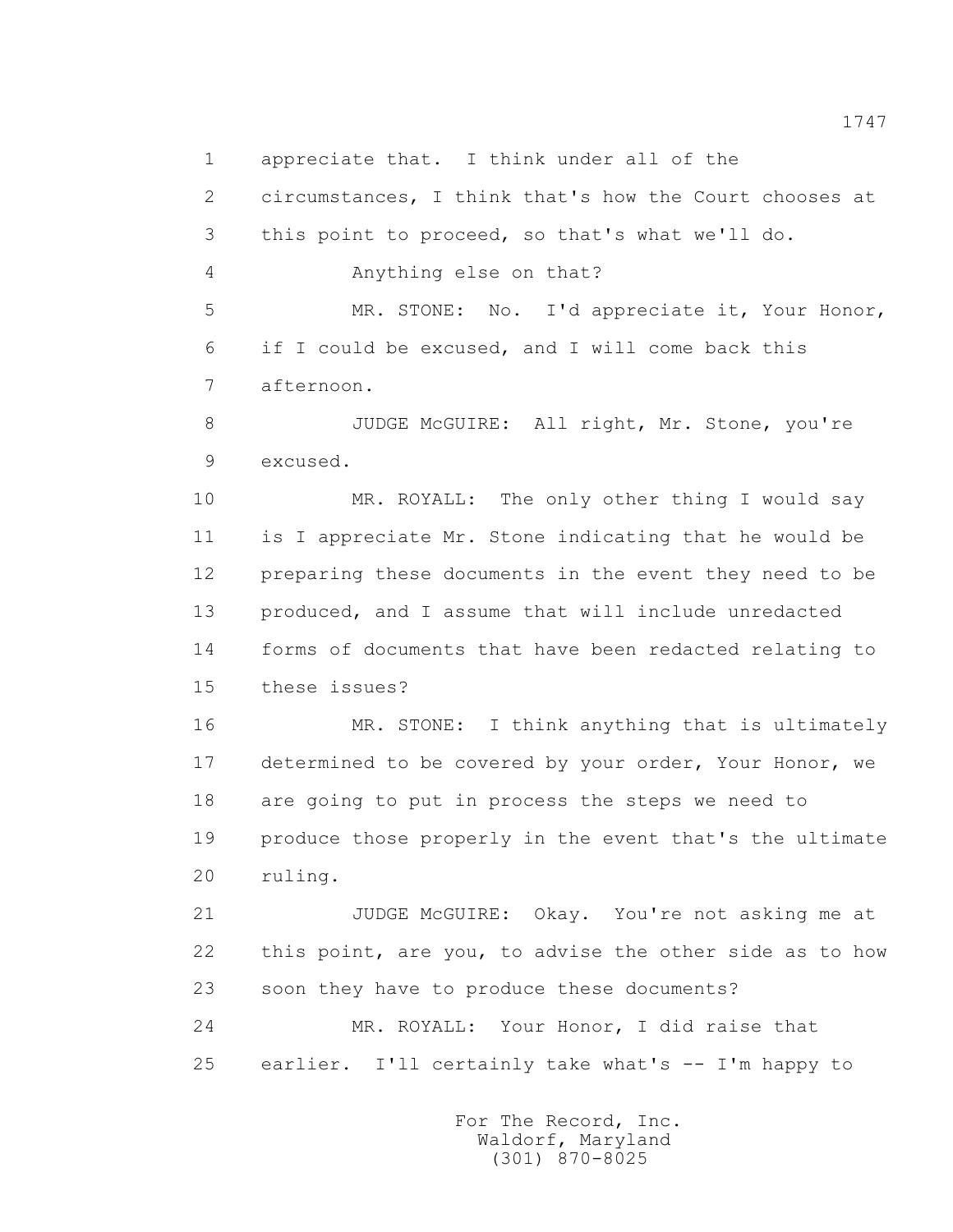2 circumstances, I think that's how the Court chooses at 3 this point to proceed, so that's what we'll do. 4 Anything else on that? 5 MR. STONE: No. I'd appreciate it, Your Honor, 6 if I could be excused, and I will come back this 7 afternoon. 8 JUDGE McGUIRE: All right, Mr. Stone, you're 9 excused. 10 MR. ROYALL: The only other thing I would say 11 is I appreciate Mr. Stone indicating that he would be 12 preparing these documents in the event they need to be 13 produced, and I assume that will include unredacted 14 forms of documents that have been redacted relating to 15 these issues? 16 MR. STONE: I think anything that is ultimately 17 determined to be covered by your order, Your Honor, we 18 are going to put in process the steps we need to 19 produce those properly in the event that's the ultimate 20 ruling. 21 JUDGE McGUIRE: Okay. You're not asking me at 22 this point, are you, to advise the other side as to how 23 soon they have to produce these documents? 24 MR. ROYALL: Your Honor, I did raise that

1 appreciate that. I think under all of the

25 earlier. I'll certainly take what's -- I'm happy to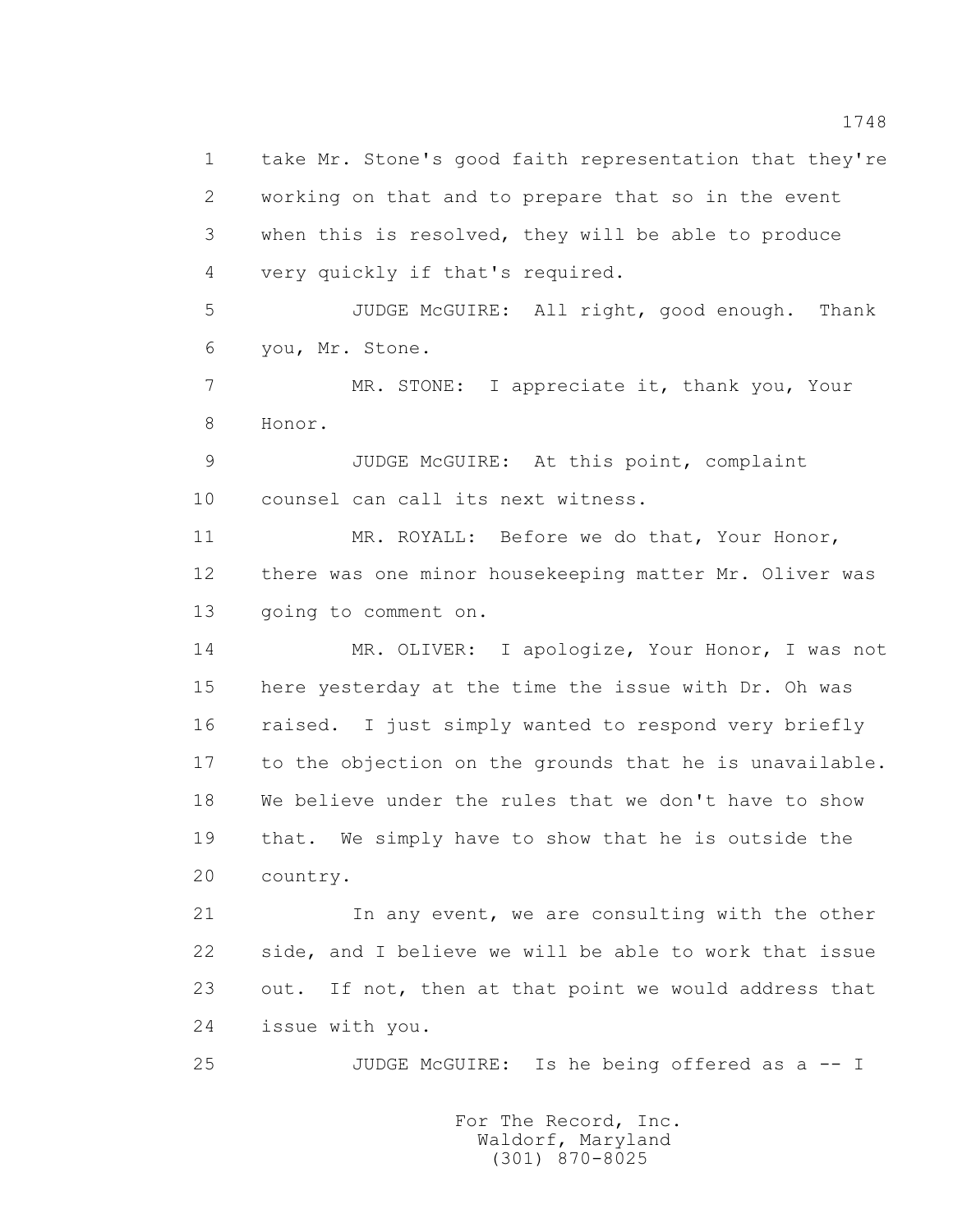1 take Mr. Stone's good faith representation that they're 2 working on that and to prepare that so in the event 3 when this is resolved, they will be able to produce 4 very quickly if that's required. 5 JUDGE McGUIRE: All right, good enough. Thank 6 you, Mr. Stone. 7 MR. STONE: I appreciate it, thank you, Your 8 Honor. 9 JUDGE McGUIRE: At this point, complaint 10 counsel can call its next witness. 11 MR. ROYALL: Before we do that, Your Honor, 12 there was one minor housekeeping matter Mr. Oliver was 13 going to comment on. 14 MR. OLIVER: I apologize, Your Honor, I was not 15 here yesterday at the time the issue with Dr. Oh was 16 raised. I just simply wanted to respond very briefly 17 to the objection on the grounds that he is unavailable. 18 We believe under the rules that we don't have to show 19 that. We simply have to show that he is outside the 20 country. 21 In any event, we are consulting with the other 22 side, and I believe we will be able to work that issue 23 out. If not, then at that point we would address that 24 issue with you.

25 JUDGE McGUIRE: Is he being offered as a -- I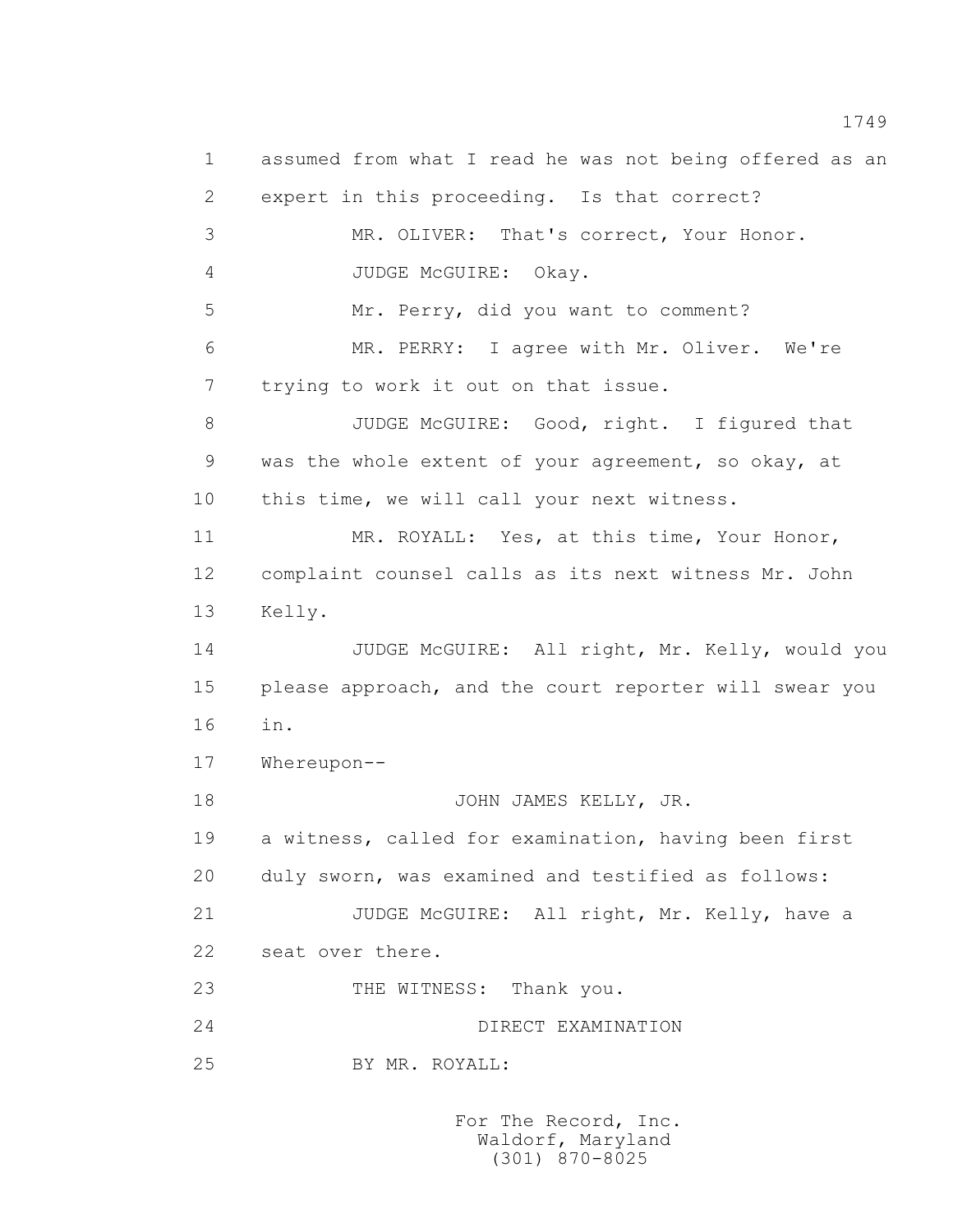1 assumed from what I read he was not being offered as an 2 expert in this proceeding. Is that correct? 3 MR. OLIVER: That's correct, Your Honor. 4 JUDGE McGUIRE: Okay. 5 Mr. Perry, did you want to comment? 6 MR. PERRY: I agree with Mr. Oliver. We're 7 trying to work it out on that issue. 8 JUDGE McGUIRE: Good, right. I figured that 9 was the whole extent of your agreement, so okay, at 10 this time, we will call your next witness. 11 MR. ROYALL: Yes, at this time, Your Honor, 12 complaint counsel calls as its next witness Mr. John 13 Kelly. 14 JUDGE McGUIRE: All right, Mr. Kelly, would you 15 please approach, and the court reporter will swear you 16 in. 17 Whereupon-- 18 JOHN JAMES KELLY, JR. 19 a witness, called for examination, having been first 20 duly sworn, was examined and testified as follows: 21 JUDGE McGUIRE: All right, Mr. Kelly, have a 22 seat over there. 23 THE WITNESS: Thank you. 24 DIRECT EXAMINATION 25 BY MR. ROYALL: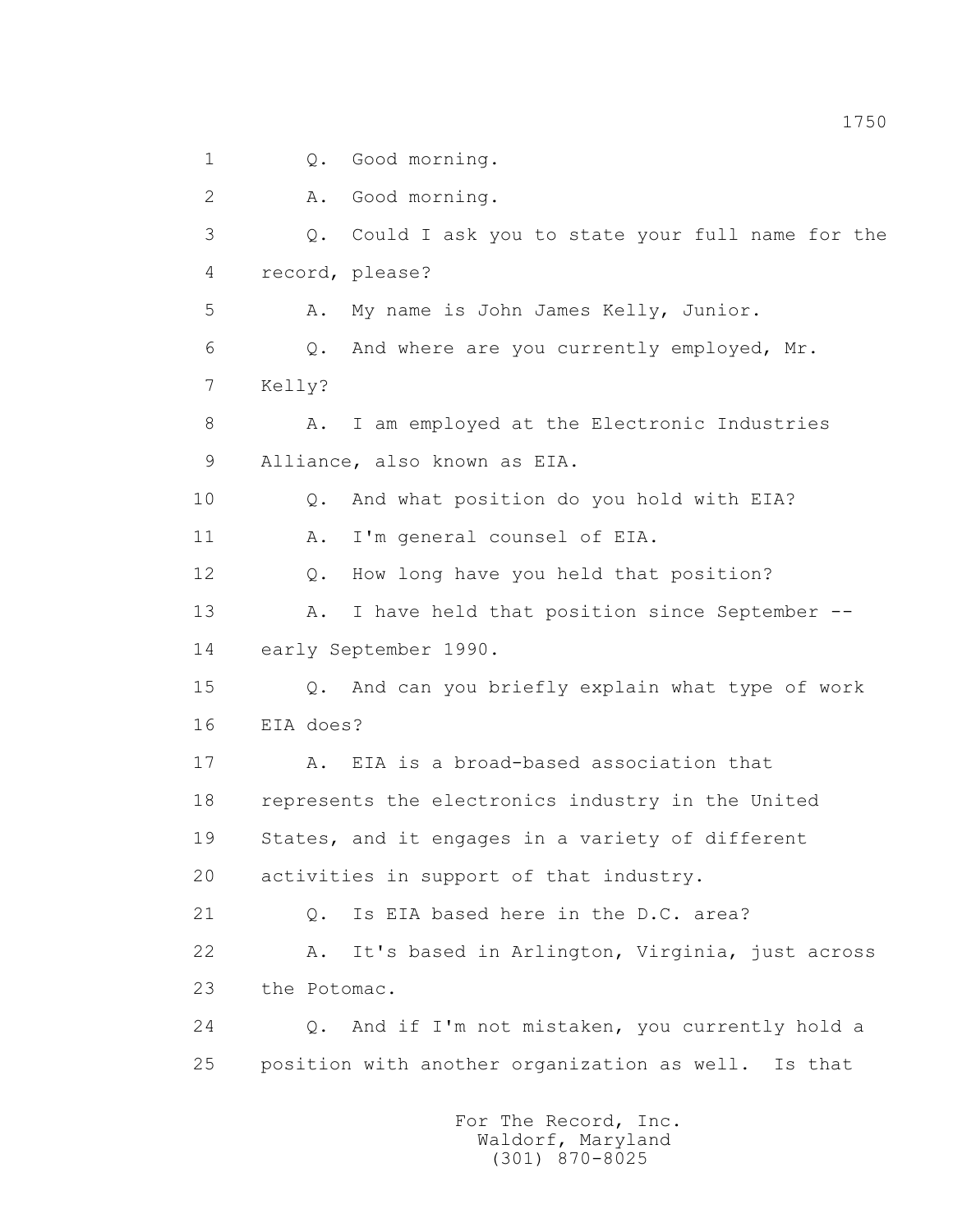1 0. Good morning. 2 A. Good morning. 3 Q. Could I ask you to state your full name for the 4 record, please? 5 A. My name is John James Kelly, Junior. 6 Q. And where are you currently employed, Mr. 7 Kelly? 8 A. I am employed at the Electronic Industries 9 Alliance, also known as EIA. 10 0. And what position do you hold with EIA? 11 A. I'm general counsel of EIA. 12 Q. How long have you held that position? 13 A. I have held that position since September -- 14 early September 1990. 15 Q. And can you briefly explain what type of work 16 EIA does? 17 A. EIA is a broad-based association that 18 represents the electronics industry in the United 19 States, and it engages in a variety of different 20 activities in support of that industry. 21 Q. Is EIA based here in the D.C. area? 22 A. It's based in Arlington, Virginia, just across 23 the Potomac. 24 Q. And if I'm not mistaken, you currently hold a 25 position with another organization as well. Is that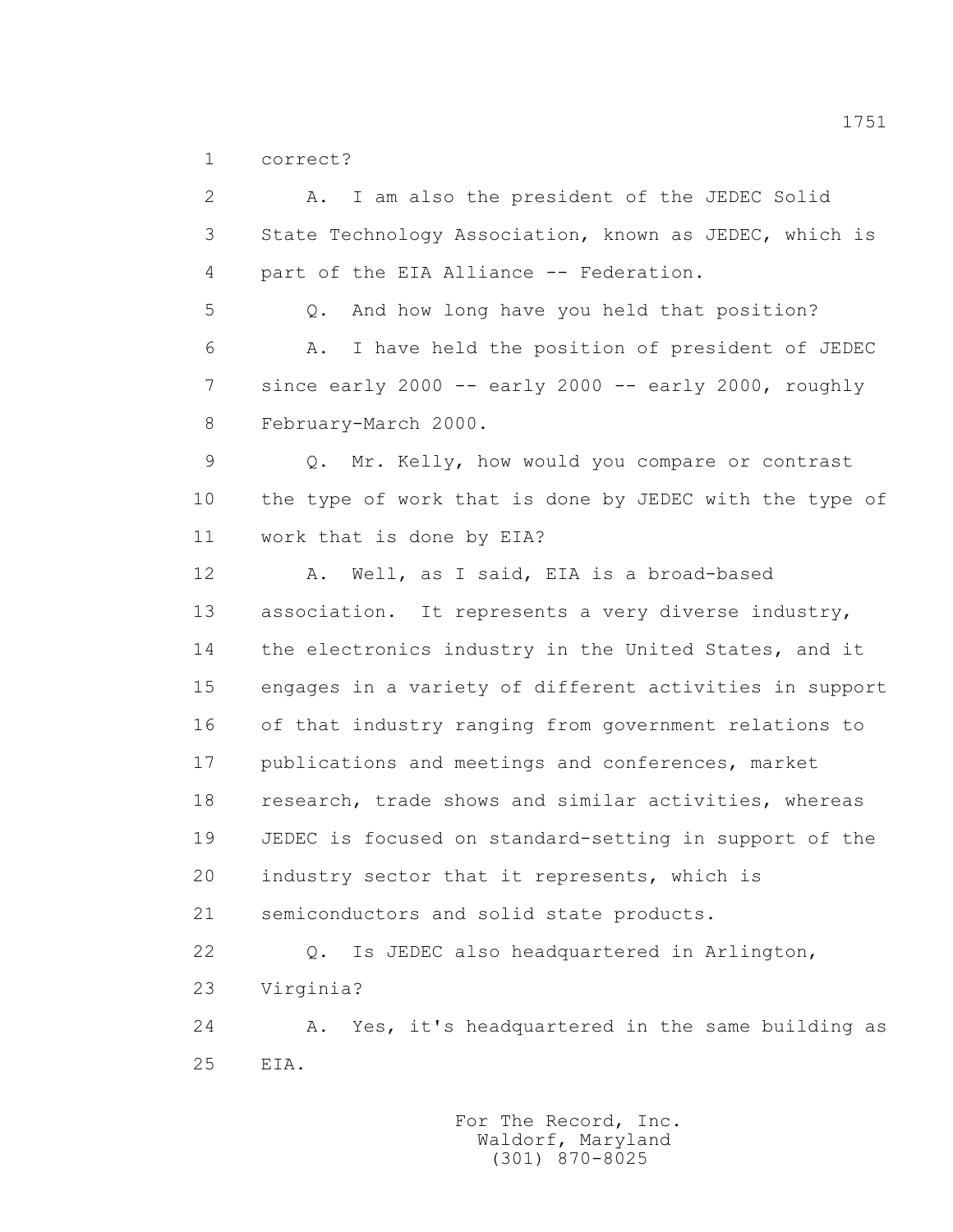1 correct?

 2 A. I am also the president of the JEDEC Solid 3 State Technology Association, known as JEDEC, which is 4 part of the EIA Alliance -- Federation. 5 Q. And how long have you held that position? 6 A. I have held the position of president of JEDEC 7 since early 2000 -- early 2000 -- early 2000, roughly 8 February-March 2000. 9 Q. Mr. Kelly, how would you compare or contrast 10 the type of work that is done by JEDEC with the type of 11 work that is done by EIA? 12 A. Well, as I said, EIA is a broad-based 13 association. It represents a very diverse industry, 14 the electronics industry in the United States, and it 15 engages in a variety of different activities in support 16 of that industry ranging from government relations to 17 publications and meetings and conferences, market 18 research, trade shows and similar activities, whereas 19 JEDEC is focused on standard-setting in support of the 20 industry sector that it represents, which is 21 semiconductors and solid state products. 22 Q. Is JEDEC also headquartered in Arlington, 23 Virginia? 24 A. Yes, it's headquartered in the same building as 25 EIA.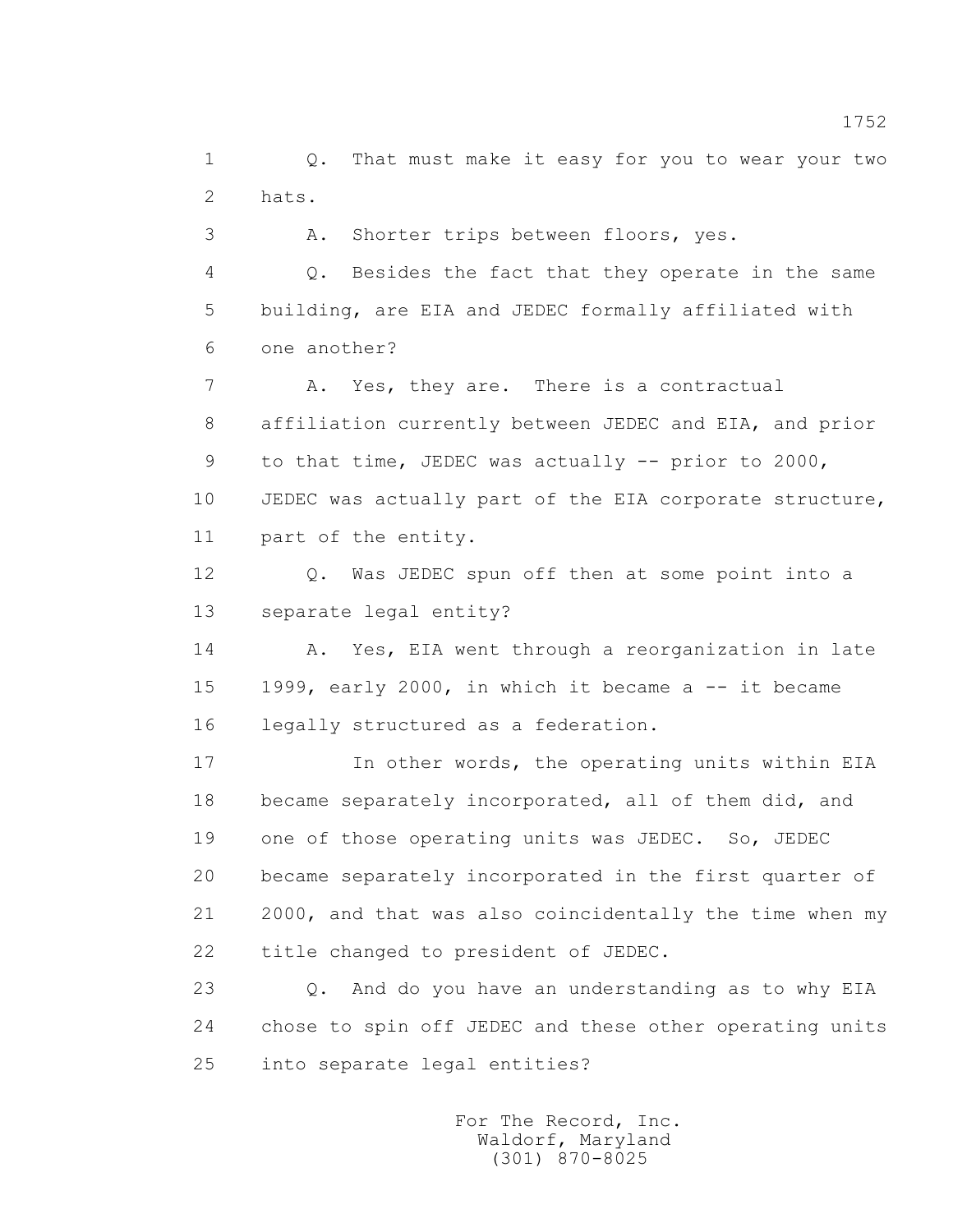1 Q. That must make it easy for you to wear your two 2 hats.

3 A. Shorter trips between floors, yes.

 4 Q. Besides the fact that they operate in the same 5 building, are EIA and JEDEC formally affiliated with 6 one another?

 7 A. Yes, they are. There is a contractual 8 affiliation currently between JEDEC and EIA, and prior 9 to that time, JEDEC was actually -- prior to 2000, 10 JEDEC was actually part of the EIA corporate structure, 11 part of the entity.

 12 Q. Was JEDEC spun off then at some point into a 13 separate legal entity?

14 A. Yes, EIA went through a reorganization in late 15 1999, early 2000, in which it became a -- it became 16 legally structured as a federation.

 17 In other words, the operating units within EIA 18 became separately incorporated, all of them did, and 19 one of those operating units was JEDEC. So, JEDEC 20 became separately incorporated in the first quarter of 21 2000, and that was also coincidentally the time when my 22 title changed to president of JEDEC.

 23 Q. And do you have an understanding as to why EIA 24 chose to spin off JEDEC and these other operating units 25 into separate legal entities?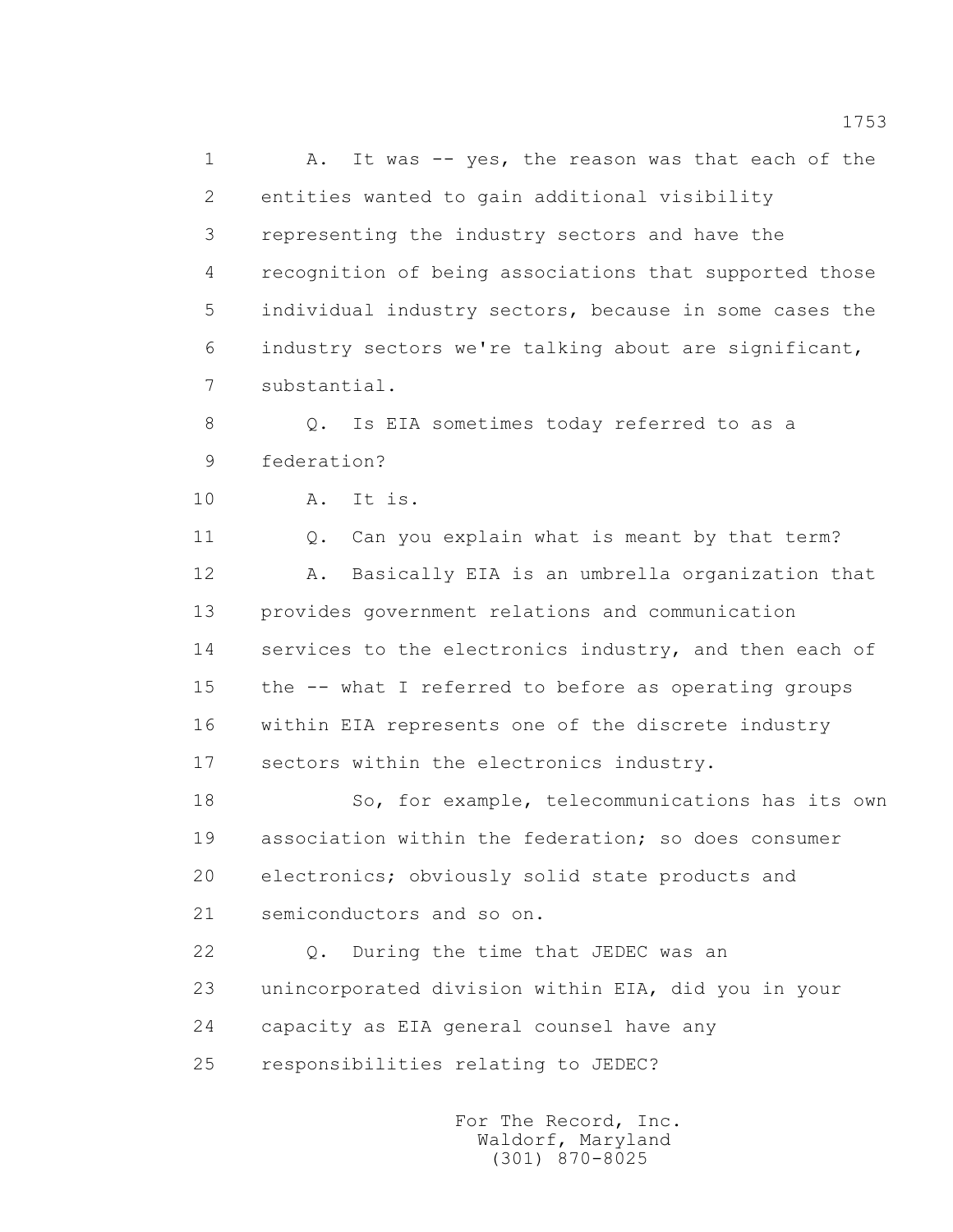1 A. It was -- yes, the reason was that each of the 2 entities wanted to gain additional visibility 3 representing the industry sectors and have the 4 recognition of being associations that supported those 5 individual industry sectors, because in some cases the 6 industry sectors we're talking about are significant, 7 substantial.

 8 Q. Is EIA sometimes today referred to as a 9 federation?

10 A. It is.

 11 Q. Can you explain what is meant by that term? 12 A. Basically EIA is an umbrella organization that 13 provides government relations and communication 14 services to the electronics industry, and then each of 15 the -- what I referred to before as operating groups 16 within EIA represents one of the discrete industry 17 sectors within the electronics industry.

 18 So, for example, telecommunications has its own 19 association within the federation; so does consumer 20 electronics; obviously solid state products and 21 semiconductors and so on.

 22 Q. During the time that JEDEC was an 23 unincorporated division within EIA, did you in your 24 capacity as EIA general counsel have any 25 responsibilities relating to JEDEC?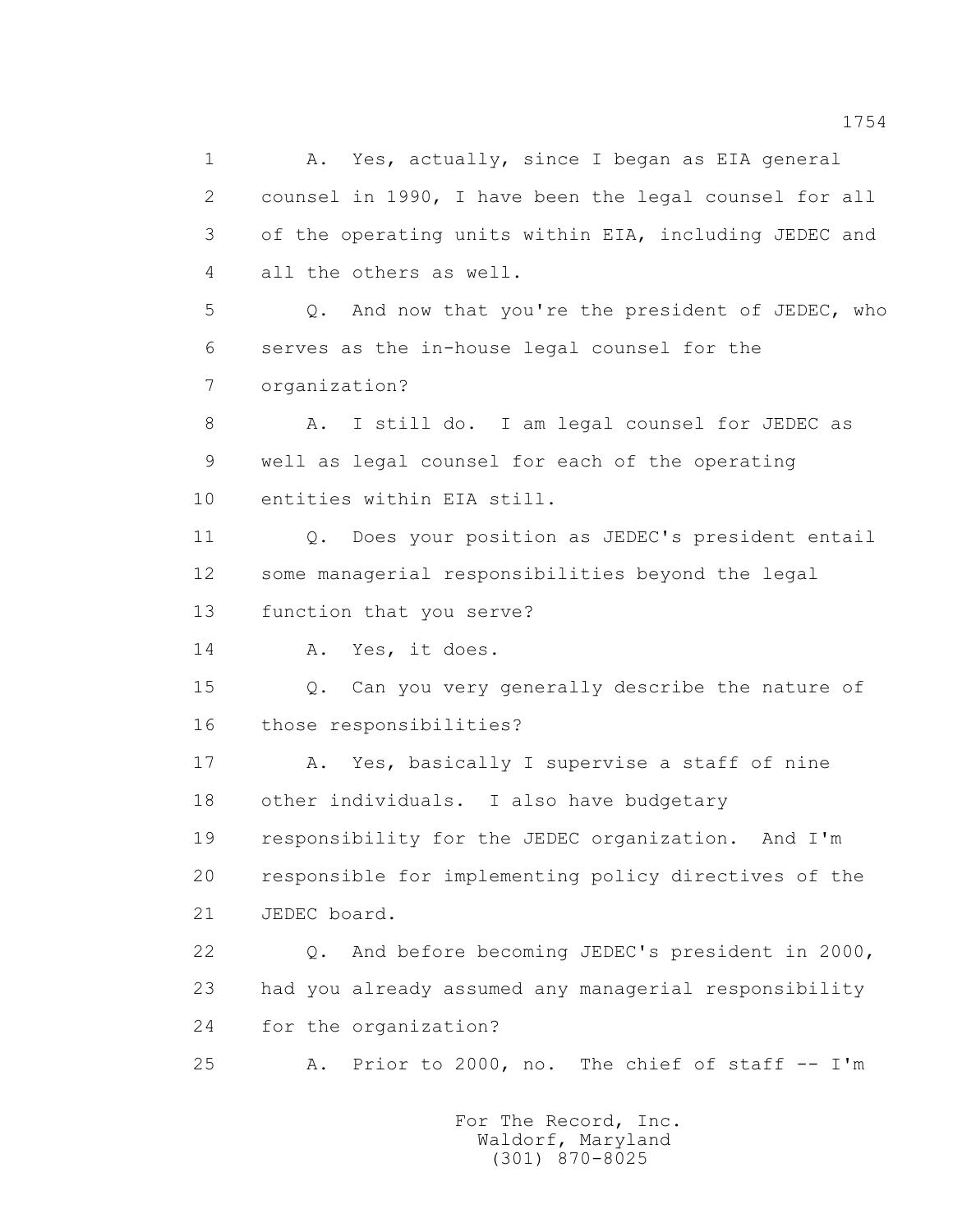1 A. Yes, actually, since I began as EIA general 2 counsel in 1990, I have been the legal counsel for all 3 of the operating units within EIA, including JEDEC and 4 all the others as well. 5 Q. And now that you're the president of JEDEC, who 6 serves as the in-house legal counsel for the 7 organization? 8 A. I still do. I am legal counsel for JEDEC as 9 well as legal counsel for each of the operating 10 entities within EIA still. 11 Q. Does your position as JEDEC's president entail 12 some managerial responsibilities beyond the legal 13 function that you serve? 14 A. Yes, it does. 15 Q. Can you very generally describe the nature of 16 those responsibilities? 17 A. Yes, basically I supervise a staff of nine 18 other individuals. I also have budgetary 19 responsibility for the JEDEC organization. And I'm 20 responsible for implementing policy directives of the 21 JEDEC board. 22 Q. And before becoming JEDEC's president in 2000, 23 had you already assumed any managerial responsibility 24 for the organization? 25 A. Prior to 2000, no. The chief of staff -- I'm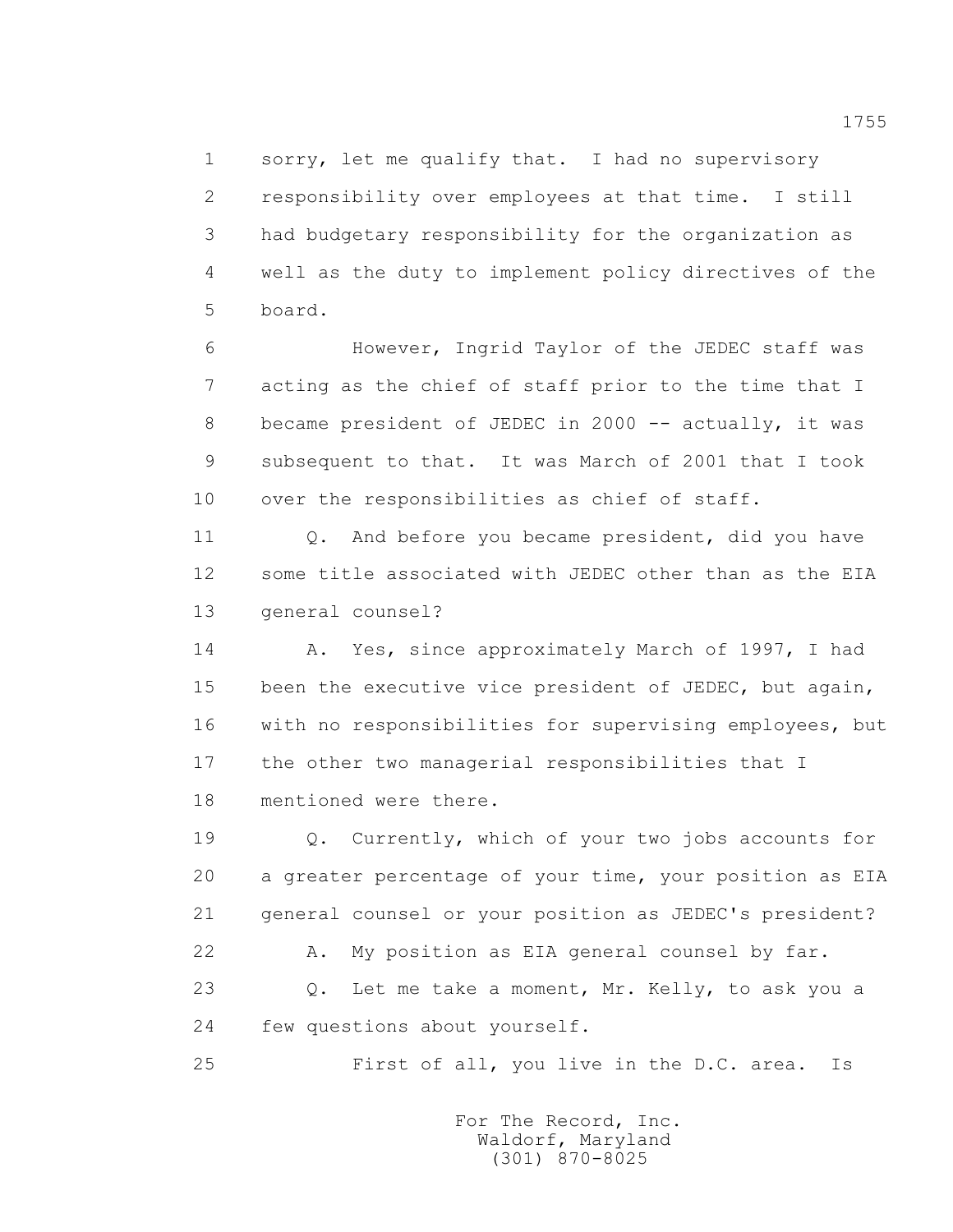1 sorry, let me qualify that. I had no supervisory 2 responsibility over employees at that time. I still 3 had budgetary responsibility for the organization as 4 well as the duty to implement policy directives of the 5 board.

 6 However, Ingrid Taylor of the JEDEC staff was 7 acting as the chief of staff prior to the time that I 8 became president of JEDEC in 2000 -- actually, it was 9 subsequent to that. It was March of 2001 that I took 10 over the responsibilities as chief of staff.

 11 Q. And before you became president, did you have 12 some title associated with JEDEC other than as the EIA 13 general counsel?

14 A. Yes, since approximately March of 1997, I had 15 been the executive vice president of JEDEC, but again, 16 with no responsibilities for supervising employees, but 17 the other two managerial responsibilities that I 18 mentioned were there.

 19 Q. Currently, which of your two jobs accounts for 20 a greater percentage of your time, your position as EIA 21 general counsel or your position as JEDEC's president?

 22 A. My position as EIA general counsel by far. 23 0. Let me take a moment, Mr. Kelly, to ask you a

24 few questions about yourself.

25 First of all, you live in the D.C. area. Is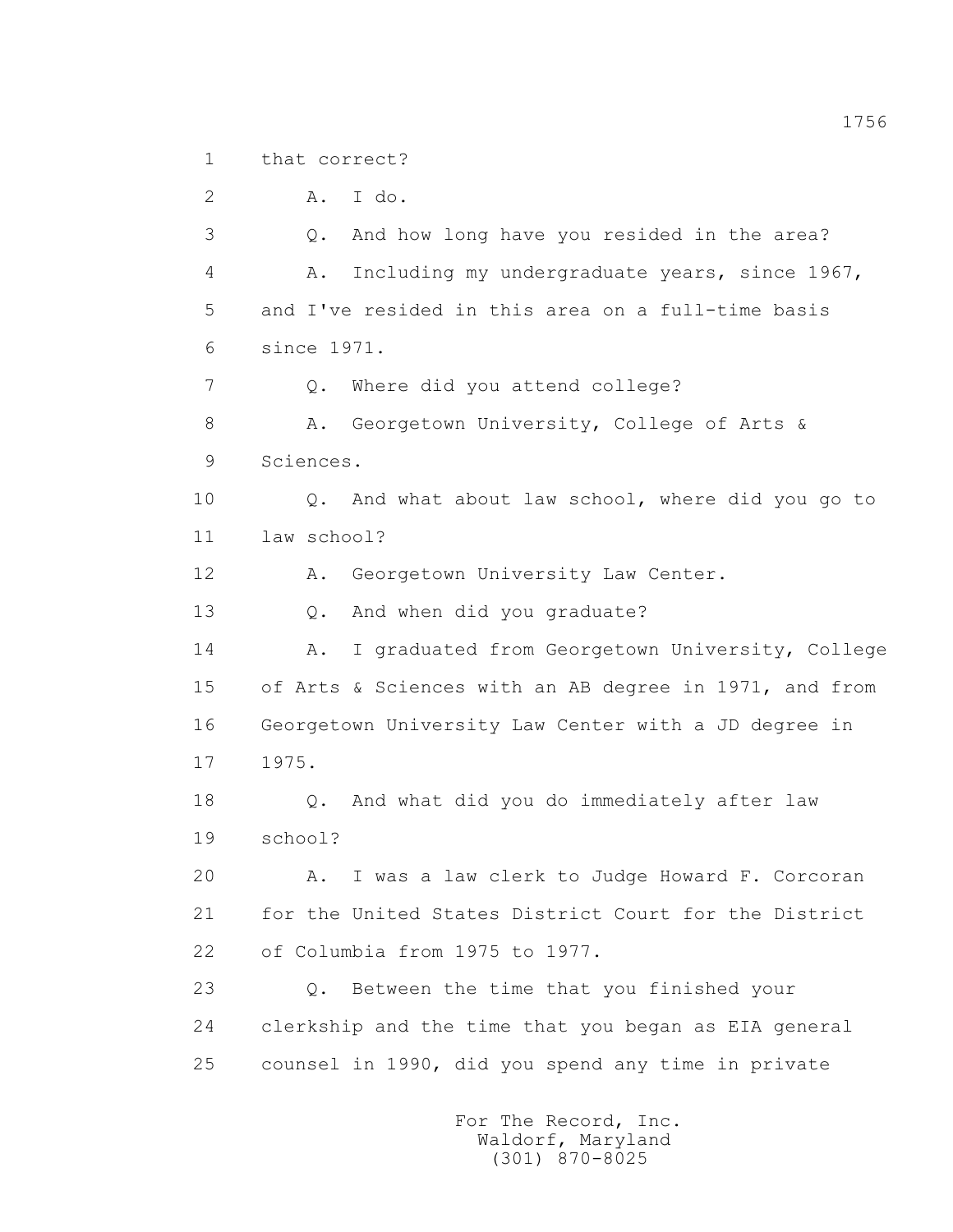1 that correct?

2 A. I do.

 3 Q. And how long have you resided in the area? 4 A. Including my undergraduate years, since 1967, 5 and I've resided in this area on a full-time basis 6 since 1971.

7 Q. Where did you attend college?

8 A. Georgetown University, College of Arts & 9 Sciences.

 10 Q. And what about law school, where did you go to 11 law school?

12 A. Georgetown University Law Center.

13 Q. And when did you graduate?

14 A. I graduated from Georgetown University, College 15 of Arts & Sciences with an AB degree in 1971, and from 16 Georgetown University Law Center with a JD degree in 17 1975.

 18 Q. And what did you do immediately after law 19 school?

 20 A. I was a law clerk to Judge Howard F. Corcoran 21 for the United States District Court for the District 22 of Columbia from 1975 to 1977.

 23 Q. Between the time that you finished your 24 clerkship and the time that you began as EIA general 25 counsel in 1990, did you spend any time in private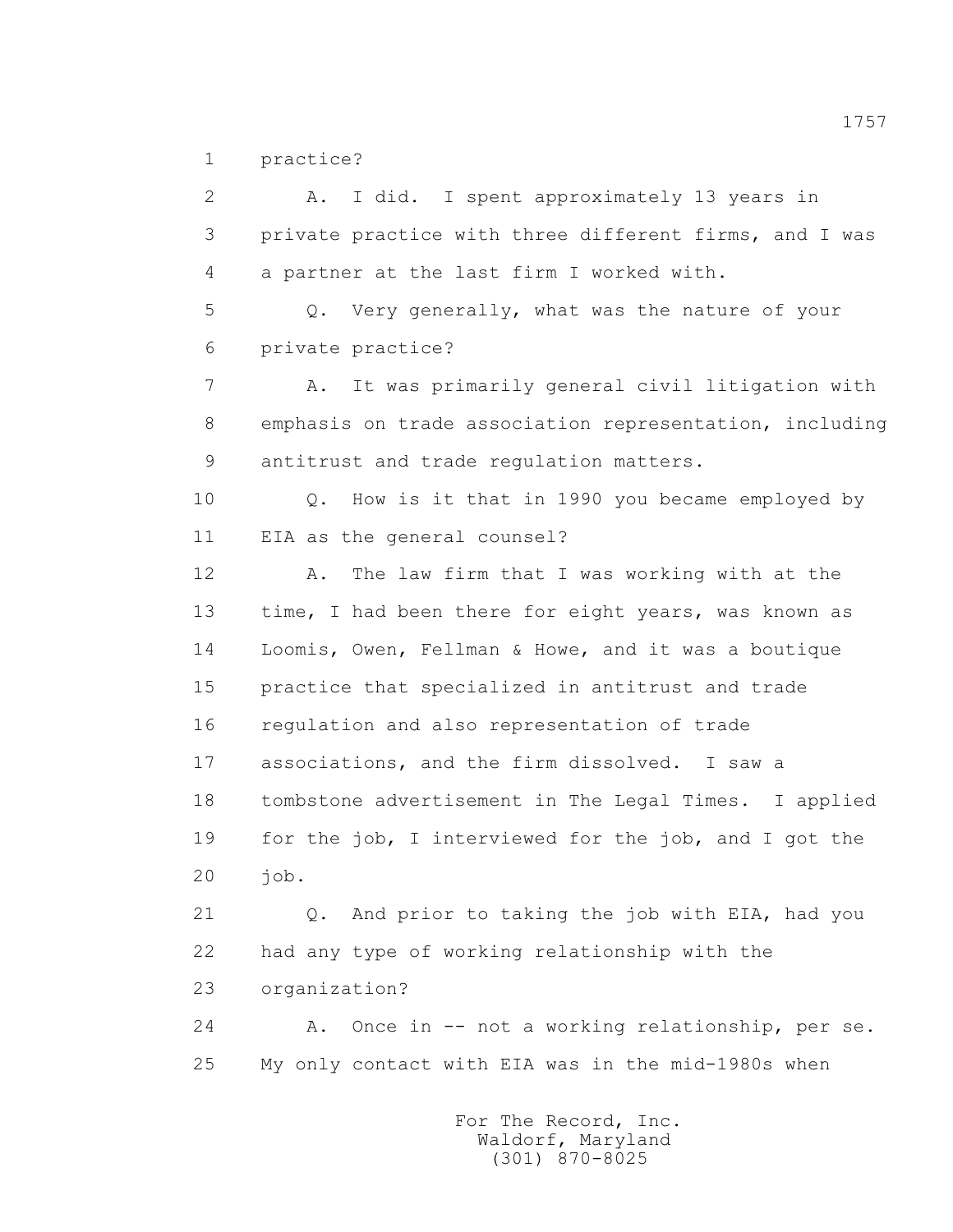1 practice?

 2 A. I did. I spent approximately 13 years in 3 private practice with three different firms, and I was 4 a partner at the last firm I worked with. 5 Q. Very generally, what was the nature of your 6 private practice? 7 A. It was primarily general civil litigation with 8 emphasis on trade association representation, including 9 antitrust and trade regulation matters. 10 Q. How is it that in 1990 you became employed by 11 EIA as the general counsel? 12 A. The law firm that I was working with at the 13 time, I had been there for eight years, was known as 14 Loomis, Owen, Fellman & Howe, and it was a boutique 15 practice that specialized in antitrust and trade 16 regulation and also representation of trade 17 associations, and the firm dissolved. I saw a 18 tombstone advertisement in The Legal Times. I applied 19 for the job, I interviewed for the job, and I got the 20 job. 21 Q. And prior to taking the job with EIA, had you 22 had any type of working relationship with the 23 organization? 24 A. Once in -- not a working relationship, per se. 25 My only contact with EIA was in the mid-1980s when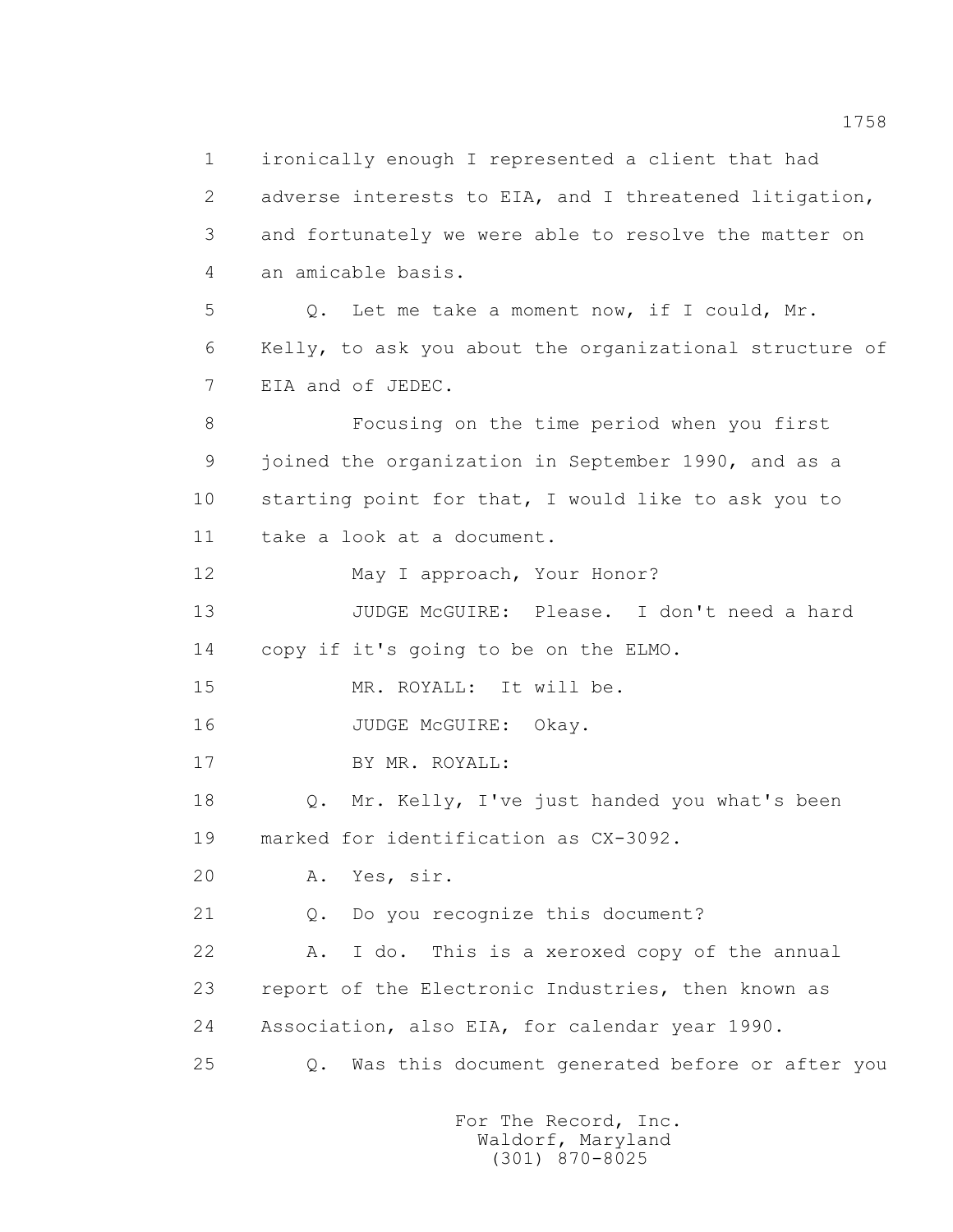1 ironically enough I represented a client that had 2 adverse interests to EIA, and I threatened litigation, 3 and fortunately we were able to resolve the matter on 4 an amicable basis. 5 Q. Let me take a moment now, if I could, Mr. 6 Kelly, to ask you about the organizational structure of 7 EIA and of JEDEC. 8 Focusing on the time period when you first 9 joined the organization in September 1990, and as a 10 starting point for that, I would like to ask you to 11 take a look at a document. 12 May I approach, Your Honor? 13 JUDGE McGUIRE: Please. I don't need a hard 14 copy if it's going to be on the ELMO. 15 MR. ROYALL: It will be. 16 JUDGE McGUIRE: Okay. 17 BY MR. ROYALL: 18 O. Mr. Kelly, I've just handed you what's been 19 marked for identification as CX-3092. 20 A. Yes, sir. 21 Q. Do you recognize this document? 22 A. I do. This is a xeroxed copy of the annual 23 report of the Electronic Industries, then known as 24 Association, also EIA, for calendar year 1990. 25 Q. Was this document generated before or after you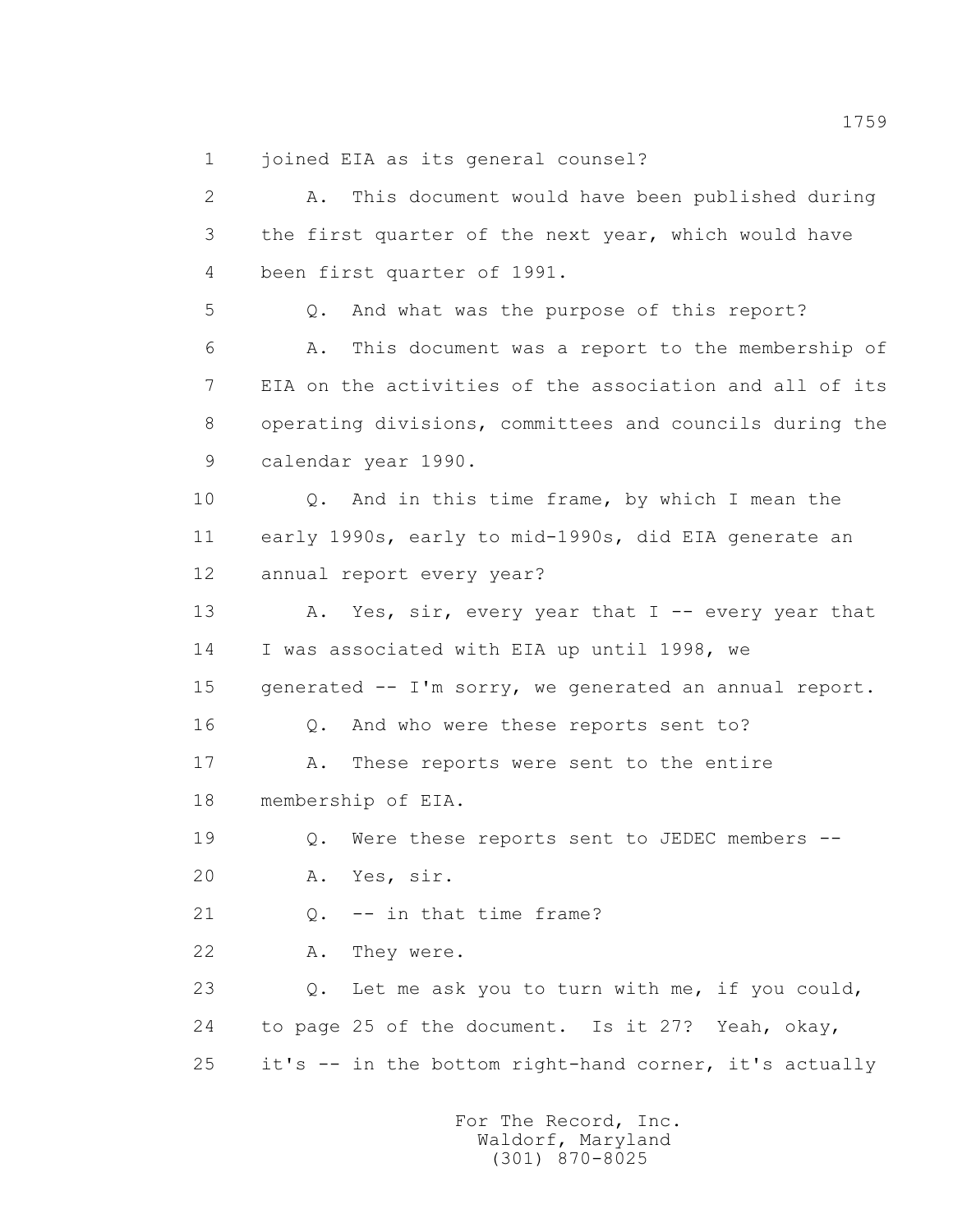1 joined EIA as its general counsel?

 2 A. This document would have been published during 3 the first quarter of the next year, which would have 4 been first quarter of 1991. 5 Q. And what was the purpose of this report? 6 A. This document was a report to the membership of 7 EIA on the activities of the association and all of its 8 operating divisions, committees and councils during the 9 calendar year 1990. 10 Q. And in this time frame, by which I mean the 11 early 1990s, early to mid-1990s, did EIA generate an 12 annual report every year? 13 A. Yes, sir, every year that I -- every year that 14 I was associated with EIA up until 1998, we 15 generated -- I'm sorry, we generated an annual report. 16 Q. And who were these reports sent to? 17 A. These reports were sent to the entire 18 membership of EIA. 19 Q. Were these reports sent to JEDEC members -- 20 A. Yes, sir. 21 Q. -- in that time frame? 22 A. They were. 23 Q. Let me ask you to turn with me, if you could, 24 to page 25 of the document. Is it 27? Yeah, okay, 25 it's -- in the bottom right-hand corner, it's actually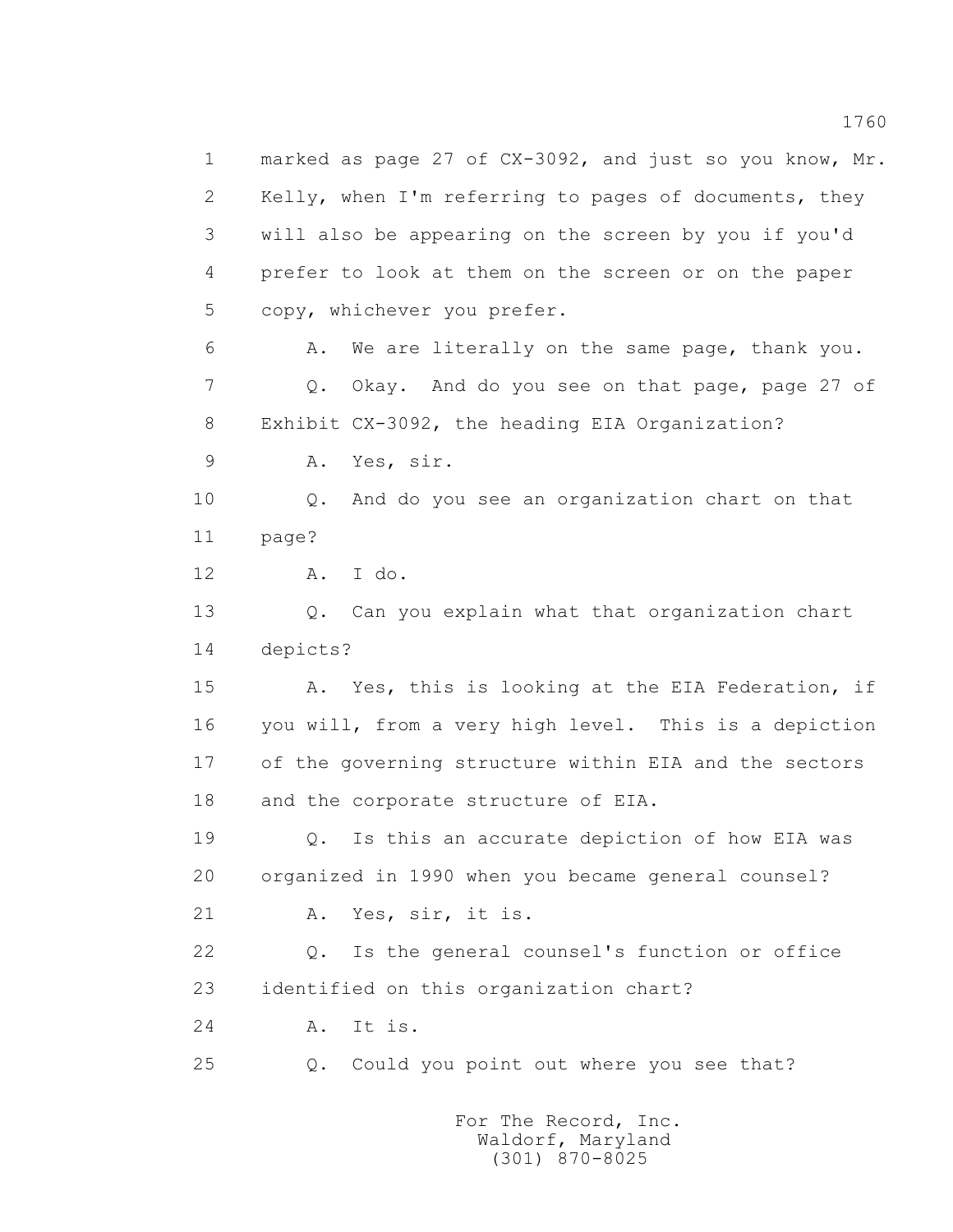1 marked as page 27 of CX-3092, and just so you know, Mr. 2 Kelly, when I'm referring to pages of documents, they 3 will also be appearing on the screen by you if you'd 4 prefer to look at them on the screen or on the paper 5 copy, whichever you prefer. 6 A. We are literally on the same page, thank you. 7 Q. Okay. And do you see on that page, page 27 of 8 Exhibit CX-3092, the heading EIA Organization? 9 A. Yes, sir. 10 Q. And do you see an organization chart on that 11 page? 12 A. I do. 13 0. Can you explain what that organization chart 14 depicts? 15 A. Yes, this is looking at the EIA Federation, if 16 you will, from a very high level. This is a depiction 17 of the governing structure within EIA and the sectors 18 and the corporate structure of EIA. 19 Q. Is this an accurate depiction of how EIA was 20 organized in 1990 when you became general counsel? 21 A. Yes, sir, it is. 22 Q. Is the general counsel's function or office 23 identified on this organization chart? 24 A. It is. 25 Q. Could you point out where you see that?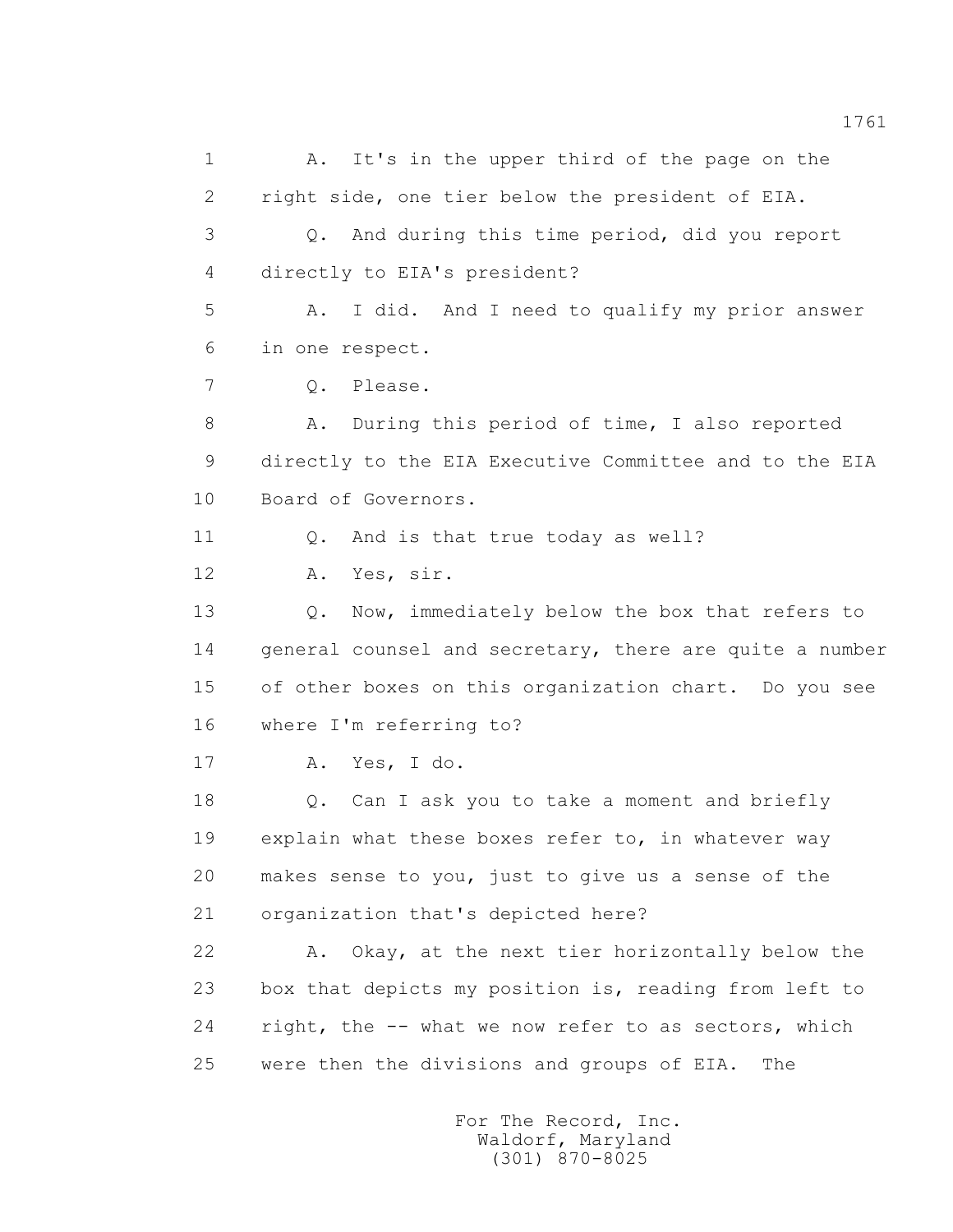1 A. It's in the upper third of the page on the 2 right side, one tier below the president of EIA. 3 Q. And during this time period, did you report 4 directly to EIA's president? 5 A. I did. And I need to qualify my prior answer 6 in one respect. 7 Q. Please. 8 A. During this period of time, I also reported 9 directly to the EIA Executive Committee and to the EIA 10 Board of Governors. 11 Q. And is that true today as well? 12 A. Yes, sir. 13 O. Now, immediately below the box that refers to 14 general counsel and secretary, there are quite a number 15 of other boxes on this organization chart. Do you see 16 where I'm referring to? 17 A. Yes, I do. 18 0. Can I ask you to take a moment and briefly 19 explain what these boxes refer to, in whatever way 20 makes sense to you, just to give us a sense of the 21 organization that's depicted here? 22 A. Okay, at the next tier horizontally below the 23 box that depicts my position is, reading from left to 24 right, the -- what we now refer to as sectors, which 25 were then the divisions and groups of EIA. The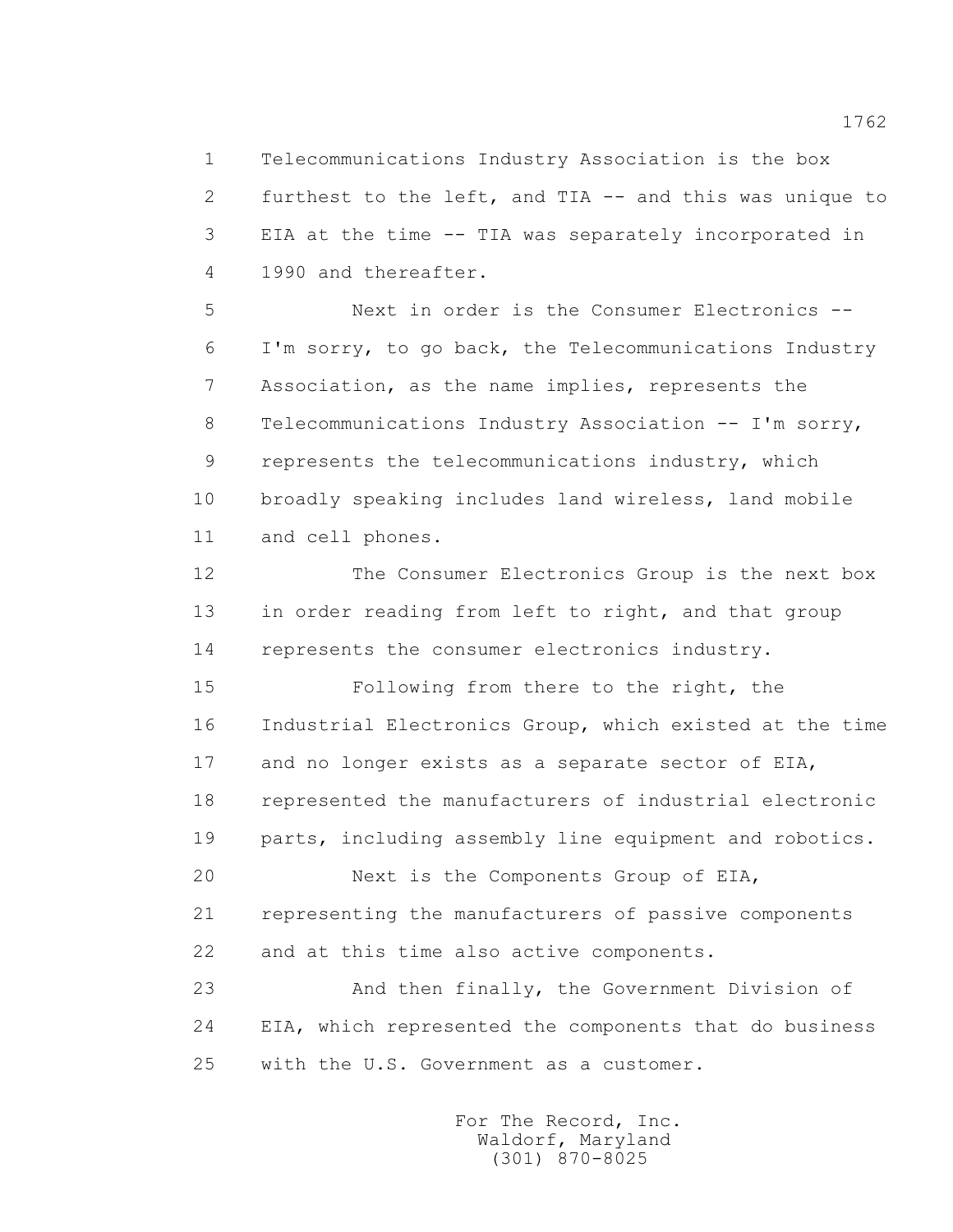1 Telecommunications Industry Association is the box 2 furthest to the left, and TIA -- and this was unique to 3 EIA at the time -- TIA was separately incorporated in 4 1990 and thereafter.

 5 Next in order is the Consumer Electronics -- 6 I'm sorry, to go back, the Telecommunications Industry 7 Association, as the name implies, represents the 8 Telecommunications Industry Association -- I'm sorry, 9 represents the telecommunications industry, which 10 broadly speaking includes land wireless, land mobile 11 and cell phones.

 12 The Consumer Electronics Group is the next box 13 in order reading from left to right, and that group 14 represents the consumer electronics industry.

 15 Following from there to the right, the 16 Industrial Electronics Group, which existed at the time 17 and no longer exists as a separate sector of EIA, 18 represented the manufacturers of industrial electronic 19 parts, including assembly line equipment and robotics.

 20 Next is the Components Group of EIA, 21 representing the manufacturers of passive components 22 and at this time also active components.

 23 And then finally, the Government Division of 24 EIA, which represented the components that do business 25 with the U.S. Government as a customer.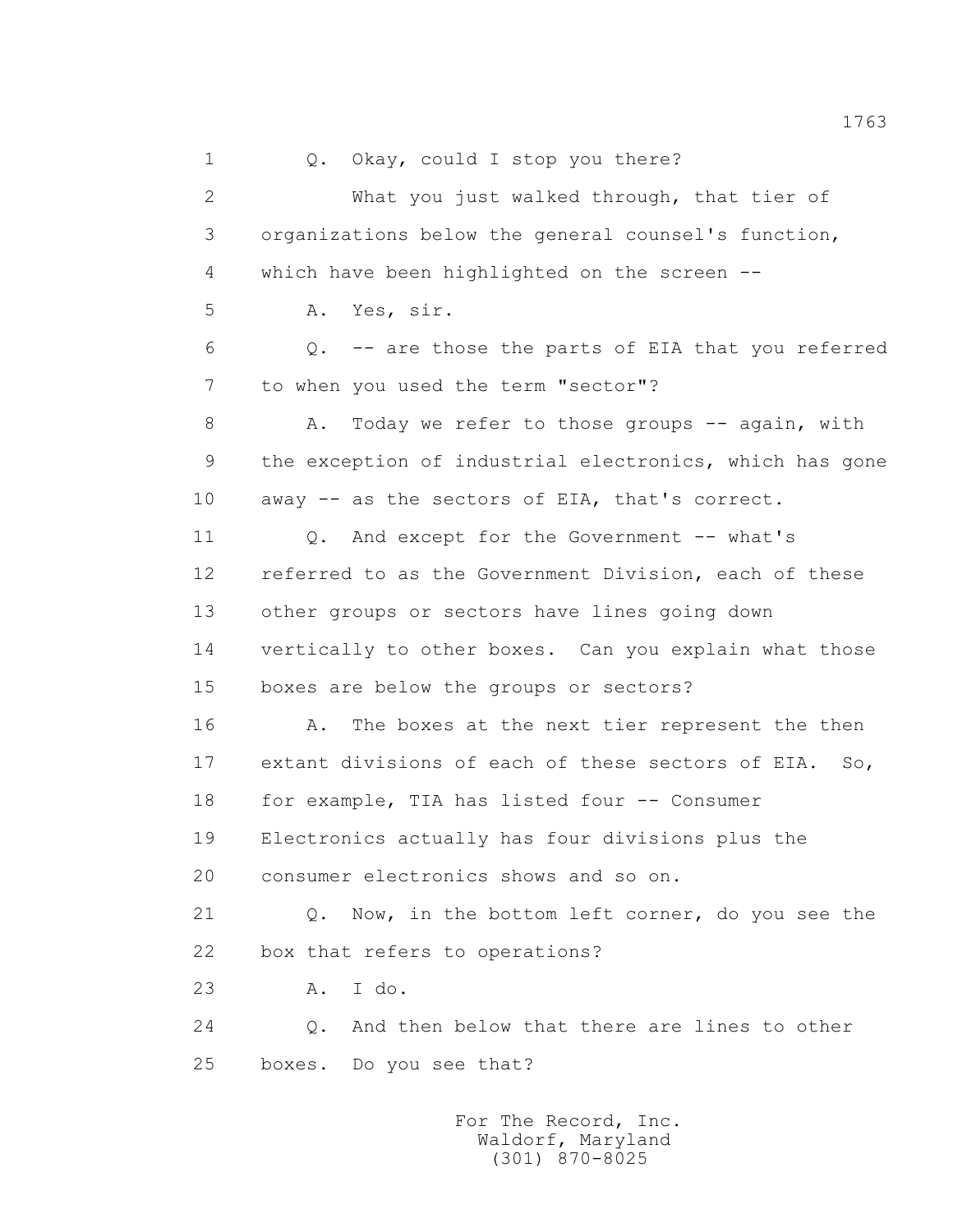1 0. Okay, could I stop you there? 2 What you just walked through, that tier of 3 organizations below the general counsel's function, 4 which have been highlighted on the screen -- 5 A. Yes, sir. 6 Q. -- are those the parts of EIA that you referred 7 to when you used the term "sector"? 8 A. Today we refer to those groups -- again, with 9 the exception of industrial electronics, which has gone 10 away -- as the sectors of EIA, that's correct. 11 Q. And except for the Government -- what's 12 referred to as the Government Division, each of these 13 other groups or sectors have lines going down 14 vertically to other boxes. Can you explain what those 15 boxes are below the groups or sectors? 16 A. The boxes at the next tier represent the then 17 extant divisions of each of these sectors of EIA. So, 18 for example, TIA has listed four -- Consumer 19 Electronics actually has four divisions plus the 20 consumer electronics shows and so on. 21 Q. Now, in the bottom left corner, do you see the 22 box that refers to operations? 23 A. I do. 24 Q. And then below that there are lines to other 25 boxes. Do you see that?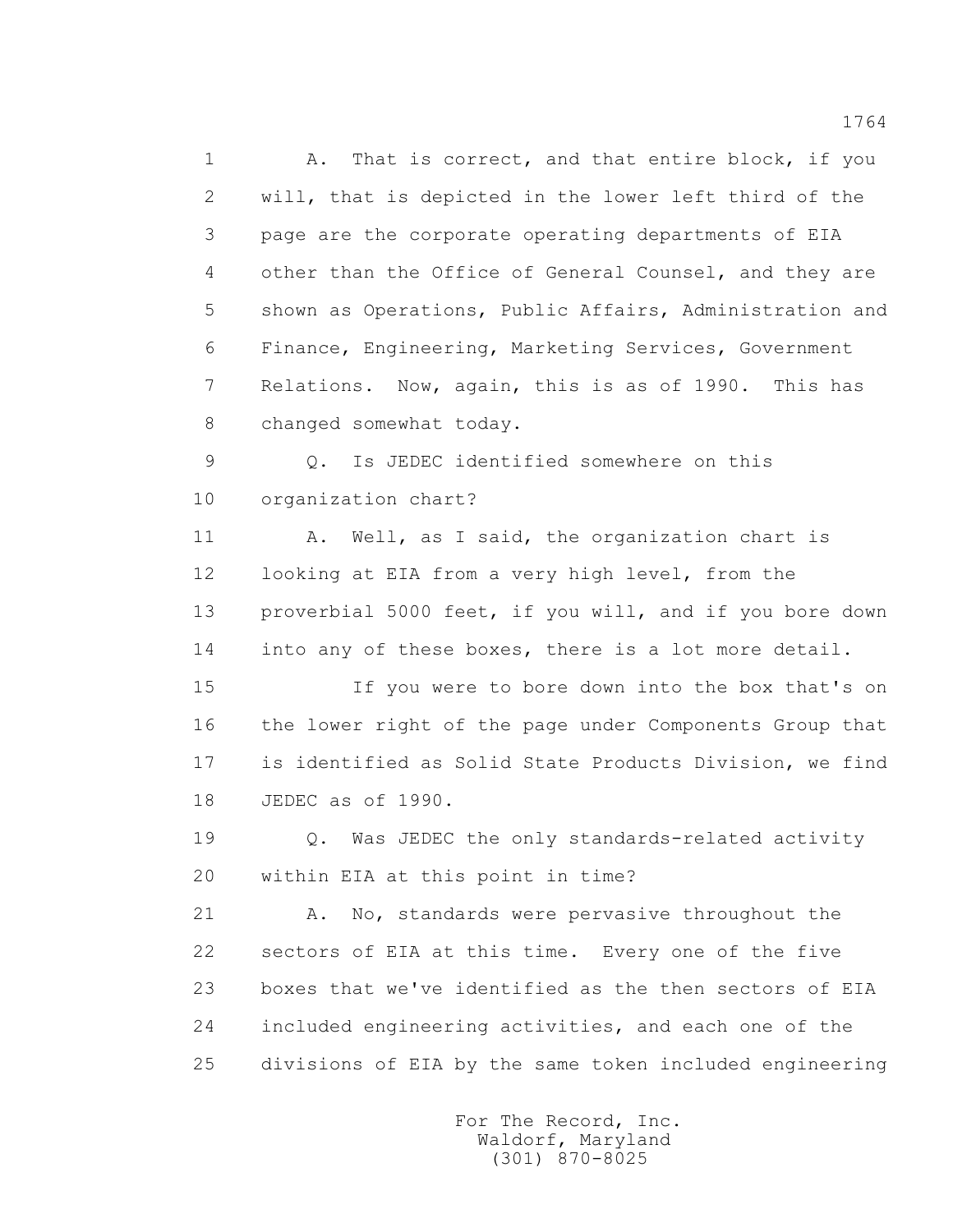1 A. That is correct, and that entire block, if you 2 will, that is depicted in the lower left third of the 3 page are the corporate operating departments of EIA 4 other than the Office of General Counsel, and they are 5 shown as Operations, Public Affairs, Administration and 6 Finance, Engineering, Marketing Services, Government 7 Relations. Now, again, this is as of 1990. This has 8 changed somewhat today.

 9 Q. Is JEDEC identified somewhere on this 10 organization chart?

 11 A. Well, as I said, the organization chart is 12 looking at EIA from a very high level, from the 13 proverbial 5000 feet, if you will, and if you bore down 14 into any of these boxes, there is a lot more detail.

 15 If you were to bore down into the box that's on 16 the lower right of the page under Components Group that 17 is identified as Solid State Products Division, we find 18 JEDEC as of 1990.

 19 Q. Was JEDEC the only standards-related activity 20 within EIA at this point in time?

21 A. No, standards were pervasive throughout the 22 sectors of EIA at this time. Every one of the five 23 boxes that we've identified as the then sectors of EIA 24 included engineering activities, and each one of the 25 divisions of EIA by the same token included engineering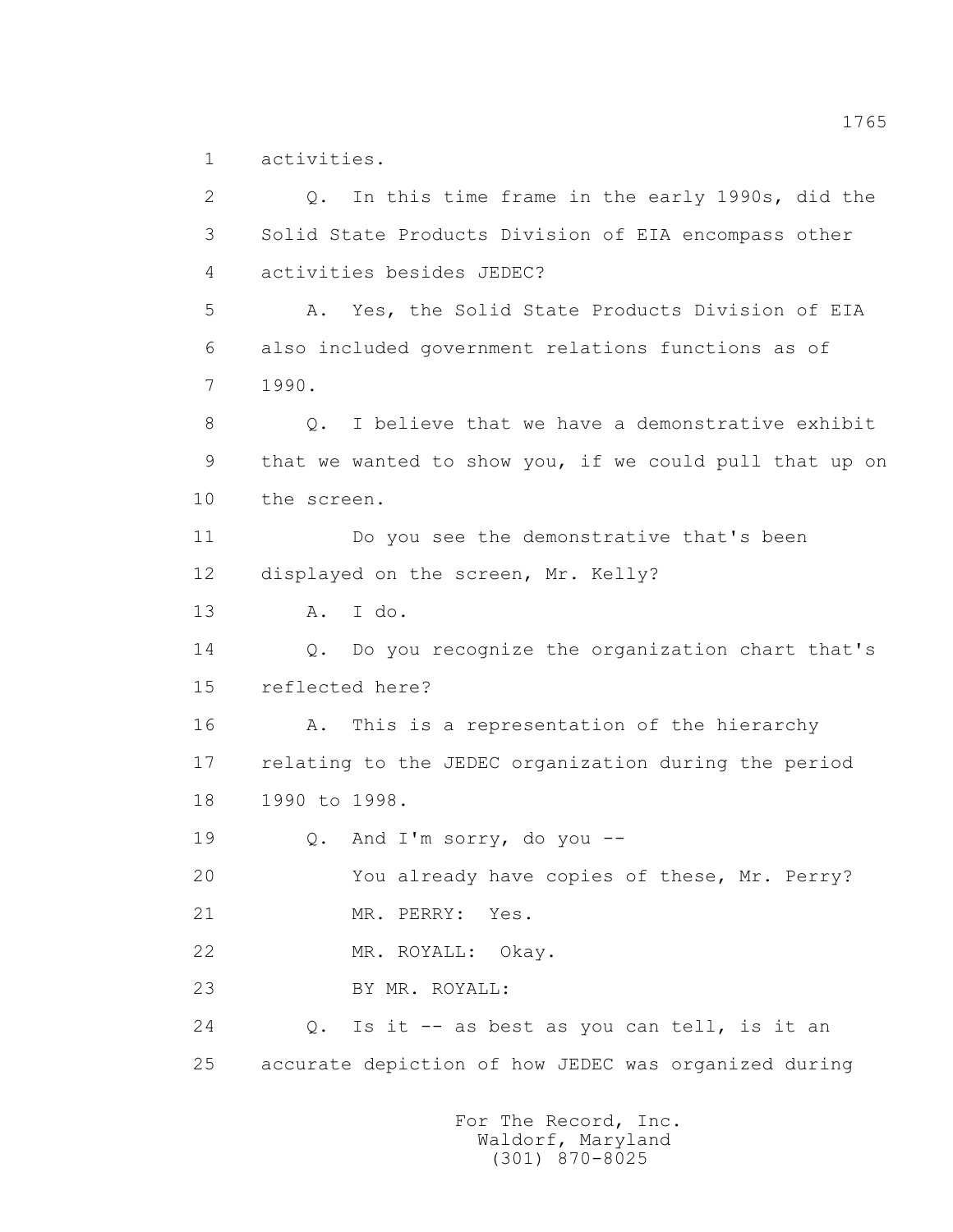1 activities.

 2 Q. In this time frame in the early 1990s, did the 3 Solid State Products Division of EIA encompass other 4 activities besides JEDEC? 5 A. Yes, the Solid State Products Division of EIA 6 also included government relations functions as of 7 1990. 8 0. I believe that we have a demonstrative exhibit 9 that we wanted to show you, if we could pull that up on 10 the screen. 11 Do you see the demonstrative that's been 12 displayed on the screen, Mr. Kelly? 13 A. I do. 14 Q. Do you recognize the organization chart that's 15 reflected here? 16 A. This is a representation of the hierarchy 17 relating to the JEDEC organization during the period 18 1990 to 1998. 19 Q. And I'm sorry, do you -- 20 You already have copies of these, Mr. Perry? 21 MR. PERRY: Yes. 22 MR. ROYALL: Okay. 23 BY MR. ROYALL: 24 Q. Is it -- as best as you can tell, is it an 25 accurate depiction of how JEDEC was organized during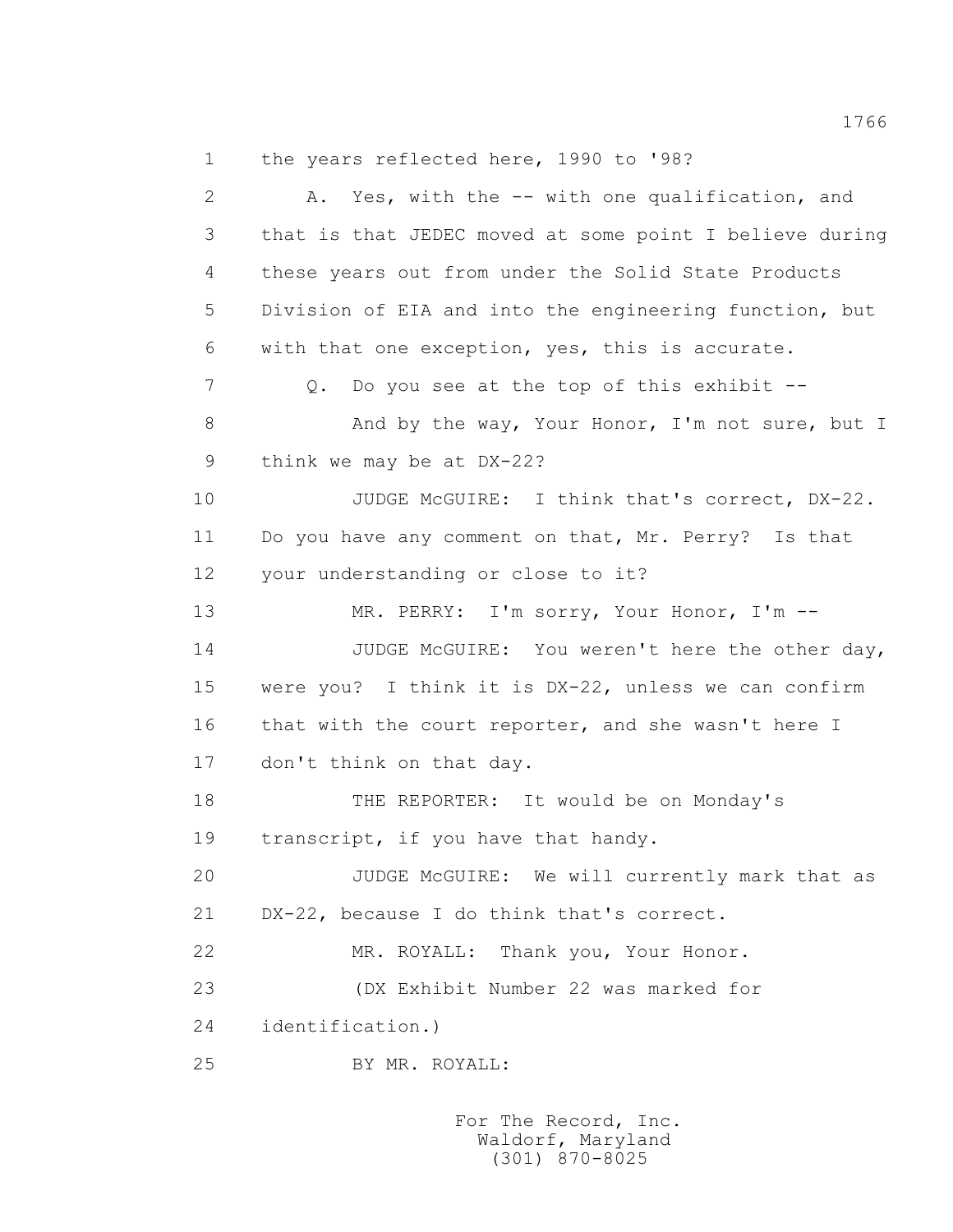1 the years reflected here, 1990 to '98?

 2 A. Yes, with the -- with one qualification, and 3 that is that JEDEC moved at some point I believe during 4 these years out from under the Solid State Products 5 Division of EIA and into the engineering function, but 6 with that one exception, yes, this is accurate. 7 Q. Do you see at the top of this exhibit --8 And by the way, Your Honor, I'm not sure, but I 9 think we may be at DX-22? 10 JUDGE McGUIRE: I think that's correct, DX-22. 11 Do you have any comment on that, Mr. Perry? Is that 12 your understanding or close to it? 13 MR. PERRY: I'm sorry, Your Honor, I'm -- 14 JUDGE McGUIRE: You weren't here the other day, 15 were you? I think it is DX-22, unless we can confirm 16 that with the court reporter, and she wasn't here I 17 don't think on that day. 18 THE REPORTER: It would be on Monday's 19 transcript, if you have that handy. 20 JUDGE McGUIRE: We will currently mark that as 21 DX-22, because I do think that's correct. 22 MR. ROYALL: Thank you, Your Honor. 23 (DX Exhibit Number 22 was marked for 24 identification.) 25 BY MR. ROYALL:

> For The Record, Inc. Waldorf, Maryland (301) 870-8025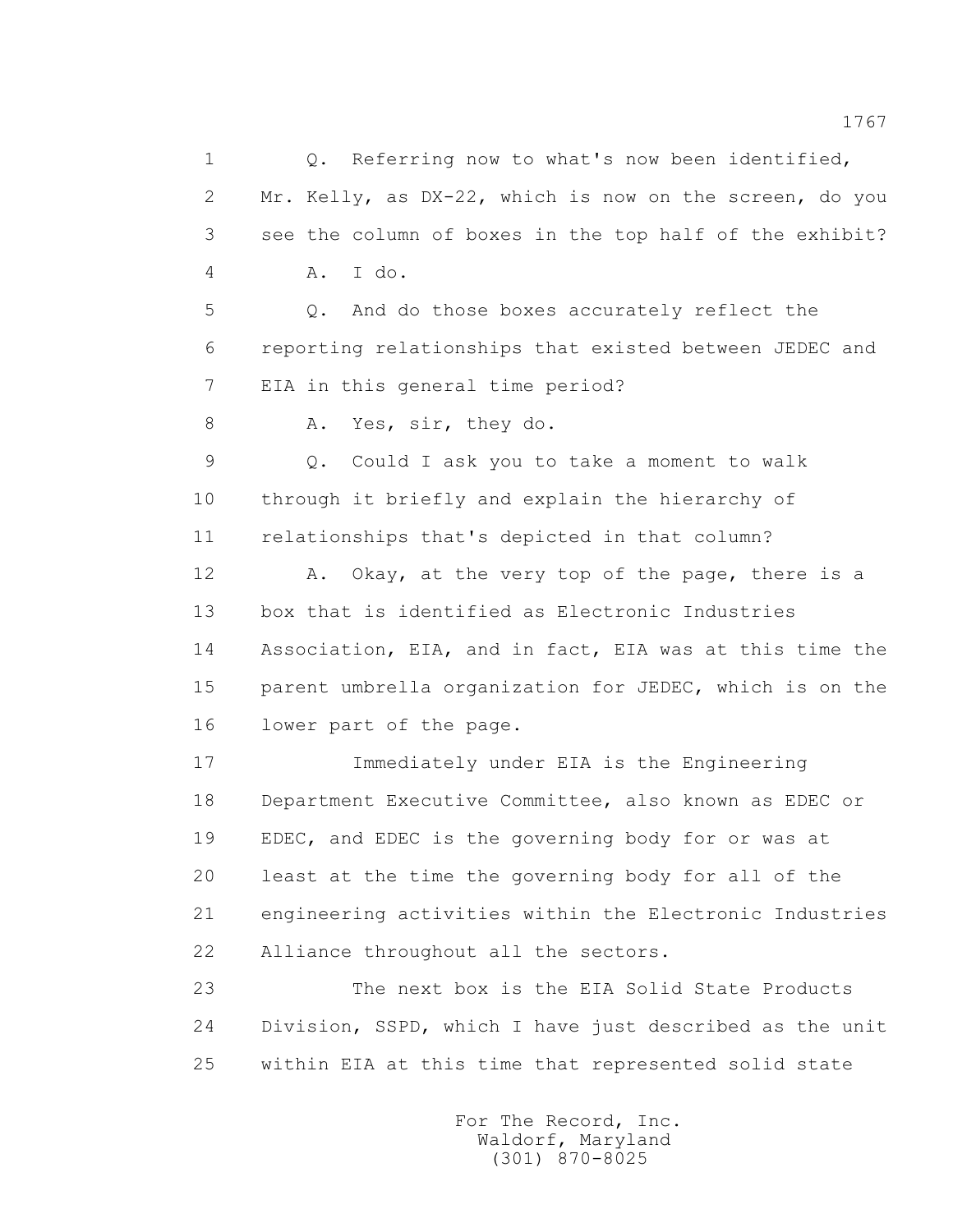1 0. Referring now to what's now been identified, 2 Mr. Kelly, as DX-22, which is now on the screen, do you 3 see the column of boxes in the top half of the exhibit? 4 A. I do. 5 Q. And do those boxes accurately reflect the 6 reporting relationships that existed between JEDEC and 7 EIA in this general time period? 8 A. Yes, sir, they do. 9 Q. Could I ask you to take a moment to walk 10 through it briefly and explain the hierarchy of 11 relationships that's depicted in that column? 12 A. Okay, at the very top of the page, there is a 13 box that is identified as Electronic Industries 14 Association, EIA, and in fact, EIA was at this time the 15 parent umbrella organization for JEDEC, which is on the 16 lower part of the page. 17 Immediately under EIA is the Engineering 18 Department Executive Committee, also known as EDEC or 19 EDEC, and EDEC is the governing body for or was at 20 least at the time the governing body for all of the 21 engineering activities within the Electronic Industries 22 Alliance throughout all the sectors. 23 The next box is the EIA Solid State Products 24 Division, SSPD, which I have just described as the unit 25 within EIA at this time that represented solid state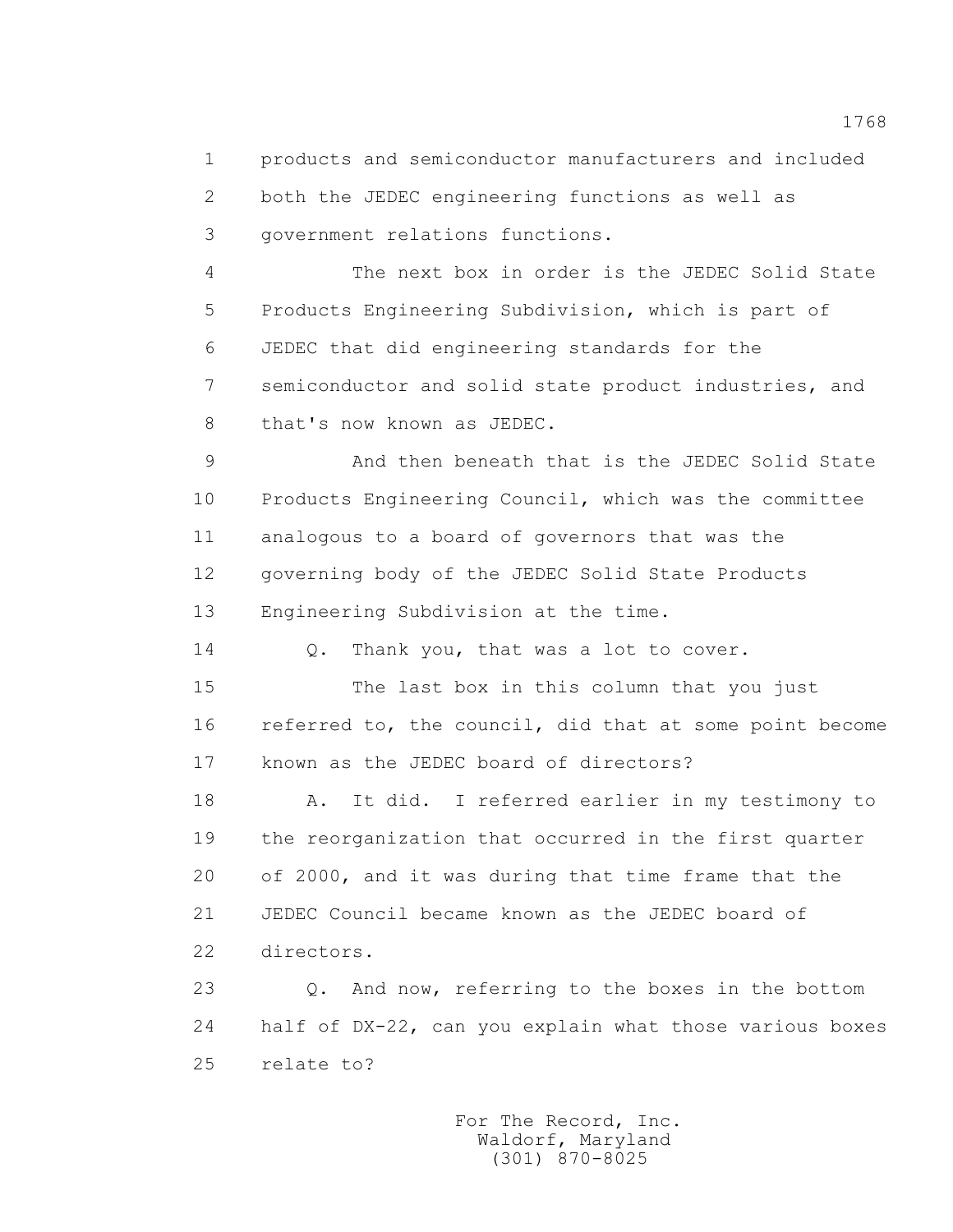1 products and semiconductor manufacturers and included 2 both the JEDEC engineering functions as well as 3 government relations functions.

 4 The next box in order is the JEDEC Solid State 5 Products Engineering Subdivision, which is part of 6 JEDEC that did engineering standards for the 7 semiconductor and solid state product industries, and 8 that's now known as JEDEC.

 9 And then beneath that is the JEDEC Solid State 10 Products Engineering Council, which was the committee 11 analogous to a board of governors that was the 12 governing body of the JEDEC Solid State Products 13 Engineering Subdivision at the time.

14 Q. Thank you, that was a lot to cover.

 15 The last box in this column that you just 16 referred to, the council, did that at some point become 17 known as the JEDEC board of directors?

 18 A. It did. I referred earlier in my testimony to 19 the reorganization that occurred in the first quarter 20 of 2000, and it was during that time frame that the 21 JEDEC Council became known as the JEDEC board of 22 directors.

 23 Q. And now, referring to the boxes in the bottom 24 half of DX-22, can you explain what those various boxes 25 relate to?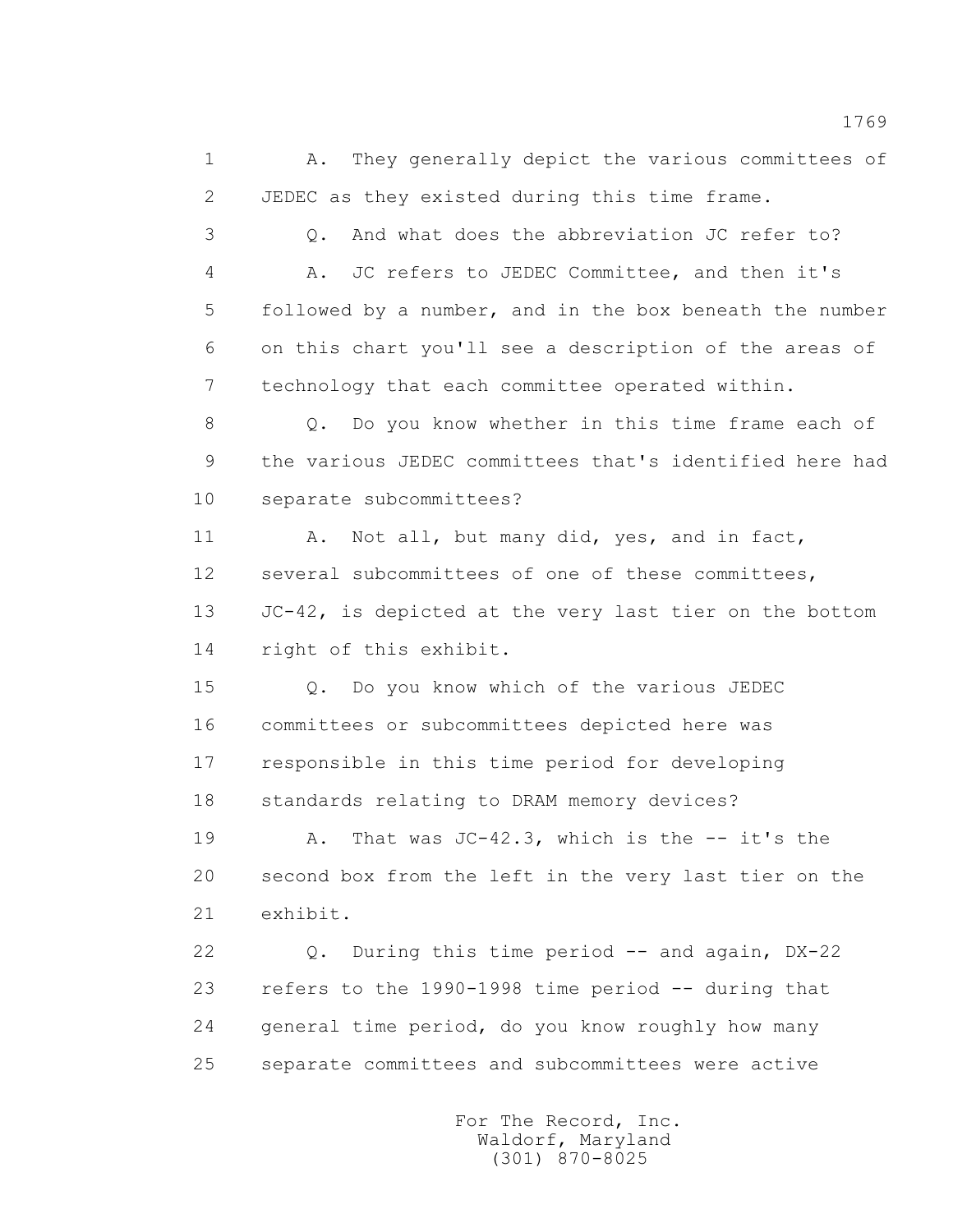1 A. They generally depict the various committees of 2 JEDEC as they existed during this time frame.

 3 Q. And what does the abbreviation JC refer to? 4 A. JC refers to JEDEC Committee, and then it's 5 followed by a number, and in the box beneath the number 6 on this chart you'll see a description of the areas of 7 technology that each committee operated within.

 8 Q. Do you know whether in this time frame each of 9 the various JEDEC committees that's identified here had 10 separate subcommittees?

 11 A. Not all, but many did, yes, and in fact, 12 several subcommittees of one of these committees, 13 JC-42, is depicted at the very last tier on the bottom 14 right of this exhibit.

 15 Q. Do you know which of the various JEDEC 16 committees or subcommittees depicted here was 17 responsible in this time period for developing 18 standards relating to DRAM memory devices?

 19 A. That was JC-42.3, which is the -- it's the 20 second box from the left in the very last tier on the 21 exhibit.

 22 Q. During this time period -- and again, DX-22 23 refers to the 1990-1998 time period -- during that 24 general time period, do you know roughly how many 25 separate committees and subcommittees were active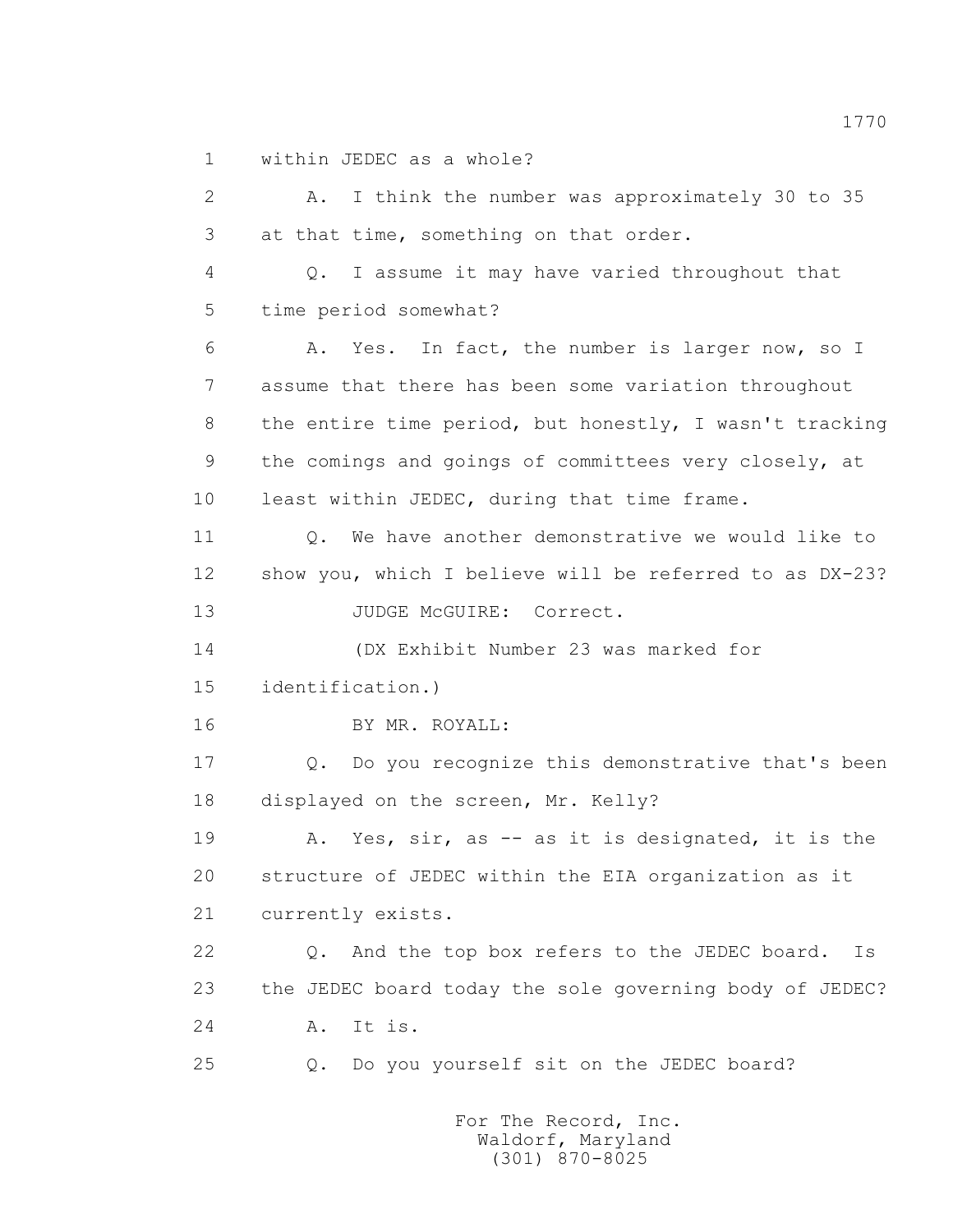1 within JEDEC as a whole?

 2 A. I think the number was approximately 30 to 35 3 at that time, something on that order. 4 Q. I assume it may have varied throughout that 5 time period somewhat? 6 A. Yes. In fact, the number is larger now, so I 7 assume that there has been some variation throughout 8 the entire time period, but honestly, I wasn't tracking 9 the comings and goings of committees very closely, at 10 least within JEDEC, during that time frame. 11 0. We have another demonstrative we would like to 12 show you, which I believe will be referred to as DX-23? 13 JUDGE McGUIRE: Correct. 14 (DX Exhibit Number 23 was marked for 15 identification.) 16 BY MR. ROYALL: 17 Q. Do you recognize this demonstrative that's been 18 displayed on the screen, Mr. Kelly? 19 A. Yes, sir, as -- as it is designated, it is the 20 structure of JEDEC within the EIA organization as it 21 currently exists. 22 Q. And the top box refers to the JEDEC board. Is 23 the JEDEC board today the sole governing body of JEDEC? 24 A. It is. 25 Q. Do you yourself sit on the JEDEC board?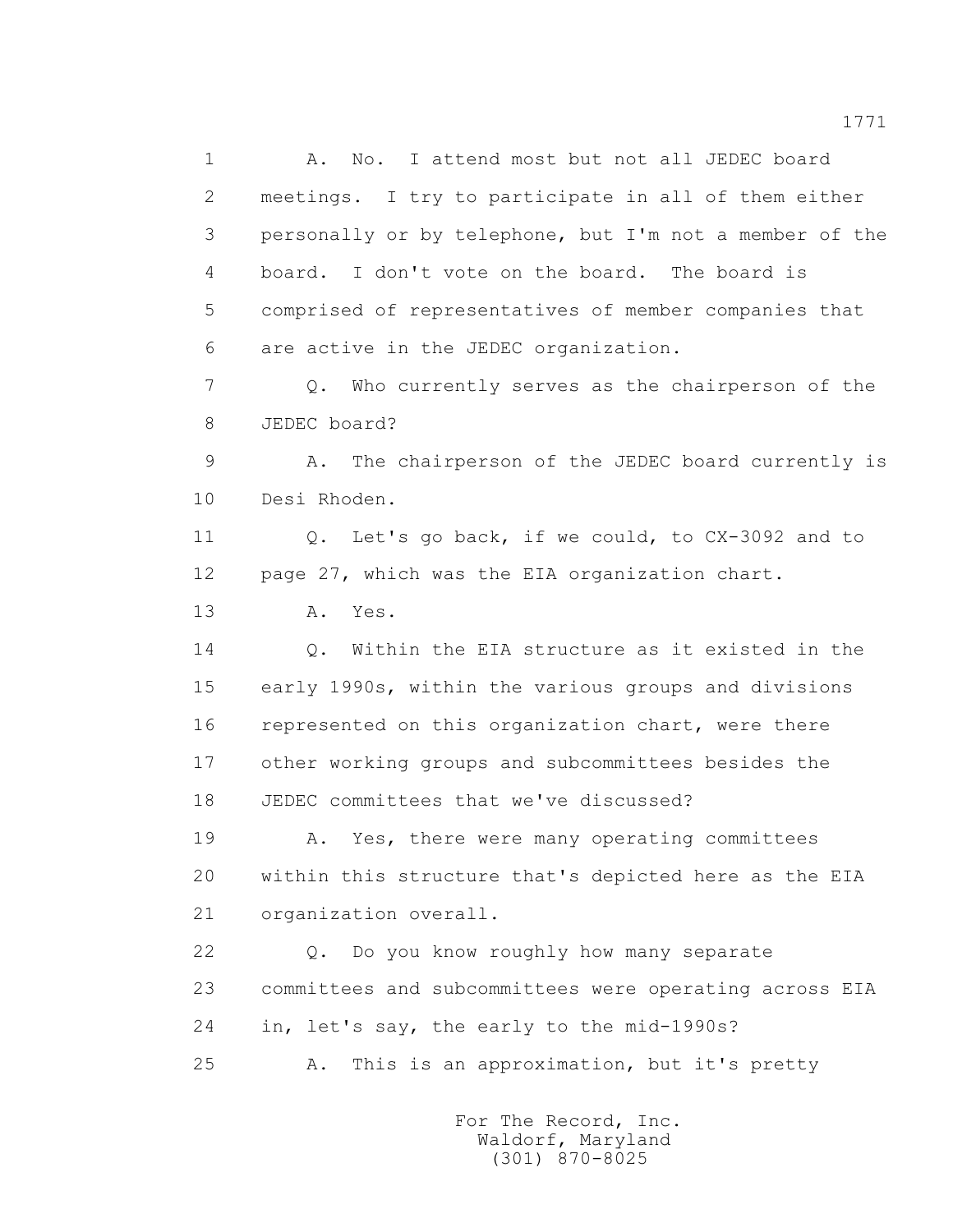1 A. No. I attend most but not all JEDEC board 2 meetings. I try to participate in all of them either 3 personally or by telephone, but I'm not a member of the 4 board. I don't vote on the board. The board is 5 comprised of representatives of member companies that 6 are active in the JEDEC organization.

 7 Q. Who currently serves as the chairperson of the 8 JEDEC board?

 9 A. The chairperson of the JEDEC board currently is 10 Desi Rhoden.

 11 Q. Let's go back, if we could, to CX-3092 and to 12 page 27, which was the EIA organization chart.

13 A. Yes.

 14 Q. Within the EIA structure as it existed in the 15 early 1990s, within the various groups and divisions 16 represented on this organization chart, were there 17 other working groups and subcommittees besides the 18 JEDEC committees that we've discussed?

19 A. Yes, there were many operating committees 20 within this structure that's depicted here as the EIA 21 organization overall.

 22 Q. Do you know roughly how many separate 23 committees and subcommittees were operating across EIA 24 in, let's say, the early to the mid-1990s? 25 A. This is an approximation, but it's pretty

> For The Record, Inc. Waldorf, Maryland (301) 870-8025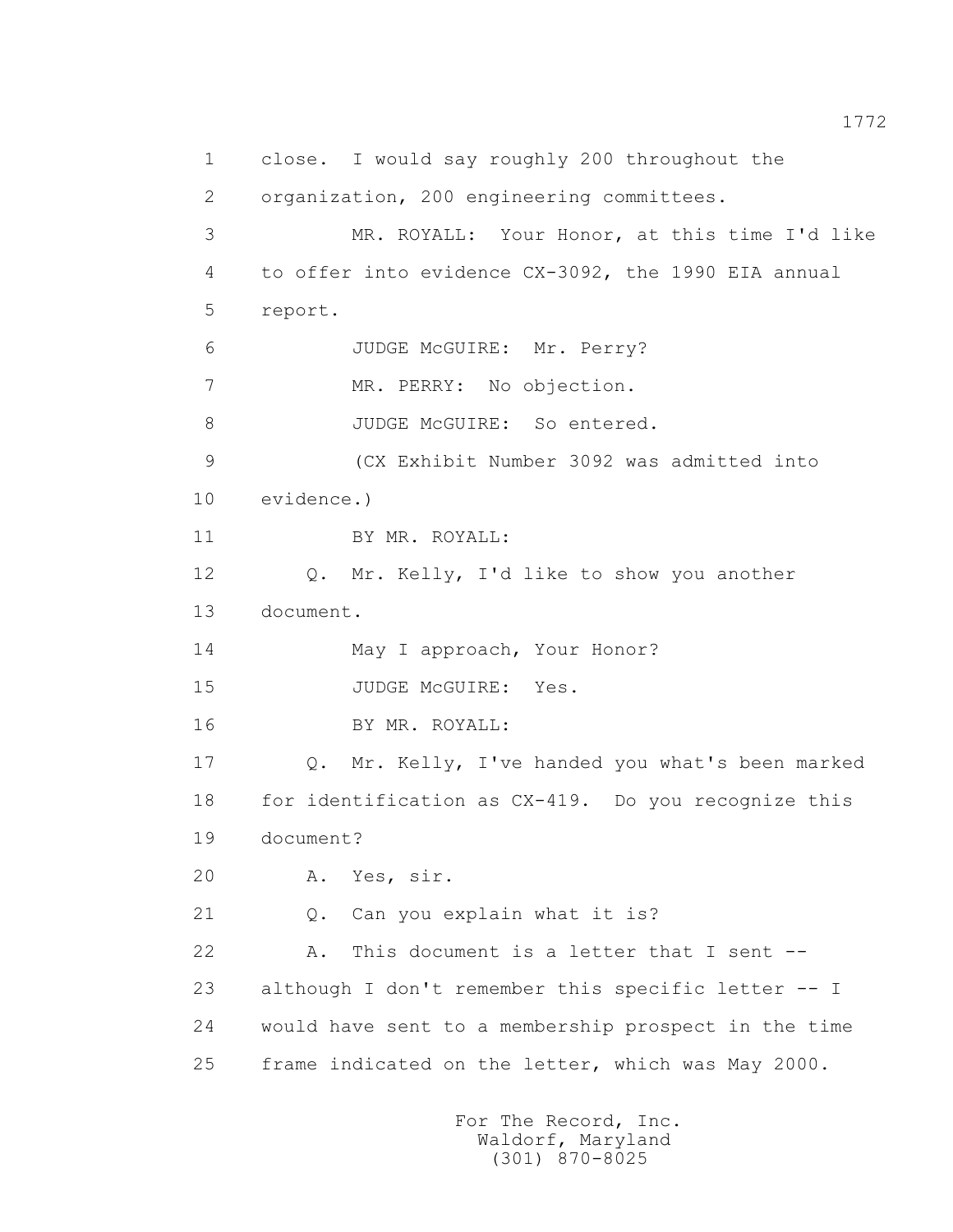1 close. I would say roughly 200 throughout the 2 organization, 200 engineering committees. 3 MR. ROYALL: Your Honor, at this time I'd like 4 to offer into evidence CX-3092, the 1990 EIA annual 5 report. 6 JUDGE McGUIRE: Mr. Perry? 7 MR. PERRY: No objection. 8 JUDGE McGUIRE: So entered. 9 (CX Exhibit Number 3092 was admitted into 10 evidence.) 11 BY MR. ROYALL: 12 Q. Mr. Kelly, I'd like to show you another 13 document. 14 May I approach, Your Honor? 15 JUDGE McGUIRE: Yes. 16 BY MR. ROYALL: 17 Q. Mr. Kelly, I've handed you what's been marked 18 for identification as CX-419. Do you recognize this 19 document? 20 A. Yes, sir. 21 Q. Can you explain what it is? 22 A. This document is a letter that I sent -- 23 although I don't remember this specific letter -- I 24 would have sent to a membership prospect in the time 25 frame indicated on the letter, which was May 2000.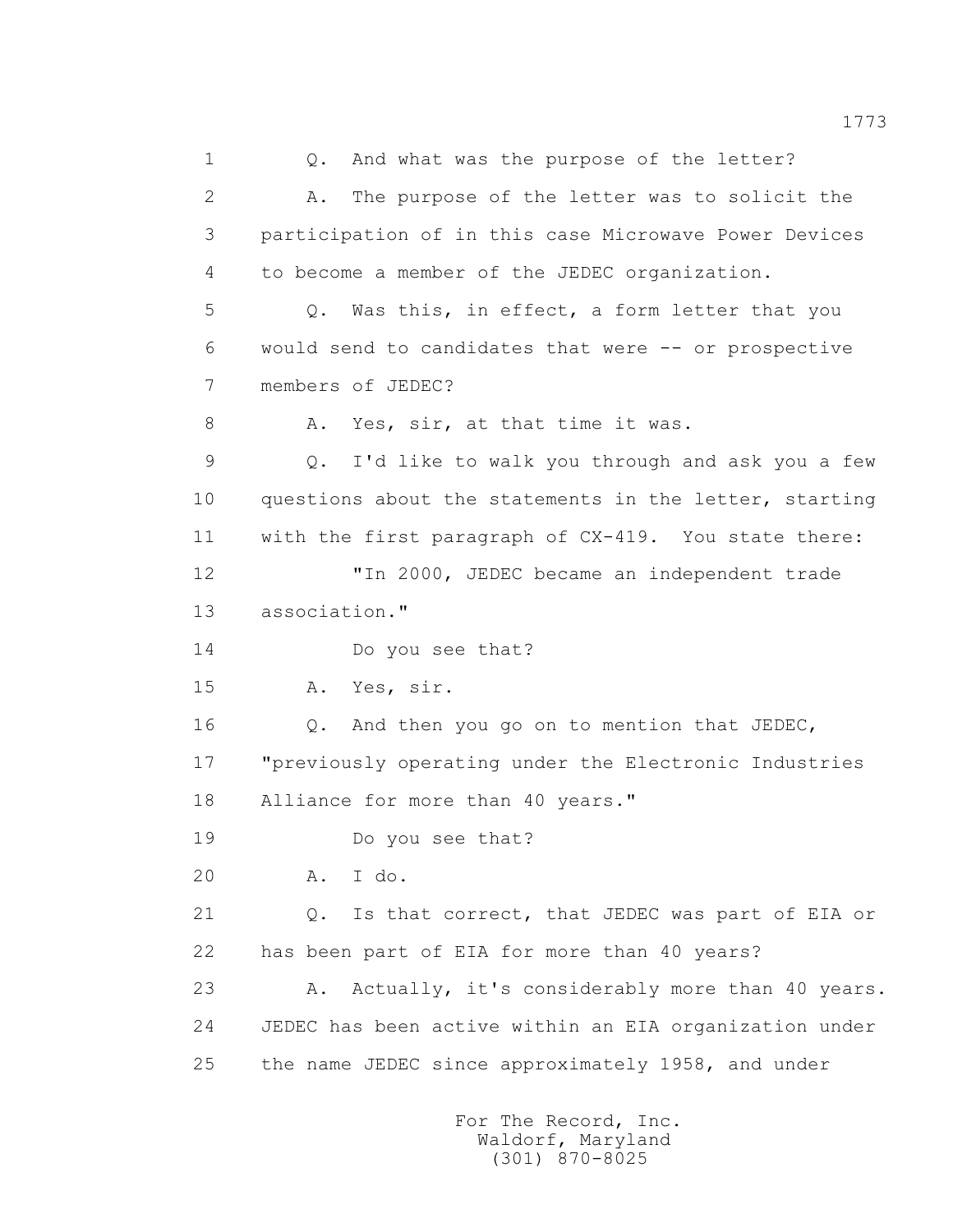1 0. And what was the purpose of the letter? 2 A. The purpose of the letter was to solicit the 3 participation of in this case Microwave Power Devices 4 to become a member of the JEDEC organization. 5 Q. Was this, in effect, a form letter that you 6 would send to candidates that were -- or prospective 7 members of JEDEC? 8 A. Yes, sir, at that time it was. 9 Q. I'd like to walk you through and ask you a few 10 questions about the statements in the letter, starting 11 with the first paragraph of CX-419. You state there: 12 "In 2000, JEDEC became an independent trade 13 association." 14 Do you see that? 15 A. Yes, sir. 16 Q. And then you go on to mention that JEDEC, 17 "previously operating under the Electronic Industries 18 Alliance for more than 40 years." 19 Do you see that? 20 A. I do. 21 Q. Is that correct, that JEDEC was part of EIA or 22 has been part of EIA for more than 40 years? 23 A. Actually, it's considerably more than 40 years. 24 JEDEC has been active within an EIA organization under 25 the name JEDEC since approximately 1958, and under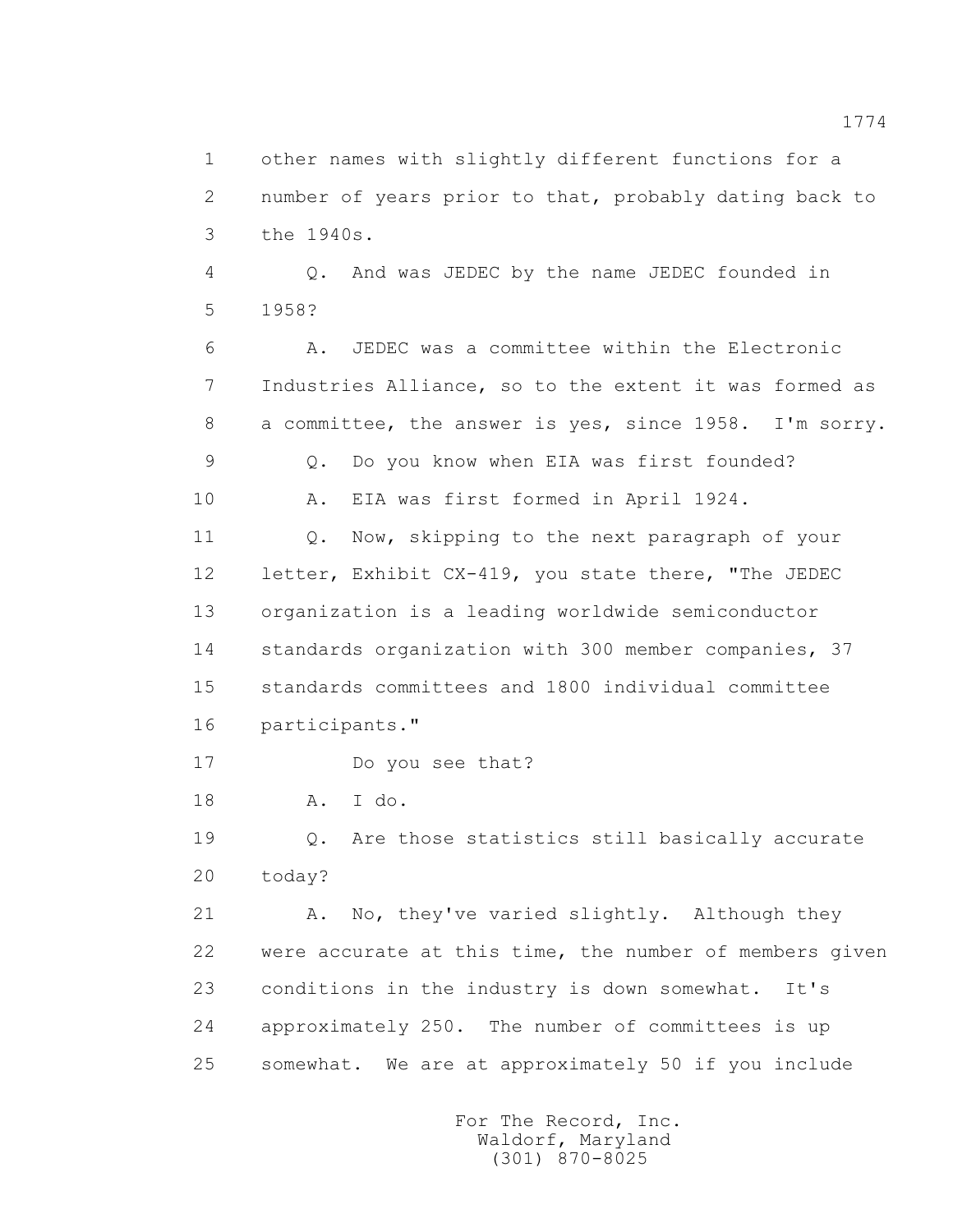1 other names with slightly different functions for a 2 number of years prior to that, probably dating back to 3 the 1940s.

 4 Q. And was JEDEC by the name JEDEC founded in 5 1958?

 6 A. JEDEC was a committee within the Electronic 7 Industries Alliance, so to the extent it was formed as 8 a committee, the answer is yes, since 1958. I'm sorry. 9 Q. Do you know when EIA was first founded? 10 A. EIA was first formed in April 1924.

 11 Q. Now, skipping to the next paragraph of your 12 letter, Exhibit CX-419, you state there, "The JEDEC 13 organization is a leading worldwide semiconductor 14 standards organization with 300 member companies, 37 15 standards committees and 1800 individual committee 16 participants."

17 Do you see that?

18 A. I do.

 19 Q. Are those statistics still basically accurate 20 today?

21 A. No, they've varied slightly. Although they 22 were accurate at this time, the number of members given 23 conditions in the industry is down somewhat. It's 24 approximately 250. The number of committees is up 25 somewhat. We are at approximately 50 if you include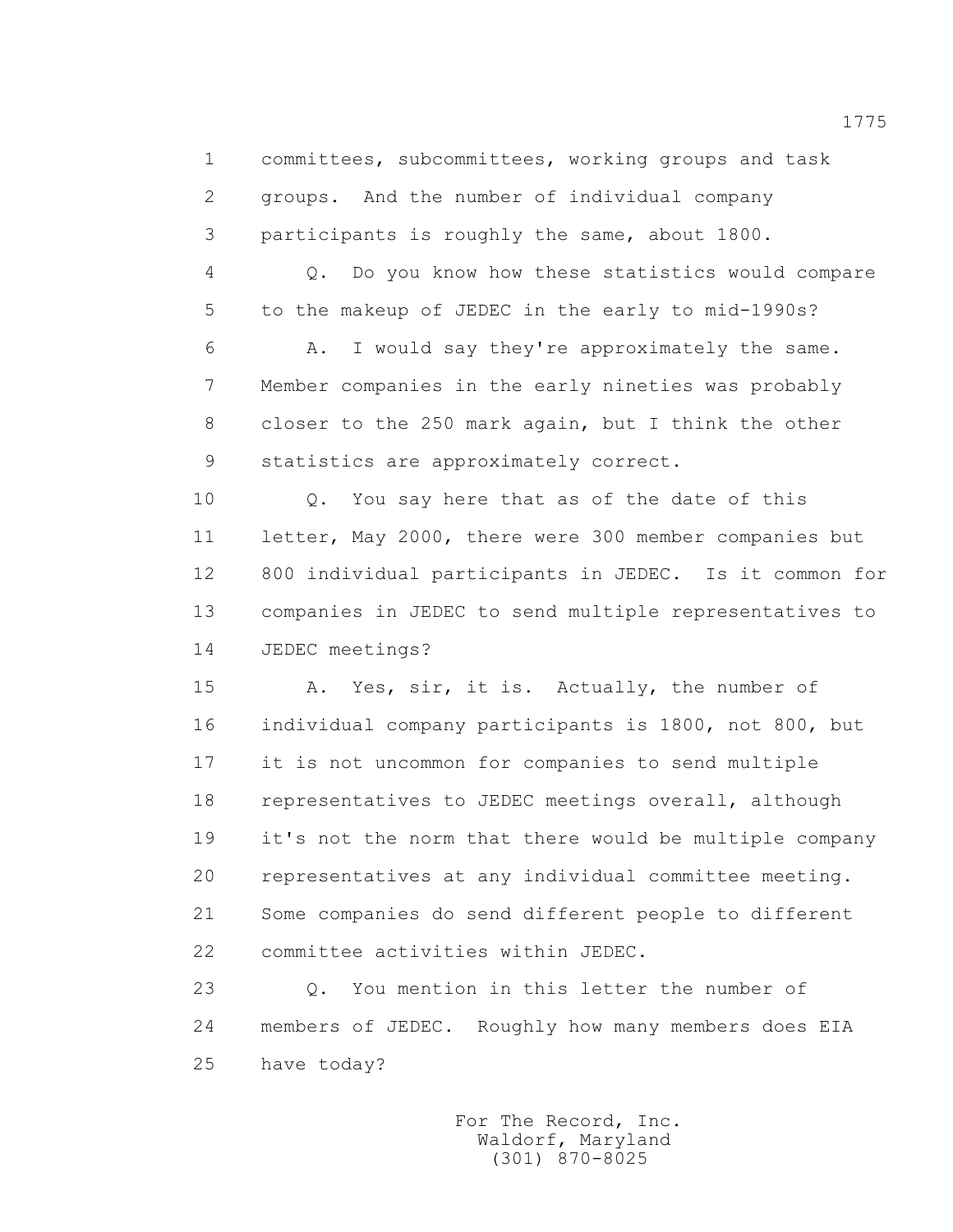1 committees, subcommittees, working groups and task 2 groups. And the number of individual company 3 participants is roughly the same, about 1800.

 4 Q. Do you know how these statistics would compare 5 to the makeup of JEDEC in the early to mid-1990s?

 6 A. I would say they're approximately the same. 7 Member companies in the early nineties was probably 8 closer to the 250 mark again, but I think the other 9 statistics are approximately correct.

10 0. You say here that as of the date of this 11 letter, May 2000, there were 300 member companies but 12 800 individual participants in JEDEC. Is it common for 13 companies in JEDEC to send multiple representatives to 14 JEDEC meetings?

 15 A. Yes, sir, it is. Actually, the number of 16 individual company participants is 1800, not 800, but 17 it is not uncommon for companies to send multiple 18 representatives to JEDEC meetings overall, although 19 it's not the norm that there would be multiple company 20 representatives at any individual committee meeting. 21 Some companies do send different people to different 22 committee activities within JEDEC.

 23 Q. You mention in this letter the number of 24 members of JEDEC. Roughly how many members does EIA 25 have today?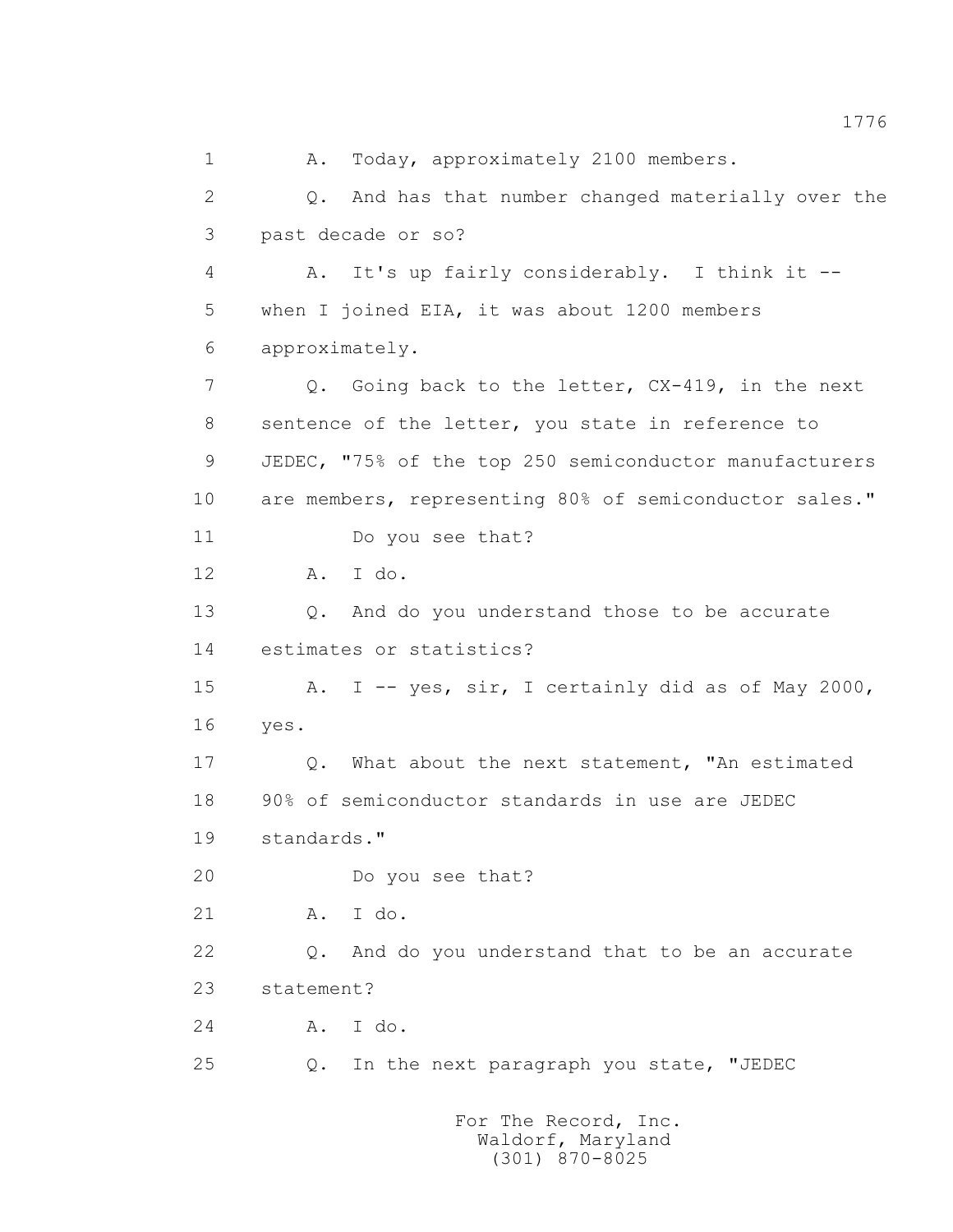1 A. Today, approximately 2100 members. 2 Q. And has that number changed materially over the 3 past decade or so? 4 A. It's up fairly considerably. I think it -- 5 when I joined EIA, it was about 1200 members 6 approximately. 7 Q. Going back to the letter, CX-419, in the next 8 sentence of the letter, you state in reference to 9 JEDEC, "75% of the top 250 semiconductor manufacturers 10 are members, representing 80% of semiconductor sales." 11 Do you see that? 12 A. I do. 13 0. And do you understand those to be accurate 14 estimates or statistics? 15 A. I -- yes, sir, I certainly did as of May 2000, 16 yes. 17 Q. What about the next statement, "An estimated 18 90% of semiconductor standards in use are JEDEC 19 standards." 20 Do you see that? 21 A. I do. 22 Q. And do you understand that to be an accurate 23 statement? 24 A. I do. 25 Q. In the next paragraph you state, "JEDEC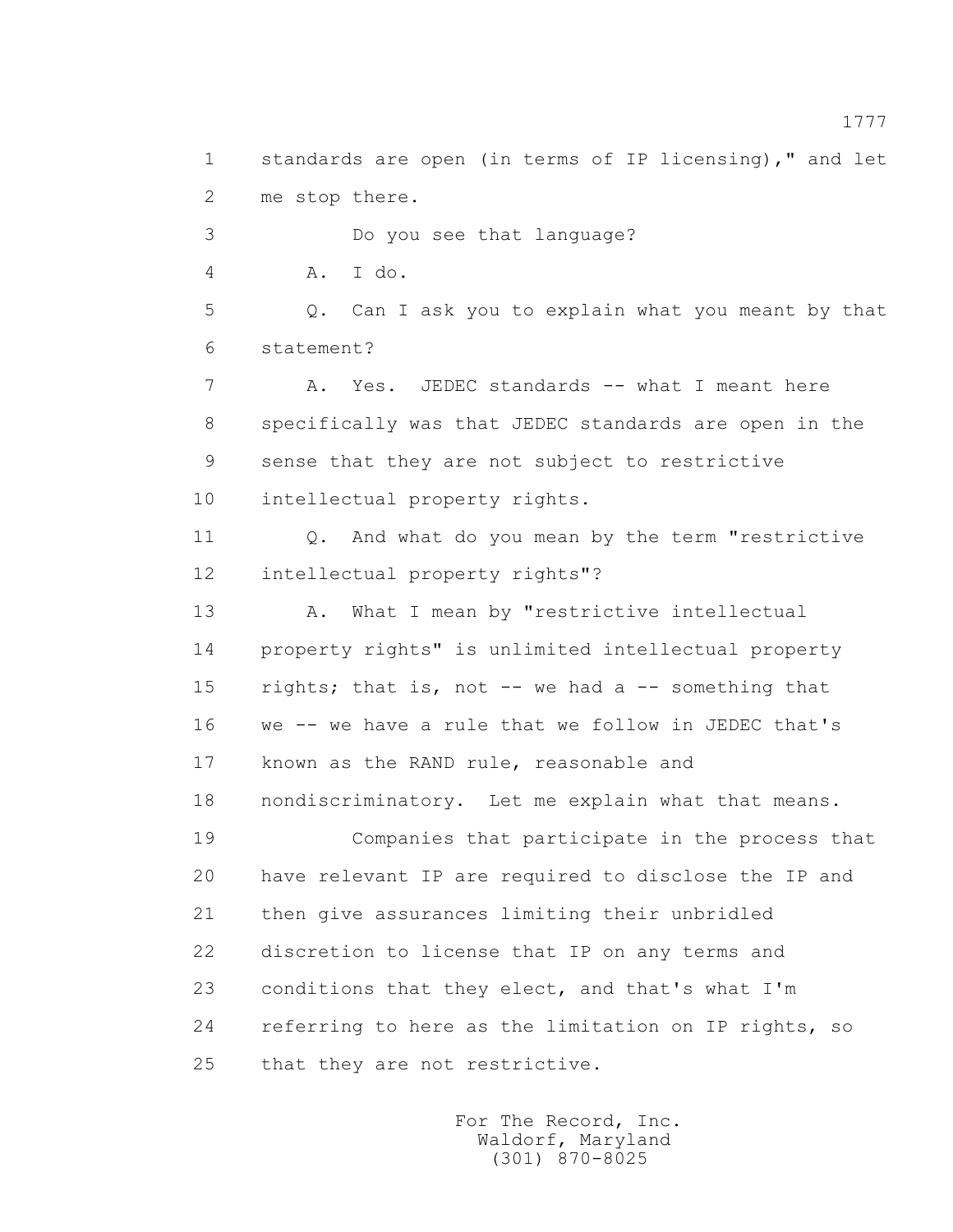1 standards are open (in terms of IP licensing)," and let 2 me stop there.

 3 Do you see that language? 4 A. I do. 5 Q. Can I ask you to explain what you meant by that 6 statement? 7 A. Yes. JEDEC standards -- what I meant here 8 specifically was that JEDEC standards are open in the 9 sense that they are not subject to restrictive 10 intellectual property rights.

 11 Q. And what do you mean by the term "restrictive 12 intellectual property rights"?

 13 A. What I mean by "restrictive intellectual 14 property rights" is unlimited intellectual property 15 rights; that is, not -- we had a -- something that 16 we -- we have a rule that we follow in JEDEC that's 17 known as the RAND rule, reasonable and 18 nondiscriminatory. Let me explain what that means.

 19 Companies that participate in the process that 20 have relevant IP are required to disclose the IP and 21 then give assurances limiting their unbridled 22 discretion to license that IP on any terms and 23 conditions that they elect, and that's what I'm 24 referring to here as the limitation on IP rights, so 25 that they are not restrictive.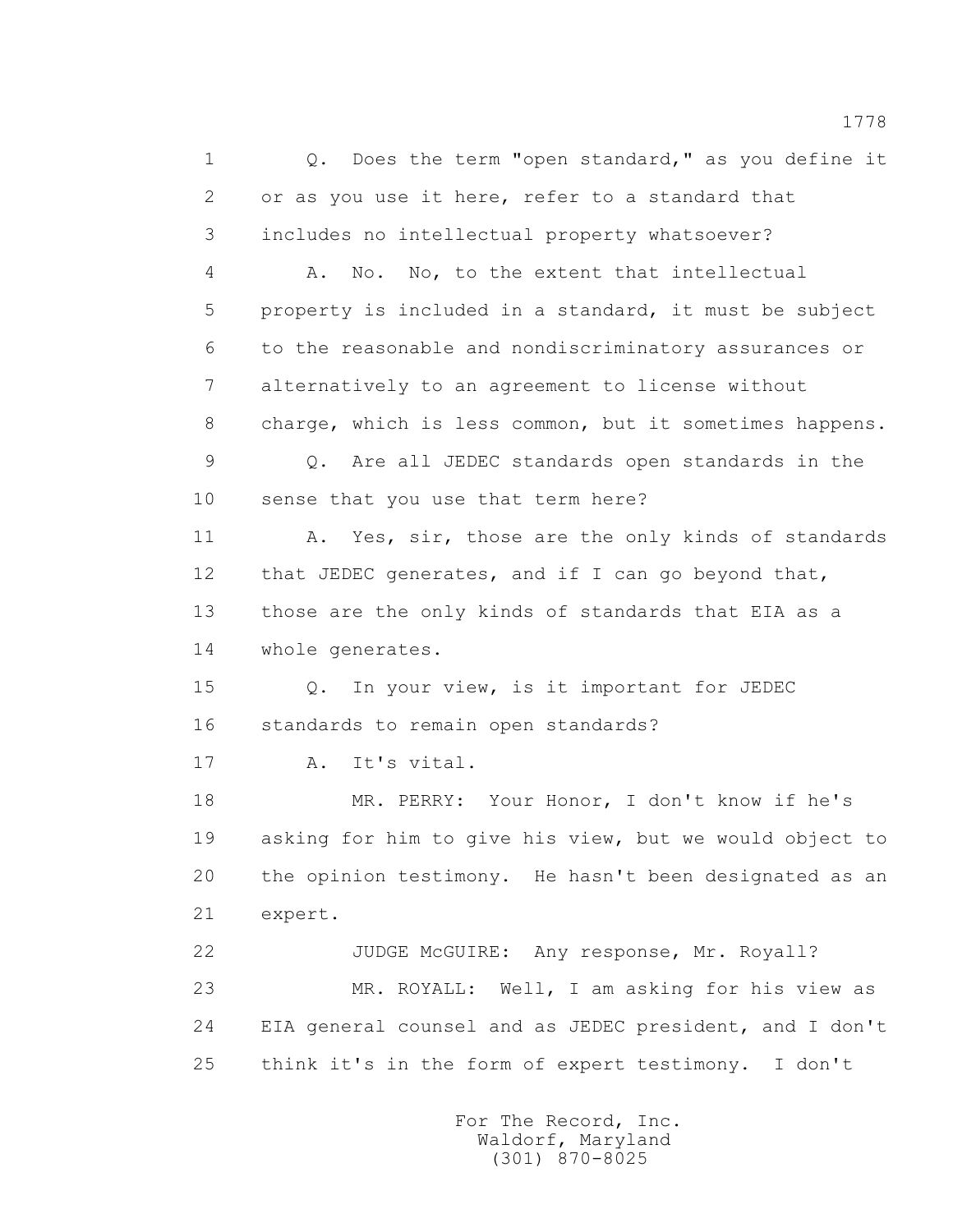1 Q. Does the term "open standard," as you define it 2 or as you use it here, refer to a standard that 3 includes no intellectual property whatsoever? 4 A. No. No, to the extent that intellectual 5 property is included in a standard, it must be subject 6 to the reasonable and nondiscriminatory assurances or 7 alternatively to an agreement to license without 8 charge, which is less common, but it sometimes happens. 9 Q. Are all JEDEC standards open standards in the 10 sense that you use that term here? 11 A. Yes, sir, those are the only kinds of standards 12 that JEDEC generates, and if I can go beyond that, 13 those are the only kinds of standards that EIA as a 14 whole generates. 15 Q. In your view, is it important for JEDEC 16 standards to remain open standards? 17 A. It's vital. 18 MR. PERRY: Your Honor, I don't know if he's 19 asking for him to give his view, but we would object to 20 the opinion testimony. He hasn't been designated as an 21 expert. 22 JUDGE McGUIRE: Any response, Mr. Royall? 23 MR. ROYALL: Well, I am asking for his view as 24 EIA general counsel and as JEDEC president, and I don't 25 think it's in the form of expert testimony. I don't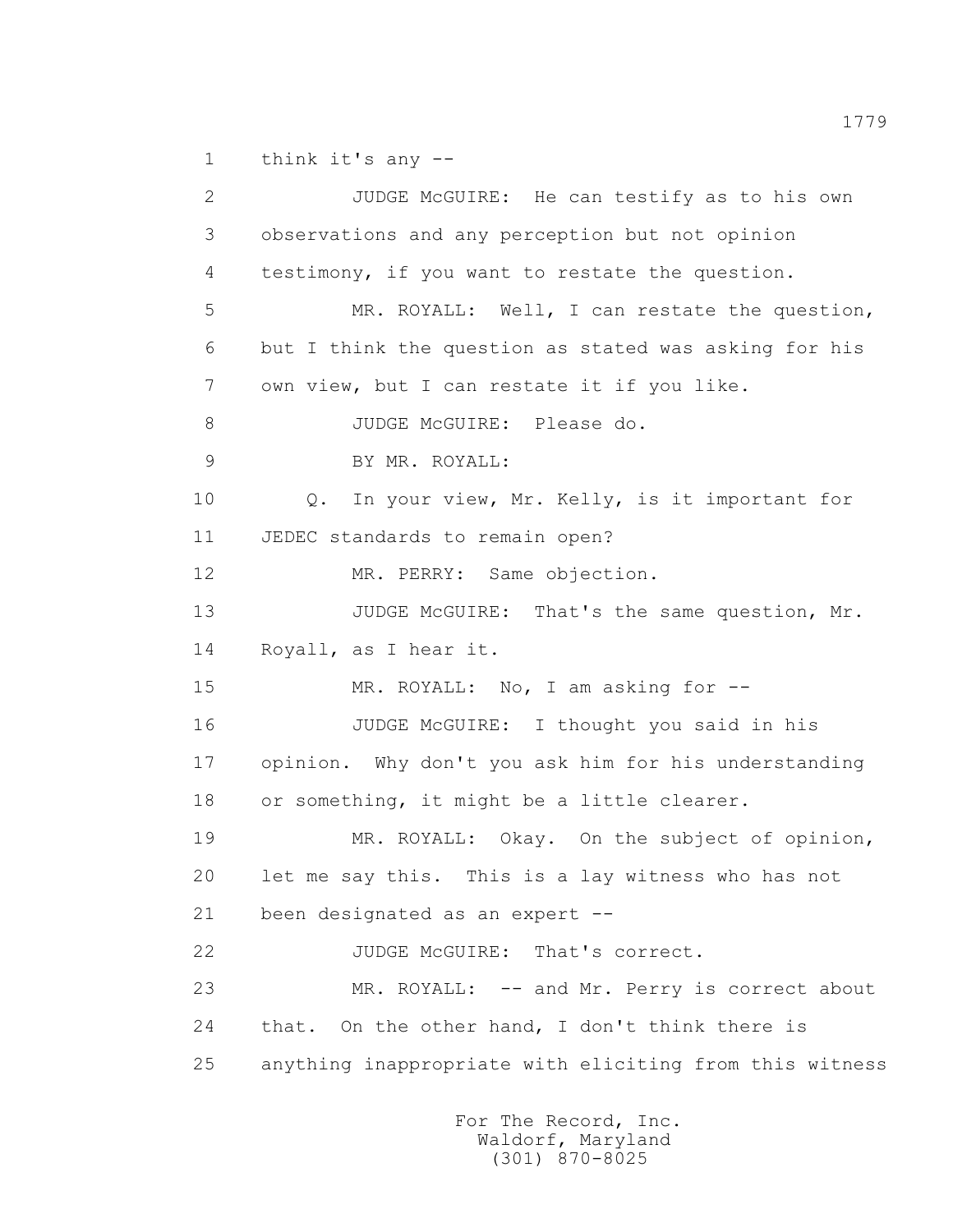1 think it's any --

 2 JUDGE McGUIRE: He can testify as to his own 3 observations and any perception but not opinion 4 testimony, if you want to restate the question. 5 MR. ROYALL: Well, I can restate the question, 6 but I think the question as stated was asking for his 7 own view, but I can restate it if you like. 8 JUDGE McGUIRE: Please do. 9 BY MR. ROYALL: 10 0. In your view, Mr. Kelly, is it important for 11 JEDEC standards to remain open? 12 MR. PERRY: Same objection. 13 JUDGE McGUIRE: That's the same question, Mr. 14 Royall, as I hear it. 15 MR. ROYALL: No, I am asking for -- 16 JUDGE McGUIRE: I thought you said in his 17 opinion. Why don't you ask him for his understanding 18 or something, it might be a little clearer. 19 MR. ROYALL: Okay. On the subject of opinion, 20 let me say this. This is a lay witness who has not 21 been designated as an expert -- 22 JUDGE McGUIRE: That's correct. 23 MR. ROYALL: -- and Mr. Perry is correct about 24 that. On the other hand, I don't think there is 25 anything inappropriate with eliciting from this witness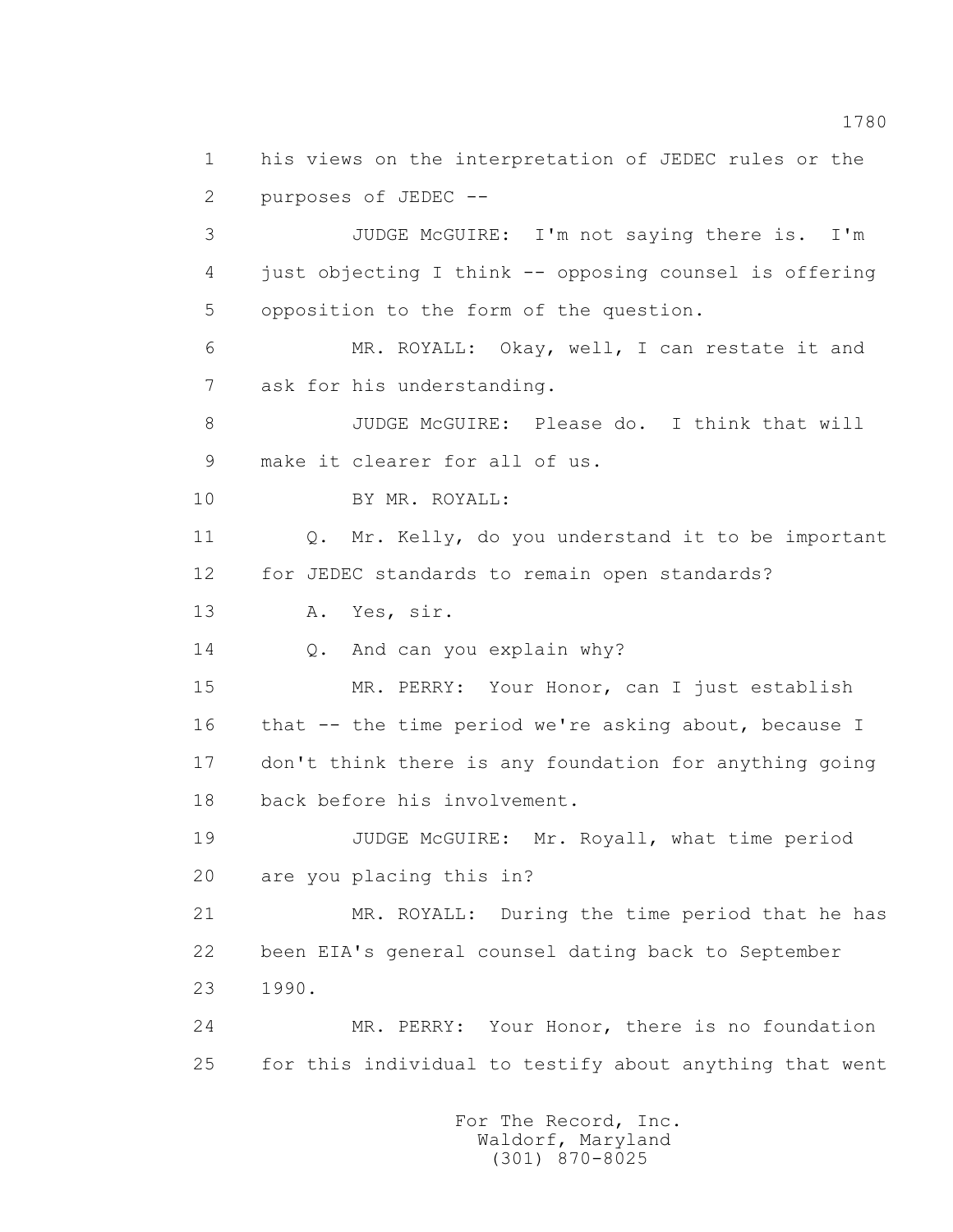1 his views on the interpretation of JEDEC rules or the 2 purposes of JEDEC -- 3 JUDGE McGUIRE: I'm not saying there is. I'm 4 just objecting I think -- opposing counsel is offering 5 opposition to the form of the question. 6 MR. ROYALL: Okay, well, I can restate it and 7 ask for his understanding. 8 JUDGE McGUIRE: Please do. I think that will 9 make it clearer for all of us. 10 BY MR. ROYALL: 11 Q. Mr. Kelly, do you understand it to be important 12 for JEDEC standards to remain open standards? 13 A. Yes, sir. 14 Q. And can you explain why? 15 MR. PERRY: Your Honor, can I just establish 16 that -- the time period we're asking about, because I 17 don't think there is any foundation for anything going 18 back before his involvement. 19 JUDGE McGUIRE: Mr. Royall, what time period 20 are you placing this in? 21 MR. ROYALL: During the time period that he has 22 been EIA's general counsel dating back to September 23 1990. 24 MR. PERRY: Your Honor, there is no foundation 25 for this individual to testify about anything that went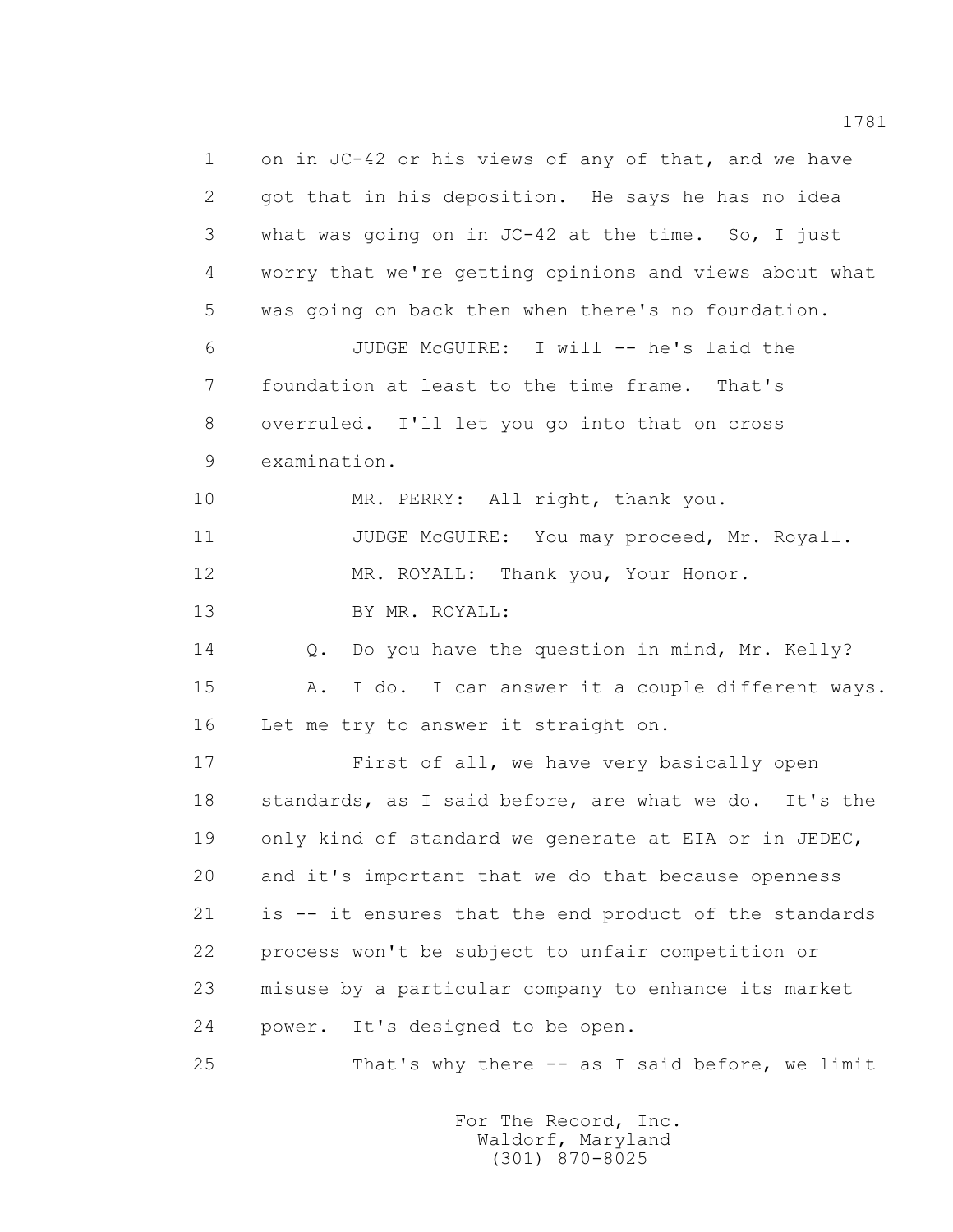1 on in JC-42 or his views of any of that, and we have 2 got that in his deposition. He says he has no idea 3 what was going on in JC-42 at the time. So, I just 4 worry that we're getting opinions and views about what 5 was going on back then when there's no foundation. 6 JUDGE McGUIRE: I will -- he's laid the 7 foundation at least to the time frame. That's 8 overruled. I'll let you go into that on cross 9 examination. 10 MR. PERRY: All right, thank you. 11 JUDGE McGUIRE: You may proceed, Mr. Royall. 12 MR. ROYALL: Thank you, Your Honor. 13 BY MR. ROYALL: 14 Q. Do you have the question in mind, Mr. Kelly? 15 A. I do. I can answer it a couple different ways. 16 Let me try to answer it straight on. 17 First of all, we have very basically open 18 standards, as I said before, are what we do. It's the 19 only kind of standard we generate at EIA or in JEDEC, 20 and it's important that we do that because openness 21 is -- it ensures that the end product of the standards 22 process won't be subject to unfair competition or 23 misuse by a particular company to enhance its market 24 power. It's designed to be open. 25 That's why there -- as I said before, we limit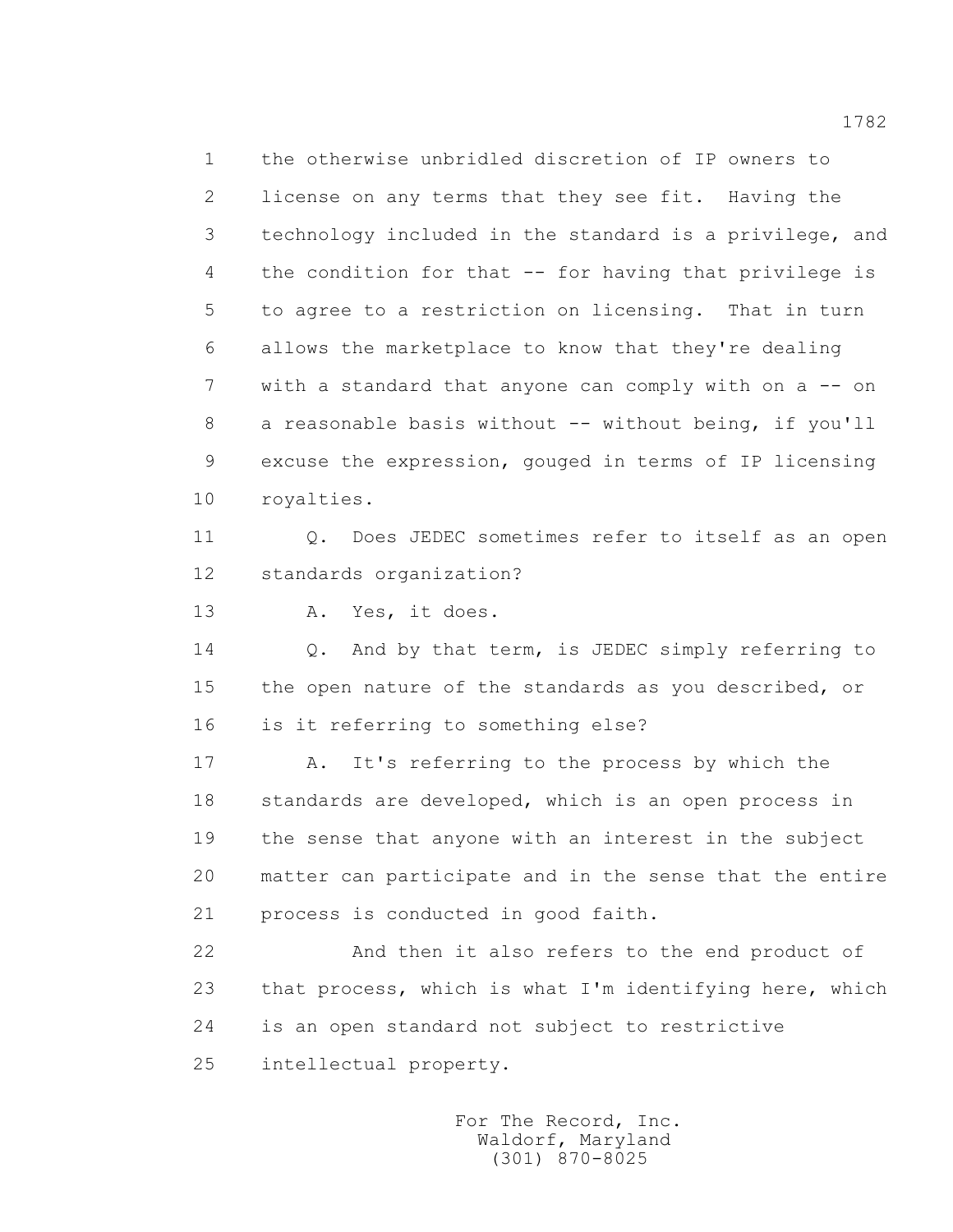1 the otherwise unbridled discretion of IP owners to 2 license on any terms that they see fit. Having the 3 technology included in the standard is a privilege, and 4 the condition for that -- for having that privilege is 5 to agree to a restriction on licensing. That in turn 6 allows the marketplace to know that they're dealing 7 with a standard that anyone can comply with on a -- on 8 a reasonable basis without -- without being, if you'll 9 excuse the expression, gouged in terms of IP licensing 10 royalties.

 11 Q. Does JEDEC sometimes refer to itself as an open 12 standards organization?

13 A. Yes, it does.

 14 Q. And by that term, is JEDEC simply referring to 15 the open nature of the standards as you described, or 16 is it referring to something else?

 17 A. It's referring to the process by which the 18 standards are developed, which is an open process in 19 the sense that anyone with an interest in the subject 20 matter can participate and in the sense that the entire 21 process is conducted in good faith.

 22 And then it also refers to the end product of 23 that process, which is what I'm identifying here, which 24 is an open standard not subject to restrictive 25 intellectual property.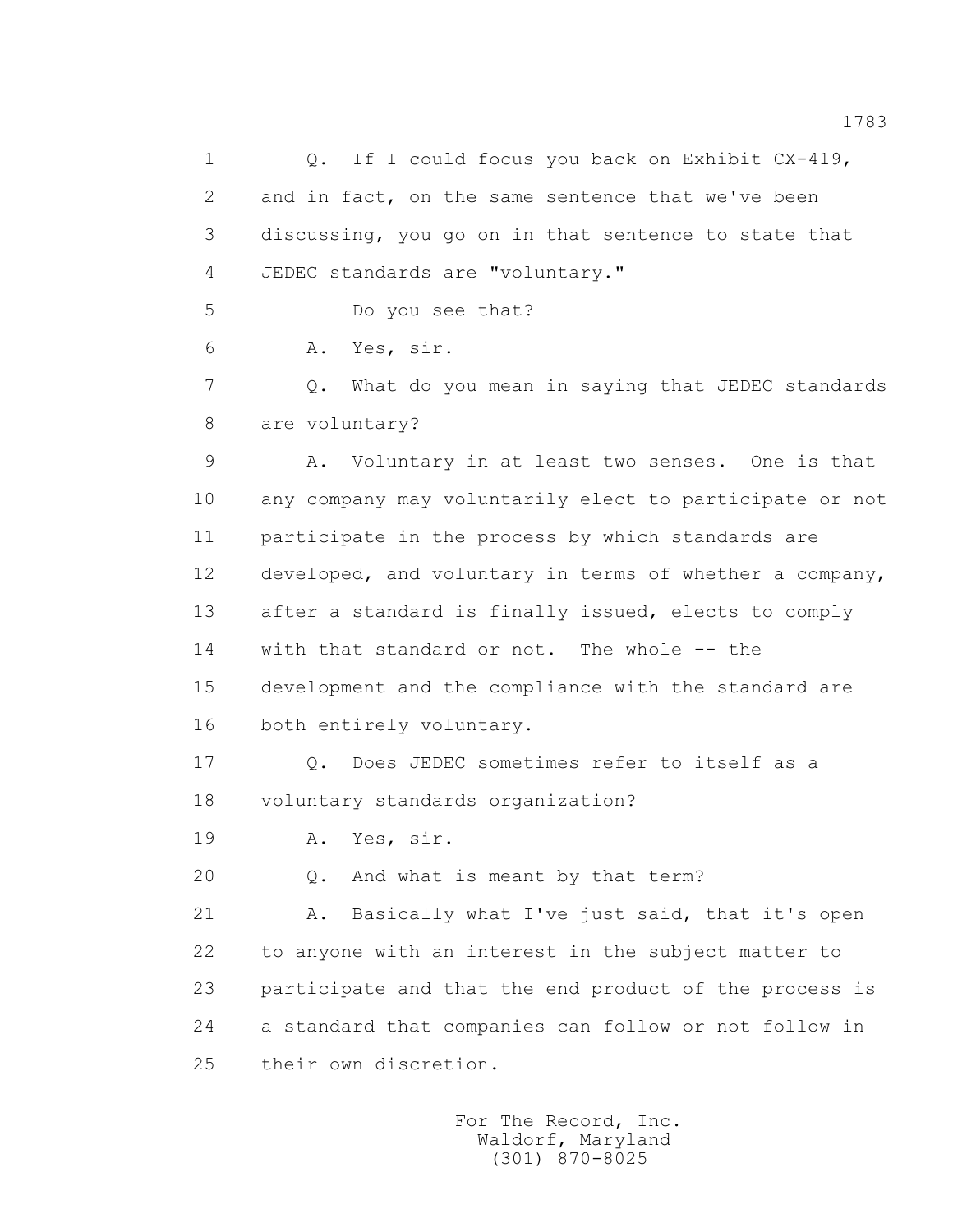1 0. If I could focus you back on Exhibit CX-419, 2 and in fact, on the same sentence that we've been 3 discussing, you go on in that sentence to state that 4 JEDEC standards are "voluntary." 5 Do you see that? 6 A. Yes, sir. 7 Q. What do you mean in saying that JEDEC standards 8 are voluntary? 9 A. Voluntary in at least two senses. One is that 10 any company may voluntarily elect to participate or not 11 participate in the process by which standards are 12 developed, and voluntary in terms of whether a company, 13 after a standard is finally issued, elects to comply 14 with that standard or not. The whole -- the 15 development and the compliance with the standard are 16 both entirely voluntary. 17 Q. Does JEDEC sometimes refer to itself as a 18 voluntary standards organization? 19 A. Yes, sir. 20 Q. And what is meant by that term? 21 A. Basically what I've just said, that it's open 22 to anyone with an interest in the subject matter to 23 participate and that the end product of the process is 24 a standard that companies can follow or not follow in 25 their own discretion.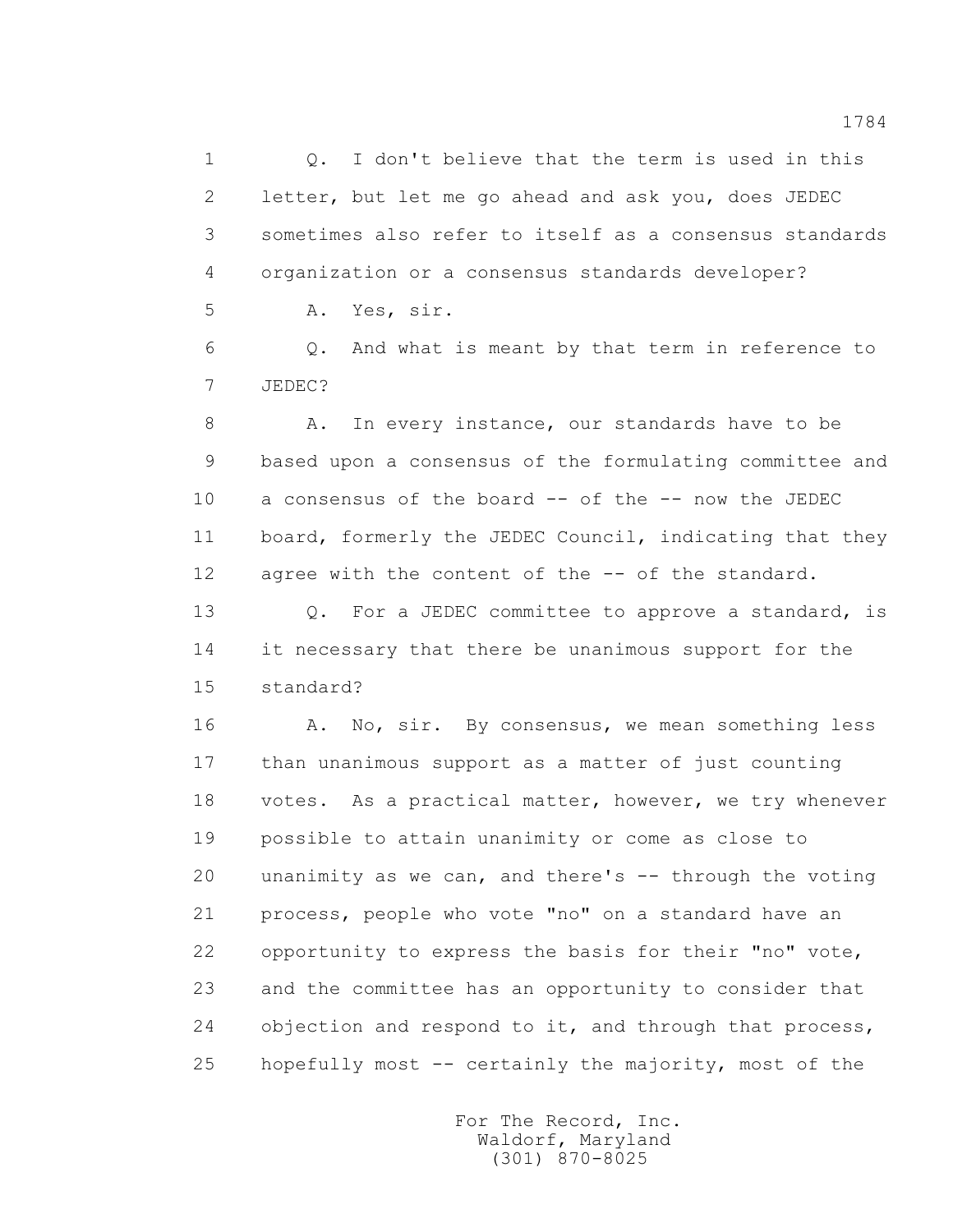1 Q. I don't believe that the term is used in this 2 letter, but let me go ahead and ask you, does JEDEC 3 sometimes also refer to itself as a consensus standards 4 organization or a consensus standards developer? 5 A. Yes, sir. 6 Q. And what is meant by that term in reference to 7 JEDEC?

8 A. In every instance, our standards have to be 9 based upon a consensus of the formulating committee and 10 a consensus of the board -- of the -- now the JEDEC 11 board, formerly the JEDEC Council, indicating that they 12 agree with the content of the -- of the standard.

13 0. For a JEDEC committee to approve a standard, is 14 it necessary that there be unanimous support for the 15 standard?

16 A. No, sir. By consensus, we mean something less 17 than unanimous support as a matter of just counting 18 votes. As a practical matter, however, we try whenever 19 possible to attain unanimity or come as close to 20 unanimity as we can, and there's -- through the voting 21 process, people who vote "no" on a standard have an 22 opportunity to express the basis for their "no" vote, 23 and the committee has an opportunity to consider that 24 objection and respond to it, and through that process, 25 hopefully most -- certainly the majority, most of the

> For The Record, Inc. Waldorf, Maryland (301) 870-8025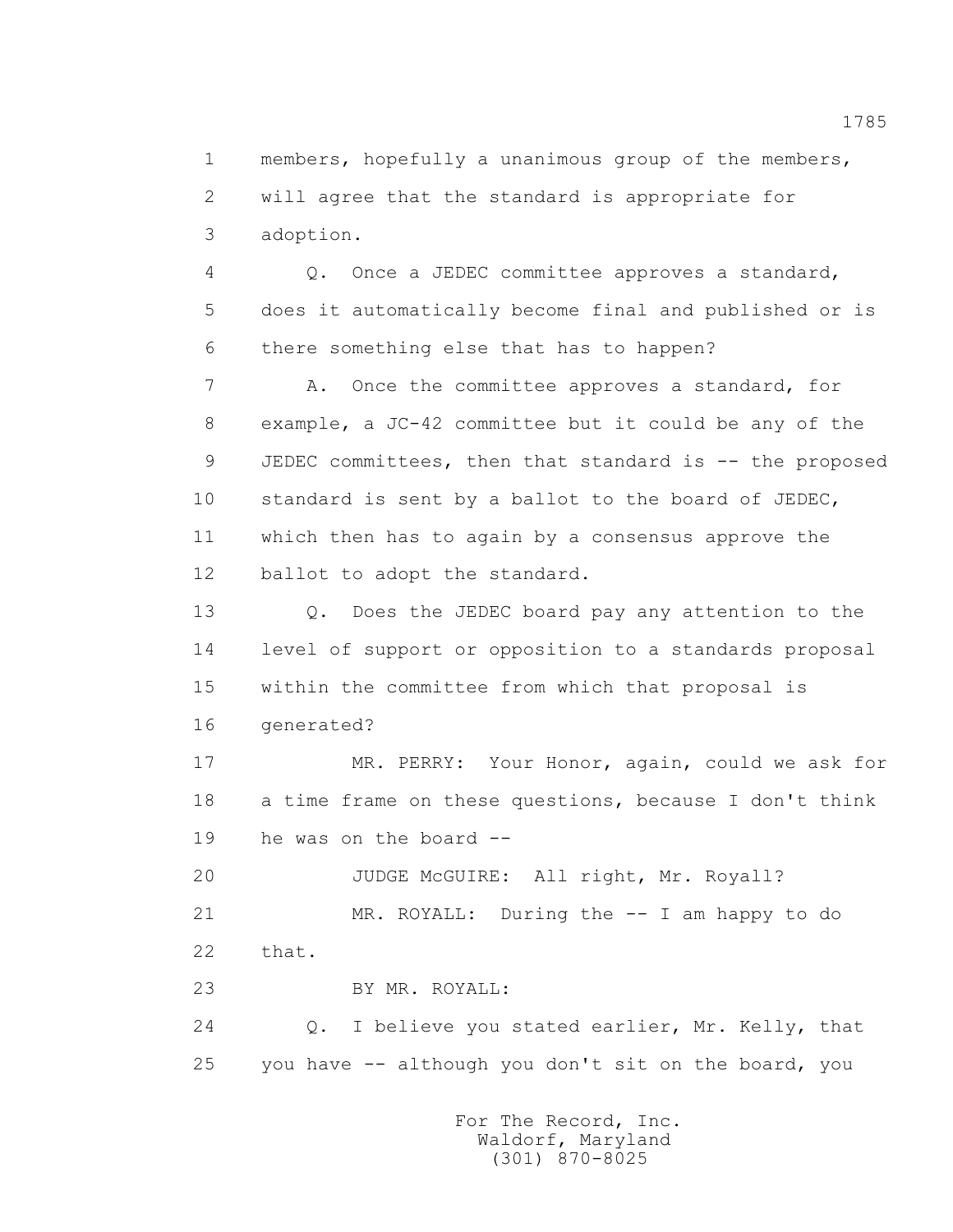1 members, hopefully a unanimous group of the members, 2 will agree that the standard is appropriate for 3 adoption.

 4 Q. Once a JEDEC committee approves a standard, 5 does it automatically become final and published or is 6 there something else that has to happen?

 7 A. Once the committee approves a standard, for 8 example, a JC-42 committee but it could be any of the 9 JEDEC committees, then that standard is -- the proposed 10 standard is sent by a ballot to the board of JEDEC, 11 which then has to again by a consensus approve the 12 ballot to adopt the standard.

 13 Q. Does the JEDEC board pay any attention to the 14 level of support or opposition to a standards proposal 15 within the committee from which that proposal is 16 generated?

 17 MR. PERRY: Your Honor, again, could we ask for 18 a time frame on these questions, because I don't think 19 he was on the board --

20 JUDGE McGUIRE: All right, Mr. Royall?

 21 MR. ROYALL: During the -- I am happy to do 22 that.

23 BY MR. ROYALL:

 24 Q. I believe you stated earlier, Mr. Kelly, that 25 you have -- although you don't sit on the board, you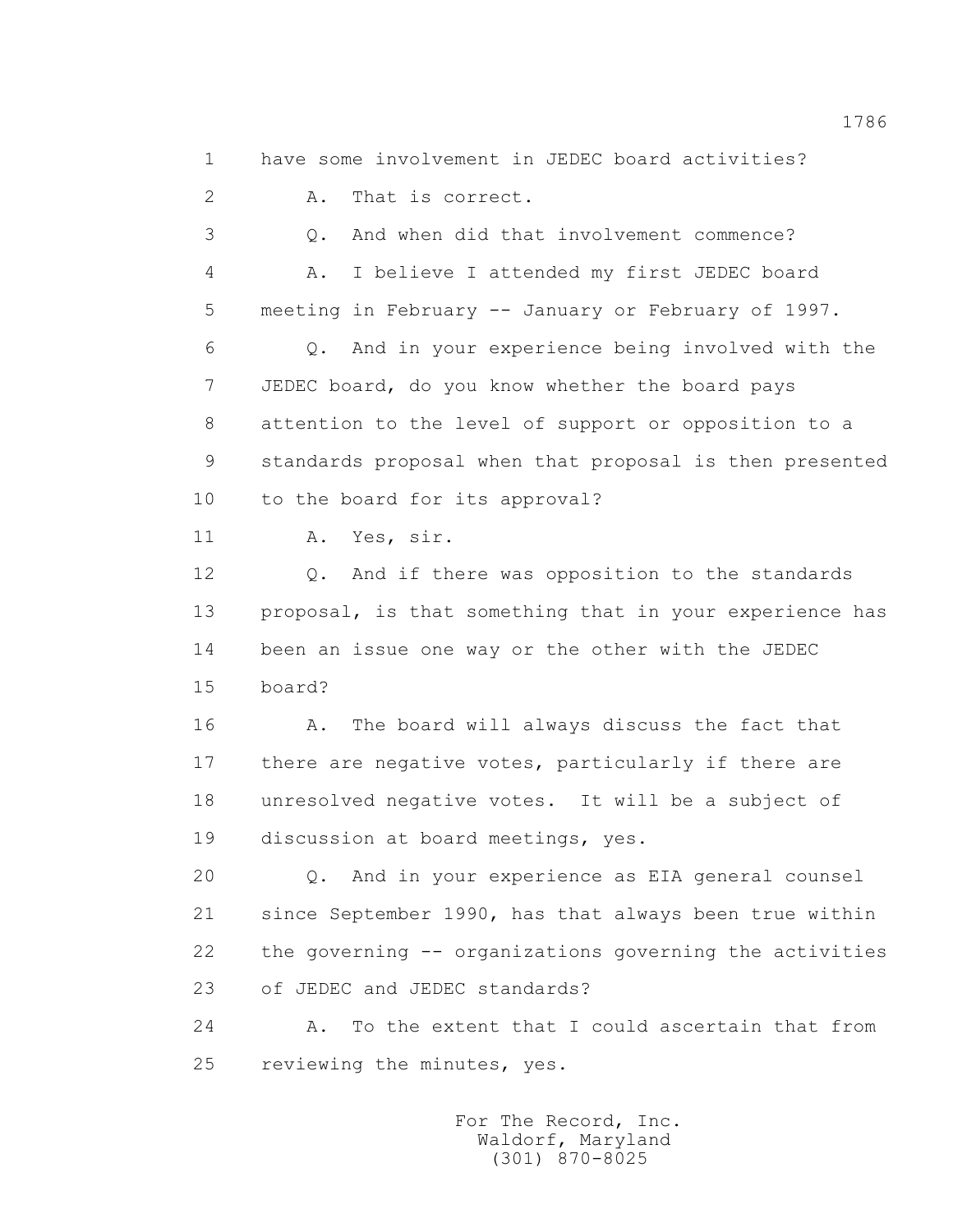1 have some involvement in JEDEC board activities?

2 A. That is correct.

 3 Q. And when did that involvement commence? 4 A. I believe I attended my first JEDEC board 5 meeting in February -- January or February of 1997. 6 Q. And in your experience being involved with the 7 JEDEC board, do you know whether the board pays 8 attention to the level of support or opposition to a 9 standards proposal when that proposal is then presented

10 to the board for its approval?

11 A. Yes, sir.

 12 Q. And if there was opposition to the standards 13 proposal, is that something that in your experience has 14 been an issue one way or the other with the JEDEC 15 board?

 16 A. The board will always discuss the fact that 17 there are negative votes, particularly if there are 18 unresolved negative votes. It will be a subject of 19 discussion at board meetings, yes.

 20 Q. And in your experience as EIA general counsel 21 since September 1990, has that always been true within 22 the governing -- organizations governing the activities 23 of JEDEC and JEDEC standards?

 24 A. To the extent that I could ascertain that from 25 reviewing the minutes, yes.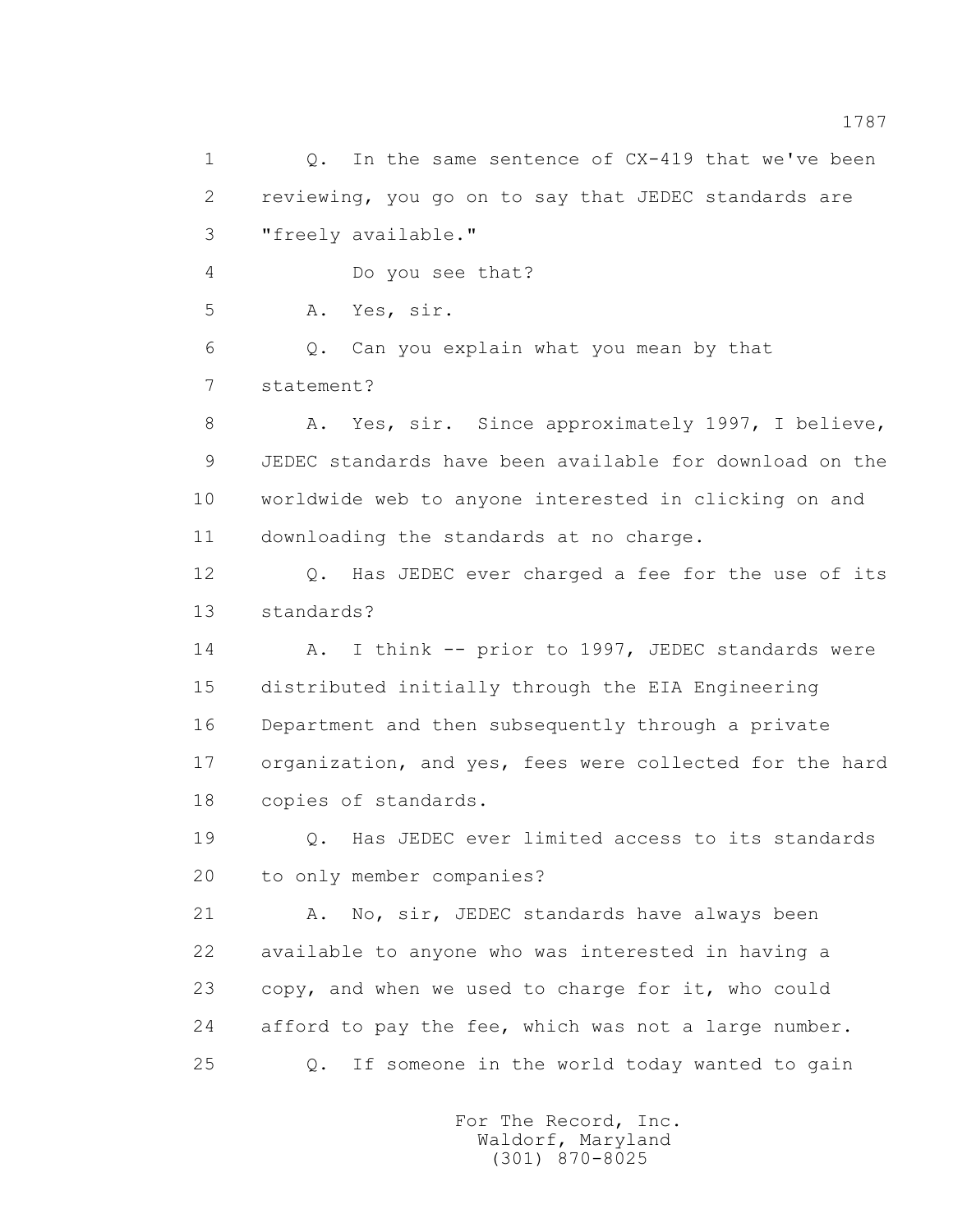1 Q. In the same sentence of CX-419 that we've been 2 reviewing, you go on to say that JEDEC standards are 3 "freely available." 4 Do you see that? 5 A. Yes, sir. 6 Q. Can you explain what you mean by that 7 statement? 8 A. Yes, sir. Since approximately 1997, I believe, 9 JEDEC standards have been available for download on the 10 worldwide web to anyone interested in clicking on and 11 downloading the standards at no charge. 12 Q. Has JEDEC ever charged a fee for the use of its 13 standards? 14 A. I think -- prior to 1997, JEDEC standards were 15 distributed initially through the EIA Engineering 16 Department and then subsequently through a private 17 organization, and yes, fees were collected for the hard 18 copies of standards. 19 Q. Has JEDEC ever limited access to its standards 20 to only member companies? 21 A. No, sir, JEDEC standards have always been 22 available to anyone who was interested in having a 23 copy, and when we used to charge for it, who could 24 afford to pay the fee, which was not a large number. 25 Q. If someone in the world today wanted to gain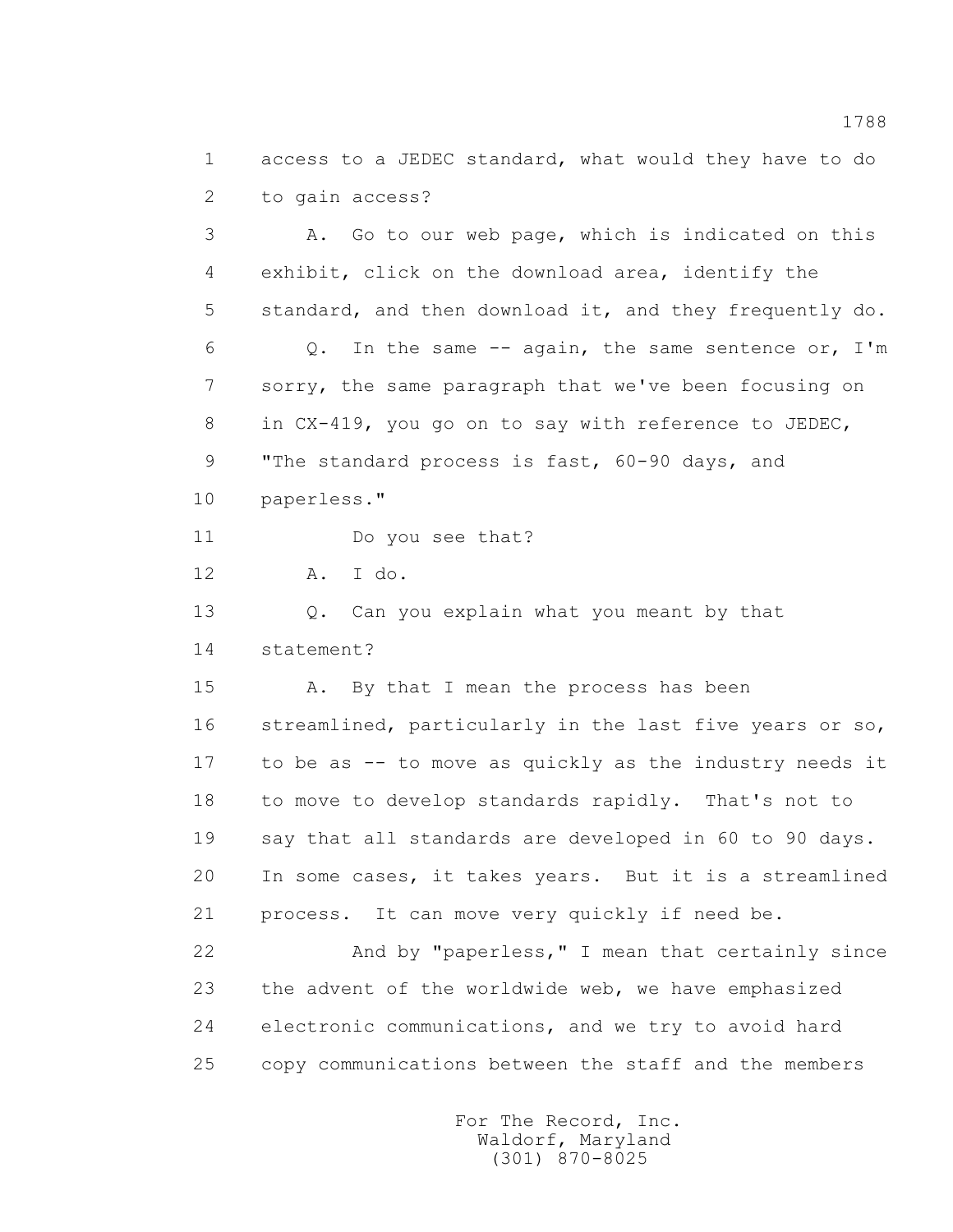1 access to a JEDEC standard, what would they have to do 2 to gain access?

 3 A. Go to our web page, which is indicated on this 4 exhibit, click on the download area, identify the 5 standard, and then download it, and they frequently do. 6 Q. In the same -- again, the same sentence or, I'm 7 sorry, the same paragraph that we've been focusing on 8 in CX-419, you go on to say with reference to JEDEC, 9 "The standard process is fast, 60-90 days, and 10 paperless." 11 Do you see that? 12 A. I do. 13 0. Can you explain what you meant by that 14 statement? 15 A. By that I mean the process has been 16 streamlined, particularly in the last five years or so, 17 to be as -- to move as quickly as the industry needs it 18 to move to develop standards rapidly. That's not to 19 say that all standards are developed in 60 to 90 days. 20 In some cases, it takes years. But it is a streamlined 21 process. It can move very quickly if need be. 22 And by "paperless," I mean that certainly since 23 the advent of the worldwide web, we have emphasized 24 electronic communications, and we try to avoid hard 25 copy communications between the staff and the members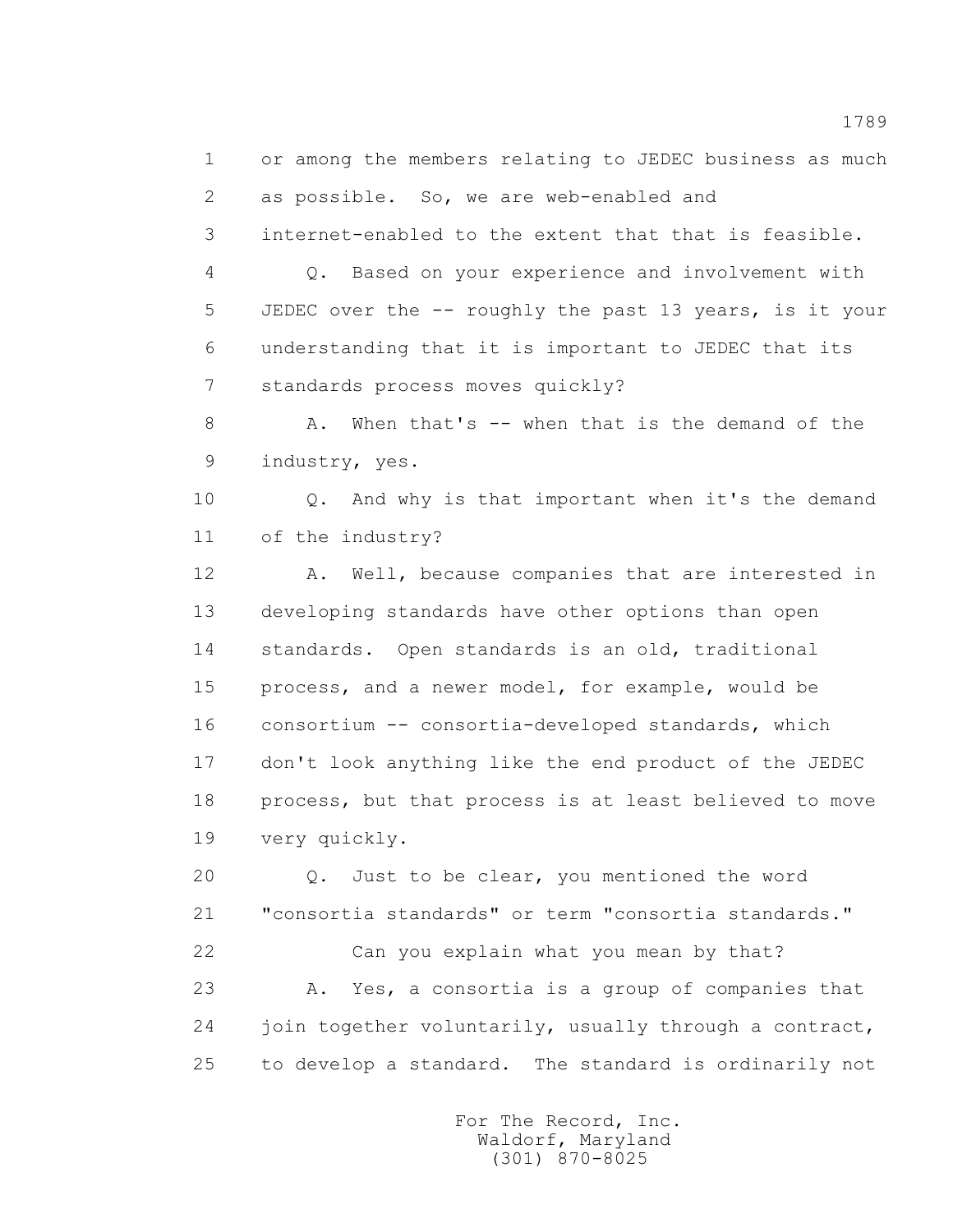1 or among the members relating to JEDEC business as much 2 as possible. So, we are web-enabled and

3 internet-enabled to the extent that that is feasible.

 4 Q. Based on your experience and involvement with 5 JEDEC over the -- roughly the past 13 years, is it your 6 understanding that it is important to JEDEC that its 7 standards process moves quickly?

8 A. When that's -- when that is the demand of the 9 industry, yes.

10 0. And why is that important when it's the demand 11 of the industry?

 12 A. Well, because companies that are interested in 13 developing standards have other options than open 14 standards. Open standards is an old, traditional 15 process, and a newer model, for example, would be 16 consortium -- consortia-developed standards, which 17 don't look anything like the end product of the JEDEC 18 process, but that process is at least believed to move 19 very quickly.

 20 Q. Just to be clear, you mentioned the word 21 "consortia standards" or term "consortia standards." 22 Can you explain what you mean by that? 23 A. Yes, a consortia is a group of companies that 24 join together voluntarily, usually through a contract, 25 to develop a standard. The standard is ordinarily not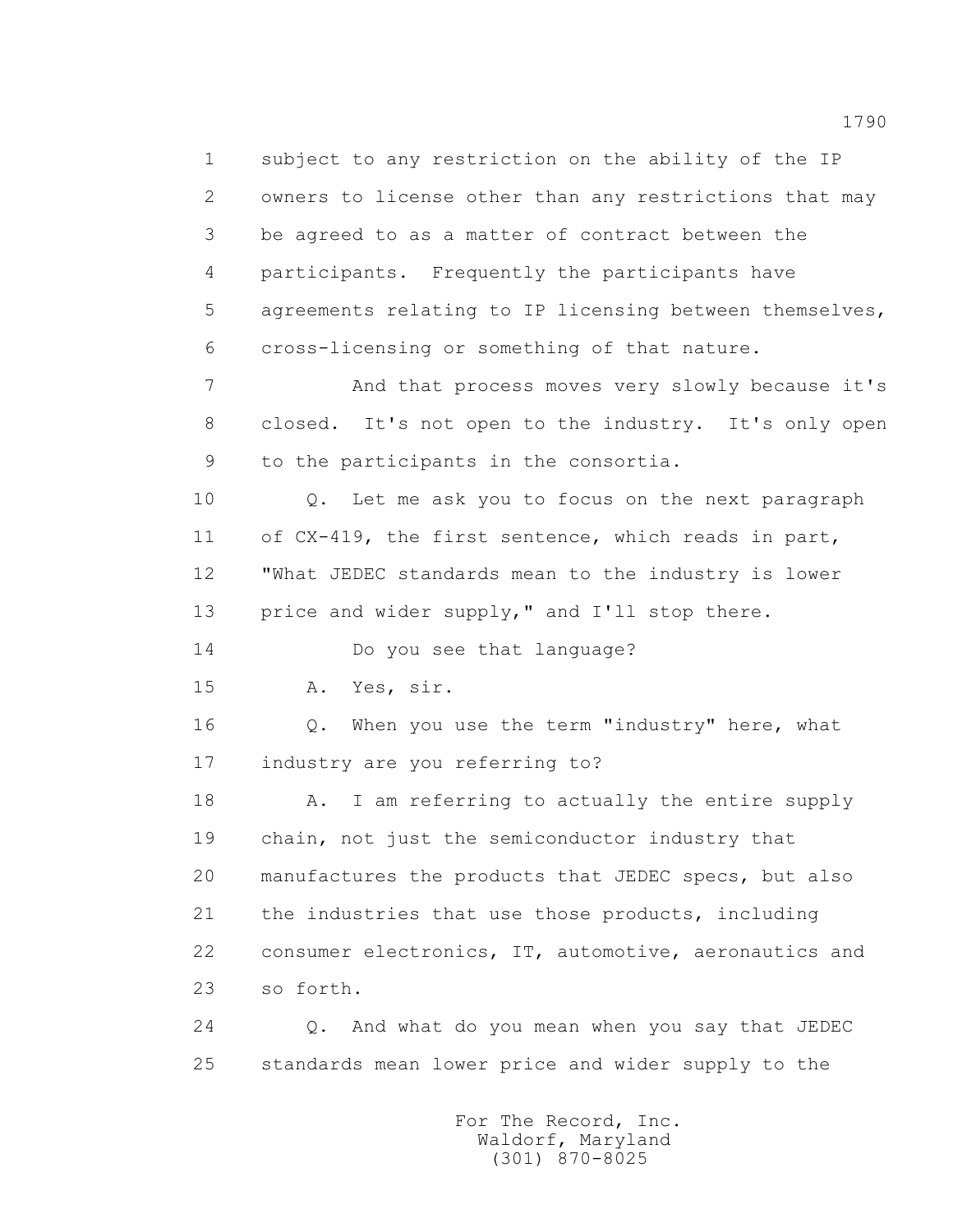1 subject to any restriction on the ability of the IP 2 owners to license other than any restrictions that may 3 be agreed to as a matter of contract between the 4 participants. Frequently the participants have 5 agreements relating to IP licensing between themselves, 6 cross-licensing or something of that nature. 7 And that process moves very slowly because it's 8 closed. It's not open to the industry. It's only open 9 to the participants in the consortia. 10 0. Let me ask you to focus on the next paragraph 11 of CX-419, the first sentence, which reads in part, 12 "What JEDEC standards mean to the industry is lower 13 price and wider supply," and I'll stop there. 14 Do you see that language? 15 A. Yes, sir. 16 Q. When you use the term "industry" here, what 17 industry are you referring to? 18 A. I am referring to actually the entire supply 19 chain, not just the semiconductor industry that 20 manufactures the products that JEDEC specs, but also 21 the industries that use those products, including 22 consumer electronics, IT, automotive, aeronautics and 23 so forth. 24 Q. And what do you mean when you say that JEDEC 25 standards mean lower price and wider supply to the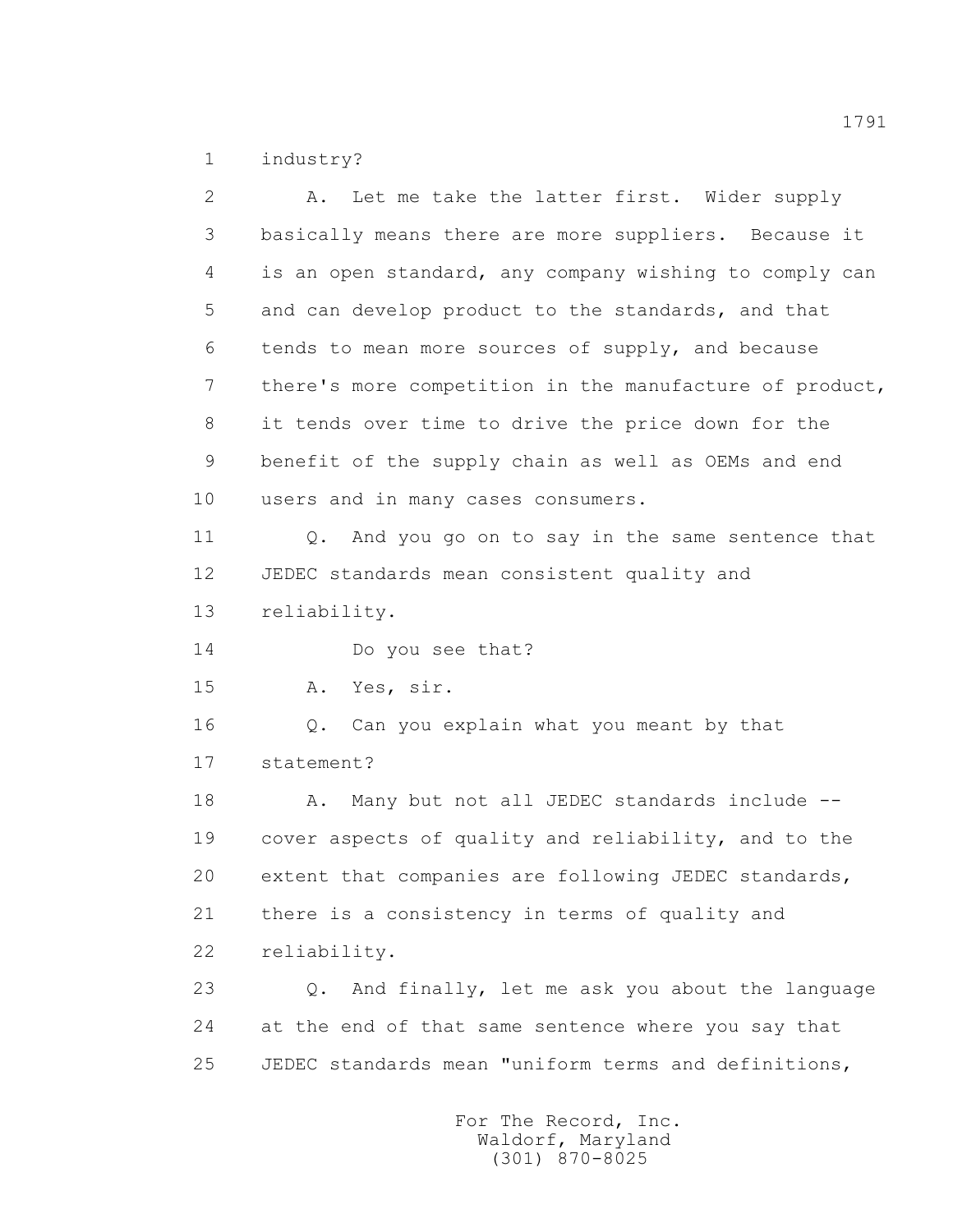1 industry?

 2 A. Let me take the latter first. Wider supply 3 basically means there are more suppliers. Because it 4 is an open standard, any company wishing to comply can 5 and can develop product to the standards, and that 6 tends to mean more sources of supply, and because 7 there's more competition in the manufacture of product, 8 it tends over time to drive the price down for the 9 benefit of the supply chain as well as OEMs and end 10 users and in many cases consumers. 11 Q. And you go on to say in the same sentence that 12 JEDEC standards mean consistent quality and 13 reliability. 14 Do you see that? 15 A. Yes, sir. 16 Q. Can you explain what you meant by that 17 statement? 18 A. Many but not all JEDEC standards include -- 19 cover aspects of quality and reliability, and to the 20 extent that companies are following JEDEC standards, 21 there is a consistency in terms of quality and 22 reliability. 23 Q. And finally, let me ask you about the language 24 at the end of that same sentence where you say that 25 JEDEC standards mean "uniform terms and definitions,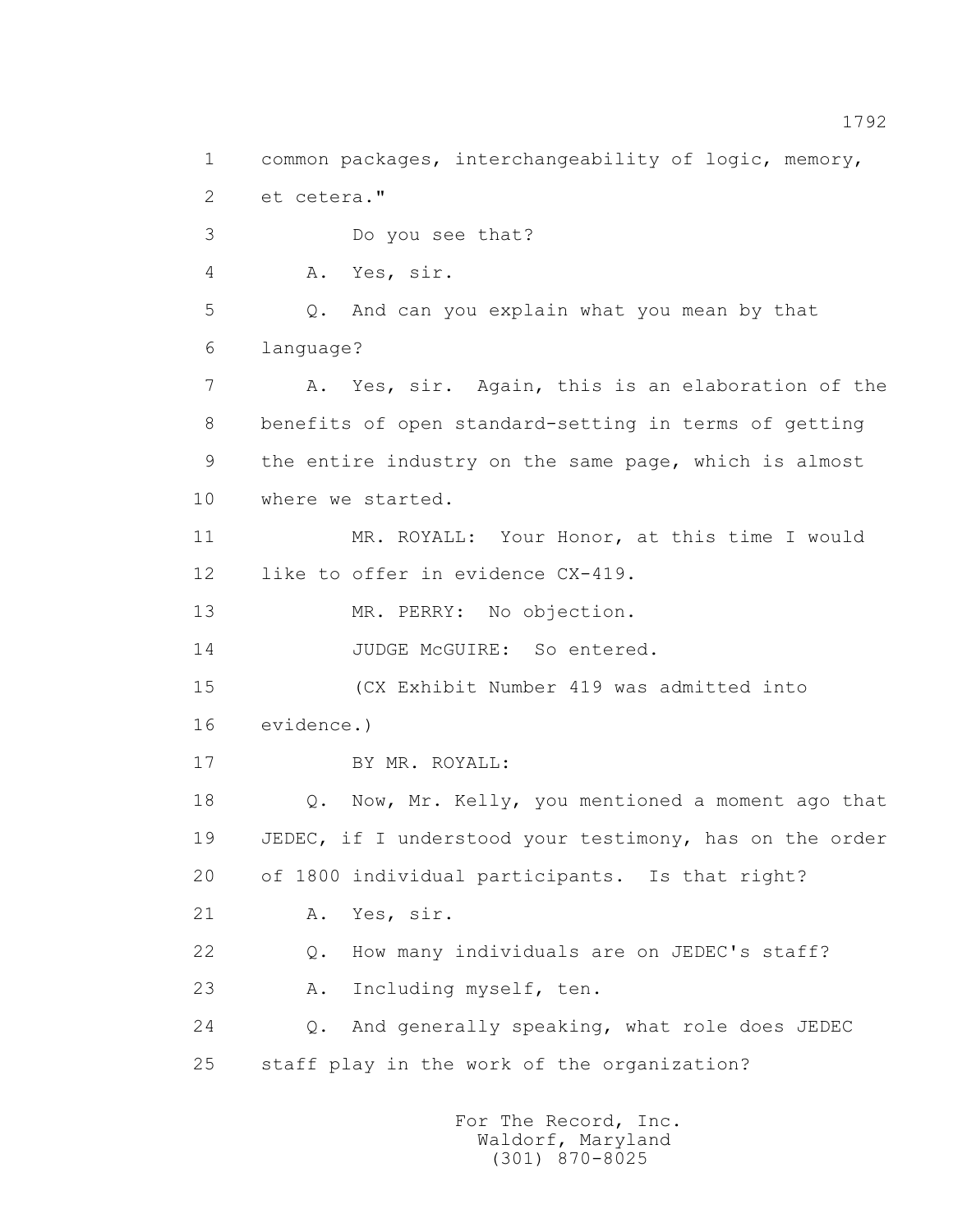1 common packages, interchangeability of logic, memory, 2 et cetera." 3 Do you see that? 4 A. Yes, sir. 5 Q. And can you explain what you mean by that 6 language? 7 A. Yes, sir. Again, this is an elaboration of the 8 benefits of open standard-setting in terms of getting 9 the entire industry on the same page, which is almost 10 where we started. 11 MR. ROYALL: Your Honor, at this time I would 12 like to offer in evidence CX-419. 13 MR. PERRY: No objection. 14 JUDGE McGUIRE: So entered. 15 (CX Exhibit Number 419 was admitted into 16 evidence.) 17 BY MR. ROYALL: 18 Q. Now, Mr. Kelly, you mentioned a moment ago that 19 JEDEC, if I understood your testimony, has on the order 20 of 1800 individual participants. Is that right? 21 A. Yes, sir. 22 Q. How many individuals are on JEDEC's staff? 23 A. Including myself, ten. 24 Q. And generally speaking, what role does JEDEC 25 staff play in the work of the organization?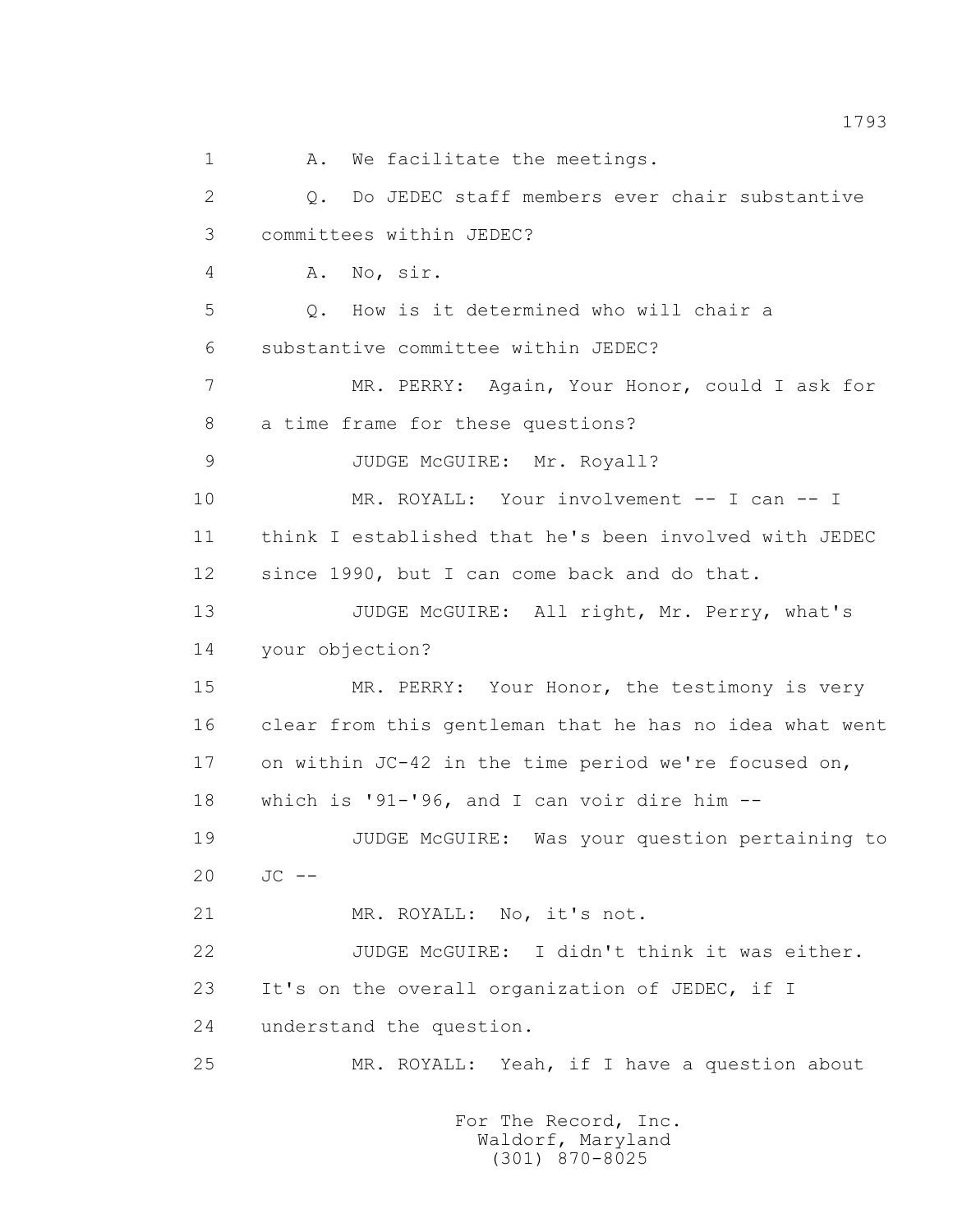1 A. We facilitate the meetings. 2 Q. Do JEDEC staff members ever chair substantive 3 committees within JEDEC? 4 A. No, sir. 5 Q. How is it determined who will chair a 6 substantive committee within JEDEC? 7 MR. PERRY: Again, Your Honor, could I ask for 8 a time frame for these questions? 9 JUDGE McGUIRE: Mr. Royall? 10 MR. ROYALL: Your involvement -- I can -- I 11 think I established that he's been involved with JEDEC 12 since 1990, but I can come back and do that. 13 JUDGE McGUIRE: All right, Mr. Perry, what's 14 your objection? 15 MR. PERRY: Your Honor, the testimony is very 16 clear from this gentleman that he has no idea what went 17 on within JC-42 in the time period we're focused on, 18 which is '91-'96, and I can voir dire him -- 19 JUDGE McGUIRE: Was your question pertaining to  $20 \tJC = -$  21 MR. ROYALL: No, it's not. 22 JUDGE McGUIRE: I didn't think it was either. 23 It's on the overall organization of JEDEC, if I 24 understand the question. 25 MR. ROYALL: Yeah, if I have a question about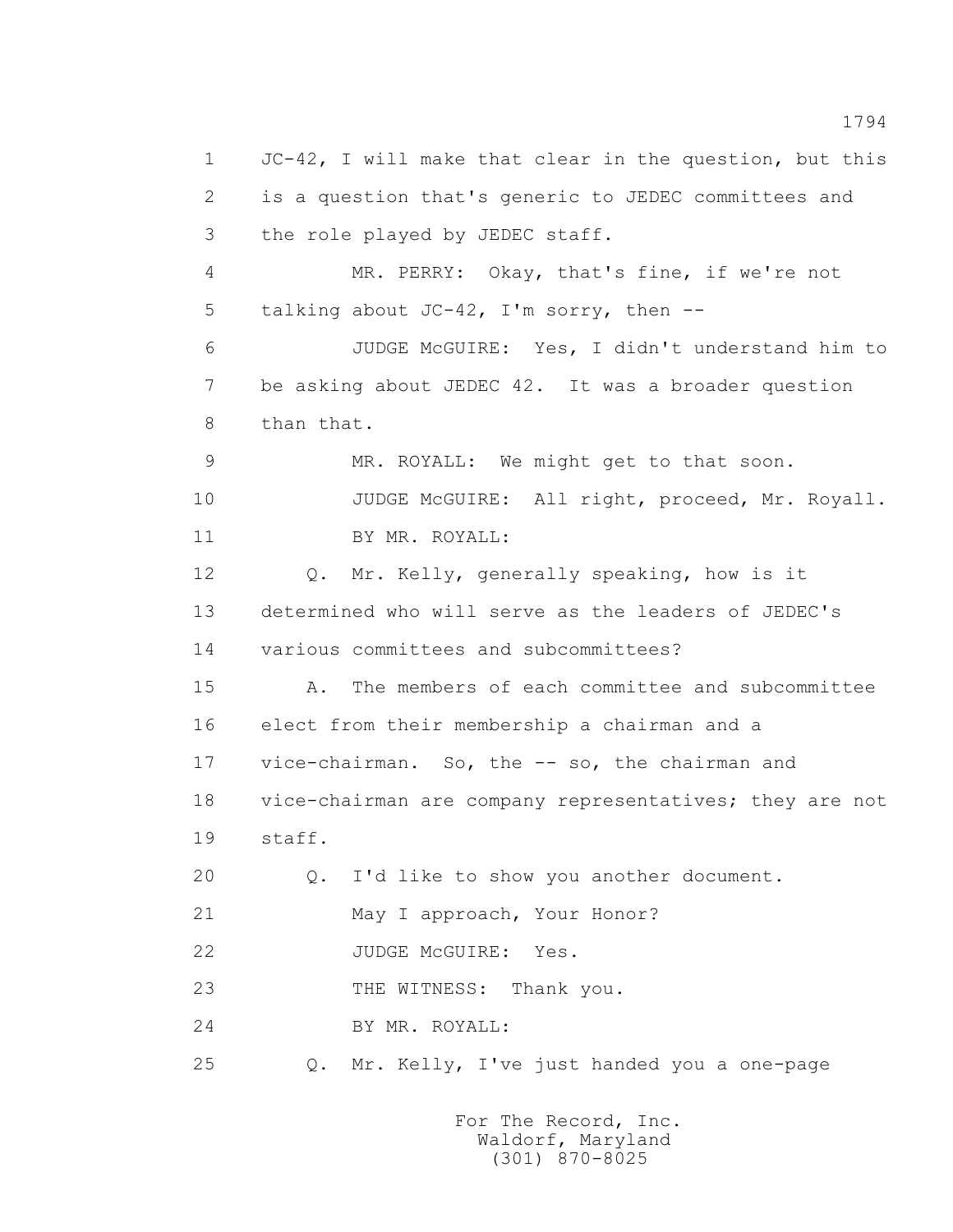1 JC-42, I will make that clear in the question, but this 2 is a question that's generic to JEDEC committees and 3 the role played by JEDEC staff. 4 MR. PERRY: Okay, that's fine, if we're not 5 talking about JC-42, I'm sorry, then -- 6 JUDGE McGUIRE: Yes, I didn't understand him to 7 be asking about JEDEC 42. It was a broader question 8 than that. 9 MR. ROYALL: We might get to that soon. 10 JUDGE McGUIRE: All right, proceed, Mr. Royall. 11 BY MR. ROYALL: 12 Q. Mr. Kelly, generally speaking, how is it 13 determined who will serve as the leaders of JEDEC's 14 various committees and subcommittees? 15 A. The members of each committee and subcommittee 16 elect from their membership a chairman and a 17 vice-chairman. So, the -- so, the chairman and 18 vice-chairman are company representatives; they are not 19 staff. 20 Q. I'd like to show you another document. 21 May I approach, Your Honor? 22 JUDGE McGUIRE: Yes. 23 THE WITNESS: Thank you. 24 BY MR. ROYALL: 25 Q. Mr. Kelly, I've just handed you a one-page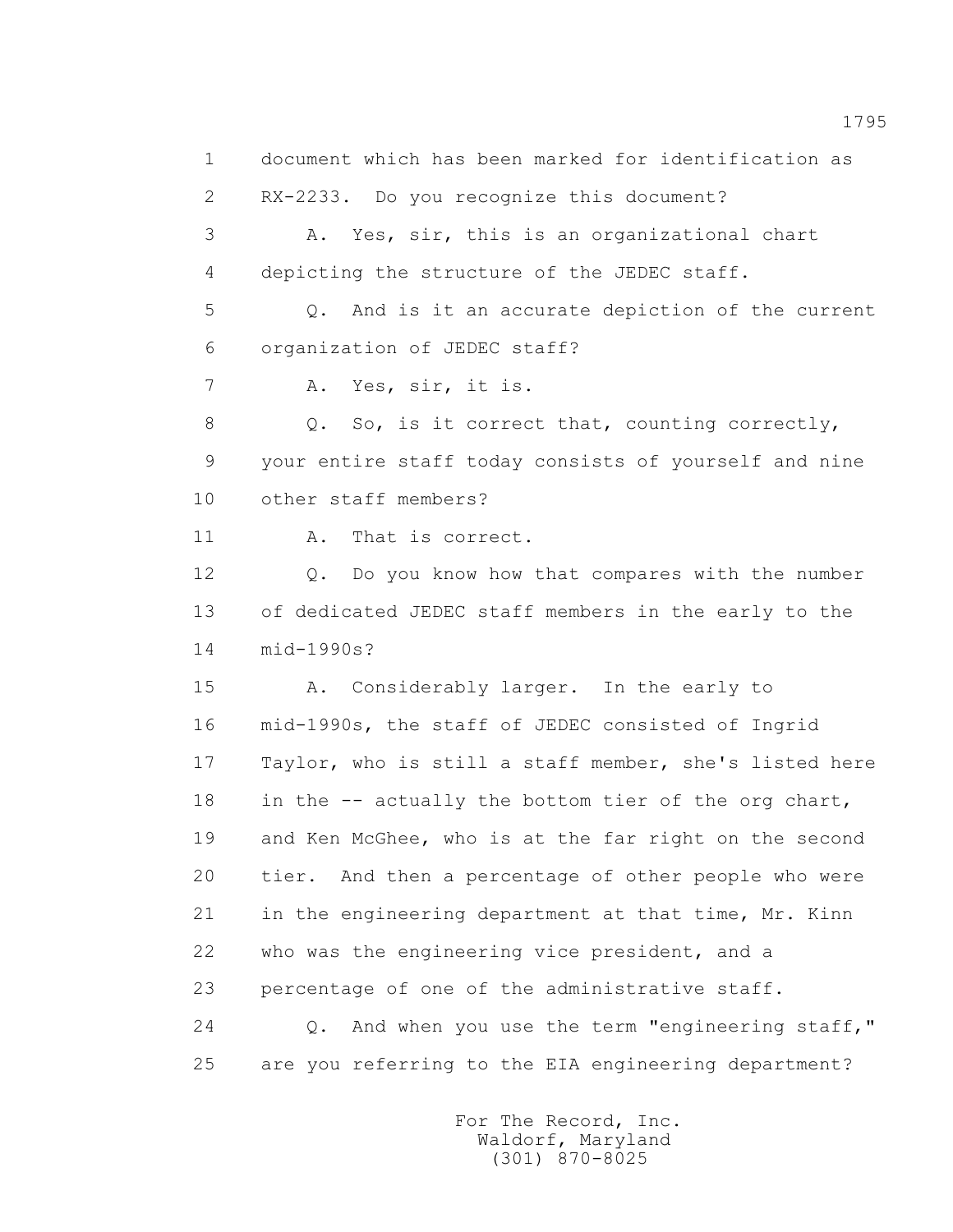1 document which has been marked for identification as 2 RX-2233. Do you recognize this document? 3 A. Yes, sir, this is an organizational chart 4 depicting the structure of the JEDEC staff. 5 Q. And is it an accurate depiction of the current 6 organization of JEDEC staff? 7 A. Yes, sir, it is. 8 Q. So, is it correct that, counting correctly, 9 your entire staff today consists of yourself and nine 10 other staff members? 11 A. That is correct. 12 Q. Do you know how that compares with the number 13 of dedicated JEDEC staff members in the early to the 14 mid-1990s? 15 A. Considerably larger. In the early to 16 mid-1990s, the staff of JEDEC consisted of Ingrid 17 Taylor, who is still a staff member, she's listed here 18 in the -- actually the bottom tier of the org chart, 19 and Ken McGhee, who is at the far right on the second 20 tier. And then a percentage of other people who were 21 in the engineering department at that time, Mr. Kinn 22 who was the engineering vice president, and a 23 percentage of one of the administrative staff. 24 Q. And when you use the term "engineering staff," 25 are you referring to the EIA engineering department?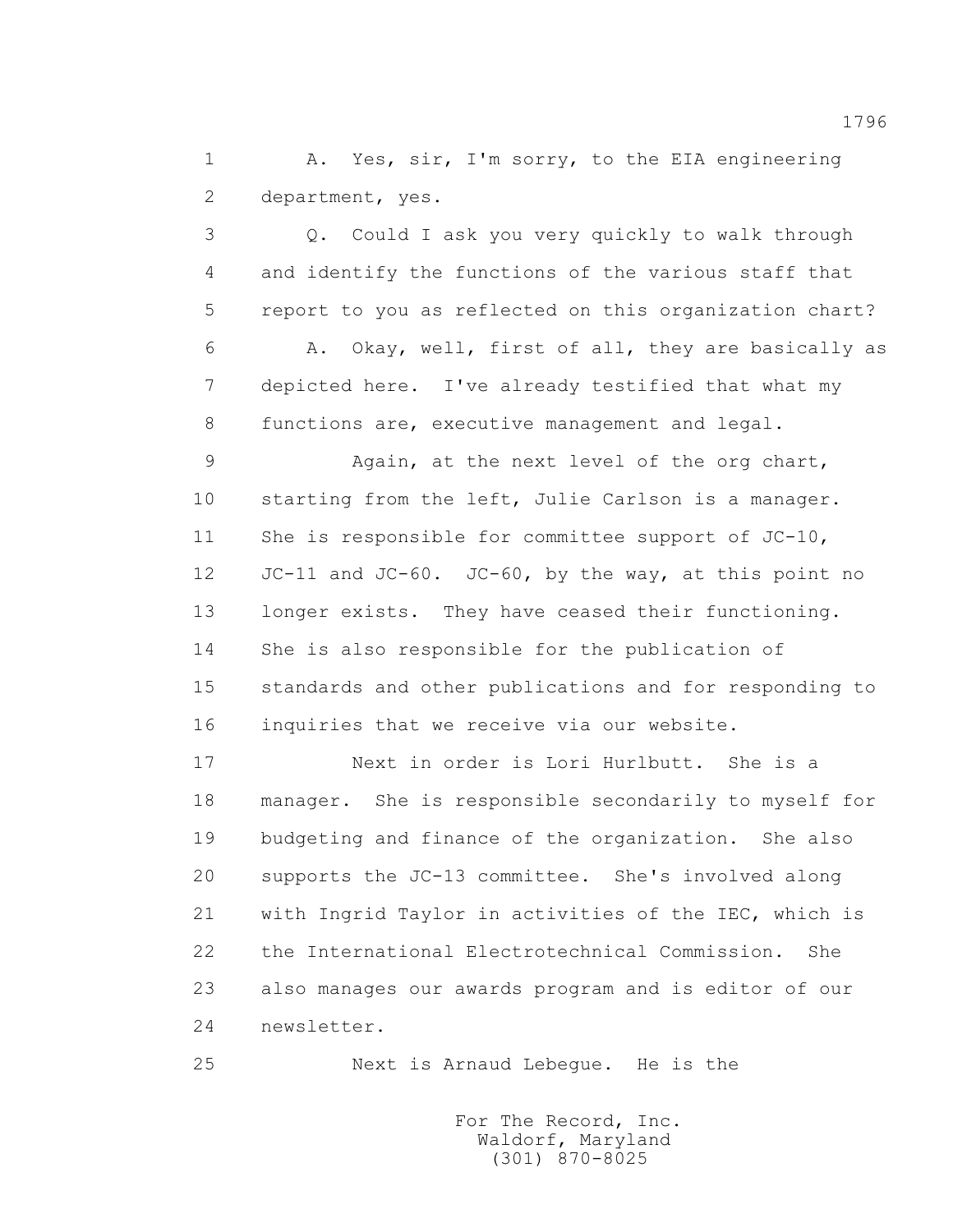1 A. Yes, sir, I'm sorry, to the EIA engineering 2 department, yes.

 3 Q. Could I ask you very quickly to walk through 4 and identify the functions of the various staff that 5 report to you as reflected on this organization chart? 6 A. Okay, well, first of all, they are basically as 7 depicted here. I've already testified that what my 8 functions are, executive management and legal.

 9 Again, at the next level of the org chart, 10 starting from the left, Julie Carlson is a manager. 11 She is responsible for committee support of JC-10, 12 JC-11 and JC-60. JC-60, by the way, at this point no 13 longer exists. They have ceased their functioning. 14 She is also responsible for the publication of 15 standards and other publications and for responding to 16 inquiries that we receive via our website.

 17 Next in order is Lori Hurlbutt. She is a 18 manager. She is responsible secondarily to myself for 19 budgeting and finance of the organization. She also 20 supports the JC-13 committee. She's involved along 21 with Ingrid Taylor in activities of the IEC, which is 22 the International Electrotechnical Commission. She 23 also manages our awards program and is editor of our 24 newsletter.

25 Next is Arnaud Lebegue. He is the

 For The Record, Inc. Waldorf, Maryland (301) 870-8025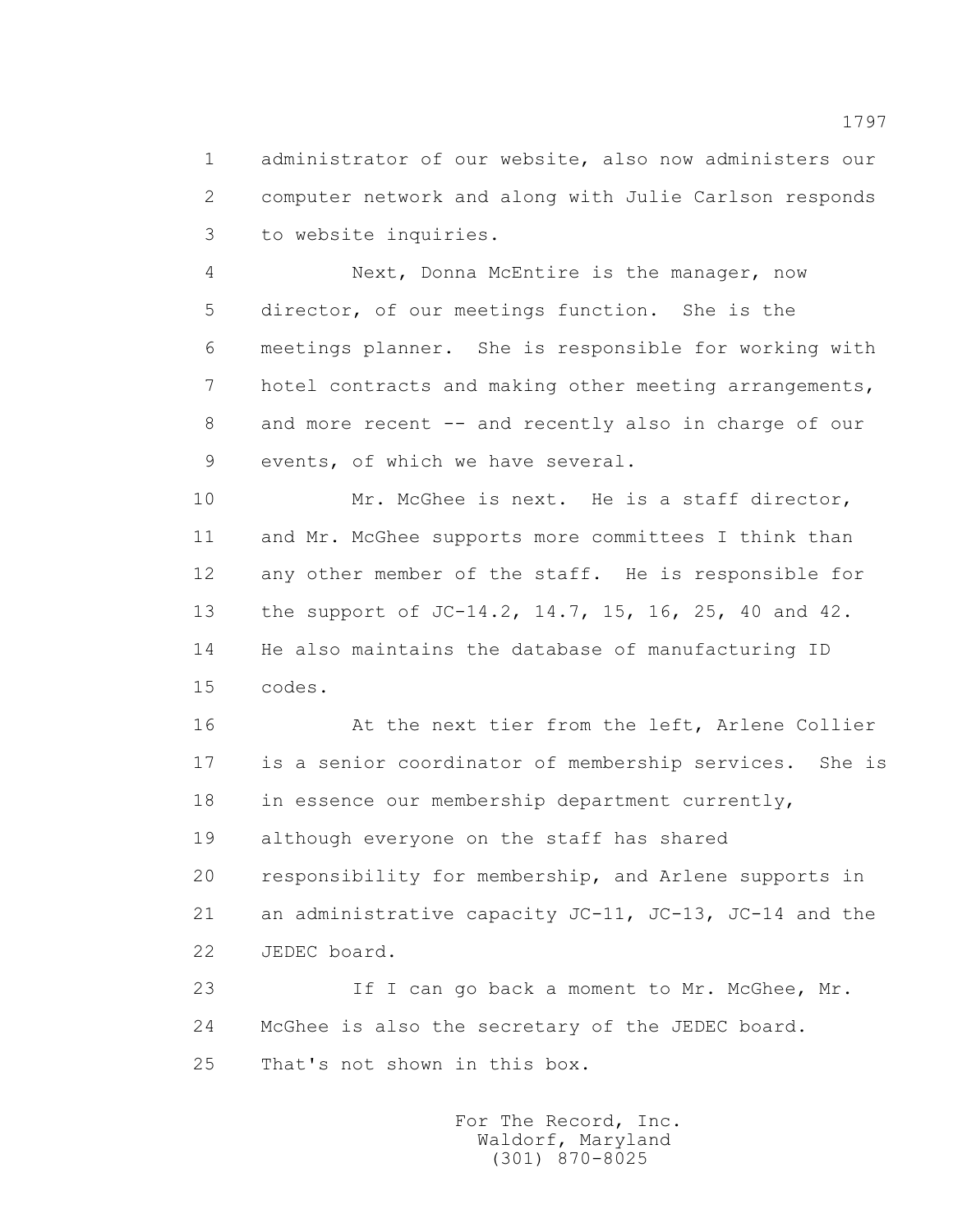1 administrator of our website, also now administers our 2 computer network and along with Julie Carlson responds 3 to website inquiries.

 4 Next, Donna McEntire is the manager, now 5 director, of our meetings function. She is the 6 meetings planner. She is responsible for working with 7 hotel contracts and making other meeting arrangements, 8 and more recent -- and recently also in charge of our 9 events, of which we have several.

 10 Mr. McGhee is next. He is a staff director, 11 and Mr. McGhee supports more committees I think than 12 any other member of the staff. He is responsible for 13 the support of JC-14.2, 14.7, 15, 16, 25, 40 and 42. 14 He also maintains the database of manufacturing ID 15 codes.

16 At the next tier from the left, Arlene Collier 17 is a senior coordinator of membership services. She is 18 in essence our membership department currently, 19 although everyone on the staff has shared 20 responsibility for membership, and Arlene supports in 21 an administrative capacity JC-11, JC-13, JC-14 and the 22 JEDEC board.

23 1f I can go back a moment to Mr. McGhee, Mr. 24 McGhee is also the secretary of the JEDEC board. 25 That's not shown in this box.

> For The Record, Inc. Waldorf, Maryland (301) 870-8025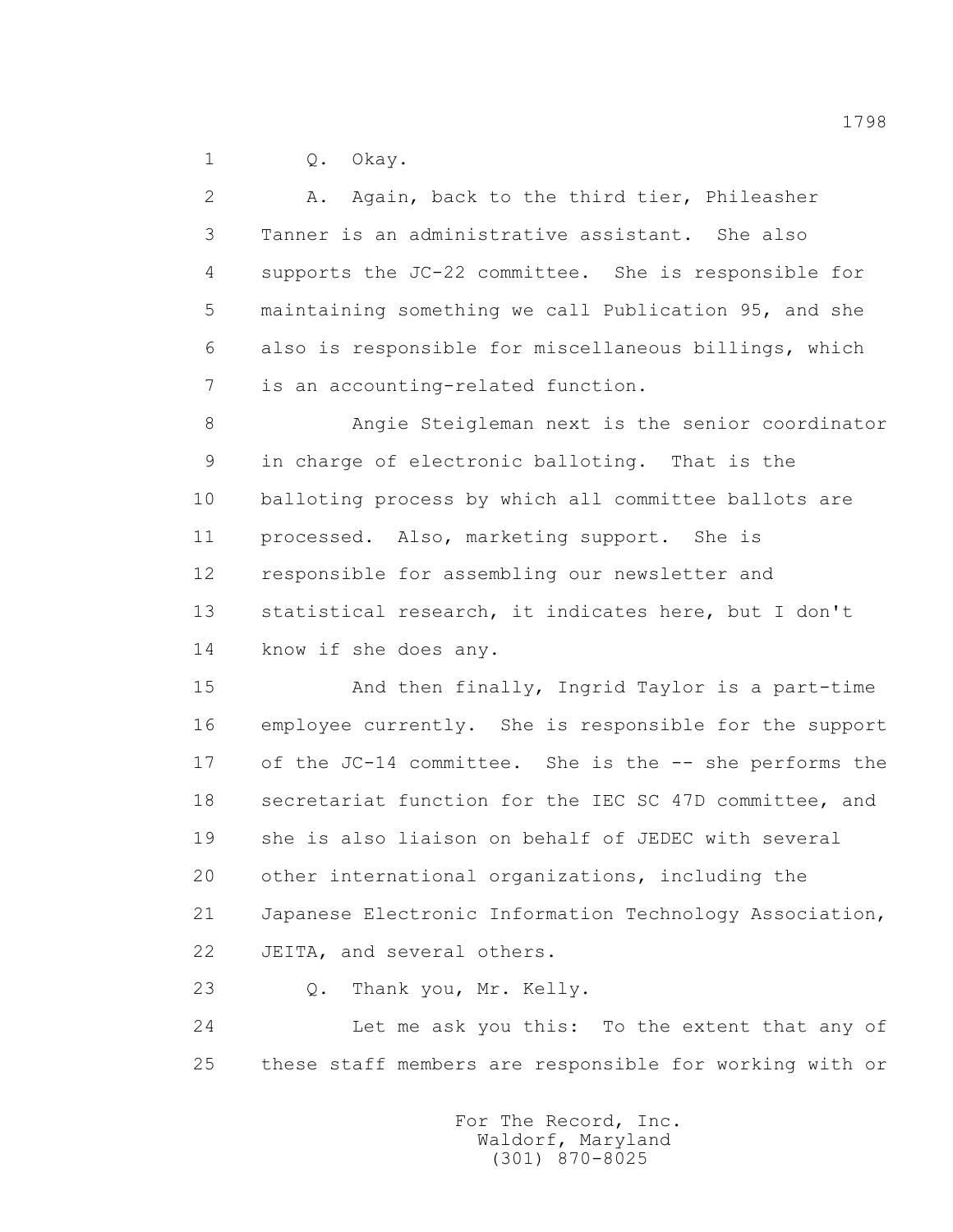1 0. Okay.

 2 A. Again, back to the third tier, Phileasher 3 Tanner is an administrative assistant. She also 4 supports the JC-22 committee. She is responsible for 5 maintaining something we call Publication 95, and she 6 also is responsible for miscellaneous billings, which 7 is an accounting-related function. 8 Angie Steigleman next is the senior coordinator 9 in charge of electronic balloting. That is the 10 balloting process by which all committee ballots are 11 processed. Also, marketing support. She is 12 responsible for assembling our newsletter and 13 statistical research, it indicates here, but I don't 14 know if she does any.

 15 And then finally, Ingrid Taylor is a part-time 16 employee currently. She is responsible for the support 17 of the JC-14 committee. She is the -- she performs the 18 secretariat function for the IEC SC 47D committee, and 19 she is also liaison on behalf of JEDEC with several 20 other international organizations, including the 21 Japanese Electronic Information Technology Association, 22 JEITA, and several others.

23 Q. Thank you, Mr. Kelly.

 24 Let me ask you this: To the extent that any of 25 these staff members are responsible for working with or

> For The Record, Inc. Waldorf, Maryland (301) 870-8025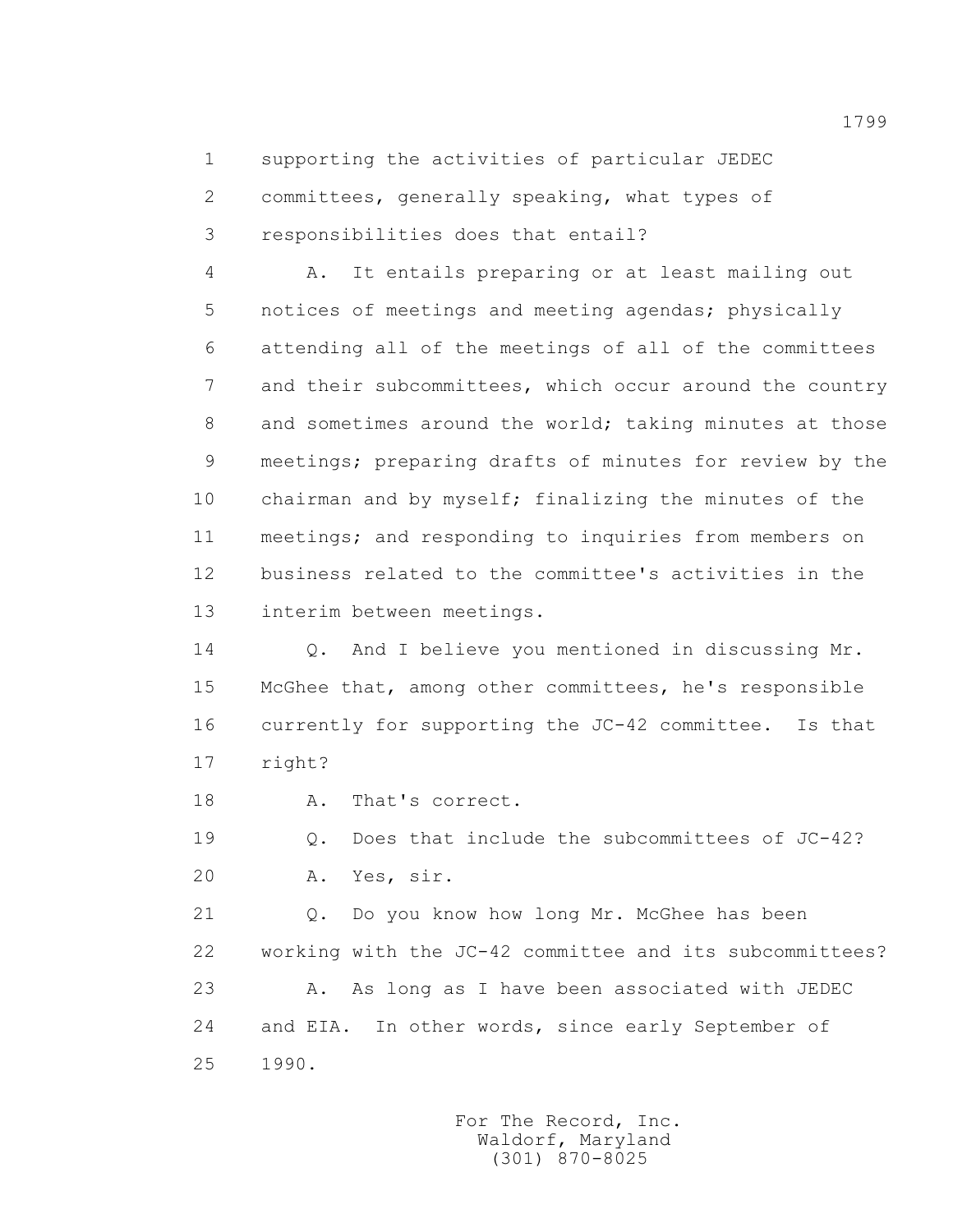1 supporting the activities of particular JEDEC

 2 committees, generally speaking, what types of 3 responsibilities does that entail?

 4 A. It entails preparing or at least mailing out 5 notices of meetings and meeting agendas; physically 6 attending all of the meetings of all of the committees 7 and their subcommittees, which occur around the country 8 and sometimes around the world; taking minutes at those 9 meetings; preparing drafts of minutes for review by the 10 chairman and by myself; finalizing the minutes of the 11 meetings; and responding to inquiries from members on 12 business related to the committee's activities in the 13 interim between meetings.

 14 Q. And I believe you mentioned in discussing Mr. 15 McGhee that, among other committees, he's responsible 16 currently for supporting the JC-42 committee. Is that 17 right?

18 A. That's correct.

 19 Q. Does that include the subcommittees of JC-42? 20 A. Yes, sir.

 21 Q. Do you know how long Mr. McGhee has been 22 working with the JC-42 committee and its subcommittees? 23 A. As long as I have been associated with JEDEC 24 and EIA. In other words, since early September of 25 1990.

> For The Record, Inc. Waldorf, Maryland (301) 870-8025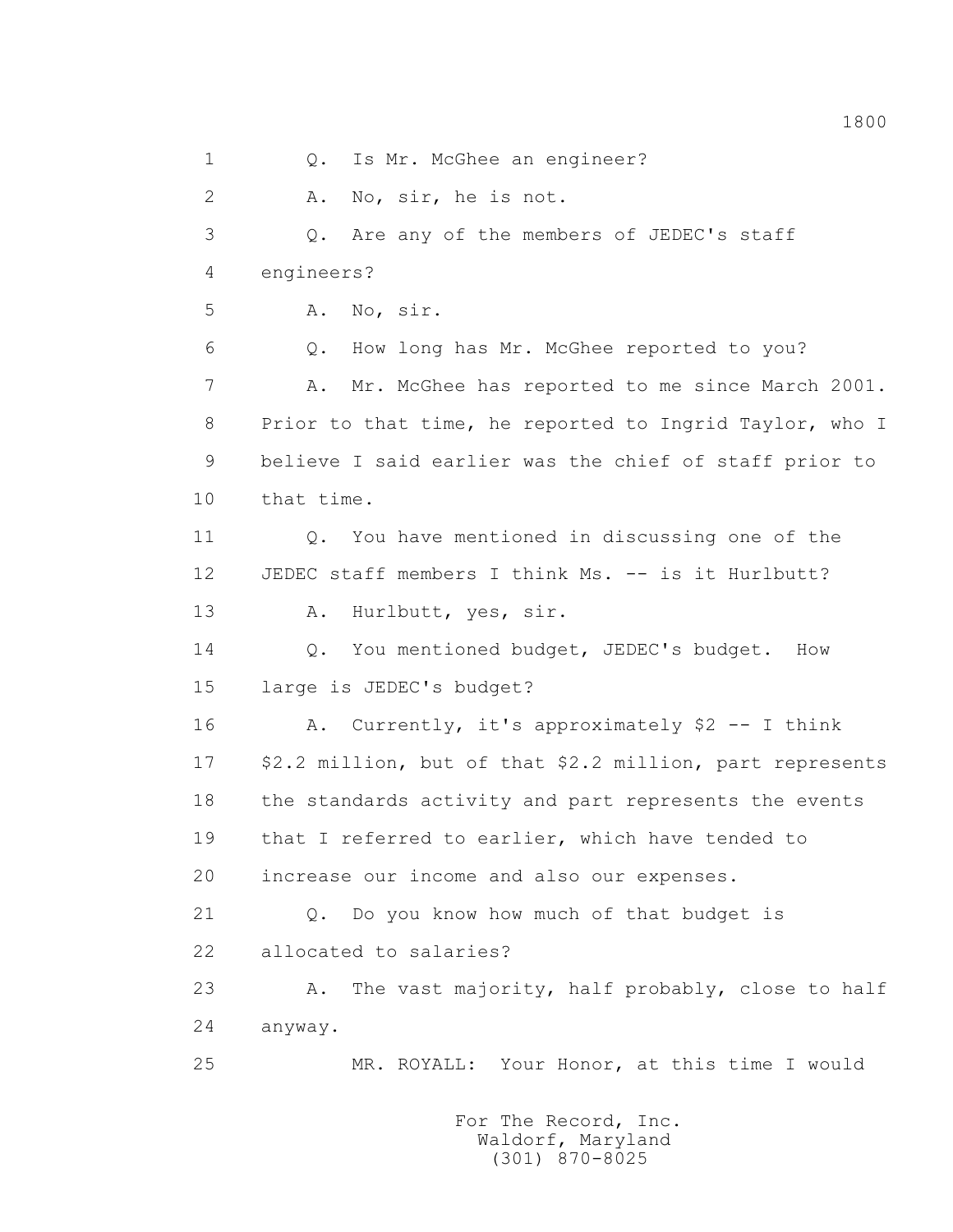1 0. Is Mr. McGhee an engineer? 2 A. No, sir, he is not. 3 Q. Are any of the members of JEDEC's staff 4 engineers? 5 A. No, sir. 6 Q. How long has Mr. McGhee reported to you? 7 A. Mr. McGhee has reported to me since March 2001. 8 Prior to that time, he reported to Ingrid Taylor, who I 9 believe I said earlier was the chief of staff prior to 10 that time. 11 Q. You have mentioned in discussing one of the 12 JEDEC staff members I think Ms. -- is it Hurlbutt? 13 A. Hurlbutt, yes, sir. 14 Q. You mentioned budget, JEDEC's budget. How 15 large is JEDEC's budget? 16 A. Currently, it's approximately \$2 -- I think 17 \$2.2 million, but of that \$2.2 million, part represents 18 the standards activity and part represents the events 19 that I referred to earlier, which have tended to 20 increase our income and also our expenses. 21 Q. Do you know how much of that budget is 22 allocated to salaries? 23 A. The vast majority, half probably, close to half 24 anyway. 25 MR. ROYALL: Your Honor, at this time I would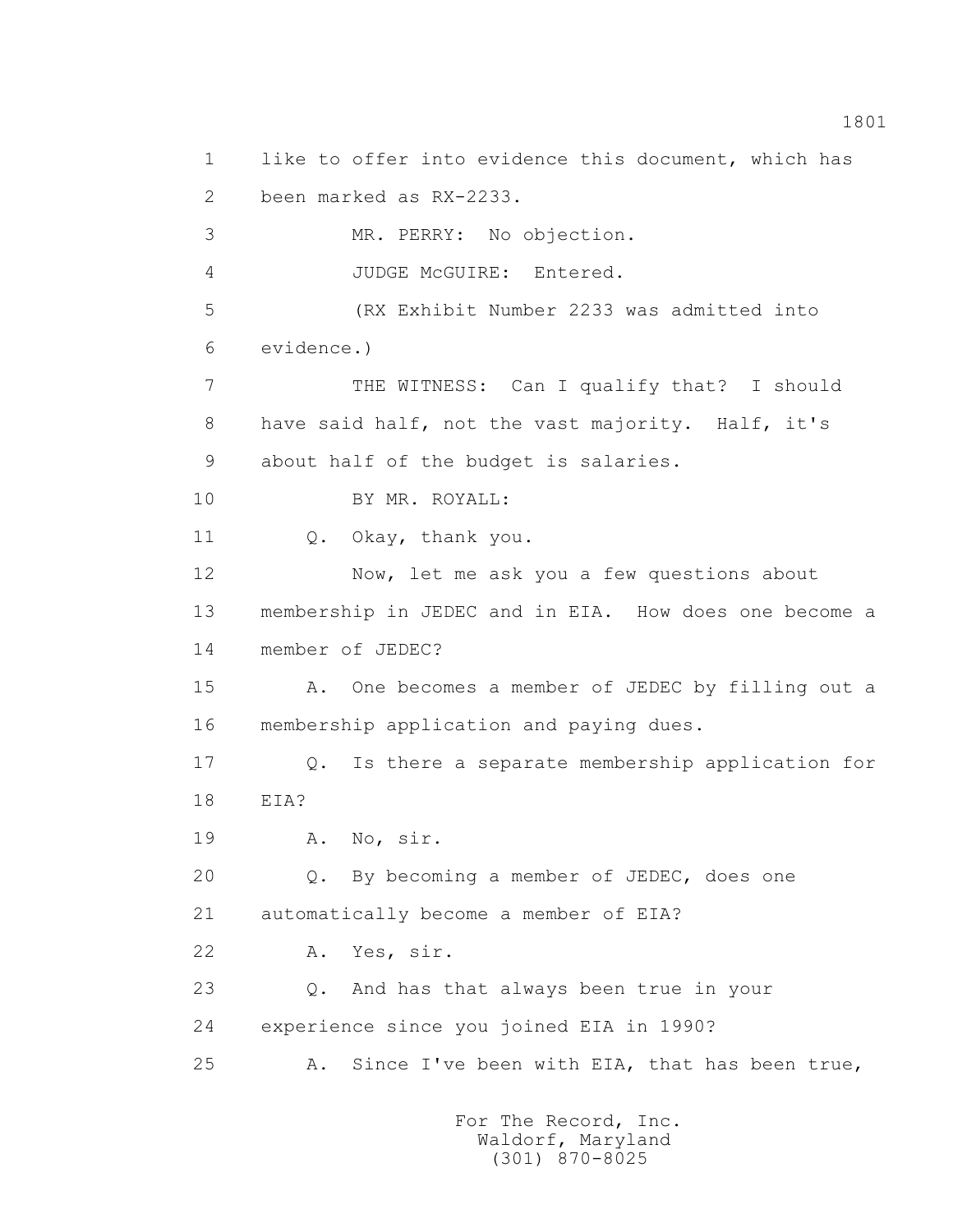1 like to offer into evidence this document, which has 2 been marked as RX-2233. 3 MR. PERRY: No objection. 4 JUDGE McGUIRE: Entered. 5 (RX Exhibit Number 2233 was admitted into 6 evidence.) 7 THE WITNESS: Can I qualify that? I should 8 have said half, not the vast majority. Half, it's 9 about half of the budget is salaries. 10 BY MR. ROYALL: 11 Q. Okay, thank you. 12 Now, let me ask you a few questions about 13 membership in JEDEC and in EIA. How does one become a 14 member of JEDEC? 15 A. One becomes a member of JEDEC by filling out a 16 membership application and paying dues. 17 Q. Is there a separate membership application for 18 EIA? 19 A. No, sir. 20 Q. By becoming a member of JEDEC, does one 21 automatically become a member of EIA? 22 A. Yes, sir. 23 Q. And has that always been true in your 24 experience since you joined EIA in 1990? 25 A. Since I've been with EIA, that has been true,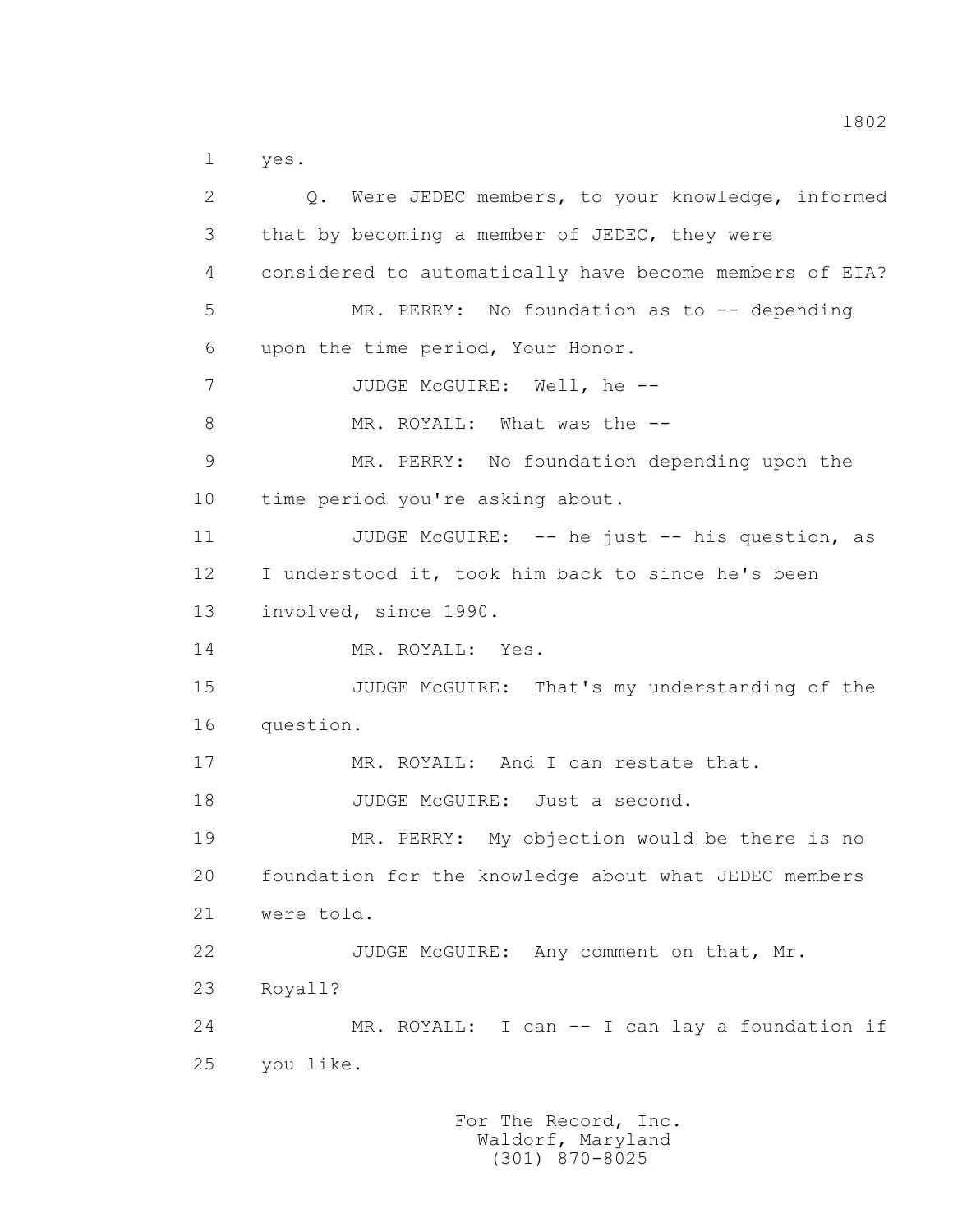1 yes.

 2 Q. Were JEDEC members, to your knowledge, informed 3 that by becoming a member of JEDEC, they were 4 considered to automatically have become members of EIA? 5 MR. PERRY: No foundation as to -- depending 6 upon the time period, Your Honor. 7 JUDGE McGUIRE: Well, he --8 MR. ROYALL: What was the -- 9 MR. PERRY: No foundation depending upon the 10 time period you're asking about. 11 JUDGE McGUIRE: -- he just -- his question, as 12 I understood it, took him back to since he's been 13 involved, since 1990. 14 MR. ROYALL: Yes. 15 JUDGE McGUIRE: That's my understanding of the 16 question. 17 MR. ROYALL: And I can restate that. 18 JUDGE McGUIRE: Just a second. 19 MR. PERRY: My objection would be there is no 20 foundation for the knowledge about what JEDEC members 21 were told. 22 JUDGE McGUIRE: Any comment on that, Mr. 23 Royall? 24 MR. ROYALL: I can -- I can lay a foundation if 25 you like.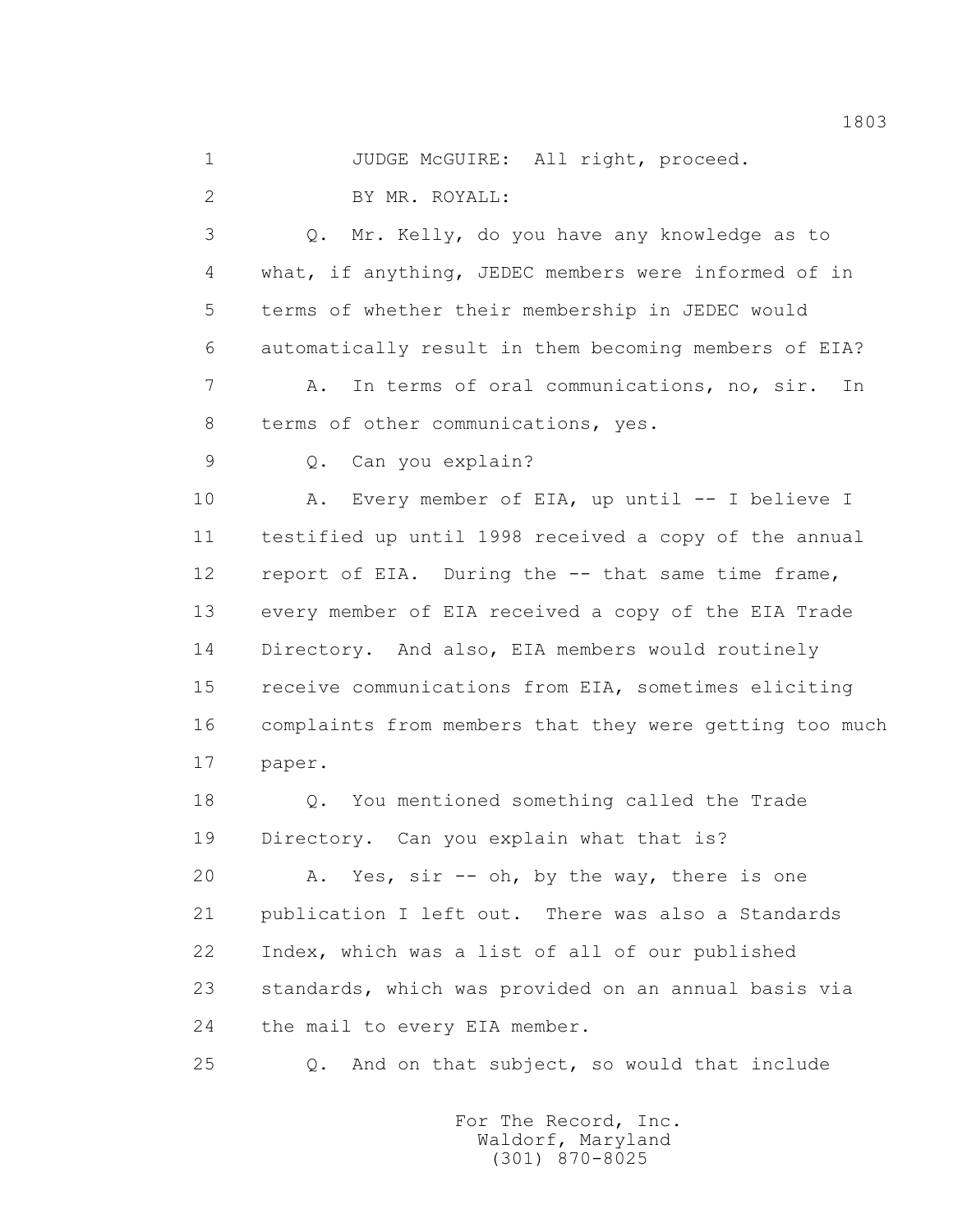1 JUDGE McGUIRE: All right, proceed. 2 BY MR. ROYALL:

 3 Q. Mr. Kelly, do you have any knowledge as to 4 what, if anything, JEDEC members were informed of in 5 terms of whether their membership in JEDEC would 6 automatically result in them becoming members of EIA? 7 A. In terms of oral communications, no, sir. In 8 terms of other communications, yes.

9 Q. Can you explain?

 10 A. Every member of EIA, up until -- I believe I 11 testified up until 1998 received a copy of the annual 12 report of EIA. During the -- that same time frame, 13 every member of EIA received a copy of the EIA Trade 14 Directory. And also, EIA members would routinely 15 receive communications from EIA, sometimes eliciting 16 complaints from members that they were getting too much 17 paper.

 18 Q. You mentioned something called the Trade 19 Directory. Can you explain what that is?

 20 A. Yes, sir -- oh, by the way, there is one 21 publication I left out. There was also a Standards 22 Index, which was a list of all of our published 23 standards, which was provided on an annual basis via 24 the mail to every EIA member.

25 Q. And on that subject, so would that include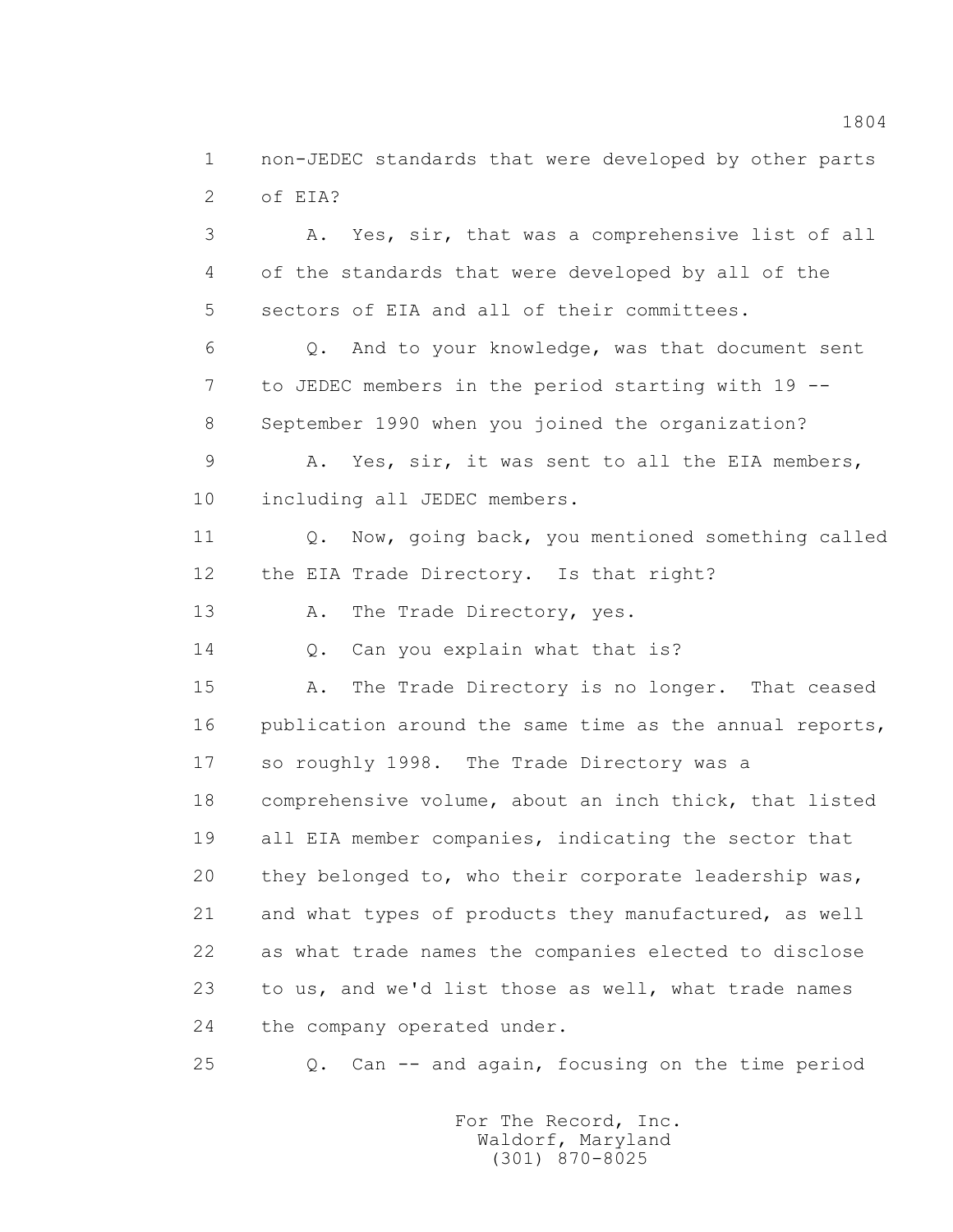1 non-JEDEC standards that were developed by other parts 2 of EIA?

 3 A. Yes, sir, that was a comprehensive list of all 4 of the standards that were developed by all of the 5 sectors of EIA and all of their committees. 6 Q. And to your knowledge, was that document sent 7 to JEDEC members in the period starting with 19 -- 8 September 1990 when you joined the organization?

 9 A. Yes, sir, it was sent to all the EIA members, 10 including all JEDEC members.

 11 Q. Now, going back, you mentioned something called 12 the EIA Trade Directory. Is that right?

13 A. The Trade Directory, yes.

14 Q. Can you explain what that is?

 15 A. The Trade Directory is no longer. That ceased 16 publication around the same time as the annual reports, 17 so roughly 1998. The Trade Directory was a 18 comprehensive volume, about an inch thick, that listed 19 all EIA member companies, indicating the sector that 20 they belonged to, who their corporate leadership was, 21 and what types of products they manufactured, as well 22 as what trade names the companies elected to disclose 23 to us, and we'd list those as well, what trade names 24 the company operated under.

25 Q. Can -- and again, focusing on the time period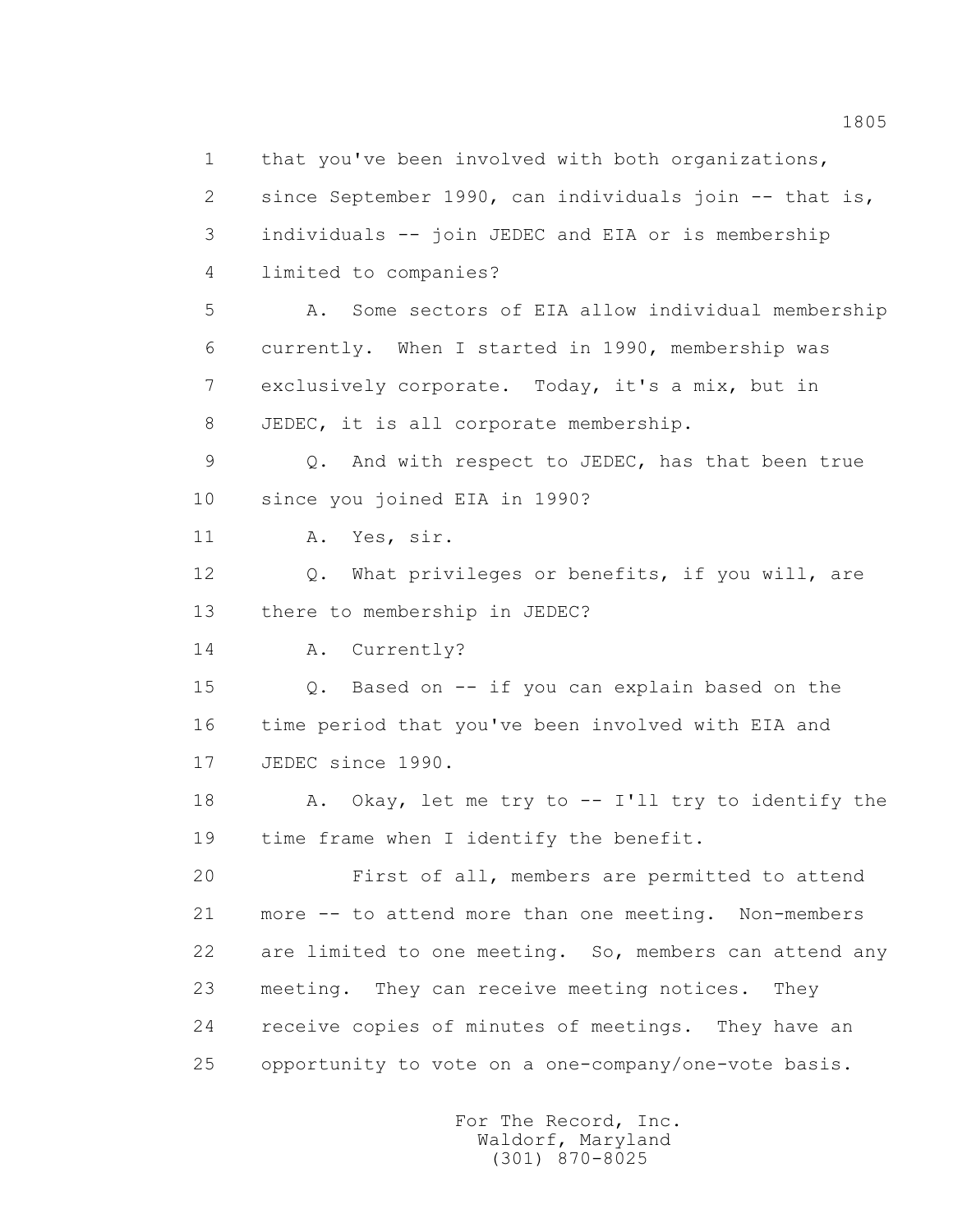1 that you've been involved with both organizations, 2 since September 1990, can individuals join -- that is, 3 individuals -- join JEDEC and EIA or is membership 4 limited to companies? 5 A. Some sectors of EIA allow individual membership 6 currently. When I started in 1990, membership was 7 exclusively corporate. Today, it's a mix, but in 8 JEDEC, it is all corporate membership. 9 Q. And with respect to JEDEC, has that been true 10 since you joined EIA in 1990? 11 A. Yes, sir. 12 O. What privileges or benefits, if you will, are 14 A. Currently? 15 Q. Based on -- if you can explain based on the 18 A. Okay, let me try to -- I'll try to identify the 19 time frame when I identify the benefit. 20 First of all, members are permitted to attend 21 more -- to attend more than one meeting. Non-members 22 are limited to one meeting. So, members can attend any 23 meeting. They can receive meeting notices. They 24 receive copies of minutes of meetings. They have an 25 opportunity to vote on a one-company/one-vote basis.

> For The Record, Inc. Waldorf, Maryland (301) 870-8025

13 there to membership in JEDEC?

 16 time period that you've been involved with EIA and 17 JEDEC since 1990.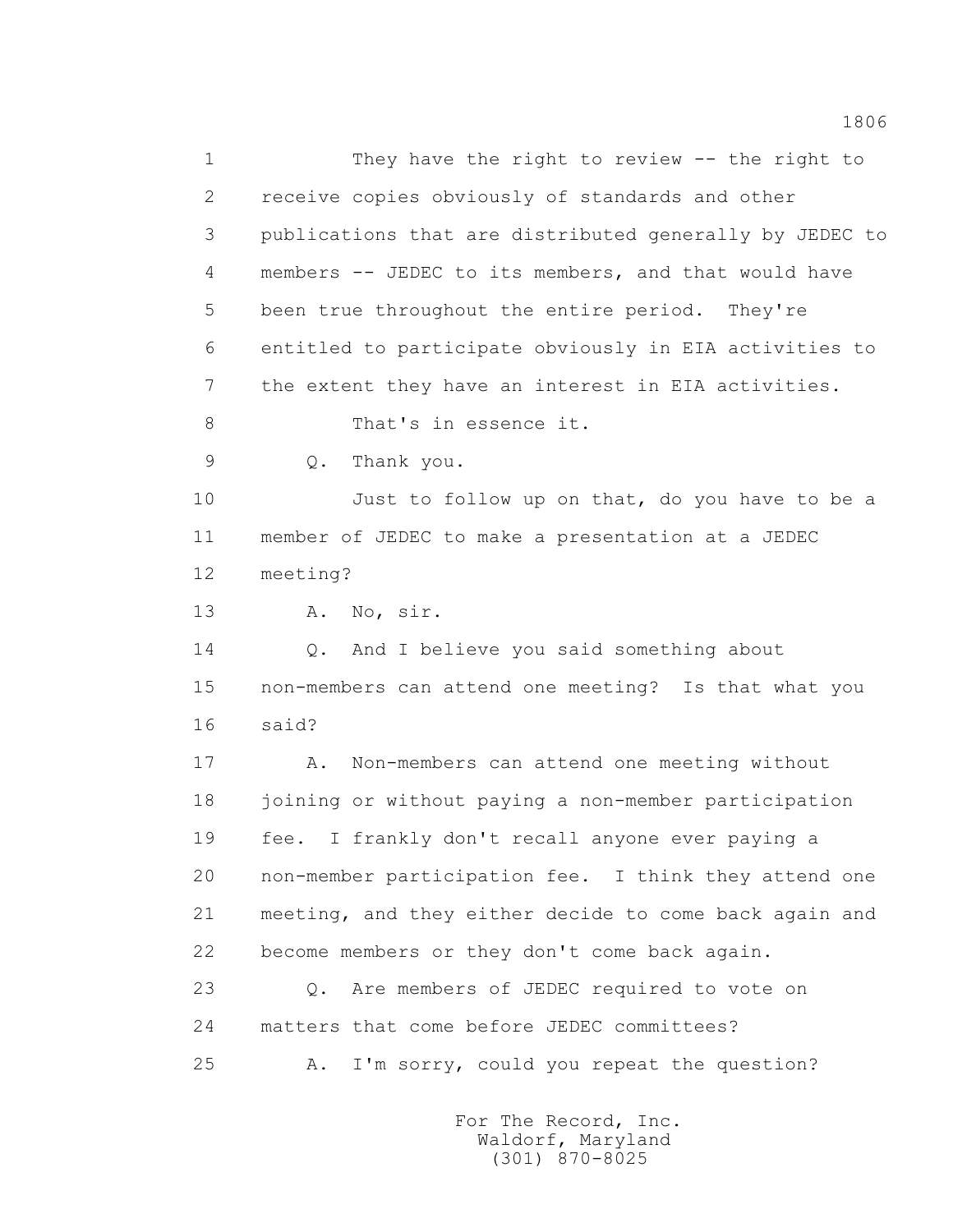1 They have the right to review -- the right to 2 receive copies obviously of standards and other 3 publications that are distributed generally by JEDEC to 4 members -- JEDEC to its members, and that would have 5 been true throughout the entire period. They're 6 entitled to participate obviously in EIA activities to 7 the extent they have an interest in EIA activities. 8 That's in essence it. 9 Q. Thank you. 10 Just to follow up on that, do you have to be a 11 member of JEDEC to make a presentation at a JEDEC 12 meeting? 13 A. No, sir. 14 Q. And I believe you said something about 15 non-members can attend one meeting? Is that what you 16 said? 17 A. Non-members can attend one meeting without 18 joining or without paying a non-member participation 19 fee. I frankly don't recall anyone ever paying a 20 non-member participation fee. I think they attend one 21 meeting, and they either decide to come back again and 22 become members or they don't come back again. 23 Q. Are members of JEDEC required to vote on 24 matters that come before JEDEC committees? 25 A. I'm sorry, could you repeat the question?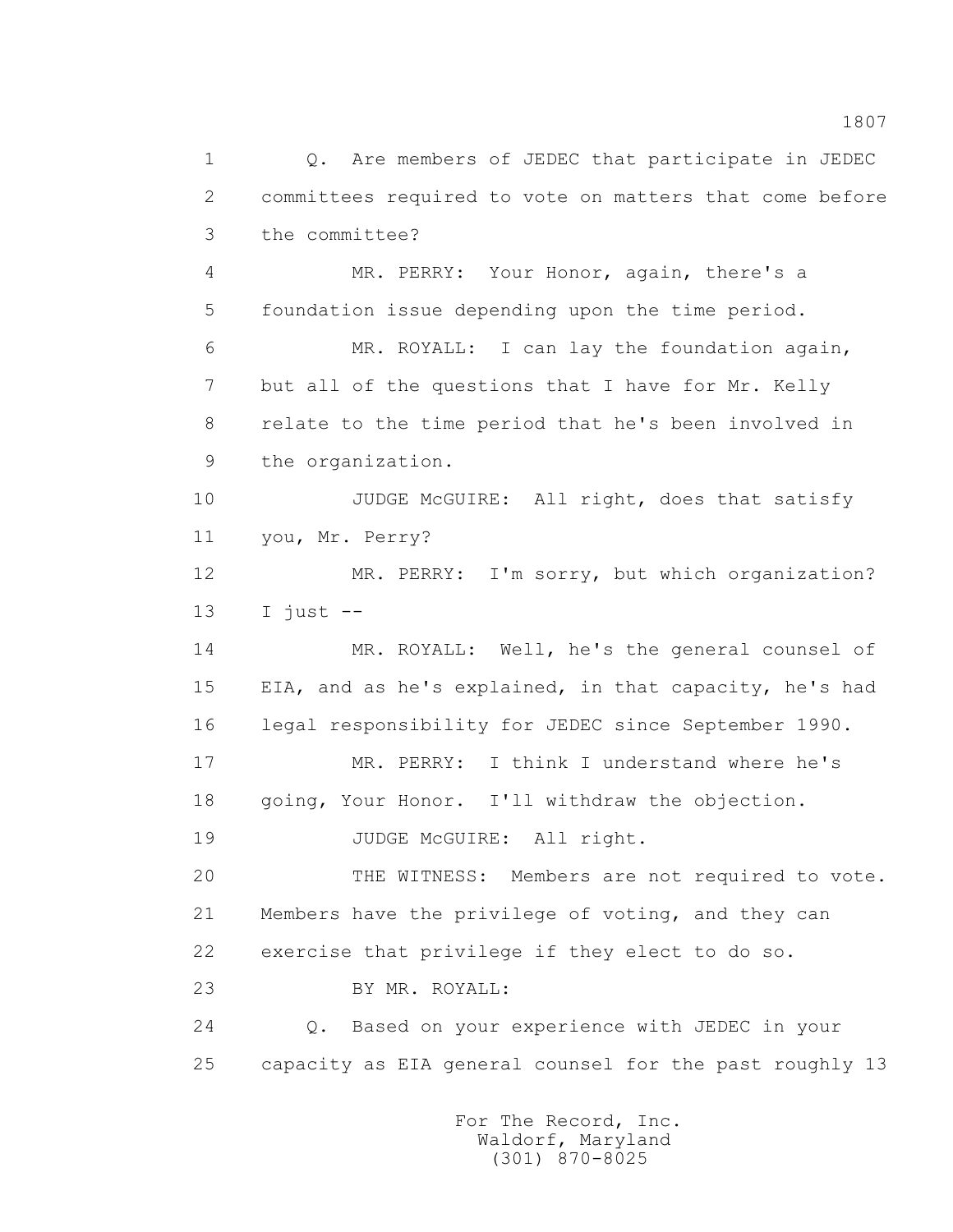1 Q. Are members of JEDEC that participate in JEDEC 2 committees required to vote on matters that come before 3 the committee? 4 MR. PERRY: Your Honor, again, there's a 5 foundation issue depending upon the time period. 6 MR. ROYALL: I can lay the foundation again, 7 but all of the questions that I have for Mr. Kelly 8 relate to the time period that he's been involved in 9 the organization. 10 JUDGE McGUIRE: All right, does that satisfy 11 you, Mr. Perry? 12 MR. PERRY: I'm sorry, but which organization?  $13$  I just  $-$  14 MR. ROYALL: Well, he's the general counsel of 15 EIA, and as he's explained, in that capacity, he's had 16 legal responsibility for JEDEC since September 1990. 17 MR. PERRY: I think I understand where he's 18 going, Your Honor. I'll withdraw the objection. 19 JUDGE McGUIRE: All right. 20 THE WITNESS: Members are not required to vote. 21 Members have the privilege of voting, and they can 22 exercise that privilege if they elect to do so. 23 BY MR. ROYALL: 24 Q. Based on your experience with JEDEC in your 25 capacity as EIA general counsel for the past roughly 13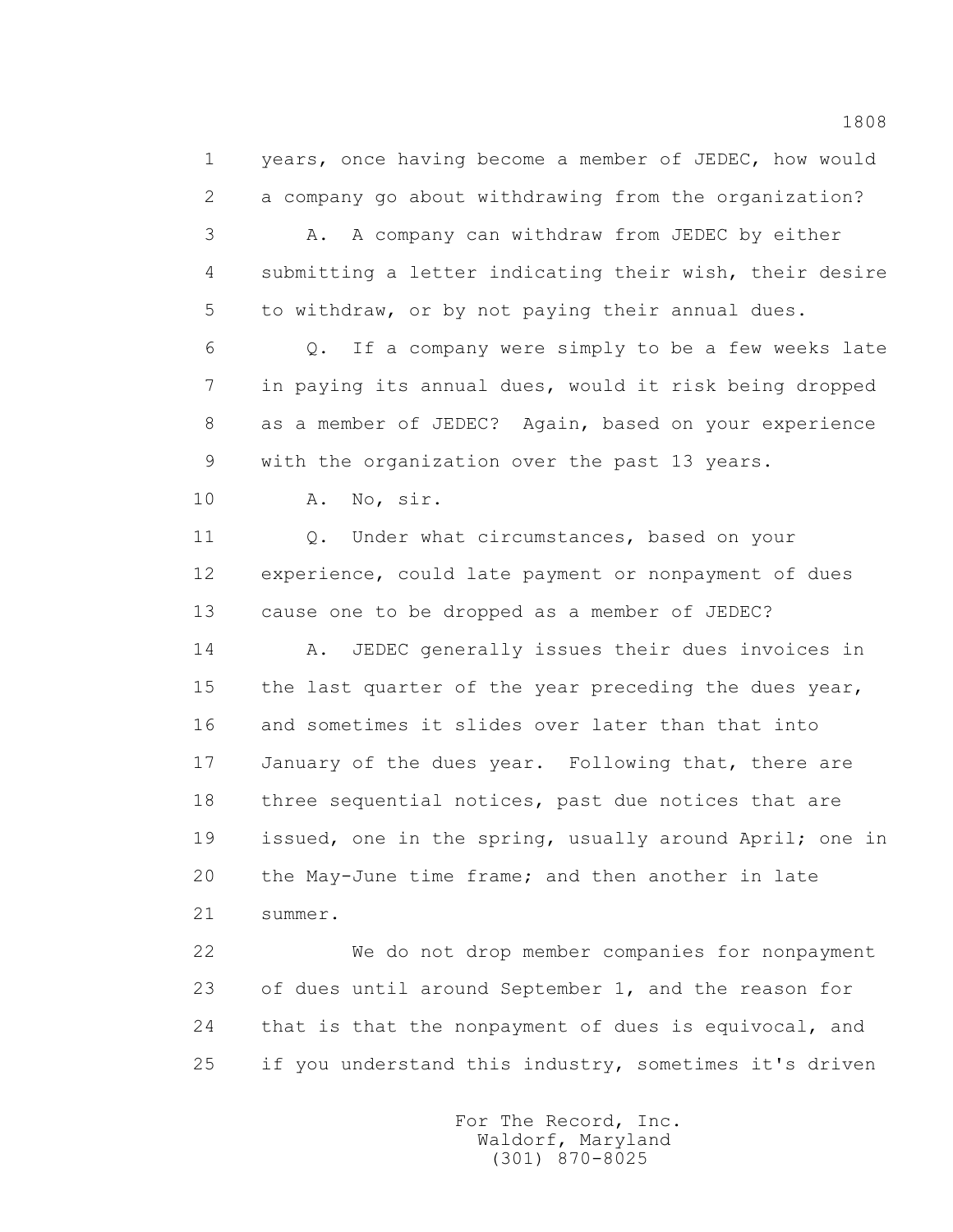1 years, once having become a member of JEDEC, how would 2 a company go about withdrawing from the organization?

 3 A. A company can withdraw from JEDEC by either 4 submitting a letter indicating their wish, their desire 5 to withdraw, or by not paying their annual dues.

 6 Q. If a company were simply to be a few weeks late 7 in paying its annual dues, would it risk being dropped 8 as a member of JEDEC? Again, based on your experience 9 with the organization over the past 13 years.

10 A. No, sir.

 11 Q. Under what circumstances, based on your 12 experience, could late payment or nonpayment of dues 13 cause one to be dropped as a member of JEDEC?

 14 A. JEDEC generally issues their dues invoices in 15 the last quarter of the year preceding the dues year, 16 and sometimes it slides over later than that into 17 January of the dues year. Following that, there are 18 three sequential notices, past due notices that are 19 issued, one in the spring, usually around April; one in 20 the May-June time frame; and then another in late 21 summer.

 22 We do not drop member companies for nonpayment 23 of dues until around September 1, and the reason for 24 that is that the nonpayment of dues is equivocal, and 25 if you understand this industry, sometimes it's driven

> For The Record, Inc. Waldorf, Maryland (301) 870-8025

1808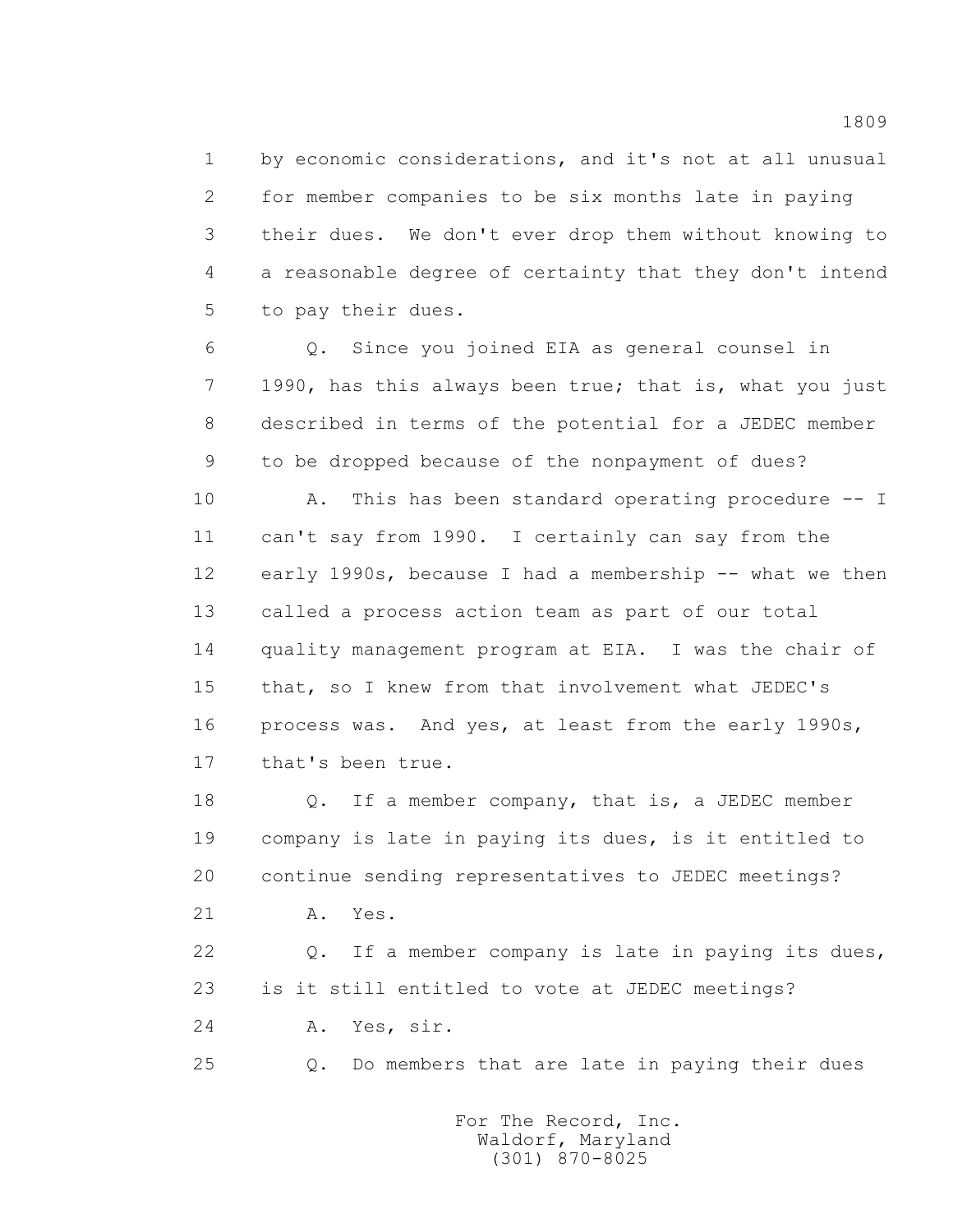1 by economic considerations, and it's not at all unusual 2 for member companies to be six months late in paying 3 their dues. We don't ever drop them without knowing to 4 a reasonable degree of certainty that they don't intend 5 to pay their dues.

 6 Q. Since you joined EIA as general counsel in 7 1990, has this always been true; that is, what you just 8 described in terms of the potential for a JEDEC member 9 to be dropped because of the nonpayment of dues?

10 A. This has been standard operating procedure -- I 11 can't say from 1990. I certainly can say from the 12 early 1990s, because I had a membership -- what we then 13 called a process action team as part of our total 14 quality management program at EIA. I was the chair of 15 that, so I knew from that involvement what JEDEC's 16 process was. And yes, at least from the early 1990s, 17 that's been true.

18 0. If a member company, that is, a JEDEC member 19 company is late in paying its dues, is it entitled to 20 continue sending representatives to JEDEC meetings? 21 A. Yes.

> 22 Q. If a member company is late in paying its dues, 23 is it still entitled to vote at JEDEC meetings?

24 A. Yes, sir.

25 Q. Do members that are late in paying their dues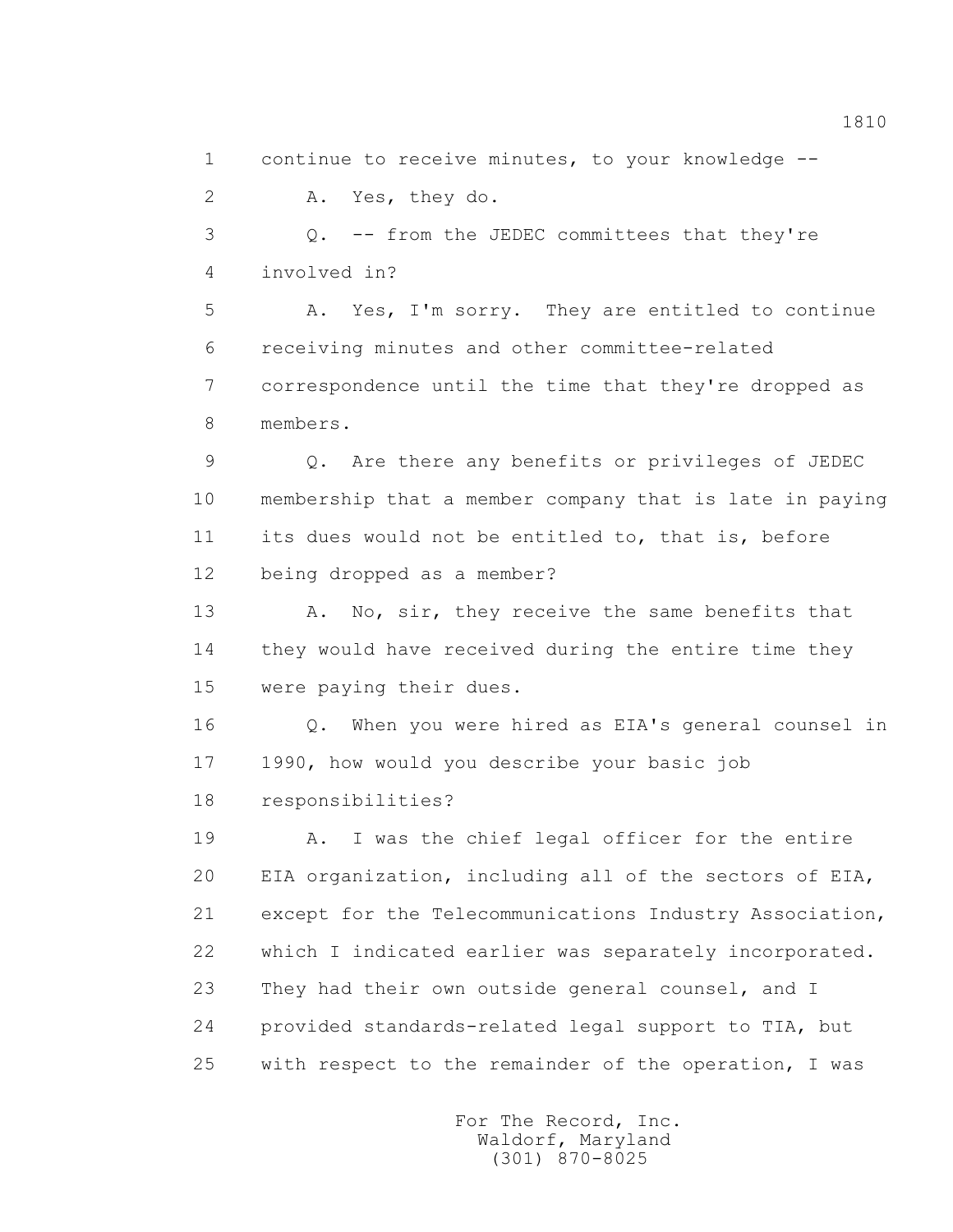1 continue to receive minutes, to your knowledge --

2 A. Yes, they do.

 3 Q. -- from the JEDEC committees that they're 4 involved in?

 5 A. Yes, I'm sorry. They are entitled to continue 6 receiving minutes and other committee-related 7 correspondence until the time that they're dropped as 8 members.

 9 Q. Are there any benefits or privileges of JEDEC 10 membership that a member company that is late in paying 11 its dues would not be entitled to, that is, before 12 being dropped as a member?

 13 A. No, sir, they receive the same benefits that 14 they would have received during the entire time they 15 were paying their dues.

 16 Q. When you were hired as EIA's general counsel in 17 1990, how would you describe your basic job 18 responsibilities?

 19 A. I was the chief legal officer for the entire 20 EIA organization, including all of the sectors of EIA, 21 except for the Telecommunications Industry Association, 22 which I indicated earlier was separately incorporated. 23 They had their own outside general counsel, and I 24 provided standards-related legal support to TIA, but 25 with respect to the remainder of the operation, I was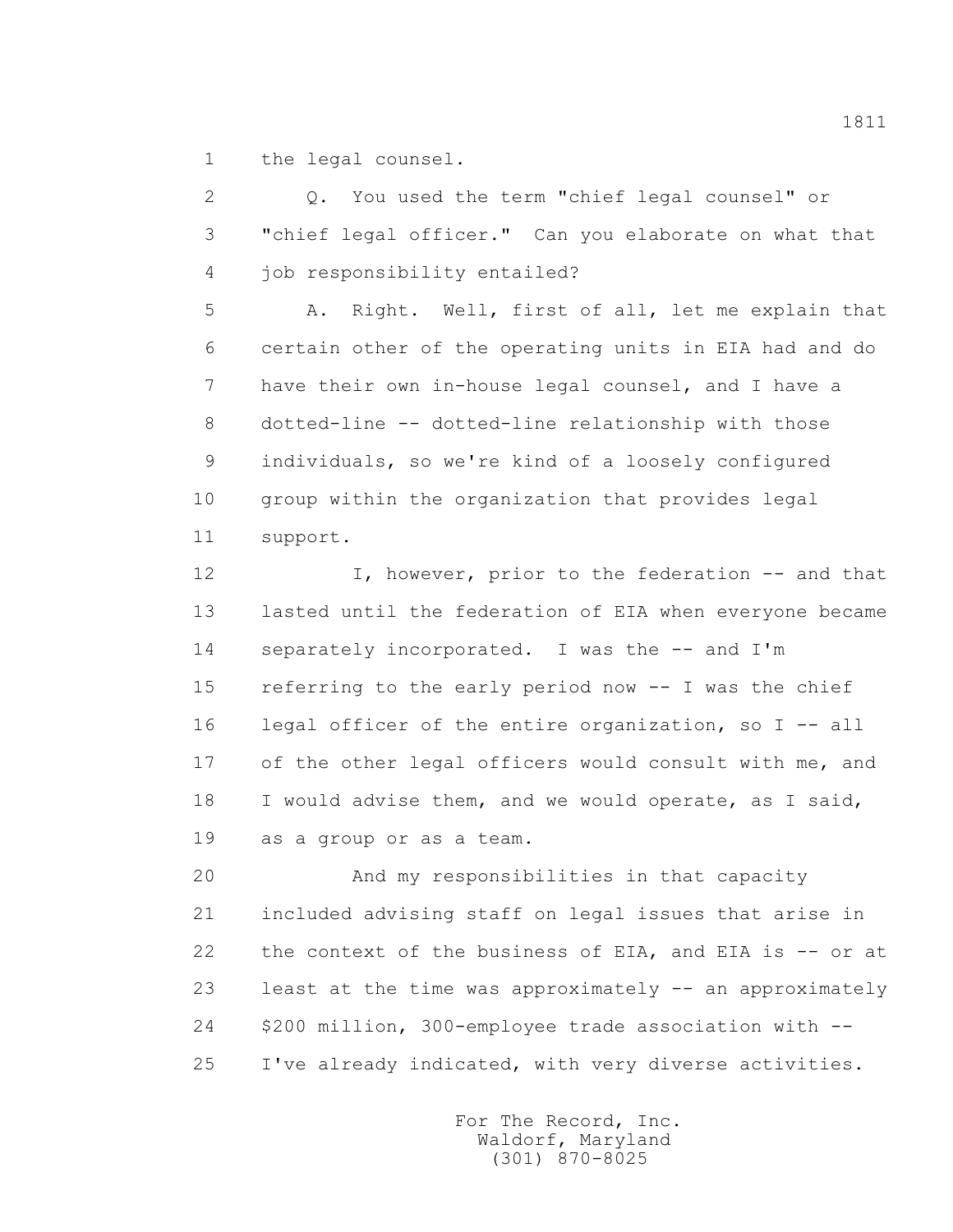1 the legal counsel.

 2 Q. You used the term "chief legal counsel" or 3 "chief legal officer." Can you elaborate on what that 4 job responsibility entailed?

 5 A. Right. Well, first of all, let me explain that 6 certain other of the operating units in EIA had and do 7 have their own in-house legal counsel, and I have a 8 dotted-line -- dotted-line relationship with those 9 individuals, so we're kind of a loosely configured 10 group within the organization that provides legal 11 support.

 12 I, however, prior to the federation -- and that 13 lasted until the federation of EIA when everyone became 14 separately incorporated. I was the -- and I'm 15 referring to the early period now -- I was the chief 16 legal officer of the entire organization, so I -- all 17 of the other legal officers would consult with me, and 18 I would advise them, and we would operate, as I said, 19 as a group or as a team.

 20 And my responsibilities in that capacity 21 included advising staff on legal issues that arise in 22 the context of the business of EIA, and EIA is -- or at 23 least at the time was approximately -- an approximately 24 \$200 million, 300-employee trade association with -- 25 I've already indicated, with very diverse activities.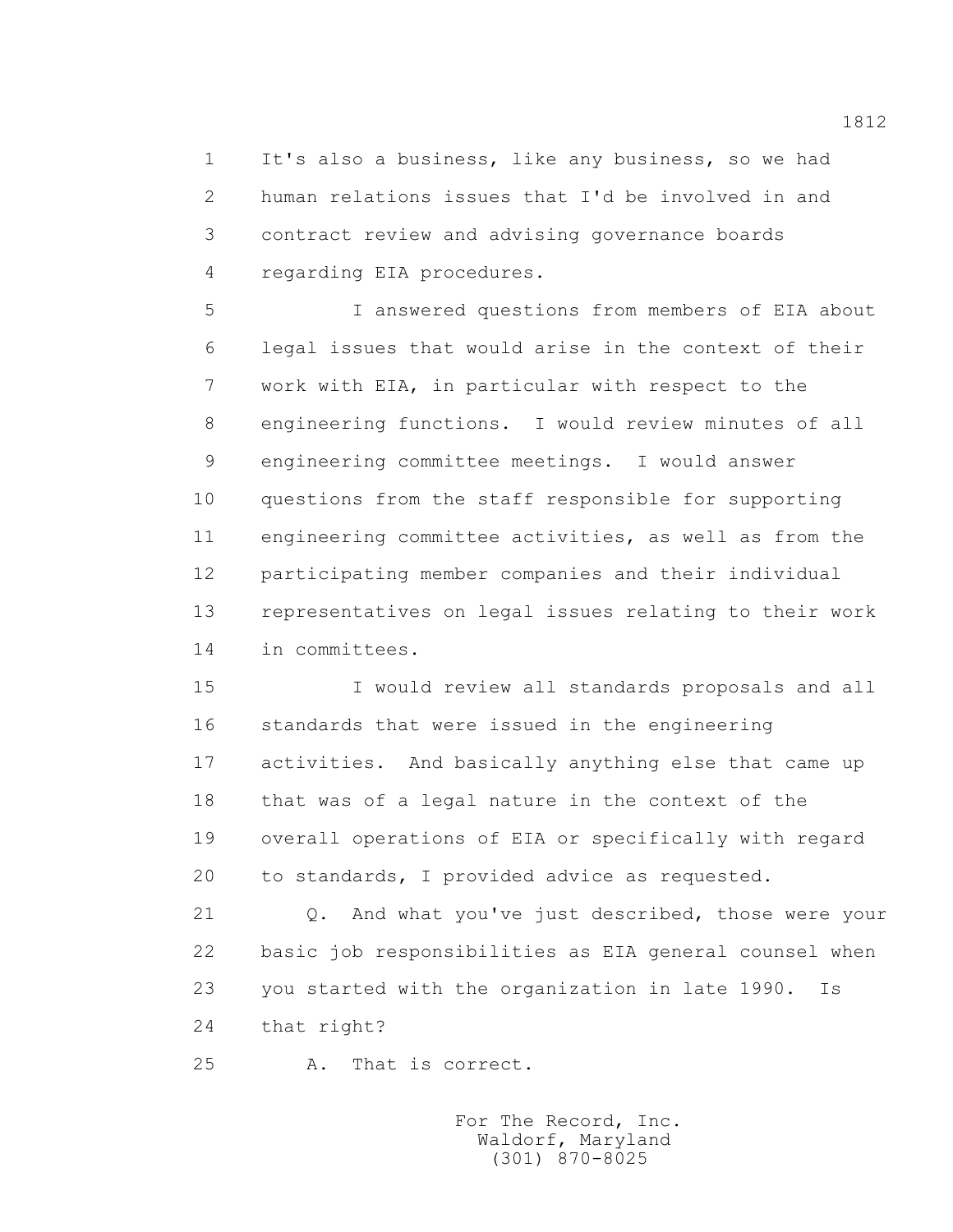1 It's also a business, like any business, so we had 2 human relations issues that I'd be involved in and 3 contract review and advising governance boards 4 regarding EIA procedures.

 5 I answered questions from members of EIA about 6 legal issues that would arise in the context of their 7 work with EIA, in particular with respect to the 8 engineering functions. I would review minutes of all 9 engineering committee meetings. I would answer 10 questions from the staff responsible for supporting 11 engineering committee activities, as well as from the 12 participating member companies and their individual 13 representatives on legal issues relating to their work 14 in committees.

 15 I would review all standards proposals and all 16 standards that were issued in the engineering 17 activities. And basically anything else that came up 18 that was of a legal nature in the context of the 19 overall operations of EIA or specifically with regard 20 to standards, I provided advice as requested.

 21 Q. And what you've just described, those were your 22 basic job responsibilities as EIA general counsel when 23 you started with the organization in late 1990. Is 24 that right?

25 A. That is correct.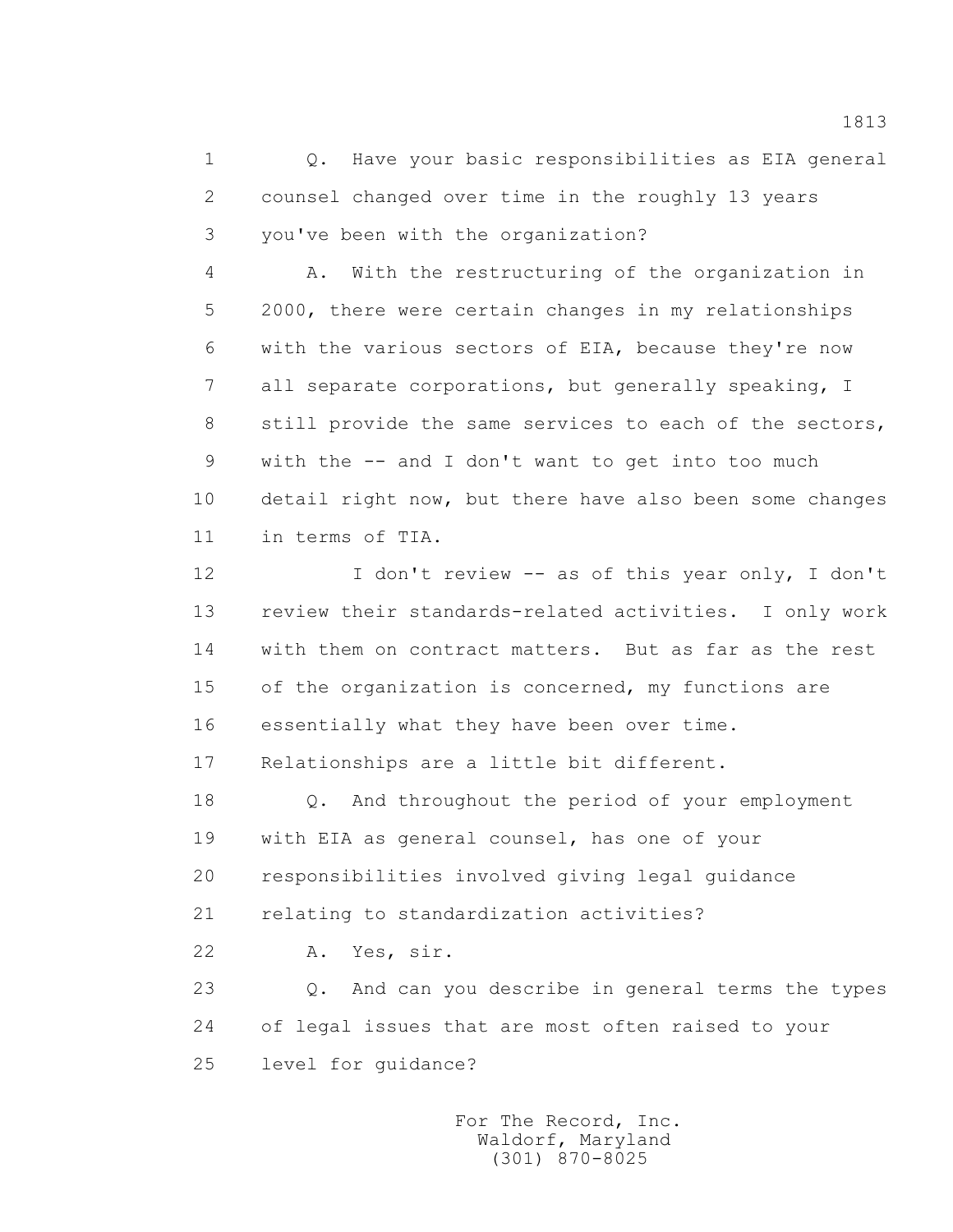1 Q. Have your basic responsibilities as EIA general 2 counsel changed over time in the roughly 13 years 3 you've been with the organization?

 4 A. With the restructuring of the organization in 5 2000, there were certain changes in my relationships 6 with the various sectors of EIA, because they're now 7 all separate corporations, but generally speaking, I 8 still provide the same services to each of the sectors, 9 with the -- and I don't want to get into too much 10 detail right now, but there have also been some changes 11 in terms of TIA.

 12 I don't review -- as of this year only, I don't 13 review their standards-related activities. I only work 14 with them on contract matters. But as far as the rest 15 of the organization is concerned, my functions are 16 essentially what they have been over time.

17 Relationships are a little bit different.

18 0. And throughout the period of your employment 19 with EIA as general counsel, has one of your 20 responsibilities involved giving legal guidance 21 relating to standardization activities?

22 A. Yes, sir.

 23 Q. And can you describe in general terms the types 24 of legal issues that are most often raised to your 25 level for guidance?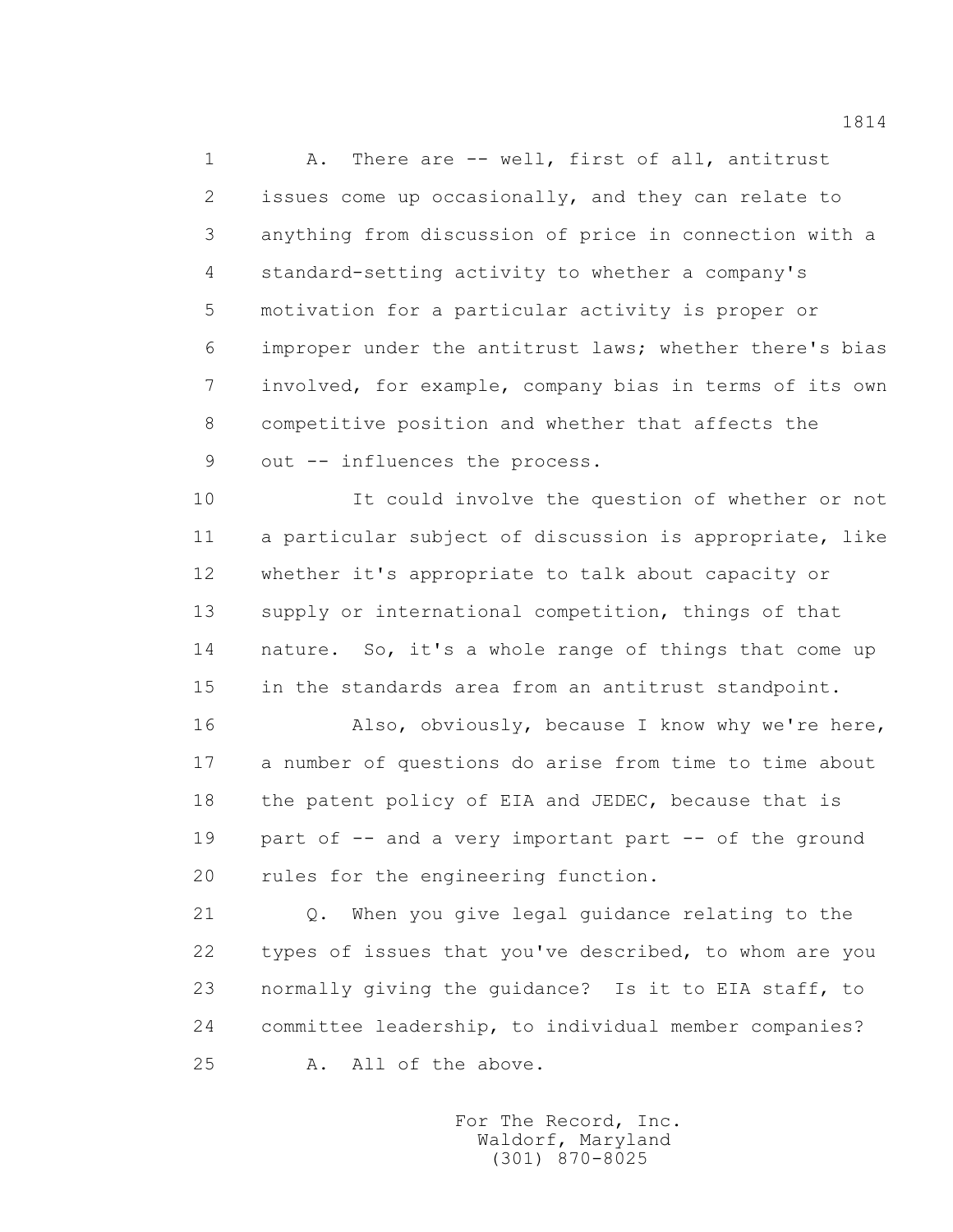1 A. There are -- well, first of all, antitrust 2 issues come up occasionally, and they can relate to 3 anything from discussion of price in connection with a 4 standard-setting activity to whether a company's 5 motivation for a particular activity is proper or 6 improper under the antitrust laws; whether there's bias 7 involved, for example, company bias in terms of its own 8 competitive position and whether that affects the 9 out -- influences the process.

 10 It could involve the question of whether or not 11 a particular subject of discussion is appropriate, like 12 whether it's appropriate to talk about capacity or 13 supply or international competition, things of that 14 nature. So, it's a whole range of things that come up 15 in the standards area from an antitrust standpoint.

 16 Also, obviously, because I know why we're here, 17 a number of questions do arise from time to time about 18 the patent policy of EIA and JEDEC, because that is 19 part of -- and a very important part -- of the ground 20 rules for the engineering function.

 21 Q. When you give legal guidance relating to the 22 types of issues that you've described, to whom are you 23 normally giving the guidance? Is it to EIA staff, to 24 committee leadership, to individual member companies? 25 A. All of the above.

> For The Record, Inc. Waldorf, Maryland (301) 870-8025

1814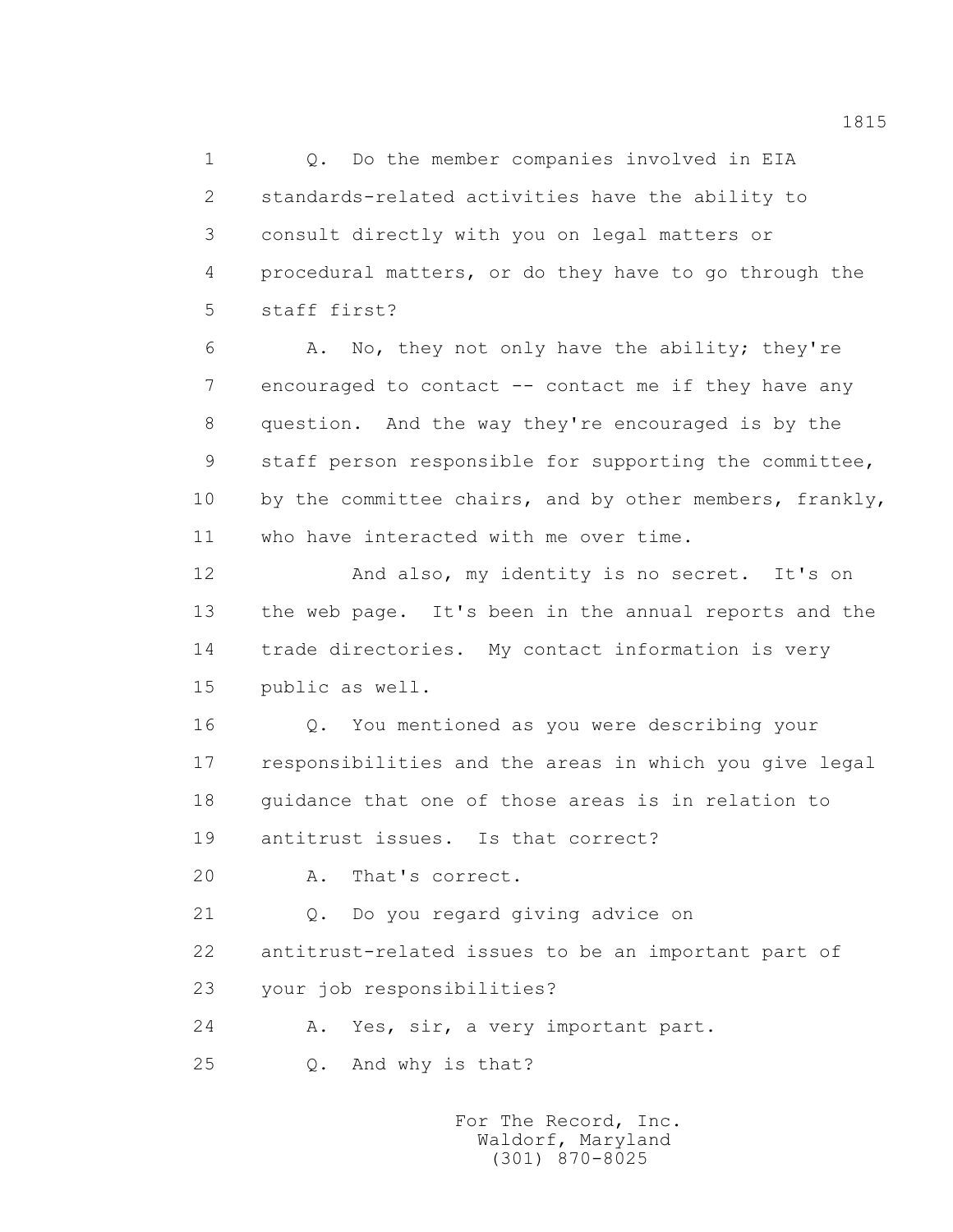1 Q. Do the member companies involved in EIA 2 standards-related activities have the ability to 3 consult directly with you on legal matters or 4 procedural matters, or do they have to go through the 5 staff first?

 6 A. No, they not only have the ability; they're 7 encouraged to contact -- contact me if they have any 8 question. And the way they're encouraged is by the 9 staff person responsible for supporting the committee, 10 by the committee chairs, and by other members, frankly, 11 who have interacted with me over time.

12 And also, my identity is no secret. It's on 13 the web page. It's been in the annual reports and the 14 trade directories. My contact information is very 15 public as well.

 16 Q. You mentioned as you were describing your 17 responsibilities and the areas in which you give legal 18 guidance that one of those areas is in relation to 19 antitrust issues. Is that correct?

20 A. That's correct.

21 Q. Do you regard giving advice on

 22 antitrust-related issues to be an important part of 23 your job responsibilities?

24 A. Yes, sir, a very important part.

25 Q. And why is that?

 For The Record, Inc. Waldorf, Maryland (301) 870-8025

1815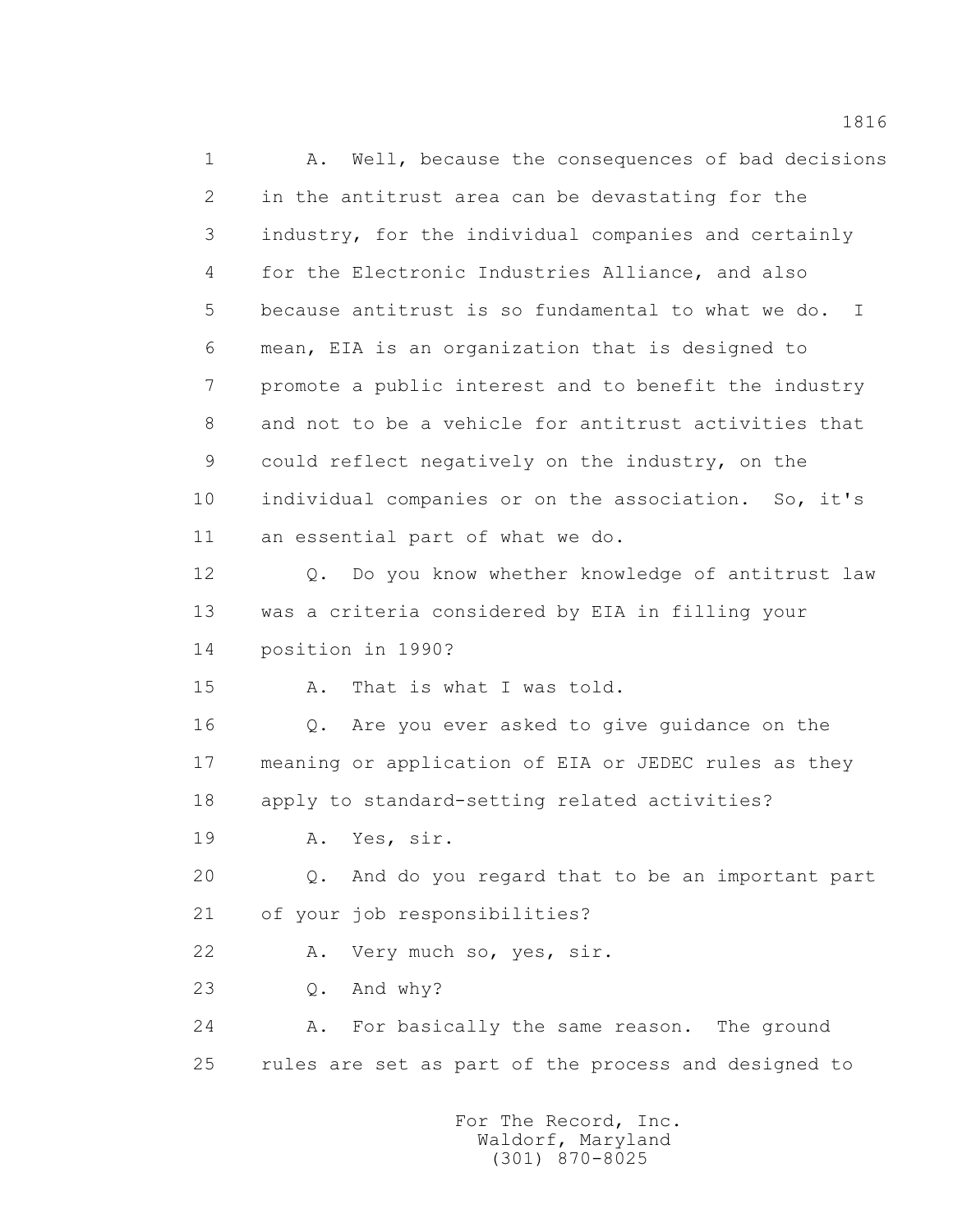1 A. Well, because the consequences of bad decisions 2 in the antitrust area can be devastating for the 3 industry, for the individual companies and certainly 4 for the Electronic Industries Alliance, and also 5 because antitrust is so fundamental to what we do. I 6 mean, EIA is an organization that is designed to 7 promote a public interest and to benefit the industry 8 and not to be a vehicle for antitrust activities that 9 could reflect negatively on the industry, on the 10 individual companies or on the association. So, it's 11 an essential part of what we do. 12 Q. Do you know whether knowledge of antitrust law 13 was a criteria considered by EIA in filling your 14 position in 1990? 15 A. That is what I was told. 16 Q. Are you ever asked to give guidance on the 17 meaning or application of EIA or JEDEC rules as they 18 apply to standard-setting related activities? 19 A. Yes, sir. 20 Q. And do you regard that to be an important part 21 of your job responsibilities? 22 A. Very much so, yes, sir. 23 Q. And why? 24 A. For basically the same reason. The ground 25 rules are set as part of the process and designed to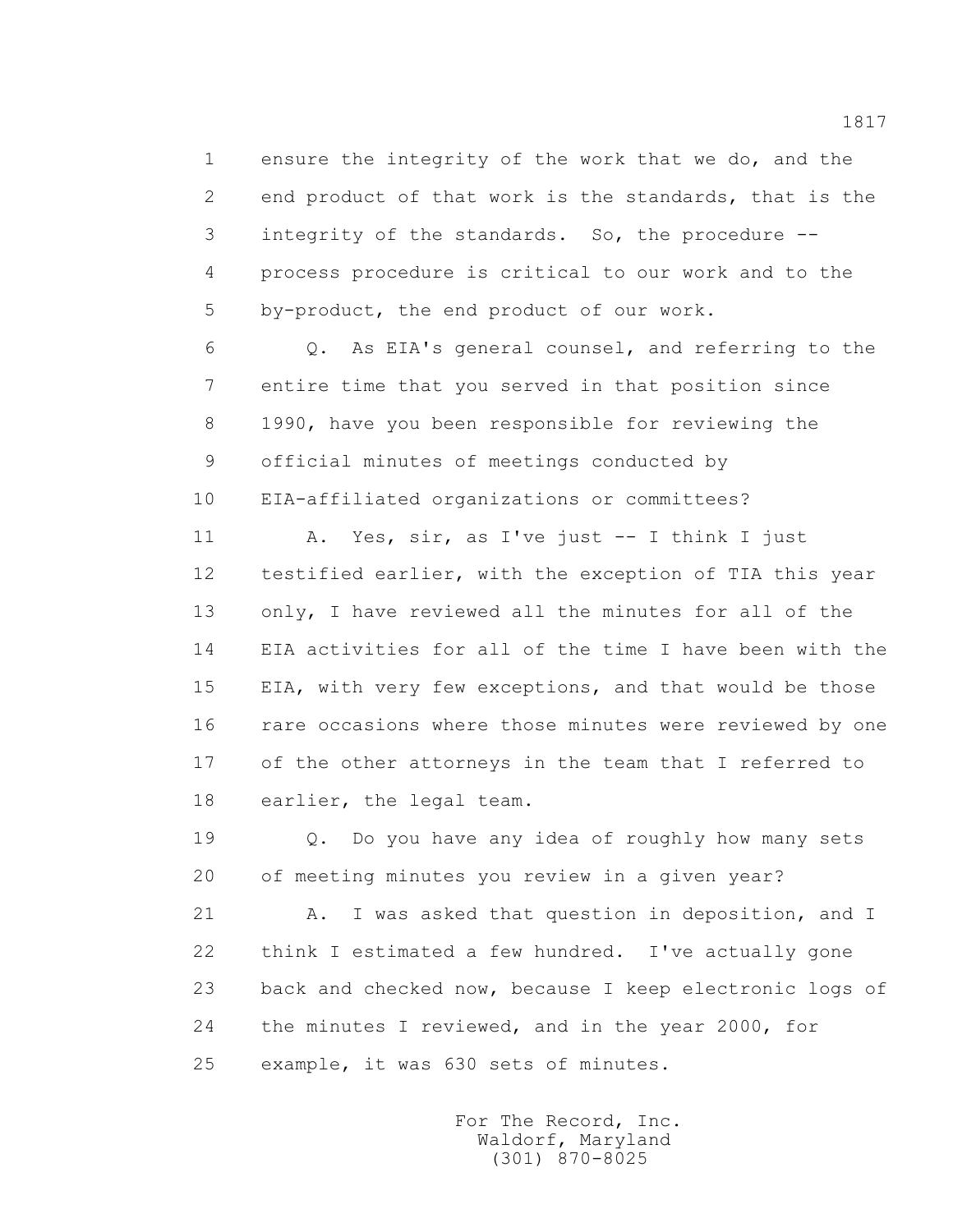1 ensure the integrity of the work that we do, and the 2 end product of that work is the standards, that is the 3 integrity of the standards. So, the procedure -- 4 process procedure is critical to our work and to the 5 by-product, the end product of our work.

 6 Q. As EIA's general counsel, and referring to the 7 entire time that you served in that position since 8 1990, have you been responsible for reviewing the 9 official minutes of meetings conducted by 10 EIA-affiliated organizations or committees?

 11 A. Yes, sir, as I've just -- I think I just 12 testified earlier, with the exception of TIA this year 13 only, I have reviewed all the minutes for all of the 14 EIA activities for all of the time I have been with the 15 EIA, with very few exceptions, and that would be those 16 rare occasions where those minutes were reviewed by one 17 of the other attorneys in the team that I referred to 18 earlier, the legal team.

 19 Q. Do you have any idea of roughly how many sets 20 of meeting minutes you review in a given year?

21 A. I was asked that question in deposition, and I 22 think I estimated a few hundred. I've actually gone 23 back and checked now, because I keep electronic logs of 24 the minutes I reviewed, and in the year 2000, for 25 example, it was 630 sets of minutes.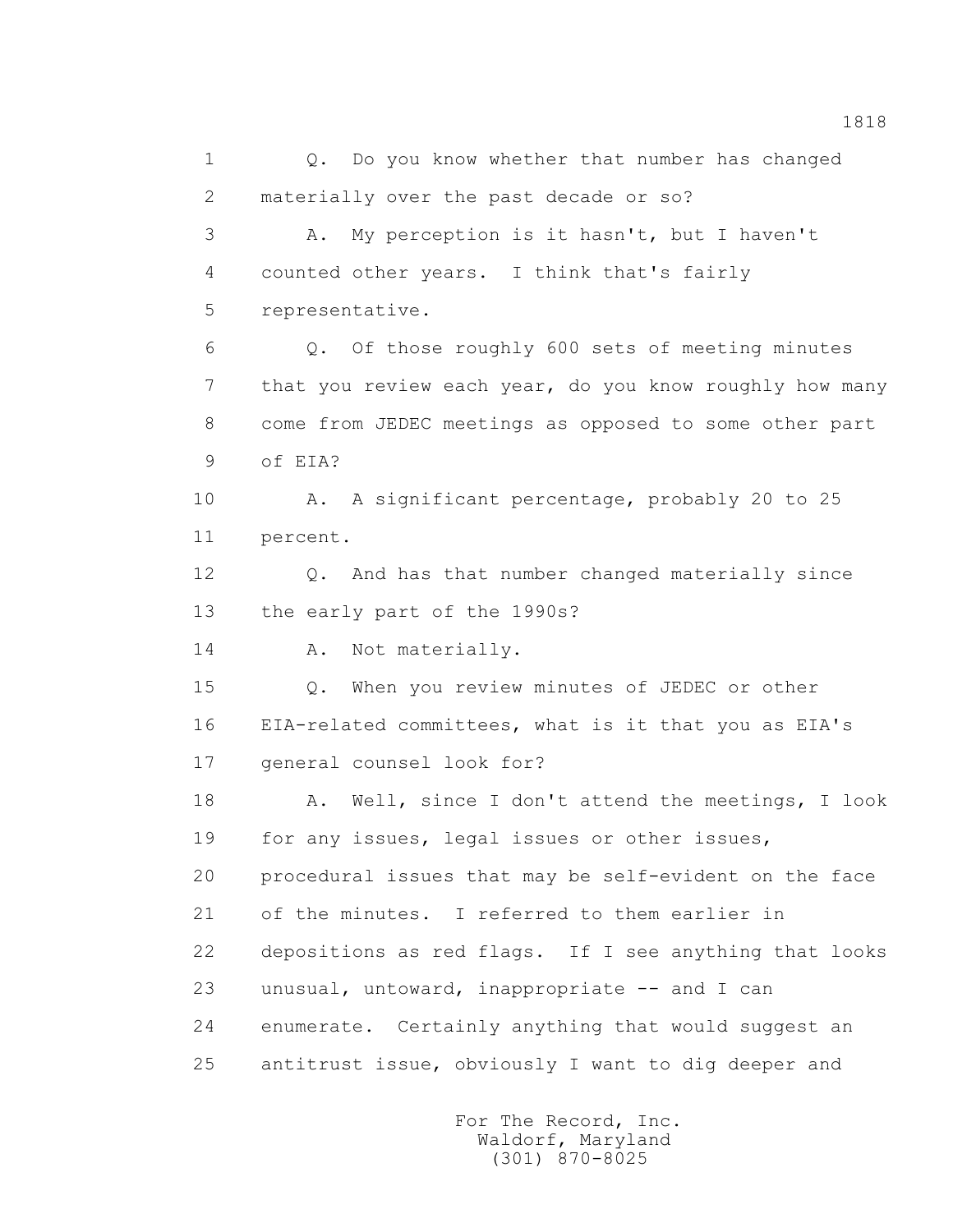1 Q. Do you know whether that number has changed 2 materially over the past decade or so? 3 A. My perception is it hasn't, but I haven't 4 counted other years. I think that's fairly 5 representative. 6 Q. Of those roughly 600 sets of meeting minutes 7 that you review each year, do you know roughly how many 8 come from JEDEC meetings as opposed to some other part 9 of EIA? 10 A. A significant percentage, probably 20 to 25 11 percent. 12 Q. And has that number changed materially since 13 the early part of the 1990s? 14 A. Not materially. 15 Q. When you review minutes of JEDEC or other 16 EIA-related committees, what is it that you as EIA's 17 general counsel look for? 18 A. Well, since I don't attend the meetings, I look 19 for any issues, legal issues or other issues, 20 procedural issues that may be self-evident on the face 21 of the minutes. I referred to them earlier in 22 depositions as red flags. If I see anything that looks 23 unusual, untoward, inappropriate -- and I can 24 enumerate. Certainly anything that would suggest an 25 antitrust issue, obviously I want to dig deeper and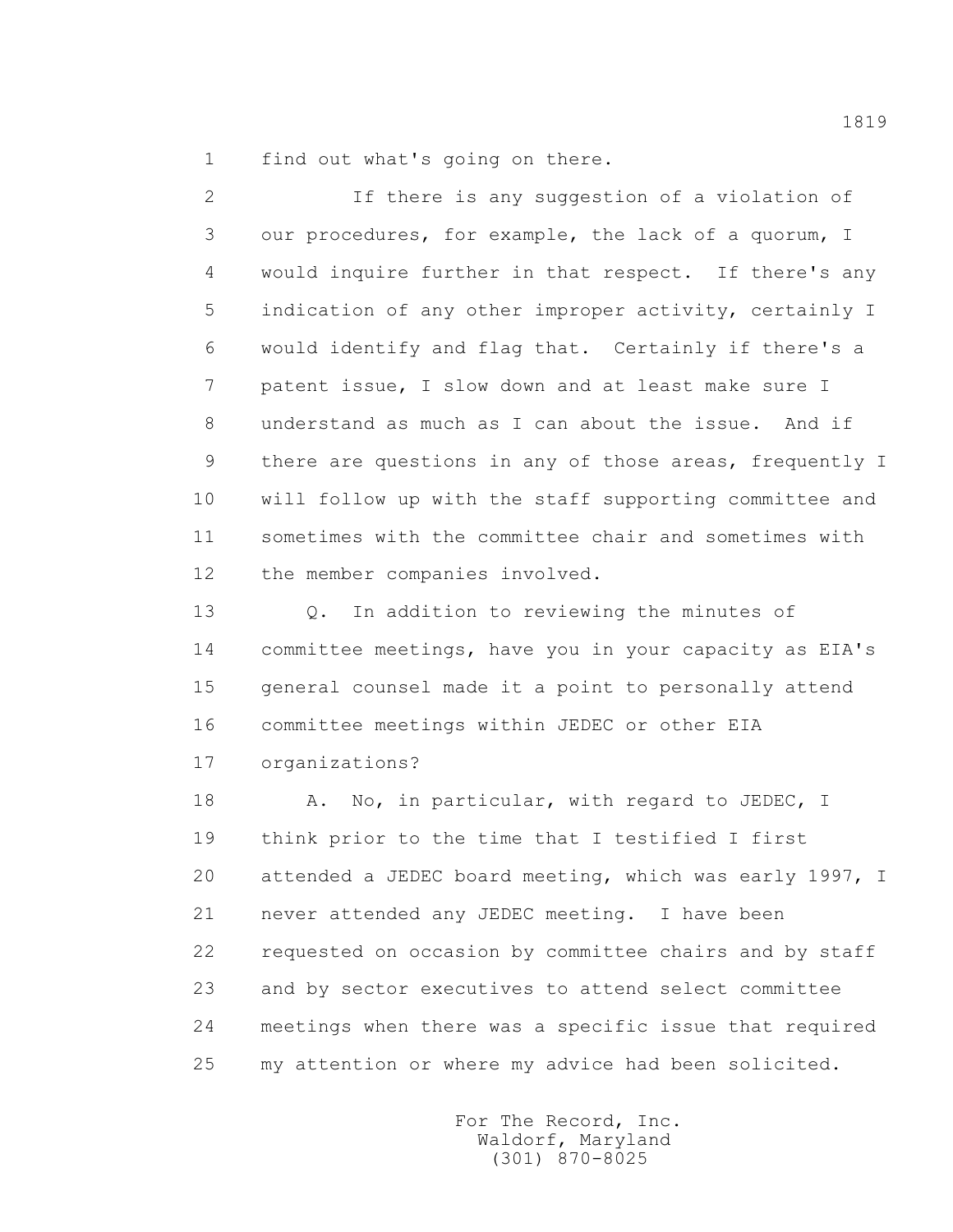1 find out what's going on there.

 2 If there is any suggestion of a violation of 3 our procedures, for example, the lack of a quorum, I 4 would inquire further in that respect. If there's any 5 indication of any other improper activity, certainly I 6 would identify and flag that. Certainly if there's a 7 patent issue, I slow down and at least make sure I 8 understand as much as I can about the issue. And if 9 there are questions in any of those areas, frequently I 10 will follow up with the staff supporting committee and 11 sometimes with the committee chair and sometimes with 12 the member companies involved.

13 0. In addition to reviewing the minutes of 14 committee meetings, have you in your capacity as EIA's 15 general counsel made it a point to personally attend 16 committee meetings within JEDEC or other EIA

17 organizations?

18 A. No, in particular, with regard to JEDEC, I 19 think prior to the time that I testified I first 20 attended a JEDEC board meeting, which was early 1997, I 21 never attended any JEDEC meeting. I have been 22 requested on occasion by committee chairs and by staff 23 and by sector executives to attend select committee 24 meetings when there was a specific issue that required 25 my attention or where my advice had been solicited.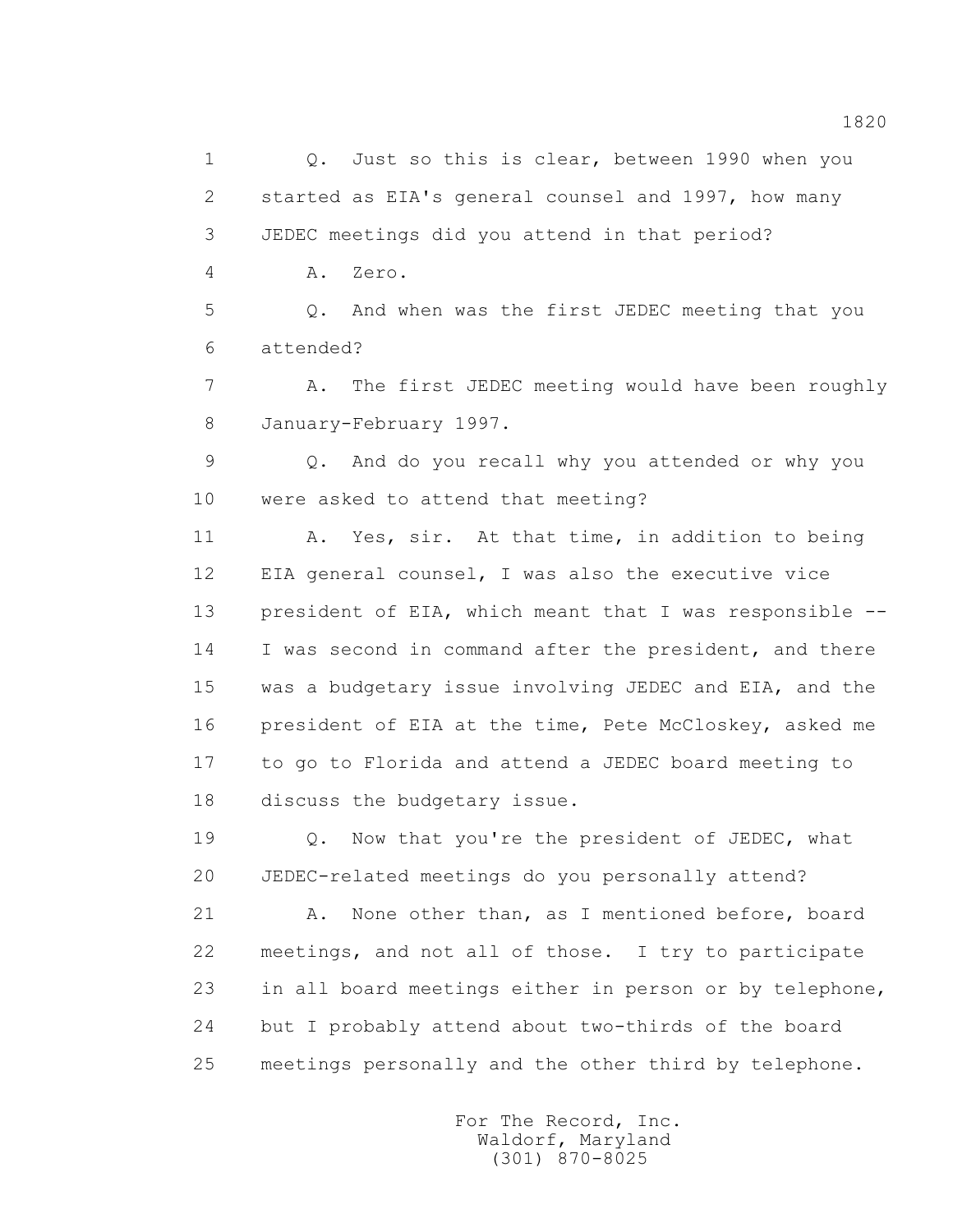1 Q. Just so this is clear, between 1990 when you 2 started as EIA's general counsel and 1997, how many 3 JEDEC meetings did you attend in that period? 4 A. Zero. 5 Q. And when was the first JEDEC meeting that you 6 attended? 7 A. The first JEDEC meeting would have been roughly

8 January-February 1997.

 9 Q. And do you recall why you attended or why you 10 were asked to attend that meeting?

 11 A. Yes, sir. At that time, in addition to being 12 EIA general counsel, I was also the executive vice 13 president of EIA, which meant that I was responsible -- 14 I was second in command after the president, and there 15 was a budgetary issue involving JEDEC and EIA, and the 16 president of EIA at the time, Pete McCloskey, asked me 17 to go to Florida and attend a JEDEC board meeting to 18 discuss the budgetary issue.

19 Q. Now that you're the president of JEDEC, what 20 JEDEC-related meetings do you personally attend?

 21 A. None other than, as I mentioned before, board 22 meetings, and not all of those. I try to participate 23 in all board meetings either in person or by telephone, 24 but I probably attend about two-thirds of the board 25 meetings personally and the other third by telephone.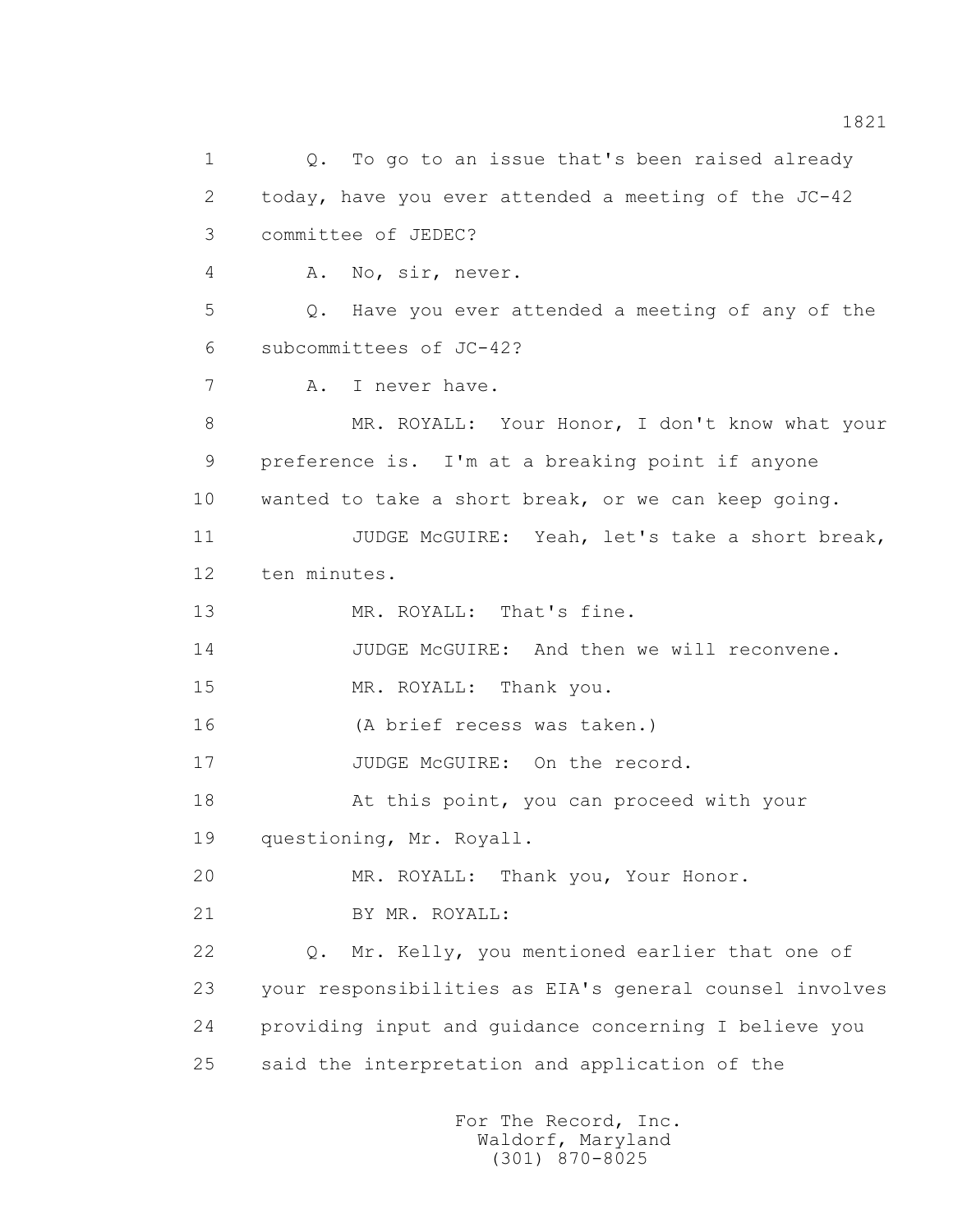1 Q. To go to an issue that's been raised already 2 today, have you ever attended a meeting of the JC-42 3 committee of JEDEC? 4 A. No, sir, never. 5 Q. Have you ever attended a meeting of any of the 6 subcommittees of JC-42? 7 A. I never have. 8 MR. ROYALL: Your Honor, I don't know what your 9 preference is. I'm at a breaking point if anyone 10 wanted to take a short break, or we can keep going. 11 JUDGE McGUIRE: Yeah, let's take a short break, 12 ten minutes. 13 MR. ROYALL: That's fine. 14 JUDGE McGUIRE: And then we will reconvene. 15 MR. ROYALL: Thank you. 16 (A brief recess was taken.) 17 JUDGE McGUIRE: On the record. 18 At this point, you can proceed with your 19 questioning, Mr. Royall. 20 MR. ROYALL: Thank you, Your Honor. 21 BY MR. ROYALL: 22 Q. Mr. Kelly, you mentioned earlier that one of 23 your responsibilities as EIA's general counsel involves 24 providing input and guidance concerning I believe you 25 said the interpretation and application of the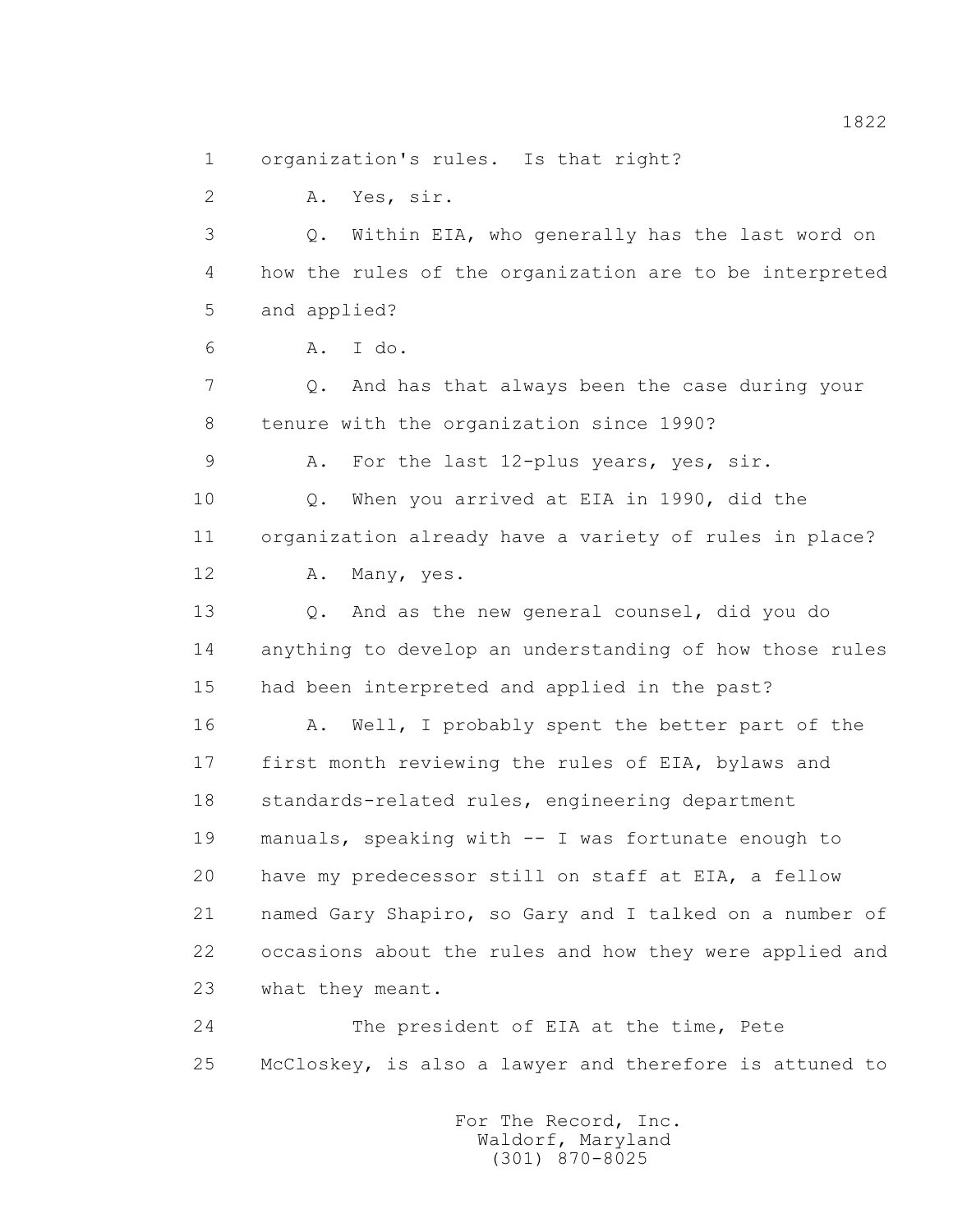1 organization's rules. Is that right?

2 A. Yes, sir.

 3 Q. Within EIA, who generally has the last word on 4 how the rules of the organization are to be interpreted 5 and applied?

6 A. I do.

 7 Q. And has that always been the case during your 8 tenure with the organization since 1990?

9 A. For the last 12-plus years, yes, sir.

 10 Q. When you arrived at EIA in 1990, did the 11 organization already have a variety of rules in place?

12 A. Many, yes.

13 0. And as the new general counsel, did you do 14 anything to develop an understanding of how those rules 15 had been interpreted and applied in the past?

16 A. Well, I probably spent the better part of the 17 first month reviewing the rules of EIA, bylaws and 18 standards-related rules, engineering department 19 manuals, speaking with -- I was fortunate enough to 20 have my predecessor still on staff at EIA, a fellow 21 named Gary Shapiro, so Gary and I talked on a number of 22 occasions about the rules and how they were applied and 23 what they meant.

 24 The president of EIA at the time, Pete 25 McCloskey, is also a lawyer and therefore is attuned to

> For The Record, Inc. Waldorf, Maryland (301) 870-8025

1822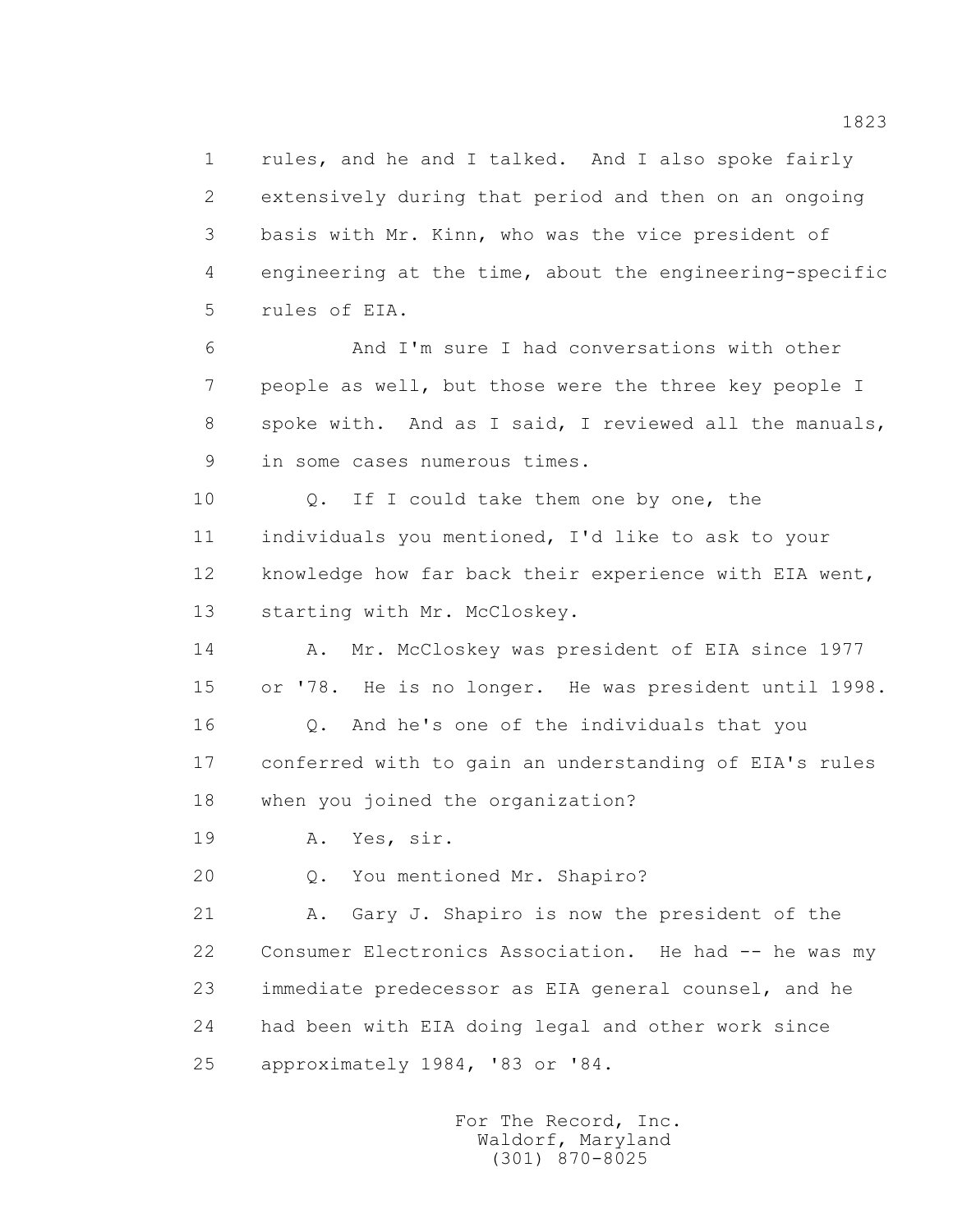1 rules, and he and I talked. And I also spoke fairly 2 extensively during that period and then on an ongoing 3 basis with Mr. Kinn, who was the vice president of 4 engineering at the time, about the engineering-specific 5 rules of EIA.

 6 And I'm sure I had conversations with other 7 people as well, but those were the three key people I 8 spoke with. And as I said, I reviewed all the manuals, 9 in some cases numerous times.

10 0. If I could take them one by one, the 11 individuals you mentioned, I'd like to ask to your 12 knowledge how far back their experience with EIA went, 13 starting with Mr. McCloskey.

14 A. Mr. McCloskey was president of EIA since 1977 15 or '78. He is no longer. He was president until 1998.

 16 Q. And he's one of the individuals that you 17 conferred with to gain an understanding of EIA's rules 18 when you joined the organization?

19 A. Yes, sir.

20 Q. You mentioned Mr. Shapiro?

 21 A. Gary J. Shapiro is now the president of the 22 Consumer Electronics Association. He had -- he was my 23 immediate predecessor as EIA general counsel, and he 24 had been with EIA doing legal and other work since 25 approximately 1984, '83 or '84.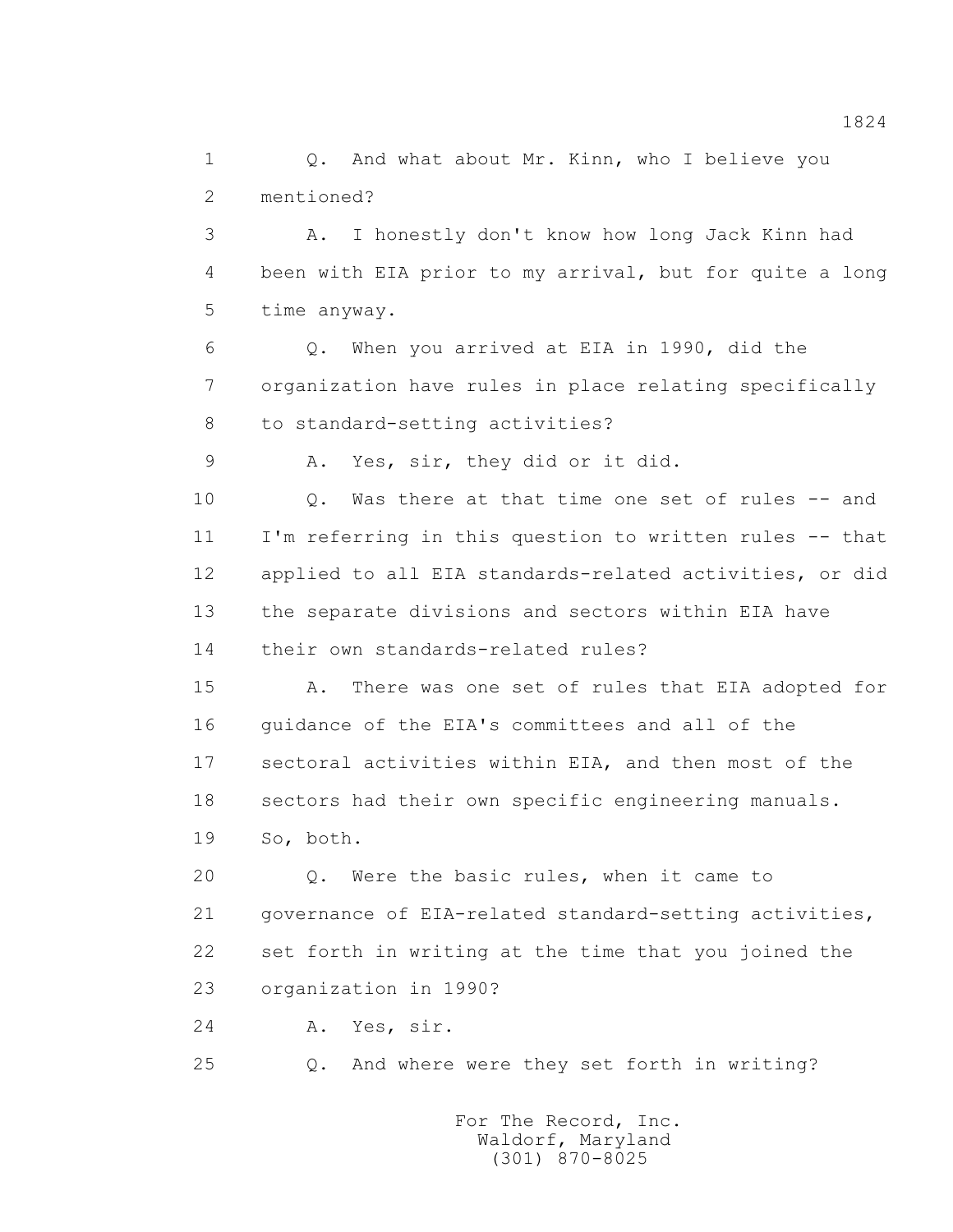1 0. And what about Mr. Kinn, who I believe you 2 mentioned?

 3 A. I honestly don't know how long Jack Kinn had 4 been with EIA prior to my arrival, but for quite a long 5 time anyway.

 6 Q. When you arrived at EIA in 1990, did the 7 organization have rules in place relating specifically 8 to standard-setting activities?

9 A. Yes, sir, they did or it did.

 10 Q. Was there at that time one set of rules -- and 11 I'm referring in this question to written rules -- that 12 applied to all EIA standards-related activities, or did 13 the separate divisions and sectors within EIA have 14 their own standards-related rules?

 15 A. There was one set of rules that EIA adopted for 16 guidance of the EIA's committees and all of the 17 sectoral activities within EIA, and then most of the 18 sectors had their own specific engineering manuals. 19 So, both.

 20 Q. Were the basic rules, when it came to 21 governance of EIA-related standard-setting activities, 22 set forth in writing at the time that you joined the 23 organization in 1990?

24 A. Yes, sir.

25 Q. And where were they set forth in writing?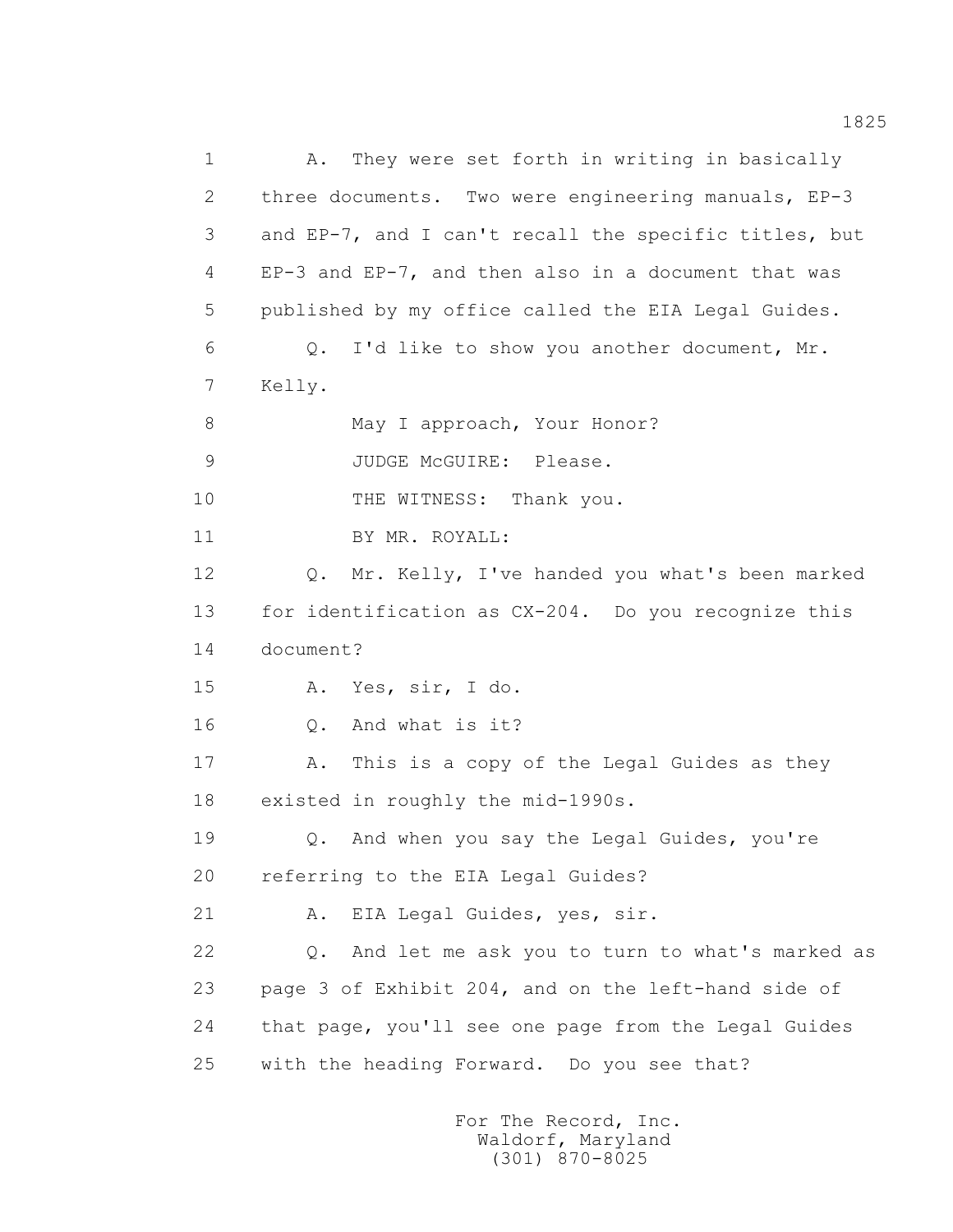1 A. They were set forth in writing in basically 2 three documents. Two were engineering manuals, EP-3 3 and EP-7, and I can't recall the specific titles, but 4 EP-3 and EP-7, and then also in a document that was 5 published by my office called the EIA Legal Guides. 6 Q. I'd like to show you another document, Mr. 7 Kelly. 8 May I approach, Your Honor? 9 JUDGE McGUIRE: Please. 10 THE WITNESS: Thank you. 11 BY MR. ROYALL: 12 Q. Mr. Kelly, I've handed you what's been marked 13 for identification as CX-204. Do you recognize this 14 document? 15 A. Yes, sir, I do. 16 Q. And what is it? 17 A. This is a copy of the Legal Guides as they 18 existed in roughly the mid-1990s. 19 Q. And when you say the Legal Guides, you're 20 referring to the EIA Legal Guides? 21 A. EIA Legal Guides, yes, sir. 22 Q. And let me ask you to turn to what's marked as 23 page 3 of Exhibit 204, and on the left-hand side of 24 that page, you'll see one page from the Legal Guides 25 with the heading Forward. Do you see that?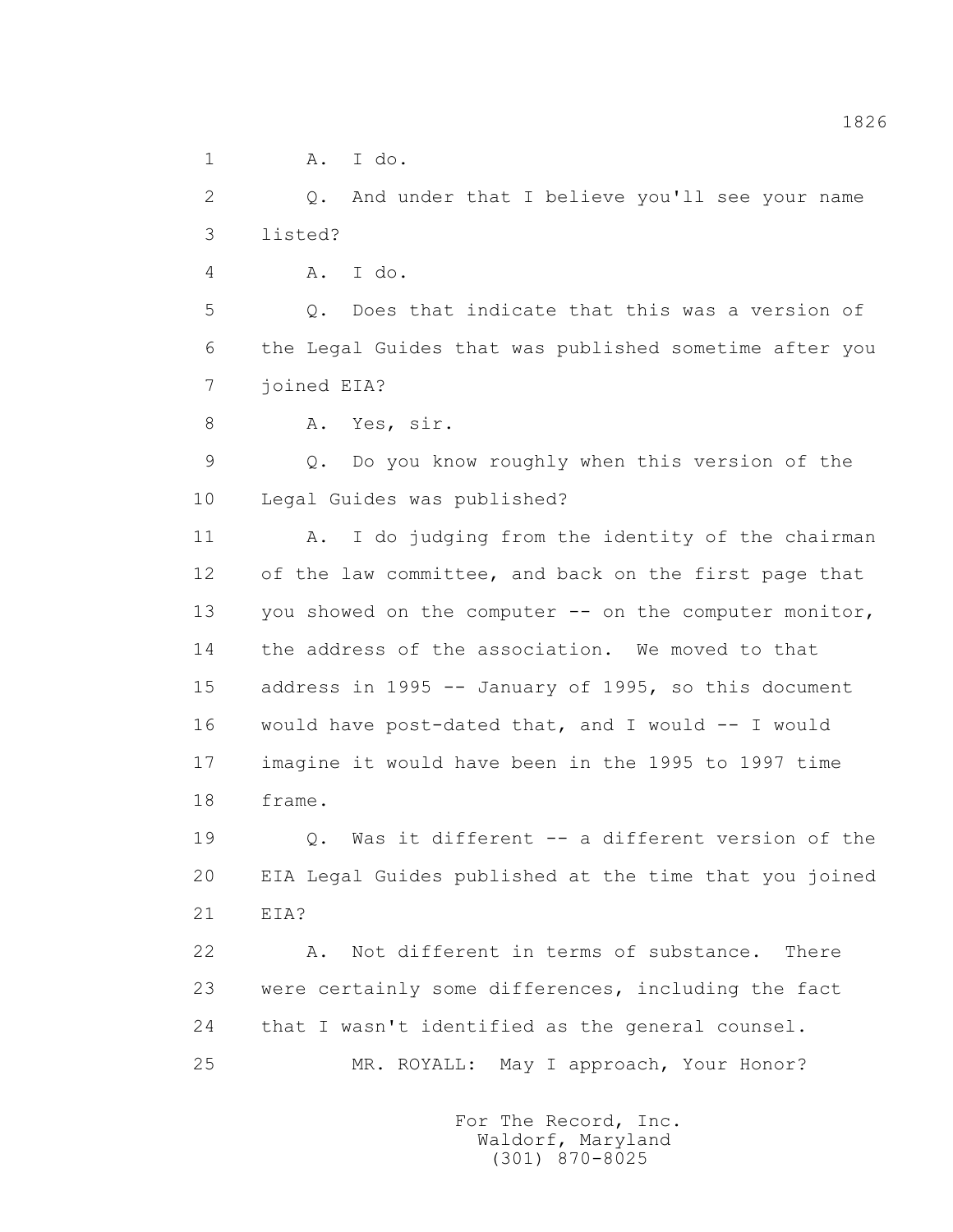1 A. I do.

 2 Q. And under that I believe you'll see your name 3 listed?

4 A. I do.

 5 Q. Does that indicate that this was a version of 6 the Legal Guides that was published sometime after you 7 joined EIA?

8 A. Yes, sir.

 9 Q. Do you know roughly when this version of the 10 Legal Guides was published?

 11 A. I do judging from the identity of the chairman 12 of the law committee, and back on the first page that 13 you showed on the computer -- on the computer monitor, 14 the address of the association. We moved to that 15 address in 1995 -- January of 1995, so this document 16 would have post-dated that, and I would -- I would 17 imagine it would have been in the 1995 to 1997 time 18 frame.

 19 Q. Was it different -- a different version of the 20 EIA Legal Guides published at the time that you joined 21 EIA?

 22 A. Not different in terms of substance. There 23 were certainly some differences, including the fact 24 that I wasn't identified as the general counsel. 25 MR. ROYALL: May I approach, Your Honor?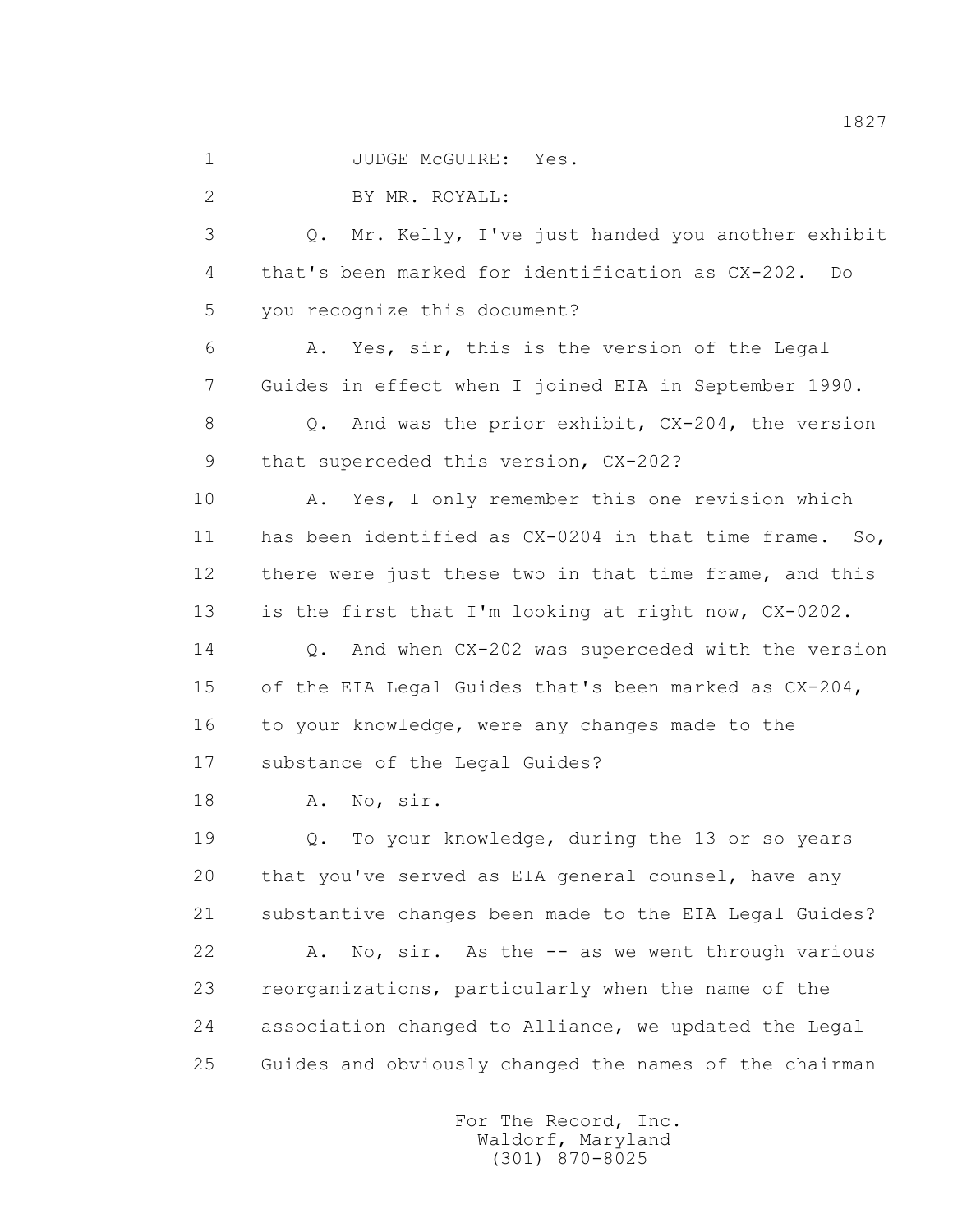1 JUDGE McGUIRE: Yes.

2 BY MR. ROYALL:

 3 Q. Mr. Kelly, I've just handed you another exhibit 4 that's been marked for identification as CX-202. Do 5 you recognize this document?

 6 A. Yes, sir, this is the version of the Legal 7 Guides in effect when I joined EIA in September 1990.

 8 Q. And was the prior exhibit, CX-204, the version 9 that superceded this version, CX-202?

 10 A. Yes, I only remember this one revision which 11 has been identified as CX-0204 in that time frame. So, 12 there were just these two in that time frame, and this 13 is the first that I'm looking at right now, CX-0202.

 14 Q. And when CX-202 was superceded with the version 15 of the EIA Legal Guides that's been marked as CX-204, 16 to your knowledge, were any changes made to the 17 substance of the Legal Guides?

18 A. No, sir.

 19 Q. To your knowledge, during the 13 or so years 20 that you've served as EIA general counsel, have any 21 substantive changes been made to the EIA Legal Guides? 22 A. No, sir. As the -- as we went through various 23 reorganizations, particularly when the name of the 24 association changed to Alliance, we updated the Legal 25 Guides and obviously changed the names of the chairman

> For The Record, Inc. Waldorf, Maryland (301) 870-8025

1827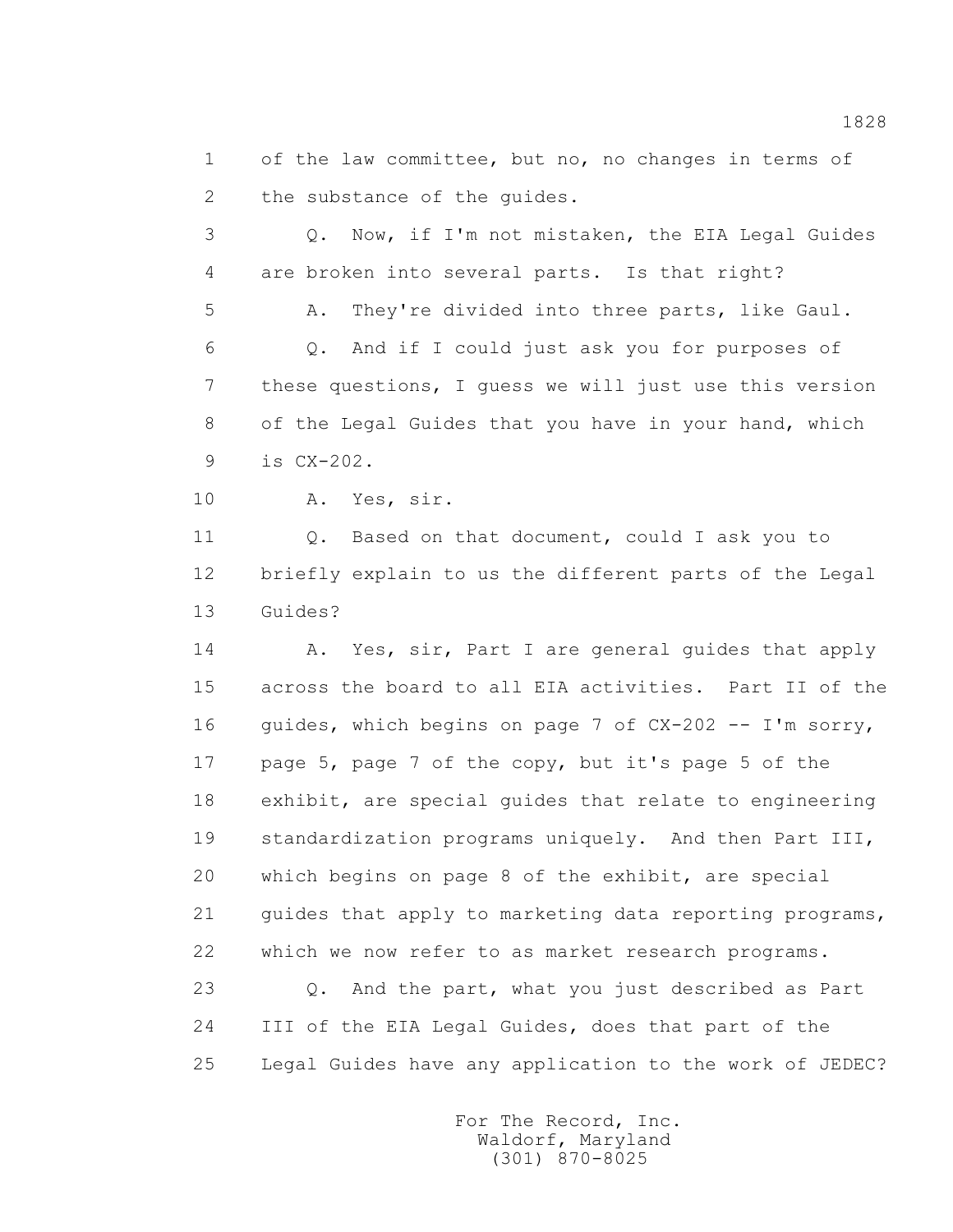1 of the law committee, but no, no changes in terms of 2 the substance of the quides.

 3 Q. Now, if I'm not mistaken, the EIA Legal Guides 4 are broken into several parts. Is that right? 5 A. They're divided into three parts, like Gaul. 6 Q. And if I could just ask you for purposes of 7 these questions, I guess we will just use this version

8 of the Legal Guides that you have in your hand, which

9 is CX-202.

10 A. Yes, sir.

 11 Q. Based on that document, could I ask you to 12 briefly explain to us the different parts of the Legal 13 Guides?

14 A. Yes, sir, Part I are general guides that apply 15 across the board to all EIA activities. Part II of the 16 guides, which begins on page 7 of CX-202 -- I'm sorry, 17 page 5, page 7 of the copy, but it's page 5 of the 18 exhibit, are special guides that relate to engineering 19 standardization programs uniquely. And then Part III, 20 which begins on page 8 of the exhibit, are special 21 guides that apply to marketing data reporting programs, 22 which we now refer to as market research programs.

 23 Q. And the part, what you just described as Part 24 III of the EIA Legal Guides, does that part of the 25 Legal Guides have any application to the work of JEDEC?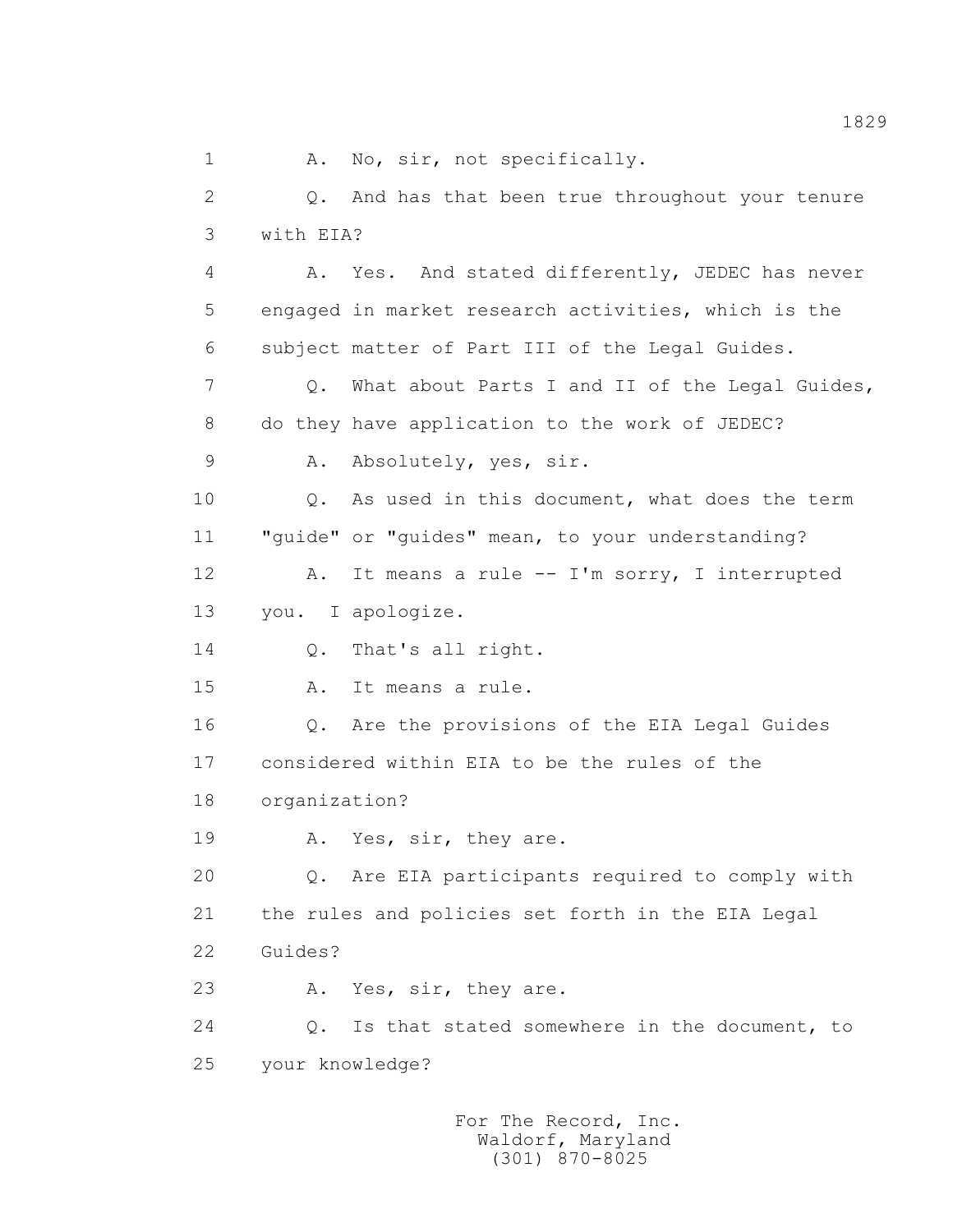1 A. No, sir, not specifically. 2 Q. And has that been true throughout your tenure 3 with EIA? 4 A. Yes. And stated differently, JEDEC has never 5 engaged in market research activities, which is the 6 subject matter of Part III of the Legal Guides. 7 Q. What about Parts I and II of the Legal Guides, 8 do they have application to the work of JEDEC? 9 A. Absolutely, yes, sir. 10 0. As used in this document, what does the term 11 "guide" or "guides" mean, to your understanding? 12 A. It means a rule -- I'm sorry, I interrupted 13 you. I apologize. 14 Q. That's all right. 15 A. It means a rule. 16 Q. Are the provisions of the EIA Legal Guides 17 considered within EIA to be the rules of the 18 organization? 19 A. Yes, sir, they are. 20 Q. Are EIA participants required to comply with 21 the rules and policies set forth in the EIA Legal 22 Guides? 23 A. Yes, sir, they are. 24 Q. Is that stated somewhere in the document, to 25 your knowledge?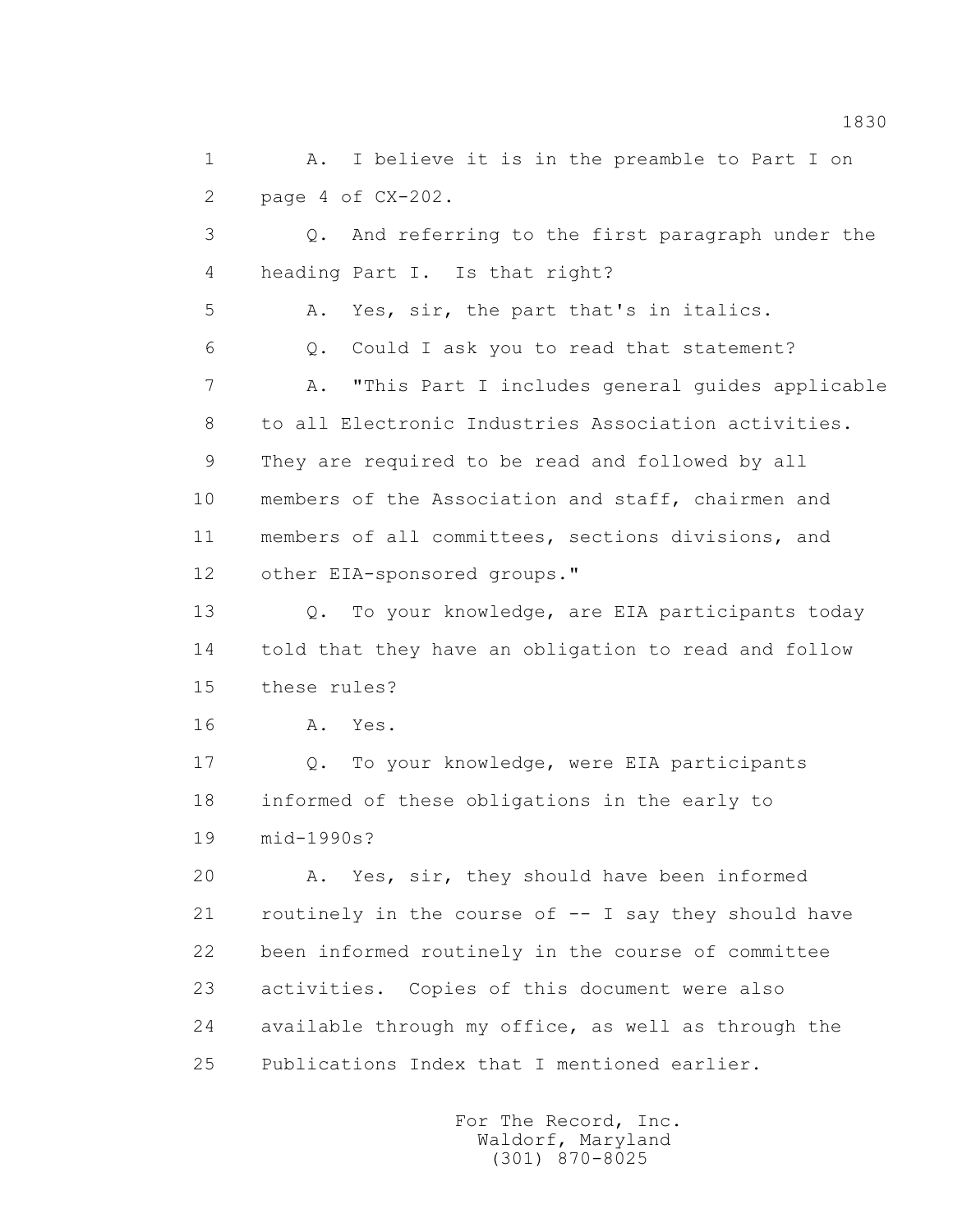1 A. I believe it is in the preamble to Part I on 2 page 4 of CX-202.

 3 Q. And referring to the first paragraph under the 4 heading Part I. Is that right?

5 A. Yes, sir, the part that's in italics.

6 Q. Could I ask you to read that statement?

 7 A. "This Part I includes general guides applicable 8 to all Electronic Industries Association activities. 9 They are required to be read and followed by all 10 members of the Association and staff, chairmen and 11 members of all committees, sections divisions, and 12 other EIA-sponsored groups."

 13 Q. To your knowledge, are EIA participants today 14 told that they have an obligation to read and follow 15 these rules?

16 **A.** Yes.

 17 Q. To your knowledge, were EIA participants 18 informed of these obligations in the early to 19 mid-1990s?

 20 A. Yes, sir, they should have been informed 21 routinely in the course of -- I say they should have 22 been informed routinely in the course of committee 23 activities. Copies of this document were also 24 available through my office, as well as through the 25 Publications Index that I mentioned earlier.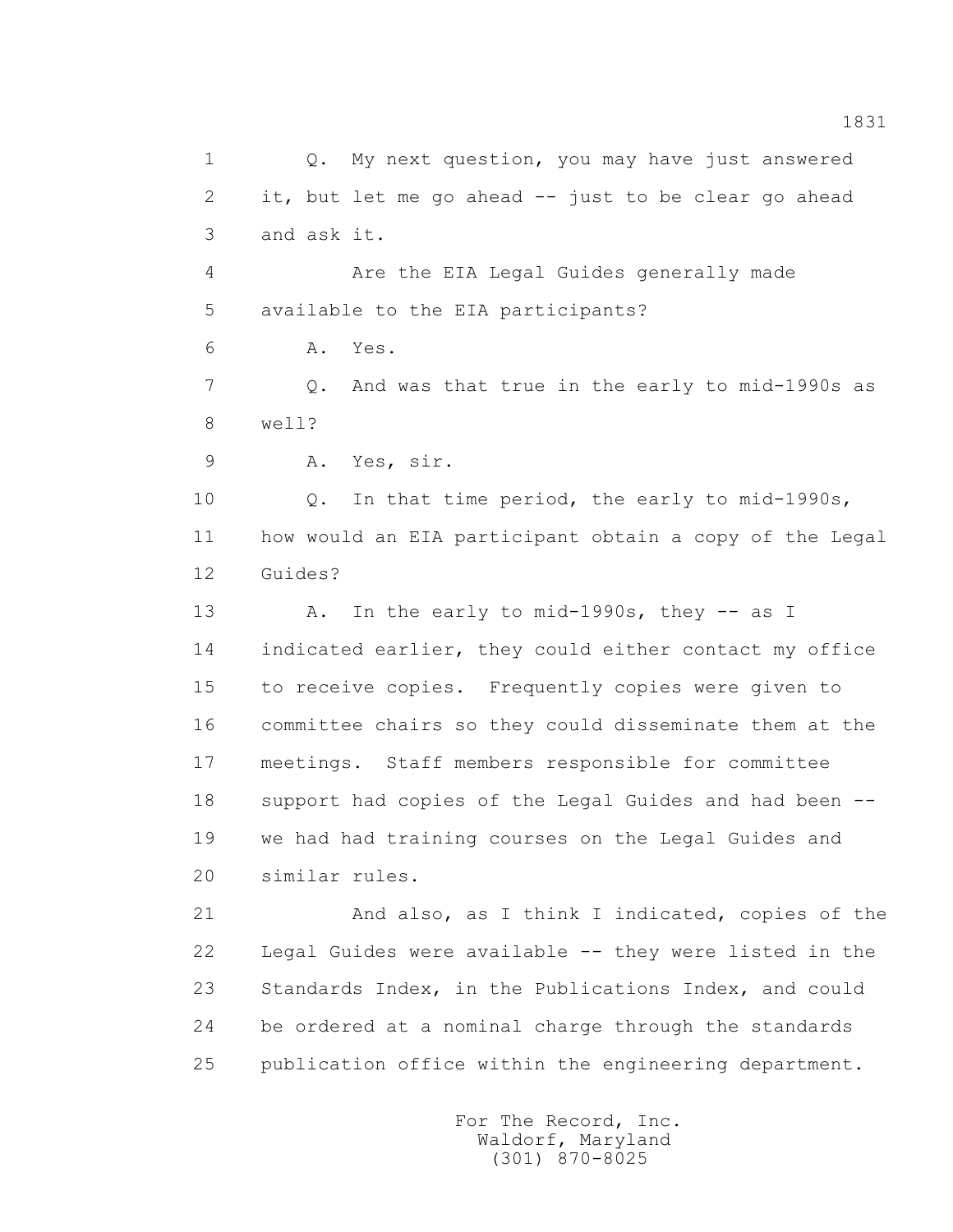1 Q. My next question, you may have just answered 2 it, but let me go ahead -- just to be clear go ahead 3 and ask it. 4 Are the EIA Legal Guides generally made 5 available to the EIA participants? 6 A. Yes. 7 Q. And was that true in the early to mid-1990s as 8 well? 9 A. Yes, sir. 10 Q. In that time period, the early to mid-1990s, 11 how would an EIA participant obtain a copy of the Legal 12 Guides? 13 A. In the early to mid-1990s, they -- as I 14 indicated earlier, they could either contact my office 15 to receive copies. Frequently copies were given to 16 committee chairs so they could disseminate them at the 17 meetings. Staff members responsible for committee 18 support had copies of the Legal Guides and had been -- 19 we had had training courses on the Legal Guides and 20 similar rules. 21 And also, as I think I indicated, copies of the 22 Legal Guides were available -- they were listed in the 23 Standards Index, in the Publications Index, and could 24 be ordered at a nominal charge through the standards 25 publication office within the engineering department.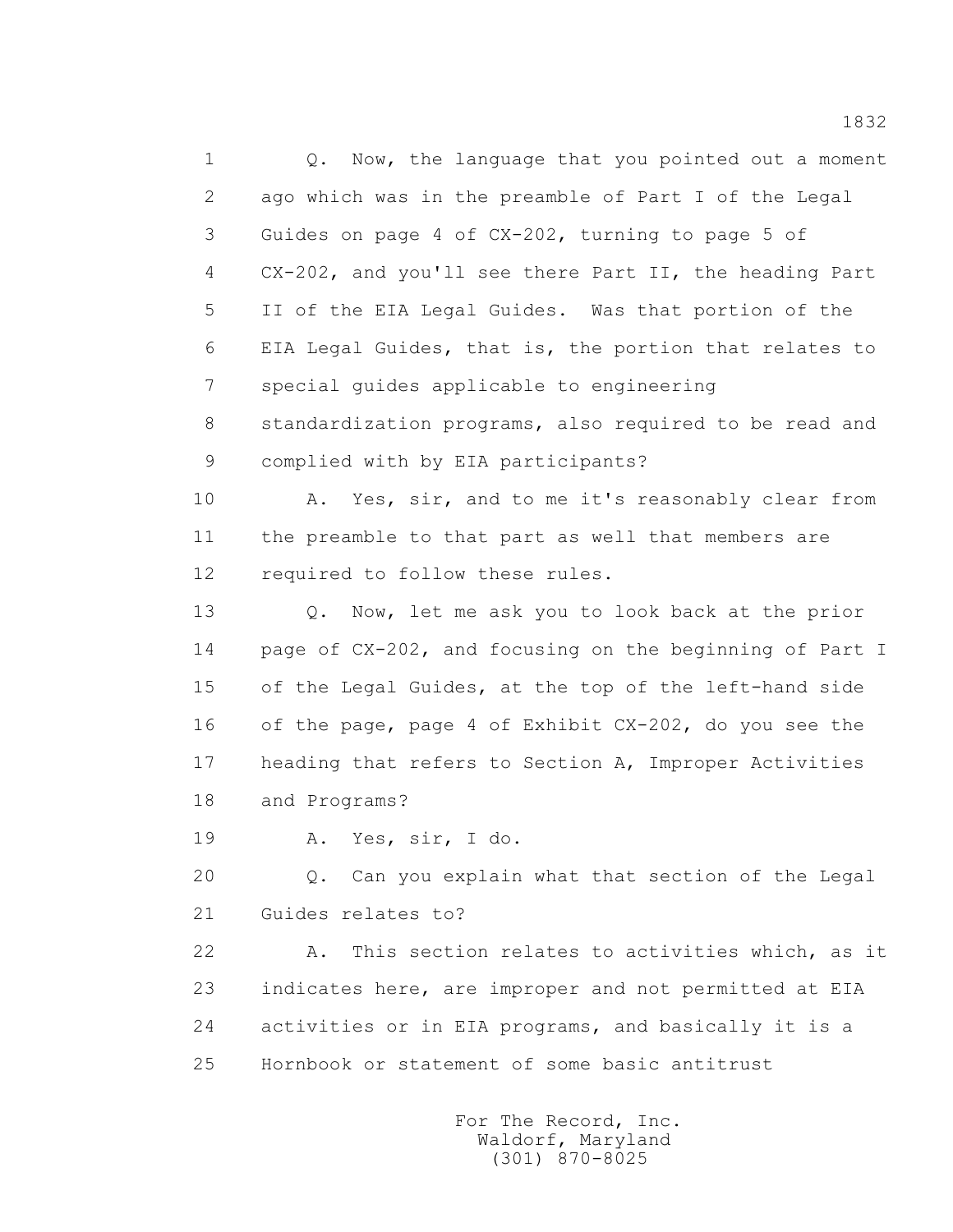1 Q. Now, the language that you pointed out a moment 2 ago which was in the preamble of Part I of the Legal 3 Guides on page 4 of CX-202, turning to page 5 of 4 CX-202, and you'll see there Part II, the heading Part 5 II of the EIA Legal Guides. Was that portion of the 6 EIA Legal Guides, that is, the portion that relates to 7 special guides applicable to engineering 8 standardization programs, also required to be read and 9 complied with by EIA participants? 10 A. Yes, sir, and to me it's reasonably clear from 11 the preamble to that part as well that members are 12 required to follow these rules. 13 Q. Now, let me ask you to look back at the prior 14 page of CX-202, and focusing on the beginning of Part I 15 of the Legal Guides, at the top of the left-hand side 16 of the page, page 4 of Exhibit CX-202, do you see the

 17 heading that refers to Section A, Improper Activities 18 and Programs?

19 A. Yes, sir, I do.

 20 Q. Can you explain what that section of the Legal 21 Guides relates to?

 22 A. This section relates to activities which, as it 23 indicates here, are improper and not permitted at EIA 24 activities or in EIA programs, and basically it is a 25 Hornbook or statement of some basic antitrust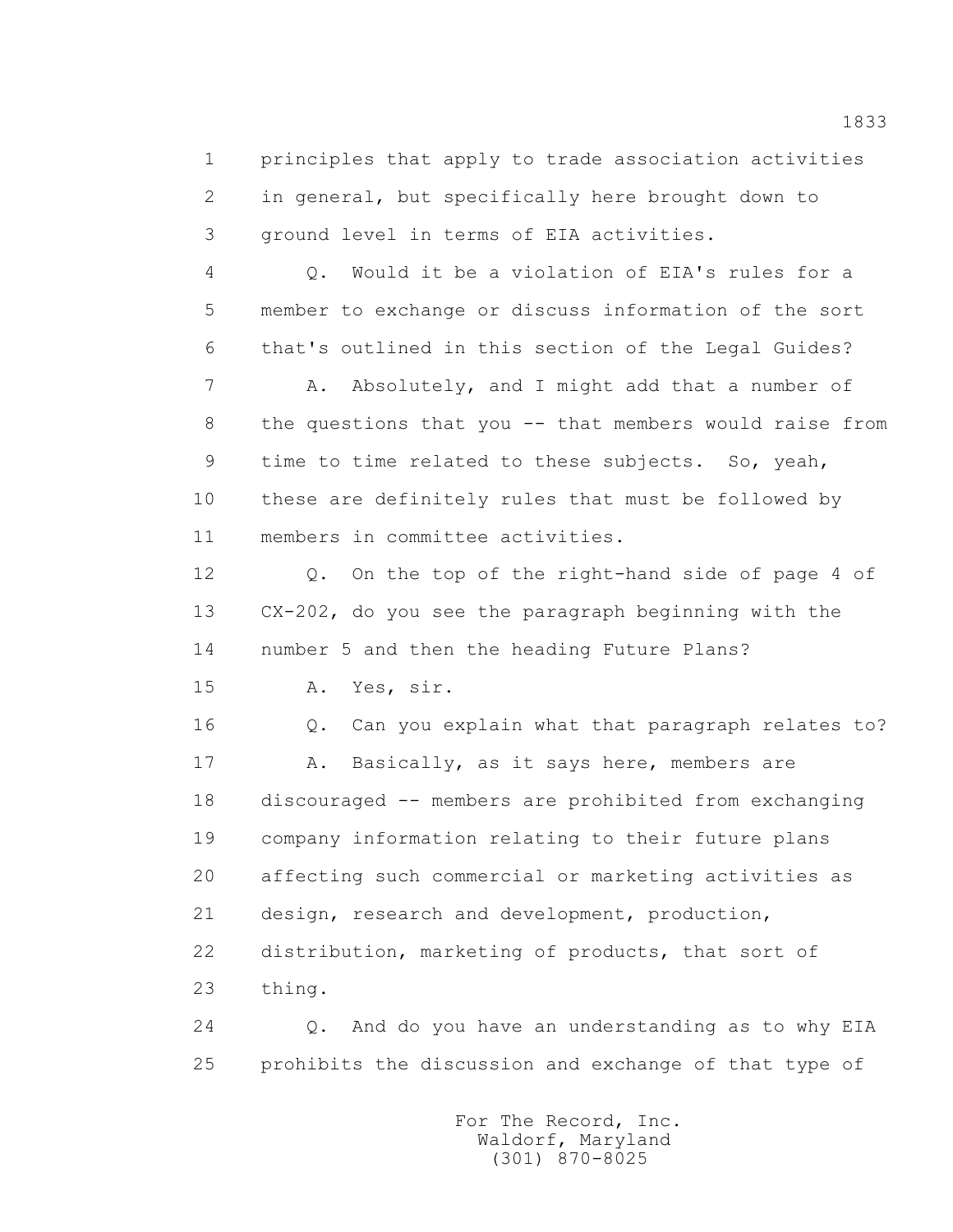1 principles that apply to trade association activities 2 in general, but specifically here brought down to 3 ground level in terms of EIA activities.

 4 Q. Would it be a violation of EIA's rules for a 5 member to exchange or discuss information of the sort 6 that's outlined in this section of the Legal Guides?

7 A. Absolutely, and I might add that a number of 8 the questions that you -- that members would raise from 9 time to time related to these subjects. So, yeah, 10 these are definitely rules that must be followed by 11 members in committee activities.

 12 Q. On the top of the right-hand side of page 4 of 13 CX-202, do you see the paragraph beginning with the 14 number 5 and then the heading Future Plans?

15 A. Yes, sir.

 16 Q. Can you explain what that paragraph relates to? 17 A. Basically, as it says here, members are 18 discouraged -- members are prohibited from exchanging 19 company information relating to their future plans 20 affecting such commercial or marketing activities as 21 design, research and development, production, 22 distribution, marketing of products, that sort of 23 thing.

 24 Q. And do you have an understanding as to why EIA 25 prohibits the discussion and exchange of that type of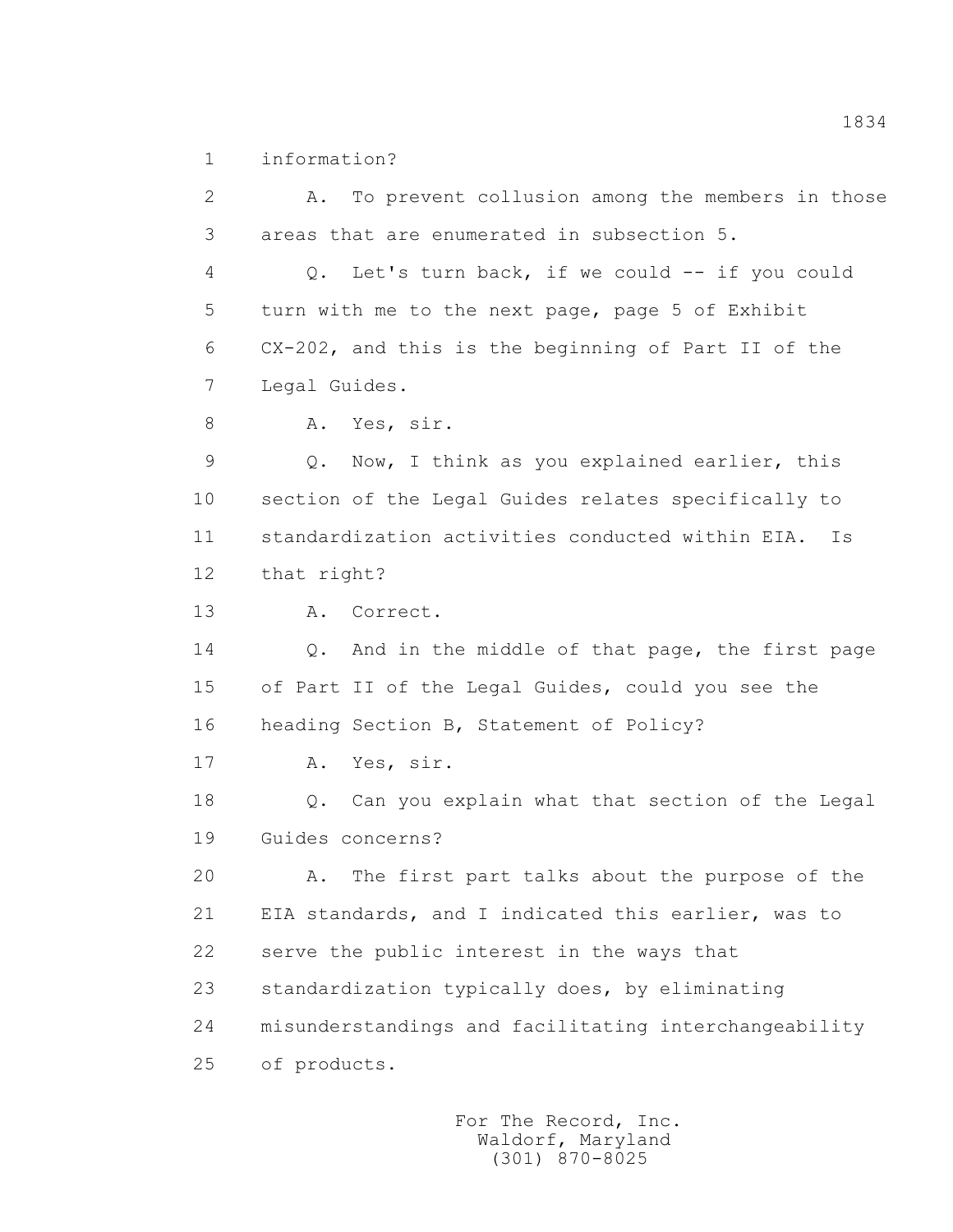1 information?

 2 A. To prevent collusion among the members in those 3 areas that are enumerated in subsection 5. 4 Q. Let's turn back, if we could -- if you could 5 turn with me to the next page, page 5 of Exhibit 6 CX-202, and this is the beginning of Part II of the 7 Legal Guides. 8 A. Yes, sir. 9 Q. Now, I think as you explained earlier, this 10 section of the Legal Guides relates specifically to 11 standardization activities conducted within EIA. Is 12 that right? 13 A. Correct. 14 Q. And in the middle of that page, the first page 15 of Part II of the Legal Guides, could you see the 16 heading Section B, Statement of Policy? 17 A. Yes, sir. 18 Q. Can you explain what that section of the Legal 19 Guides concerns? 20 A. The first part talks about the purpose of the 21 EIA standards, and I indicated this earlier, was to 22 serve the public interest in the ways that 23 standardization typically does, by eliminating 24 misunderstandings and facilitating interchangeability 25 of products.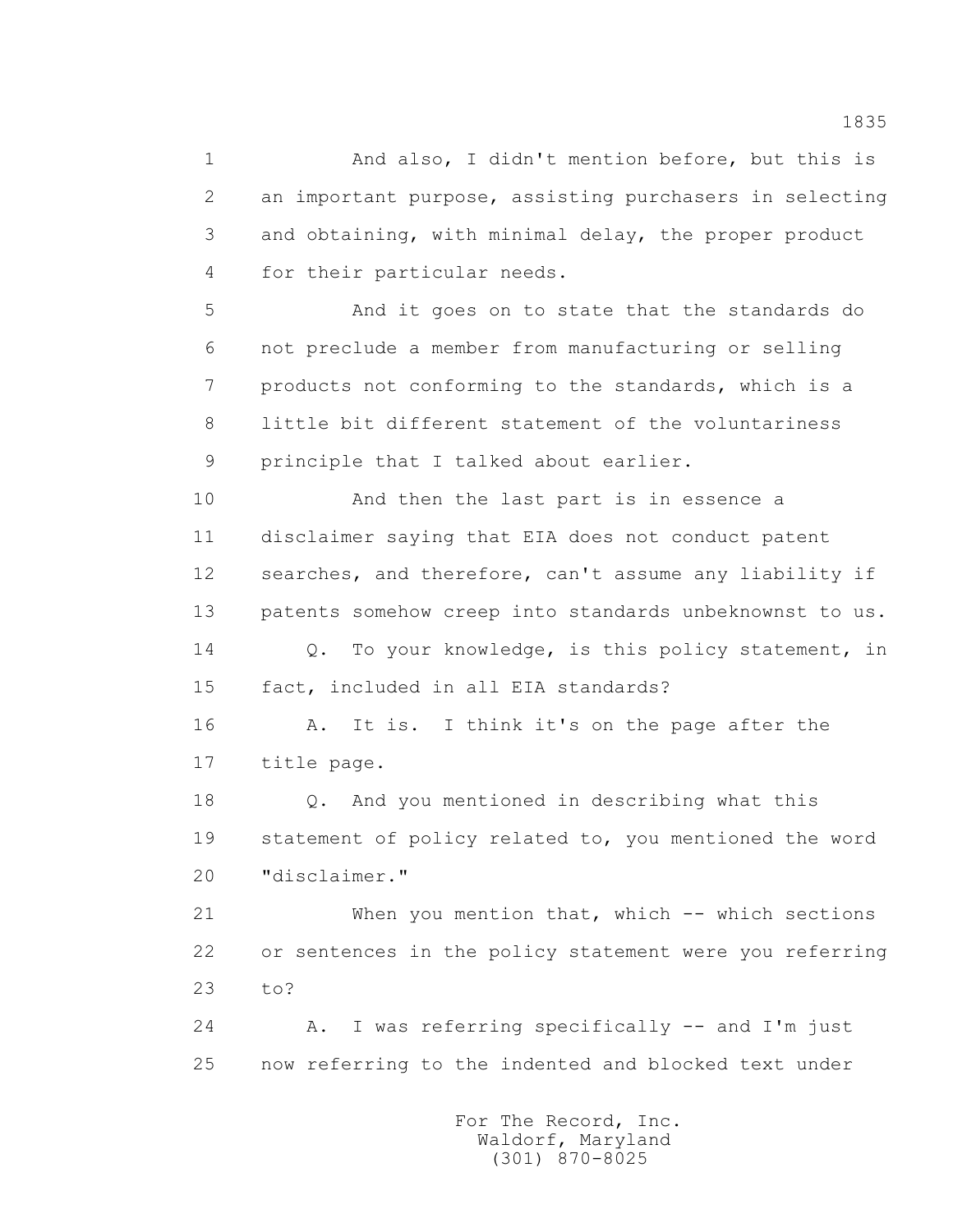1 And also, I didn't mention before, but this is 2 an important purpose, assisting purchasers in selecting 3 and obtaining, with minimal delay, the proper product 4 for their particular needs.

 5 And it goes on to state that the standards do 6 not preclude a member from manufacturing or selling 7 products not conforming to the standards, which is a 8 little bit different statement of the voluntariness 9 principle that I talked about earlier.

 10 And then the last part is in essence a 11 disclaimer saying that EIA does not conduct patent 12 searches, and therefore, can't assume any liability if 13 patents somehow creep into standards unbeknownst to us. 14 Q. To your knowledge, is this policy statement, in

15 fact, included in all EIA standards?

 16 A. It is. I think it's on the page after the 17 title page.

 18 Q. And you mentioned in describing what this 19 statement of policy related to, you mentioned the word 20 "disclaimer."

 21 When you mention that, which -- which sections 22 or sentences in the policy statement were you referring 23 to?

 24 A. I was referring specifically -- and I'm just 25 now referring to the indented and blocked text under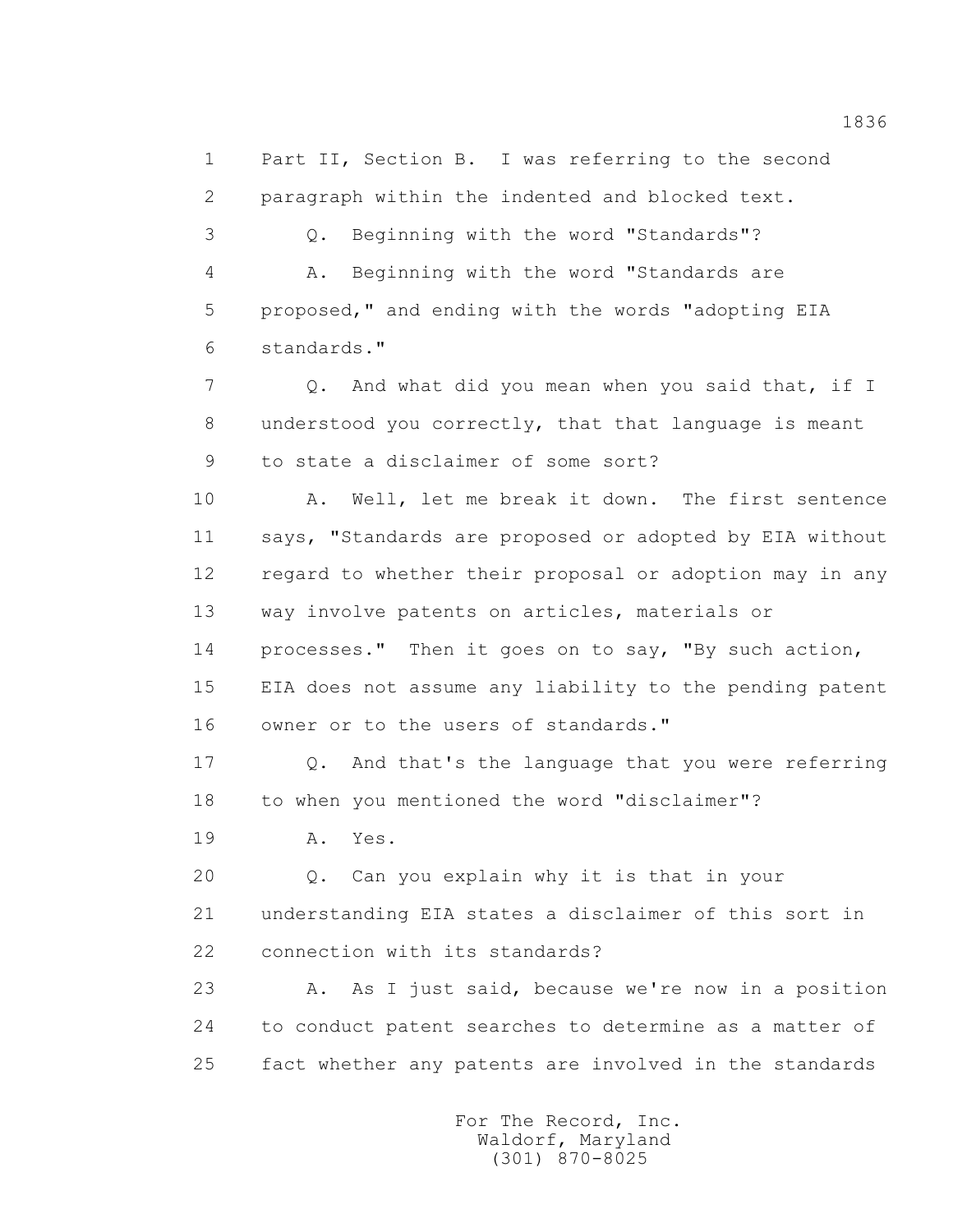1 Part II, Section B. I was referring to the second 2 paragraph within the indented and blocked text.

 3 Q. Beginning with the word "Standards"? 4 A. Beginning with the word "Standards are 5 proposed," and ending with the words "adopting EIA 6 standards."

7 Q. And what did you mean when you said that, if I 8 understood you correctly, that that language is meant 9 to state a disclaimer of some sort?

 10 A. Well, let me break it down. The first sentence 11 says, "Standards are proposed or adopted by EIA without 12 regard to whether their proposal or adoption may in any 13 way involve patents on articles, materials or

 14 processes." Then it goes on to say, "By such action, 15 EIA does not assume any liability to the pending patent 16 owner or to the users of standards."

 17 Q. And that's the language that you were referring 18 to when you mentioned the word "disclaimer"?

19 A. Yes.

 20 Q. Can you explain why it is that in your 21 understanding EIA states a disclaimer of this sort in 22 connection with its standards?

23 A. As I just said, because we're now in a position 24 to conduct patent searches to determine as a matter of 25 fact whether any patents are involved in the standards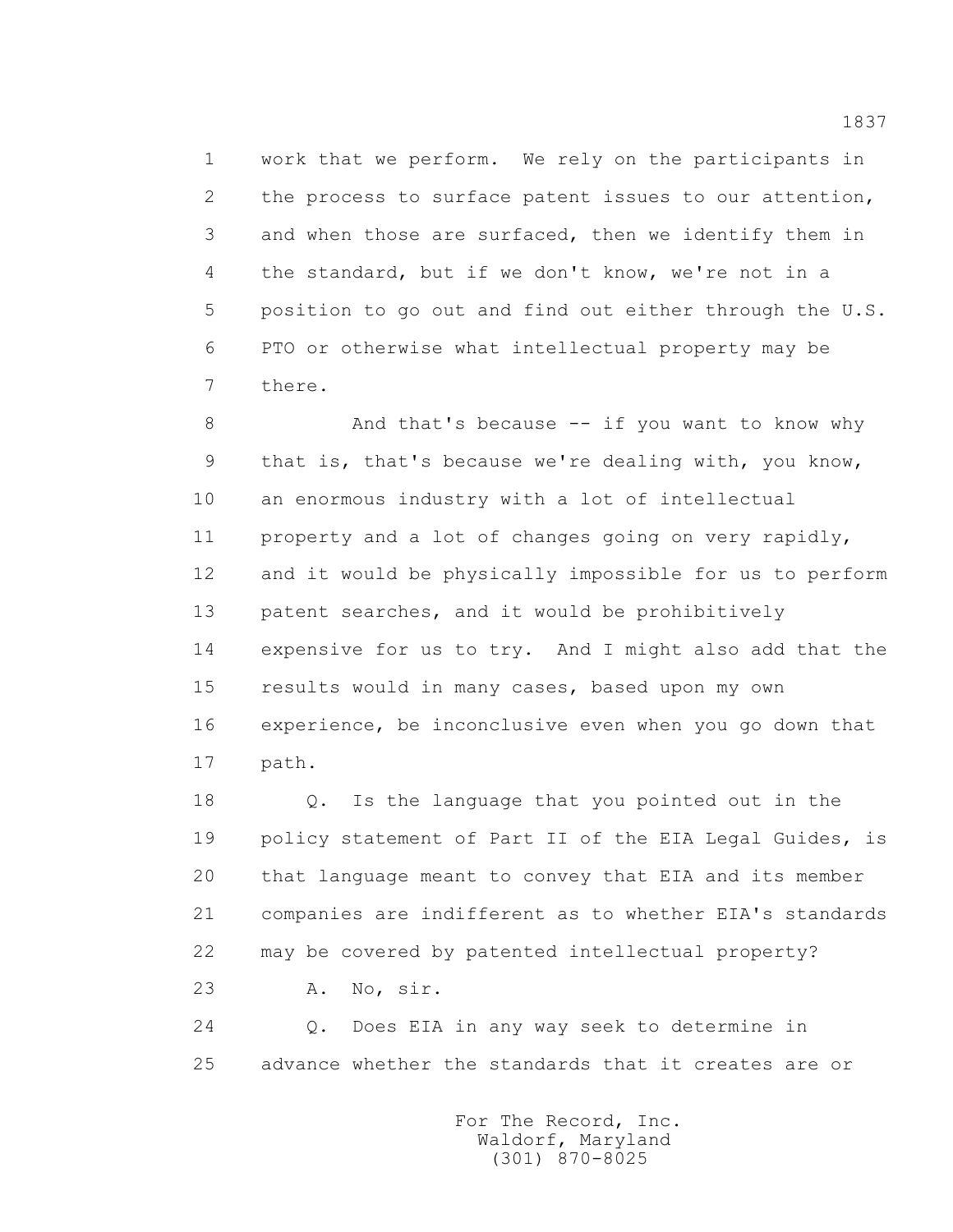1 work that we perform. We rely on the participants in 2 the process to surface patent issues to our attention, 3 and when those are surfaced, then we identify them in 4 the standard, but if we don't know, we're not in a 5 position to go out and find out either through the U.S. 6 PTO or otherwise what intellectual property may be 7 there.

8 And that's because -- if you want to know why 9 that is, that's because we're dealing with, you know, 10 an enormous industry with a lot of intellectual 11 property and a lot of changes going on very rapidly, 12 and it would be physically impossible for us to perform 13 patent searches, and it would be prohibitively 14 expensive for us to try. And I might also add that the 15 results would in many cases, based upon my own 16 experience, be inconclusive even when you go down that 17 path.

 18 Q. Is the language that you pointed out in the 19 policy statement of Part II of the EIA Legal Guides, is 20 that language meant to convey that EIA and its member 21 companies are indifferent as to whether EIA's standards 22 may be covered by patented intellectual property? 23 A. No, sir.

 24 Q. Does EIA in any way seek to determine in 25 advance whether the standards that it creates are or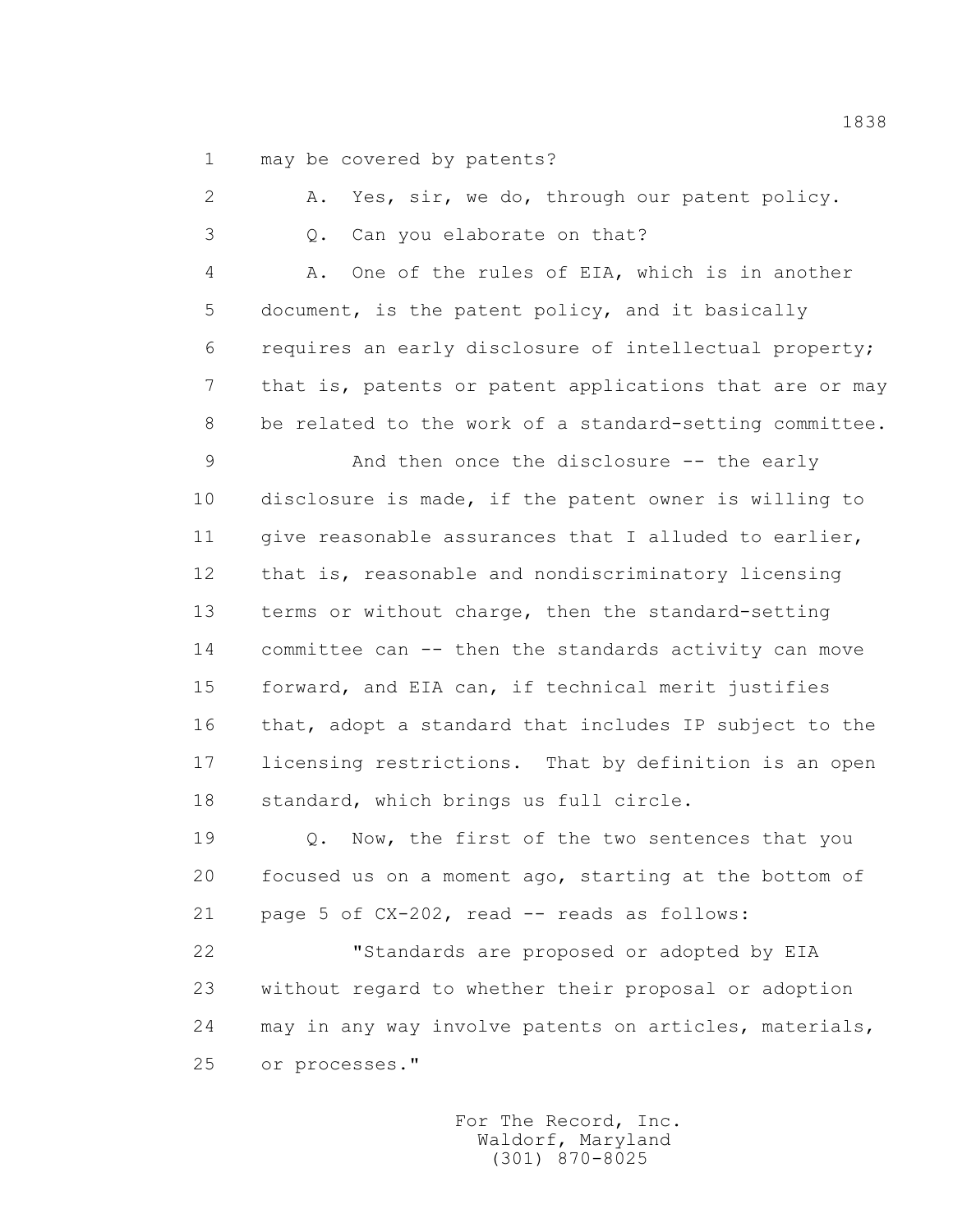1 may be covered by patents?

2 A. Yes, sir, we do, through our patent policy.

3 Q. Can you elaborate on that?

 4 A. One of the rules of EIA, which is in another 5 document, is the patent policy, and it basically 6 requires an early disclosure of intellectual property; 7 that is, patents or patent applications that are or may 8 be related to the work of a standard-setting committee.

 9 And then once the disclosure -- the early 10 disclosure is made, if the patent owner is willing to 11 give reasonable assurances that I alluded to earlier, 12 that is, reasonable and nondiscriminatory licensing 13 terms or without charge, then the standard-setting 14 committee can -- then the standards activity can move 15 forward, and EIA can, if technical merit justifies 16 that, adopt a standard that includes IP subject to the 17 licensing restrictions. That by definition is an open 18 standard, which brings us full circle.

19  $Q.$  Now, the first of the two sentences that you 20 focused us on a moment ago, starting at the bottom of 21 page 5 of CX-202, read -- reads as follows:

 22 "Standards are proposed or adopted by EIA 23 without regard to whether their proposal or adoption 24 may in any way involve patents on articles, materials, 25 or processes."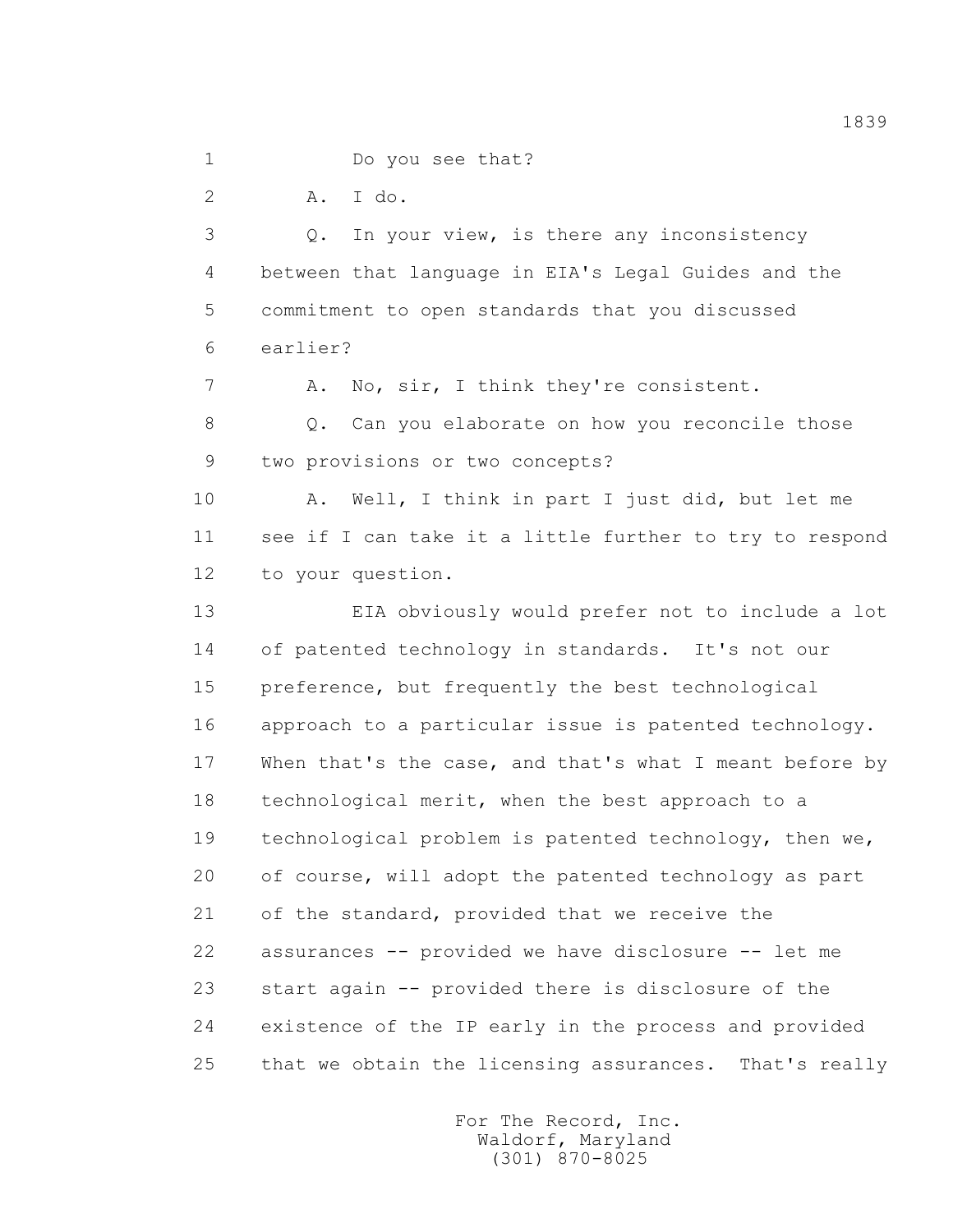1 Do you see that?

2 A. I do.

 3 Q. In your view, is there any inconsistency 4 between that language in EIA's Legal Guides and the 5 commitment to open standards that you discussed 6 earlier?

7 A. No, sir, I think they're consistent.

 8 Q. Can you elaborate on how you reconcile those 9 two provisions or two concepts?

 10 A. Well, I think in part I just did, but let me 11 see if I can take it a little further to try to respond 12 to your question.

 13 EIA obviously would prefer not to include a lot 14 of patented technology in standards. It's not our 15 preference, but frequently the best technological 16 approach to a particular issue is patented technology. 17 When that's the case, and that's what I meant before by 18 technological merit, when the best approach to a 19 technological problem is patented technology, then we, 20 of course, will adopt the patented technology as part 21 of the standard, provided that we receive the 22 assurances -- provided we have disclosure -- let me 23 start again -- provided there is disclosure of the 24 existence of the IP early in the process and provided 25 that we obtain the licensing assurances. That's really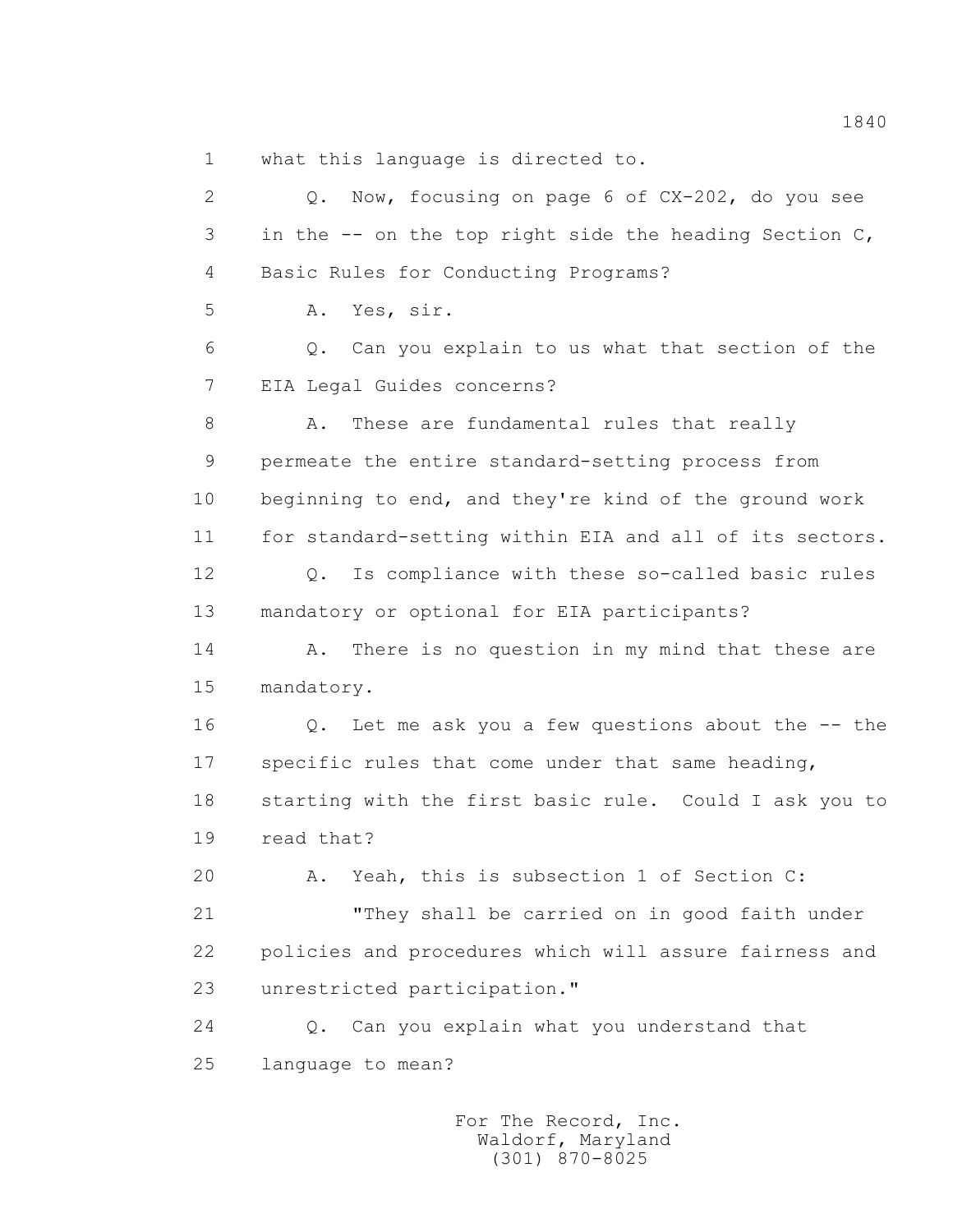1 what this language is directed to.

 2 Q. Now, focusing on page 6 of CX-202, do you see 3 in the -- on the top right side the heading Section C, 4 Basic Rules for Conducting Programs? 5 A. Yes, sir. 6 Q. Can you explain to us what that section of the 7 EIA Legal Guides concerns? 8 A. These are fundamental rules that really 9 permeate the entire standard-setting process from 10 beginning to end, and they're kind of the ground work 11 for standard-setting within EIA and all of its sectors. 12 Q. Is compliance with these so-called basic rules 13 mandatory or optional for EIA participants? 14 A. There is no question in my mind that these are 15 mandatory. 16 Q. Let me ask you a few questions about the -- the 17 specific rules that come under that same heading, 18 starting with the first basic rule. Could I ask you to 19 read that? 20 A. Yeah, this is subsection 1 of Section C: 21 "They shall be carried on in good faith under 22 policies and procedures which will assure fairness and 23 unrestricted participation." 24 Q. Can you explain what you understand that 25 language to mean?

> For The Record, Inc. Waldorf, Maryland (301) 870-8025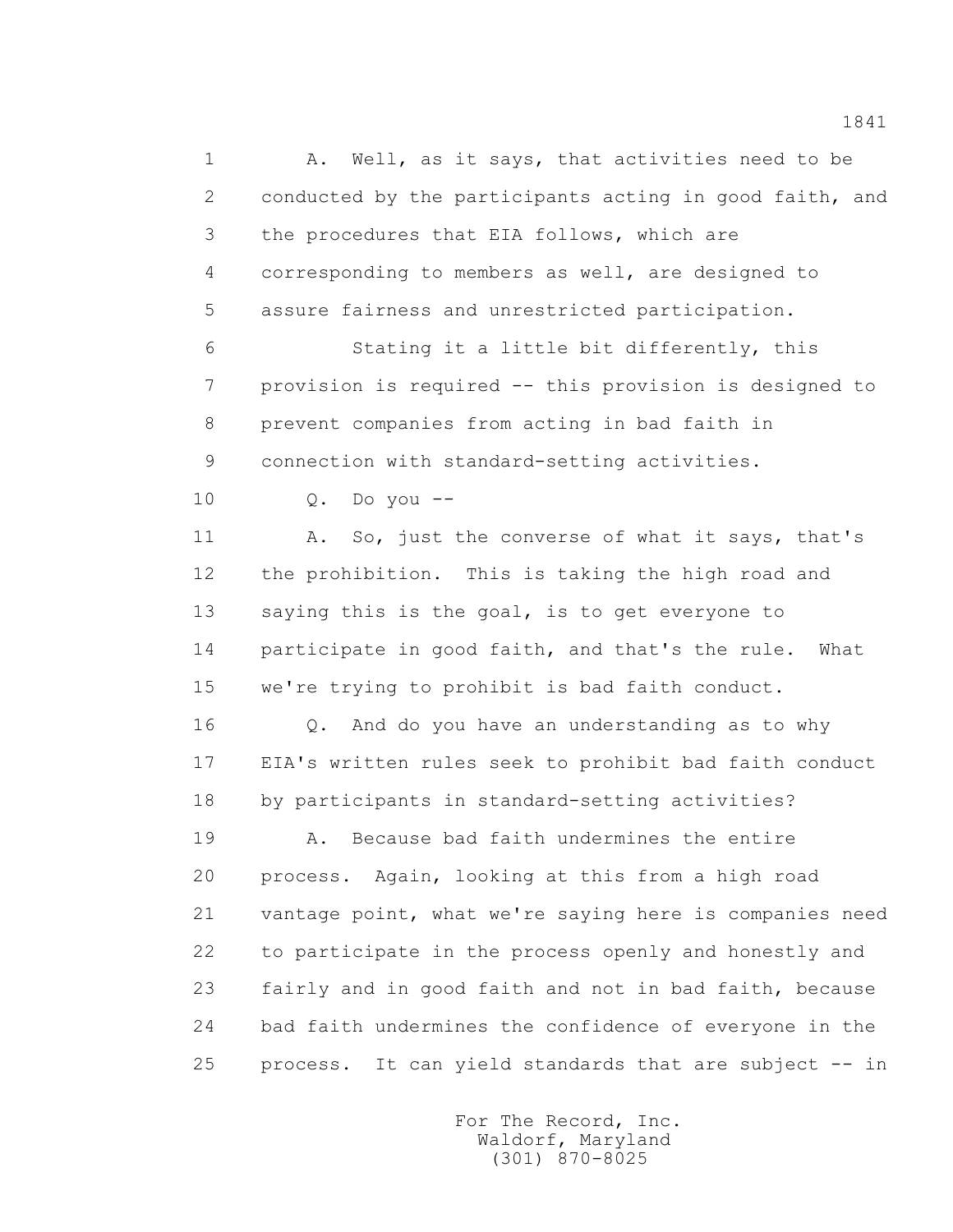1 A. Well, as it says, that activities need to be 2 conducted by the participants acting in good faith, and 3 the procedures that EIA follows, which are 4 corresponding to members as well, are designed to 5 assure fairness and unrestricted participation.

 6 Stating it a little bit differently, this 7 provision is required -- this provision is designed to 8 prevent companies from acting in bad faith in 9 connection with standard-setting activities.

10 Q. Do you --

 11 A. So, just the converse of what it says, that's 12 the prohibition. This is taking the high road and 13 saying this is the goal, is to get everyone to 14 participate in good faith, and that's the rule. What 15 we're trying to prohibit is bad faith conduct.

 16 Q. And do you have an understanding as to why 17 EIA's written rules seek to prohibit bad faith conduct 18 by participants in standard-setting activities?

 19 A. Because bad faith undermines the entire 20 process. Again, looking at this from a high road 21 vantage point, what we're saying here is companies need 22 to participate in the process openly and honestly and 23 fairly and in good faith and not in bad faith, because 24 bad faith undermines the confidence of everyone in the 25 process. It can yield standards that are subject -- in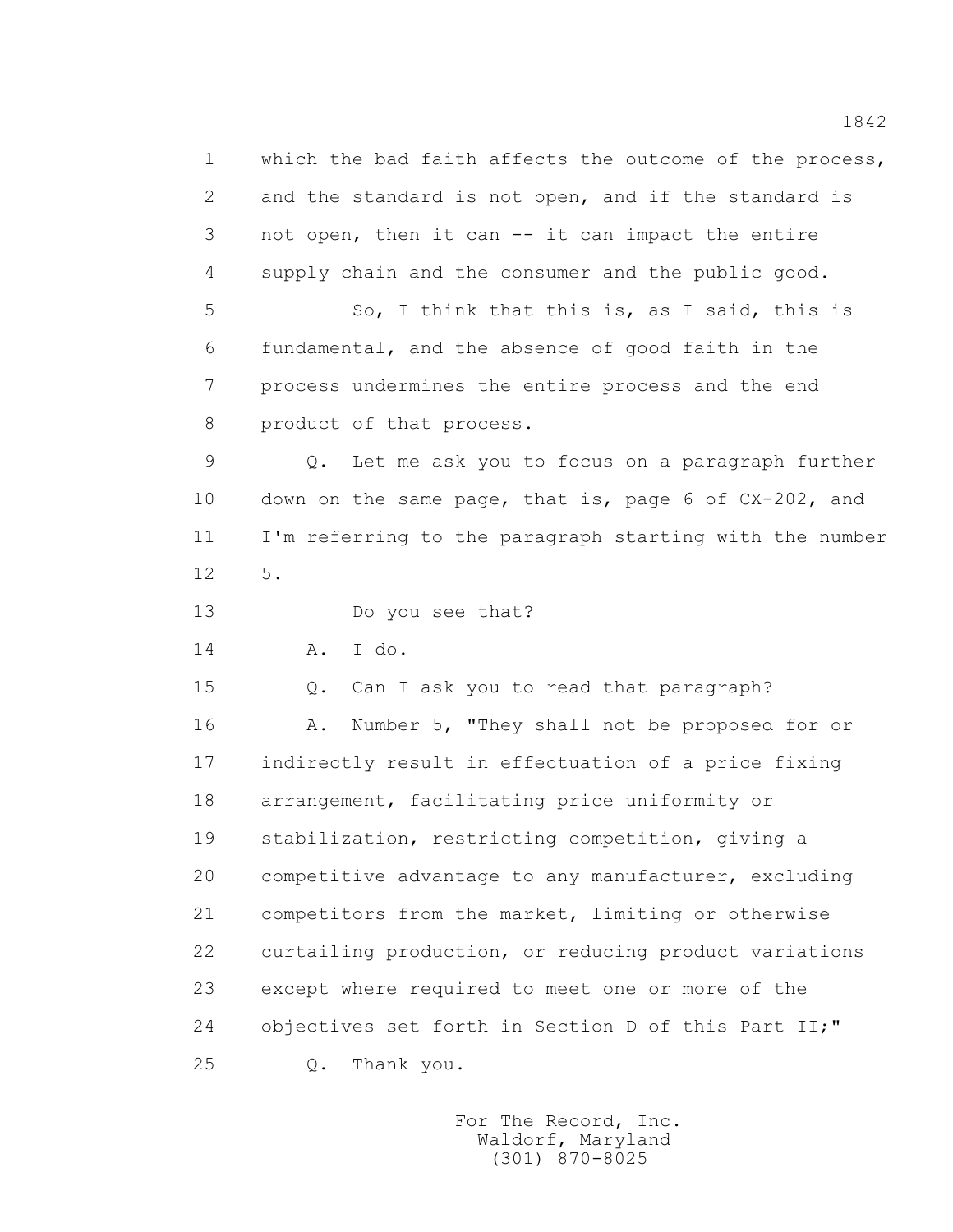1 which the bad faith affects the outcome of the process, 2 and the standard is not open, and if the standard is 3 not open, then it can -- it can impact the entire 4 supply chain and the consumer and the public good. 5 So, I think that this is, as I said, this is 6 fundamental, and the absence of good faith in the 7 process undermines the entire process and the end 8 product of that process. 9 Q. Let me ask you to focus on a paragraph further 10 down on the same page, that is, page 6 of CX-202, and 11 I'm referring to the paragraph starting with the number 12 5. 13 Do you see that? 14 A. I do. 15 Q. Can I ask you to read that paragraph? 16 A. Number 5, "They shall not be proposed for or 17 indirectly result in effectuation of a price fixing 18 arrangement, facilitating price uniformity or 19 stabilization, restricting competition, giving a 20 competitive advantage to any manufacturer, excluding 21 competitors from the market, limiting or otherwise 22 curtailing production, or reducing product variations 23 except where required to meet one or more of the 24 objectives set forth in Section D of this Part II;" 25 Q. Thank you.

> For The Record, Inc. Waldorf, Maryland (301) 870-8025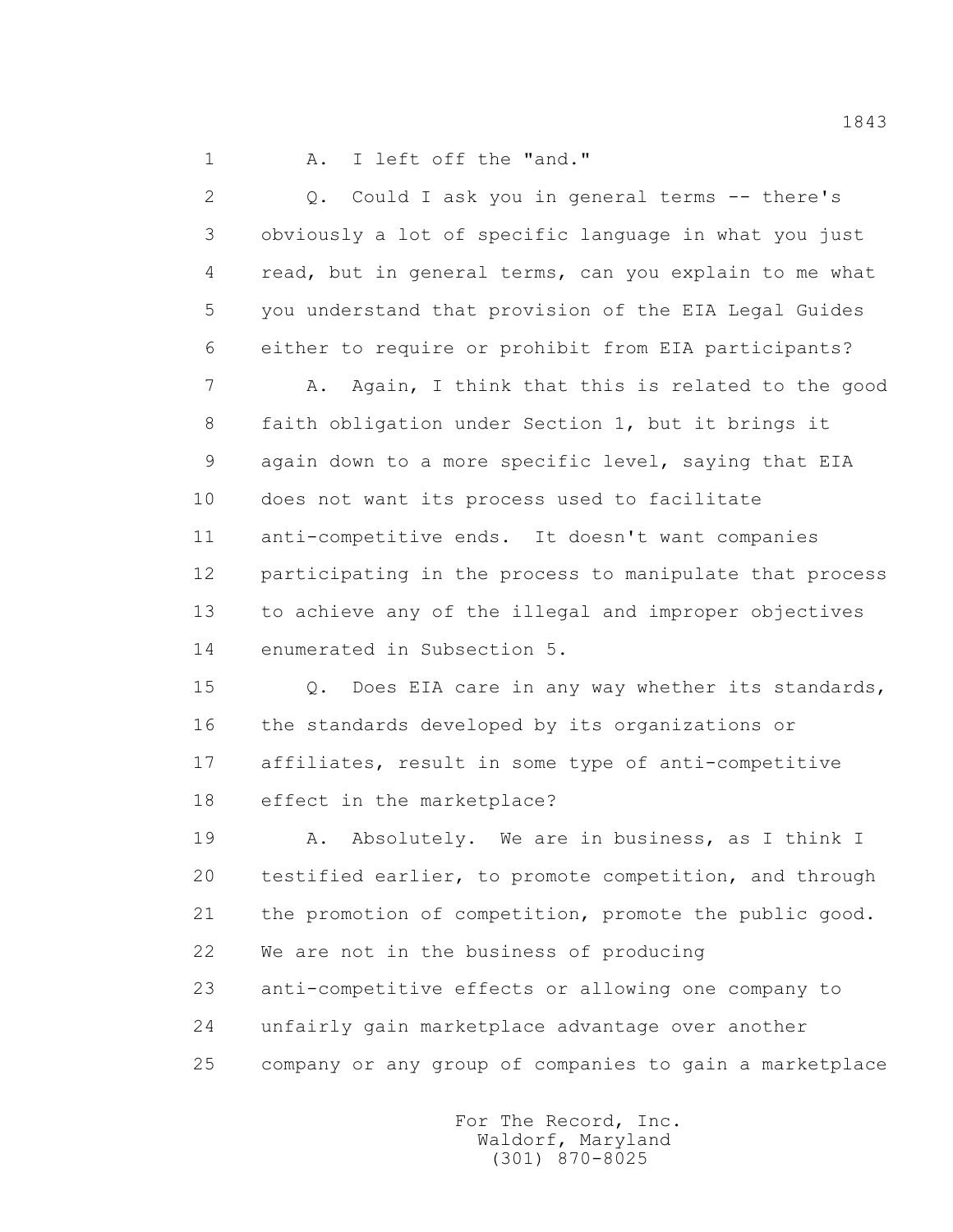1 A. I left off the "and."

 2 Q. Could I ask you in general terms -- there's 3 obviously a lot of specific language in what you just 4 read, but in general terms, can you explain to me what 5 you understand that provision of the EIA Legal Guides 6 either to require or prohibit from EIA participants? 7 A. Again, I think that this is related to the good 8 faith obligation under Section 1, but it brings it 9 again down to a more specific level, saying that EIA 10 does not want its process used to facilitate 11 anti-competitive ends. It doesn't want companies 12 participating in the process to manipulate that process 13 to achieve any of the illegal and improper objectives 14 enumerated in Subsection 5. 15 Q. Does EIA care in any way whether its standards, 16 the standards developed by its organizations or 17 affiliates, result in some type of anti-competitive 18 effect in the marketplace? 19 A. Absolutely. We are in business, as I think I 20 testified earlier, to promote competition, and through 21 the promotion of competition, promote the public good. 22 We are not in the business of producing 23 anti-competitive effects or allowing one company to

24 unfairly gain marketplace advantage over another

25 company or any group of companies to gain a marketplace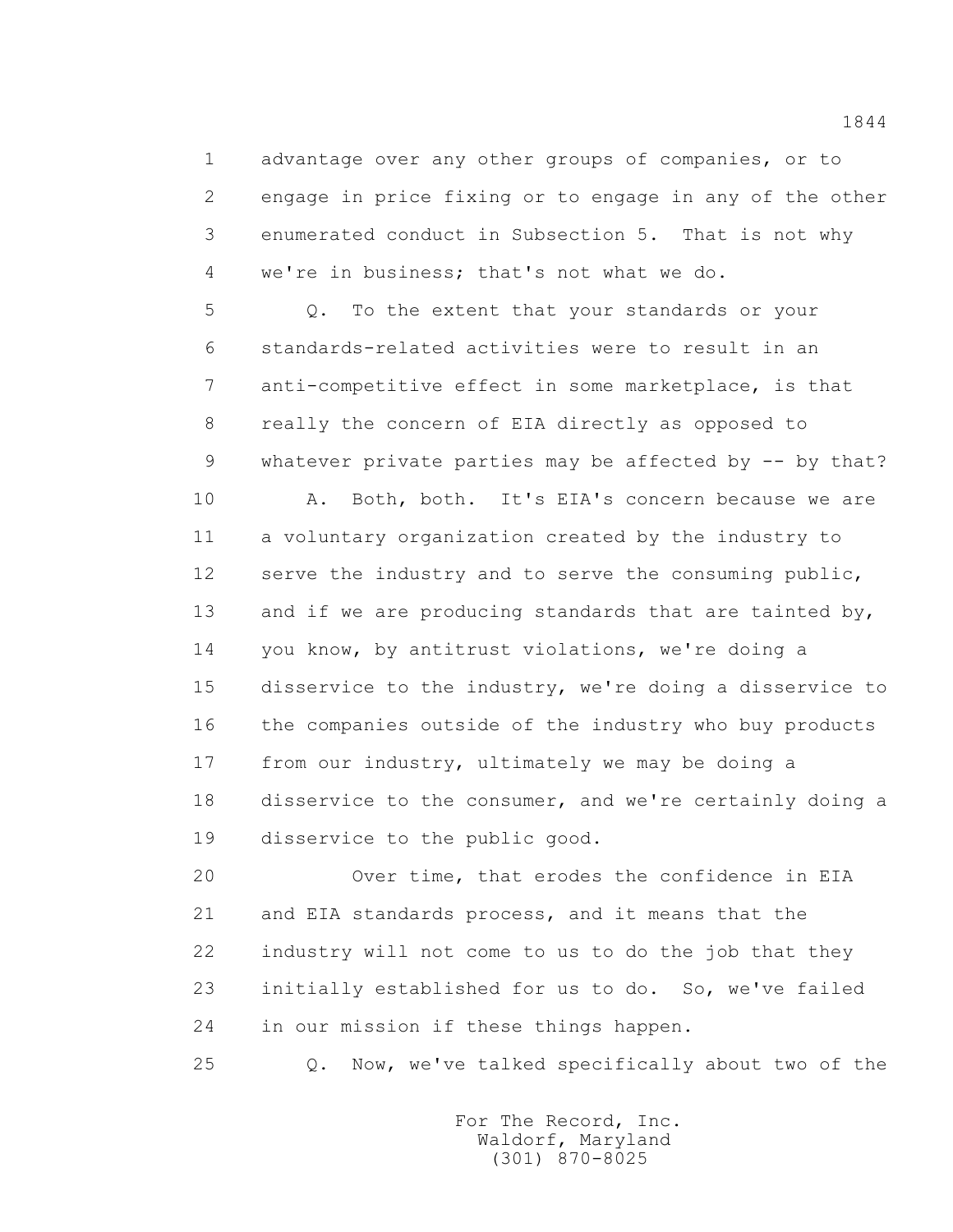1 advantage over any other groups of companies, or to 2 engage in price fixing or to engage in any of the other 3 enumerated conduct in Subsection 5. That is not why 4 we're in business; that's not what we do.

 5 Q. To the extent that your standards or your 6 standards-related activities were to result in an 7 anti-competitive effect in some marketplace, is that 8 really the concern of EIA directly as opposed to 9 whatever private parties may be affected by -- by that?

 10 A. Both, both. It's EIA's concern because we are 11 a voluntary organization created by the industry to 12 serve the industry and to serve the consuming public, 13 and if we are producing standards that are tainted by, 14 you know, by antitrust violations, we're doing a 15 disservice to the industry, we're doing a disservice to 16 the companies outside of the industry who buy products 17 from our industry, ultimately we may be doing a 18 disservice to the consumer, and we're certainly doing a 19 disservice to the public good.

 20 Over time, that erodes the confidence in EIA 21 and EIA standards process, and it means that the 22 industry will not come to us to do the job that they 23 initially established for us to do. So, we've failed 24 in our mission if these things happen.

25 Q. Now, we've talked specifically about two of the

 For The Record, Inc. Waldorf, Maryland (301) 870-8025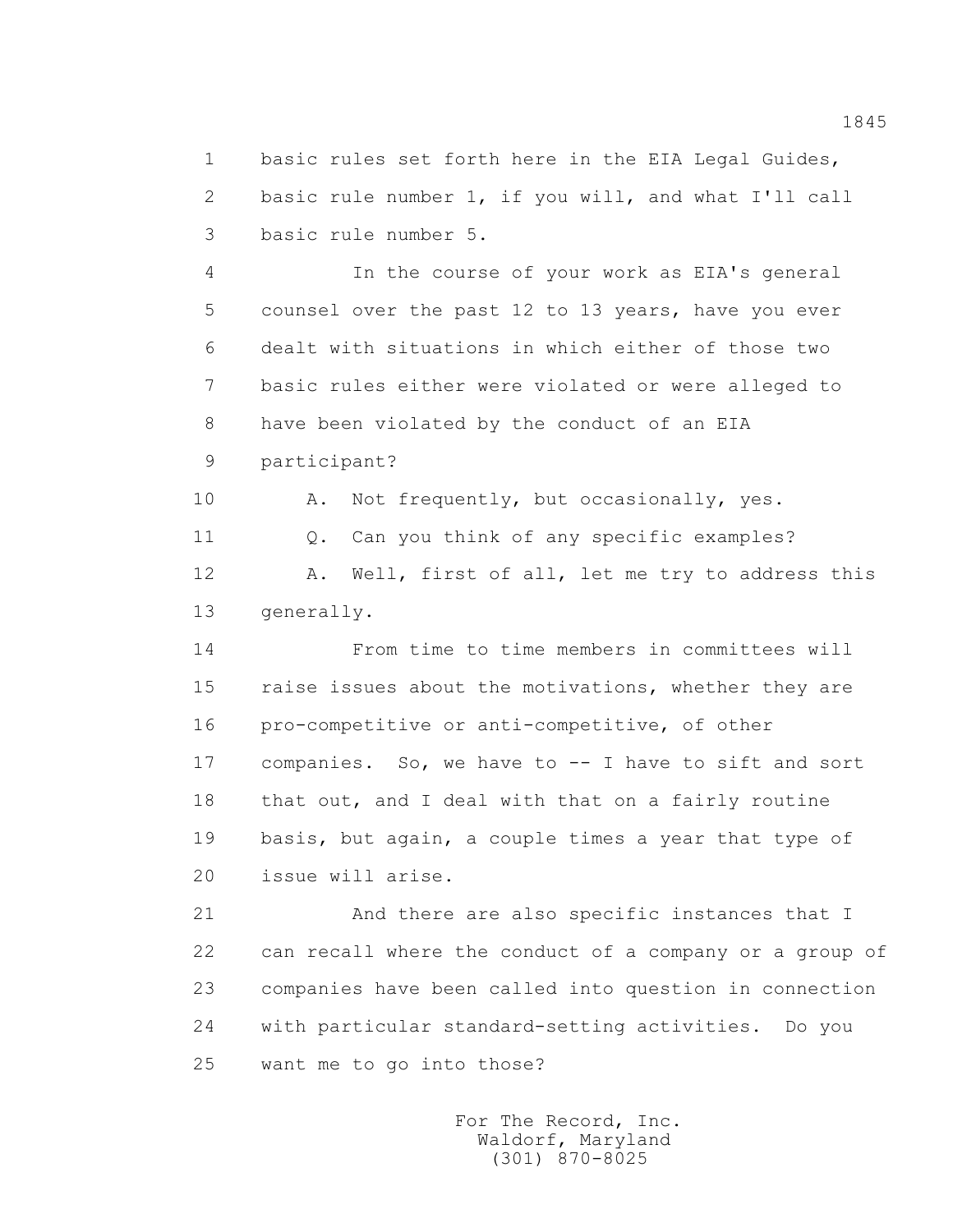1 basic rules set forth here in the EIA Legal Guides, 2 basic rule number 1, if you will, and what I'll call 3 basic rule number 5.

 4 In the course of your work as EIA's general 5 counsel over the past 12 to 13 years, have you ever 6 dealt with situations in which either of those two 7 basic rules either were violated or were alleged to 8 have been violated by the conduct of an EIA 9 participant?

10 A. Not frequently, but occasionally, yes.

11 Q. Can you think of any specific examples?

 12 A. Well, first of all, let me try to address this 13 generally.

 14 From time to time members in committees will 15 raise issues about the motivations, whether they are 16 pro-competitive or anti-competitive, of other 17 companies. So, we have to -- I have to sift and sort 18 that out, and I deal with that on a fairly routine 19 basis, but again, a couple times a year that type of 20 issue will arise.

 21 And there are also specific instances that I 22 can recall where the conduct of a company or a group of 23 companies have been called into question in connection 24 with particular standard-setting activities. Do you 25 want me to go into those?

> For The Record, Inc. Waldorf, Maryland (301) 870-8025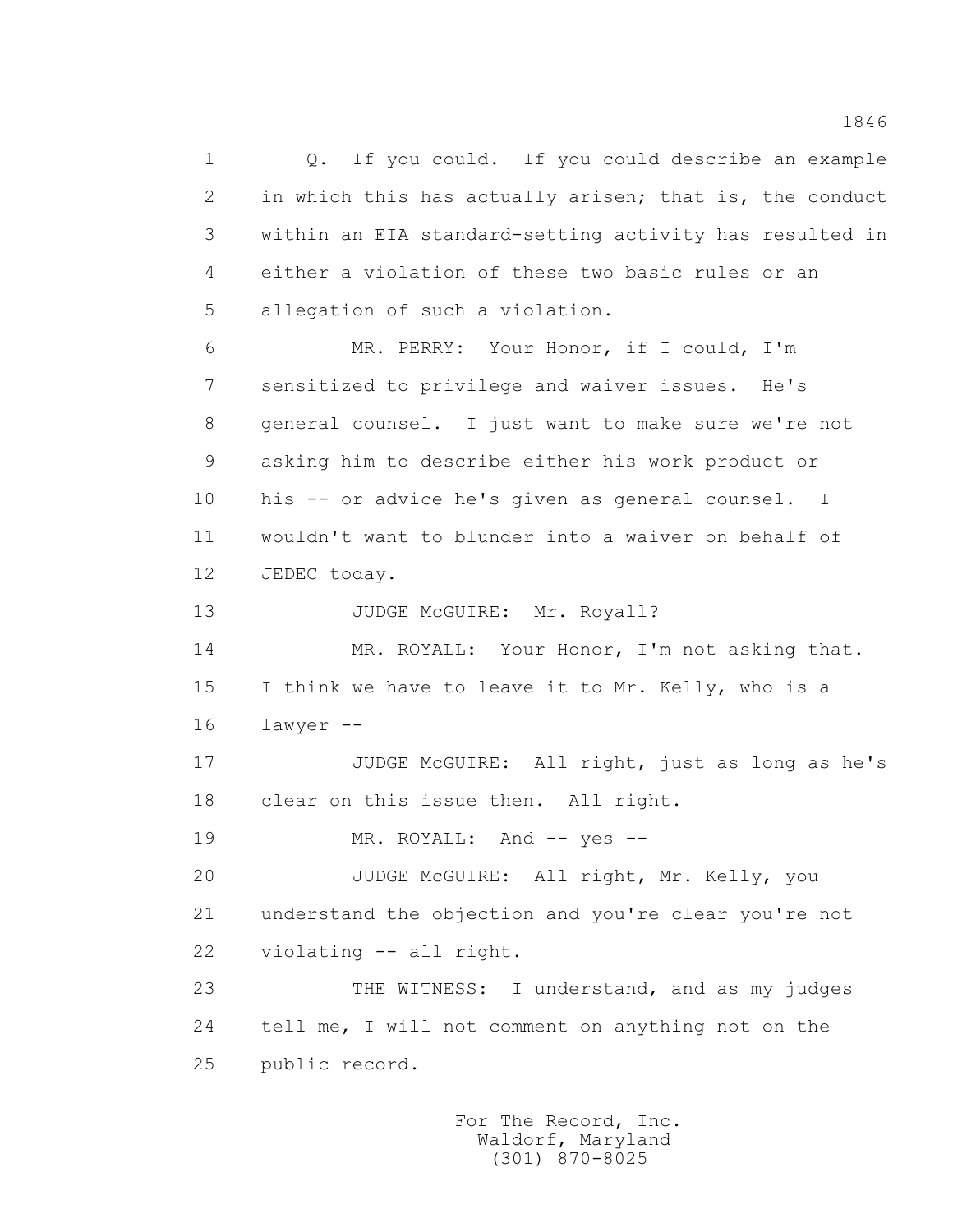1 0. If you could. If you could describe an example 2 in which this has actually arisen; that is, the conduct 3 within an EIA standard-setting activity has resulted in 4 either a violation of these two basic rules or an 5 allegation of such a violation.

 6 MR. PERRY: Your Honor, if I could, I'm 7 sensitized to privilege and waiver issues. He's 8 general counsel. I just want to make sure we're not 9 asking him to describe either his work product or 10 his -- or advice he's given as general counsel. I 11 wouldn't want to blunder into a waiver on behalf of 12 JEDEC today.

13 JUDGE McGUIRE: Mr. Royall?

14 MR. ROYALL: Your Honor, I'm not asking that. 15 I think we have to leave it to Mr. Kelly, who is a 16 lawyer --

 17 JUDGE McGUIRE: All right, just as long as he's 18 clear on this issue then. All right.

19 MR. ROYALL: And -- yes --

 20 JUDGE McGUIRE: All right, Mr. Kelly, you 21 understand the objection and you're clear you're not 22 violating -- all right.

 23 THE WITNESS: I understand, and as my judges 24 tell me, I will not comment on anything not on the 25 public record.

> For The Record, Inc. Waldorf, Maryland (301) 870-8025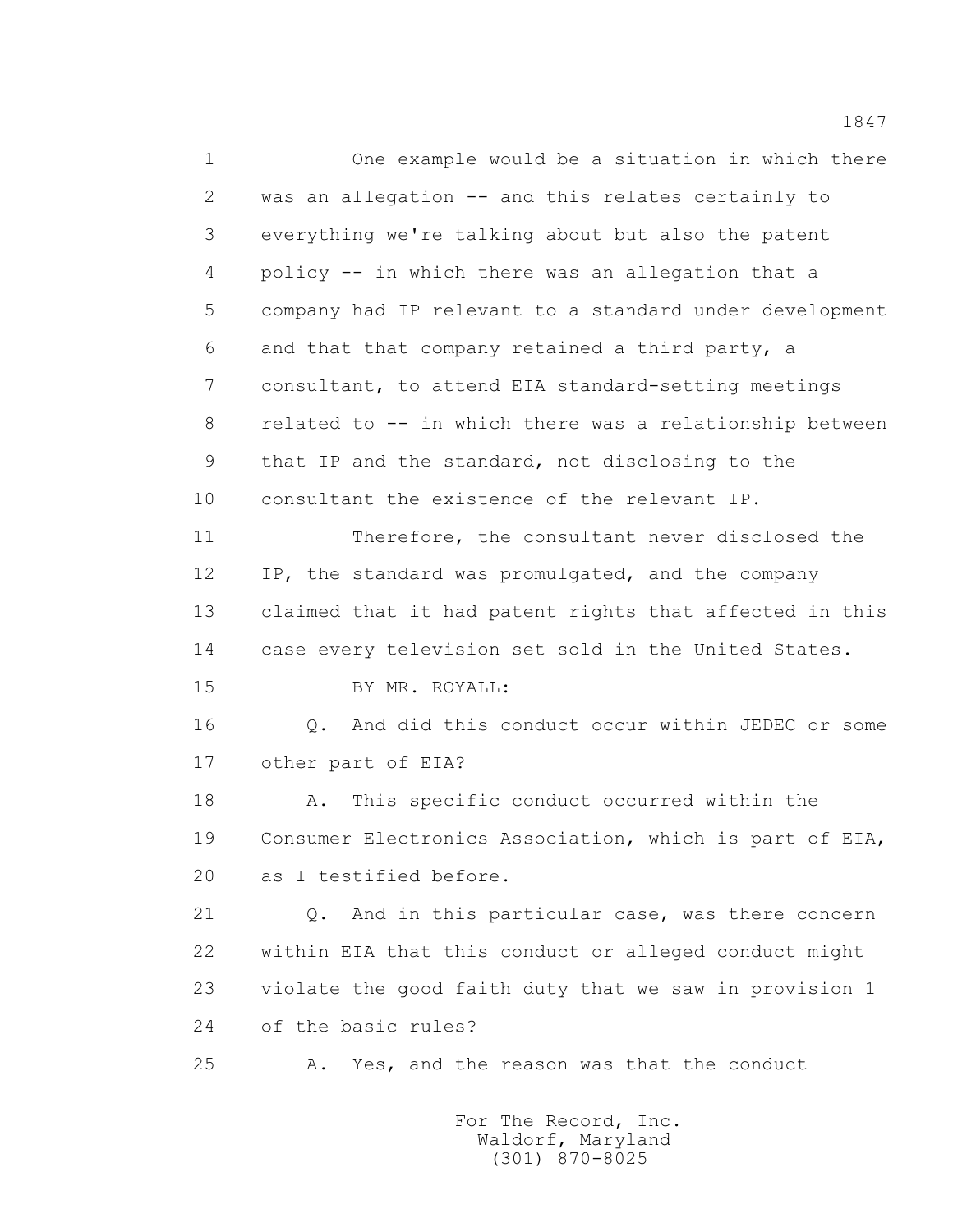1 One example would be a situation in which there 2 was an allegation -- and this relates certainly to 3 everything we're talking about but also the patent 4 policy -- in which there was an allegation that a 5 company had IP relevant to a standard under development 6 and that that company retained a third party, a 7 consultant, to attend EIA standard-setting meetings 8 related to -- in which there was a relationship between 9 that IP and the standard, not disclosing to the 10 consultant the existence of the relevant IP. 11 Therefore, the consultant never disclosed the 12 IP, the standard was promulgated, and the company 13 claimed that it had patent rights that affected in this 14 case every television set sold in the United States. 15 BY MR. ROYALL: 16 Q. And did this conduct occur within JEDEC or some 17 other part of EIA? 18 A. This specific conduct occurred within the 19 Consumer Electronics Association, which is part of EIA, 20 as I testified before. 21 Q. And in this particular case, was there concern 22 within EIA that this conduct or alleged conduct might 23 violate the good faith duty that we saw in provision 1 24 of the basic rules? 25 A. Yes, and the reason was that the conduct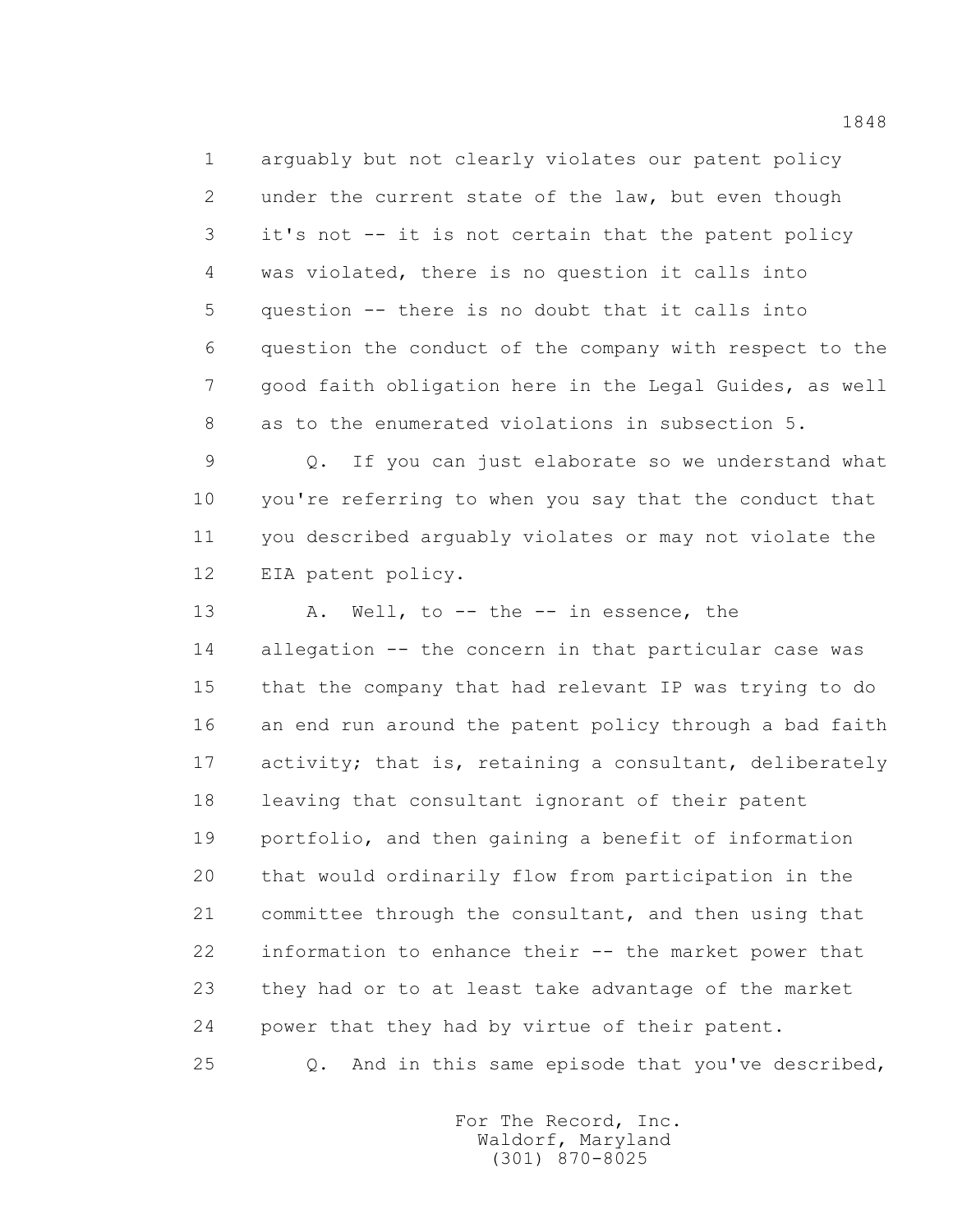1 arguably but not clearly violates our patent policy 2 under the current state of the law, but even though 3 it's not -- it is not certain that the patent policy 4 was violated, there is no question it calls into 5 question -- there is no doubt that it calls into 6 question the conduct of the company with respect to the 7 good faith obligation here in the Legal Guides, as well 8 as to the enumerated violations in subsection 5.

 9 Q. If you can just elaborate so we understand what 10 you're referring to when you say that the conduct that 11 you described arguably violates or may not violate the 12 EIA patent policy.

 13 A. Well, to -- the -- in essence, the 14 allegation -- the concern in that particular case was 15 that the company that had relevant IP was trying to do 16 an end run around the patent policy through a bad faith 17 activity; that is, retaining a consultant, deliberately 18 leaving that consultant ignorant of their patent 19 portfolio, and then gaining a benefit of information 20 that would ordinarily flow from participation in the 21 committee through the consultant, and then using that 22 information to enhance their -- the market power that 23 they had or to at least take advantage of the market 24 power that they had by virtue of their patent.

25 Q. And in this same episode that you've described,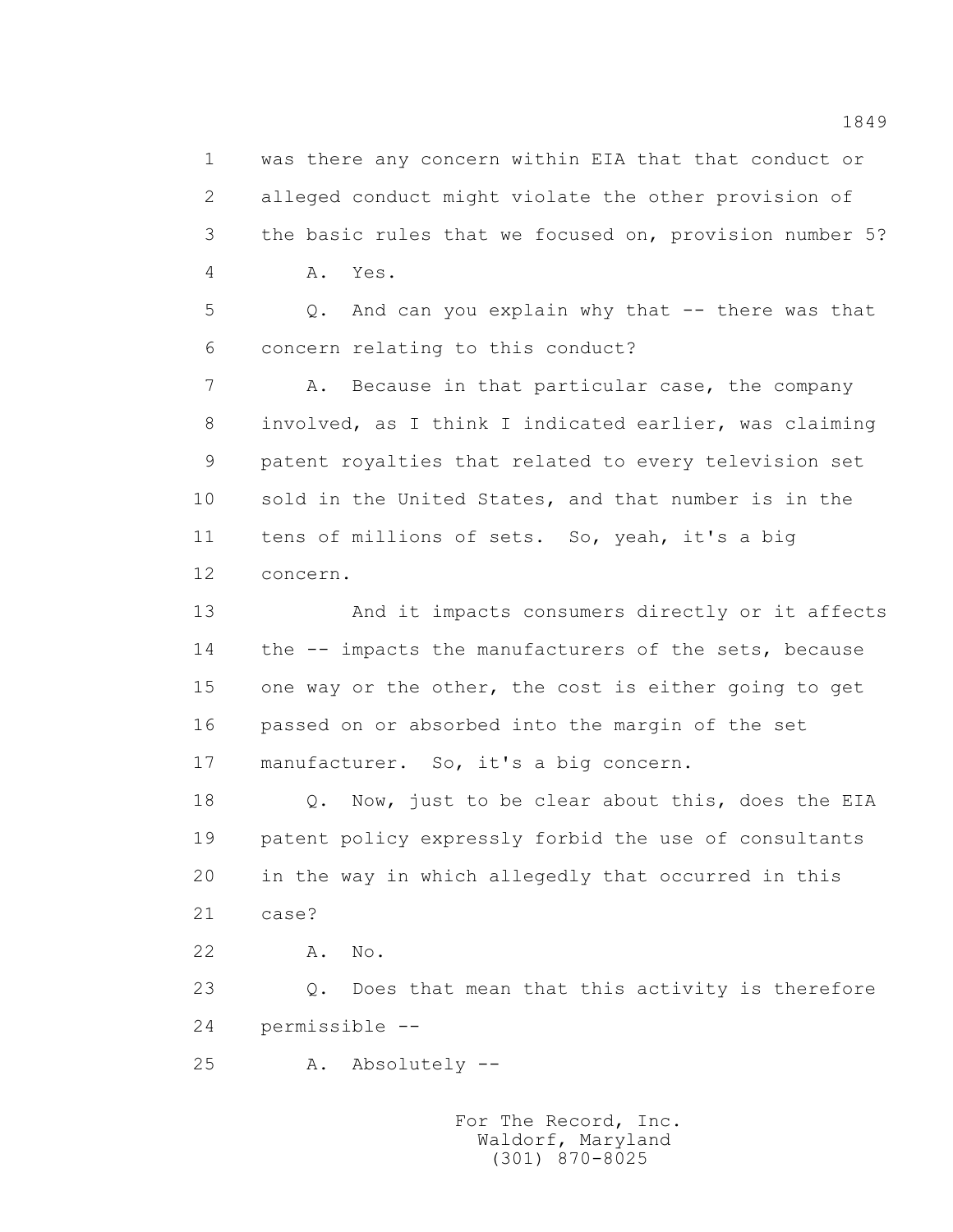1 was there any concern within EIA that that conduct or 2 alleged conduct might violate the other provision of 3 the basic rules that we focused on, provision number 5? 4 A. Yes.

> 5 Q. And can you explain why that -- there was that 6 concern relating to this conduct?

7 A. Because in that particular case, the company 8 involved, as I think I indicated earlier, was claiming 9 patent royalties that related to every television set 10 sold in the United States, and that number is in the 11 tens of millions of sets. So, yeah, it's a big 12 concern.

 13 And it impacts consumers directly or it affects 14 the -- impacts the manufacturers of the sets, because 15 one way or the other, the cost is either going to get 16 passed on or absorbed into the margin of the set 17 manufacturer. So, it's a big concern.

18 Q. Now, just to be clear about this, does the EIA 19 patent policy expressly forbid the use of consultants 20 in the way in which allegedly that occurred in this 21 case?

22 A. No.

 23 Q. Does that mean that this activity is therefore 24 permissible --

25 A. Absolutely --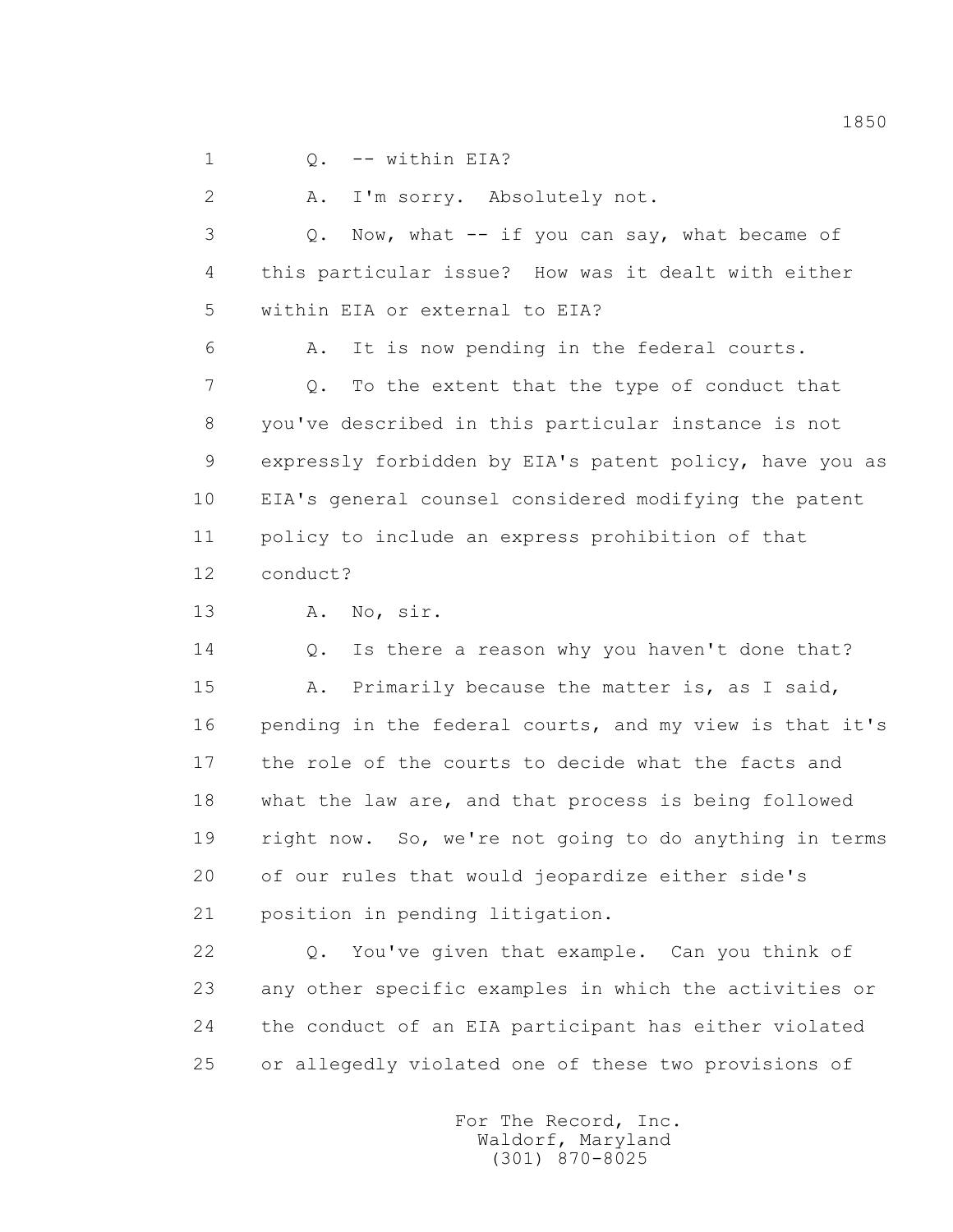1 0. -- within EIA?

2 A. I'm sorry. Absolutely not.

 3 Q. Now, what -- if you can say, what became of 4 this particular issue? How was it dealt with either 5 within EIA or external to EIA?

 6 A. It is now pending in the federal courts. 7 Q. To the extent that the type of conduct that 8 you've described in this particular instance is not 9 expressly forbidden by EIA's patent policy, have you as 10 EIA's general counsel considered modifying the patent 11 policy to include an express prohibition of that 12 conduct?

13 A. No, sir.

14 Q. Is there a reason why you haven't done that? 15 A. Primarily because the matter is, as I said, 16 pending in the federal courts, and my view is that it's 17 the role of the courts to decide what the facts and 18 what the law are, and that process is being followed 19 right now. So, we're not going to do anything in terms 20 of our rules that would jeopardize either side's 21 position in pending litigation.

 22 Q. You've given that example. Can you think of 23 any other specific examples in which the activities or 24 the conduct of an EIA participant has either violated 25 or allegedly violated one of these two provisions of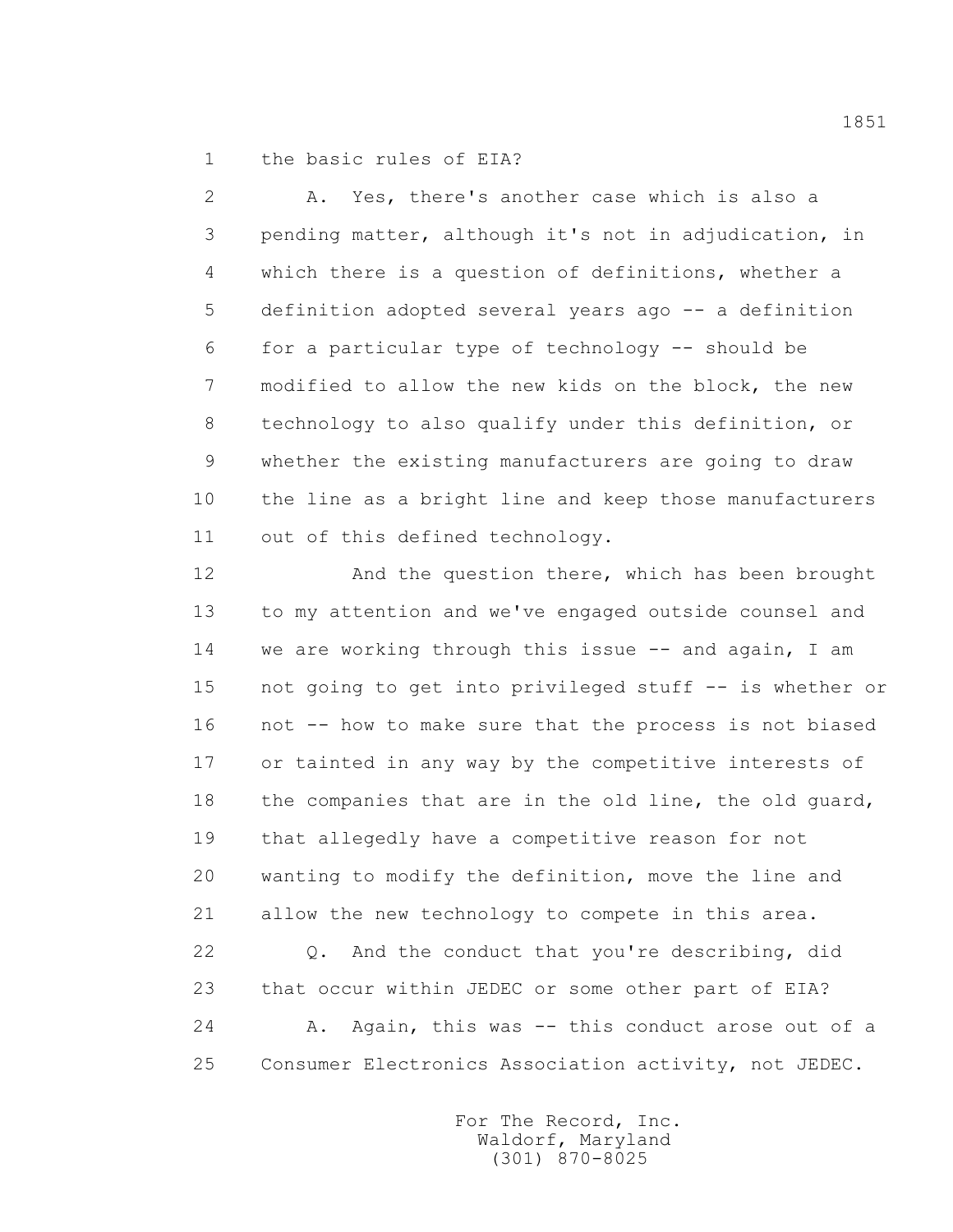1 the basic rules of EIA?

 2 A. Yes, there's another case which is also a 3 pending matter, although it's not in adjudication, in 4 which there is a question of definitions, whether a 5 definition adopted several years ago -- a definition 6 for a particular type of technology -- should be 7 modified to allow the new kids on the block, the new 8 technology to also qualify under this definition, or 9 whether the existing manufacturers are going to draw 10 the line as a bright line and keep those manufacturers 11 out of this defined technology.

12 And the question there, which has been brought 13 to my attention and we've engaged outside counsel and 14 we are working through this issue -- and again, I am 15 not going to get into privileged stuff -- is whether or 16 not -- how to make sure that the process is not biased 17 or tainted in any way by the competitive interests of 18 the companies that are in the old line, the old guard, 19 that allegedly have a competitive reason for not 20 wanting to modify the definition, move the line and 21 allow the new technology to compete in this area. 22 Q. And the conduct that you're describing, did

24 A. Again, this was -- this conduct arose out of a 25 Consumer Electronics Association activity, not JEDEC.

23 that occur within JEDEC or some other part of EIA?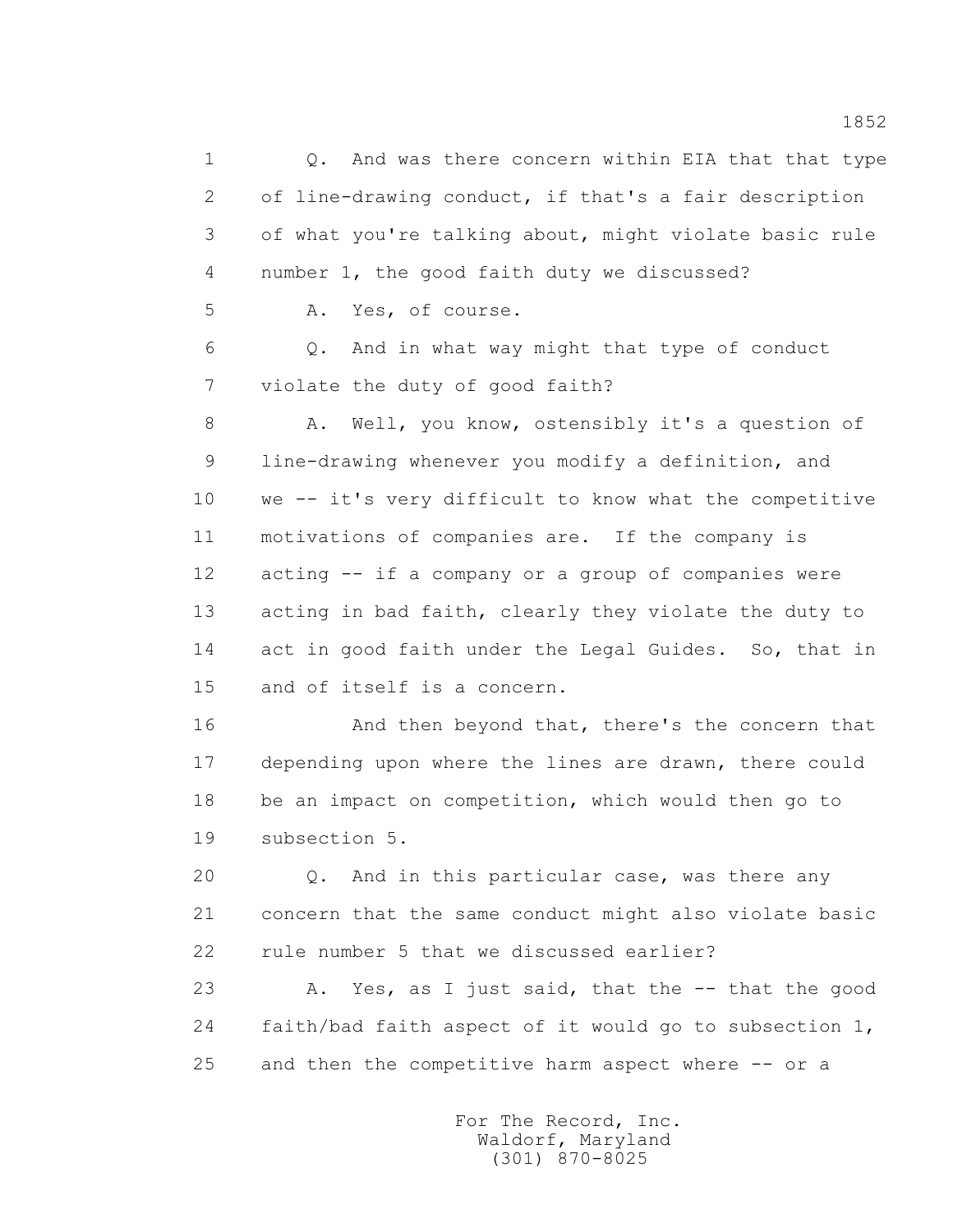1 0. And was there concern within EIA that that type 2 of line-drawing conduct, if that's a fair description 3 of what you're talking about, might violate basic rule 4 number 1, the good faith duty we discussed? 5 A. Yes, of course. 6 Q. And in what way might that type of conduct 7 violate the duty of good faith? 8 A. Well, you know, ostensibly it's a question of 9 line-drawing whenever you modify a definition, and 10 we -- it's very difficult to know what the competitive 11 motivations of companies are. If the company is 12 acting -- if a company or a group of companies were 13 acting in bad faith, clearly they violate the duty to 14 act in good faith under the Legal Guides. So, that in 15 and of itself is a concern. 16 **And then beyond that, there's the concern that**  17 depending upon where the lines are drawn, there could 18 be an impact on competition, which would then go to 19 subsection 5. 20 Q. And in this particular case, was there any 21 concern that the same conduct might also violate basic 22 rule number 5 that we discussed earlier? 23 A. Yes, as I just said, that the -- that the good 24 faith/bad faith aspect of it would go to subsection 1, 25 and then the competitive harm aspect where -- or a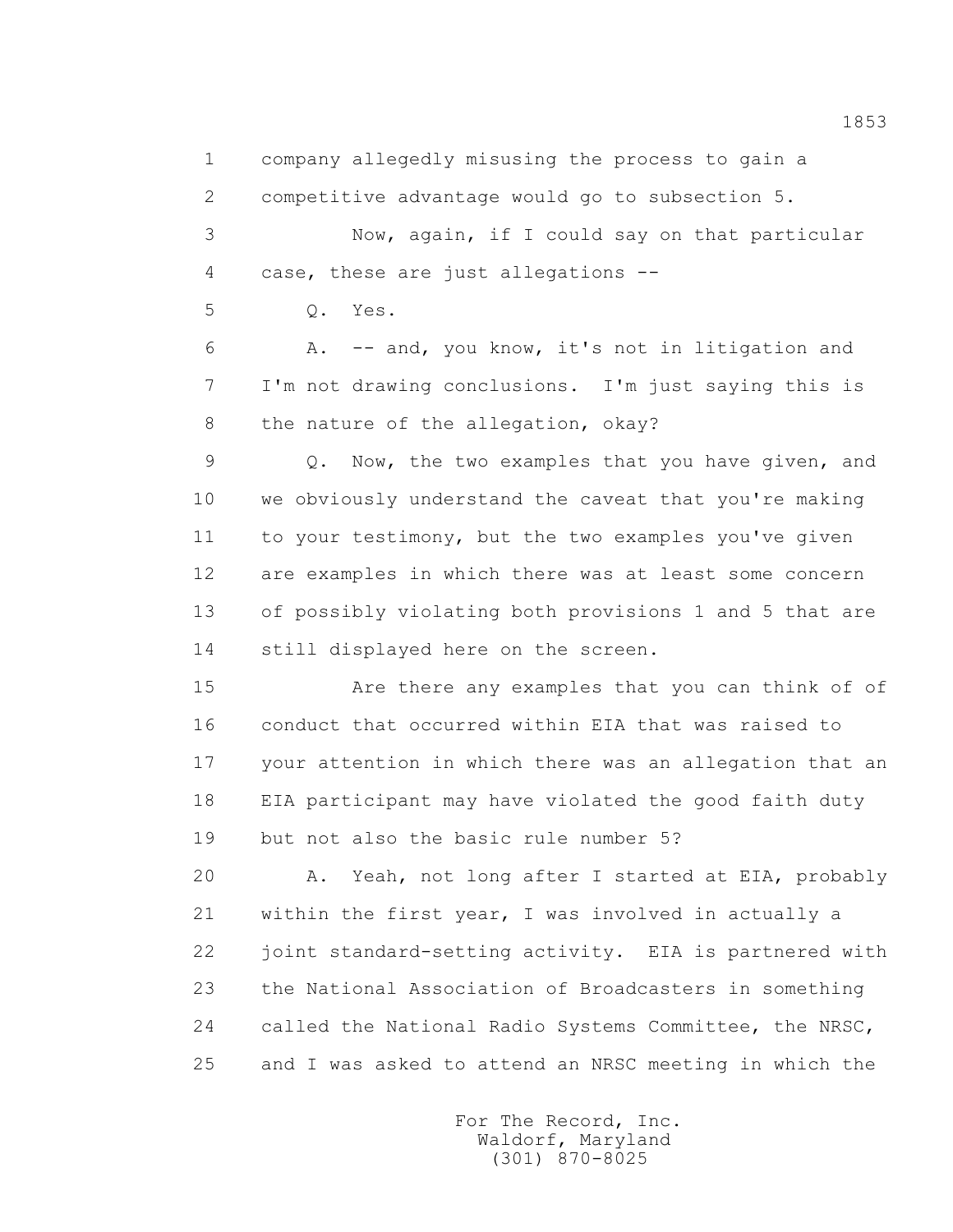1 company allegedly misusing the process to gain a

2 competitive advantage would go to subsection 5.

 3 Now, again, if I could say on that particular 4 case, these are just allegations --

5 Q. Yes.

 6 A. -- and, you know, it's not in litigation and 7 I'm not drawing conclusions. I'm just saying this is 8 the nature of the allegation, okay?

 9 Q. Now, the two examples that you have given, and 10 we obviously understand the caveat that you're making 11 to your testimony, but the two examples you've given 12 are examples in which there was at least some concern 13 of possibly violating both provisions 1 and 5 that are 14 still displayed here on the screen.

 15 Are there any examples that you can think of of 16 conduct that occurred within EIA that was raised to 17 your attention in which there was an allegation that an 18 EIA participant may have violated the good faith duty 19 but not also the basic rule number 5?

 20 A. Yeah, not long after I started at EIA, probably 21 within the first year, I was involved in actually a 22 joint standard-setting activity. EIA is partnered with 23 the National Association of Broadcasters in something 24 called the National Radio Systems Committee, the NRSC, 25 and I was asked to attend an NRSC meeting in which the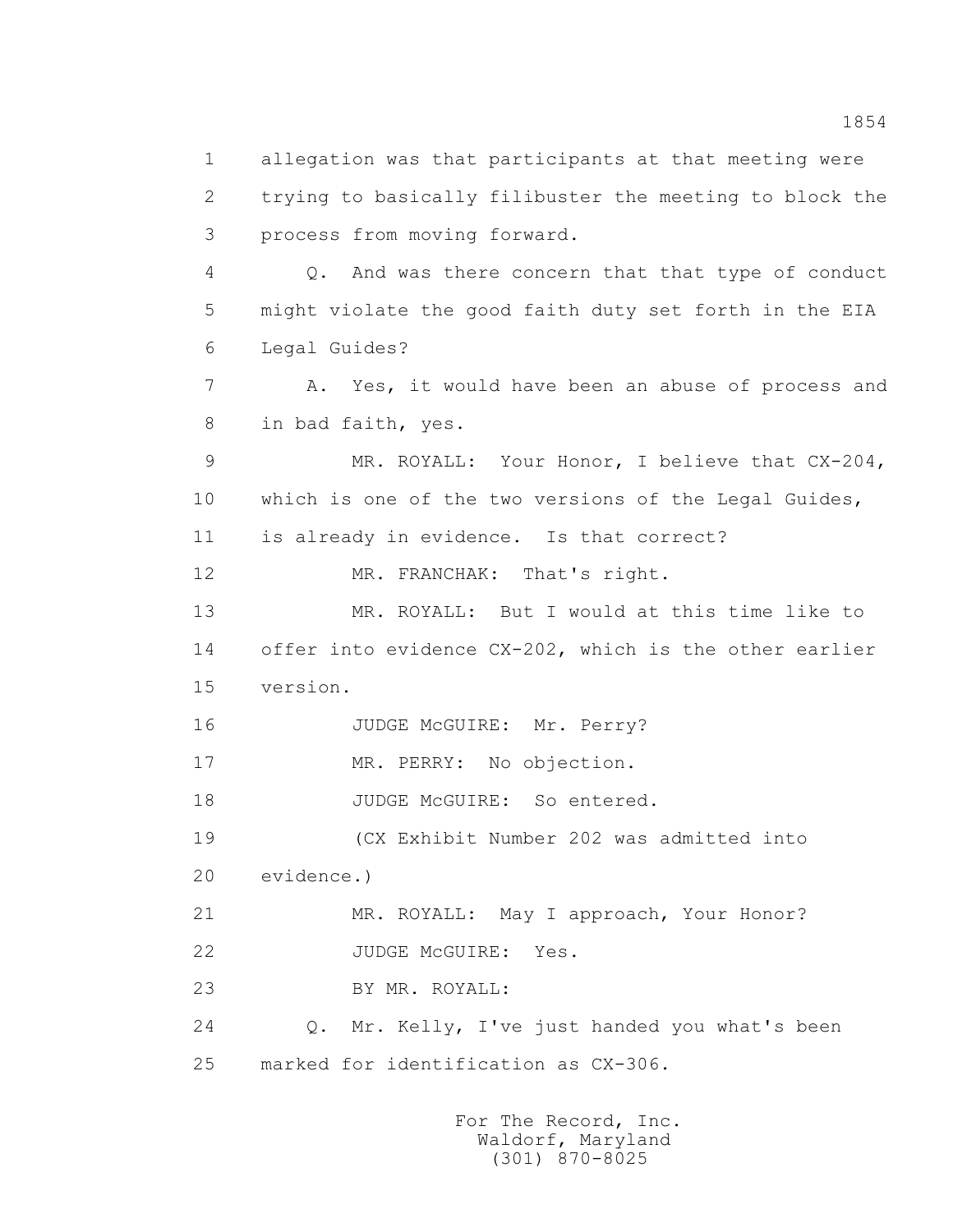1 allegation was that participants at that meeting were 2 trying to basically filibuster the meeting to block the 3 process from moving forward. 4 Q. And was there concern that that type of conduct 5 might violate the good faith duty set forth in the EIA 6 Legal Guides? 7 A. Yes, it would have been an abuse of process and 8 in bad faith, yes. 9 MR. ROYALL: Your Honor, I believe that CX-204, 10 which is one of the two versions of the Legal Guides, 11 is already in evidence. Is that correct? 12 MR. FRANCHAK: That's right. 13 MR. ROYALL: But I would at this time like to 14 offer into evidence CX-202, which is the other earlier 15 version. 16 JUDGE McGUIRE: Mr. Perry? 17 MR. PERRY: No objection. 18 JUDGE McGUIRE: So entered. 19 (CX Exhibit Number 202 was admitted into 20 evidence.) 21 MR. ROYALL: May I approach, Your Honor? 22 JUDGE McGUIRE: Yes. 23 BY MR. ROYALL: 24 Q. Mr. Kelly, I've just handed you what's been 25 marked for identification as CX-306.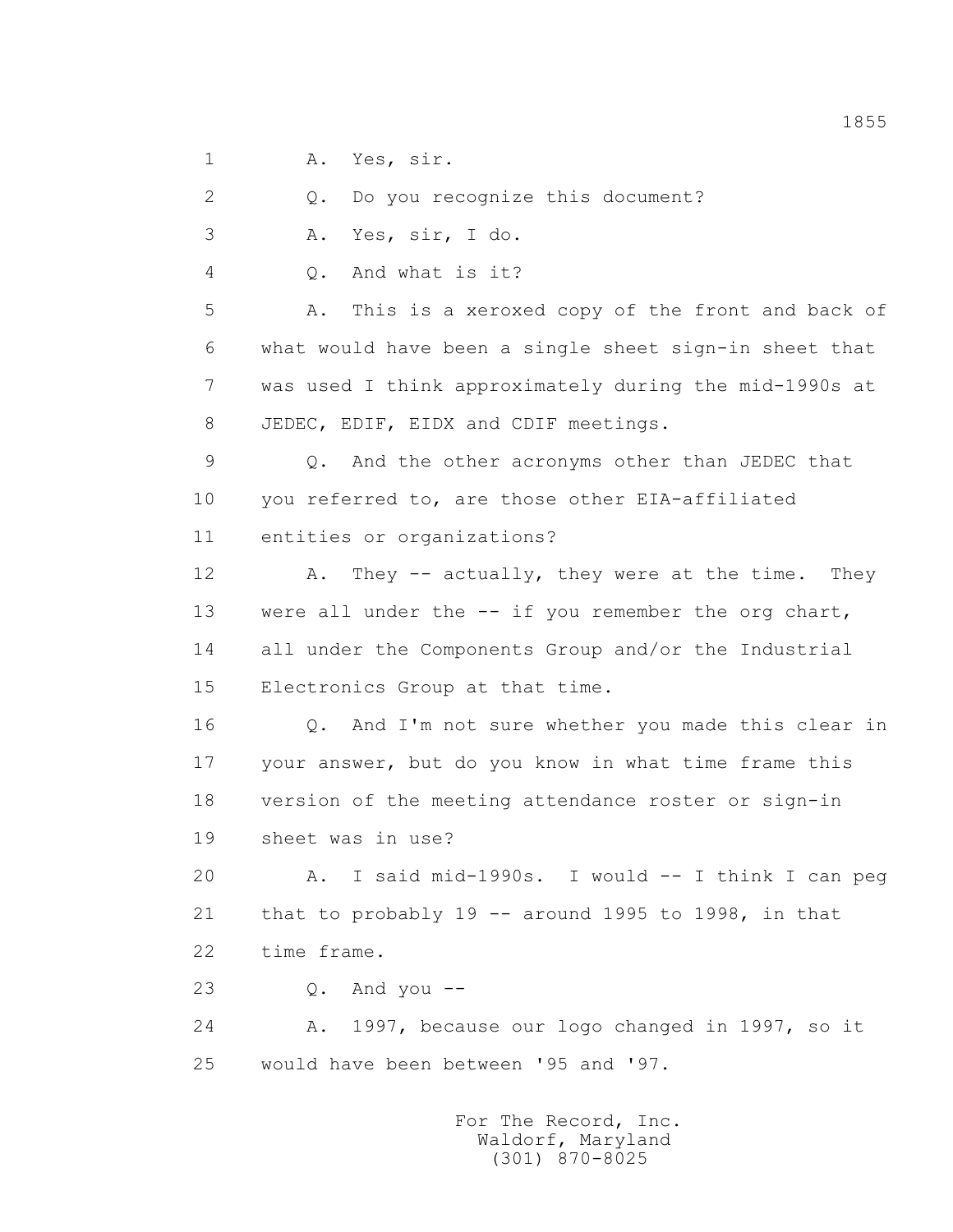1 A. Yes, sir.

2 Q. Do you recognize this document?

3 A. Yes, sir, I do.

4 Q. And what is it?

 5 A. This is a xeroxed copy of the front and back of 6 what would have been a single sheet sign-in sheet that 7 was used I think approximately during the mid-1990s at 8 JEDEC, EDIF, EIDX and CDIF meetings.

 9 Q. And the other acronyms other than JEDEC that 10 you referred to, are those other EIA-affiliated 11 entities or organizations?

12 A. They -- actually, they were at the time. They 13 were all under the -- if you remember the org chart, 14 all under the Components Group and/or the Industrial 15 Electronics Group at that time.

 16 Q. And I'm not sure whether you made this clear in 17 your answer, but do you know in what time frame this 18 version of the meeting attendance roster or sign-in 19 sheet was in use?

 20 A. I said mid-1990s. I would -- I think I can peg 21 that to probably 19 -- around 1995 to 1998, in that 22 time frame.

23 Q. And you --

 24 A. 1997, because our logo changed in 1997, so it 25 would have been between '95 and '97.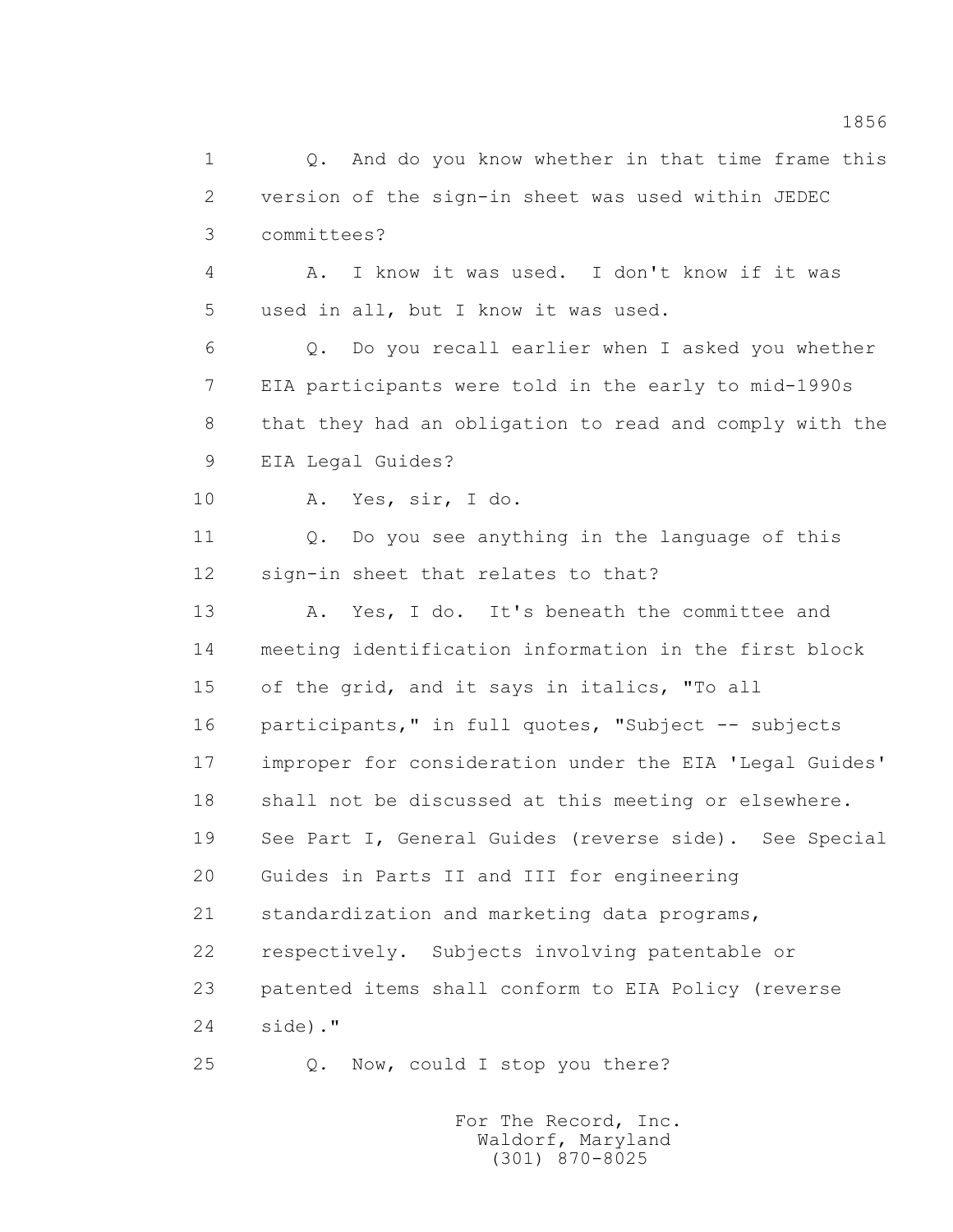1 0. And do you know whether in that time frame this 2 version of the sign-in sheet was used within JEDEC 3 committees? 4 A. I know it was used. I don't know if it was 5 used in all, but I know it was used. 6 Q. Do you recall earlier when I asked you whether 7 EIA participants were told in the early to mid-1990s 8 that they had an obligation to read and comply with the 9 EIA Legal Guides? 10 A. Yes, sir, I do. 11 Q. Do you see anything in the language of this 12 sign-in sheet that relates to that? 13 A. Yes, I do. It's beneath the committee and 14 meeting identification information in the first block 15 of the grid, and it says in italics, "To all 16 participants," in full quotes, "Subject -- subjects 17 improper for consideration under the EIA 'Legal Guides' 18 shall not be discussed at this meeting or elsewhere. 19 See Part I, General Guides (reverse side). See Special 20 Guides in Parts II and III for engineering 21 standardization and marketing data programs, 22 respectively. Subjects involving patentable or 23 patented items shall conform to EIA Policy (reverse 24 side)." 25 Q. Now, could I stop you there?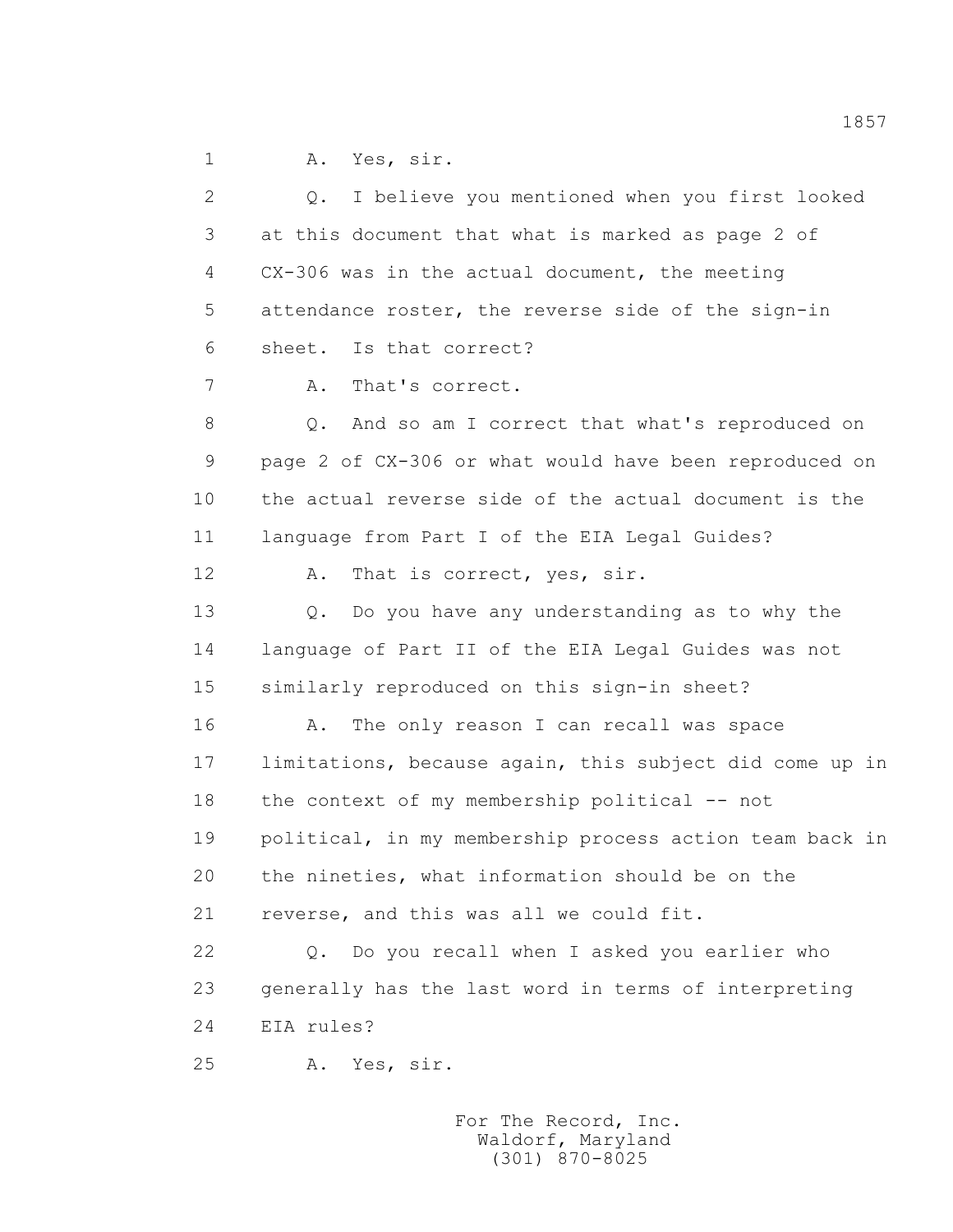1 A. Yes, sir.

 2 Q. I believe you mentioned when you first looked 3 at this document that what is marked as page 2 of 4 CX-306 was in the actual document, the meeting 5 attendance roster, the reverse side of the sign-in 6 sheet. Is that correct? 7 A. That's correct. 8 Q. And so am I correct that what's reproduced on 9 page 2 of CX-306 or what would have been reproduced on 10 the actual reverse side of the actual document is the 11 language from Part I of the EIA Legal Guides? 12 A. That is correct, yes, sir. 13 0. Do you have any understanding as to why the 14 language of Part II of the EIA Legal Guides was not 15 similarly reproduced on this sign-in sheet? 16 A. The only reason I can recall was space 17 limitations, because again, this subject did come up in 18 the context of my membership political -- not 19 political, in my membership process action team back in 20 the nineties, what information should be on the 21 reverse, and this was all we could fit. 22 Q. Do you recall when I asked you earlier who 23 generally has the last word in terms of interpreting 24 EIA rules? 25 A. Yes, sir.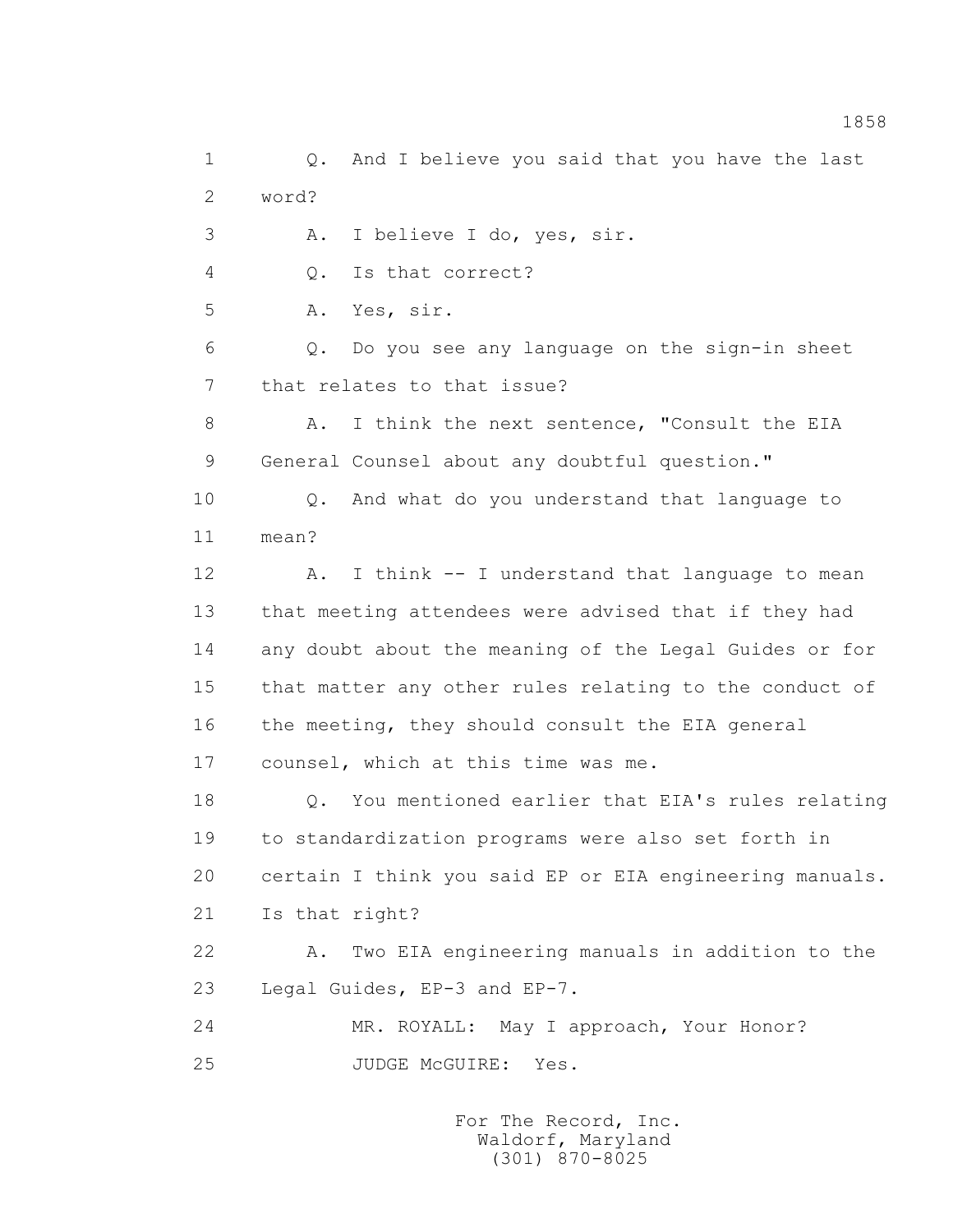1 Q. And I believe you said that you have the last 2 word? 3 A. I believe I do, yes, sir. 4 Q. Is that correct? 5 A. Yes, sir. 6 Q. Do you see any language on the sign-in sheet 7 that relates to that issue? 8 A. I think the next sentence, "Consult the EIA 9 General Counsel about any doubtful question." 10 Q. And what do you understand that language to 11 mean? 12 A. I think -- I understand that language to mean 13 that meeting attendees were advised that if they had 14 any doubt about the meaning of the Legal Guides or for 15 that matter any other rules relating to the conduct of 16 the meeting, they should consult the EIA general 17 counsel, which at this time was me. 18 Q. You mentioned earlier that EIA's rules relating 19 to standardization programs were also set forth in 20 certain I think you said EP or EIA engineering manuals. 21 Is that right? 22 A. Two EIA engineering manuals in addition to the 23 Legal Guides, EP-3 and EP-7. 24 MR. ROYALL: May I approach, Your Honor? 25 JUDGE McGUIRE: Yes.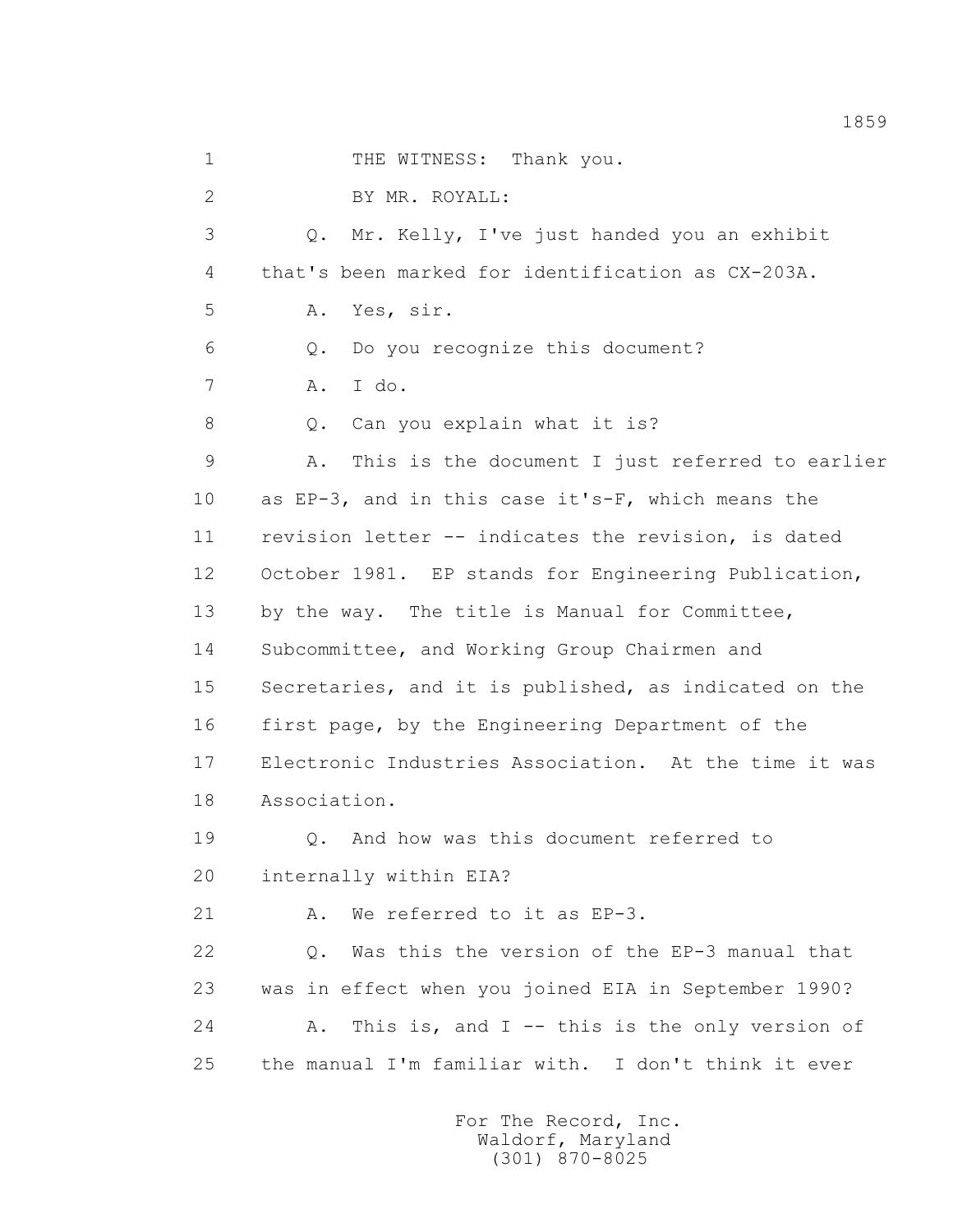1 THE WITNESS: Thank you. 2 BY MR. ROYALL: 3 Q. Mr. Kelly, I've just handed you an exhibit 4 that's been marked for identification as CX-203A. 5 A. Yes, sir. 6 Q. Do you recognize this document? 7 A. I do. 8 Q. Can you explain what it is? 9 A. This is the document I just referred to earlier 10 as EP-3, and in this case it's-F, which means the 11 revision letter -- indicates the revision, is dated 12 October 1981. EP stands for Engineering Publication, 13 by the way. The title is Manual for Committee, 14 Subcommittee, and Working Group Chairmen and 15 Secretaries, and it is published, as indicated on the 16 first page, by the Engineering Department of the 17 Electronic Industries Association. At the time it was 18 Association. 19 Q. And how was this document referred to 20 internally within EIA? 21 A. We referred to it as EP-3. 22 Q. Was this the version of the EP-3 manual that 23 was in effect when you joined EIA in September 1990? 24 A. This is, and I -- this is the only version of 25 the manual I'm familiar with. I don't think it ever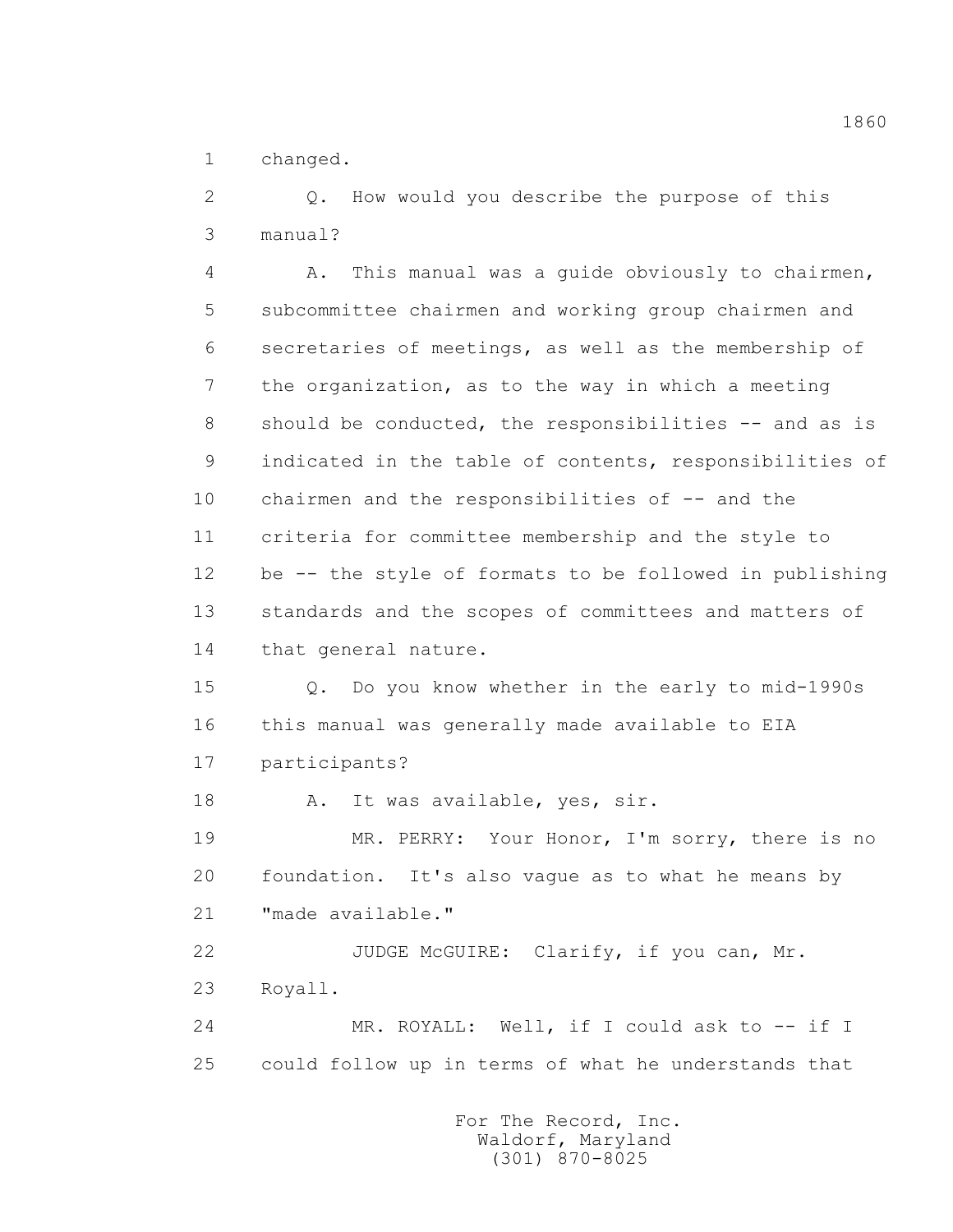1 changed.

 2 Q. How would you describe the purpose of this 3 manual?

 4 A. This manual was a guide obviously to chairmen, 5 subcommittee chairmen and working group chairmen and 6 secretaries of meetings, as well as the membership of 7 the organization, as to the way in which a meeting 8 should be conducted, the responsibilities -- and as is 9 indicated in the table of contents, responsibilities of 10 chairmen and the responsibilities of -- and the 11 criteria for committee membership and the style to 12 be -- the style of formats to be followed in publishing 13 standards and the scopes of committees and matters of 14 that general nature.

 15 Q. Do you know whether in the early to mid-1990s 16 this manual was generally made available to EIA 17 participants?

18 A. It was available, yes, sir.

19 MR. PERRY: Your Honor, I'm sorry, there is no 20 foundation. It's also vague as to what he means by 21 "made available."

 22 JUDGE McGUIRE: Clarify, if you can, Mr. 23 Royall.

 24 MR. ROYALL: Well, if I could ask to -- if I 25 could follow up in terms of what he understands that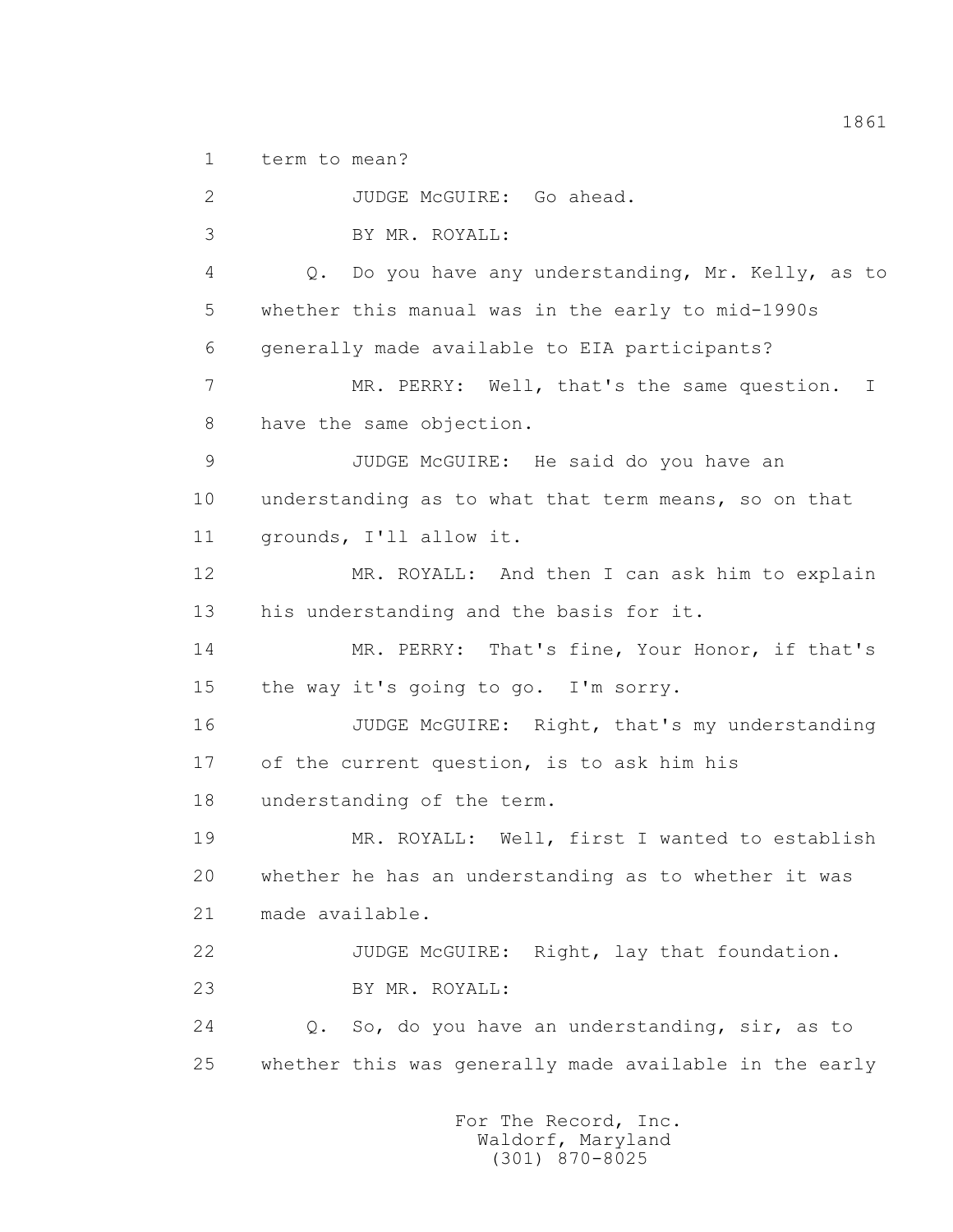1 term to mean?

 2 JUDGE McGUIRE: Go ahead. 3 BY MR. ROYALL: 4 Q. Do you have any understanding, Mr. Kelly, as to 5 whether this manual was in the early to mid-1990s 6 generally made available to EIA participants? 7 MR. PERRY: Well, that's the same question. I 8 have the same objection. 9 JUDGE McGUIRE: He said do you have an 10 understanding as to what that term means, so on that 11 grounds, I'll allow it. 12 MR. ROYALL: And then I can ask him to explain 13 his understanding and the basis for it. 14 MR. PERRY: That's fine, Your Honor, if that's 15 the way it's going to go. I'm sorry. 16 JUDGE McGUIRE: Right, that's my understanding 17 of the current question, is to ask him his 18 understanding of the term. 19 MR. ROYALL: Well, first I wanted to establish 20 whether he has an understanding as to whether it was 21 made available. 22 JUDGE McGUIRE: Right, lay that foundation. 23 BY MR. ROYALL: 24 Q. So, do you have an understanding, sir, as to 25 whether this was generally made available in the early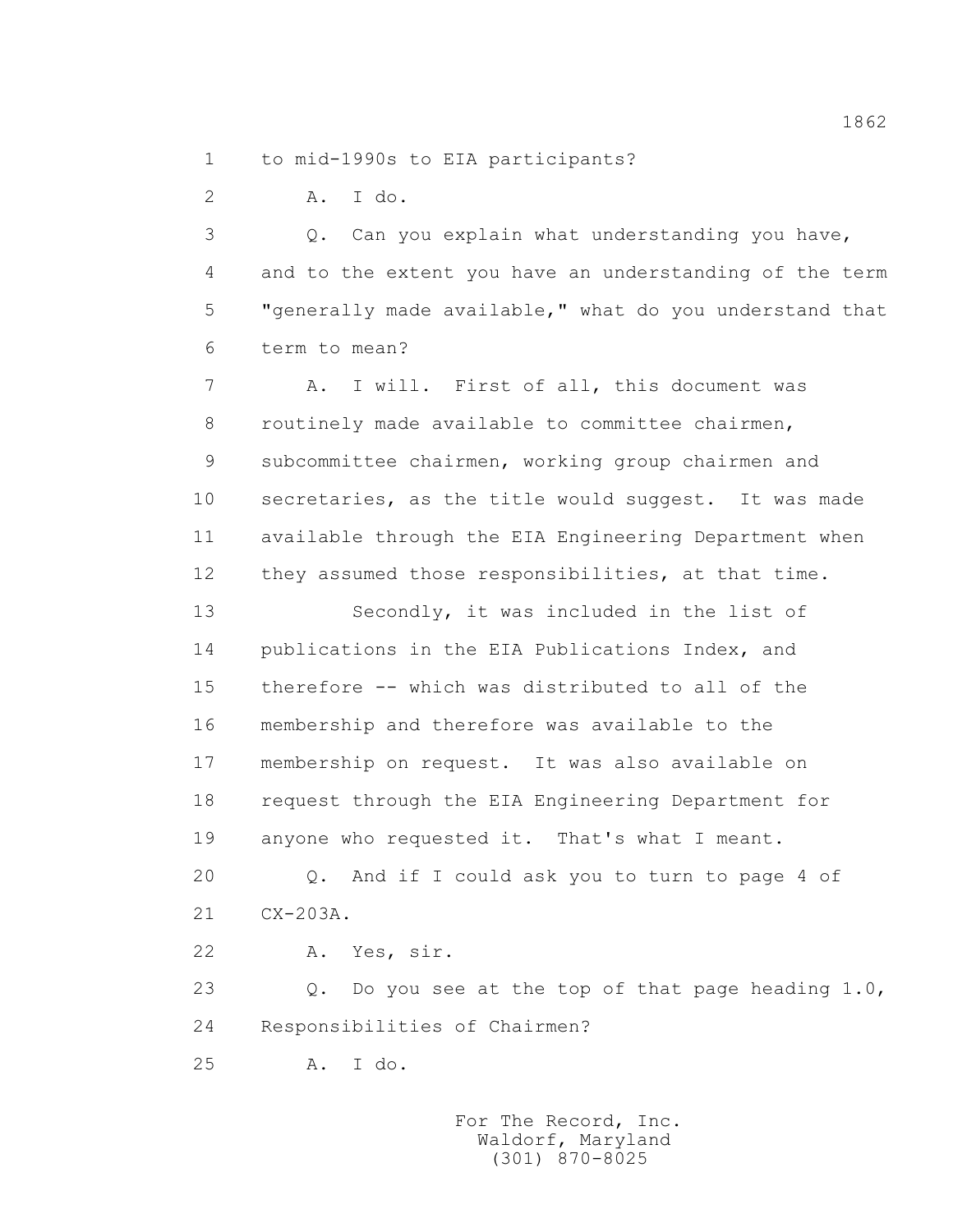1 to mid-1990s to EIA participants?

2 A. I do.

 3 Q. Can you explain what understanding you have, 4 and to the extent you have an understanding of the term 5 "generally made available," what do you understand that 6 term to mean?

 7 A. I will. First of all, this document was 8 routinely made available to committee chairmen, 9 subcommittee chairmen, working group chairmen and 10 secretaries, as the title would suggest. It was made 11 available through the EIA Engineering Department when 12 they assumed those responsibilities, at that time.

 13 Secondly, it was included in the list of 14 publications in the EIA Publications Index, and 15 therefore -- which was distributed to all of the 16 membership and therefore was available to the 17 membership on request. It was also available on 18 request through the EIA Engineering Department for 19 anyone who requested it. That's what I meant.

 20 Q. And if I could ask you to turn to page 4 of 21 CX-203A.

22 A. Yes, sir.

 23 Q. Do you see at the top of that page heading 1.0, 24 Responsibilities of Chairmen?

25 A. I do.

 For The Record, Inc. Waldorf, Maryland (301) 870-8025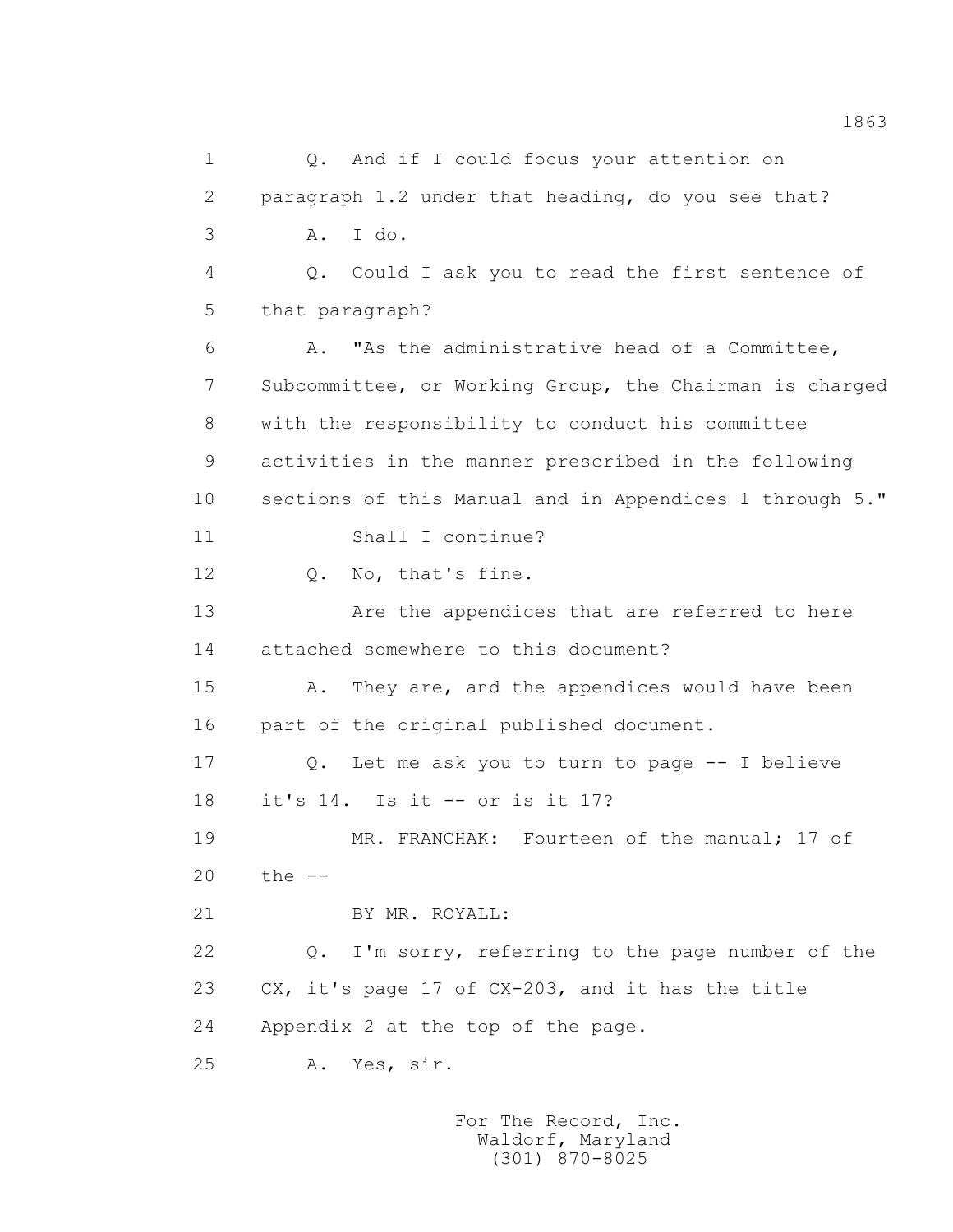1 0. And if I could focus your attention on 2 paragraph 1.2 under that heading, do you see that? 3 A. I do. 4 Q. Could I ask you to read the first sentence of 5 that paragraph? 6 A. "As the administrative head of a Committee, 7 Subcommittee, or Working Group, the Chairman is charged 8 with the responsibility to conduct his committee 9 activities in the manner prescribed in the following 10 sections of this Manual and in Appendices 1 through 5." 11 Shall I continue? 12 Q. No, that's fine. 13 Are the appendices that are referred to here 14 attached somewhere to this document? 15 A. They are, and the appendices would have been 16 part of the original published document. 17 Q. Let me ask you to turn to page -- I believe 18 it's 14. Is it -- or is it 17? 19 MR. FRANCHAK: Fourteen of the manual; 17 of 20 the -- 21 BY MR. ROYALL: 22 Q. I'm sorry, referring to the page number of the 23 CX, it's page 17 of CX-203, and it has the title 24 Appendix 2 at the top of the page. 25 A. Yes, sir.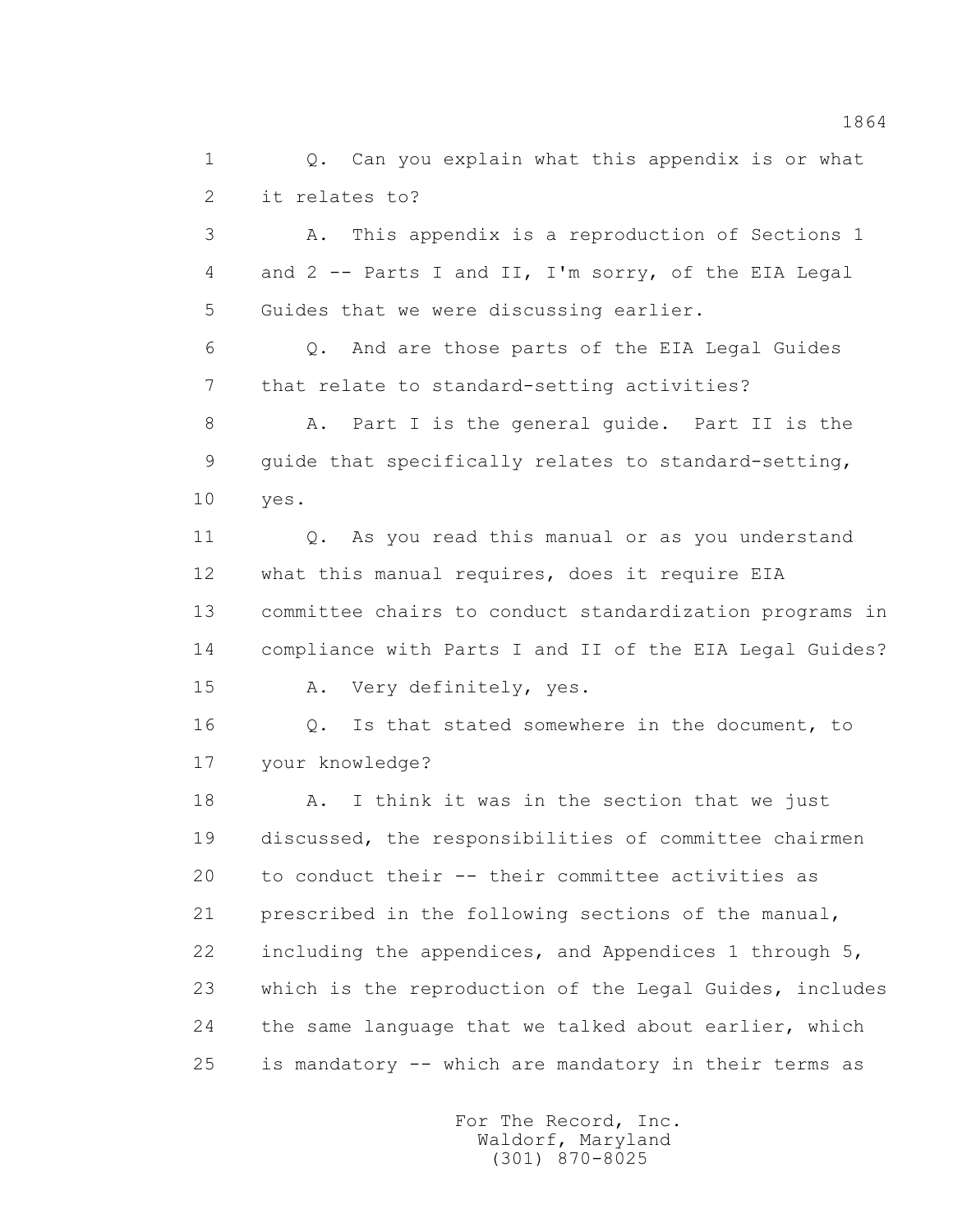1 0. Can you explain what this appendix is or what 2 it relates to?

 3 A. This appendix is a reproduction of Sections 1 4 and 2 -- Parts I and II, I'm sorry, of the EIA Legal 5 Guides that we were discussing earlier.

 6 Q. And are those parts of the EIA Legal Guides 7 that relate to standard-setting activities?

 8 A. Part I is the general guide. Part II is the 9 guide that specifically relates to standard-setting, 10 yes.

 11 Q. As you read this manual or as you understand 12 what this manual requires, does it require EIA 13 committee chairs to conduct standardization programs in 14 compliance with Parts I and II of the EIA Legal Guides? 15 A. Very definitely, yes.

 16 Q. Is that stated somewhere in the document, to 17 your knowledge?

18 A. I think it was in the section that we just 19 discussed, the responsibilities of committee chairmen 20 to conduct their -- their committee activities as 21 prescribed in the following sections of the manual, 22 including the appendices, and Appendices 1 through 5, 23 which is the reproduction of the Legal Guides, includes 24 the same language that we talked about earlier, which 25 is mandatory -- which are mandatory in their terms as

> For The Record, Inc. Waldorf, Maryland (301) 870-8025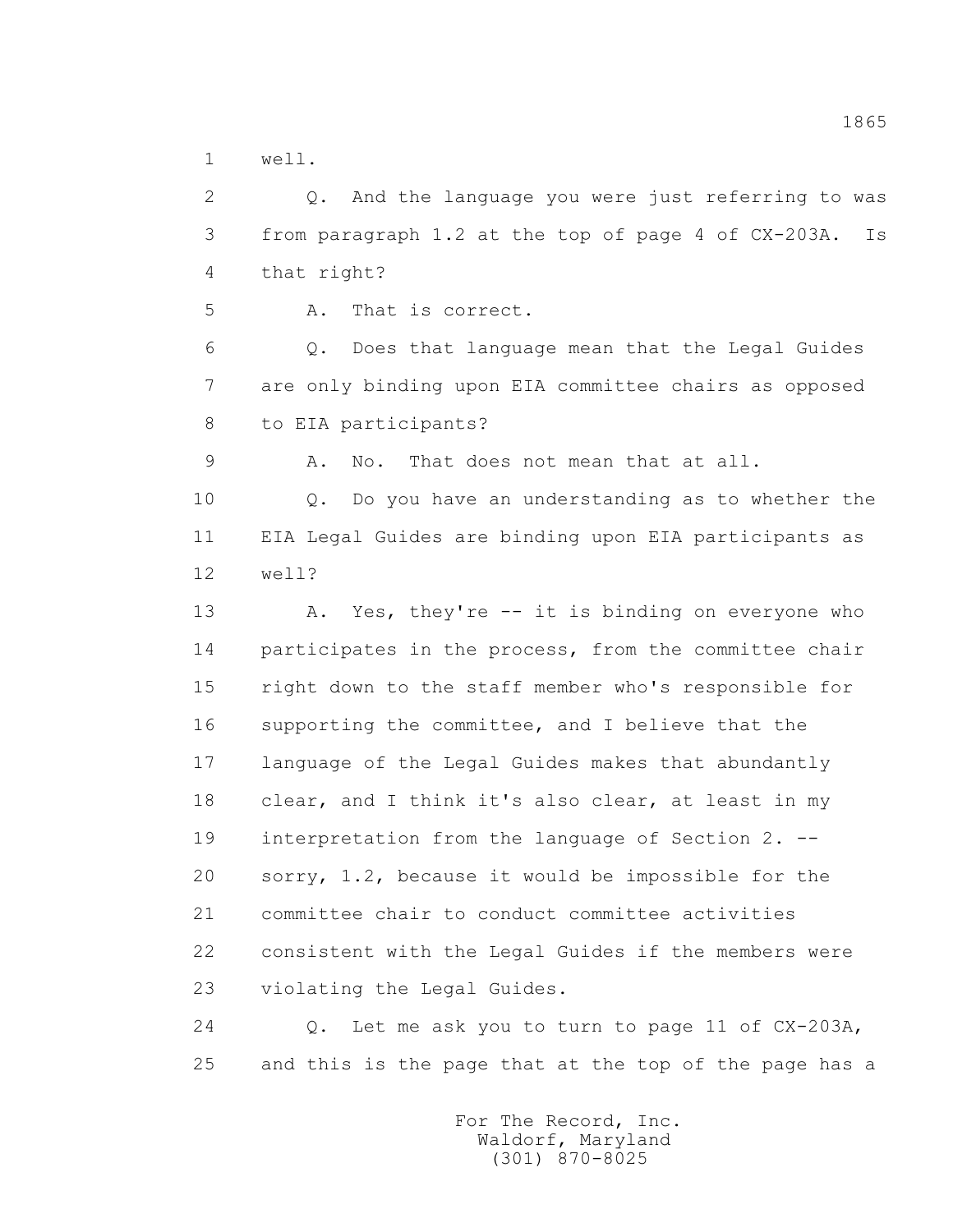1 well.

 2 Q. And the language you were just referring to was 3 from paragraph 1.2 at the top of page 4 of CX-203A. Is 4 that right? 5 A. That is correct. 6 Q. Does that language mean that the Legal Guides 7 are only binding upon EIA committee chairs as opposed 8 to EIA participants? 9 A. No. That does not mean that at all. 10 Q. Do you have an understanding as to whether the 11 EIA Legal Guides are binding upon EIA participants as 12 well? 13 A. Yes, they're -- it is binding on everyone who 14 participates in the process, from the committee chair 15 right down to the staff member who's responsible for 16 supporting the committee, and I believe that the 17 language of the Legal Guides makes that abundantly 18 clear, and I think it's also clear, at least in my 19 interpretation from the language of Section 2. -- 20 sorry, 1.2, because it would be impossible for the 21 committee chair to conduct committee activities 22 consistent with the Legal Guides if the members were 23 violating the Legal Guides. 24 Q. Let me ask you to turn to page 11 of CX-203A,

25 and this is the page that at the top of the page has a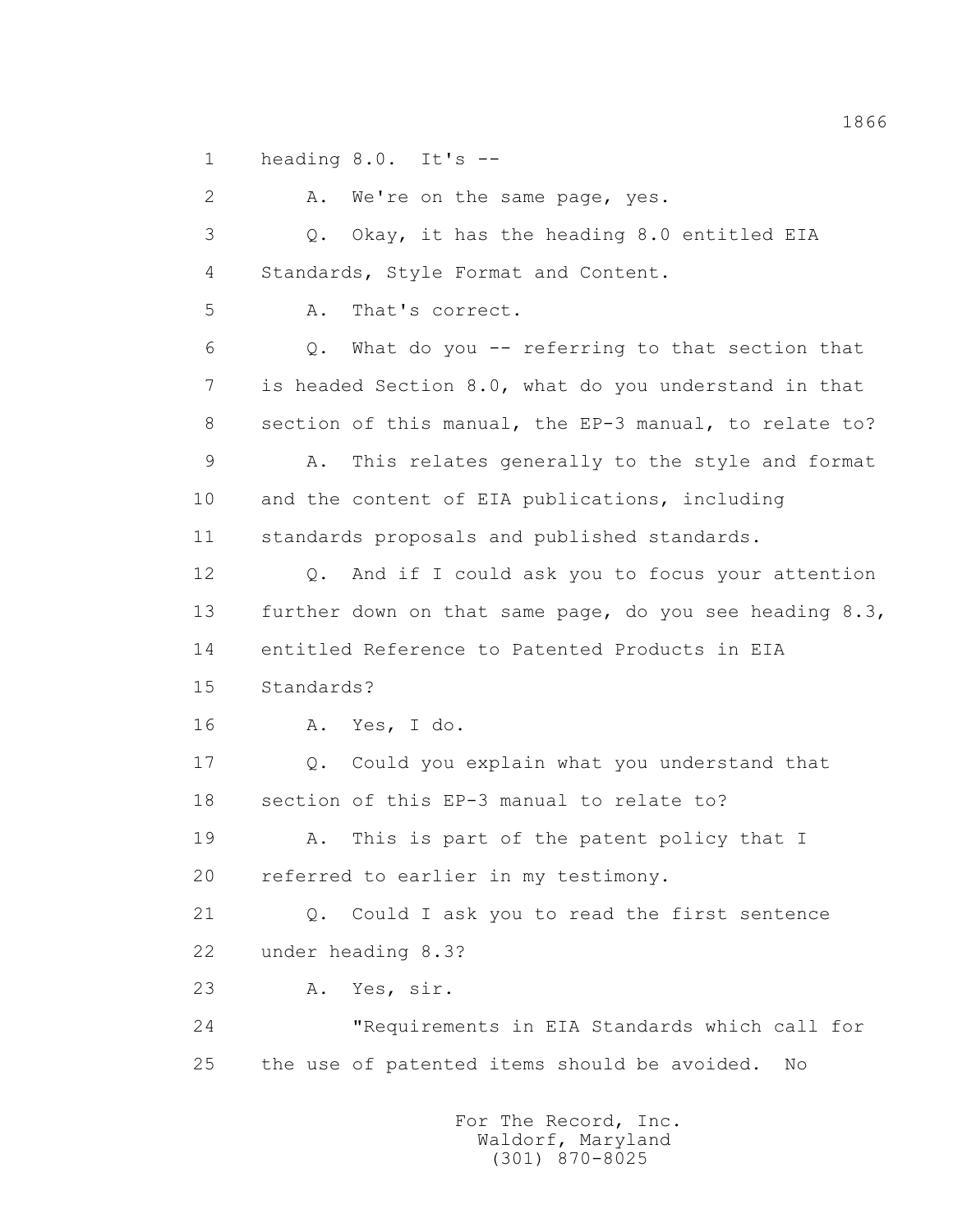1 heading 8.0. It's --

2 A. We're on the same page, yes. 3 Q. Okay, it has the heading 8.0 entitled EIA 4 Standards, Style Format and Content. 5 A. That's correct. 6 Q. What do you -- referring to that section that 7 is headed Section 8.0, what do you understand in that 8 section of this manual, the EP-3 manual, to relate to? 9 A. This relates generally to the style and format 10 and the content of EIA publications, including 11 standards proposals and published standards. 12 Q. And if I could ask you to focus your attention 13 further down on that same page, do you see heading 8.3, 14 entitled Reference to Patented Products in EIA 15 Standards? 16 A. Yes, I do. 17 Q. Could you explain what you understand that 18 section of this EP-3 manual to relate to? 19 A. This is part of the patent policy that I 20 referred to earlier in my testimony. 21 Q. Could I ask you to read the first sentence 22 under heading 8.3? 23 A. Yes, sir. 24 "Requirements in EIA Standards which call for 25 the use of patented items should be avoided. No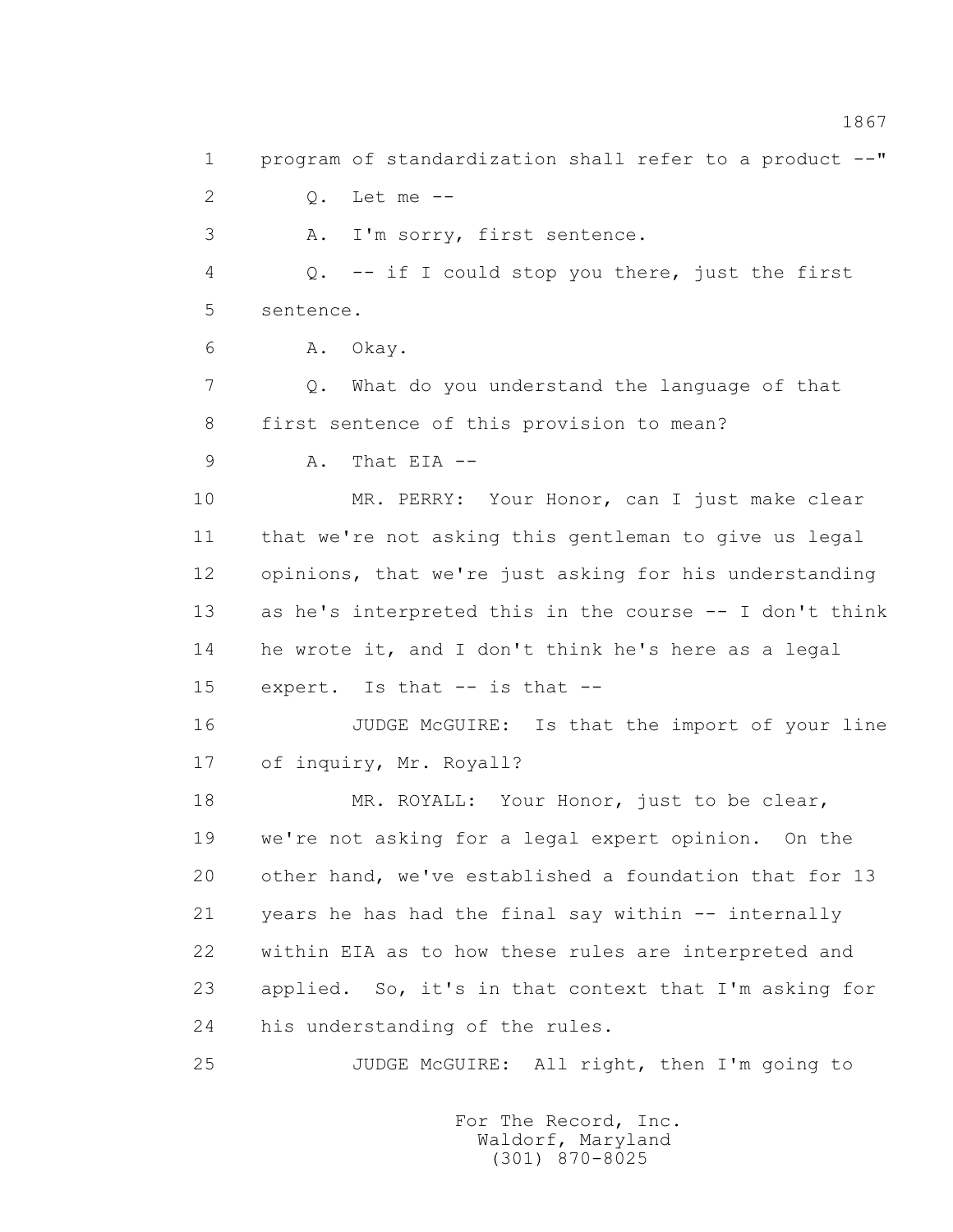1 program of standardization shall refer to a product --" 2 Q. Let me -- 3 A. I'm sorry, first sentence. 4 Q. -- if I could stop you there, just the first 5 sentence. 6 A. Okay. 7 Q. What do you understand the language of that 8 first sentence of this provision to mean? 9 A. That EIA -- 10 MR. PERRY: Your Honor, can I just make clear 11 that we're not asking this gentleman to give us legal 12 opinions, that we're just asking for his understanding 13 as he's interpreted this in the course -- I don't think 14 he wrote it, and I don't think he's here as a legal 15 expert. Is that -- is that -- 16 JUDGE McGUIRE: Is that the import of your line 17 of inquiry, Mr. Royall? 18 MR. ROYALL: Your Honor, just to be clear, 19 we're not asking for a legal expert opinion. On the 20 other hand, we've established a foundation that for 13 21 years he has had the final say within -- internally 22 within EIA as to how these rules are interpreted and 23 applied. So, it's in that context that I'm asking for 24 his understanding of the rules. 25 JUDGE McGUIRE: All right, then I'm going to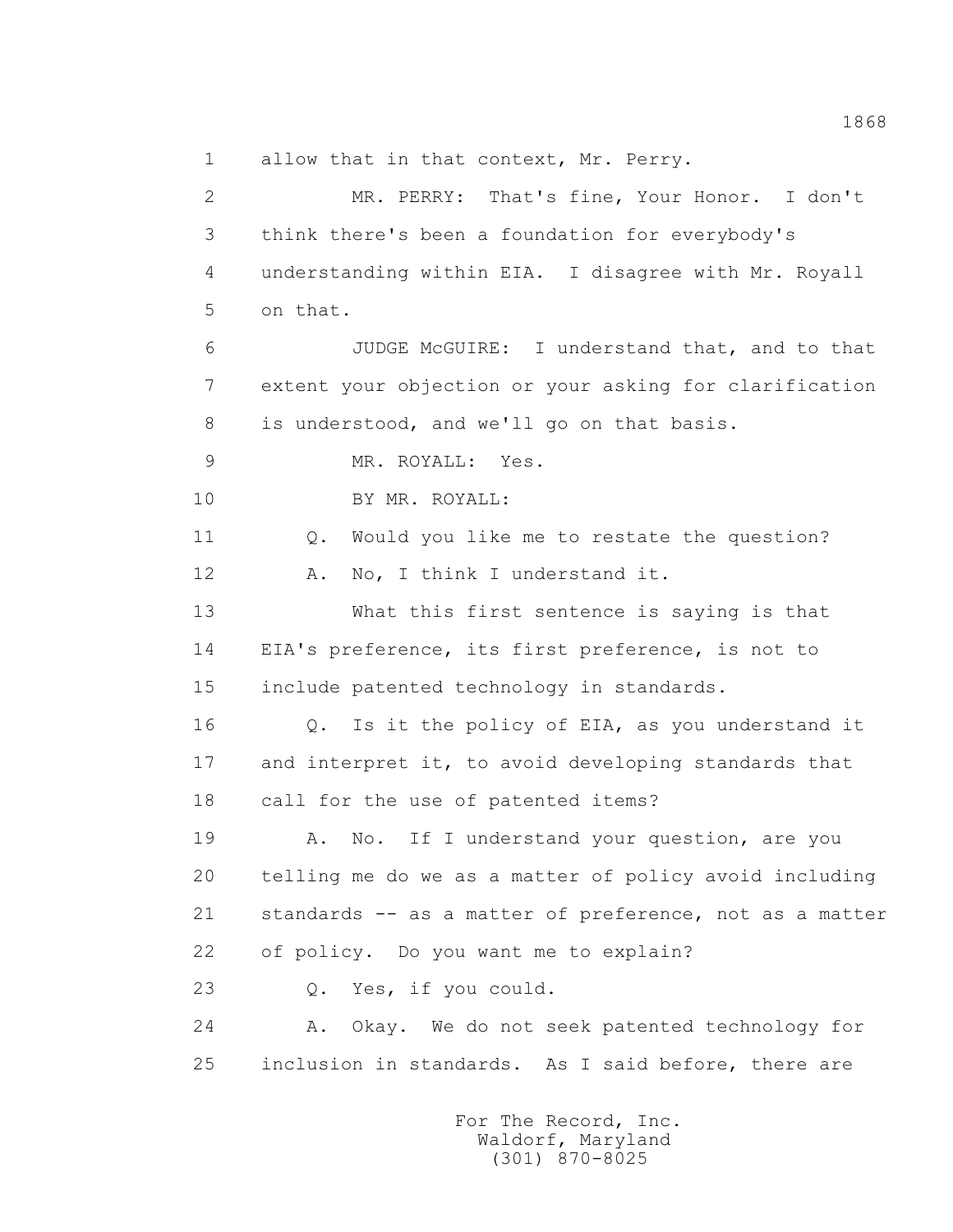1 allow that in that context, Mr. Perry.

 2 MR. PERRY: That's fine, Your Honor. I don't 3 think there's been a foundation for everybody's 4 understanding within EIA. I disagree with Mr. Royall 5 on that. 6 JUDGE McGUIRE: I understand that, and to that 7 extent your objection or your asking for clarification 8 is understood, and we'll go on that basis. 9 MR. ROYALL: Yes. 10 BY MR. ROYALL: 11 Q. Would you like me to restate the question? 12 A. No, I think I understand it. 13 What this first sentence is saying is that 14 EIA's preference, its first preference, is not to 15 include patented technology in standards. 16 Q. Is it the policy of EIA, as you understand it 17 and interpret it, to avoid developing standards that 18 call for the use of patented items? 19 A. No. If I understand your question, are you 20 telling me do we as a matter of policy avoid including 21 standards -- as a matter of preference, not as a matter 22 of policy. Do you want me to explain? 23 Q. Yes, if you could. 24 A. Okay. We do not seek patented technology for 25 inclusion in standards. As I said before, there are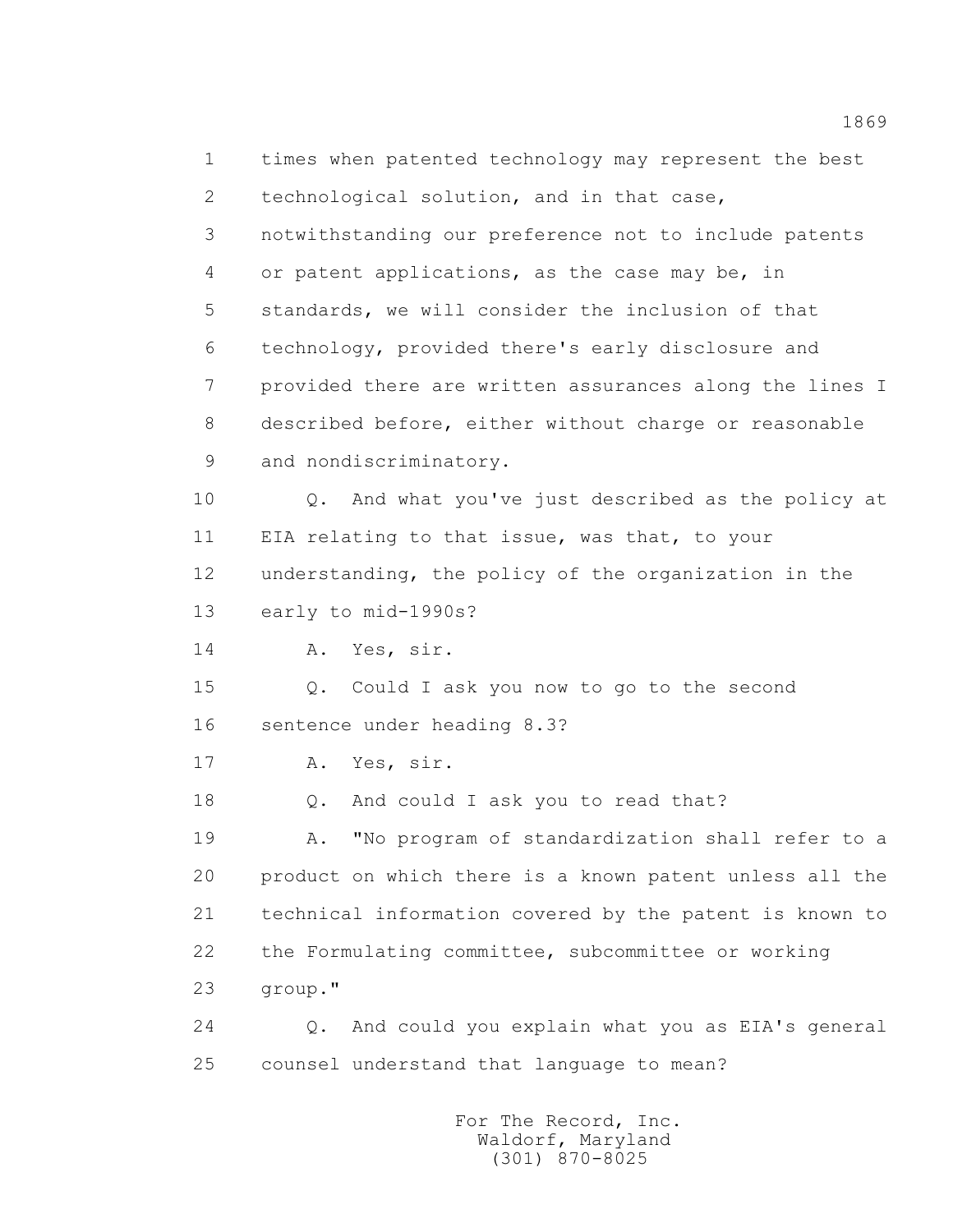1 times when patented technology may represent the best 2 technological solution, and in that case, 3 notwithstanding our preference not to include patents 4 or patent applications, as the case may be, in 5 standards, we will consider the inclusion of that 6 technology, provided there's early disclosure and 7 provided there are written assurances along the lines I 8 described before, either without charge or reasonable 9 and nondiscriminatory. 10 Q. And what you've just described as the policy at 11 EIA relating to that issue, was that, to your 12 understanding, the policy of the organization in the 13 early to mid-1990s? 14 A. Yes, sir. 15 Q. Could I ask you now to go to the second 16 sentence under heading 8.3? 17 A. Yes, sir. 18 Q. And could I ask you to read that? 19 A. "No program of standardization shall refer to a 20 product on which there is a known patent unless all the 21 technical information covered by the patent is known to 22 the Formulating committee, subcommittee or working 23 group." 24 Q. And could you explain what you as EIA's general 25 counsel understand that language to mean?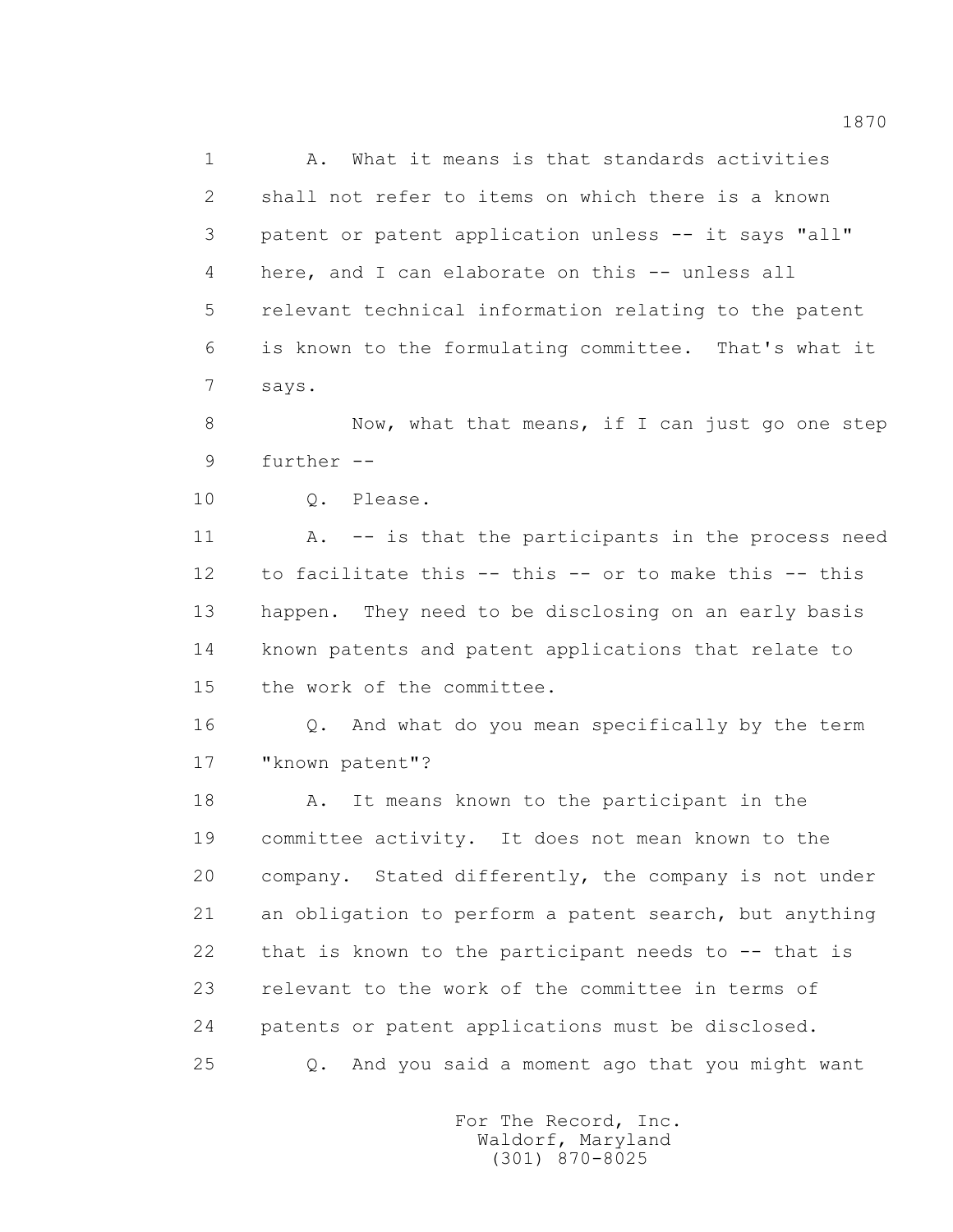1 A. What it means is that standards activities 2 shall not refer to items on which there is a known 3 patent or patent application unless -- it says "all" 4 here, and I can elaborate on this -- unless all 5 relevant technical information relating to the patent 6 is known to the formulating committee. That's what it 7 says.

 8 Now, what that means, if I can just go one step 9 further --

10 Q. Please.

 11 A. -- is that the participants in the process need 12 to facilitate this -- this -- or to make this -- this 13 happen. They need to be disclosing on an early basis 14 known patents and patent applications that relate to 15 the work of the committee.

 16 Q. And what do you mean specifically by the term 17 "known patent"?

 18 A. It means known to the participant in the 19 committee activity. It does not mean known to the 20 company. Stated differently, the company is not under 21 an obligation to perform a patent search, but anything 22 that is known to the participant needs to -- that is 23 relevant to the work of the committee in terms of 24 patents or patent applications must be disclosed. 25 Q. And you said a moment ago that you might want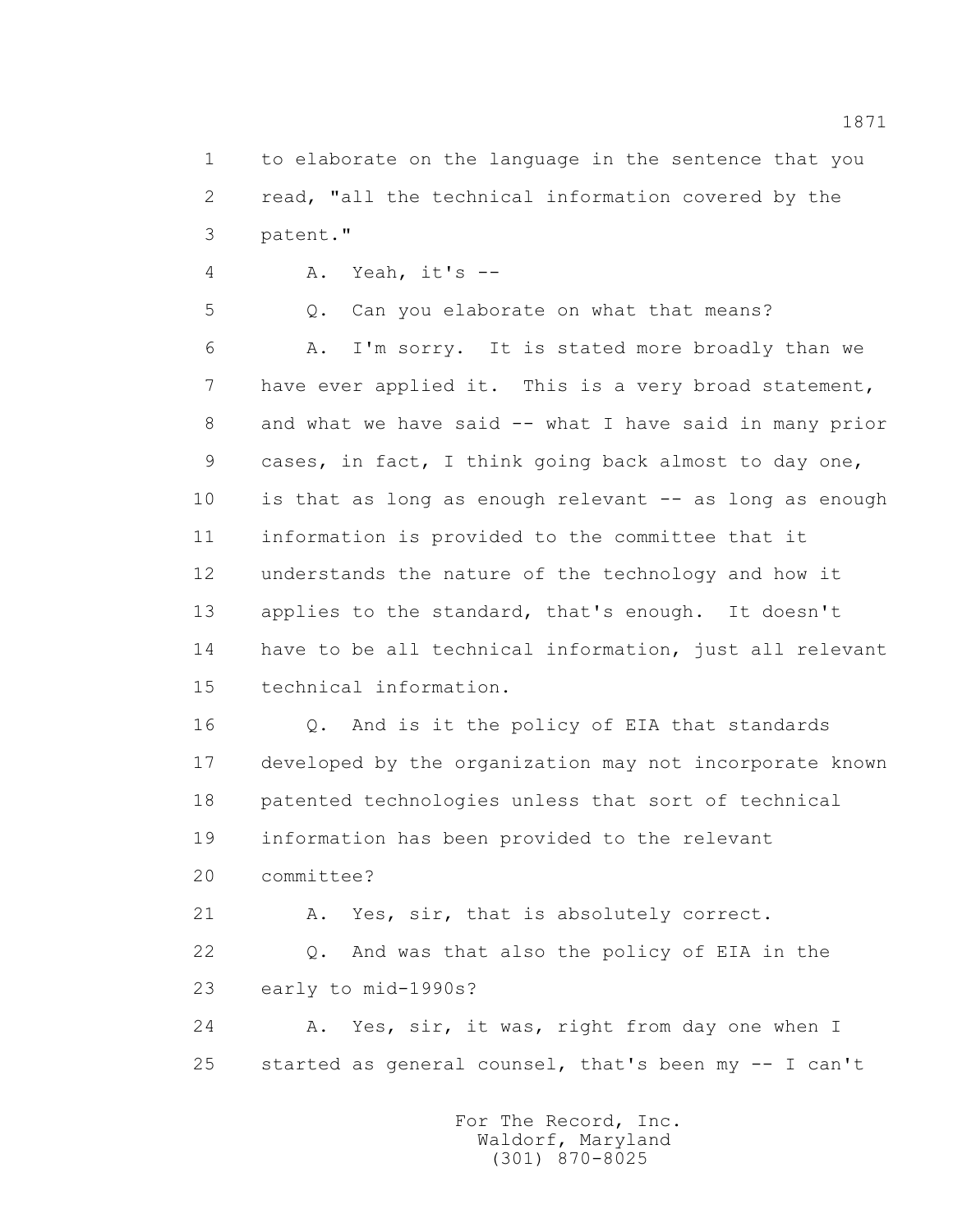1 to elaborate on the language in the sentence that you 2 read, "all the technical information covered by the 3 patent."

4 A. Yeah, it's --

 5 Q. Can you elaborate on what that means? 6 A. I'm sorry. It is stated more broadly than we 7 have ever applied it. This is a very broad statement, 8 and what we have said -- what I have said in many prior 9 cases, in fact, I think going back almost to day one, 10 is that as long as enough relevant -- as long as enough 11 information is provided to the committee that it 12 understands the nature of the technology and how it 13 applies to the standard, that's enough. It doesn't 14 have to be all technical information, just all relevant 15 technical information.

 16 Q. And is it the policy of EIA that standards 17 developed by the organization may not incorporate known 18 patented technologies unless that sort of technical 19 information has been provided to the relevant 20 committee? 21 A. Yes, sir, that is absolutely correct. 22 Q. And was that also the policy of EIA in the 23 early to mid-1990s?

 24 A. Yes, sir, it was, right from day one when I 25 started as general counsel, that's been my -- I can't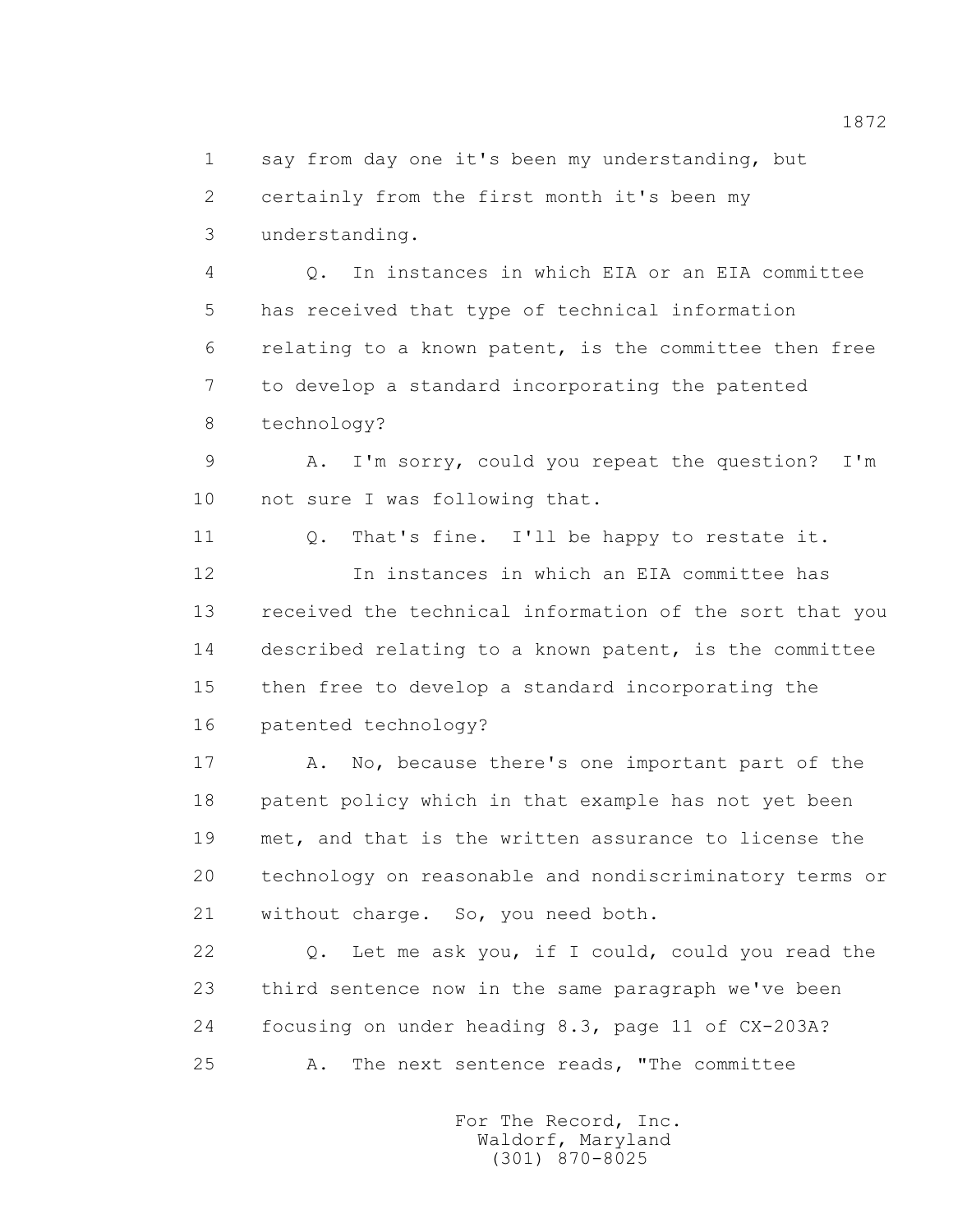1 say from day one it's been my understanding, but 2 certainly from the first month it's been my 3 understanding.

 4 Q. In instances in which EIA or an EIA committee 5 has received that type of technical information 6 relating to a known patent, is the committee then free 7 to develop a standard incorporating the patented 8 technology?

 9 A. I'm sorry, could you repeat the question? I'm 10 not sure I was following that.

 11 Q. That's fine. I'll be happy to restate it. 12 In instances in which an EIA committee has 13 received the technical information of the sort that you 14 described relating to a known patent, is the committee 15 then free to develop a standard incorporating the 16 patented technology?

 17 A. No, because there's one important part of the 18 patent policy which in that example has not yet been 19 met, and that is the written assurance to license the 20 technology on reasonable and nondiscriminatory terms or 21 without charge. So, you need both.

 22 Q. Let me ask you, if I could, could you read the 23 third sentence now in the same paragraph we've been 24 focusing on under heading 8.3, page 11 of CX-203A? 25 A. The next sentence reads, "The committee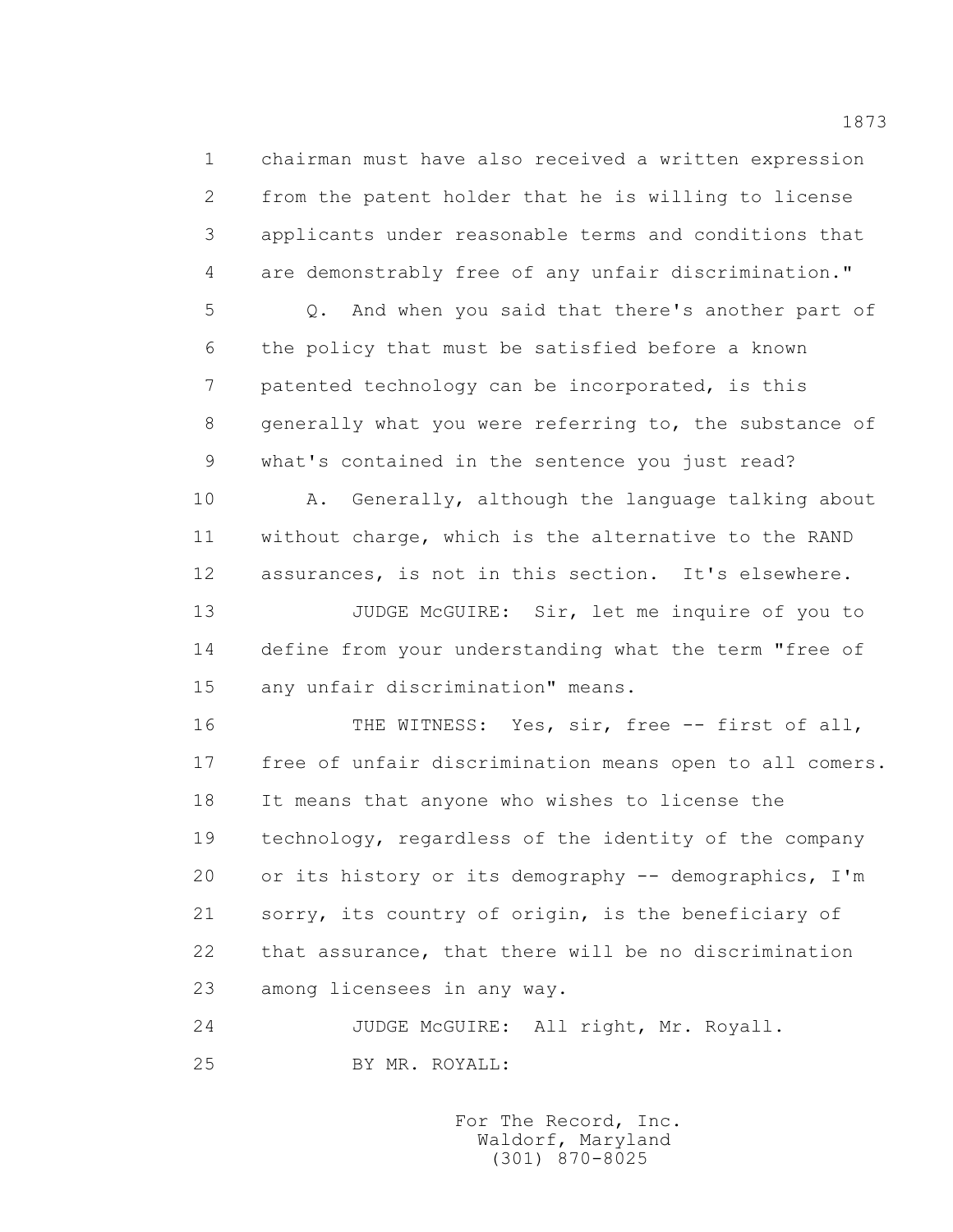1 chairman must have also received a written expression 2 from the patent holder that he is willing to license 3 applicants under reasonable terms and conditions that 4 are demonstrably free of any unfair discrimination."

 5 Q. And when you said that there's another part of 6 the policy that must be satisfied before a known 7 patented technology can be incorporated, is this 8 generally what you were referring to, the substance of 9 what's contained in the sentence you just read?

 10 A. Generally, although the language talking about 11 without charge, which is the alternative to the RAND 12 assurances, is not in this section. It's elsewhere.

 13 JUDGE McGUIRE: Sir, let me inquire of you to 14 define from your understanding what the term "free of 15 any unfair discrimination" means.

16 THE WITNESS: Yes, sir, free -- first of all, 17 free of unfair discrimination means open to all comers. 18 It means that anyone who wishes to license the 19 technology, regardless of the identity of the company 20 or its history or its demography -- demographics, I'm 21 sorry, its country of origin, is the beneficiary of 22 that assurance, that there will be no discrimination 23 among licensees in any way.

24 JUDGE McGUIRE: All right, Mr. Royall.

25 BY MR. ROYALL:

 For The Record, Inc. Waldorf, Maryland (301) 870-8025

1873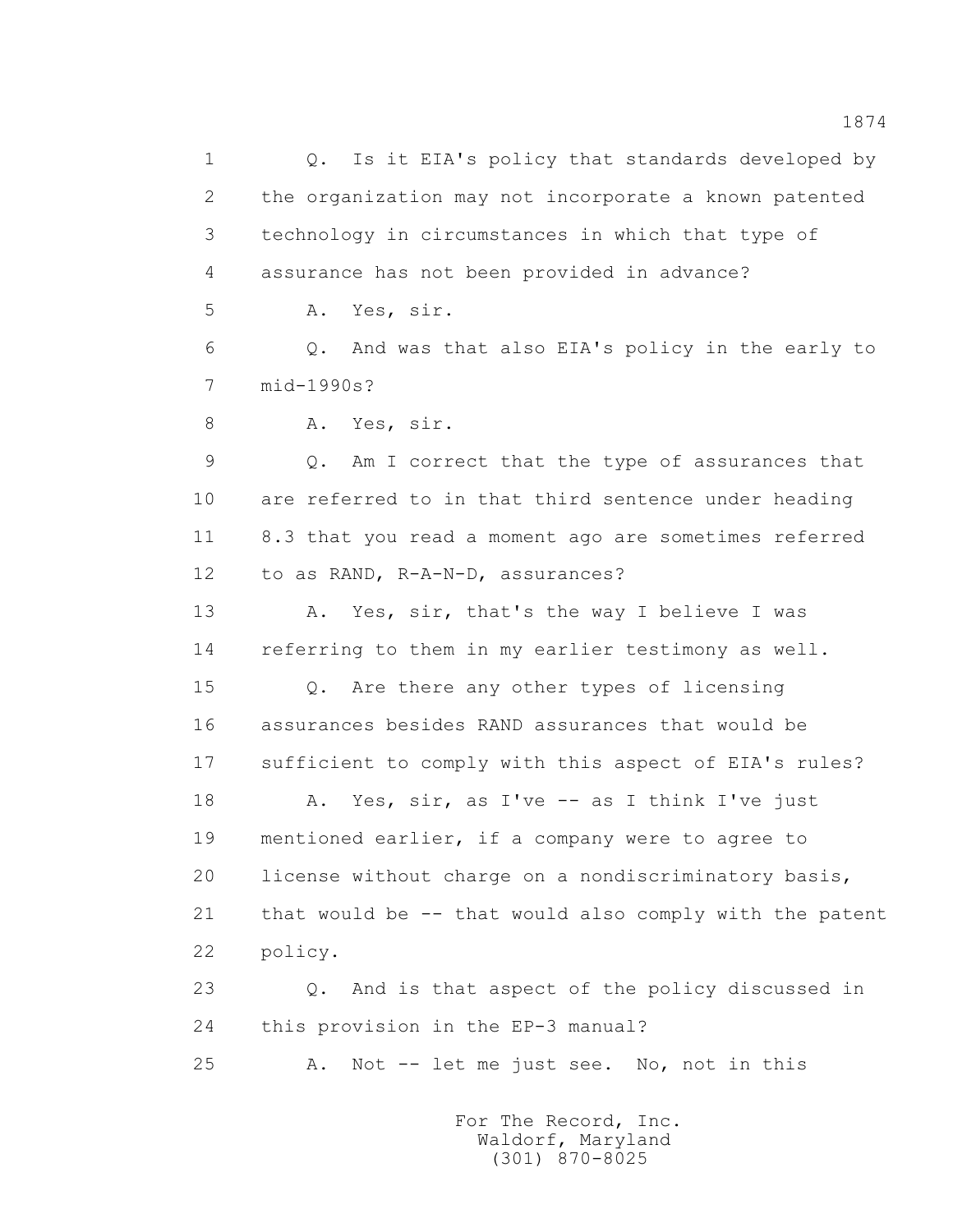1 0. Is it EIA's policy that standards developed by 2 the organization may not incorporate a known patented 3 technology in circumstances in which that type of 4 assurance has not been provided in advance? 5 A. Yes, sir. 6 Q. And was that also EIA's policy in the early to 7 mid-1990s? 8 A. Yes, sir. 9 Q. Am I correct that the type of assurances that 10 are referred to in that third sentence under heading 11 8.3 that you read a moment ago are sometimes referred 12 to as RAND, R-A-N-D, assurances? 13 A. Yes, sir, that's the way I believe I was 14 referring to them in my earlier testimony as well. 15 Q. Are there any other types of licensing 16 assurances besides RAND assurances that would be 17 sufficient to comply with this aspect of EIA's rules? 18 A. Yes, sir, as I've -- as I think I've just 19 mentioned earlier, if a company were to agree to 20 license without charge on a nondiscriminatory basis, 21 that would be -- that would also comply with the patent 22 policy. 23 Q. And is that aspect of the policy discussed in 24 this provision in the EP-3 manual? 25 A. Not -- let me just see. No, not in this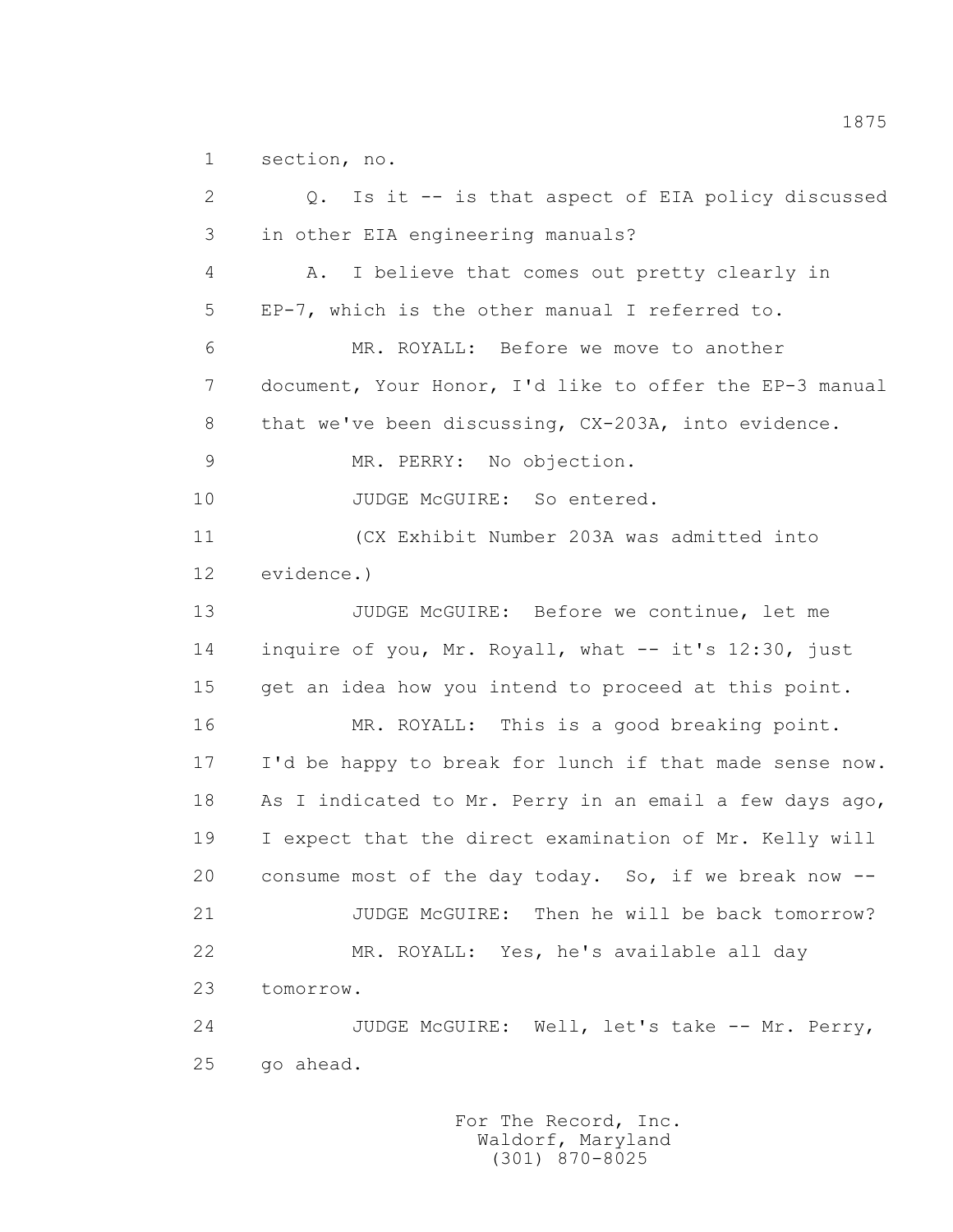1 section, no.

 2 Q. Is it -- is that aspect of EIA policy discussed 3 in other EIA engineering manuals? 4 A. I believe that comes out pretty clearly in 5 EP-7, which is the other manual I referred to. 6 MR. ROYALL: Before we move to another 7 document, Your Honor, I'd like to offer the EP-3 manual 8 that we've been discussing, CX-203A, into evidence. 9 MR. PERRY: No objection. 10 JUDGE McGUIRE: So entered. 11 (CX Exhibit Number 203A was admitted into 12 evidence.) 13 JUDGE McGUIRE: Before we continue, let me 14 inquire of you, Mr. Royall, what -- it's 12:30, just 15 get an idea how you intend to proceed at this point. 16 MR. ROYALL: This is a good breaking point. 17 I'd be happy to break for lunch if that made sense now. 18 As I indicated to Mr. Perry in an email a few days ago, 19 I expect that the direct examination of Mr. Kelly will 20 consume most of the day today. So, if we break now -- 21 JUDGE McGUIRE: Then he will be back tomorrow? 22 MR. ROYALL: Yes, he's available all day 23 tomorrow. 24 JUDGE McGUIRE: Well, let's take -- Mr. Perry, 25 go ahead.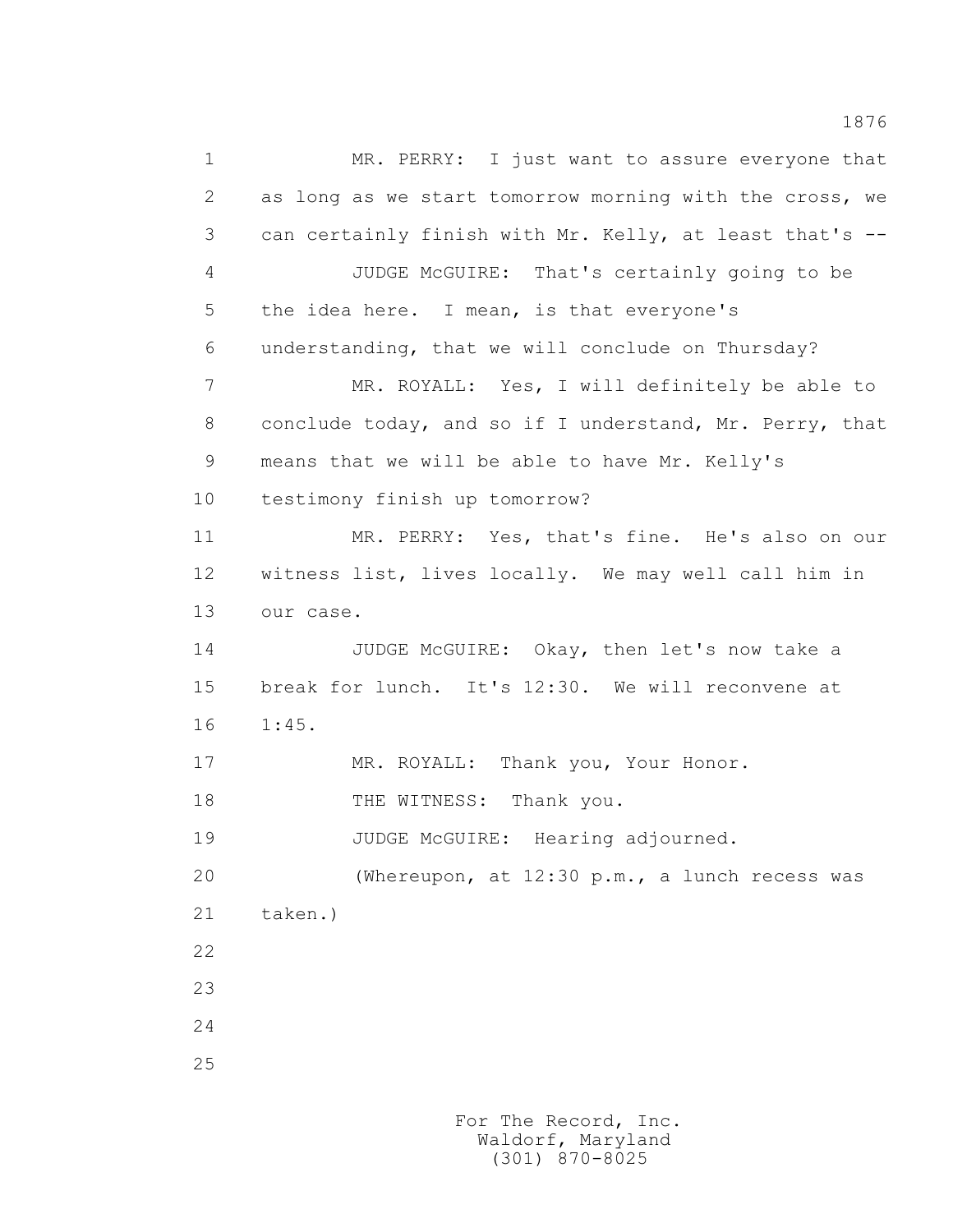1 MR. PERRY: I just want to assure everyone that 2 as long as we start tomorrow morning with the cross, we 3 can certainly finish with Mr. Kelly, at least that's -- 4 JUDGE McGUIRE: That's certainly going to be 5 the idea here. I mean, is that everyone's 6 understanding, that we will conclude on Thursday? 7 MR. ROYALL: Yes, I will definitely be able to 8 conclude today, and so if I understand, Mr. Perry, that 9 means that we will be able to have Mr. Kelly's 10 testimony finish up tomorrow? 11 MR. PERRY: Yes, that's fine. He's also on our 12 witness list, lives locally. We may well call him in 13 our case. 14 JUDGE McGUIRE: Okay, then let's now take a 15 break for lunch. It's 12:30. We will reconvene at 16 1:45. 17 MR. ROYALL: Thank you, Your Honor. 18 THE WITNESS: Thank you. 19 JUDGE McGUIRE: Hearing adjourned. 20 (Whereupon, at 12:30 p.m., a lunch recess was 21 taken.) 22 23 24 25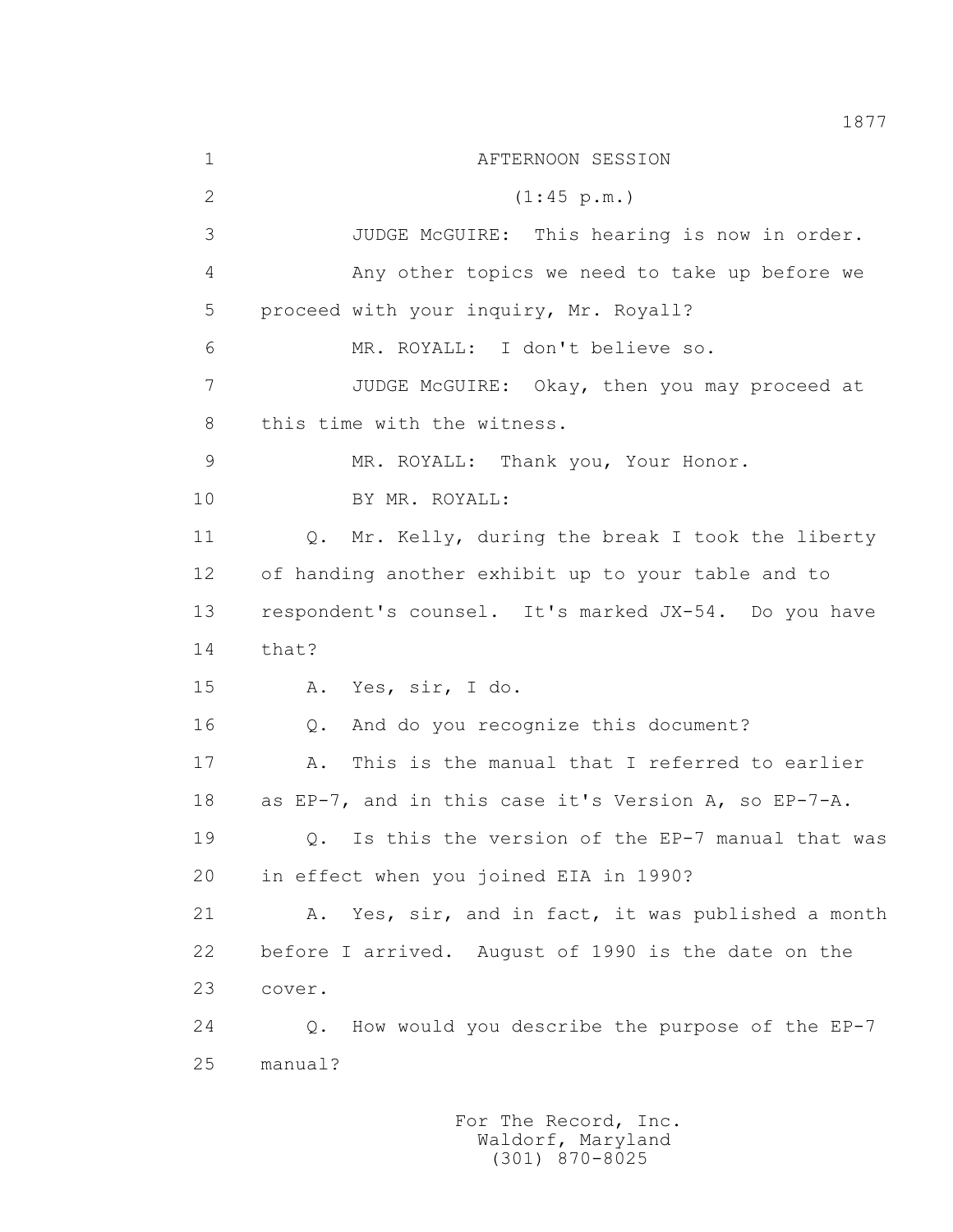1 AFTERNOON SESSION 2 (1:45 p.m.) 3 JUDGE McGUIRE: This hearing is now in order. 4 Any other topics we need to take up before we 5 proceed with your inquiry, Mr. Royall? 6 MR. ROYALL: I don't believe so. 7 JUDGE McGUIRE: Okay, then you may proceed at 8 this time with the witness. 9 MR. ROYALL: Thank you, Your Honor. 10 BY MR. ROYALL: 11 Q. Mr. Kelly, during the break I took the liberty 12 of handing another exhibit up to your table and to 13 respondent's counsel. It's marked JX-54. Do you have 14 that? 15 A. Yes, sir, I do. 16 Q. And do you recognize this document? 17 A. This is the manual that I referred to earlier 18 as EP-7, and in this case it's Version A, so EP-7-A. 19 Q. Is this the version of the EP-7 manual that was 20 in effect when you joined EIA in 1990? 21 A. Yes, sir, and in fact, it was published a month 22 before I arrived. August of 1990 is the date on the 23 cover. 24 Q. How would you describe the purpose of the EP-7 25 manual?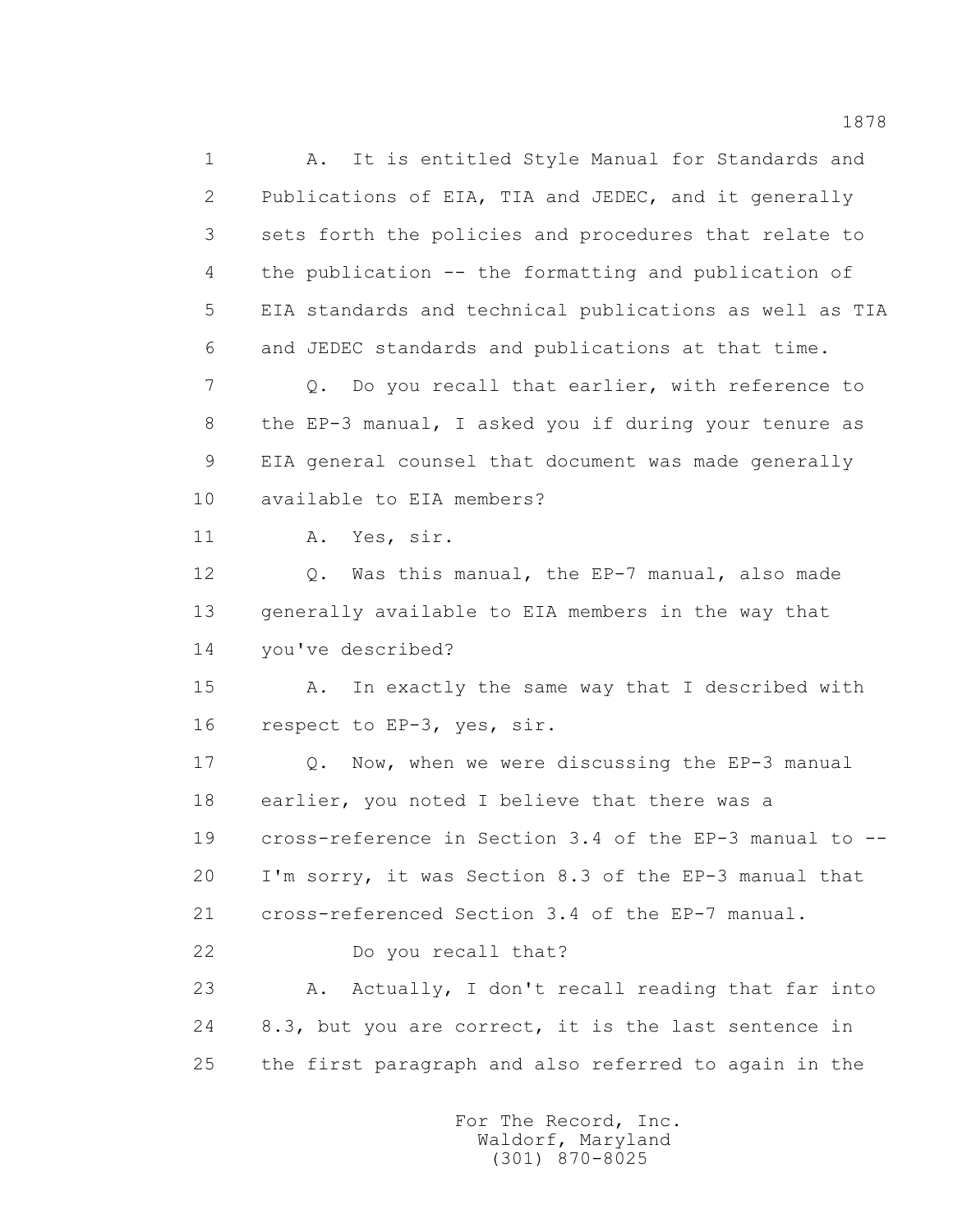1 A. It is entitled Style Manual for Standards and 2 Publications of EIA, TIA and JEDEC, and it generally 3 sets forth the policies and procedures that relate to 4 the publication -- the formatting and publication of 5 EIA standards and technical publications as well as TIA 6 and JEDEC standards and publications at that time. 7 Q. Do you recall that earlier, with reference to 8 the EP-3 manual, I asked you if during your tenure as 9 EIA general counsel that document was made generally 10 available to EIA members? 11 A. Yes, sir. 12 Q. Was this manual, the EP-7 manual, also made 13 generally available to EIA members in the way that 14 you've described? 15 A. In exactly the same way that I described with 16 respect to EP-3, yes, sir. 17 Q. Now, when we were discussing the EP-3 manual 18 earlier, you noted I believe that there was a 19 cross-reference in Section 3.4 of the EP-3 manual to -- 20 I'm sorry, it was Section 8.3 of the EP-3 manual that 21 cross-referenced Section 3.4 of the EP-7 manual. 22 Do you recall that? 23 A. Actually, I don't recall reading that far into 24 8.3, but you are correct, it is the last sentence in 25 the first paragraph and also referred to again in the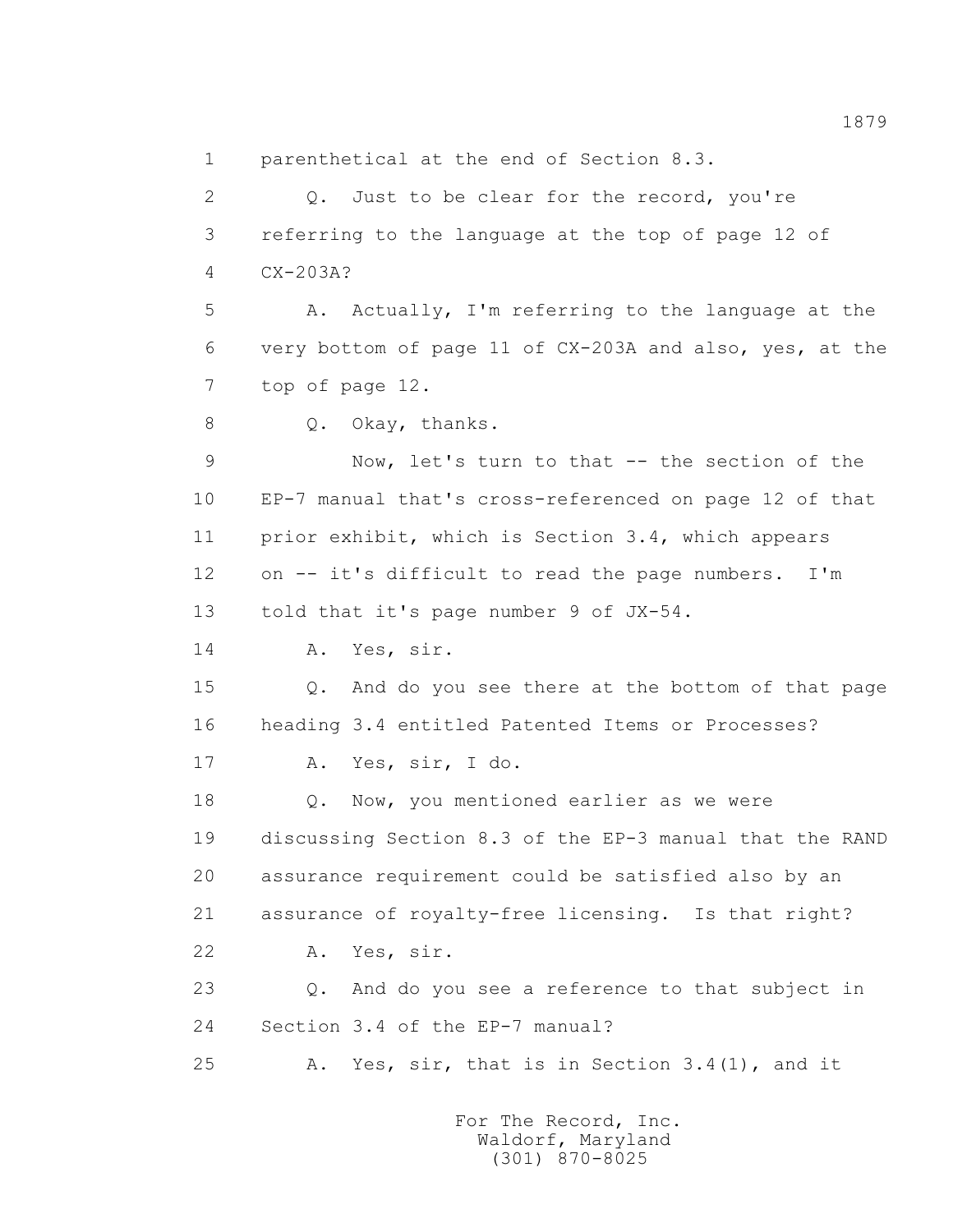2 Q. Just to be clear for the record, you're 3 referring to the language at the top of page 12 of 4 CX-203A? 5 A. Actually, I'm referring to the language at the 6 very bottom of page 11 of CX-203A and also, yes, at the 7 top of page 12. 8 Q. Okay, thanks. 9 Now, let's turn to that -- the section of the 10 EP-7 manual that's cross-referenced on page 12 of that 11 prior exhibit, which is Section 3.4, which appears 12 on -- it's difficult to read the page numbers. I'm 13 told that it's page number 9 of JX-54. 14 A. Yes, sir. 15 Q. And do you see there at the bottom of that page 16 heading 3.4 entitled Patented Items or Processes? 17 A. Yes, sir, I do. 18  $Q.$  Now, you mentioned earlier as we were 19 discussing Section 8.3 of the EP-3 manual that the RAND 20 assurance requirement could be satisfied also by an 21 assurance of royalty-free licensing. Is that right? 22 A. Yes, sir. 23 Q. And do you see a reference to that subject in 24 Section 3.4 of the EP-7 manual? 25 A. Yes, sir, that is in Section 3.4(1), and it

1 parenthetical at the end of Section 8.3.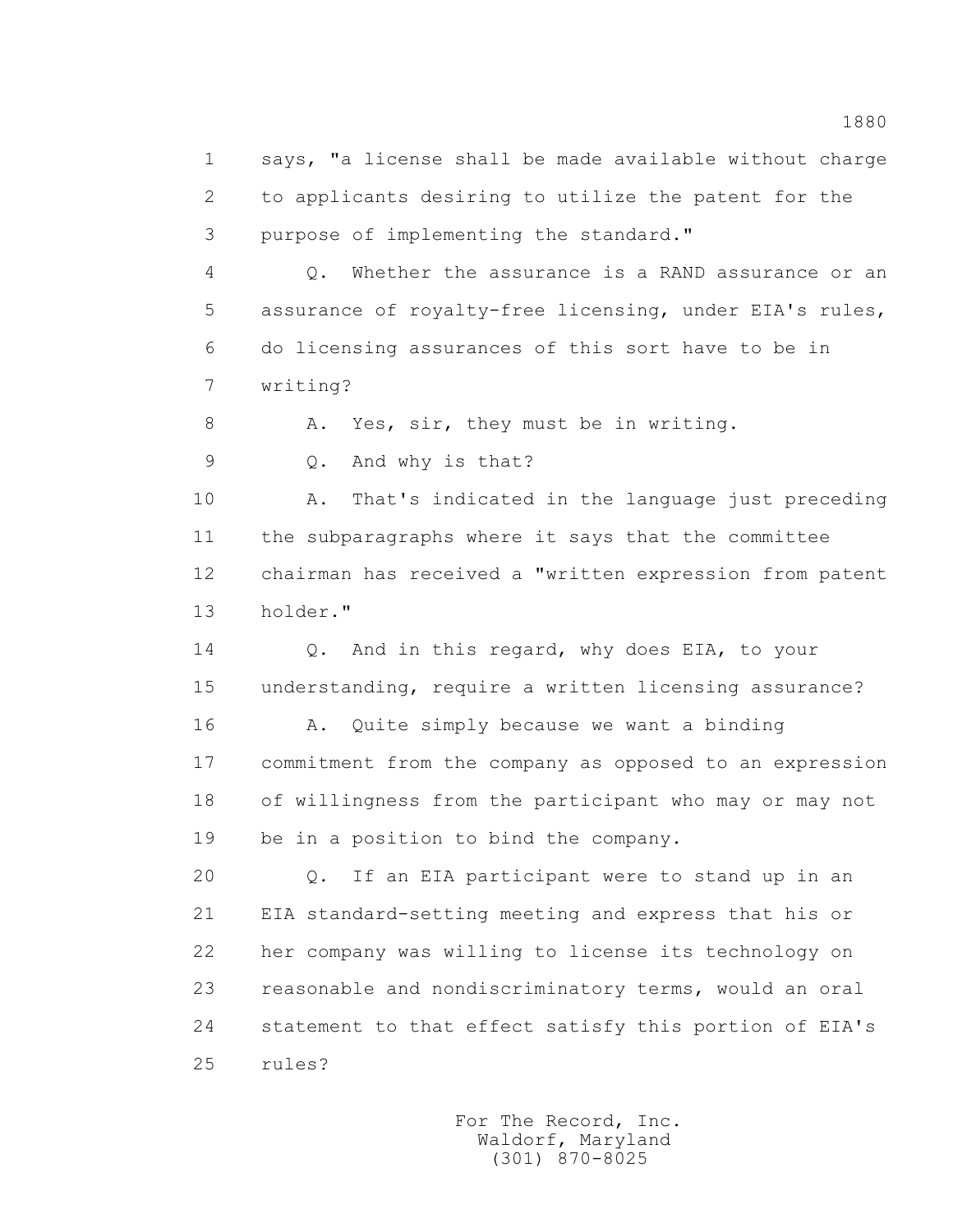1 says, "a license shall be made available without charge 2 to applicants desiring to utilize the patent for the 3 purpose of implementing the standard."

 4 Q. Whether the assurance is a RAND assurance or an 5 assurance of royalty-free licensing, under EIA's rules, 6 do licensing assurances of this sort have to be in 7 writing?

8 A. Yes, sir, they must be in writing.

9 Q. And why is that?

 10 A. That's indicated in the language just preceding 11 the subparagraphs where it says that the committee 12 chairman has received a "written expression from patent 13 holder."

 14 Q. And in this regard, why does EIA, to your 15 understanding, require a written licensing assurance?

 16 A. Quite simply because we want a binding 17 commitment from the company as opposed to an expression 18 of willingness from the participant who may or may not 19 be in a position to bind the company.

 20 Q. If an EIA participant were to stand up in an 21 EIA standard-setting meeting and express that his or 22 her company was willing to license its technology on 23 reasonable and nondiscriminatory terms, would an oral 24 statement to that effect satisfy this portion of EIA's 25 rules?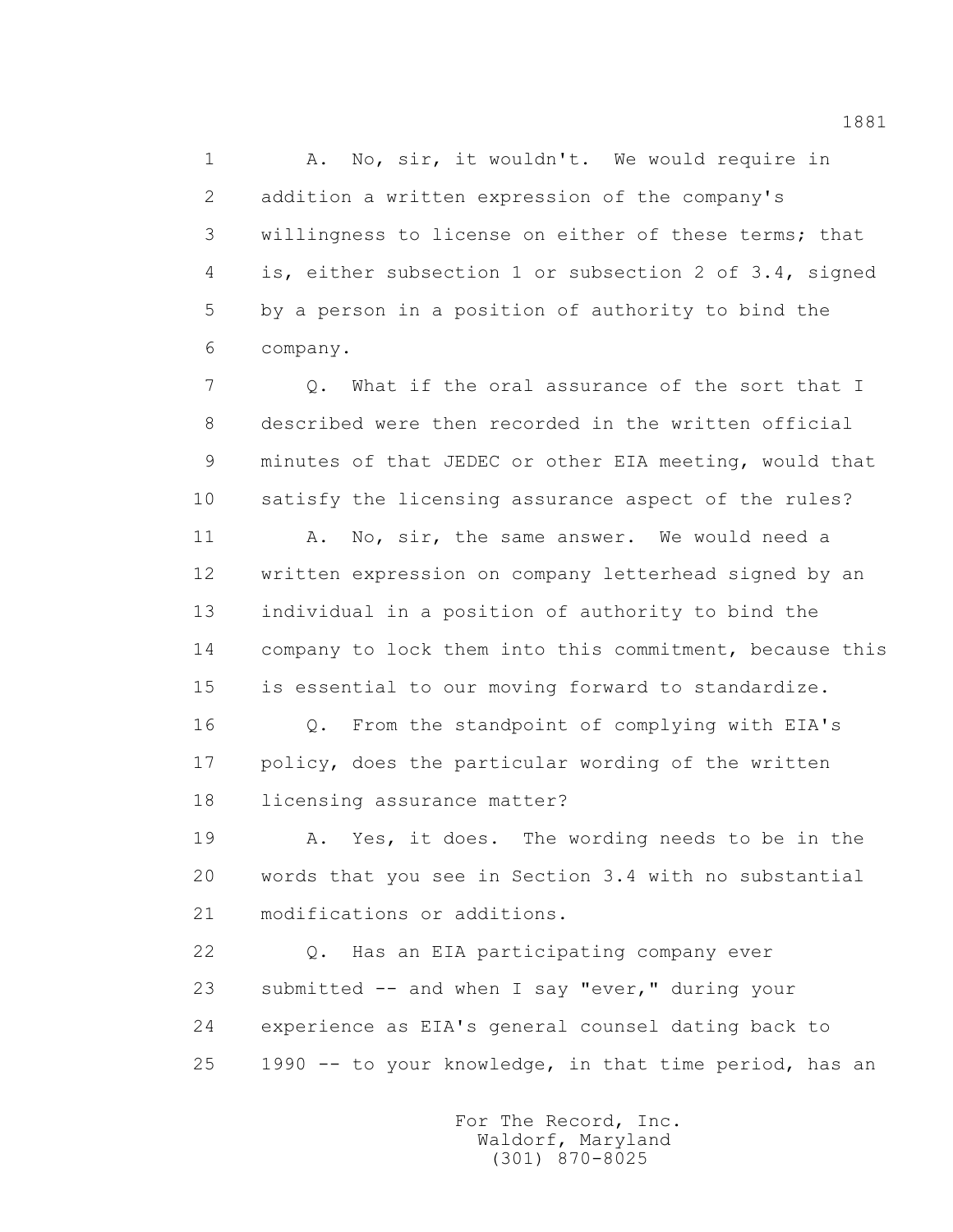1 A. No, sir, it wouldn't. We would require in 2 addition a written expression of the company's 3 willingness to license on either of these terms; that 4 is, either subsection 1 or subsection 2 of 3.4, signed 5 by a person in a position of authority to bind the 6 company.

7 0. What if the oral assurance of the sort that I 8 described were then recorded in the written official 9 minutes of that JEDEC or other EIA meeting, would that 10 satisfy the licensing assurance aspect of the rules?

 11 A. No, sir, the same answer. We would need a 12 written expression on company letterhead signed by an 13 individual in a position of authority to bind the 14 company to lock them into this commitment, because this 15 is essential to our moving forward to standardize.

 16 Q. From the standpoint of complying with EIA's 17 policy, does the particular wording of the written 18 licensing assurance matter?

 19 A. Yes, it does. The wording needs to be in the 20 words that you see in Section 3.4 with no substantial 21 modifications or additions.

 22 Q. Has an EIA participating company ever 23 submitted -- and when I say "ever," during your 24 experience as EIA's general counsel dating back to 25 1990 -- to your knowledge, in that time period, has an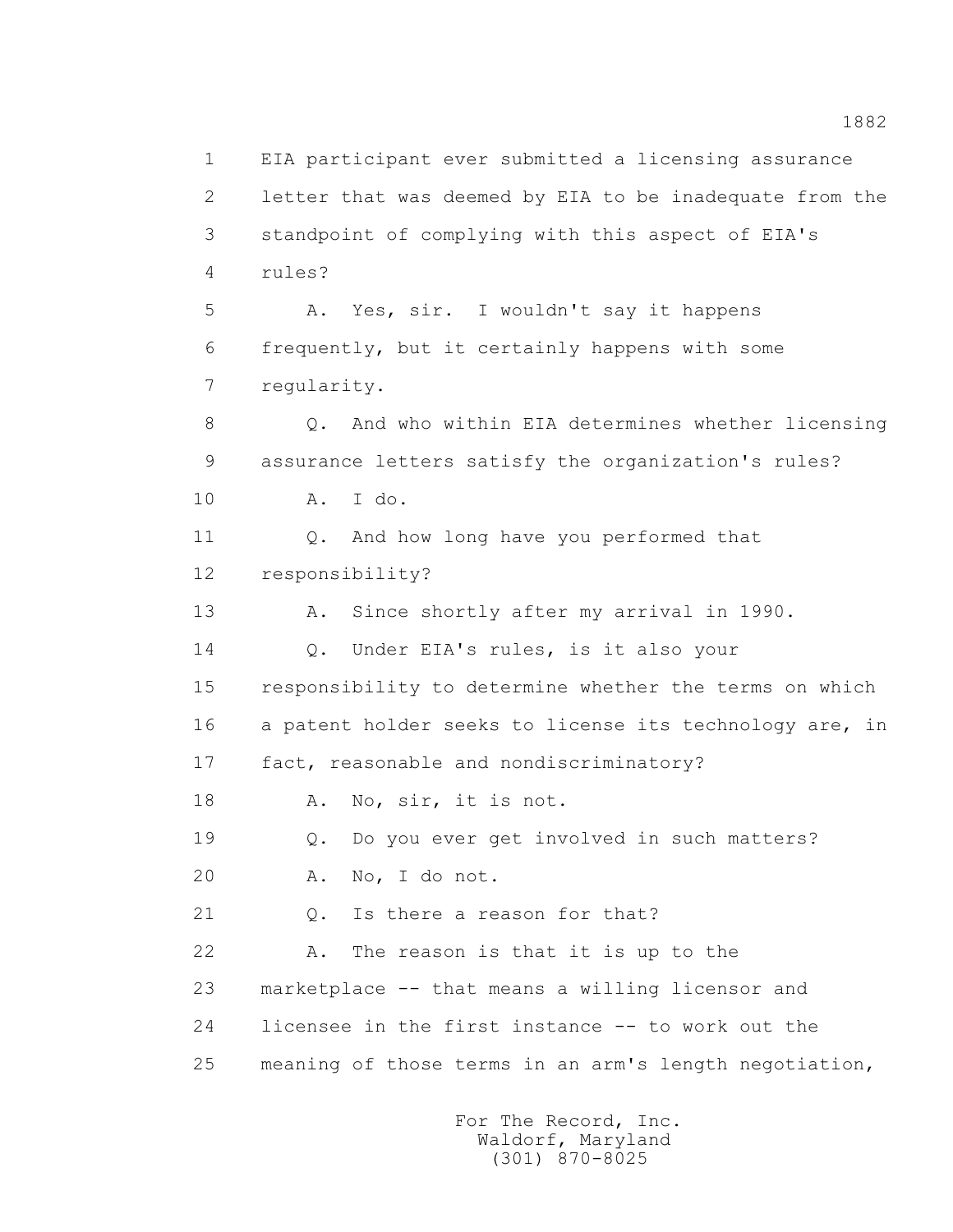1 EIA participant ever submitted a licensing assurance 2 letter that was deemed by EIA to be inadequate from the 3 standpoint of complying with this aspect of EIA's 4 rules? 5 A. Yes, sir. I wouldn't say it happens 6 frequently, but it certainly happens with some 7 regularity. 8 Q. And who within EIA determines whether licensing 9 assurance letters satisfy the organization's rules? 10 A. I do. 11 Q. And how long have you performed that 12 responsibility? 13 A. Since shortly after my arrival in 1990. 14 Q. Under EIA's rules, is it also your 15 responsibility to determine whether the terms on which 16 a patent holder seeks to license its technology are, in 17 fact, reasonable and nondiscriminatory? 18 A. No, sir, it is not. 19 Q. Do you ever get involved in such matters? 20 A. No, I do not. 21 Q. Is there a reason for that? 22 A. The reason is that it is up to the 23 marketplace -- that means a willing licensor and 24 licensee in the first instance -- to work out the 25 meaning of those terms in an arm's length negotiation,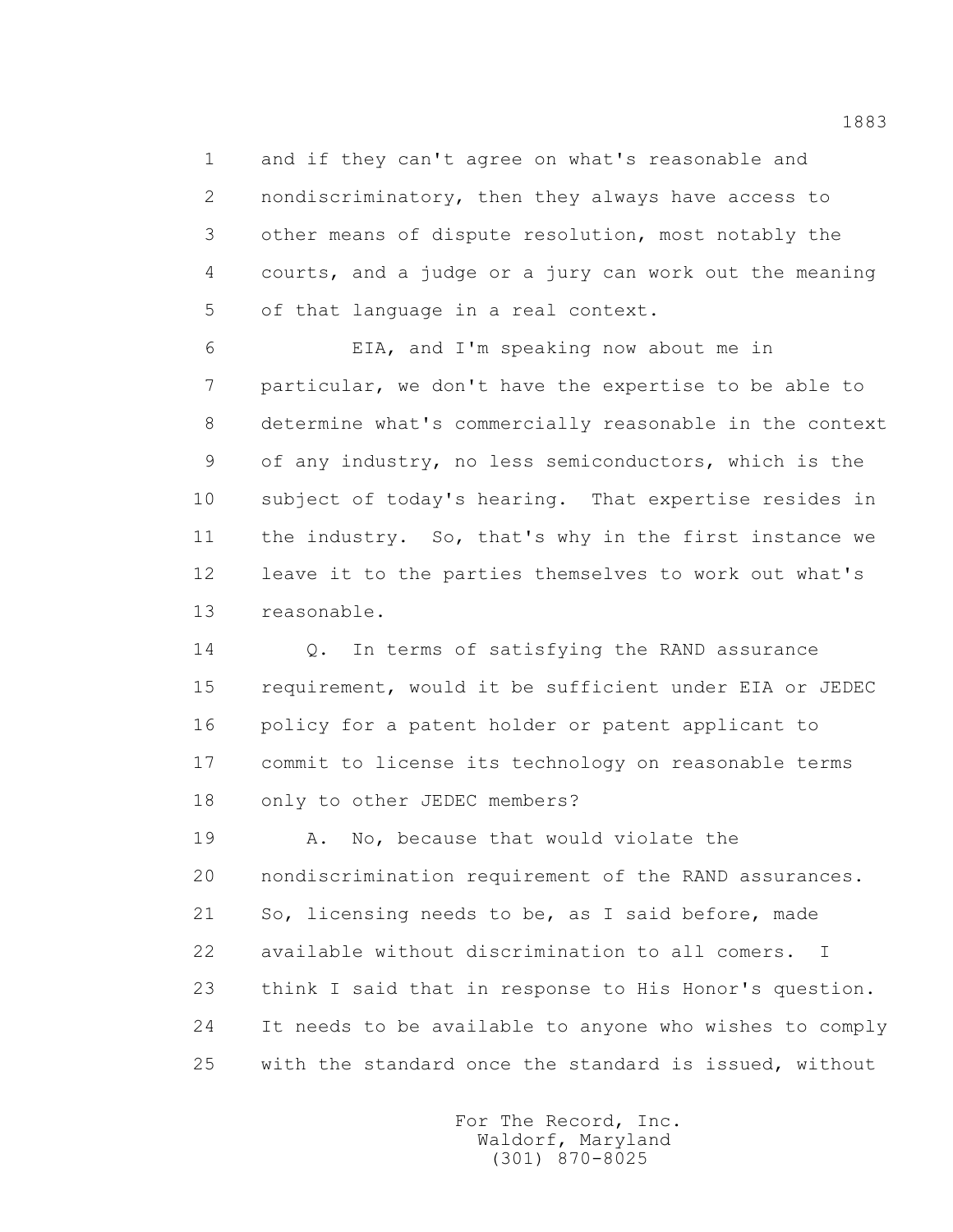1 and if they can't agree on what's reasonable and 2 nondiscriminatory, then they always have access to 3 other means of dispute resolution, most notably the 4 courts, and a judge or a jury can work out the meaning 5 of that language in a real context.

 6 EIA, and I'm speaking now about me in 7 particular, we don't have the expertise to be able to 8 determine what's commercially reasonable in the context 9 of any industry, no less semiconductors, which is the 10 subject of today's hearing. That expertise resides in 11 the industry. So, that's why in the first instance we 12 leave it to the parties themselves to work out what's 13 reasonable.

 14 Q. In terms of satisfying the RAND assurance 15 requirement, would it be sufficient under EIA or JEDEC 16 policy for a patent holder or patent applicant to 17 commit to license its technology on reasonable terms 18 only to other JEDEC members?

 19 A. No, because that would violate the 20 nondiscrimination requirement of the RAND assurances. 21 So, licensing needs to be, as I said before, made 22 available without discrimination to all comers. I 23 think I said that in response to His Honor's question. 24 It needs to be available to anyone who wishes to comply 25 with the standard once the standard is issued, without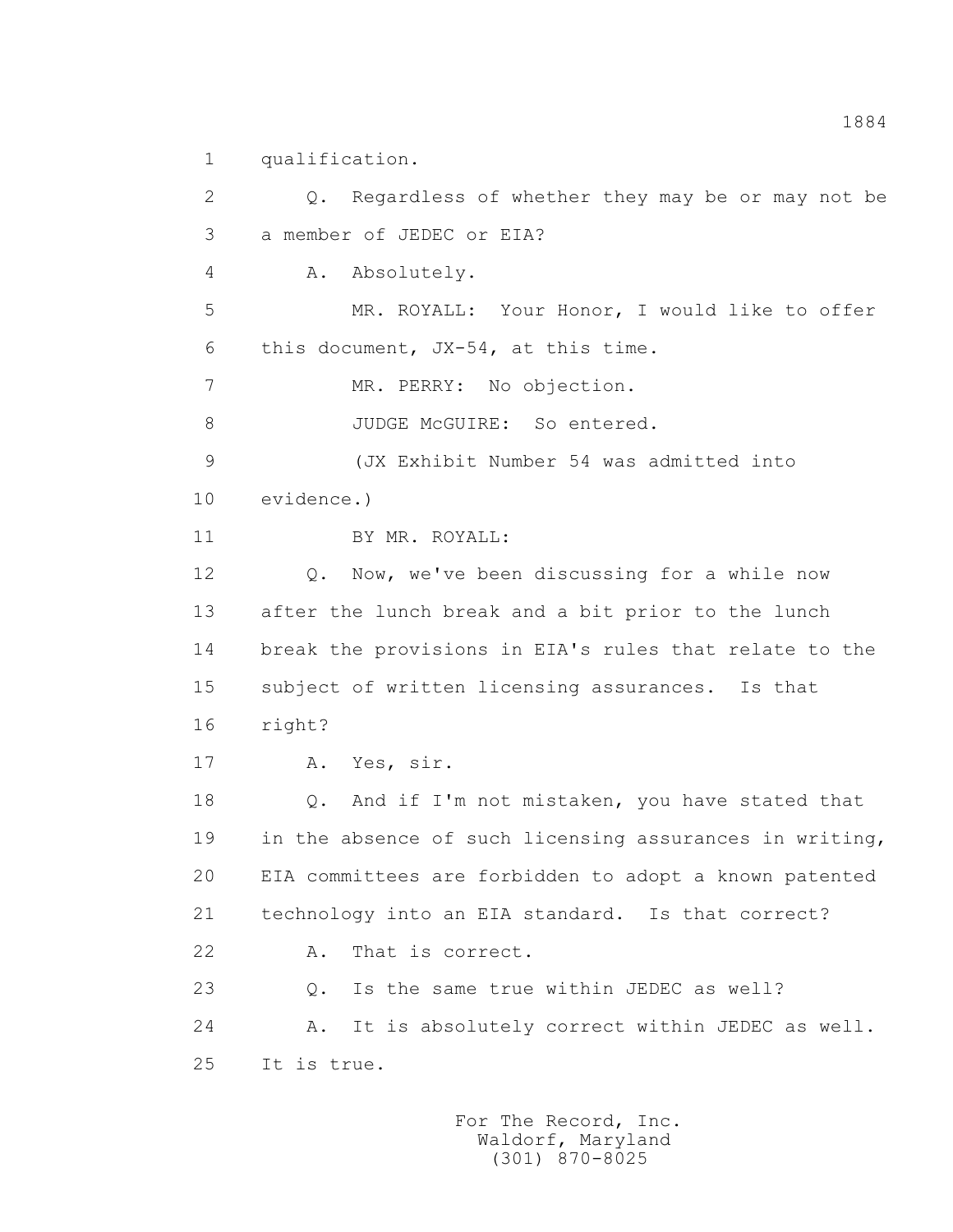1 qualification.

 2 Q. Regardless of whether they may be or may not be 3 a member of JEDEC or EIA? 4 A. Absolutely. 5 MR. ROYALL: Your Honor, I would like to offer 6 this document, JX-54, at this time. 7 MR. PERRY: No objection. 8 JUDGE McGUIRE: So entered. 9 (JX Exhibit Number 54 was admitted into 10 evidence.) 11 BY MR. ROYALL: 12 Q. Now, we've been discussing for a while now 13 after the lunch break and a bit prior to the lunch 14 break the provisions in EIA's rules that relate to the 15 subject of written licensing assurances. Is that 16 right? 17 A. Yes, sir. 18 Q. And if I'm not mistaken, you have stated that 19 in the absence of such licensing assurances in writing, 20 EIA committees are forbidden to adopt a known patented 21 technology into an EIA standard. Is that correct? 22 A. That is correct. 23 Q. Is the same true within JEDEC as well? 24 A. It is absolutely correct within JEDEC as well. 25 It is true.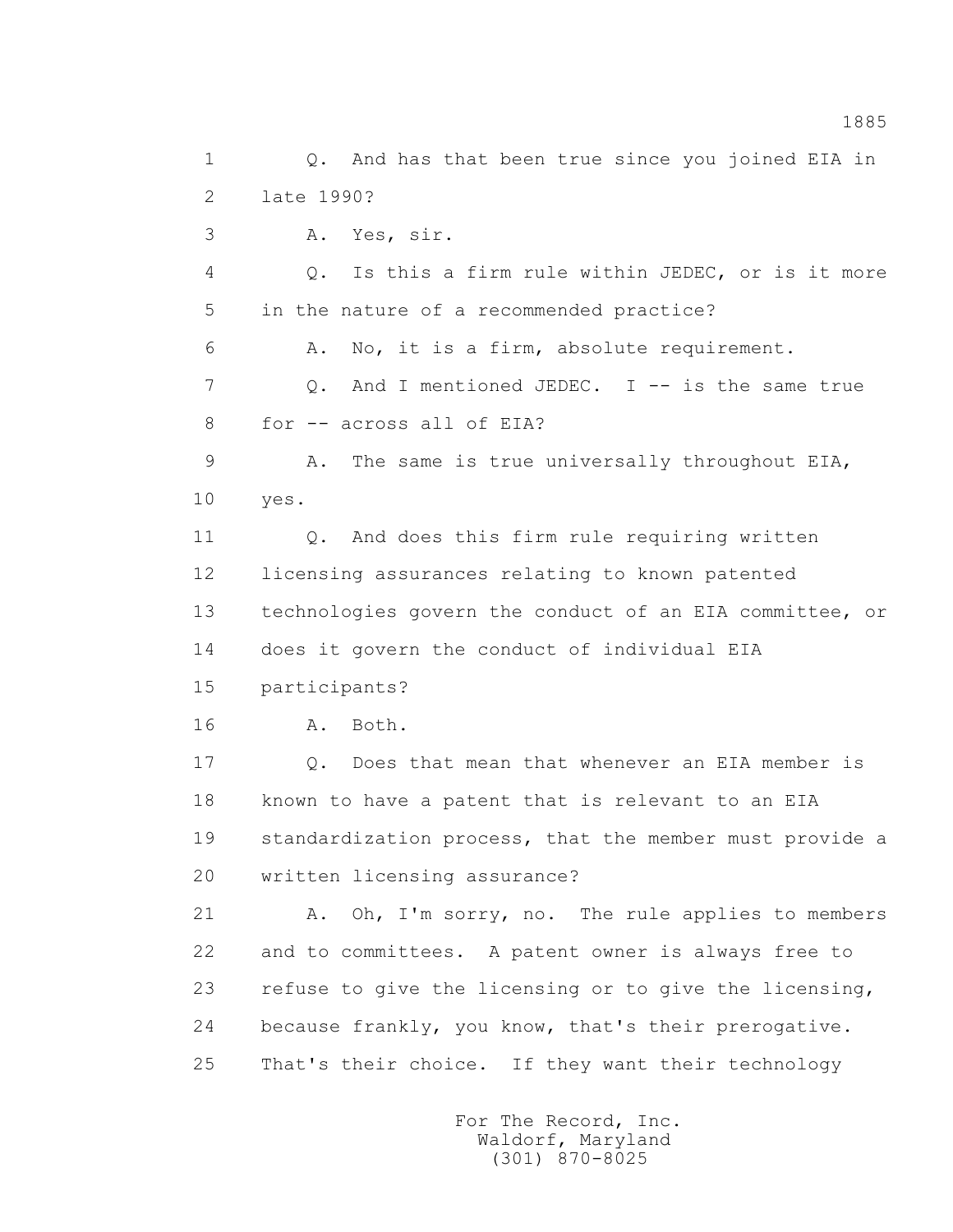1 0. And has that been true since you joined EIA in 2 late 1990? 3 A. Yes, sir. 4 Q. Is this a firm rule within JEDEC, or is it more 5 in the nature of a recommended practice? 6 A. No, it is a firm, absolute requirement. 7 0. And I mentioned JEDEC. I -- is the same true 8 for -- across all of EIA? 9 A. The same is true universally throughout EIA, 10 yes. 11 Q. And does this firm rule requiring written 12 licensing assurances relating to known patented 13 technologies govern the conduct of an EIA committee, or 14 does it govern the conduct of individual EIA 15 participants? 16 A. Both. 17 Q. Does that mean that whenever an EIA member is 18 known to have a patent that is relevant to an EIA 19 standardization process, that the member must provide a 20 written licensing assurance? 21 A. Oh, I'm sorry, no. The rule applies to members 22 and to committees. A patent owner is always free to 23 refuse to give the licensing or to give the licensing, 24 because frankly, you know, that's their prerogative. 25 That's their choice. If they want their technology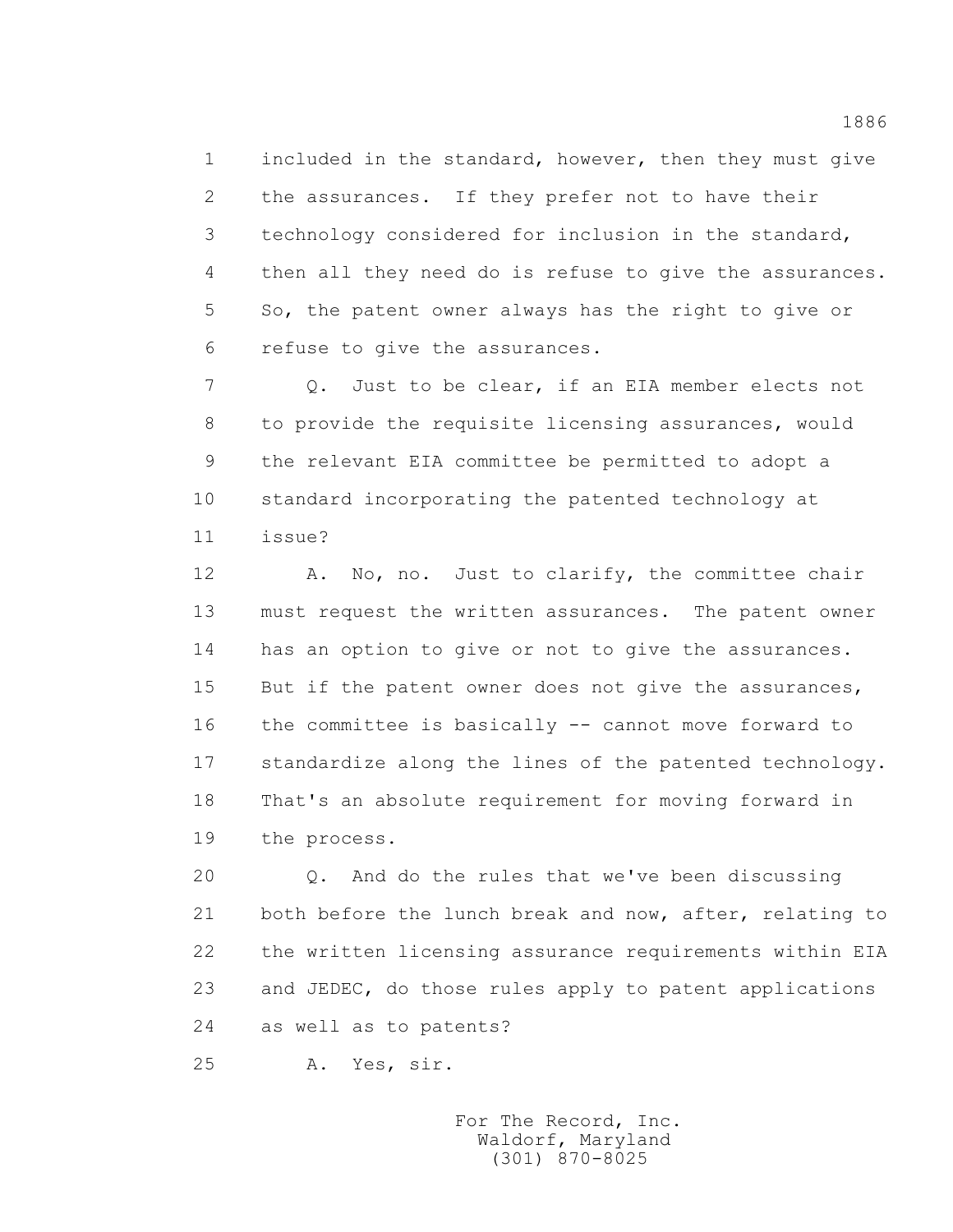1 included in the standard, however, then they must give 2 the assurances. If they prefer not to have their 3 technology considered for inclusion in the standard, 4 then all they need do is refuse to give the assurances. 5 So, the patent owner always has the right to give or 6 refuse to give the assurances.

 7 Q. Just to be clear, if an EIA member elects not 8 to provide the requisite licensing assurances, would 9 the relevant EIA committee be permitted to adopt a 10 standard incorporating the patented technology at 11 issue?

 12 A. No, no. Just to clarify, the committee chair 13 must request the written assurances. The patent owner 14 has an option to give or not to give the assurances. 15 But if the patent owner does not give the assurances, 16 the committee is basically -- cannot move forward to 17 standardize along the lines of the patented technology. 18 That's an absolute requirement for moving forward in 19 the process.

 20 Q. And do the rules that we've been discussing 21 both before the lunch break and now, after, relating to 22 the written licensing assurance requirements within EIA 23 and JEDEC, do those rules apply to patent applications 24 as well as to patents?

25 A. Yes, sir.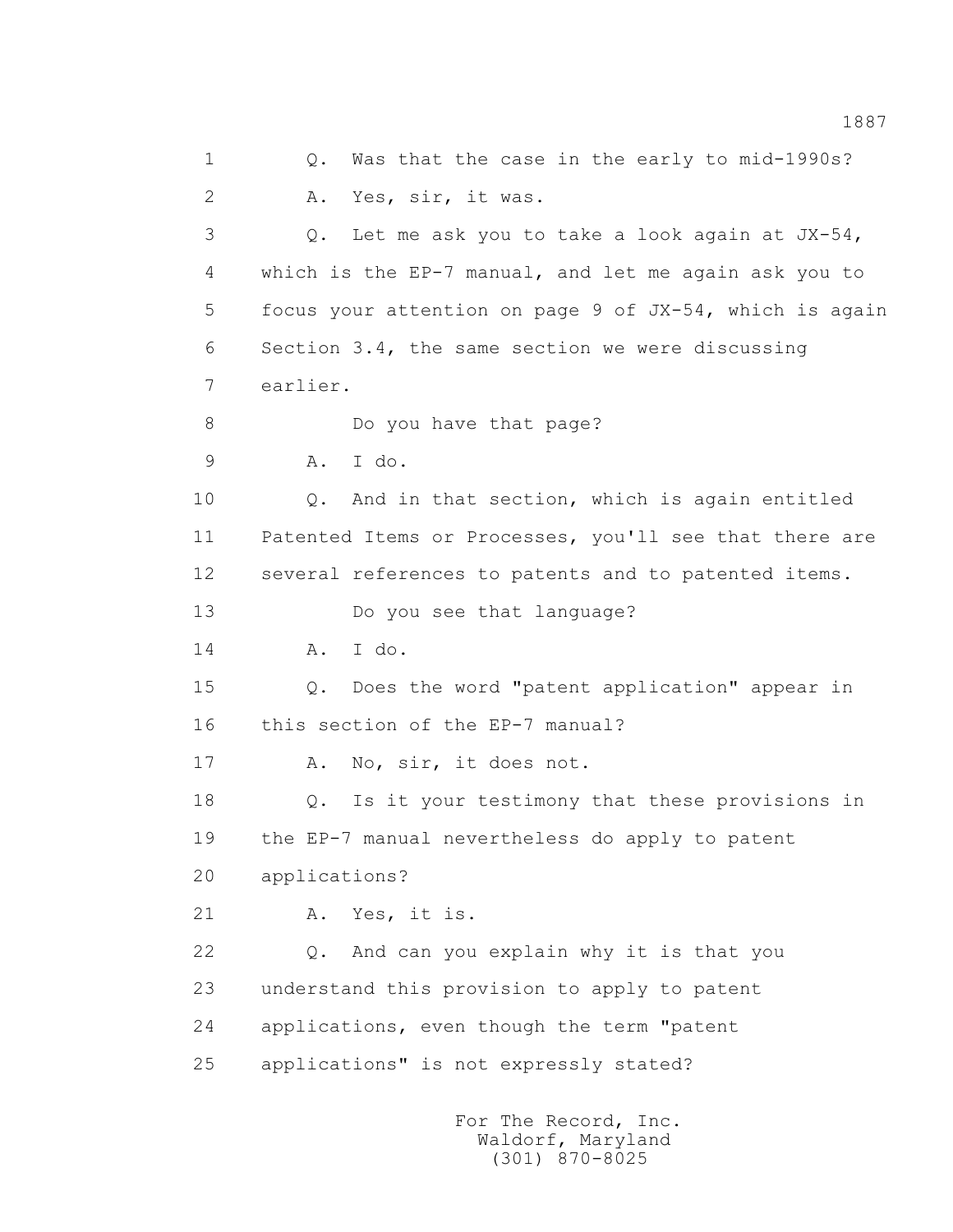1 0. Was that the case in the early to mid-1990s? 2 A. Yes, sir, it was. 3 Q. Let me ask you to take a look again at JX-54, 4 which is the EP-7 manual, and let me again ask you to 5 focus your attention on page 9 of JX-54, which is again 6 Section 3.4, the same section we were discussing 7 earlier. 8 Do you have that page? 9 A. I do. 10 0. And in that section, which is again entitled 11 Patented Items or Processes, you'll see that there are 12 several references to patents and to patented items. 13 Do you see that language? 14 A. I do. 15 Q. Does the word "patent application" appear in 16 this section of the EP-7 manual? 17 A. No, sir, it does not. 18 Q. Is it your testimony that these provisions in 19 the EP-7 manual nevertheless do apply to patent 20 applications? 21 A. Yes, it is. 22 Q. And can you explain why it is that you 23 understand this provision to apply to patent 24 applications, even though the term "patent 25 applications" is not expressly stated?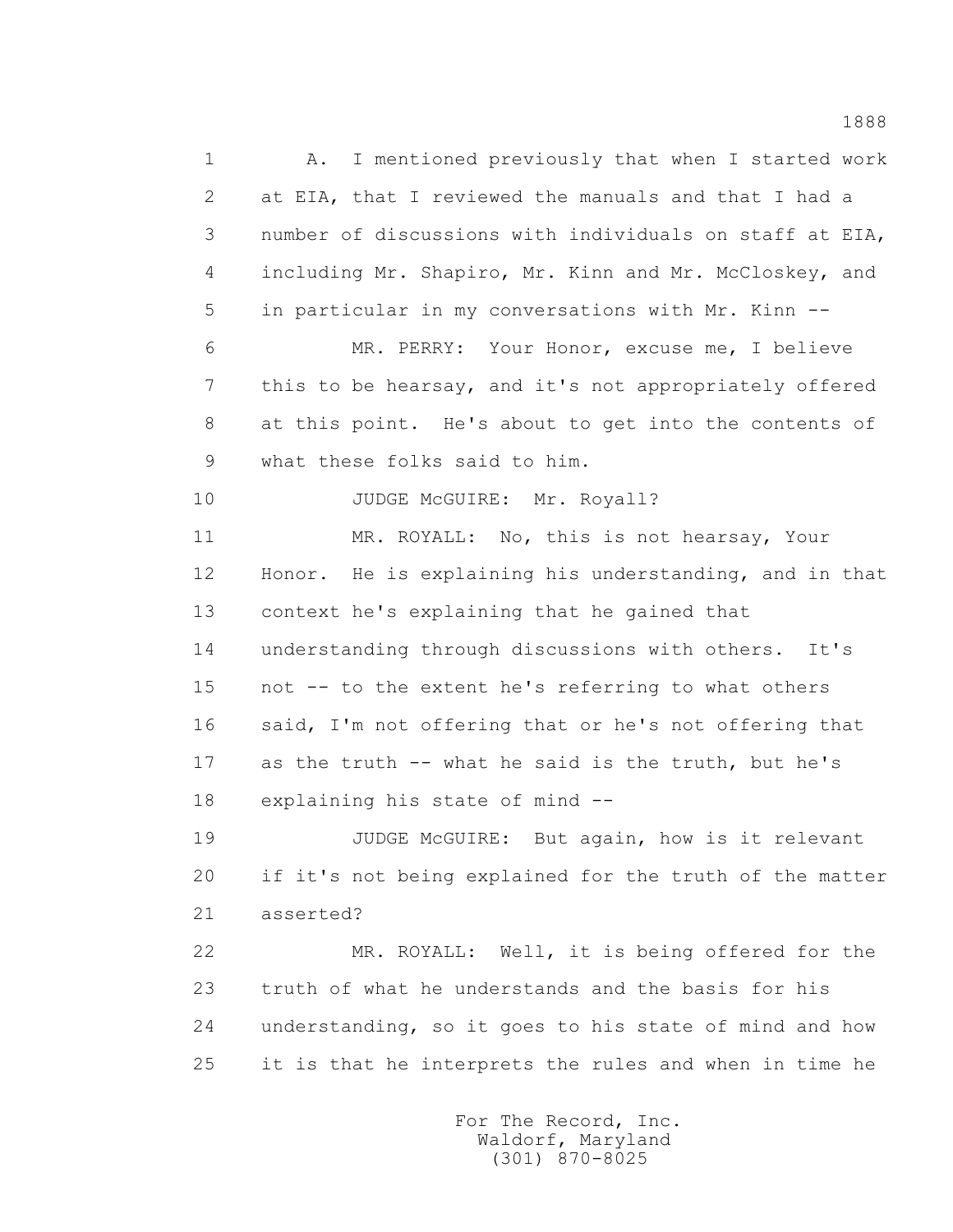1 A. I mentioned previously that when I started work 2 at EIA, that I reviewed the manuals and that I had a 3 number of discussions with individuals on staff at EIA, 4 including Mr. Shapiro, Mr. Kinn and Mr. McCloskey, and 5 in particular in my conversations with Mr. Kinn -- 6 MR. PERRY: Your Honor, excuse me, I believe 7 this to be hearsay, and it's not appropriately offered 8 at this point. He's about to get into the contents of 9 what these folks said to him. 10 JUDGE McGUIRE: Mr. Royall? 11 MR. ROYALL: No, this is not hearsay, Your 12 Honor. He is explaining his understanding, and in that 13 context he's explaining that he gained that 14 understanding through discussions with others. It's 15 not -- to the extent he's referring to what others 16 said, I'm not offering that or he's not offering that 17 as the truth -- what he said is the truth, but he's 18 explaining his state of mind -- 19 JUDGE McGUIRE: But again, how is it relevant 20 if it's not being explained for the truth of the matter 21 asserted? 22 MR. ROYALL: Well, it is being offered for the 23 truth of what he understands and the basis for his 24 understanding, so it goes to his state of mind and how 25 it is that he interprets the rules and when in time he

> For The Record, Inc. Waldorf, Maryland (301) 870-8025

1888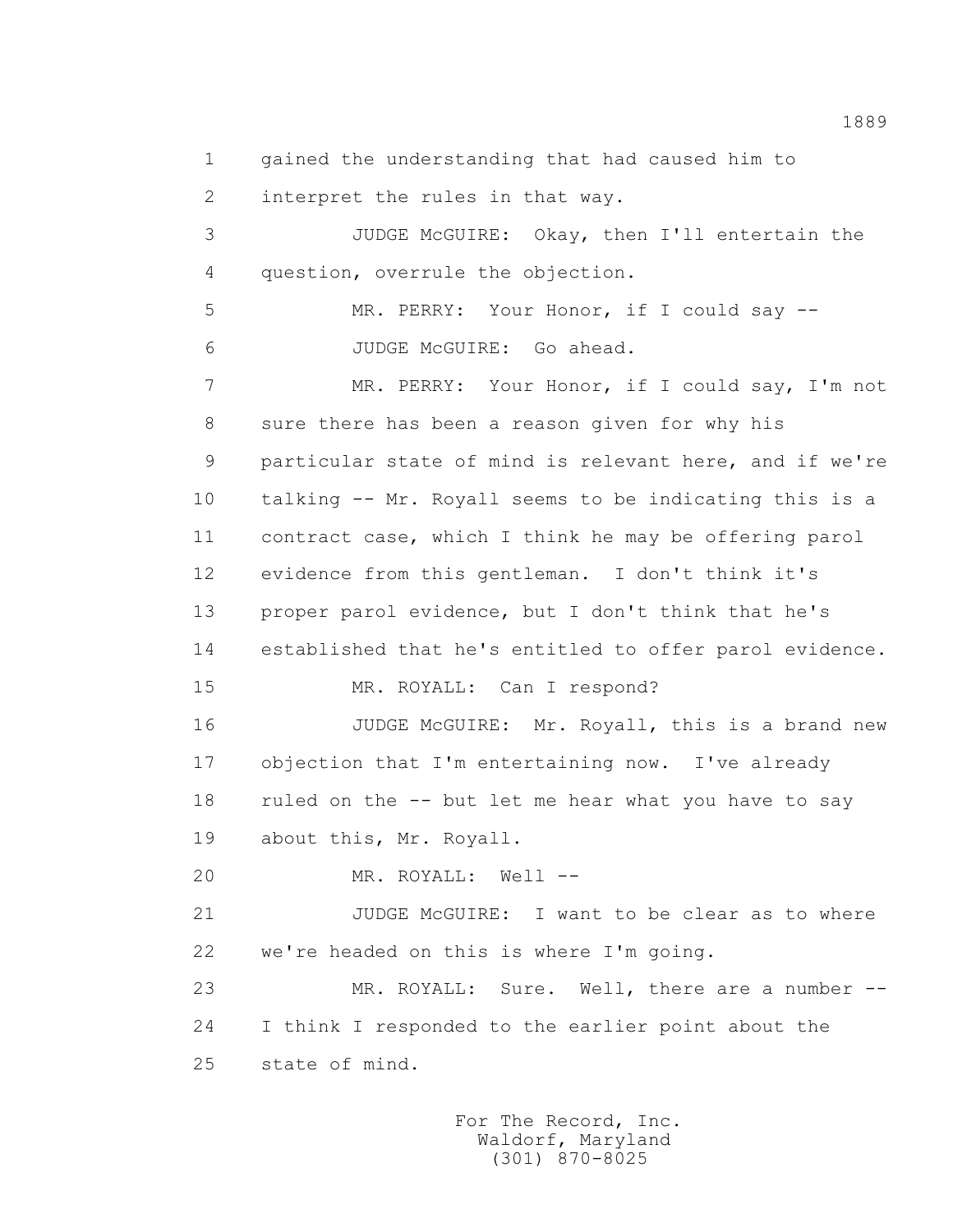1 gained the understanding that had caused him to

2 interpret the rules in that way.

 3 JUDGE McGUIRE: Okay, then I'll entertain the 4 question, overrule the objection.

 5 MR. PERRY: Your Honor, if I could say -- 6 JUDGE McGUIRE: Go ahead.

 7 MR. PERRY: Your Honor, if I could say, I'm not 8 sure there has been a reason given for why his 9 particular state of mind is relevant here, and if we're 10 talking -- Mr. Royall seems to be indicating this is a 11 contract case, which I think he may be offering parol 12 evidence from this gentleman. I don't think it's 13 proper parol evidence, but I don't think that he's 14 established that he's entitled to offer parol evidence. 15 MR. ROYALL: Can I respond?

16 JUDGE McGUIRE: Mr. Royall, this is a brand new 17 objection that I'm entertaining now. I've already 18 ruled on the -- but let me hear what you have to say 19 about this, Mr. Royall.

20 MR. ROYALL: Well --

21 JUDGE McGUIRE: I want to be clear as to where 22 we're headed on this is where I'm going.

 23 MR. ROYALL: Sure. Well, there are a number -- 24 I think I responded to the earlier point about the 25 state of mind.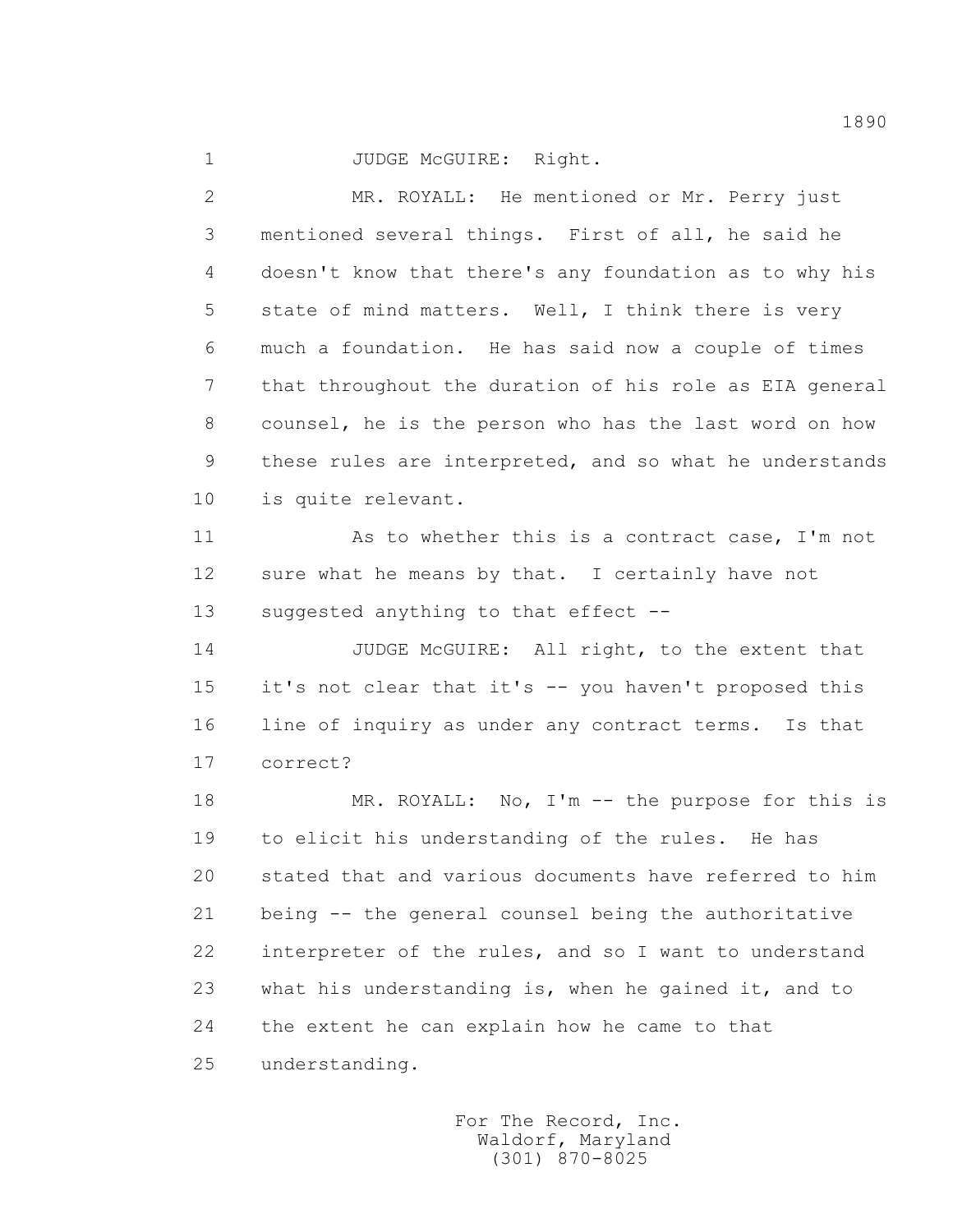1 JUDGE McGUIRE: Right.

 2 MR. ROYALL: He mentioned or Mr. Perry just 3 mentioned several things. First of all, he said he 4 doesn't know that there's any foundation as to why his 5 state of mind matters. Well, I think there is very 6 much a foundation. He has said now a couple of times 7 that throughout the duration of his role as EIA general 8 counsel, he is the person who has the last word on how 9 these rules are interpreted, and so what he understands 10 is quite relevant.

 11 As to whether this is a contract case, I'm not 12 sure what he means by that. I certainly have not 13 suggested anything to that effect --

14 JUDGE McGUIRE: All right, to the extent that 15 it's not clear that it's -- you haven't proposed this 16 line of inquiry as under any contract terms. Is that 17 correct?

18 MR. ROYALL: No, I'm -- the purpose for this is 19 to elicit his understanding of the rules. He has 20 stated that and various documents have referred to him 21 being -- the general counsel being the authoritative 22 interpreter of the rules, and so I want to understand 23 what his understanding is, when he gained it, and to 24 the extent he can explain how he came to that 25 understanding.

> For The Record, Inc. Waldorf, Maryland (301) 870-8025

1890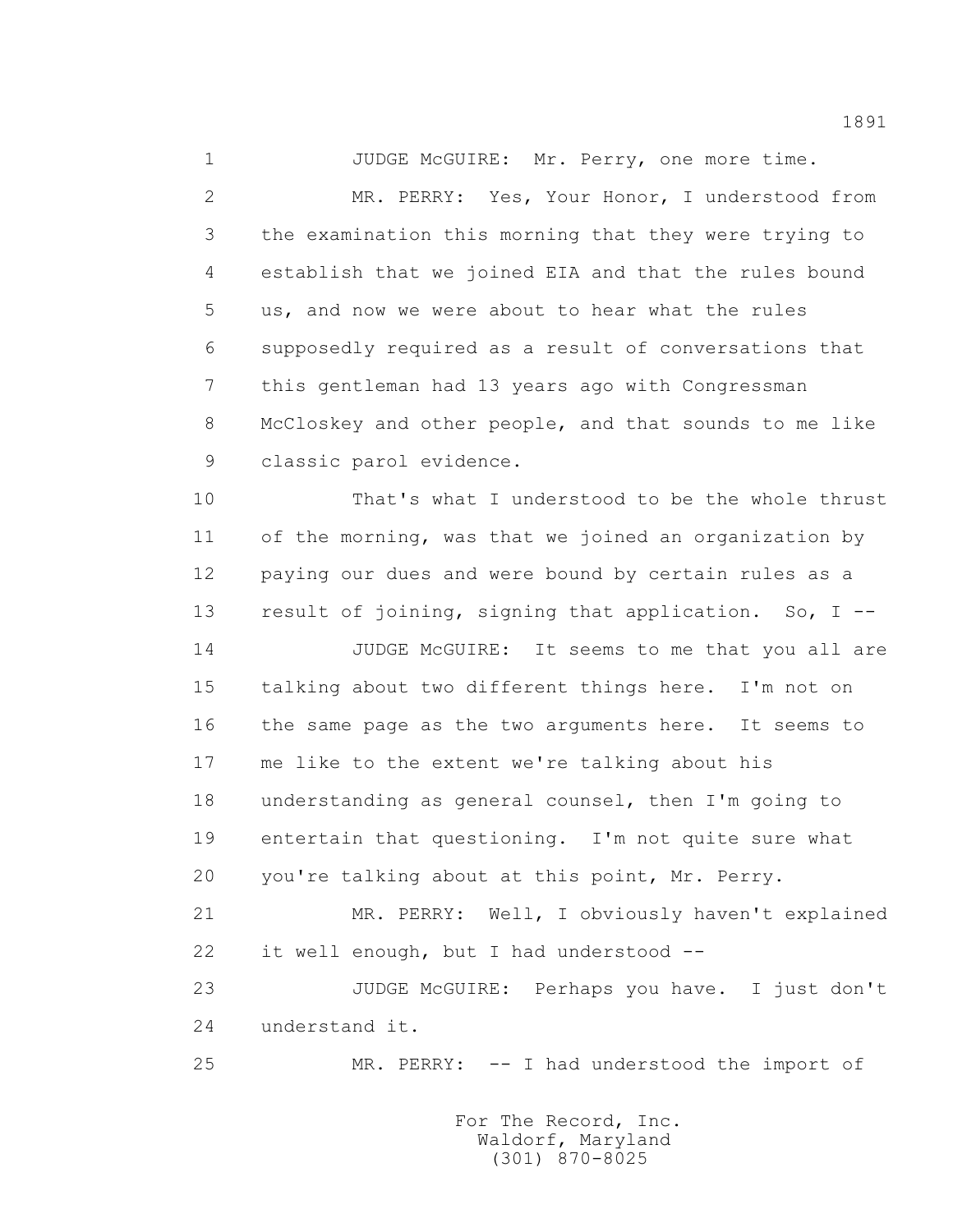1 JUDGE McGUIRE: Mr. Perry, one more time. 2 MR. PERRY: Yes, Your Honor, I understood from 3 the examination this morning that they were trying to 4 establish that we joined EIA and that the rules bound 5 us, and now we were about to hear what the rules 6 supposedly required as a result of conversations that 7 this gentleman had 13 years ago with Congressman 8 McCloskey and other people, and that sounds to me like 9 classic parol evidence. 10 That's what I understood to be the whole thrust 11 of the morning, was that we joined an organization by 12 paying our dues and were bound by certain rules as a 13 result of joining, signing that application. So, I -- 14 JUDGE McGUIRE: It seems to me that you all are 15 talking about two different things here. I'm not on 16 the same page as the two arguments here. It seems to 17 me like to the extent we're talking about his 18 understanding as general counsel, then I'm going to 19 entertain that questioning. I'm not quite sure what 20 you're talking about at this point, Mr. Perry. 21 MR. PERRY: Well, I obviously haven't explained 22 it well enough, but I had understood -- 23 JUDGE McGUIRE: Perhaps you have. I just don't 24 understand it. 25 MR. PERRY: -- I had understood the import of

> For The Record, Inc. Waldorf, Maryland (301) 870-8025

1891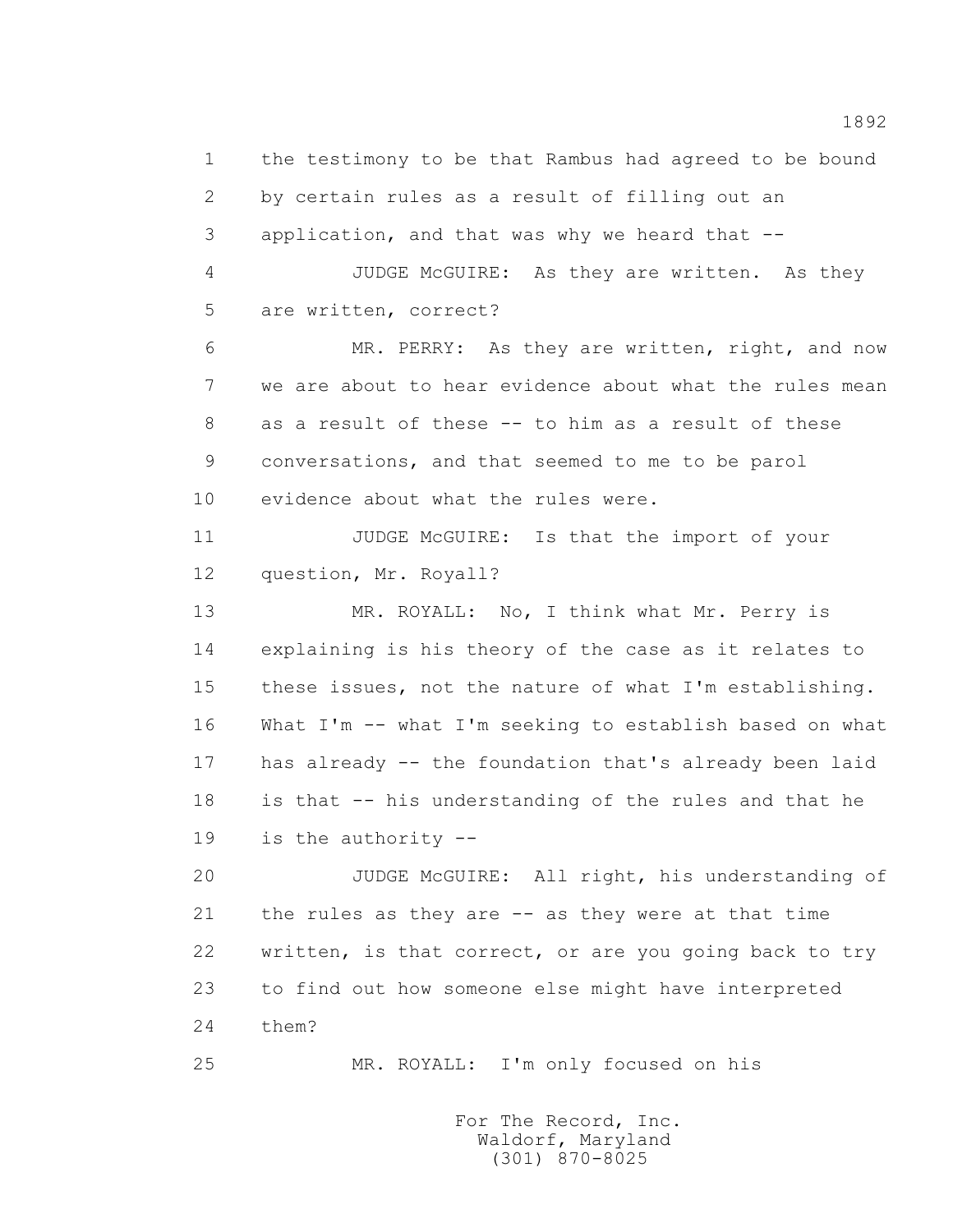1 the testimony to be that Rambus had agreed to be bound 2 by certain rules as a result of filling out an 3 application, and that was why we heard that -- 4 JUDGE McGUIRE: As they are written. As they 5 are written, correct? 6 MR. PERRY: As they are written, right, and now 7 we are about to hear evidence about what the rules mean 8 as a result of these -- to him as a result of these 9 conversations, and that seemed to me to be parol 10 evidence about what the rules were. 11 JUDGE McGUIRE: Is that the import of your 12 question, Mr. Royall? 13 MR. ROYALL: No, I think what Mr. Perry is 14 explaining is his theory of the case as it relates to 15 these issues, not the nature of what I'm establishing. 16 What I'm -- what I'm seeking to establish based on what 17 has already -- the foundation that's already been laid 18 is that -- his understanding of the rules and that he 19 is the authority -- 20 JUDGE McGUIRE: All right, his understanding of 21 the rules as they are -- as they were at that time 22 written, is that correct, or are you going back to try 23 to find out how someone else might have interpreted 24 them?

25 MR. ROYALL: I'm only focused on his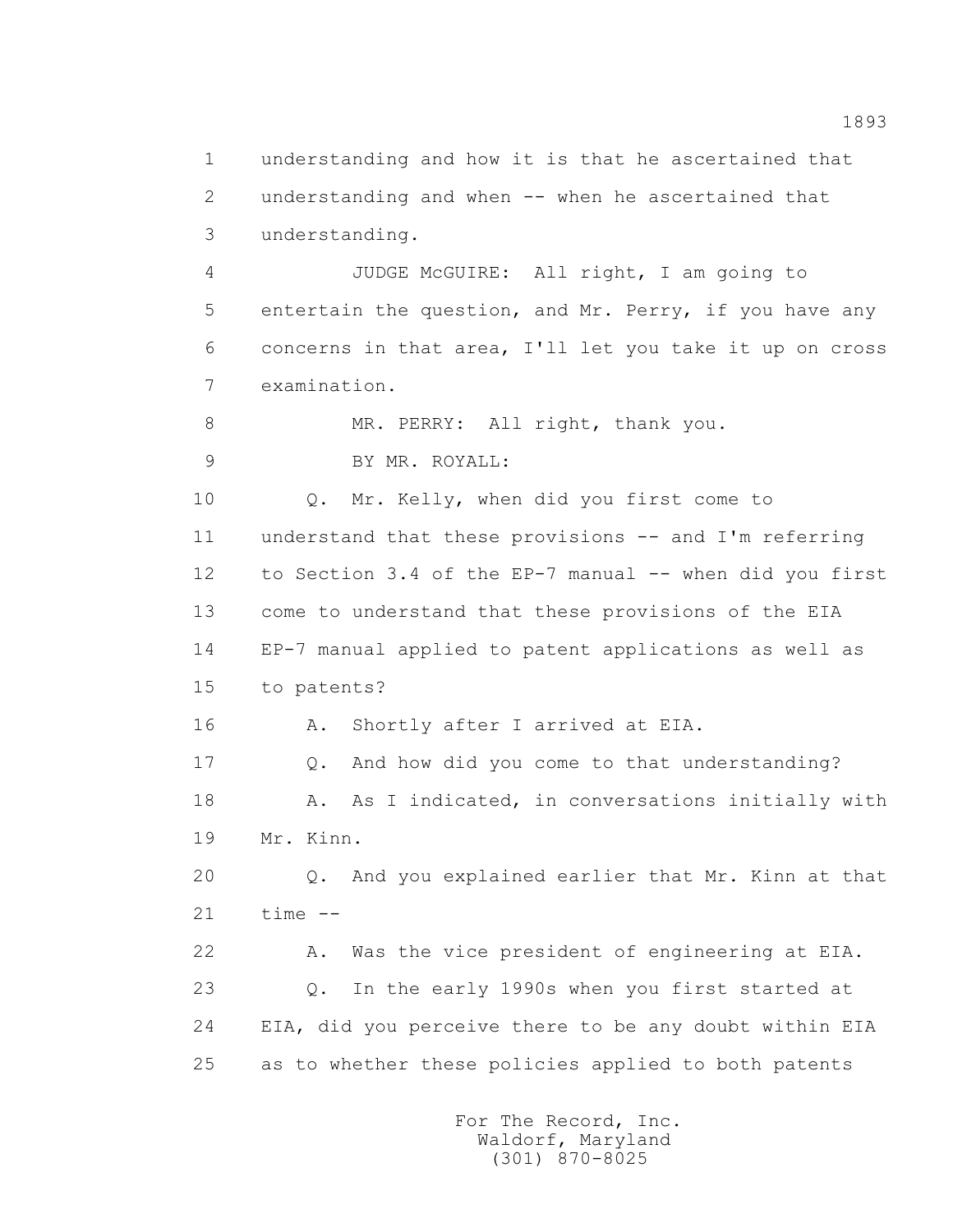1 understanding and how it is that he ascertained that 2 understanding and when -- when he ascertained that 3 understanding. 4 JUDGE McGUIRE: All right, I am going to 5 entertain the question, and Mr. Perry, if you have any 6 concerns in that area, I'll let you take it up on cross 7 examination. 8 MR. PERRY: All right, thank you. 9 BY MR. ROYALL: 10 0. Mr. Kelly, when did you first come to 11 understand that these provisions -- and I'm referring 12 to Section 3.4 of the EP-7 manual -- when did you first 13 come to understand that these provisions of the EIA 14 EP-7 manual applied to patent applications as well as 15 to patents? 16 A. Shortly after I arrived at EIA. 17 Q. And how did you come to that understanding? 18 A. As I indicated, in conversations initially with 19 Mr. Kinn. 20 Q. And you explained earlier that Mr. Kinn at that  $21$  time  $-$  22 A. Was the vice president of engineering at EIA. 23 Q. In the early 1990s when you first started at 24 EIA, did you perceive there to be any doubt within EIA 25 as to whether these policies applied to both patents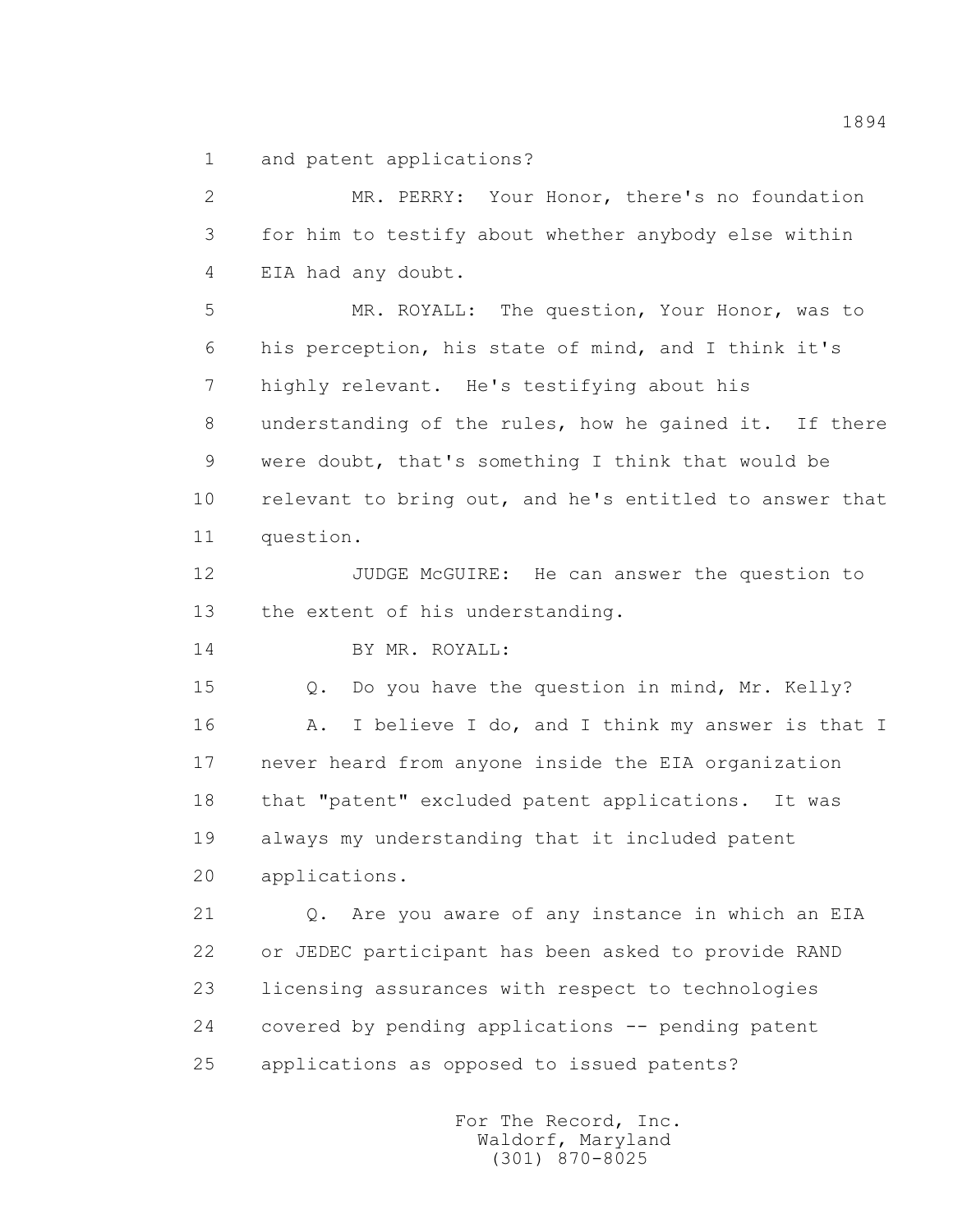1 and patent applications?

 2 MR. PERRY: Your Honor, there's no foundation 3 for him to testify about whether anybody else within 4 EIA had any doubt.

 5 MR. ROYALL: The question, Your Honor, was to 6 his perception, his state of mind, and I think it's 7 highly relevant. He's testifying about his 8 understanding of the rules, how he gained it. If there 9 were doubt, that's something I think that would be 10 relevant to bring out, and he's entitled to answer that 11 question.

 12 JUDGE McGUIRE: He can answer the question to 13 the extent of his understanding.

14 BY MR. ROYALL:

15 Q. Do you have the question in mind, Mr. Kelly?

 16 A. I believe I do, and I think my answer is that I 17 never heard from anyone inside the EIA organization 18 that "patent" excluded patent applications. It was 19 always my understanding that it included patent 20 applications.

 21 Q. Are you aware of any instance in which an EIA 22 or JEDEC participant has been asked to provide RAND 23 licensing assurances with respect to technologies 24 covered by pending applications -- pending patent 25 applications as opposed to issued patents?

> For The Record, Inc. Waldorf, Maryland (301) 870-8025

1894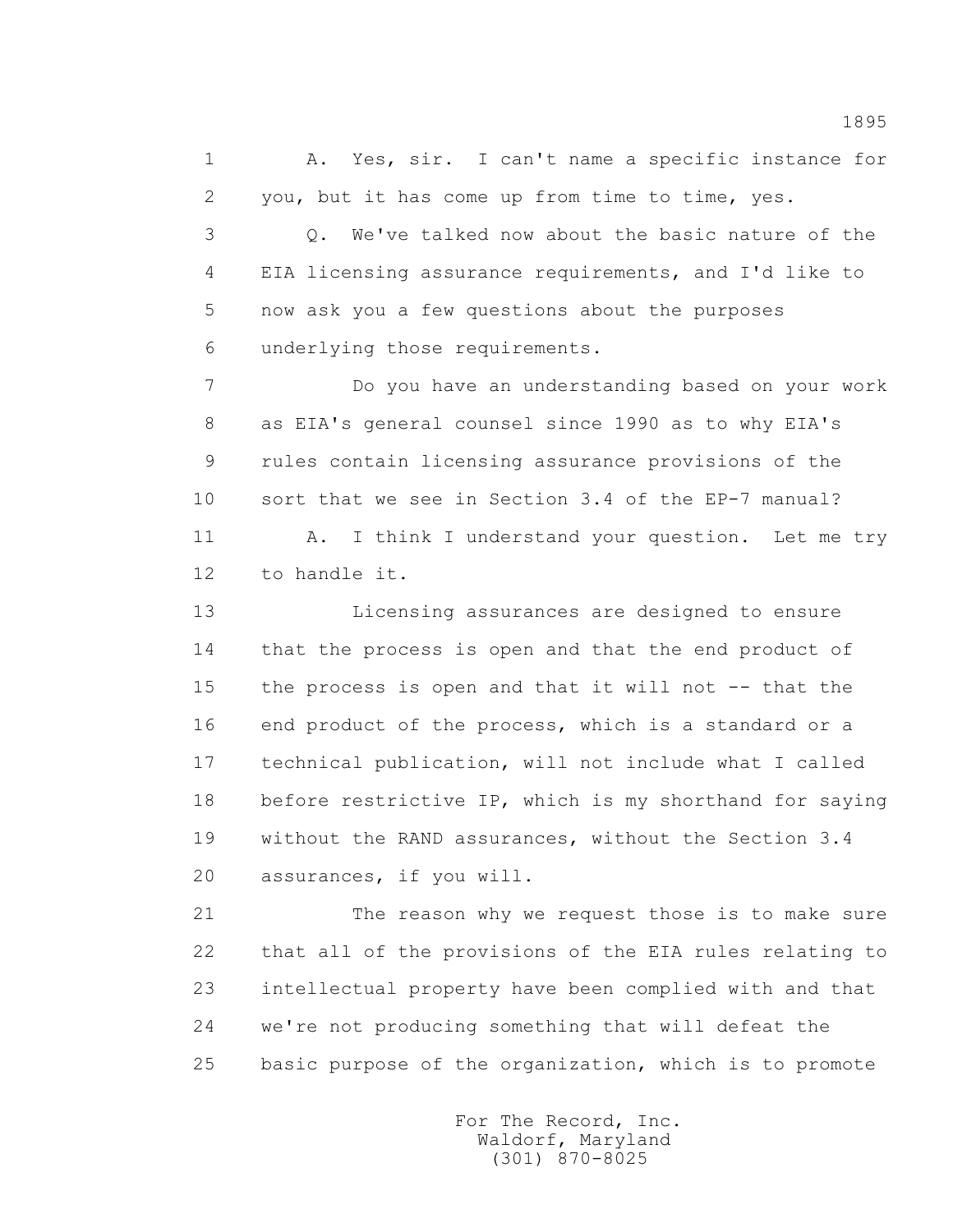1 A. Yes, sir. I can't name a specific instance for 2 you, but it has come up from time to time, yes.

 3 Q. We've talked now about the basic nature of the 4 EIA licensing assurance requirements, and I'd like to 5 now ask you a few questions about the purposes 6 underlying those requirements.

 7 Do you have an understanding based on your work 8 as EIA's general counsel since 1990 as to why EIA's 9 rules contain licensing assurance provisions of the 10 sort that we see in Section 3.4 of the EP-7 manual?

11 A. I think I understand your question. Let me try 12 to handle it.

 13 Licensing assurances are designed to ensure 14 that the process is open and that the end product of 15 the process is open and that it will not -- that the 16 end product of the process, which is a standard or a 17 technical publication, will not include what I called 18 before restrictive IP, which is my shorthand for saying 19 without the RAND assurances, without the Section 3.4 20 assurances, if you will.

 21 The reason why we request those is to make sure 22 that all of the provisions of the EIA rules relating to 23 intellectual property have been complied with and that 24 we're not producing something that will defeat the 25 basic purpose of the organization, which is to promote

> For The Record, Inc. Waldorf, Maryland (301) 870-8025

1895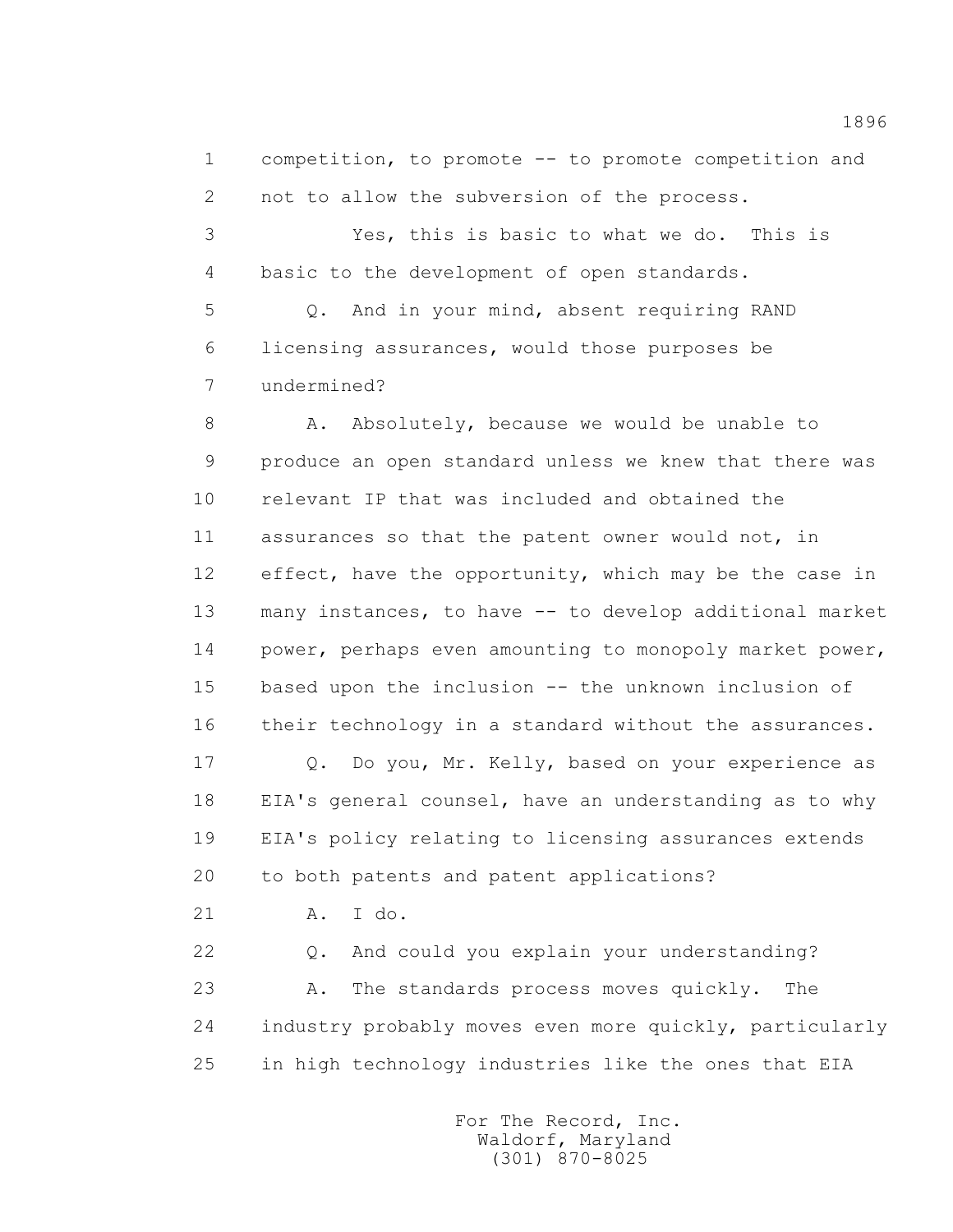1 competition, to promote -- to promote competition and 2 not to allow the subversion of the process.

 3 Yes, this is basic to what we do. This is 4 basic to the development of open standards.

 5 Q. And in your mind, absent requiring RAND 6 licensing assurances, would those purposes be 7 undermined?

8 A. Absolutely, because we would be unable to 9 produce an open standard unless we knew that there was 10 relevant IP that was included and obtained the 11 assurances so that the patent owner would not, in 12 effect, have the opportunity, which may be the case in 13 many instances, to have -- to develop additional market 14 power, perhaps even amounting to monopoly market power, 15 based upon the inclusion -- the unknown inclusion of 16 their technology in a standard without the assurances.

 17 Q. Do you, Mr. Kelly, based on your experience as 18 EIA's general counsel, have an understanding as to why 19 EIA's policy relating to licensing assurances extends 20 to both patents and patent applications?

21 A. I do.

 22 Q. And could you explain your understanding? 23 A. The standards process moves quickly. The 24 industry probably moves even more quickly, particularly 25 in high technology industries like the ones that EIA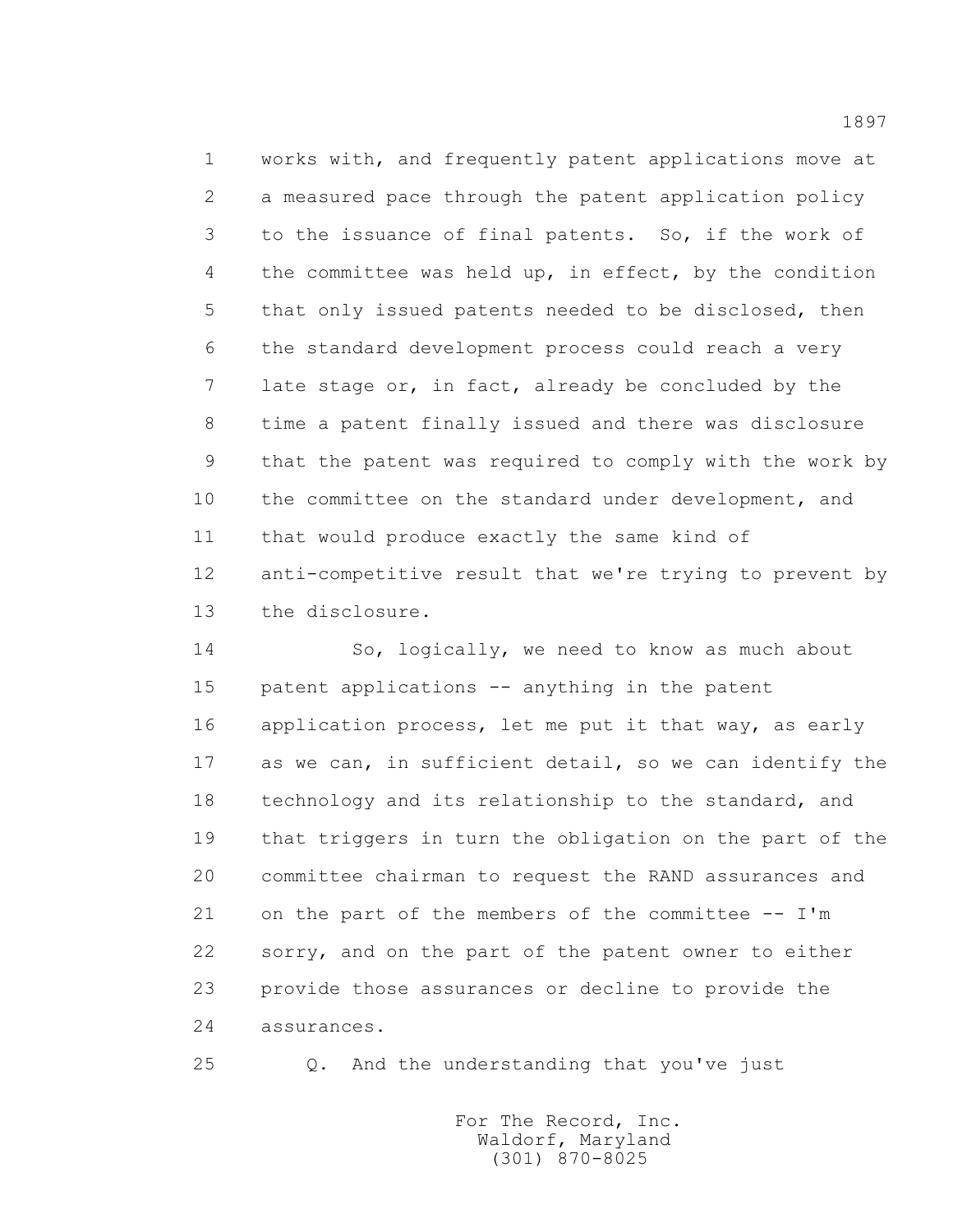1 works with, and frequently patent applications move at 2 a measured pace through the patent application policy 3 to the issuance of final patents. So, if the work of 4 the committee was held up, in effect, by the condition 5 that only issued patents needed to be disclosed, then 6 the standard development process could reach a very 7 late stage or, in fact, already be concluded by the 8 time a patent finally issued and there was disclosure 9 that the patent was required to comply with the work by 10 the committee on the standard under development, and 11 that would produce exactly the same kind of 12 anti-competitive result that we're trying to prevent by 13 the disclosure.

 14 So, logically, we need to know as much about 15 patent applications -- anything in the patent 16 application process, let me put it that way, as early 17 as we can, in sufficient detail, so we can identify the 18 technology and its relationship to the standard, and 19 that triggers in turn the obligation on the part of the 20 committee chairman to request the RAND assurances and 21 on the part of the members of the committee -- I'm 22 sorry, and on the part of the patent owner to either 23 provide those assurances or decline to provide the 24 assurances.

25 Q. And the understanding that you've just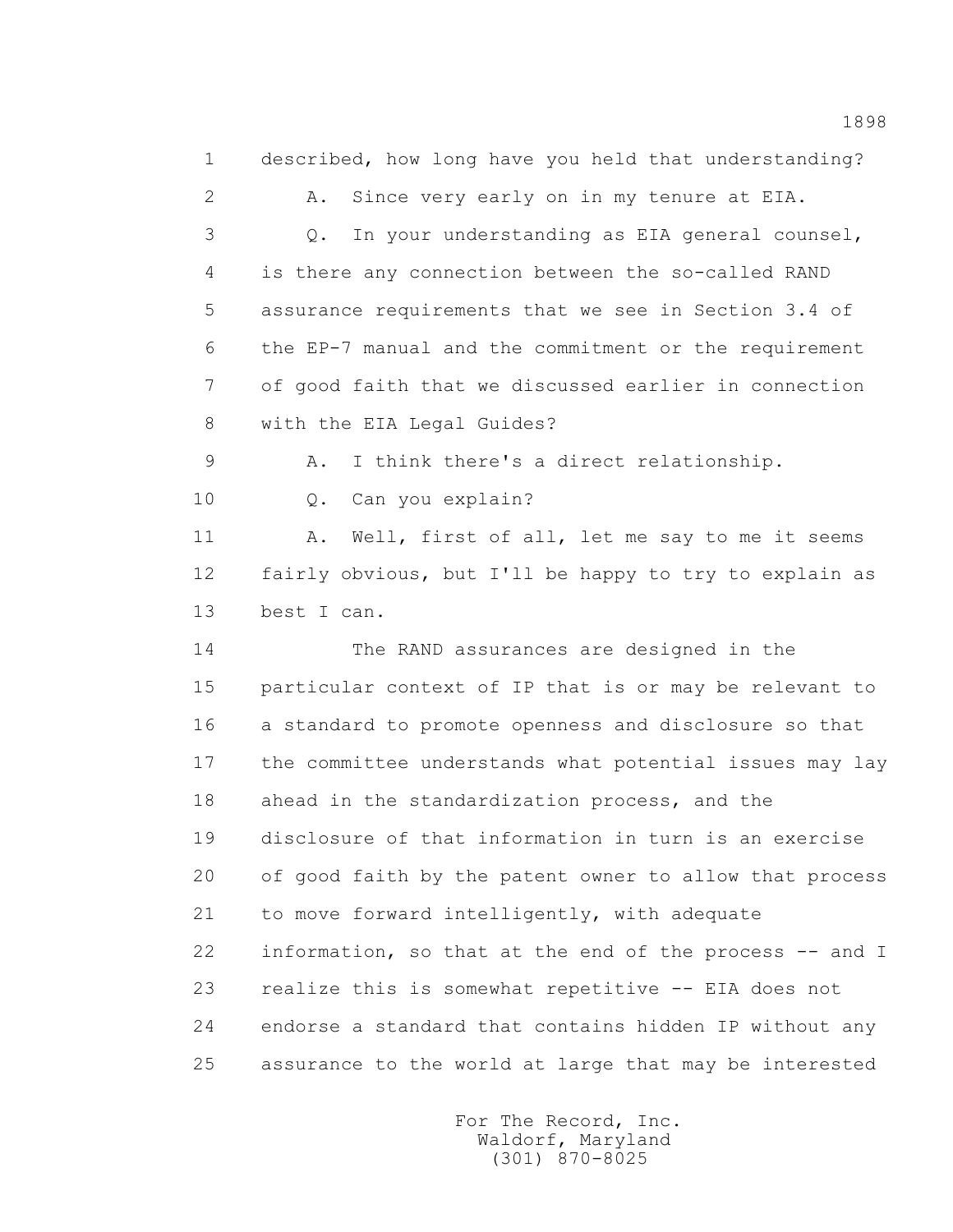1 described, how long have you held that understanding?

 2 A. Since very early on in my tenure at EIA. 3 Q. In your understanding as EIA general counsel, 4 is there any connection between the so-called RAND 5 assurance requirements that we see in Section 3.4 of 6 the EP-7 manual and the commitment or the requirement 7 of good faith that we discussed earlier in connection 8 with the EIA Legal Guides?

9 A. I think there's a direct relationship.

10 Q. Can you explain?

11 A. Well, first of all, let me say to me it seems 12 fairly obvious, but I'll be happy to try to explain as 13 best I can.

 14 The RAND assurances are designed in the 15 particular context of IP that is or may be relevant to 16 a standard to promote openness and disclosure so that 17 the committee understands what potential issues may lay 18 ahead in the standardization process, and the 19 disclosure of that information in turn is an exercise 20 of good faith by the patent owner to allow that process 21 to move forward intelligently, with adequate 22 information, so that at the end of the process -- and I 23 realize this is somewhat repetitive -- EIA does not 24 endorse a standard that contains hidden IP without any 25 assurance to the world at large that may be interested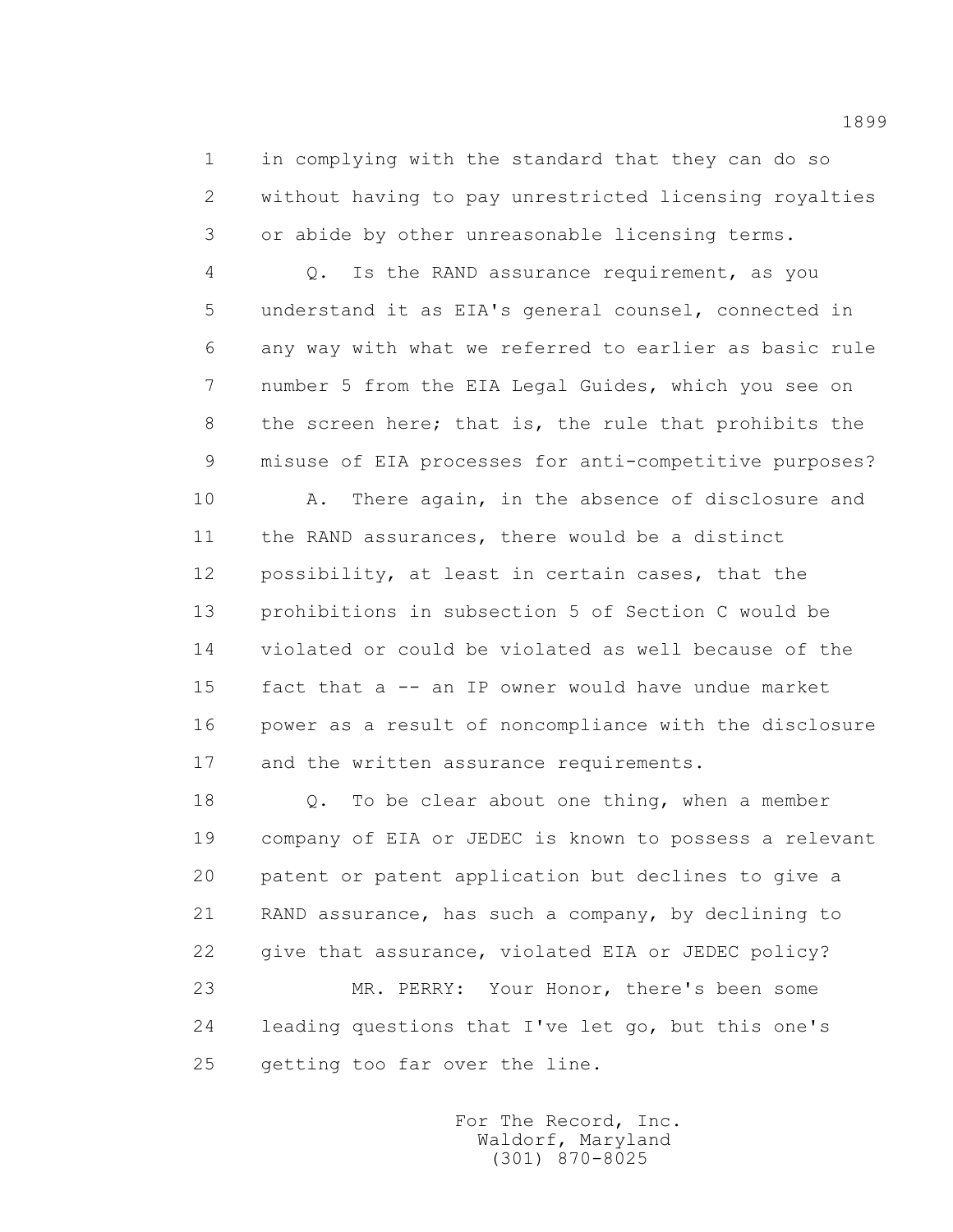1 in complying with the standard that they can do so 2 without having to pay unrestricted licensing royalties 3 or abide by other unreasonable licensing terms.

 4 Q. Is the RAND assurance requirement, as you 5 understand it as EIA's general counsel, connected in 6 any way with what we referred to earlier as basic rule 7 number 5 from the EIA Legal Guides, which you see on 8 the screen here; that is, the rule that prohibits the 9 misuse of EIA processes for anti-competitive purposes?

 10 A. There again, in the absence of disclosure and 11 the RAND assurances, there would be a distinct 12 possibility, at least in certain cases, that the 13 prohibitions in subsection 5 of Section C would be 14 violated or could be violated as well because of the 15 fact that a -- an IP owner would have undue market 16 power as a result of noncompliance with the disclosure 17 and the written assurance requirements.

18 0. To be clear about one thing, when a member 19 company of EIA or JEDEC is known to possess a relevant 20 patent or patent application but declines to give a 21 RAND assurance, has such a company, by declining to 22 give that assurance, violated EIA or JEDEC policy? 23 MR. PERRY: Your Honor, there's been some 24 leading questions that I've let go, but this one's 25 getting too far over the line.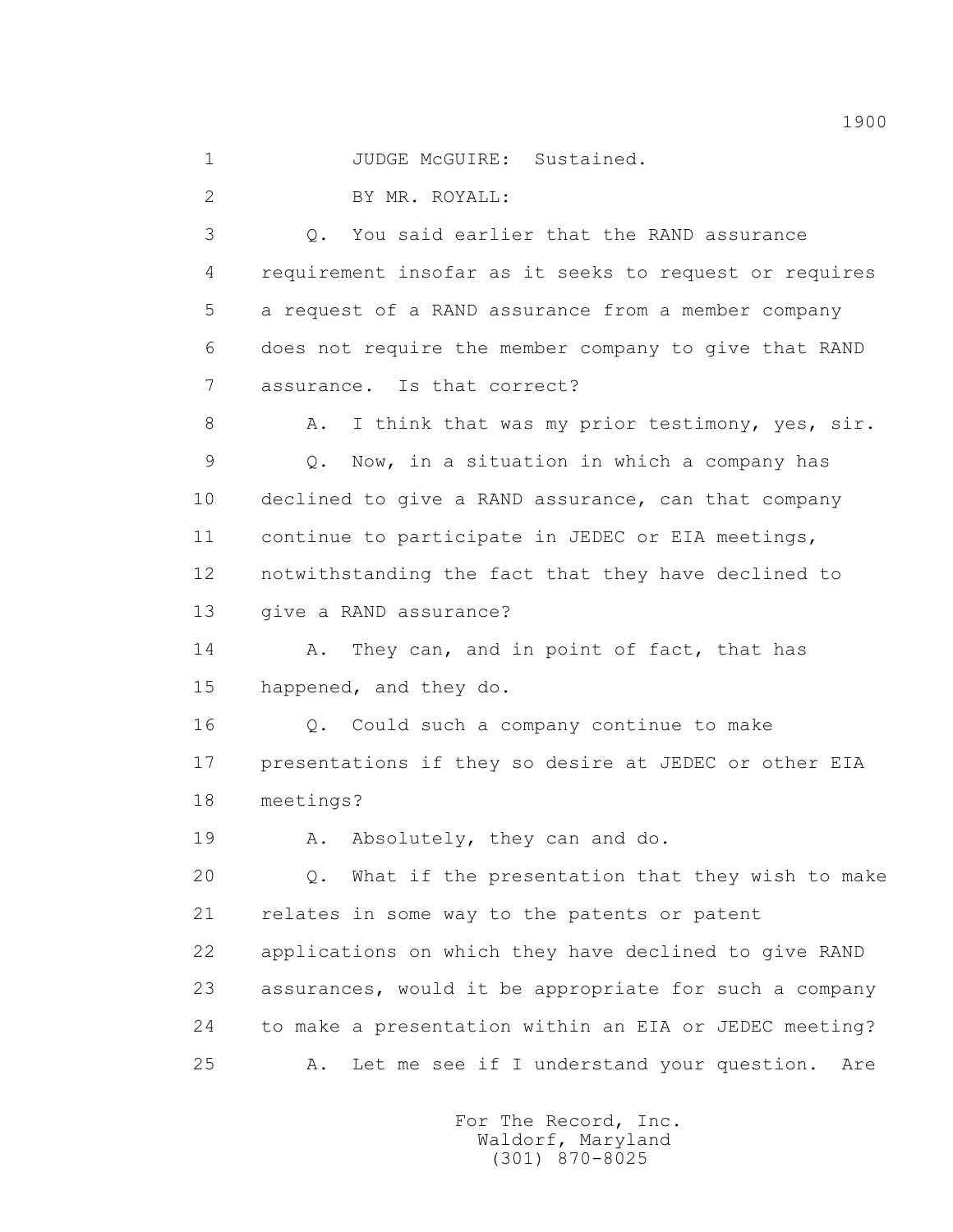1 JUDGE McGUIRE: Sustained.

2 BY MR. ROYALL:

 3 Q. You said earlier that the RAND assurance 4 requirement insofar as it seeks to request or requires 5 a request of a RAND assurance from a member company 6 does not require the member company to give that RAND 7 assurance. Is that correct?

8 A. I think that was my prior testimony, yes, sir. 9 Q. Now, in a situation in which a company has 10 declined to give a RAND assurance, can that company 11 continue to participate in JEDEC or EIA meetings, 12 notwithstanding the fact that they have declined to 13 give a RAND assurance?

14 A. They can, and in point of fact, that has 15 happened, and they do.

 16 Q. Could such a company continue to make 17 presentations if they so desire at JEDEC or other EIA 18 meetings?

19 A. Absolutely, they can and do.

 20 Q. What if the presentation that they wish to make 21 relates in some way to the patents or patent 22 applications on which they have declined to give RAND 23 assurances, would it be appropriate for such a company 24 to make a presentation within an EIA or JEDEC meeting? 25 A. Let me see if I understand your question. Are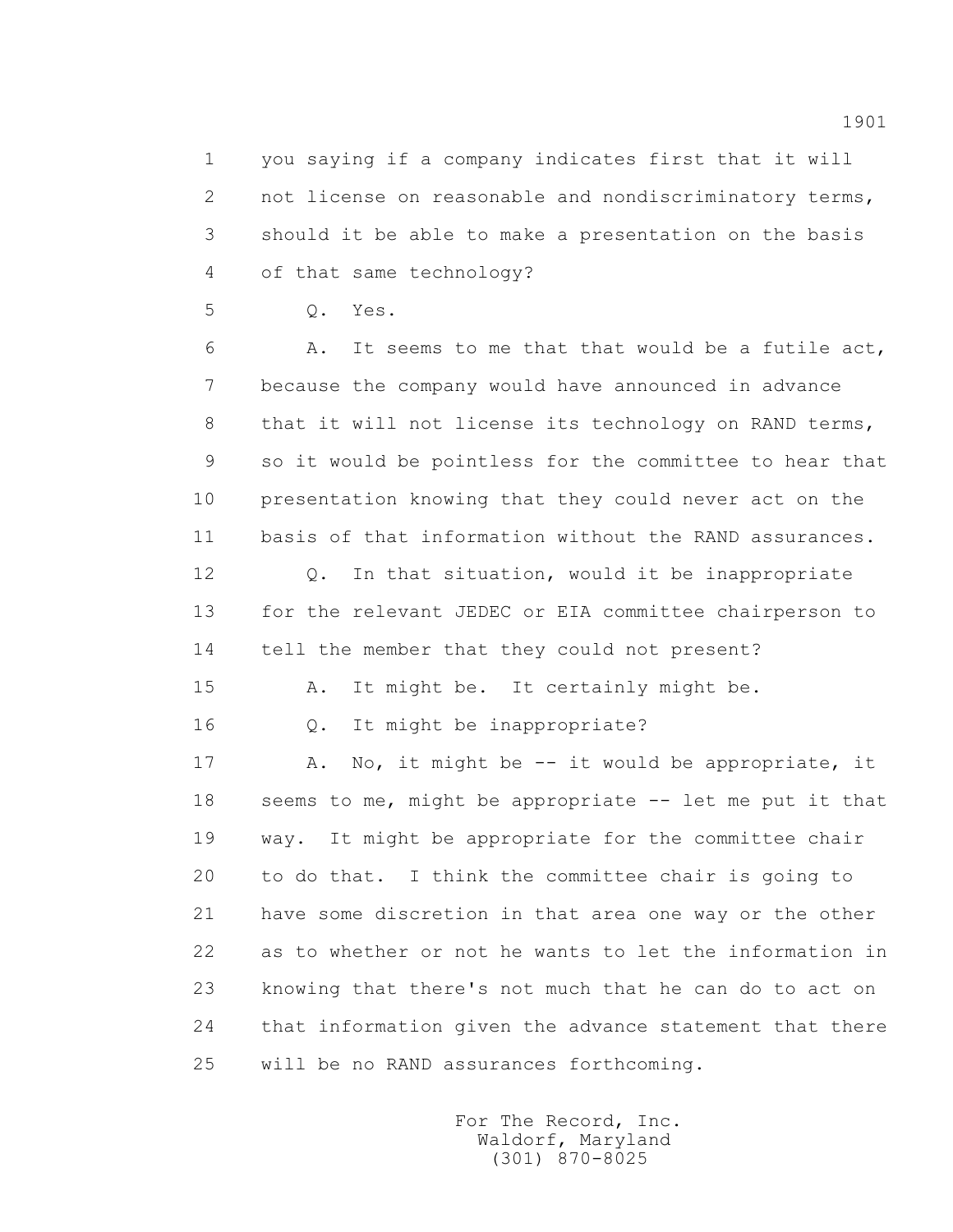1 you saying if a company indicates first that it will 2 not license on reasonable and nondiscriminatory terms, 3 should it be able to make a presentation on the basis 4 of that same technology?

5 Q. Yes.

 6 A. It seems to me that that would be a futile act, 7 because the company would have announced in advance 8 that it will not license its technology on RAND terms, 9 so it would be pointless for the committee to hear that 10 presentation knowing that they could never act on the 11 basis of that information without the RAND assurances.

12 Q. In that situation, would it be inappropriate 13 for the relevant JEDEC or EIA committee chairperson to 14 tell the member that they could not present?

15 A. It might be. It certainly might be.

16 Q. It might be inappropriate?

17 A. No, it might be -- it would be appropriate, it 18 seems to me, might be appropriate -- let me put it that 19 way. It might be appropriate for the committee chair 20 to do that. I think the committee chair is going to 21 have some discretion in that area one way or the other 22 as to whether or not he wants to let the information in 23 knowing that there's not much that he can do to act on 24 that information given the advance statement that there 25 will be no RAND assurances forthcoming.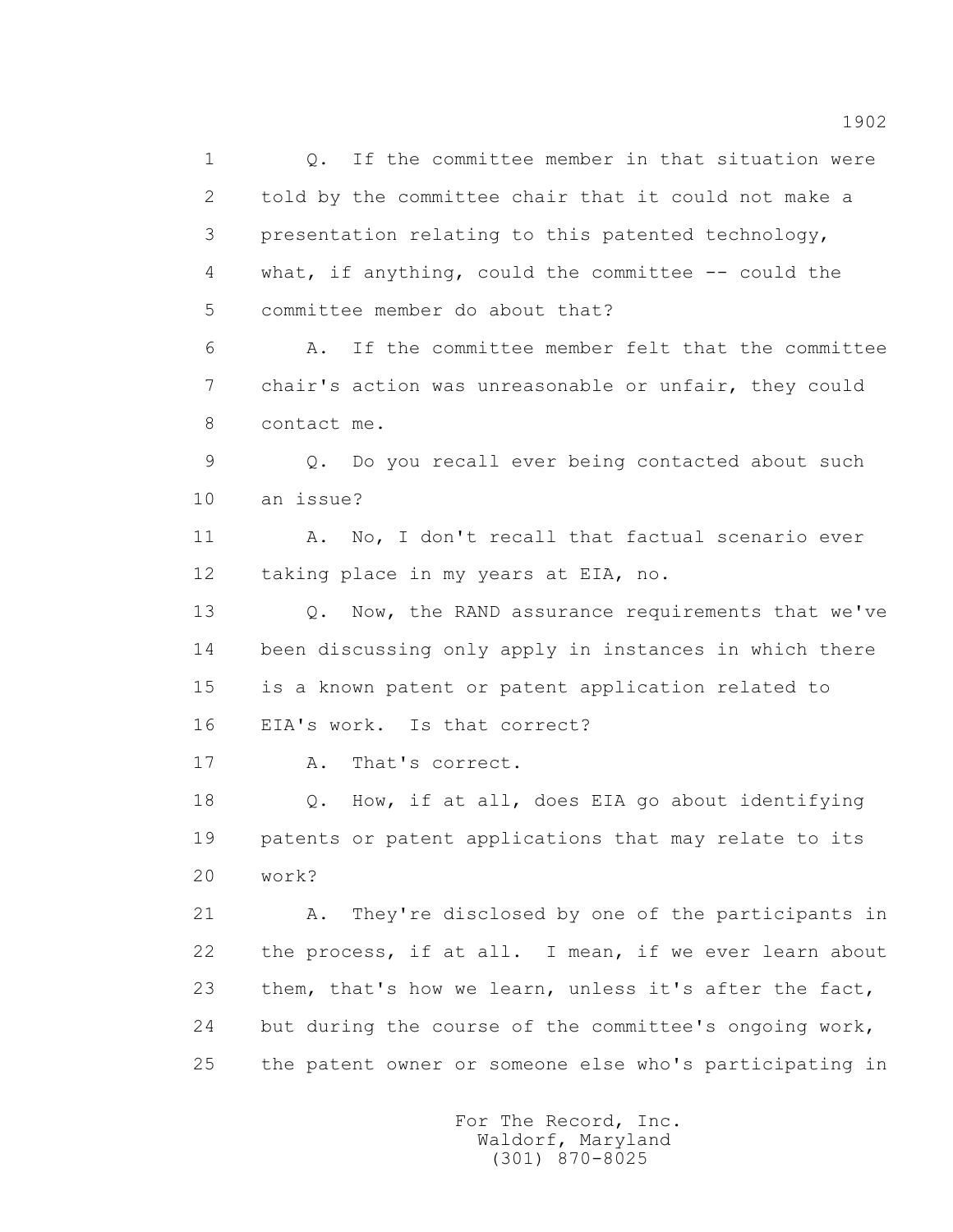1 0. If the committee member in that situation were 2 told by the committee chair that it could not make a 3 presentation relating to this patented technology, 4 what, if anything, could the committee -- could the 5 committee member do about that? 6 A. If the committee member felt that the committee 7 chair's action was unreasonable or unfair, they could 8 contact me. 9 Q. Do you recall ever being contacted about such 10 an issue? 11 A. No, I don't recall that factual scenario ever 12 taking place in my years at EIA, no. 13 0. Now, the RAND assurance requirements that we've 14 been discussing only apply in instances in which there 15 is a known patent or patent application related to 16 EIA's work. Is that correct? 17 A. That's correct. 18 Q. How, if at all, does EIA go about identifying 19 patents or patent applications that may relate to its 20 work? 21 A. They're disclosed by one of the participants in 22 the process, if at all. I mean, if we ever learn about 23 them, that's how we learn, unless it's after the fact, 24 but during the course of the committee's ongoing work,

25 the patent owner or someone else who's participating in

 For The Record, Inc. Waldorf, Maryland (301) 870-8025

1902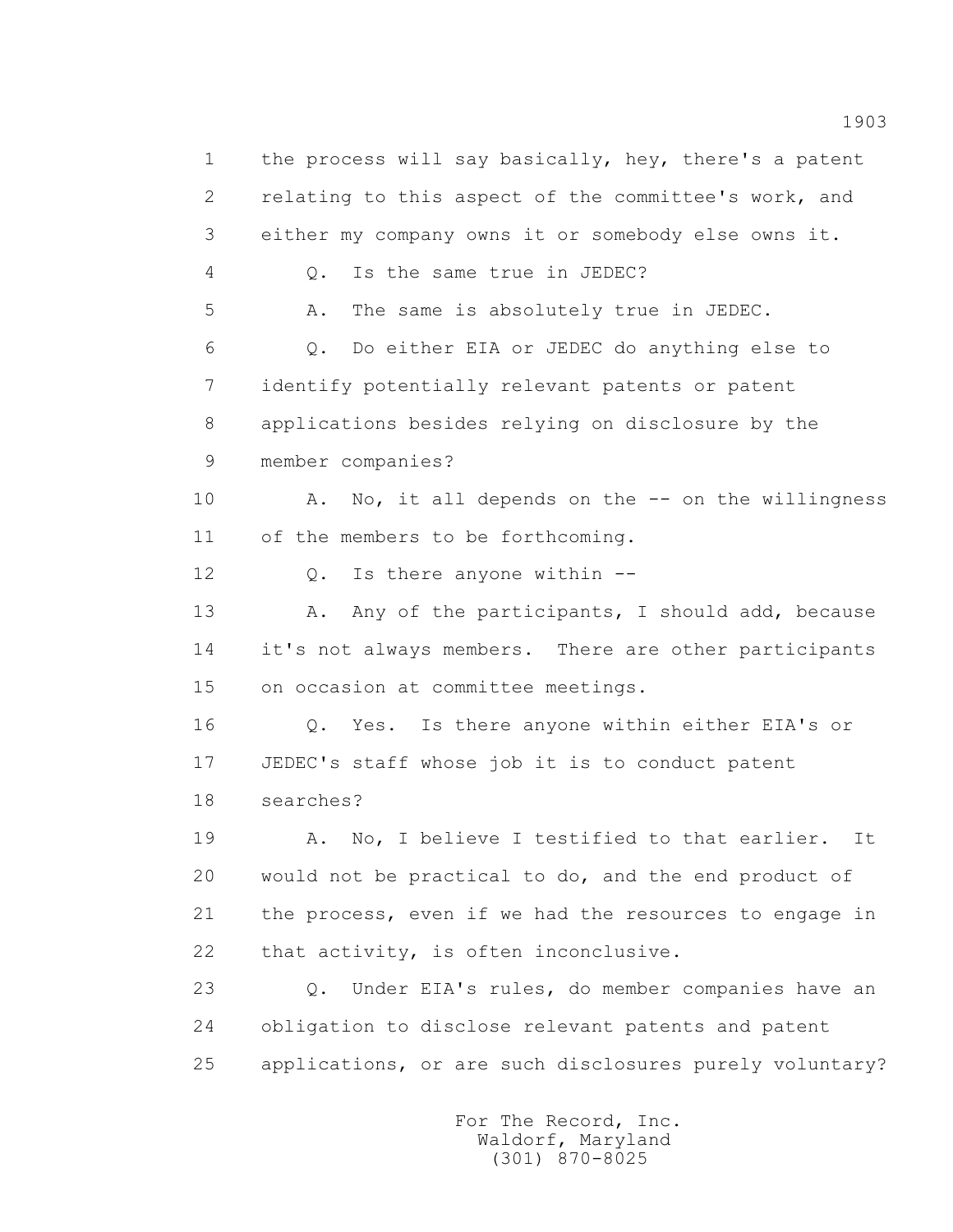1 the process will say basically, hey, there's a patent 2 relating to this aspect of the committee's work, and 3 either my company owns it or somebody else owns it. 4 Q. Is the same true in JEDEC? 5 A. The same is absolutely true in JEDEC. 6 Q. Do either EIA or JEDEC do anything else to 7 identify potentially relevant patents or patent 8 applications besides relying on disclosure by the 9 member companies? 10 A. No, it all depends on the -- on the willingness 11 of the members to be forthcoming. 12 Q. Is there anyone within --13 A. Any of the participants, I should add, because 14 it's not always members. There are other participants 15 on occasion at committee meetings. 16 Q. Yes. Is there anyone within either EIA's or 17 JEDEC's staff whose job it is to conduct patent 18 searches? 19 A. No, I believe I testified to that earlier. It 20 would not be practical to do, and the end product of 21 the process, even if we had the resources to engage in 22 that activity, is often inconclusive. 23 Q. Under EIA's rules, do member companies have an 24 obligation to disclose relevant patents and patent 25 applications, or are such disclosures purely voluntary?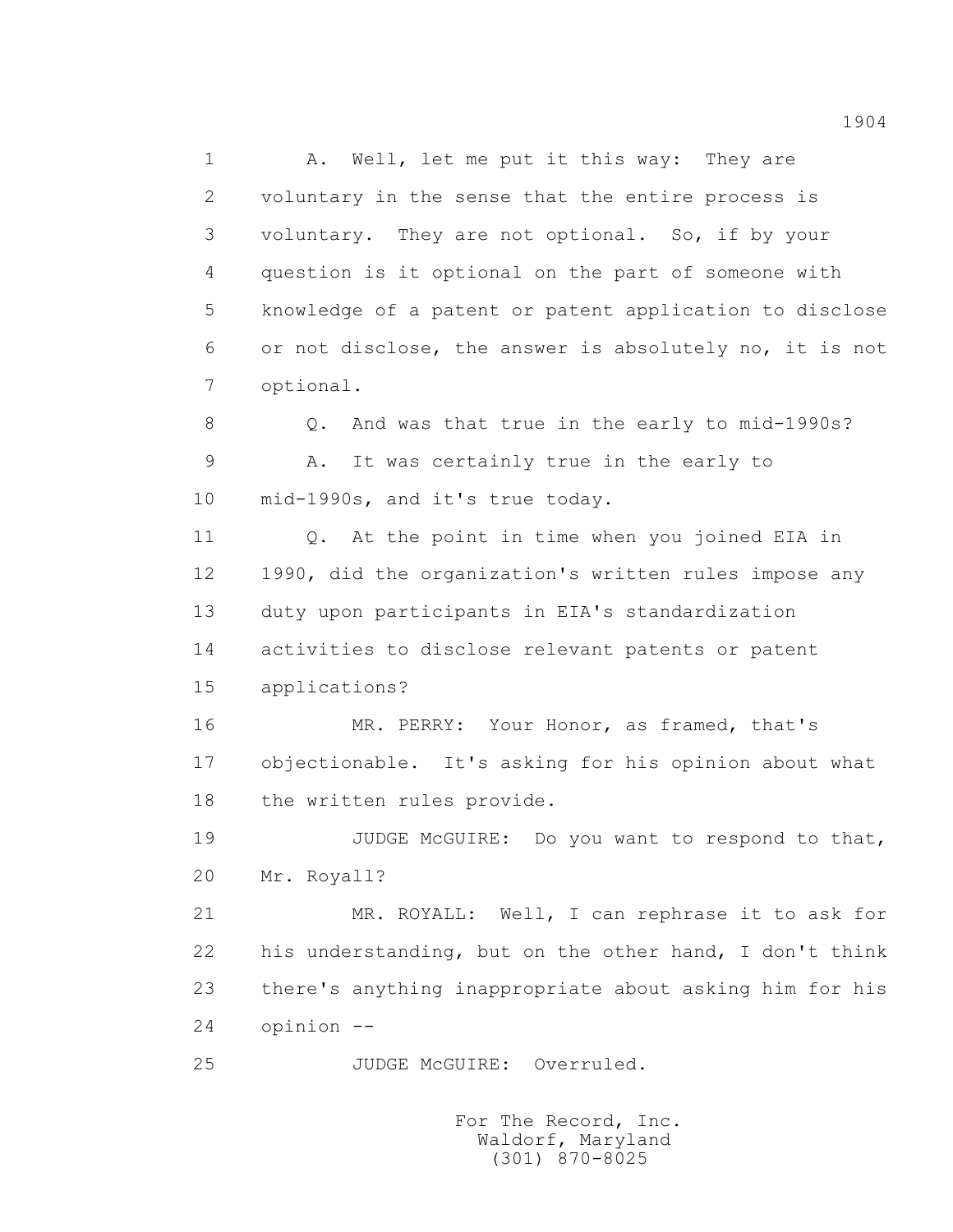1 A. Well, let me put it this way: They are 2 voluntary in the sense that the entire process is 3 voluntary. They are not optional. So, if by your 4 question is it optional on the part of someone with 5 knowledge of a patent or patent application to disclose 6 or not disclose, the answer is absolutely no, it is not 7 optional.

 8 Q. And was that true in the early to mid-1990s? 9 A. It was certainly true in the early to 10 mid-1990s, and it's true today.

 11 Q. At the point in time when you joined EIA in 12 1990, did the organization's written rules impose any 13 duty upon participants in EIA's standardization 14 activities to disclose relevant patents or patent 15 applications?

 16 MR. PERRY: Your Honor, as framed, that's 17 objectionable. It's asking for his opinion about what 18 the written rules provide.

19 JUDGE McGUIRE: Do you want to respond to that, 20 Mr. Royall?

 21 MR. ROYALL: Well, I can rephrase it to ask for 22 his understanding, but on the other hand, I don't think 23 there's anything inappropriate about asking him for his 24 opinion --

25 JUDGE McGUIRE: Overruled.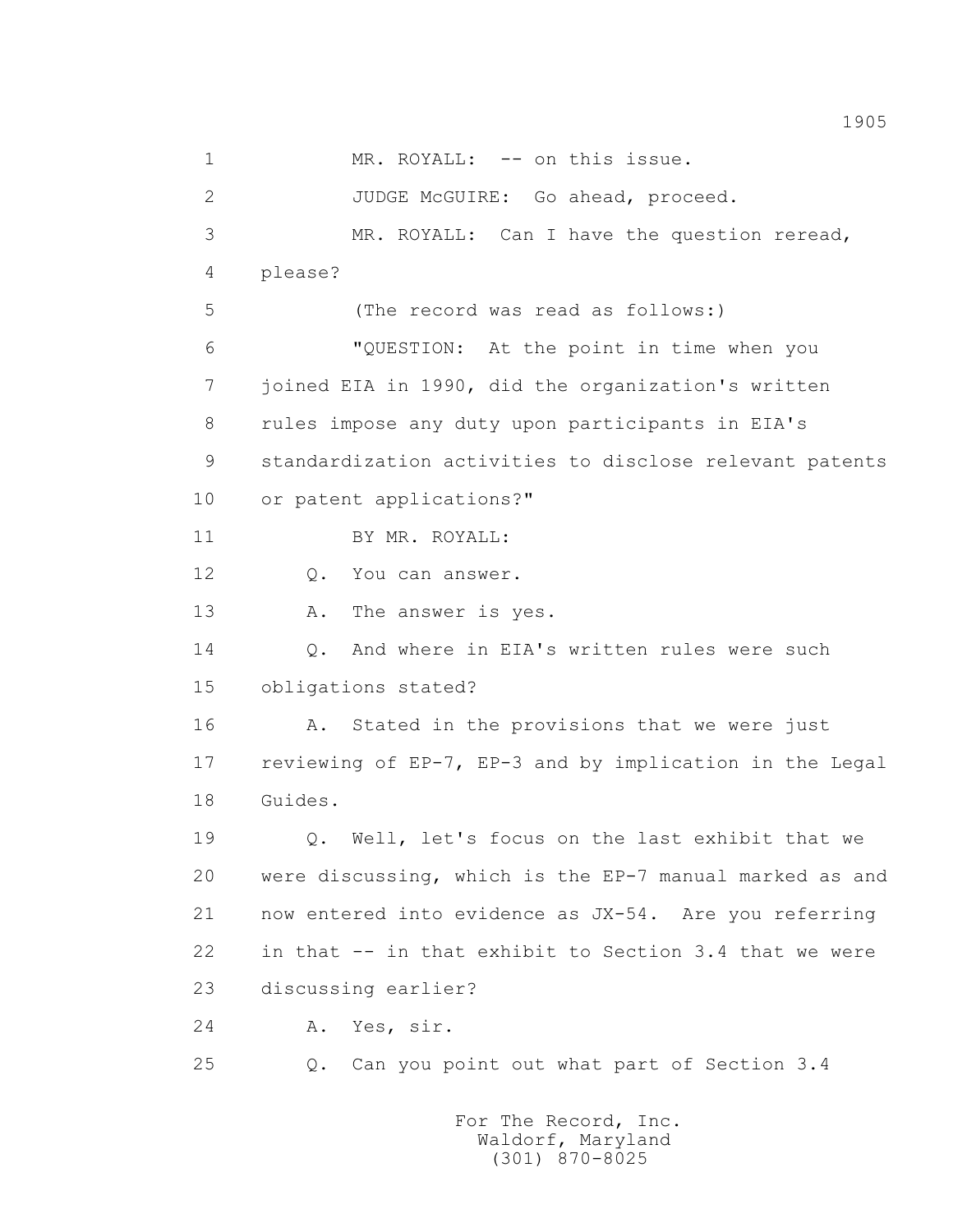1 MR. ROYALL: -- on this issue. 2 JUDGE McGUIRE: Go ahead, proceed. 3 MR. ROYALL: Can I have the question reread, 4 please? 5 (The record was read as follows:) 6 "QUESTION: At the point in time when you 7 joined EIA in 1990, did the organization's written 8 rules impose any duty upon participants in EIA's 9 standardization activities to disclose relevant patents 10 or patent applications?" 11 BY MR. ROYALL: 12 Q. You can answer. 13 A. The answer is yes. 14 Q. And where in EIA's written rules were such 15 obligations stated? 16 A. Stated in the provisions that we were just 17 reviewing of EP-7, EP-3 and by implication in the Legal 18 Guides. 19 Q. Well, let's focus on the last exhibit that we 20 were discussing, which is the EP-7 manual marked as and 21 now entered into evidence as JX-54. Are you referring 22 in that -- in that exhibit to Section 3.4 that we were 23 discussing earlier? 24 A. Yes, sir. 25 Q. Can you point out what part of Section 3.4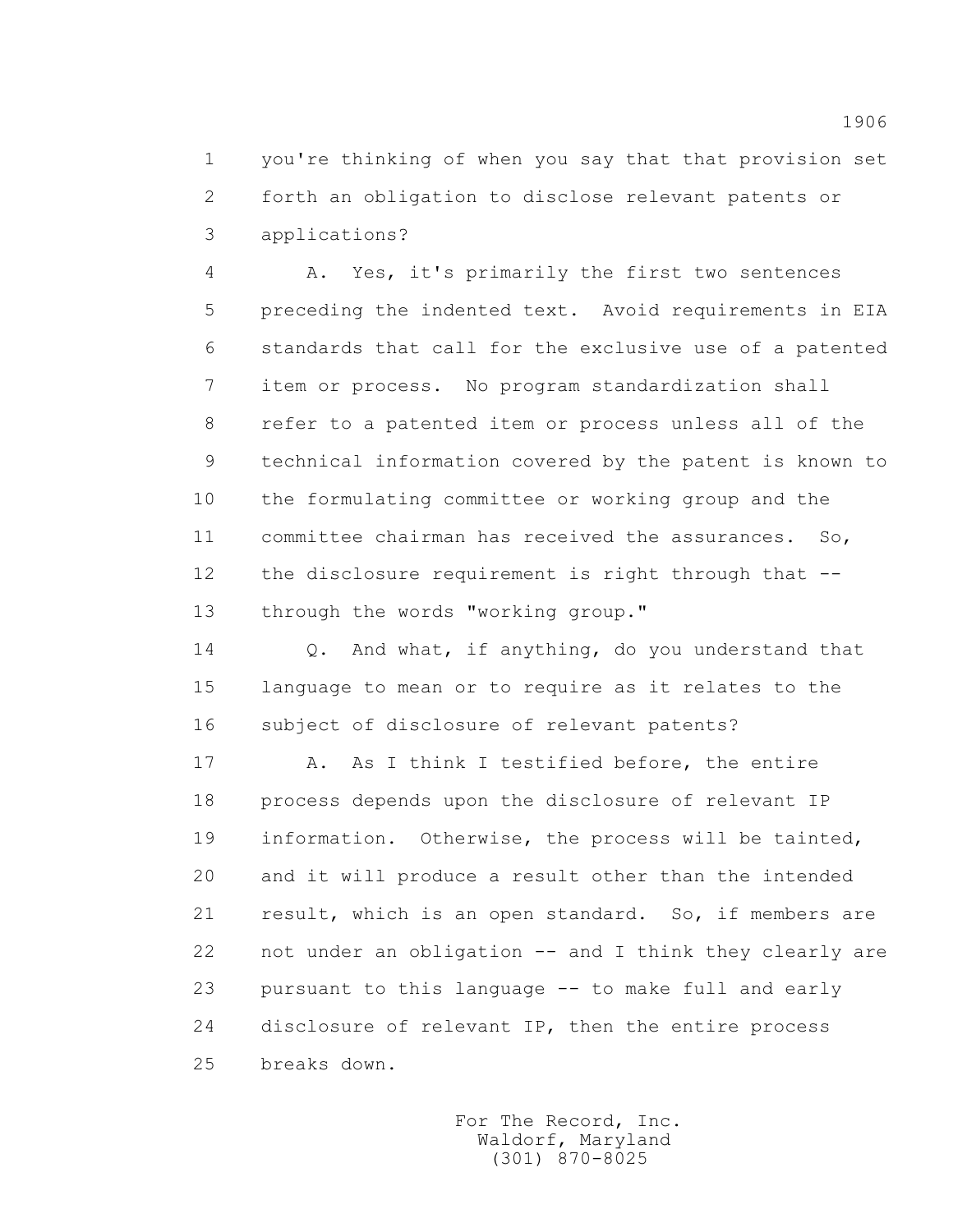1 you're thinking of when you say that that provision set 2 forth an obligation to disclose relevant patents or 3 applications?

 4 A. Yes, it's primarily the first two sentences 5 preceding the indented text. Avoid requirements in EIA 6 standards that call for the exclusive use of a patented 7 item or process. No program standardization shall 8 refer to a patented item or process unless all of the 9 technical information covered by the patent is known to 10 the formulating committee or working group and the 11 committee chairman has received the assurances. So, 12 the disclosure requirement is right through that -- 13 through the words "working group."

 14 Q. And what, if anything, do you understand that 15 language to mean or to require as it relates to the 16 subject of disclosure of relevant patents?

17 A. As I think I testified before, the entire 18 process depends upon the disclosure of relevant IP 19 information. Otherwise, the process will be tainted, 20 and it will produce a result other than the intended 21 result, which is an open standard. So, if members are 22 not under an obligation -- and I think they clearly are 23 pursuant to this language -- to make full and early 24 disclosure of relevant IP, then the entire process 25 breaks down.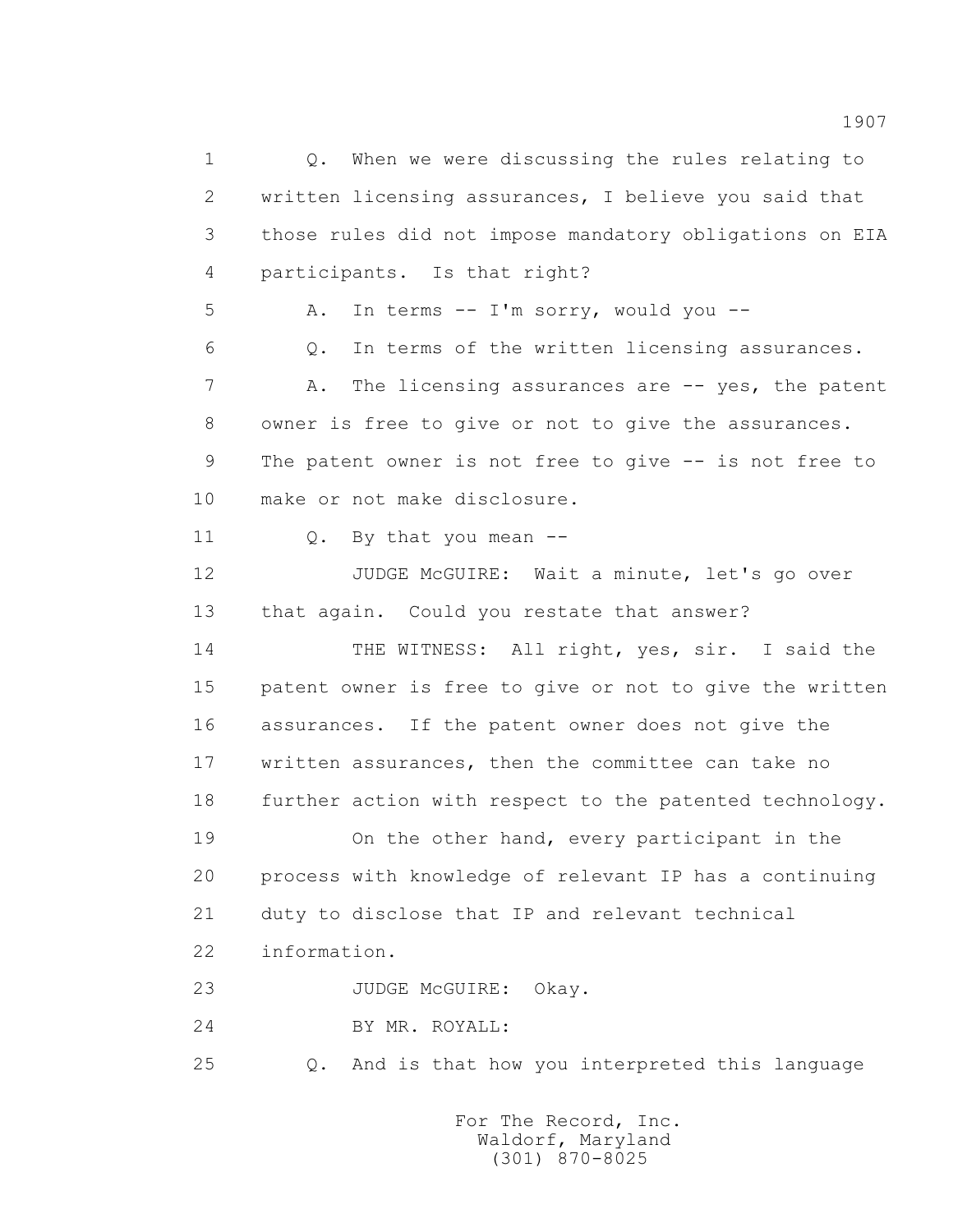1 Q. When we were discussing the rules relating to 2 written licensing assurances, I believe you said that 3 those rules did not impose mandatory obligations on EIA 4 participants. Is that right? 5 A. In terms -- I'm sorry, would you -- 6 Q. In terms of the written licensing assurances. 7 A. The licensing assurances are -- yes, the patent 8 owner is free to give or not to give the assurances. 9 The patent owner is not free to give -- is not free to 10 make or not make disclosure. 11 Q. By that you mean -- 12 JUDGE McGUIRE: Wait a minute, let's go over 13 that again. Could you restate that answer? 14 THE WITNESS: All right, yes, sir. I said the 15 patent owner is free to give or not to give the written 16 assurances. If the patent owner does not give the 17 written assurances, then the committee can take no 18 further action with respect to the patented technology. 19 On the other hand, every participant in the 20 process with knowledge of relevant IP has a continuing 21 duty to disclose that IP and relevant technical 22 information. 23 JUDGE McGUIRE: Okay. 24 BY MR. ROYALL: 25 Q. And is that how you interpreted this language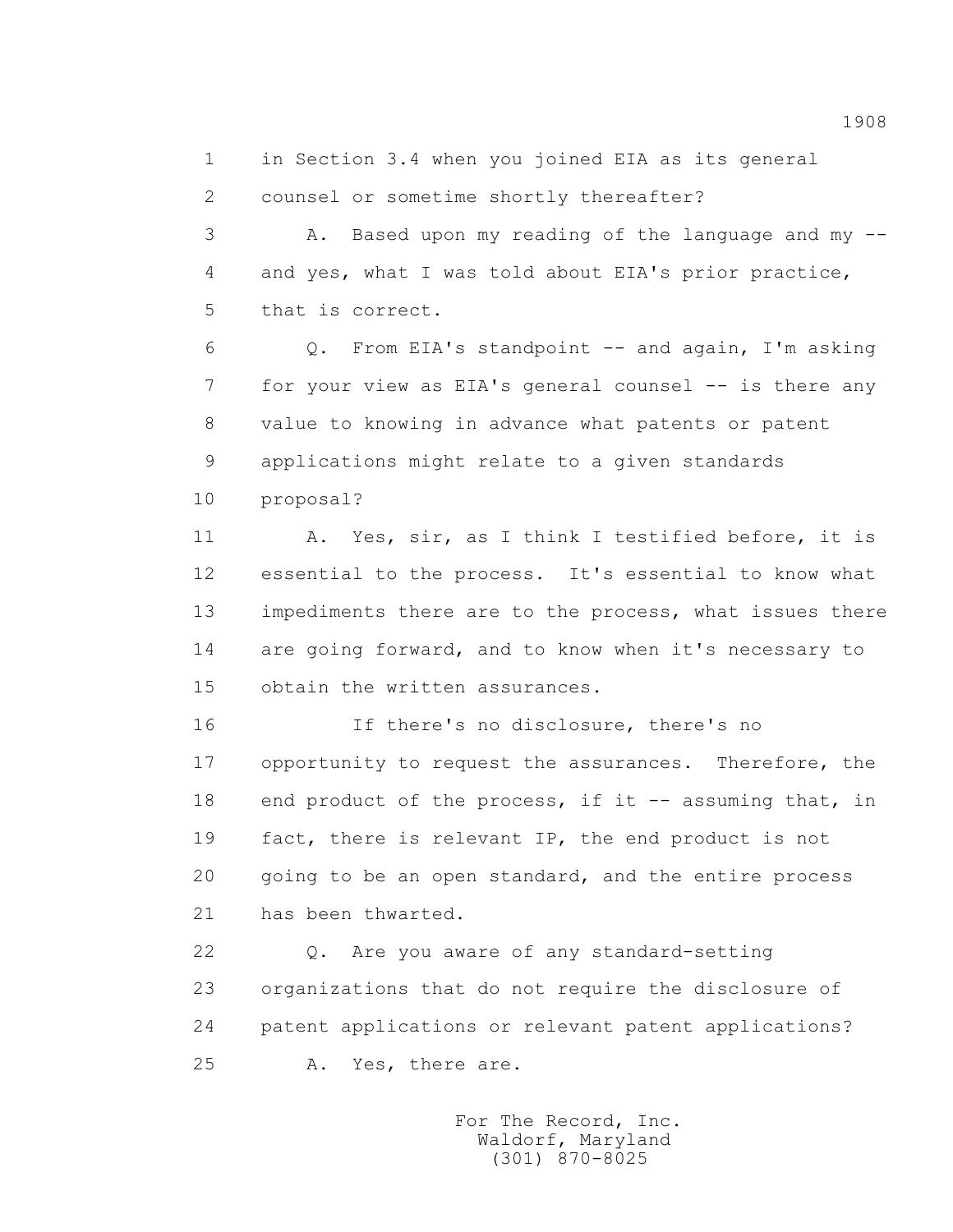1 in Section 3.4 when you joined EIA as its general 2 counsel or sometime shortly thereafter?

 3 A. Based upon my reading of the language and my -- 4 and yes, what I was told about EIA's prior practice, 5 that is correct.

 6 Q. From EIA's standpoint -- and again, I'm asking 7 for your view as EIA's general counsel -- is there any 8 value to knowing in advance what patents or patent 9 applications might relate to a given standards 10 proposal?

 11 A. Yes, sir, as I think I testified before, it is 12 essential to the process. It's essential to know what 13 impediments there are to the process, what issues there 14 are going forward, and to know when it's necessary to 15 obtain the written assurances.

 16 If there's no disclosure, there's no 17 opportunity to request the assurances. Therefore, the 18 end product of the process, if it -- assuming that, in 19 fact, there is relevant IP, the end product is not 20 going to be an open standard, and the entire process 21 has been thwarted.

 22 Q. Are you aware of any standard-setting 23 organizations that do not require the disclosure of 24 patent applications or relevant patent applications? 25 A. Yes, there are.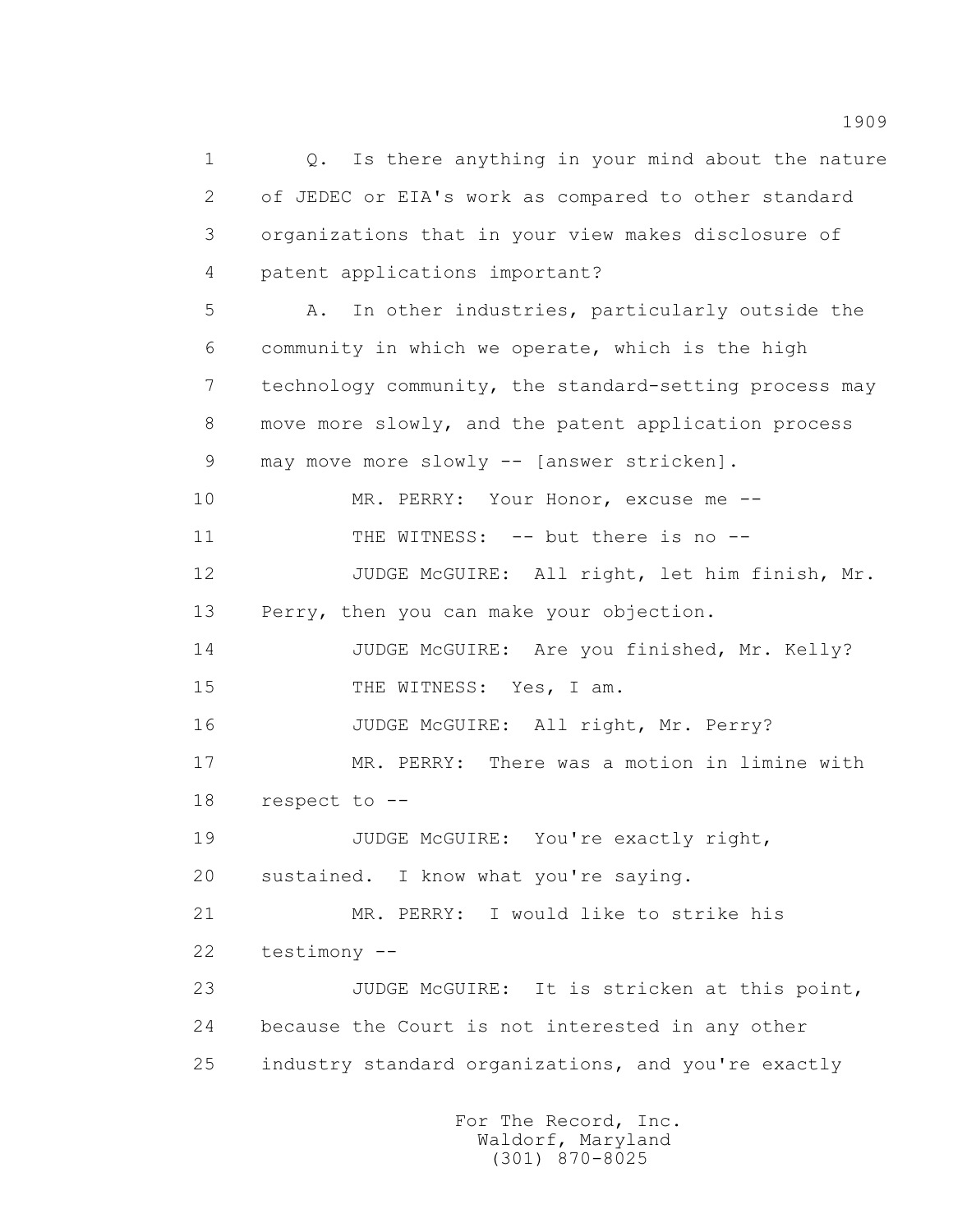1 Q. Is there anything in your mind about the nature 2 of JEDEC or EIA's work as compared to other standard 3 organizations that in your view makes disclosure of 4 patent applications important? 5 A. In other industries, particularly outside the 6 community in which we operate, which is the high 7 technology community, the standard-setting process may 8 move more slowly, and the patent application process 9 may move more slowly -- [answer stricken]. 10 MR. PERRY: Your Honor, excuse me --11 THE WITNESS: -- but there is no -- 12 JUDGE McGUIRE: All right, let him finish, Mr. 13 Perry, then you can make your objection. 14 JUDGE McGUIRE: Are you finished, Mr. Kelly? 15 THE WITNESS: Yes, I am. 16 JUDGE McGUIRE: All right, Mr. Perry? 17 MR. PERRY: There was a motion in limine with 18 respect to -- 19 JUDGE McGUIRE: You're exactly right, 20 sustained. I know what you're saying. 21 MR. PERRY: I would like to strike his 22 testimony -- 23 JUDGE McGUIRE: It is stricken at this point, 24 because the Court is not interested in any other 25 industry standard organizations, and you're exactly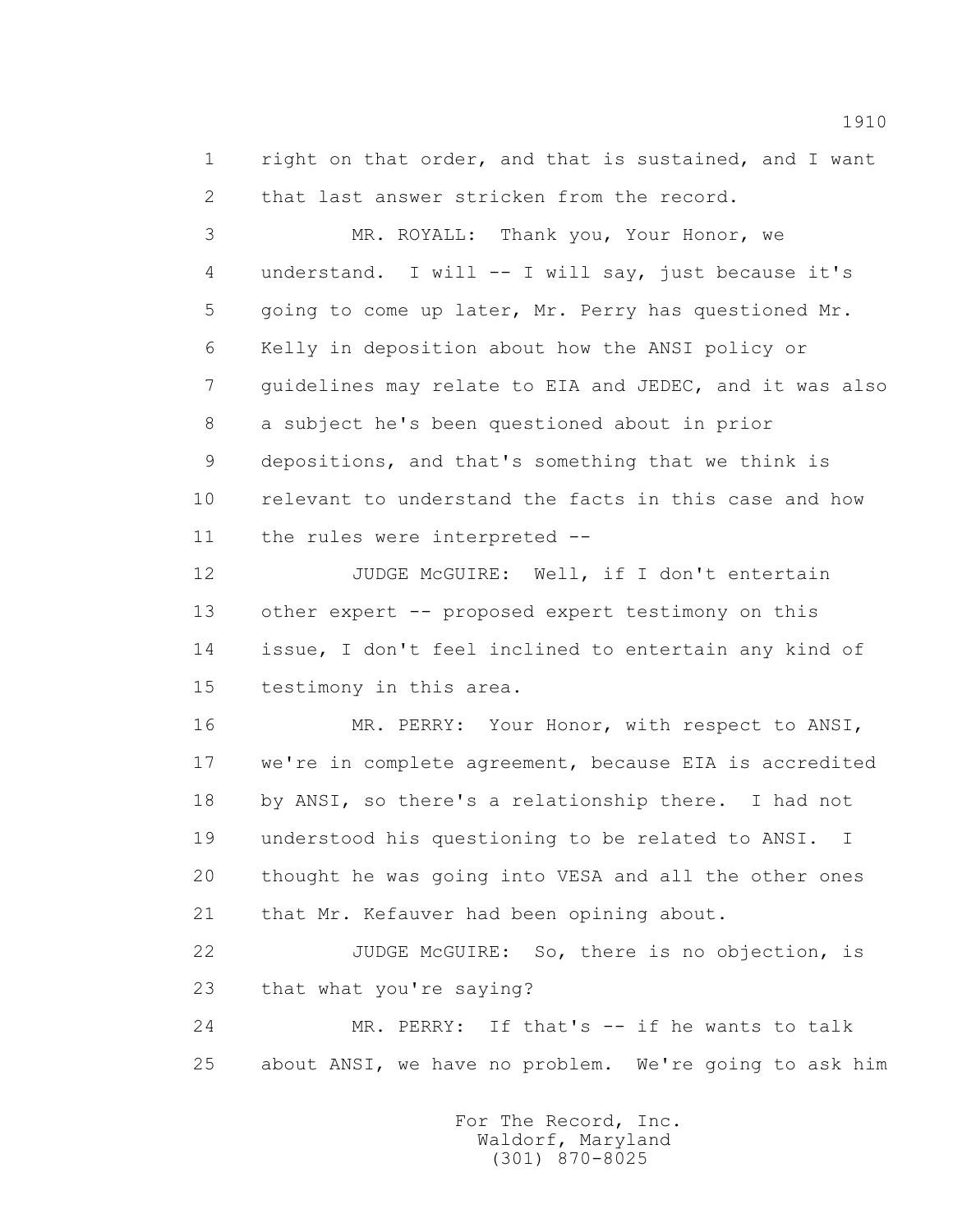1 right on that order, and that is sustained, and I want 2 that last answer stricken from the record.

 3 MR. ROYALL: Thank you, Your Honor, we 4 understand. I will -- I will say, just because it's 5 going to come up later, Mr. Perry has questioned Mr. 6 Kelly in deposition about how the ANSI policy or 7 guidelines may relate to EIA and JEDEC, and it was also 8 a subject he's been questioned about in prior 9 depositions, and that's something that we think is 10 relevant to understand the facts in this case and how 11 the rules were interpreted --

12 JUDGE McGUIRE: Well, if I don't entertain 13 other expert -- proposed expert testimony on this 14 issue, I don't feel inclined to entertain any kind of 15 testimony in this area.

 16 MR. PERRY: Your Honor, with respect to ANSI, 17 we're in complete agreement, because EIA is accredited 18 by ANSI, so there's a relationship there. I had not 19 understood his questioning to be related to ANSI. I 20 thought he was going into VESA and all the other ones 21 that Mr. Kefauver had been opining about.

 22 JUDGE McGUIRE: So, there is no objection, is 23 that what you're saying?

 24 MR. PERRY: If that's -- if he wants to talk 25 about ANSI, we have no problem. We're going to ask him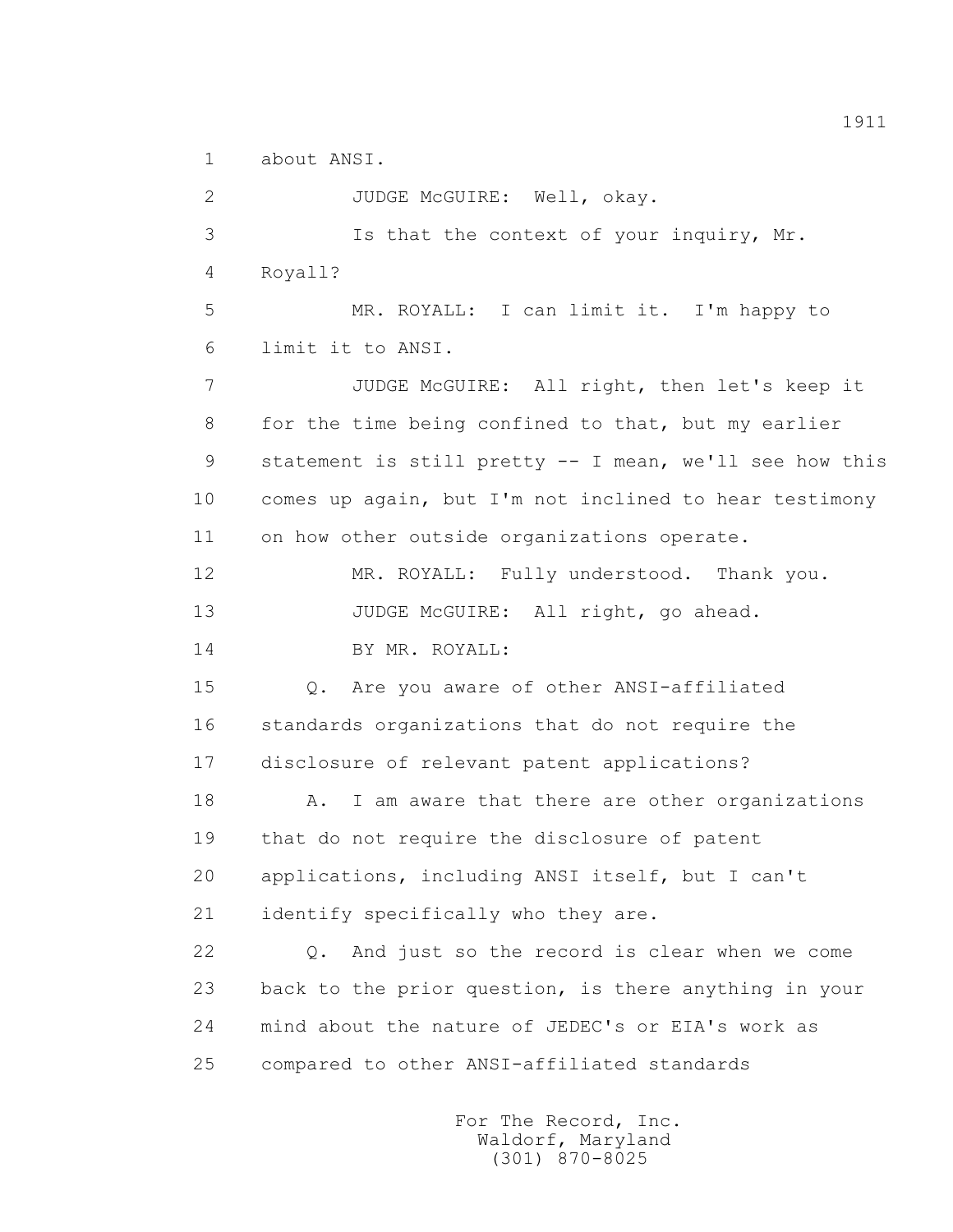1 about ANSI.

 2 JUDGE McGUIRE: Well, okay. 3 Is that the context of your inquiry, Mr. 4 Royall? 5 MR. ROYALL: I can limit it. I'm happy to 6 limit it to ANSI. 7 JUDGE McGUIRE: All right, then let's keep it 8 for the time being confined to that, but my earlier 9 statement is still pretty -- I mean, we'll see how this 10 comes up again, but I'm not inclined to hear testimony 11 on how other outside organizations operate. 12 MR. ROYALL: Fully understood. Thank you. 13 JUDGE McGUIRE: All right, go ahead. 14 BY MR. ROYALL: 15 Q. Are you aware of other ANSI-affiliated 16 standards organizations that do not require the 17 disclosure of relevant patent applications? 18 A. I am aware that there are other organizations 19 that do not require the disclosure of patent 20 applications, including ANSI itself, but I can't 21 identify specifically who they are. 22 Q. And just so the record is clear when we come 23 back to the prior question, is there anything in your 24 mind about the nature of JEDEC's or EIA's work as 25 compared to other ANSI-affiliated standards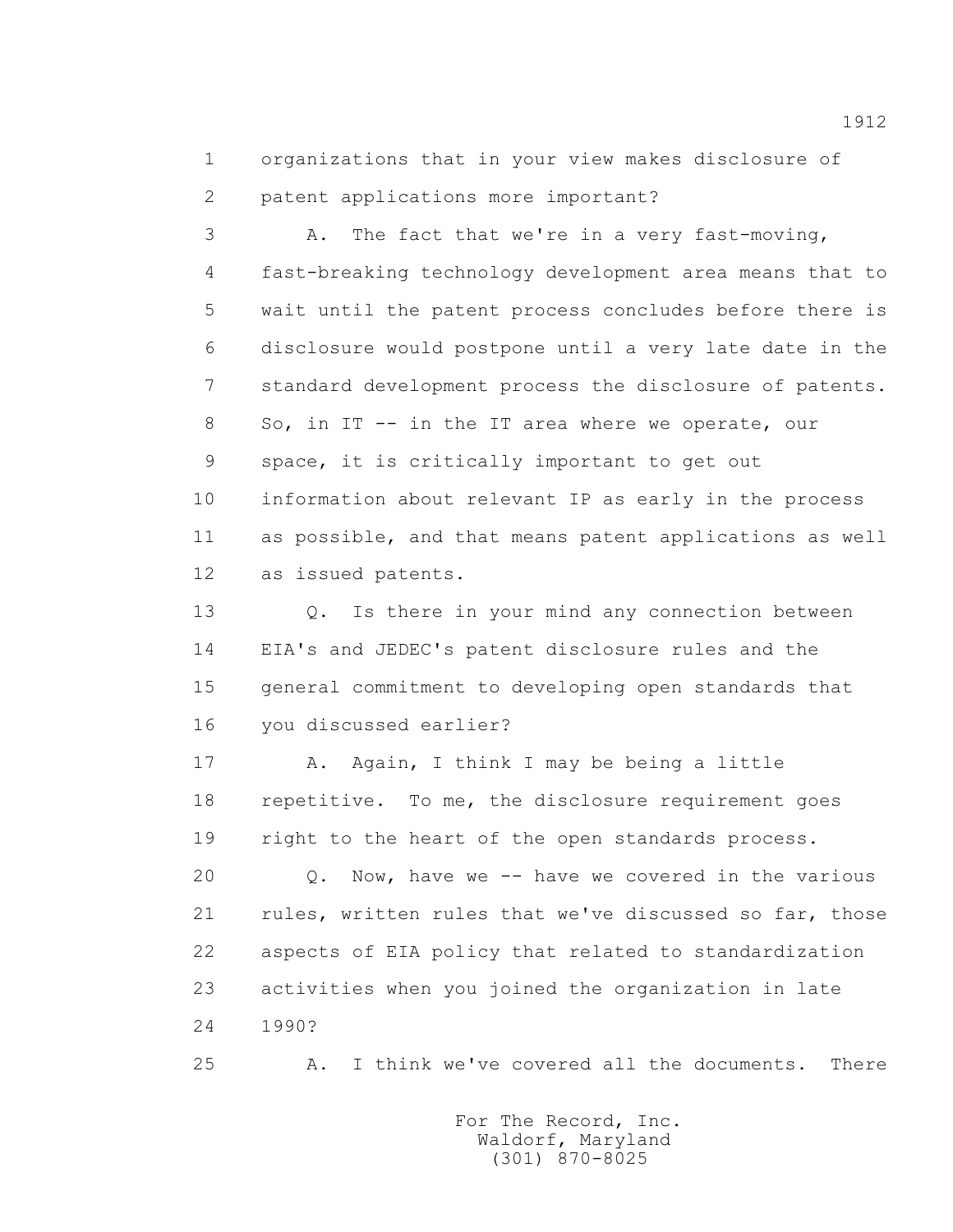1 organizations that in your view makes disclosure of 2 patent applications more important?

 3 A. The fact that we're in a very fast-moving, 4 fast-breaking technology development area means that to 5 wait until the patent process concludes before there is 6 disclosure would postpone until a very late date in the 7 standard development process the disclosure of patents. 8 So, in IT -- in the IT area where we operate, our 9 space, it is critically important to get out 10 information about relevant IP as early in the process 11 as possible, and that means patent applications as well 12 as issued patents.

 13 Q. Is there in your mind any connection between 14 EIA's and JEDEC's patent disclosure rules and the 15 general commitment to developing open standards that 16 you discussed earlier?

 17 A. Again, I think I may be being a little 18 repetitive. To me, the disclosure requirement goes 19 right to the heart of the open standards process.

 20 Q. Now, have we -- have we covered in the various 21 rules, written rules that we've discussed so far, those 22 aspects of EIA policy that related to standardization 23 activities when you joined the organization in late 24 1990?

25 A. I think we've covered all the documents. There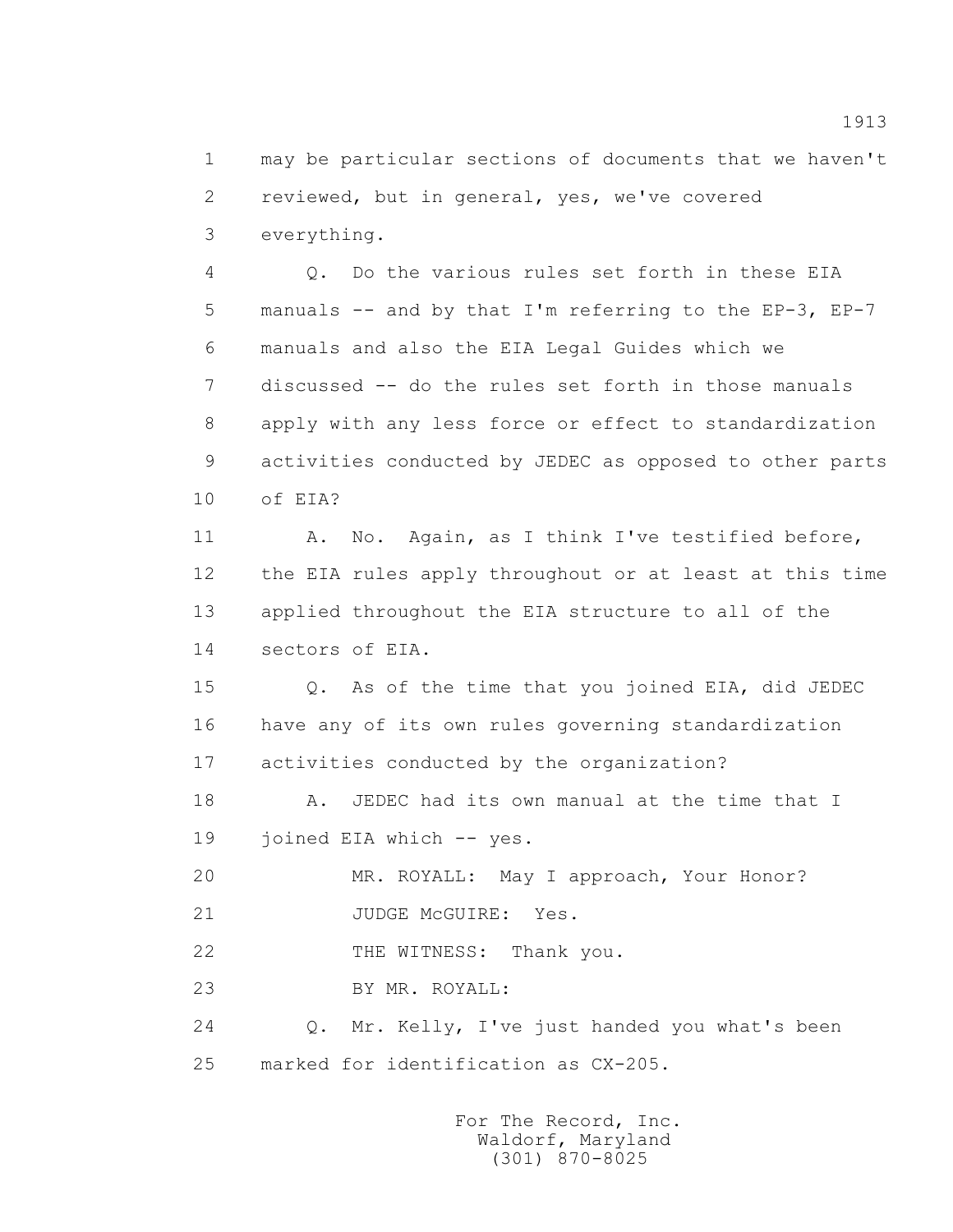1 may be particular sections of documents that we haven't 2 reviewed, but in general, yes, we've covered 3 everything.

 4 Q. Do the various rules set forth in these EIA 5 manuals -- and by that I'm referring to the EP-3, EP-7 6 manuals and also the EIA Legal Guides which we 7 discussed -- do the rules set forth in those manuals 8 apply with any less force or effect to standardization 9 activities conducted by JEDEC as opposed to other parts 10 of EIA?

 11 A. No. Again, as I think I've testified before, 12 the EIA rules apply throughout or at least at this time 13 applied throughout the EIA structure to all of the 14 sectors of EIA.

 15 Q. As of the time that you joined EIA, did JEDEC 16 have any of its own rules governing standardization 17 activities conducted by the organization?

18 A. JEDEC had its own manual at the time that I 19 joined EIA which -- yes.

20 MR. ROYALL: May I approach, Your Honor?

21 JUDGE McGUIRE: Yes.

22 THE WITNESS: Thank you.

23 BY MR. ROYALL:

 24 Q. Mr. Kelly, I've just handed you what's been 25 marked for identification as CX-205.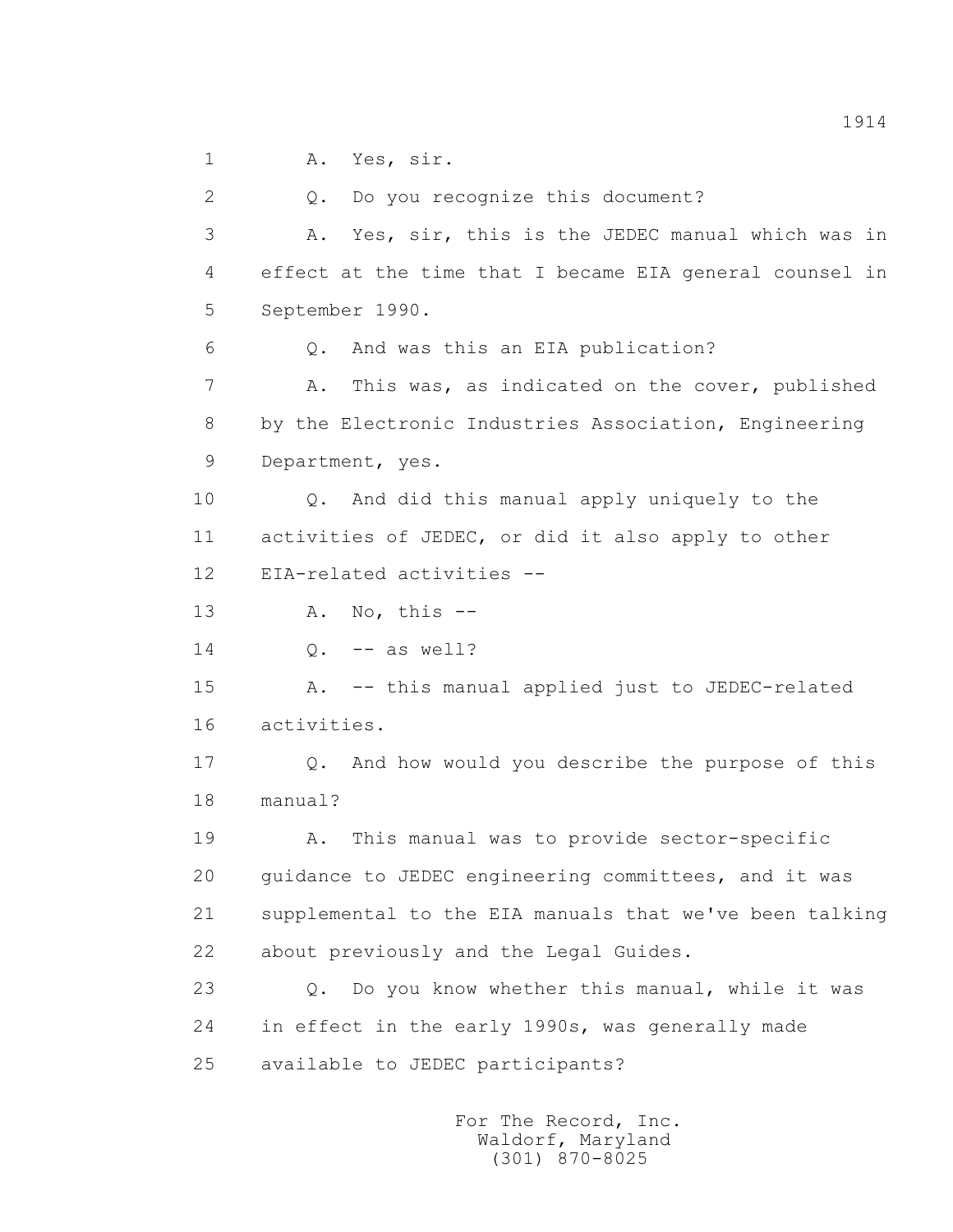1 A. Yes, sir.

 2 Q. Do you recognize this document? 3 A. Yes, sir, this is the JEDEC manual which was in 4 effect at the time that I became EIA general counsel in 5 September 1990. 6 Q. And was this an EIA publication? 7 A. This was, as indicated on the cover, published 8 by the Electronic Industries Association, Engineering 9 Department, yes. 10 Q. And did this manual apply uniquely to the 11 activities of JEDEC, or did it also apply to other 12 EIA-related activities -- 13 A. No, this -- 14 Q. -- as well? 15 A. -- this manual applied just to JEDEC-related 16 activities. 17 Q. And how would you describe the purpose of this 18 manual? 19 A. This manual was to provide sector-specific 20 guidance to JEDEC engineering committees, and it was 21 supplemental to the EIA manuals that we've been talking 22 about previously and the Legal Guides. 23 Q. Do you know whether this manual, while it was 24 in effect in the early 1990s, was generally made 25 available to JEDEC participants?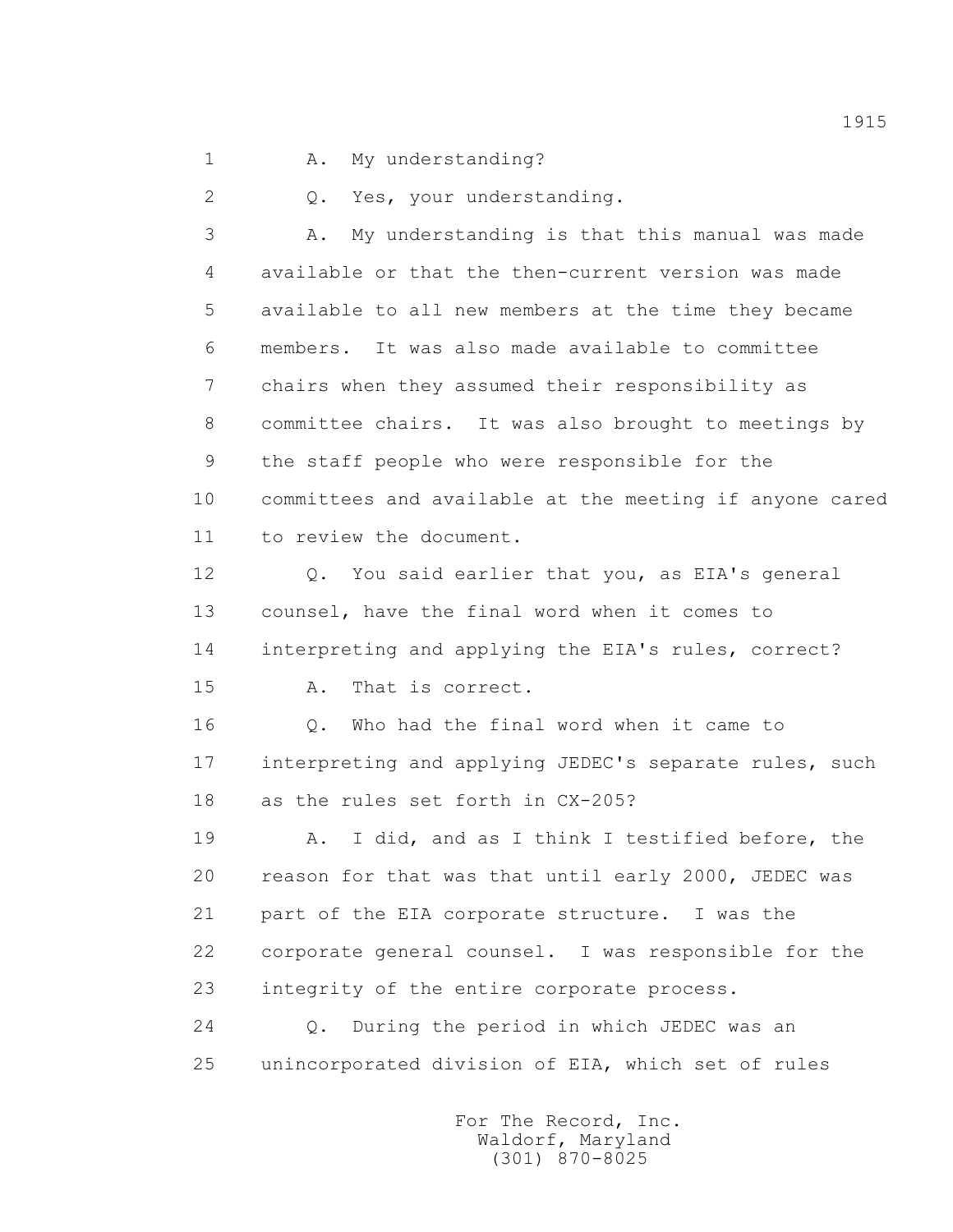1 A. My understanding?

2 Q. Yes, your understanding.

 3 A. My understanding is that this manual was made 4 available or that the then-current version was made 5 available to all new members at the time they became 6 members. It was also made available to committee 7 chairs when they assumed their responsibility as 8 committee chairs. It was also brought to meetings by 9 the staff people who were responsible for the 10 committees and available at the meeting if anyone cared 11 to review the document.

 12 Q. You said earlier that you, as EIA's general 13 counsel, have the final word when it comes to 14 interpreting and applying the EIA's rules, correct? 15 A. That is correct.

 16 Q. Who had the final word when it came to 17 interpreting and applying JEDEC's separate rules, such 18 as the rules set forth in CX-205?

 19 A. I did, and as I think I testified before, the 20 reason for that was that until early 2000, JEDEC was 21 part of the EIA corporate structure. I was the 22 corporate general counsel. I was responsible for the 23 integrity of the entire corporate process.

 24 Q. During the period in which JEDEC was an 25 unincorporated division of EIA, which set of rules

> For The Record, Inc. Waldorf, Maryland (301) 870-8025

1915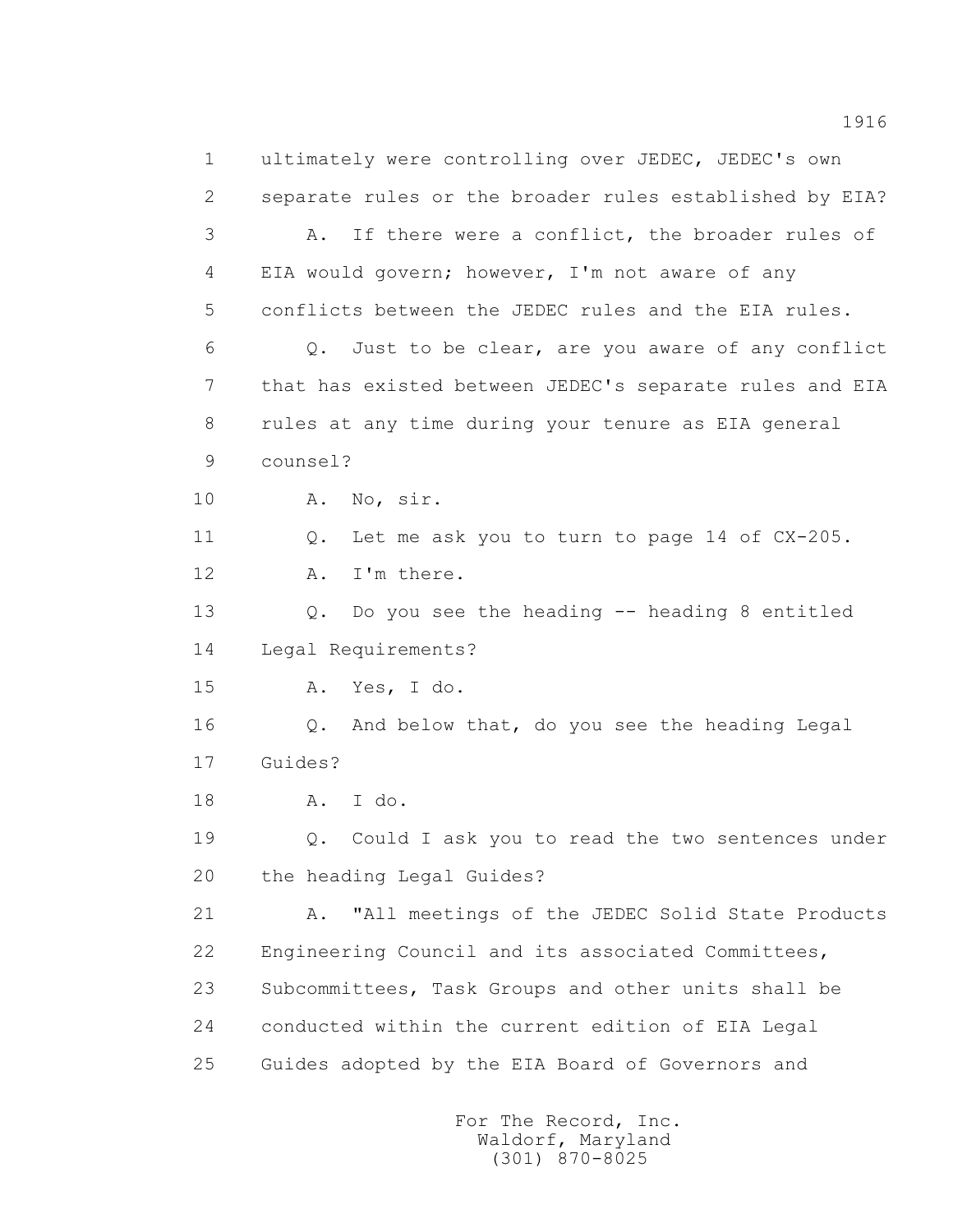1 ultimately were controlling over JEDEC, JEDEC's own 2 separate rules or the broader rules established by EIA? 3 A. If there were a conflict, the broader rules of 4 EIA would govern; however, I'm not aware of any 5 conflicts between the JEDEC rules and the EIA rules. 6 Q. Just to be clear, are you aware of any conflict 7 that has existed between JEDEC's separate rules and EIA 8 rules at any time during your tenure as EIA general 9 counsel? 10 A. No, sir. 11 Q. Let me ask you to turn to page 14 of CX-205. 12 A. I'm there. 13 Q. Do you see the heading -- heading 8 entitled 14 Legal Requirements? 15 A. Yes, I do. 16 Q. And below that, do you see the heading Legal 17 Guides? 18 A. I do. 19 Q. Could I ask you to read the two sentences under 20 the heading Legal Guides? 21 A. "All meetings of the JEDEC Solid State Products 22 Engineering Council and its associated Committees, 23 Subcommittees, Task Groups and other units shall be 24 conducted within the current edition of EIA Legal 25 Guides adopted by the EIA Board of Governors and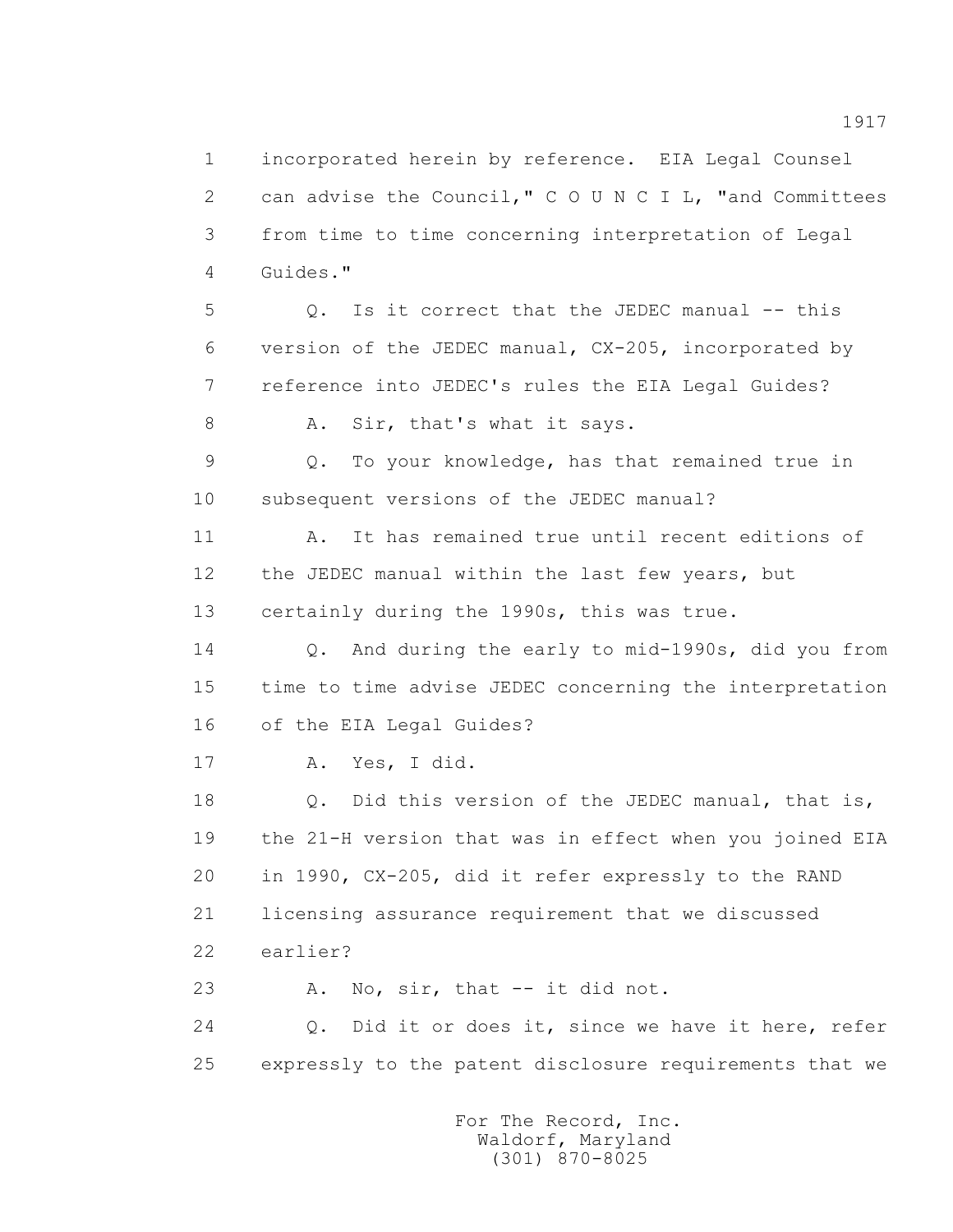1 incorporated herein by reference. EIA Legal Counsel 2 can advise the Council," C O U N C I L, "and Committees 3 from time to time concerning interpretation of Legal 4 Guides."

5 0. Is it correct that the JEDEC manual -- this 6 version of the JEDEC manual, CX-205, incorporated by 7 reference into JEDEC's rules the EIA Legal Guides?

8 A. Sir, that's what it says.

 9 Q. To your knowledge, has that remained true in 10 subsequent versions of the JEDEC manual?

 11 A. It has remained true until recent editions of 12 the JEDEC manual within the last few years, but 13 certainly during the 1990s, this was true.

 14 Q. And during the early to mid-1990s, did you from 15 time to time advise JEDEC concerning the interpretation 16 of the EIA Legal Guides?

17 A. Yes, I did.

18 0. Did this version of the JEDEC manual, that is, 19 the 21-H version that was in effect when you joined EIA 20 in 1990, CX-205, did it refer expressly to the RAND 21 licensing assurance requirement that we discussed 22 earlier?

23 A. No, sir, that -- it did not.

 24 Q. Did it or does it, since we have it here, refer 25 expressly to the patent disclosure requirements that we

> For The Record, Inc. Waldorf, Maryland (301) 870-8025

1917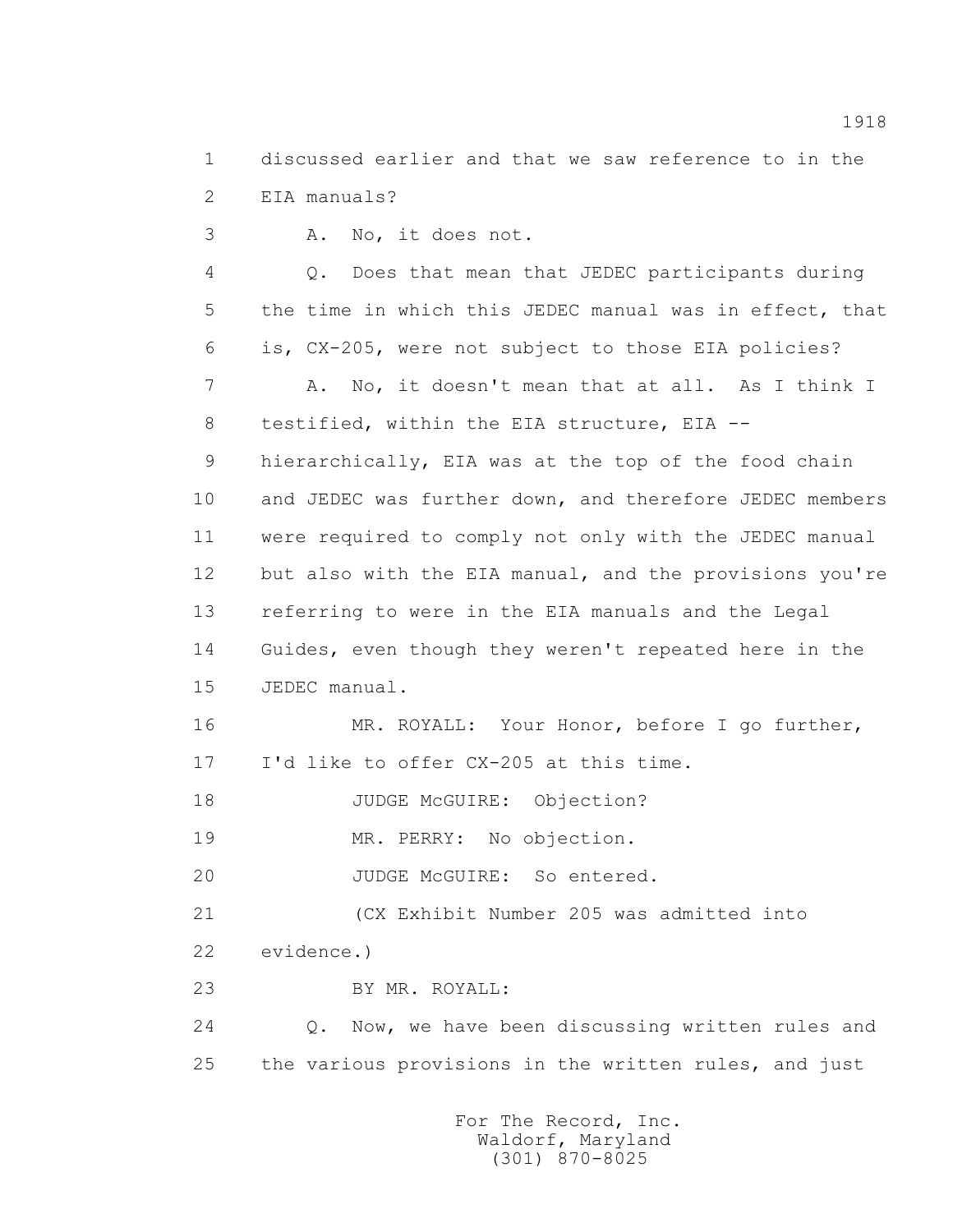1 discussed earlier and that we saw reference to in the 2 EIA manuals?

3 A. No, it does not.

 4 Q. Does that mean that JEDEC participants during 5 the time in which this JEDEC manual was in effect, that 6 is, CX-205, were not subject to those EIA policies? 7 A. No, it doesn't mean that at all. As I think I

8 testified, within the EIA structure, EIA --

 9 hierarchically, EIA was at the top of the food chain 10 and JEDEC was further down, and therefore JEDEC members 11 were required to comply not only with the JEDEC manual 12 but also with the EIA manual, and the provisions you're 13 referring to were in the EIA manuals and the Legal 14 Guides, even though they weren't repeated here in the 15 JEDEC manual.

 16 MR. ROYALL: Your Honor, before I go further, 17 I'd like to offer CX-205 at this time.

18 JUDGE McGUIRE: Objection?

19 MR. PERRY: No objection.

20 JUDGE McGUIRE: So entered.

21 (CX Exhibit Number 205 was admitted into

22 evidence.)

23 BY MR. ROYALL:

 24 Q. Now, we have been discussing written rules and 25 the various provisions in the written rules, and just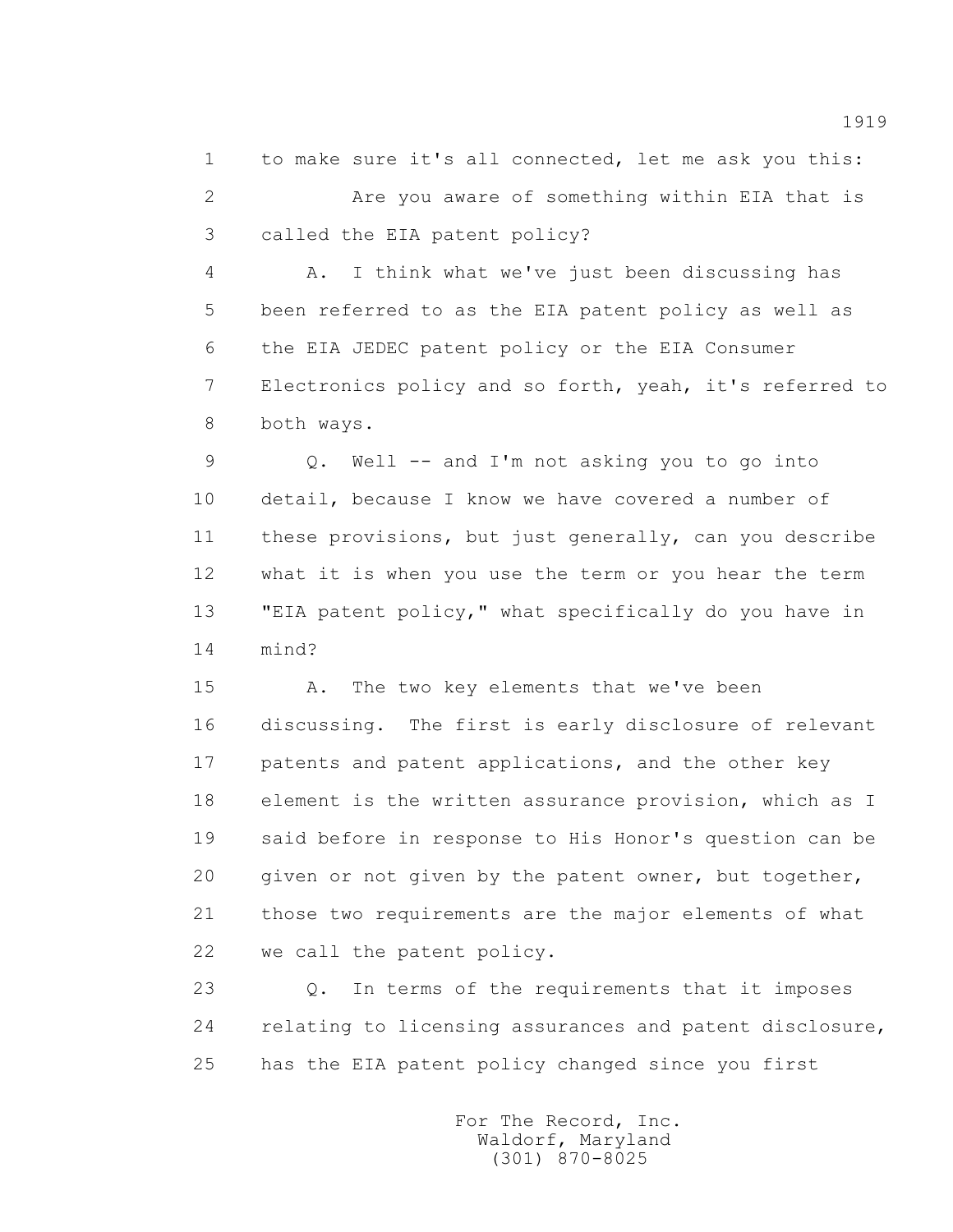1 to make sure it's all connected, let me ask you this: 2 Are you aware of something within EIA that is 3 called the EIA patent policy?

 4 A. I think what we've just been discussing has 5 been referred to as the EIA patent policy as well as 6 the EIA JEDEC patent policy or the EIA Consumer 7 Electronics policy and so forth, yeah, it's referred to 8 both ways.

 9 Q. Well -- and I'm not asking you to go into 10 detail, because I know we have covered a number of 11 these provisions, but just generally, can you describe 12 what it is when you use the term or you hear the term 13 "EIA patent policy," what specifically do you have in 14 mind?

 15 A. The two key elements that we've been 16 discussing. The first is early disclosure of relevant 17 patents and patent applications, and the other key 18 element is the written assurance provision, which as I 19 said before in response to His Honor's question can be 20 given or not given by the patent owner, but together, 21 those two requirements are the major elements of what 22 we call the patent policy.

 23 Q. In terms of the requirements that it imposes 24 relating to licensing assurances and patent disclosure, 25 has the EIA patent policy changed since you first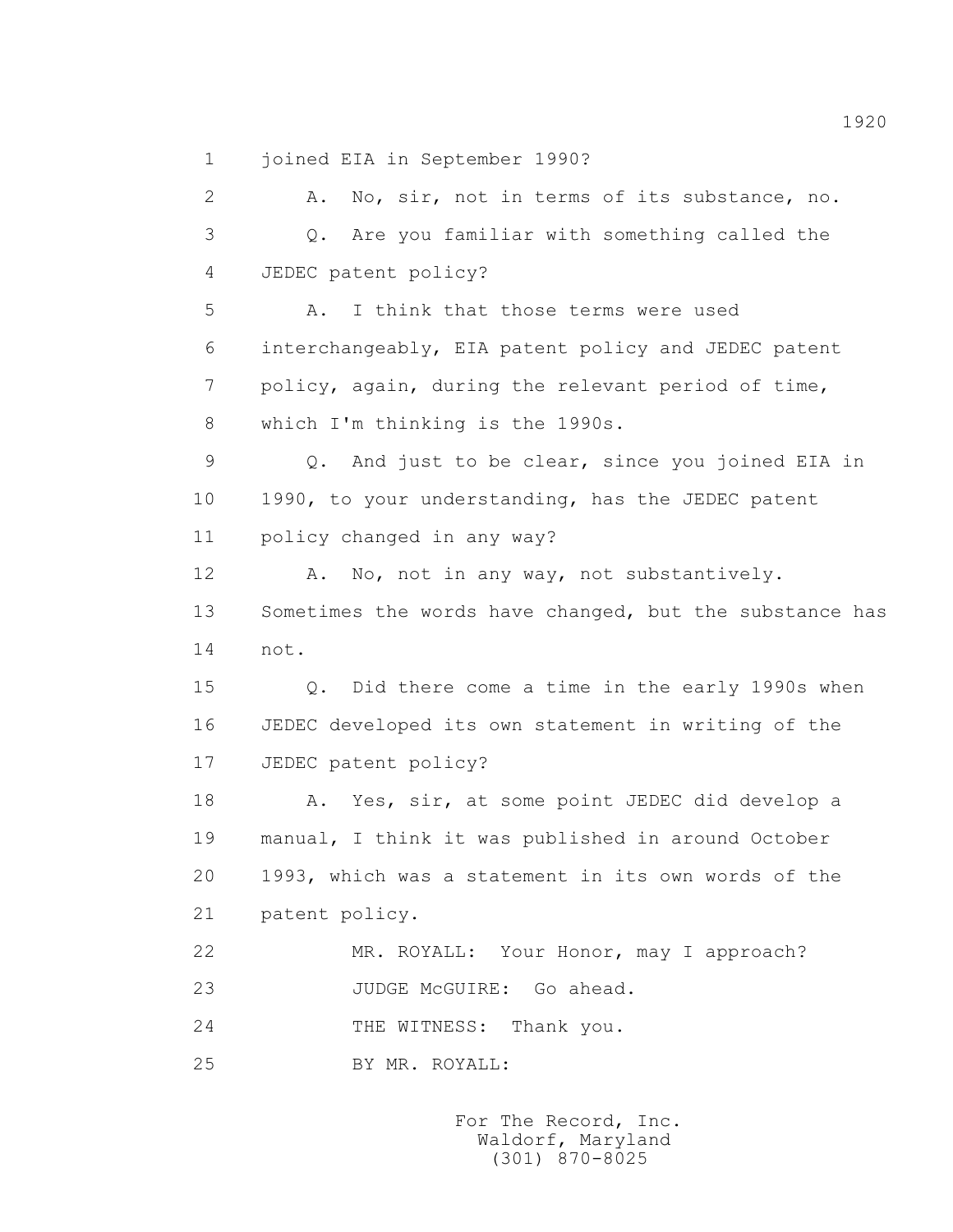1 joined EIA in September 1990?

 2 A. No, sir, not in terms of its substance, no. 3 Q. Are you familiar with something called the 4 JEDEC patent policy? 5 A. I think that those terms were used 6 interchangeably, EIA patent policy and JEDEC patent 7 policy, again, during the relevant period of time, 8 which I'm thinking is the 1990s. 9 Q. And just to be clear, since you joined EIA in 10 1990, to your understanding, has the JEDEC patent 11 policy changed in any way? 12 A. No, not in any way, not substantively. 13 Sometimes the words have changed, but the substance has 14 not. 15 Q. Did there come a time in the early 1990s when 16 JEDEC developed its own statement in writing of the 17 JEDEC patent policy? 18 A. Yes, sir, at some point JEDEC did develop a 19 manual, I think it was published in around October 20 1993, which was a statement in its own words of the 21 patent policy. 22 MR. ROYALL: Your Honor, may I approach? 23 JUDGE McGUIRE: Go ahead. 24 THE WITNESS: Thank you. 25 BY MR. ROYALL:

> For The Record, Inc. Waldorf, Maryland (301) 870-8025

1920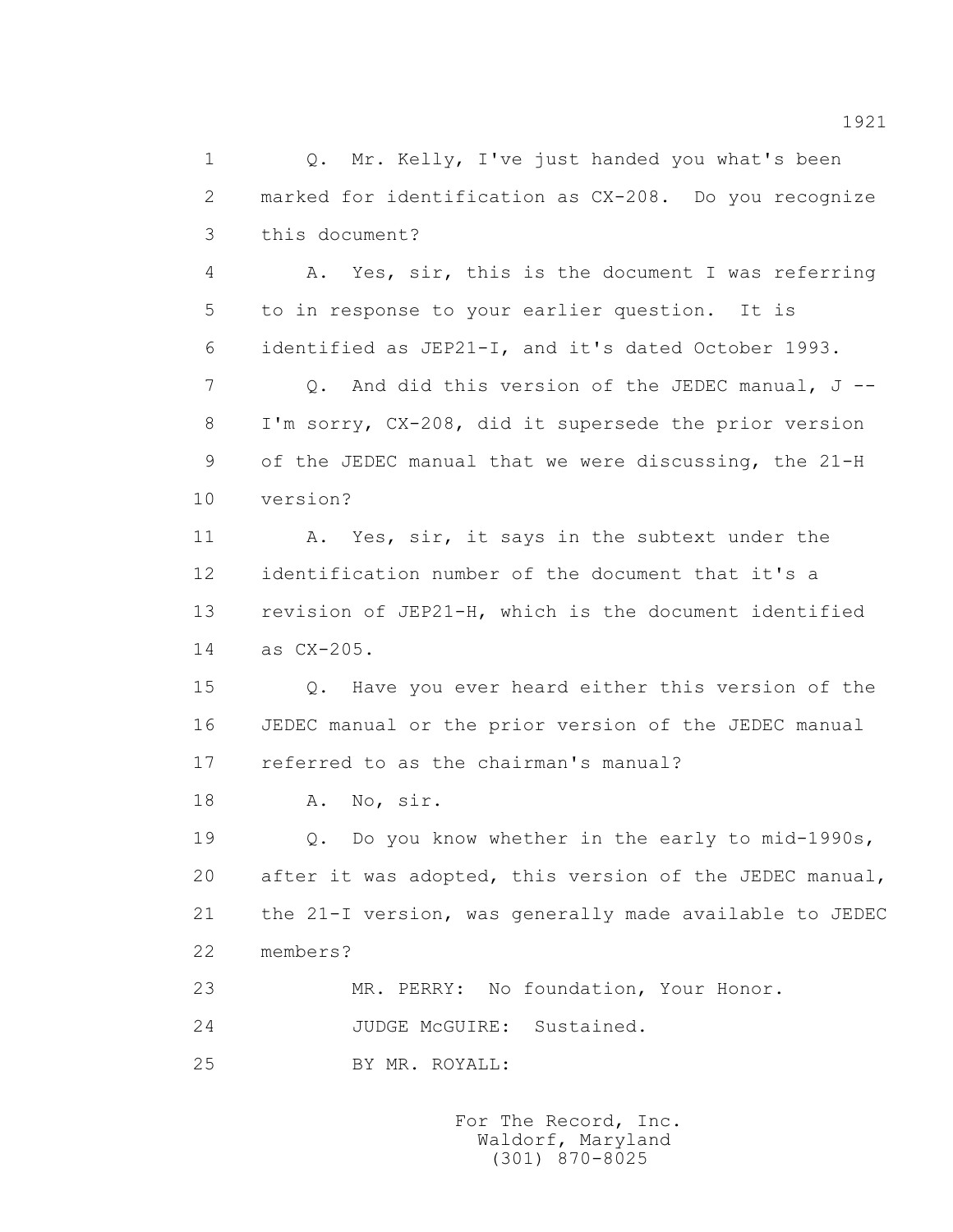1 0. Mr. Kelly, I've just handed you what's been 2 marked for identification as CX-208. Do you recognize 3 this document?

 4 A. Yes, sir, this is the document I was referring 5 to in response to your earlier question. It is 6 identified as JEP21-I, and it's dated October 1993.

 7 Q. And did this version of the JEDEC manual, J -- 8 I'm sorry, CX-208, did it supersede the prior version 9 of the JEDEC manual that we were discussing, the 21-H 10 version?

 11 A. Yes, sir, it says in the subtext under the 12 identification number of the document that it's a 13 revision of JEP21-H, which is the document identified 14 as CX-205.

 15 Q. Have you ever heard either this version of the 16 JEDEC manual or the prior version of the JEDEC manual 17 referred to as the chairman's manual?

18 A. No, sir.

 19 Q. Do you know whether in the early to mid-1990s, 20 after it was adopted, this version of the JEDEC manual, 21 the 21-I version, was generally made available to JEDEC 22 members?

23 MR. PERRY: No foundation, Your Honor.

24 JUDGE McGUIRE: Sustained.

25 BY MR. ROYALL:

 For The Record, Inc. Waldorf, Maryland (301) 870-8025

1921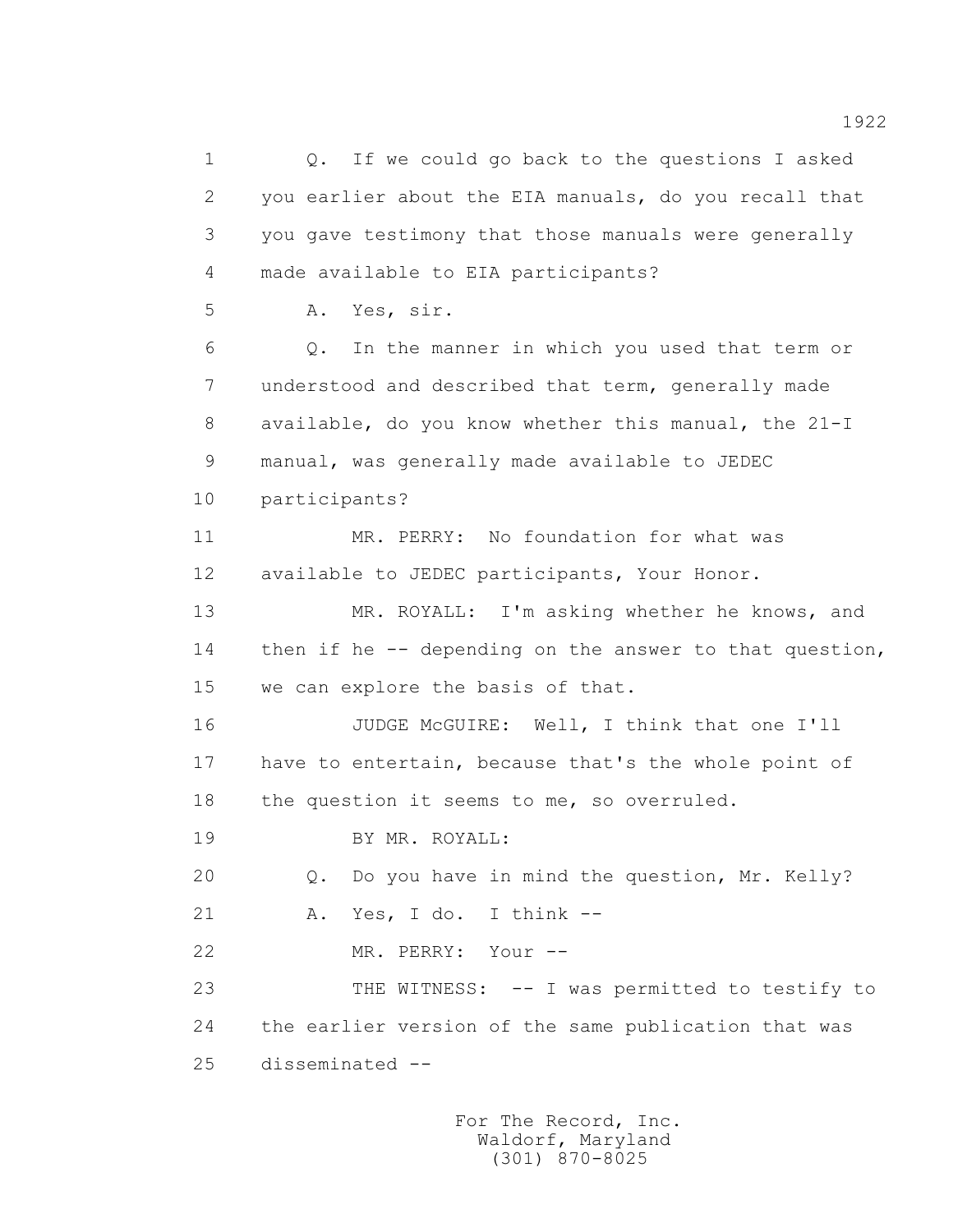1 Q. If we could go back to the questions I asked 2 you earlier about the EIA manuals, do you recall that 3 you gave testimony that those manuals were generally 4 made available to EIA participants? 5 A. Yes, sir. 6 Q. In the manner in which you used that term or 7 understood and described that term, generally made 8 available, do you know whether this manual, the 21-I 9 manual, was generally made available to JEDEC 10 participants? 11 MR. PERRY: No foundation for what was 12 available to JEDEC participants, Your Honor. 13 MR. ROYALL: I'm asking whether he knows, and 14 then if he -- depending on the answer to that question, 15 we can explore the basis of that. 16 JUDGE McGUIRE: Well, I think that one I'll 17 have to entertain, because that's the whole point of 18 the question it seems to me, so overruled. 19 BY MR. ROYALL: 20 Q. Do you have in mind the question, Mr. Kelly? 21 A. Yes, I do. I think -- 22 MR. PERRY: Your -- 23 THE WITNESS: -- I was permitted to testify to 24 the earlier version of the same publication that was 25 disseminated --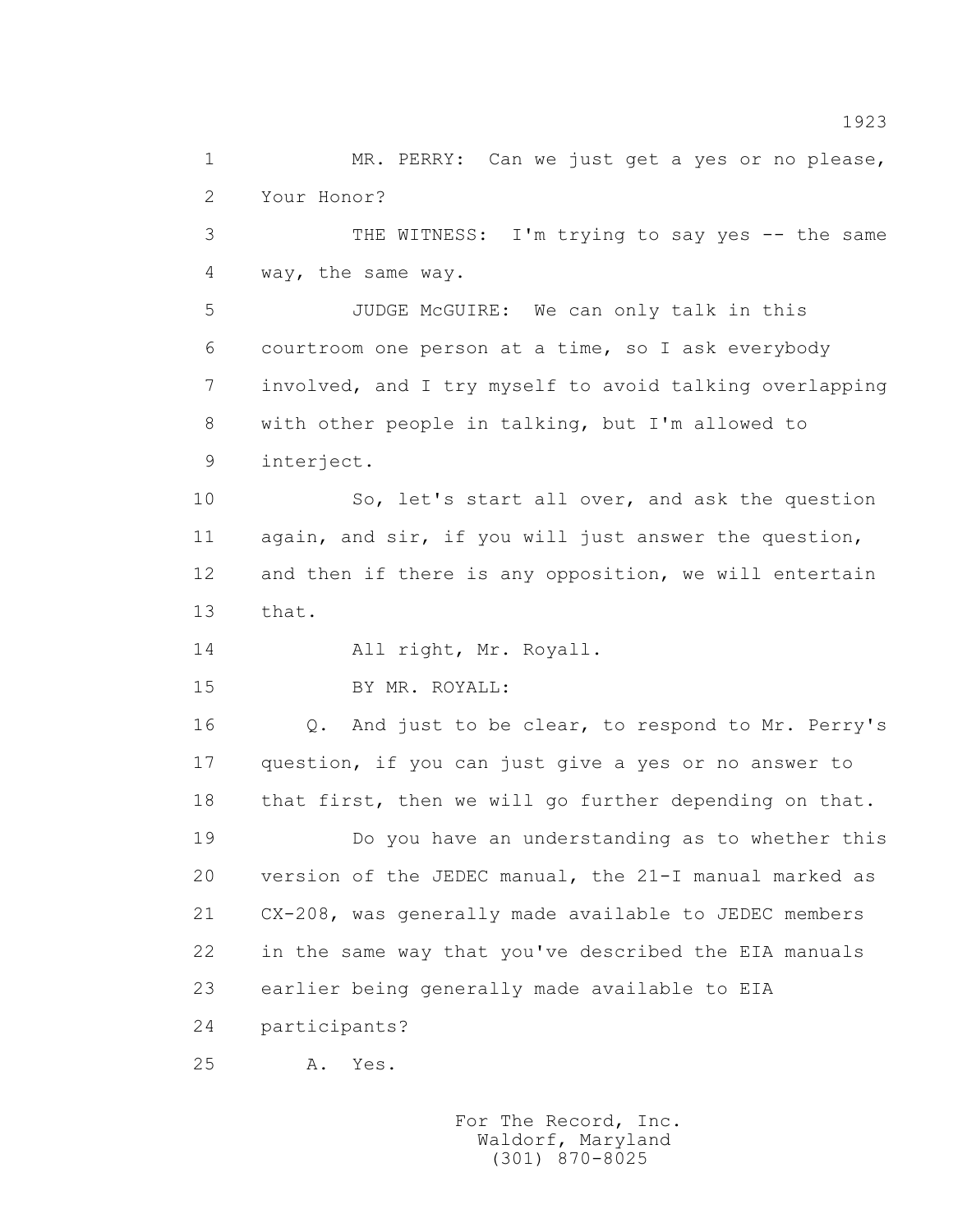1 MR. PERRY: Can we just get a yes or no please, 2 Your Honor?

 3 THE WITNESS: I'm trying to say yes -- the same 4 way, the same way.

 5 JUDGE McGUIRE: We can only talk in this 6 courtroom one person at a time, so I ask everybody 7 involved, and I try myself to avoid talking overlapping 8 with other people in talking, but I'm allowed to 9 interject.

 10 So, let's start all over, and ask the question 11 again, and sir, if you will just answer the question, 12 and then if there is any opposition, we will entertain 13 that.

14 All right, Mr. Royall.

15 BY MR. ROYALL:

 16 Q. And just to be clear, to respond to Mr. Perry's 17 question, if you can just give a yes or no answer to 18 that first, then we will go further depending on that.

 19 Do you have an understanding as to whether this 20 version of the JEDEC manual, the 21-I manual marked as 21 CX-208, was generally made available to JEDEC members 22 in the same way that you've described the EIA manuals 23 earlier being generally made available to EIA

24 participants?

25 A. Yes.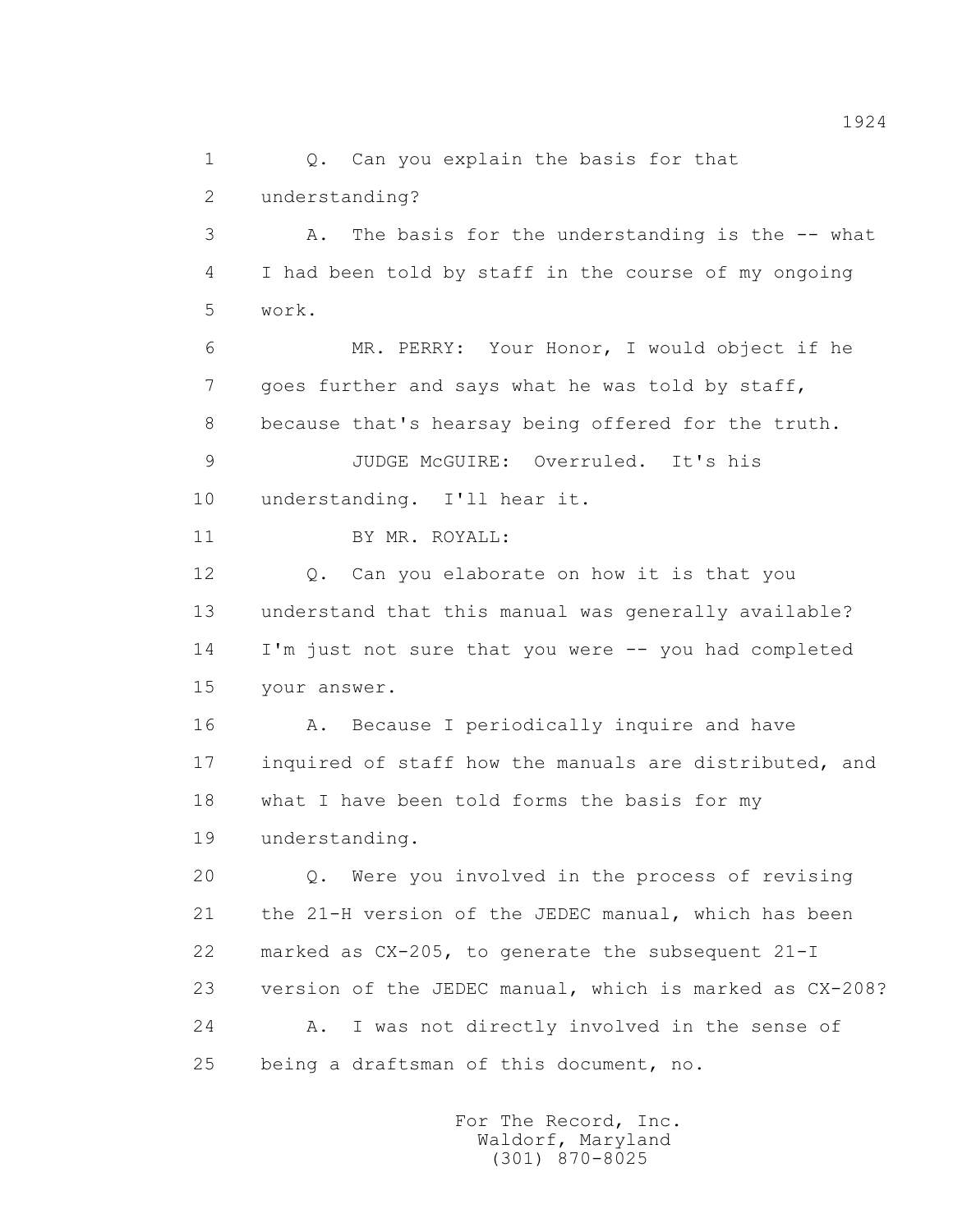1 0. Can you explain the basis for that 2 understanding? 3 A. The basis for the understanding is the -- what 4 I had been told by staff in the course of my ongoing 5 work. 6 MR. PERRY: Your Honor, I would object if he 7 goes further and says what he was told by staff, 8 because that's hearsay being offered for the truth. 9 JUDGE McGUIRE: Overruled. It's his 10 understanding. I'll hear it. 11 BY MR. ROYALL: 12 Q. Can you elaborate on how it is that you 13 understand that this manual was generally available? 14 I'm just not sure that you were -- you had completed 15 your answer. 16 A. Because I periodically inquire and have 17 inquired of staff how the manuals are distributed, and 18 what I have been told forms the basis for my 19 understanding. 20 Q. Were you involved in the process of revising 21 the 21-H version of the JEDEC manual, which has been 22 marked as CX-205, to generate the subsequent 21-I 23 version of the JEDEC manual, which is marked as CX-208? 24 A. I was not directly involved in the sense of 25 being a draftsman of this document, no.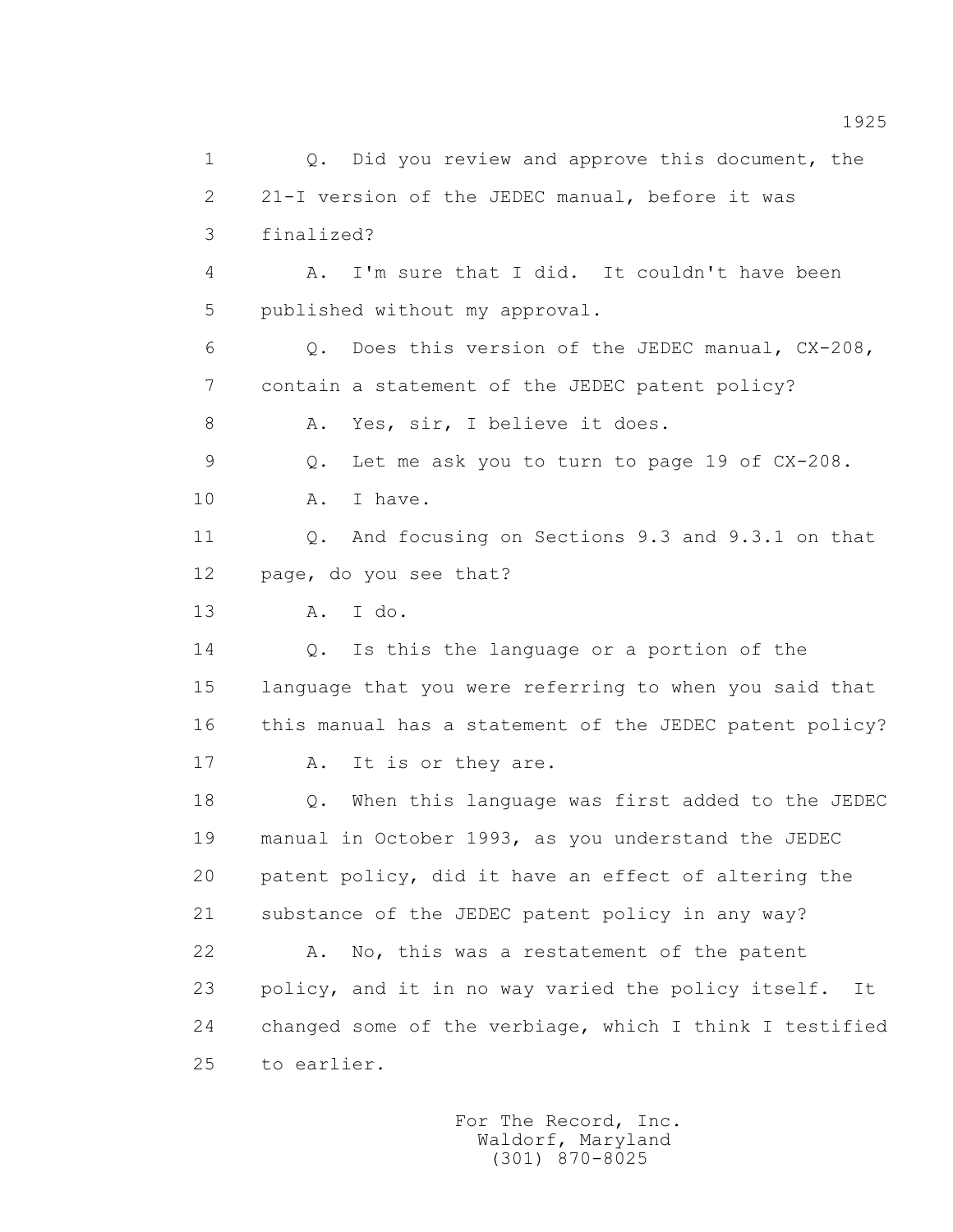1 Q. Did you review and approve this document, the 2 21-I version of the JEDEC manual, before it was 3 finalized? 4 A. I'm sure that I did. It couldn't have been 5 published without my approval. 6 Q. Does this version of the JEDEC manual, CX-208, 7 contain a statement of the JEDEC patent policy? 8 A. Yes, sir, I believe it does. 9 Q. Let me ask you to turn to page 19 of CX-208. 10 A. I have. 11 Q. And focusing on Sections 9.3 and 9.3.1 on that 12 page, do you see that? 13 A. I do. 14 Q. Is this the language or a portion of the 15 language that you were referring to when you said that 16 this manual has a statement of the JEDEC patent policy? 17 A. It is or they are. 18 Q. When this language was first added to the JEDEC 19 manual in October 1993, as you understand the JEDEC 20 patent policy, did it have an effect of altering the 21 substance of the JEDEC patent policy in any way? 22 A. No, this was a restatement of the patent 23 policy, and it in no way varied the policy itself. It 24 changed some of the verbiage, which I think I testified 25 to earlier.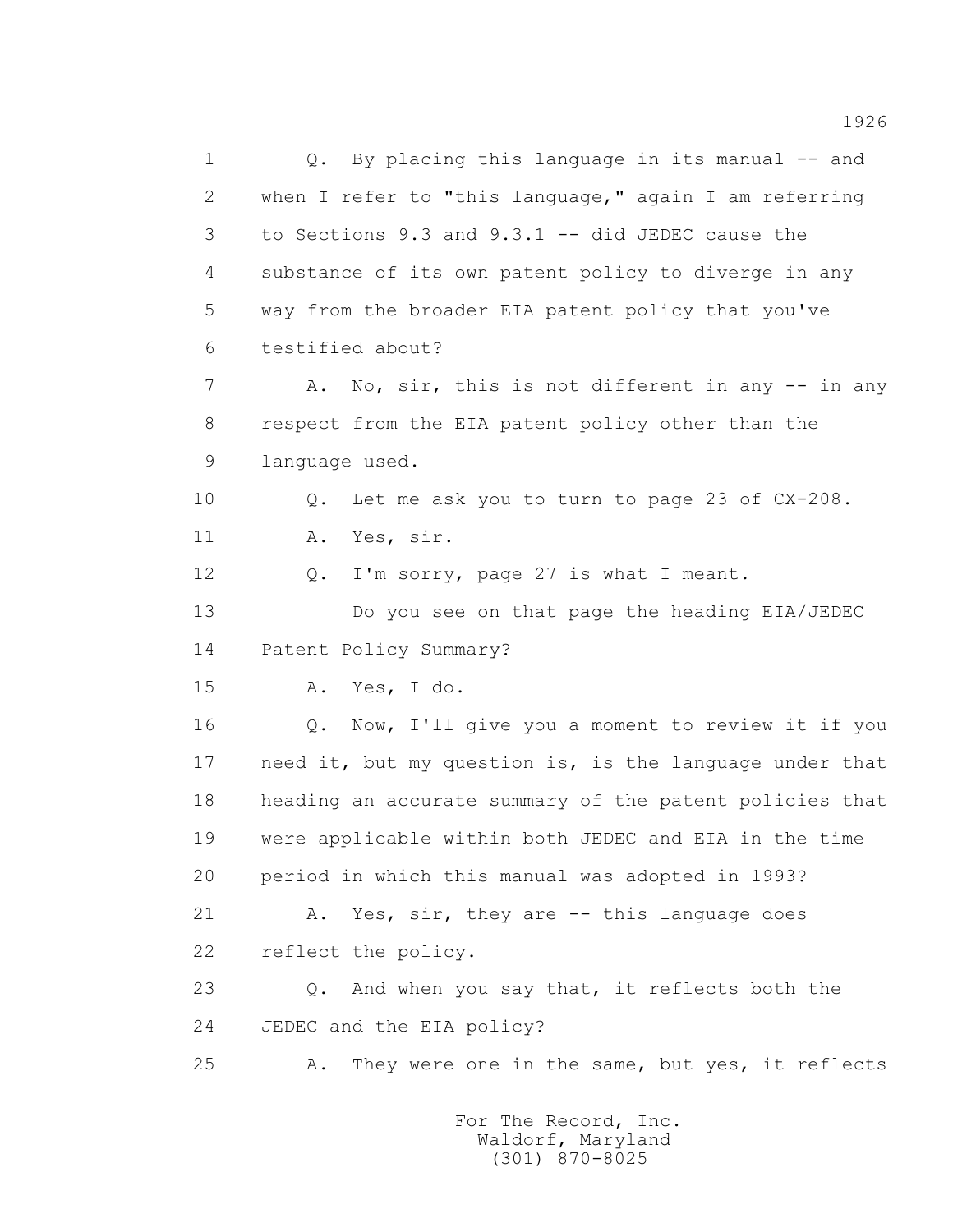1 0. By placing this language in its manual -- and 2 when I refer to "this language," again I am referring 3 to Sections 9.3 and 9.3.1 -- did JEDEC cause the 4 substance of its own patent policy to diverge in any 5 way from the broader EIA patent policy that you've 6 testified about? 7 A. No, sir, this is not different in any -- in any 8 respect from the EIA patent policy other than the 9 language used. 10 0. Let me ask you to turn to page 23 of CX-208. 11 A. Yes, sir. 12 Q. I'm sorry, page 27 is what I meant. 13 Do you see on that page the heading EIA/JEDEC 14 Patent Policy Summary? 15 A. Yes, I do. 16 Q. Now, I'll give you a moment to review it if you 17 need it, but my question is, is the language under that 18 heading an accurate summary of the patent policies that 19 were applicable within both JEDEC and EIA in the time 20 period in which this manual was adopted in 1993? 21 A. Yes, sir, they are -- this language does 22 reflect the policy. 23 Q. And when you say that, it reflects both the 24 JEDEC and the EIA policy? 25 A. They were one in the same, but yes, it reflects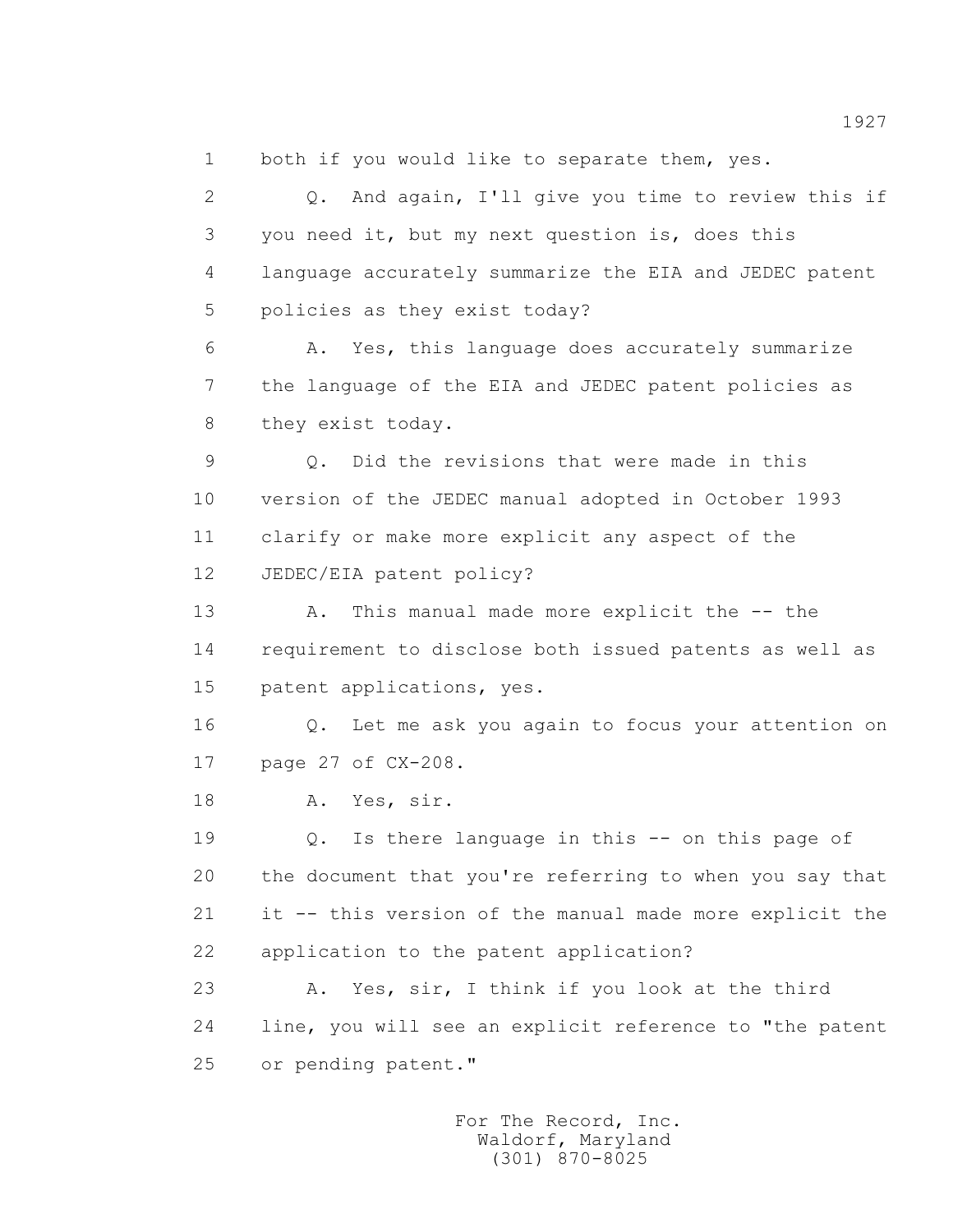1 both if you would like to separate them, yes.

 2 Q. And again, I'll give you time to review this if 3 you need it, but my next question is, does this 4 language accurately summarize the EIA and JEDEC patent 5 policies as they exist today? 6 A. Yes, this language does accurately summarize 7 the language of the EIA and JEDEC patent policies as 8 they exist today. 9 Q. Did the revisions that were made in this 10 version of the JEDEC manual adopted in October 1993 11 clarify or make more explicit any aspect of the 12 JEDEC/EIA patent policy? 13 A. This manual made more explicit the -- the 14 requirement to disclose both issued patents as well as 15 patent applications, yes. 16 Q. Let me ask you again to focus your attention on 17 page 27 of CX-208. 18 A. Yes, sir. 19 Q. Is there language in this -- on this page of 20 the document that you're referring to when you say that 21 it -- this version of the manual made more explicit the 22 application to the patent application? 23 A. Yes, sir, I think if you look at the third 24 line, you will see an explicit reference to "the patent 25 or pending patent."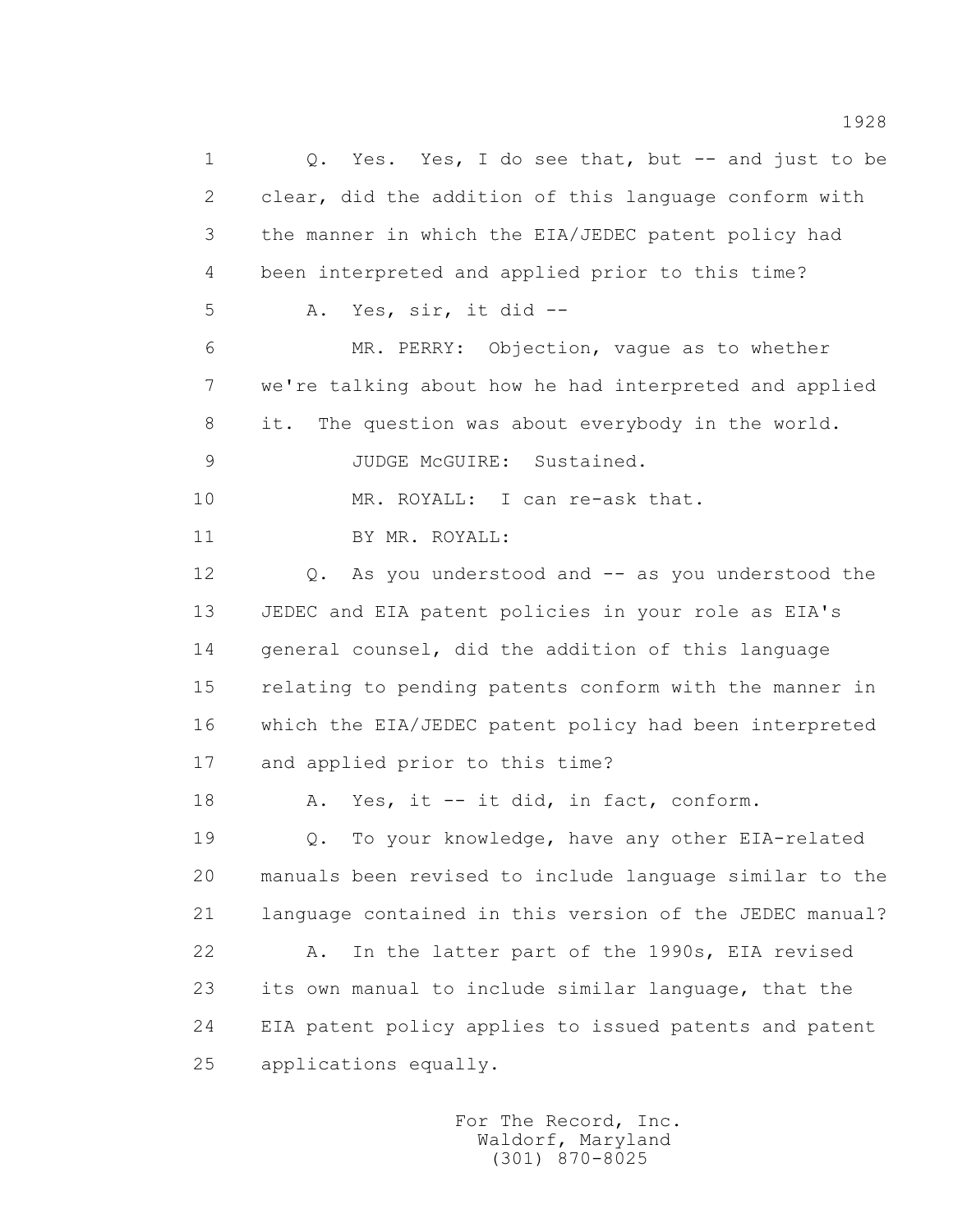1 Q. Yes. Yes, I do see that, but -- and just to be 2 clear, did the addition of this language conform with 3 the manner in which the EIA/JEDEC patent policy had 4 been interpreted and applied prior to this time? 5 A. Yes, sir, it did -- 6 MR. PERRY: Objection, vague as to whether 7 we're talking about how he had interpreted and applied 8 it. The question was about everybody in the world. 9 JUDGE McGUIRE: Sustained. 10 MR. ROYALL: I can re-ask that. 11 BY MR. ROYALL: 12 Q. As you understood and -- as you understood the 13 JEDEC and EIA patent policies in your role as EIA's 14 general counsel, did the addition of this language 15 relating to pending patents conform with the manner in 16 which the EIA/JEDEC patent policy had been interpreted 17 and applied prior to this time? 18 A. Yes, it -- it did, in fact, conform. 19 Q. To your knowledge, have any other EIA-related 20 manuals been revised to include language similar to the 21 language contained in this version of the JEDEC manual? 22 A. In the latter part of the 1990s, EIA revised 23 its own manual to include similar language, that the 24 EIA patent policy applies to issued patents and patent 25 applications equally.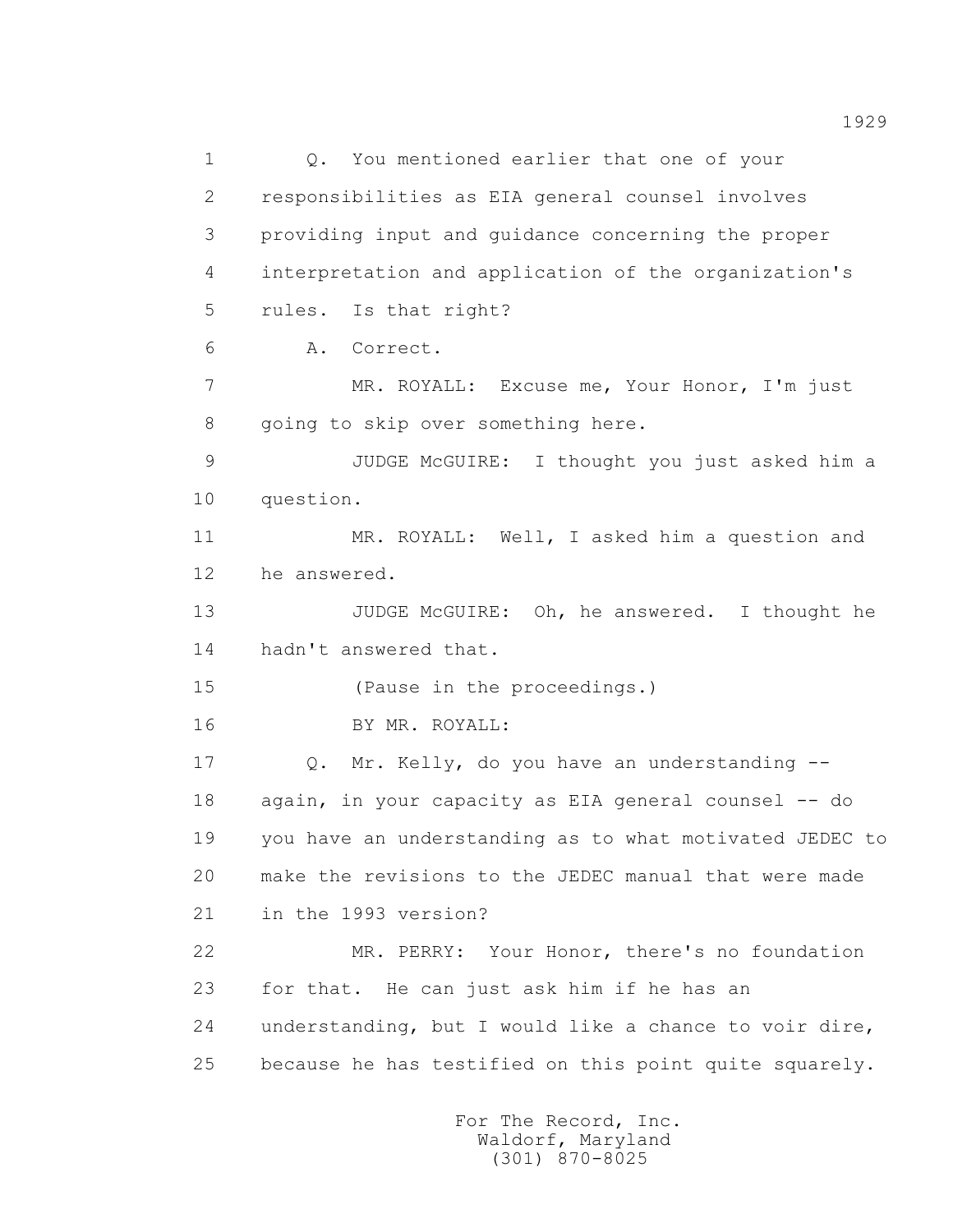1 0. You mentioned earlier that one of your 2 responsibilities as EIA general counsel involves 3 providing input and guidance concerning the proper 4 interpretation and application of the organization's 5 rules. Is that right? 6 A. Correct. 7 MR. ROYALL: Excuse me, Your Honor, I'm just 8 going to skip over something here. 9 JUDGE McGUIRE: I thought you just asked him a 10 question. 11 MR. ROYALL: Well, I asked him a question and 12 he answered. 13 JUDGE McGUIRE: Oh, he answered. I thought he 14 hadn't answered that. 15 (Pause in the proceedings.) 16 BY MR. ROYALL: 17 Q. Mr. Kelly, do you have an understanding -- 18 again, in your capacity as EIA general counsel -- do 19 you have an understanding as to what motivated JEDEC to 20 make the revisions to the JEDEC manual that were made 21 in the 1993 version? 22 MR. PERRY: Your Honor, there's no foundation 23 for that. He can just ask him if he has an 24 understanding, but I would like a chance to voir dire, 25 because he has testified on this point quite squarely.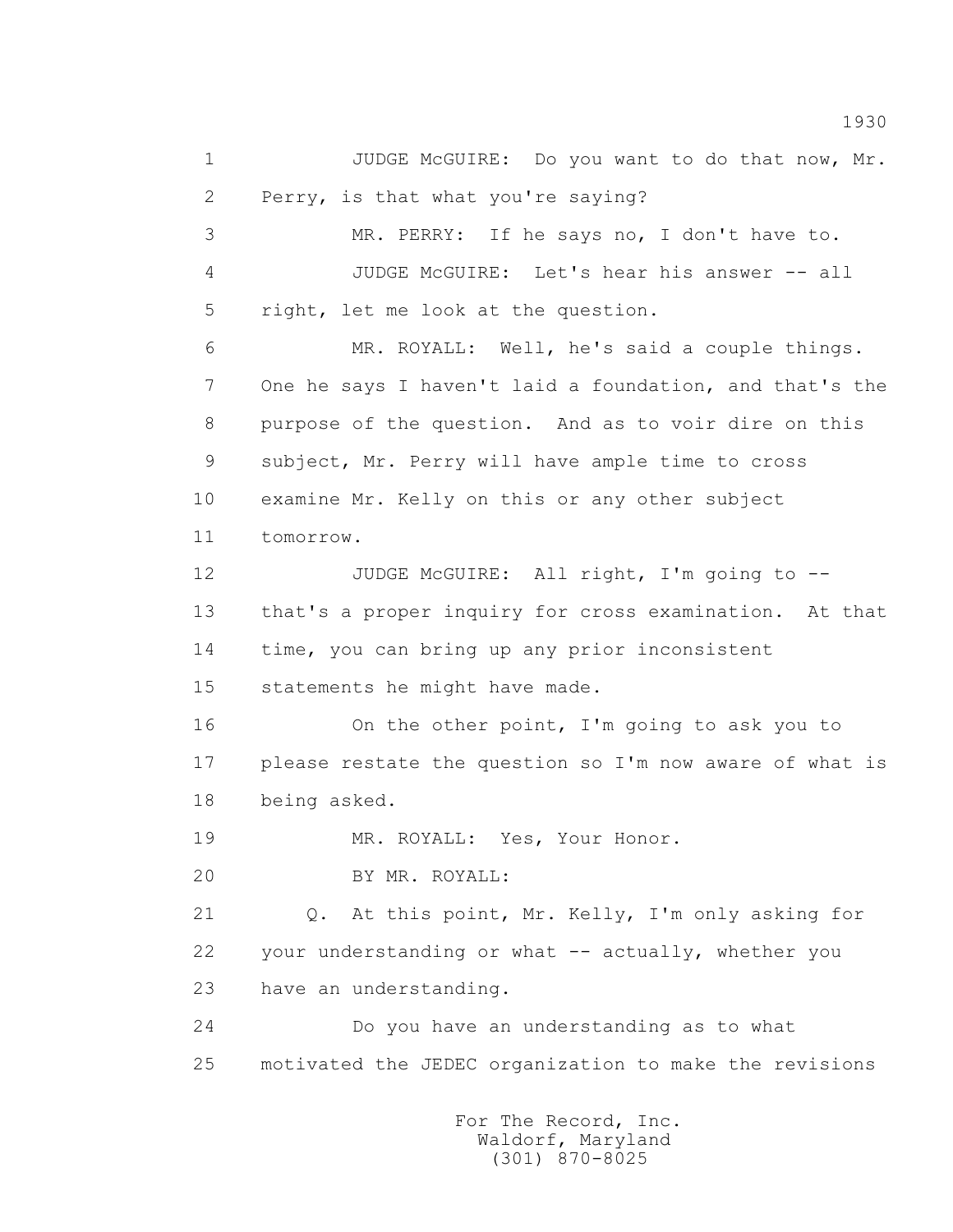1 JUDGE McGUIRE: Do you want to do that now, Mr. 2 Perry, is that what you're saying? 3 MR. PERRY: If he says no, I don't have to. 4 JUDGE McGUIRE: Let's hear his answer -- all 5 right, let me look at the question. 6 MR. ROYALL: Well, he's said a couple things. 7 One he says I haven't laid a foundation, and that's the 8 purpose of the question. And as to voir dire on this 9 subject, Mr. Perry will have ample time to cross 10 examine Mr. Kelly on this or any other subject 11 tomorrow. 12 JUDGE McGUIRE: All right, I'm going to -- 13 that's a proper inquiry for cross examination. At that 14 time, you can bring up any prior inconsistent 15 statements he might have made. 16 On the other point, I'm going to ask you to 17 please restate the question so I'm now aware of what is 18 being asked. 19 MR. ROYALL: Yes, Your Honor. 20 BY MR. ROYALL: 21 Q. At this point, Mr. Kelly, I'm only asking for 22 your understanding or what -- actually, whether you 23 have an understanding. 24 Do you have an understanding as to what 25 motivated the JEDEC organization to make the revisions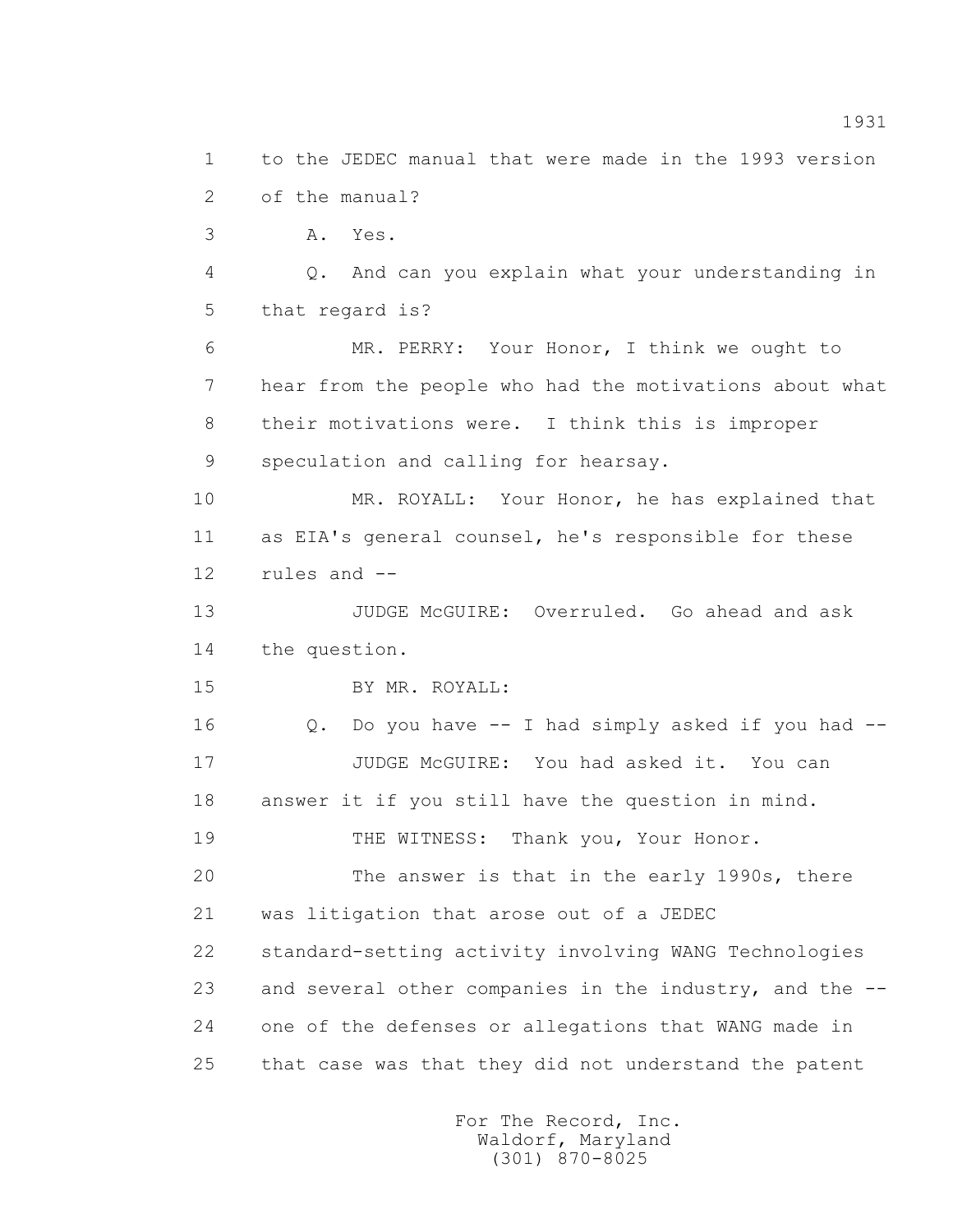2 of the manual? 3 A. Yes. 4 Q. And can you explain what your understanding in 5 that regard is? 6 MR. PERRY: Your Honor, I think we ought to 7 hear from the people who had the motivations about what 8 their motivations were. I think this is improper 9 speculation and calling for hearsay. 10 MR. ROYALL: Your Honor, he has explained that 11 as EIA's general counsel, he's responsible for these 12 rules and -- 13 JUDGE McGUIRE: Overruled. Go ahead and ask 14 the question. 15 BY MR. ROYALL: 16 Q. Do you have -- I had simply asked if you had -- 17 JUDGE McGUIRE: You had asked it. You can 18 answer it if you still have the question in mind. 19 THE WITNESS: Thank you, Your Honor. 20 The answer is that in the early 1990s, there 21 was litigation that arose out of a JEDEC 22 standard-setting activity involving WANG Technologies 23 and several other companies in the industry, and the -- 24 one of the defenses or allegations that WANG made in 25 that case was that they did not understand the patent For The Record, Inc. Waldorf, Maryland (301) 870-8025

1 to the JEDEC manual that were made in the 1993 version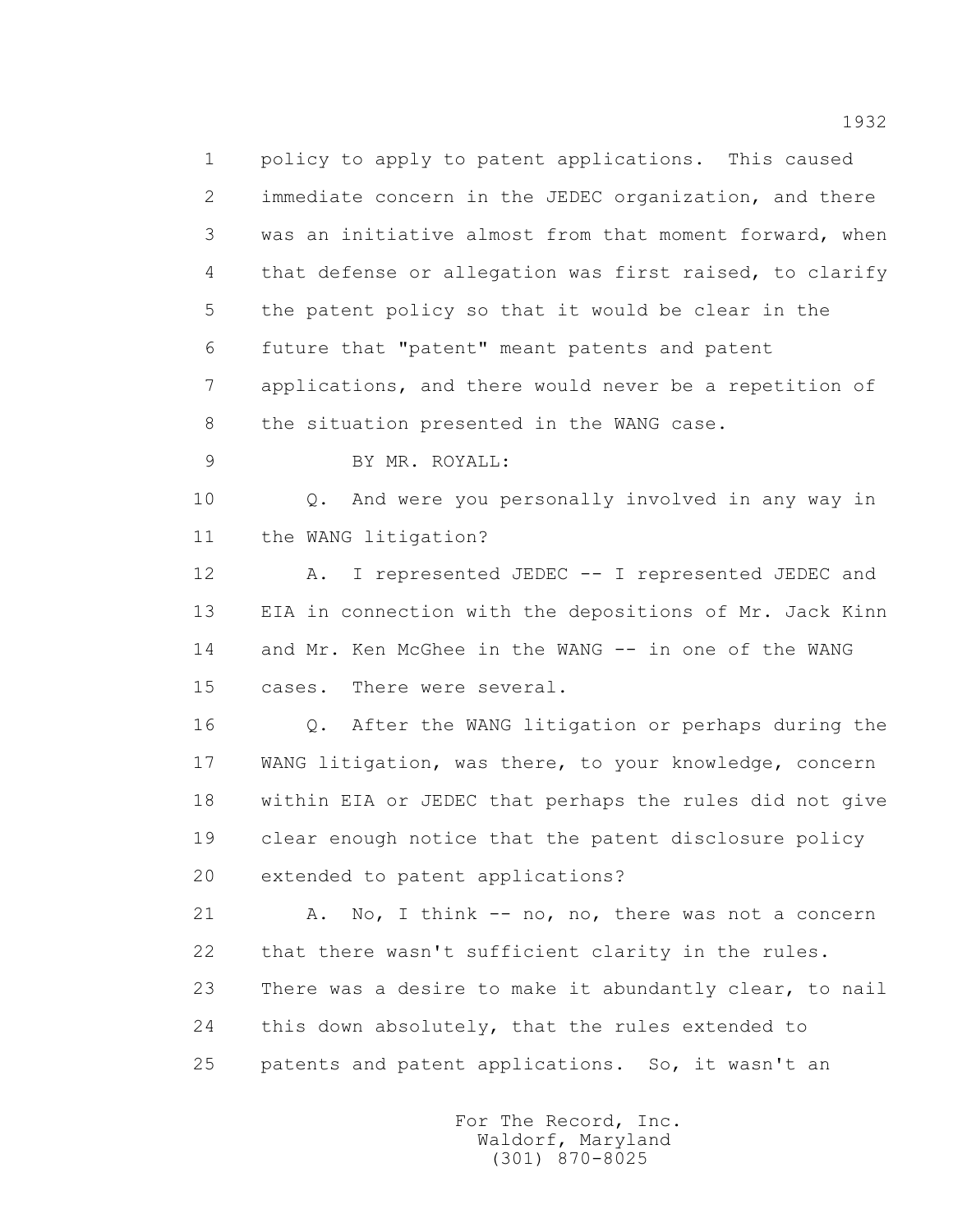1 policy to apply to patent applications. This caused 2 immediate concern in the JEDEC organization, and there 3 was an initiative almost from that moment forward, when 4 that defense or allegation was first raised, to clarify 5 the patent policy so that it would be clear in the 6 future that "patent" meant patents and patent 7 applications, and there would never be a repetition of 8 the situation presented in the WANG case.

9 BY MR. ROYALL:

 10 Q. And were you personally involved in any way in 11 the WANG litigation?

 12 A. I represented JEDEC -- I represented JEDEC and 13 EIA in connection with the depositions of Mr. Jack Kinn 14 and Mr. Ken McGhee in the WANG -- in one of the WANG 15 cases. There were several.

 16 Q. After the WANG litigation or perhaps during the 17 WANG litigation, was there, to your knowledge, concern 18 within EIA or JEDEC that perhaps the rules did not give 19 clear enough notice that the patent disclosure policy 20 extended to patent applications?

21 A. No, I think -- no, no, there was not a concern 22 that there wasn't sufficient clarity in the rules. 23 There was a desire to make it abundantly clear, to nail 24 this down absolutely, that the rules extended to 25 patents and patent applications. So, it wasn't an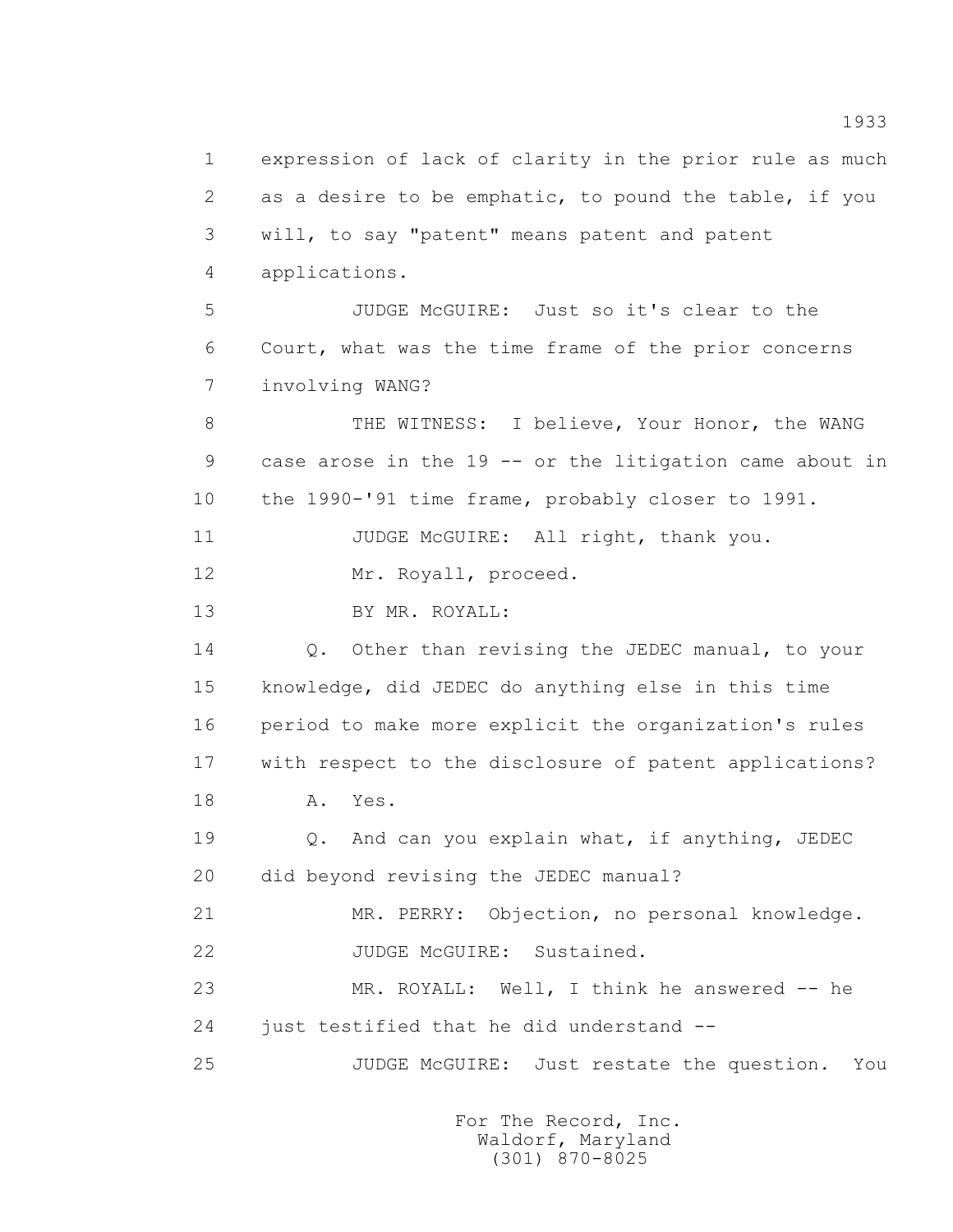1 expression of lack of clarity in the prior rule as much 2 as a desire to be emphatic, to pound the table, if you 3 will, to say "patent" means patent and patent 4 applications. 5 JUDGE McGUIRE: Just so it's clear to the 6 Court, what was the time frame of the prior concerns 7 involving WANG? 8 THE WITNESS: I believe, Your Honor, the WANG 9 case arose in the 19 -- or the litigation came about in 10 the 1990-'91 time frame, probably closer to 1991. 11 JUDGE McGUIRE: All right, thank you. 12 Mr. Royall, proceed. 13 BY MR. ROYALL: 14 Q. Other than revising the JEDEC manual, to your 15 knowledge, did JEDEC do anything else in this time 16 period to make more explicit the organization's rules 17 with respect to the disclosure of patent applications? 18 A. Yes. 19 Q. And can you explain what, if anything, JEDEC 20 did beyond revising the JEDEC manual? 21 MR. PERRY: Objection, no personal knowledge. 22 JUDGE McGUIRE: Sustained. 23 MR. ROYALL: Well, I think he answered -- he 24 just testified that he did understand -- 25 JUDGE McGUIRE: Just restate the question. You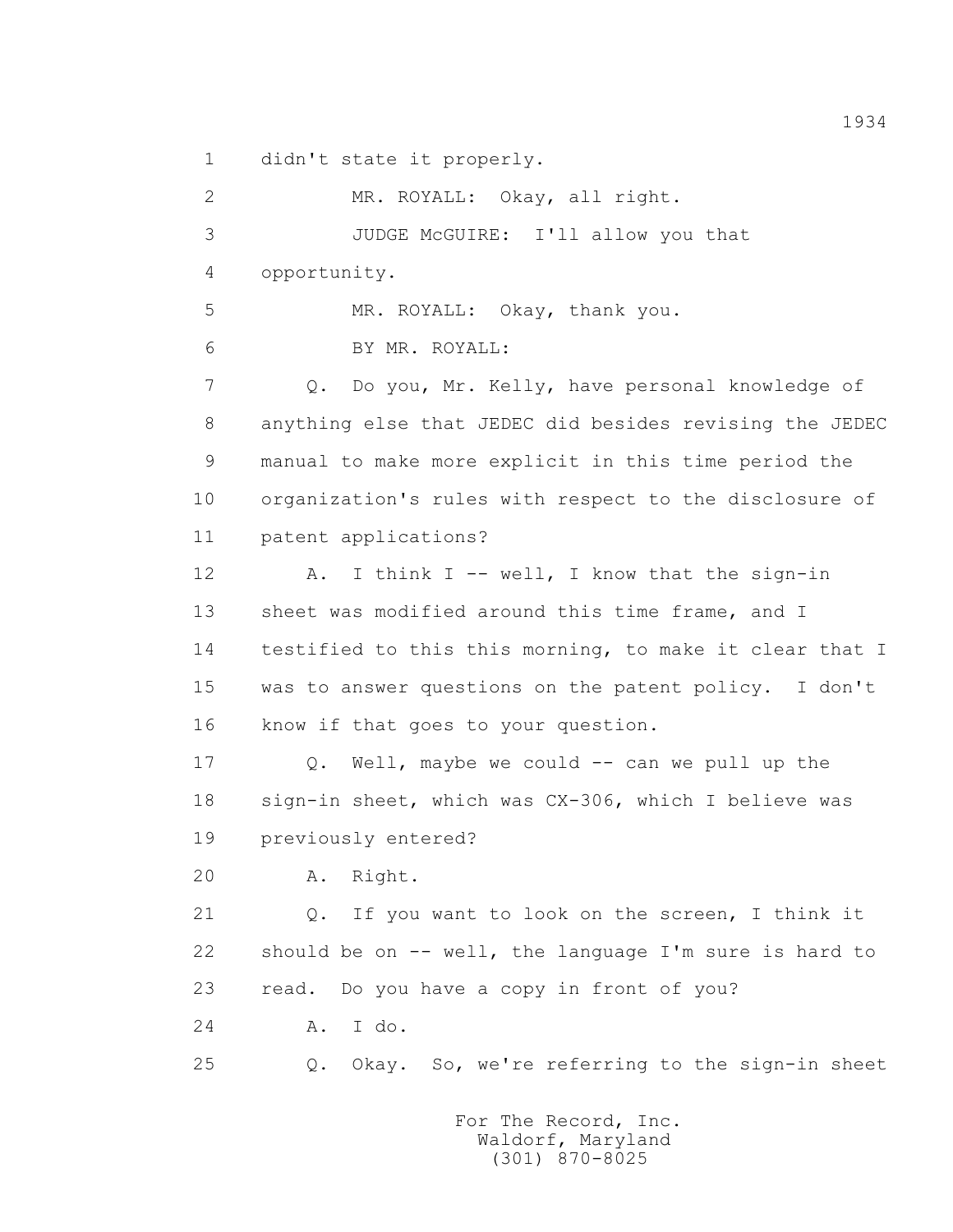1 didn't state it properly.

 2 MR. ROYALL: Okay, all right. 3 JUDGE McGUIRE: I'll allow you that 4 opportunity. 5 MR. ROYALL: Okay, thank you. 6 BY MR. ROYALL: 7 Q. Do you, Mr. Kelly, have personal knowledge of 8 anything else that JEDEC did besides revising the JEDEC 9 manual to make more explicit in this time period the 10 organization's rules with respect to the disclosure of 11 patent applications? 12 A. I think I -- well, I know that the sign-in 13 sheet was modified around this time frame, and I 14 testified to this this morning, to make it clear that I 15 was to answer questions on the patent policy. I don't 16 know if that goes to your question. 17 Q. Well, maybe we could -- can we pull up the 18 sign-in sheet, which was CX-306, which I believe was 19 previously entered? 20 A. Right. 21 Q. If you want to look on the screen, I think it 22 should be on -- well, the language I'm sure is hard to 23 read. Do you have a copy in front of you? 24 A. I do. 25 Q. Okay. So, we're referring to the sign-in sheet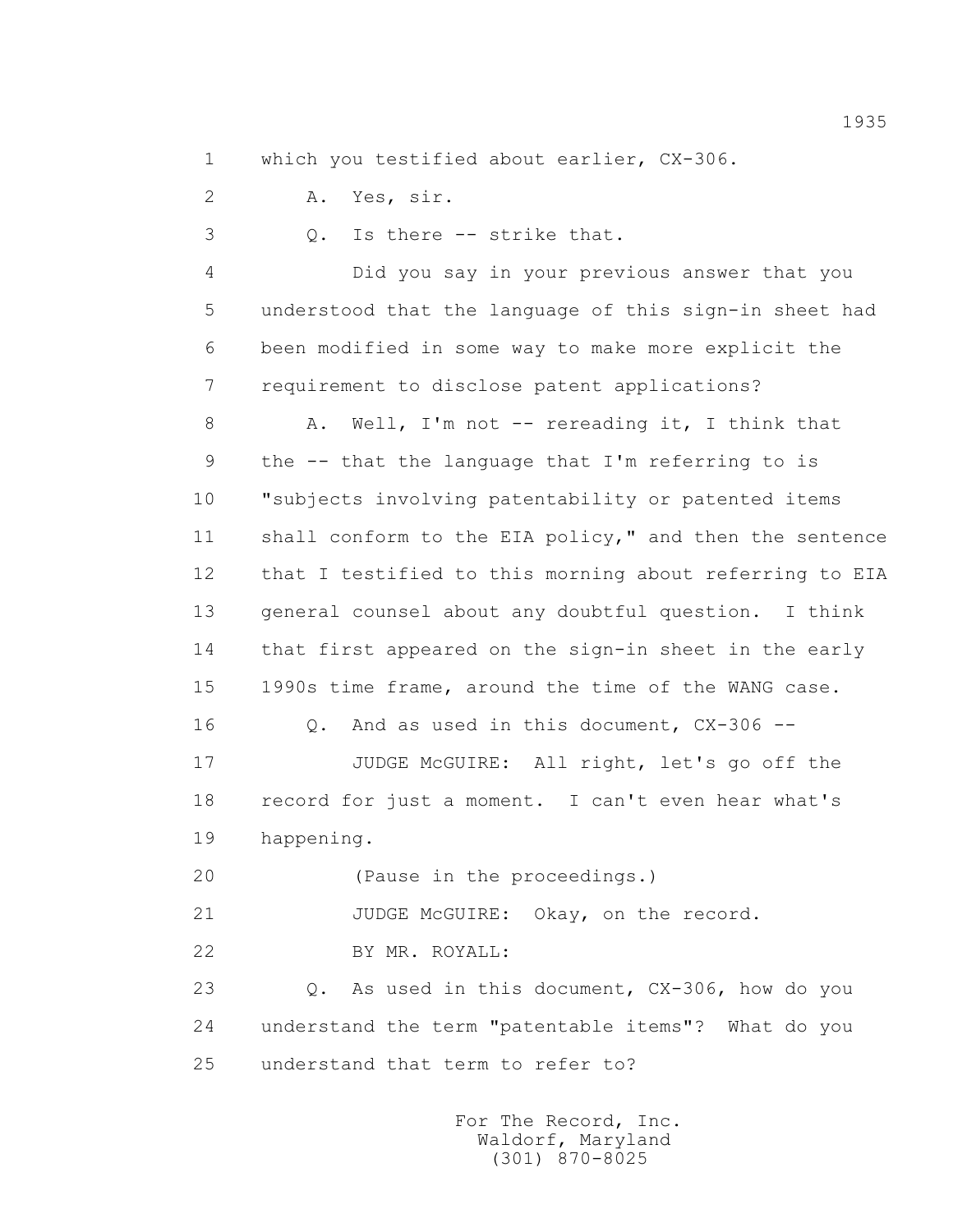1 which you testified about earlier, CX-306.

2 A. Yes, sir.

3 Q. Is there -- strike that.

 4 Did you say in your previous answer that you 5 understood that the language of this sign-in sheet had 6 been modified in some way to make more explicit the 7 requirement to disclose patent applications?

 8 A. Well, I'm not -- rereading it, I think that 9 the -- that the language that I'm referring to is 10 "subjects involving patentability or patented items 11 shall conform to the EIA policy," and then the sentence 12 that I testified to this morning about referring to EIA 13 general counsel about any doubtful question. I think 14 that first appeared on the sign-in sheet in the early 15 1990s time frame, around the time of the WANG case.

16 Q. And as used in this document, CX-306 --

 17 JUDGE McGUIRE: All right, let's go off the 18 record for just a moment. I can't even hear what's 19 happening.

20 (Pause in the proceedings.)

21 JUDGE McGUIRE: Okay, on the record.

22 BY MR. ROYALL:

 23 Q. As used in this document, CX-306, how do you 24 understand the term "patentable items"? What do you 25 understand that term to refer to?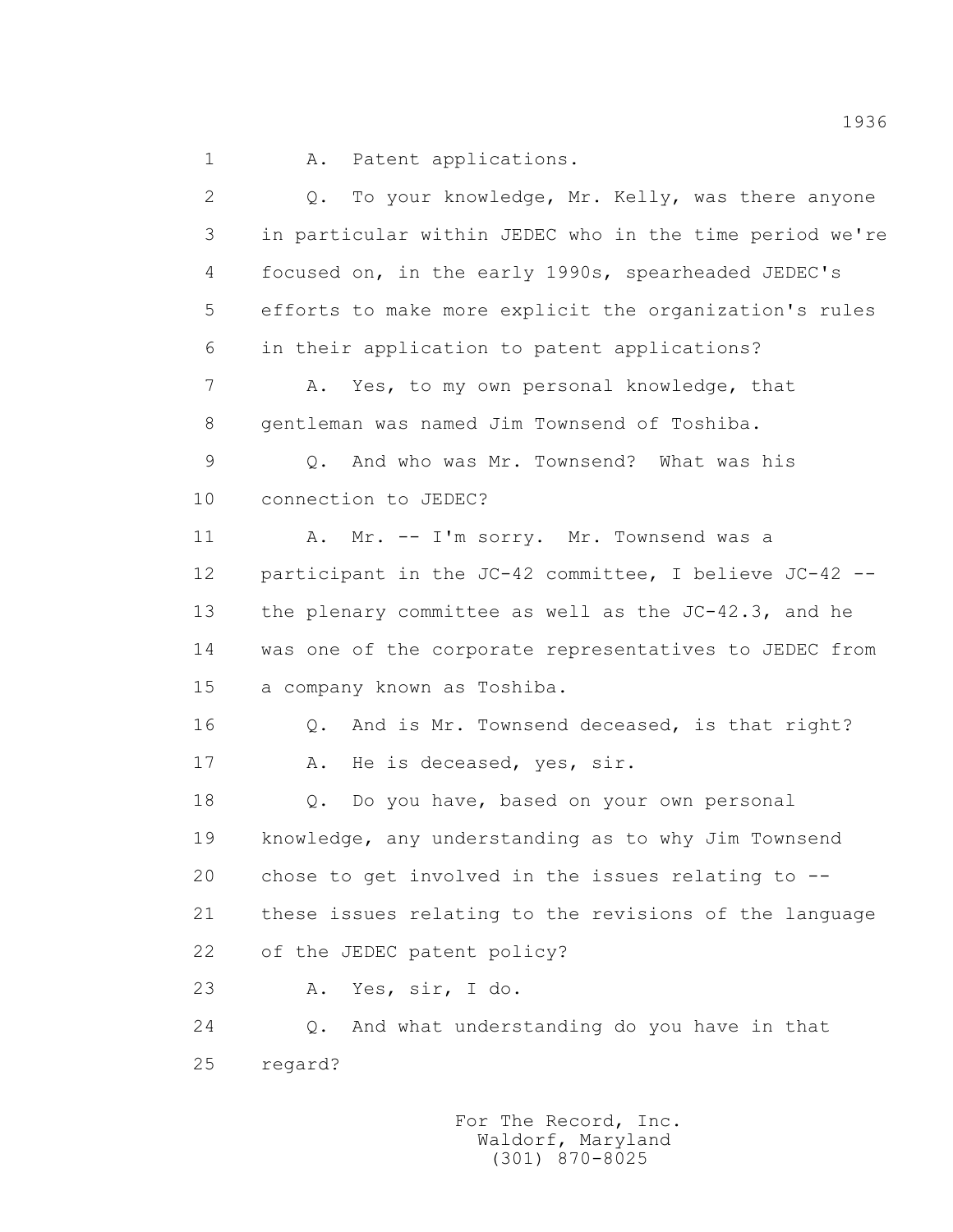1 A. Patent applications.

 2 Q. To your knowledge, Mr. Kelly, was there anyone 3 in particular within JEDEC who in the time period we're 4 focused on, in the early 1990s, spearheaded JEDEC's 5 efforts to make more explicit the organization's rules 6 in their application to patent applications? 7 A. Yes, to my own personal knowledge, that 8 gentleman was named Jim Townsend of Toshiba. 9 Q. And who was Mr. Townsend? What was his 10 connection to JEDEC? 11 A. Mr. -- I'm sorry. Mr. Townsend was a 12 participant in the JC-42 committee, I believe JC-42 -- 13 the plenary committee as well as the JC-42.3, and he 14 was one of the corporate representatives to JEDEC from 15 a company known as Toshiba. 16 Q. And is Mr. Townsend deceased, is that right? 17 A. He is deceased, yes, sir. 18 0. Do you have, based on your own personal 19 knowledge, any understanding as to why Jim Townsend 20 chose to get involved in the issues relating to -- 21 these issues relating to the revisions of the language 22 of the JEDEC patent policy? 23 A. Yes, sir, I do. 24 Q. And what understanding do you have in that 25 regard?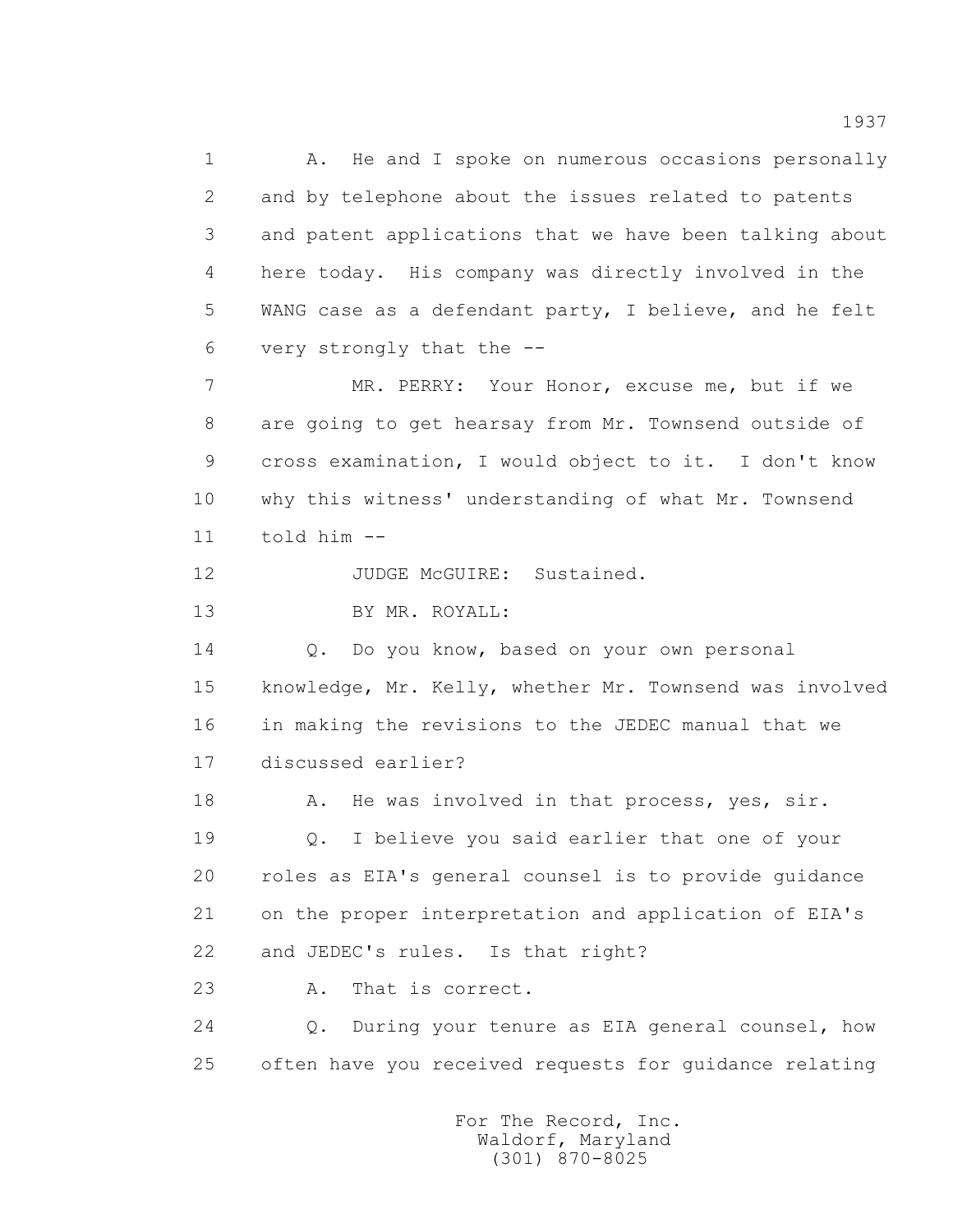1 A. He and I spoke on numerous occasions personally 2 and by telephone about the issues related to patents 3 and patent applications that we have been talking about 4 here today. His company was directly involved in the 5 WANG case as a defendant party, I believe, and he felt 6 very strongly that the --

 7 MR. PERRY: Your Honor, excuse me, but if we 8 are going to get hearsay from Mr. Townsend outside of 9 cross examination, I would object to it. I don't know 10 why this witness' understanding of what Mr. Townsend 11 told him --

12 JUDGE McGUIRE: Sustained.

13 BY MR. ROYALL:

 14 Q. Do you know, based on your own personal 15 knowledge, Mr. Kelly, whether Mr. Townsend was involved 16 in making the revisions to the JEDEC manual that we 17 discussed earlier?

18 A. He was involved in that process, yes, sir. 19 Q. I believe you said earlier that one of your 20 roles as EIA's general counsel is to provide guidance 21 on the proper interpretation and application of EIA's 22 and JEDEC's rules. Is that right?

23 A. That is correct.

 24 Q. During your tenure as EIA general counsel, how 25 often have you received requests for guidance relating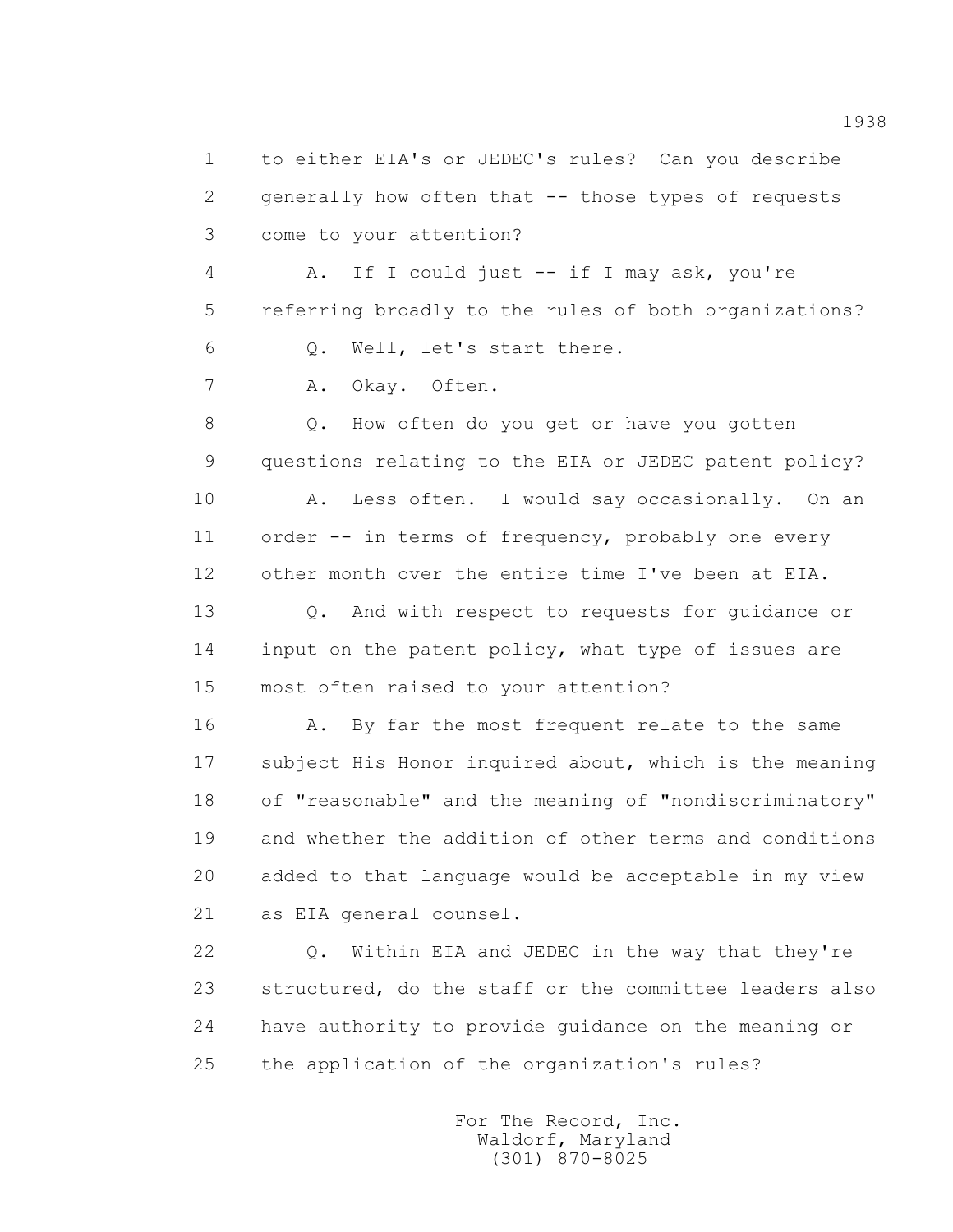1 to either EIA's or JEDEC's rules? Can you describe 2 generally how often that -- those types of requests 3 come to your attention? 4 A. If I could just -- if I may ask, you're 5 referring broadly to the rules of both organizations? 6 Q. Well, let's start there. 7 A. Okay. Often. 8 Q. How often do you get or have you gotten 9 questions relating to the EIA or JEDEC patent policy? 10 A. Less often. I would say occasionally. On an 11 order -- in terms of frequency, probably one every 12 other month over the entire time I've been at EIA. 13 0. And with respect to requests for quidance or 14 input on the patent policy, what type of issues are 15 most often raised to your attention? 16 A. By far the most frequent relate to the same 17 subject His Honor inquired about, which is the meaning 18 of "reasonable" and the meaning of "nondiscriminatory" 19 and whether the addition of other terms and conditions 20 added to that language would be acceptable in my view 21 as EIA general counsel. 22 Q. Within EIA and JEDEC in the way that they're 23 structured, do the staff or the committee leaders also 24 have authority to provide guidance on the meaning or

25 the application of the organization's rules?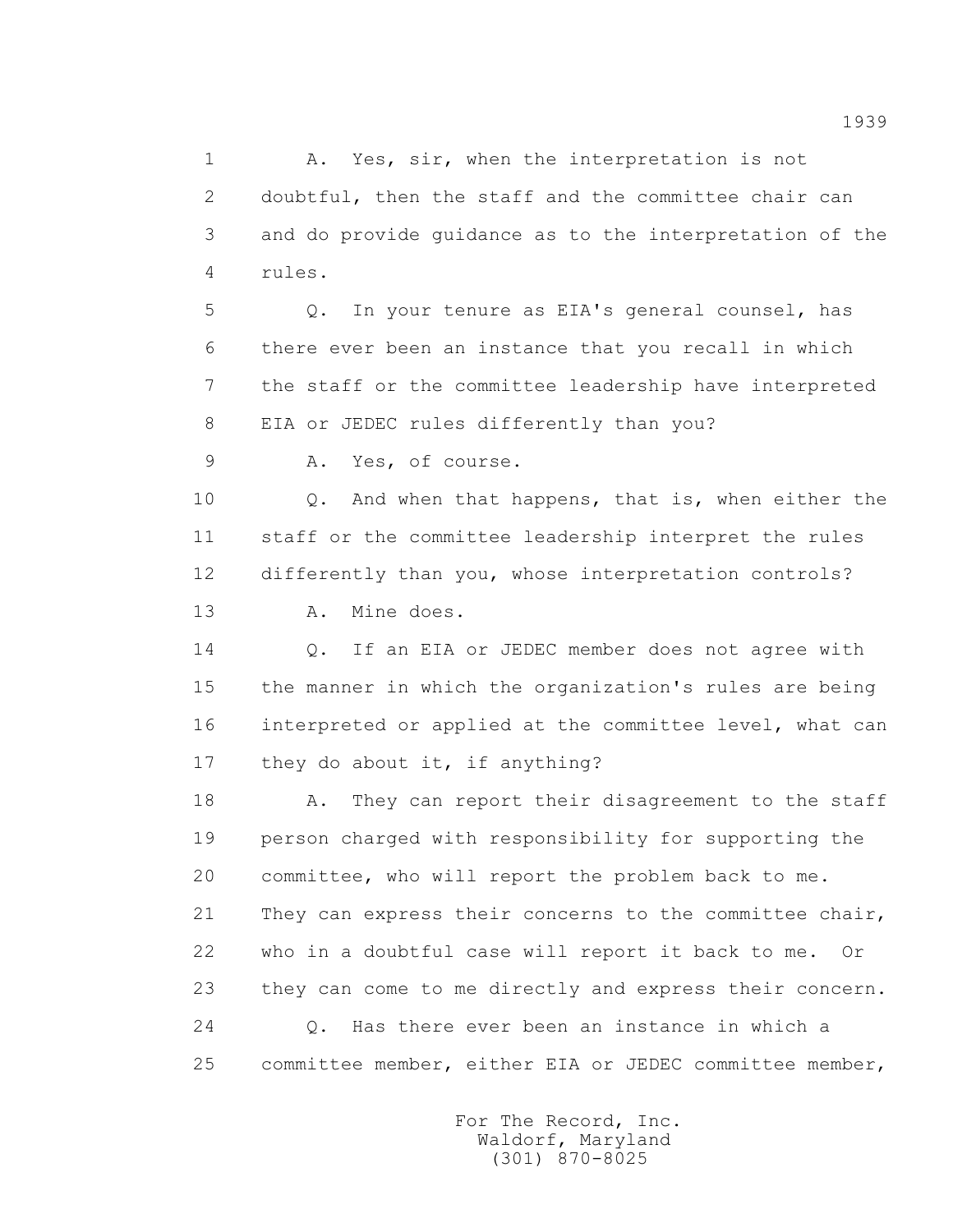1 A. Yes, sir, when the interpretation is not 2 doubtful, then the staff and the committee chair can 3 and do provide guidance as to the interpretation of the 4 rules.

 5 Q. In your tenure as EIA's general counsel, has 6 there ever been an instance that you recall in which 7 the staff or the committee leadership have interpreted 8 EIA or JEDEC rules differently than you?

9 A. Yes, of course.

10 0. And when that happens, that is, when either the 11 staff or the committee leadership interpret the rules 12 differently than you, whose interpretation controls? 13 A. Mine does.

 14 Q. If an EIA or JEDEC member does not agree with 15 the manner in which the organization's rules are being 16 interpreted or applied at the committee level, what can 17 they do about it, if anything?

18 A. They can report their disagreement to the staff 19 person charged with responsibility for supporting the 20 committee, who will report the problem back to me. 21 They can express their concerns to the committee chair, 22 who in a doubtful case will report it back to me. Or 23 they can come to me directly and express their concern. 24 Q. Has there ever been an instance in which a 25 committee member, either EIA or JEDEC committee member,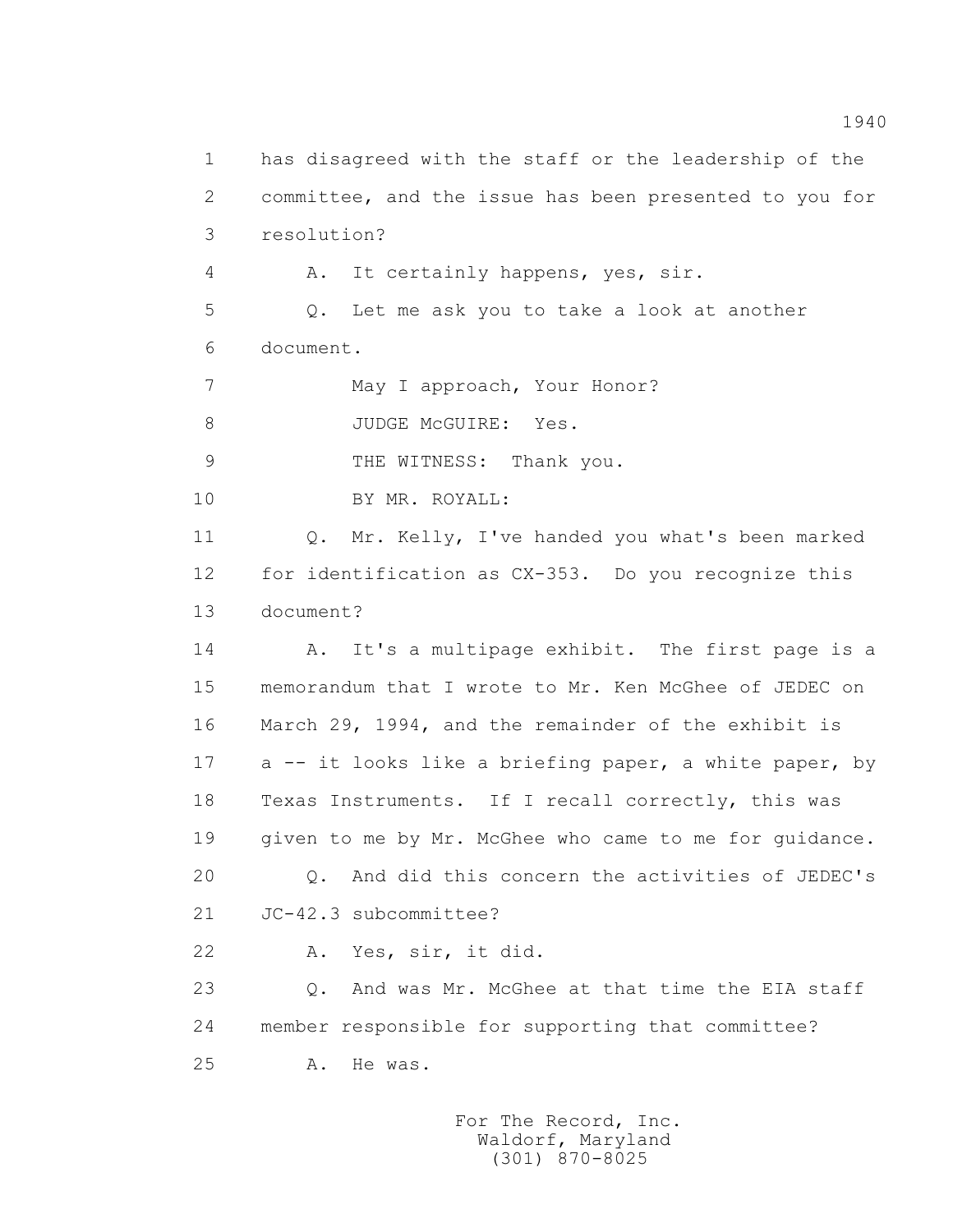1 has disagreed with the staff or the leadership of the 2 committee, and the issue has been presented to you for 3 resolution? 4 A. It certainly happens, yes, sir. 5 Q. Let me ask you to take a look at another 6 document. 7 May I approach, Your Honor? 8 JUDGE McGUIRE: Yes. 9 THE WITNESS: Thank you. 10 BY MR. ROYALL: 11 Q. Mr. Kelly, I've handed you what's been marked 12 for identification as CX-353. Do you recognize this 13 document? 14 A. It's a multipage exhibit. The first page is a 15 memorandum that I wrote to Mr. Ken McGhee of JEDEC on 16 March 29, 1994, and the remainder of the exhibit is 17 a -- it looks like a briefing paper, a white paper, by 18 Texas Instruments. If I recall correctly, this was 19 given to me by Mr. McGhee who came to me for guidance. 20 Q. And did this concern the activities of JEDEC's 21 JC-42.3 subcommittee? 22 A. Yes, sir, it did. 23 0. And was Mr. McGhee at that time the EIA staff 24 member responsible for supporting that committee? 25 A. He was.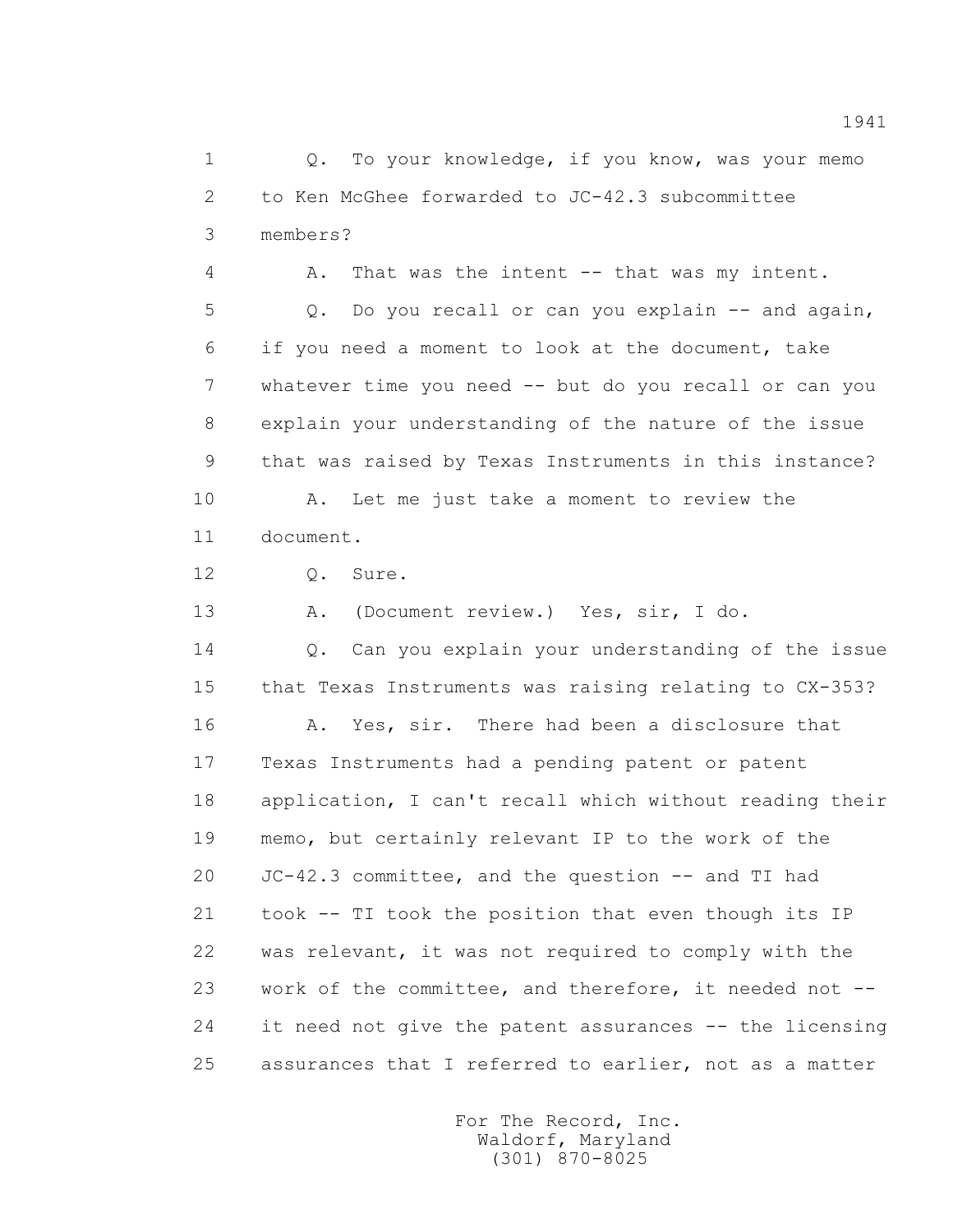1 Q. To your knowledge, if you know, was your memo 2 to Ken McGhee forwarded to JC-42.3 subcommittee 3 members?

 4 A. That was the intent -- that was my intent. 5 Q. Do you recall or can you explain -- and again, 6 if you need a moment to look at the document, take 7 whatever time you need -- but do you recall or can you 8 explain your understanding of the nature of the issue 9 that was raised by Texas Instruments in this instance? 10 A. Let me just take a moment to review the

11 document.

12 Q. Sure.

13 A. (Document review.) Yes, sir, I do.

 14 Q. Can you explain your understanding of the issue 15 that Texas Instruments was raising relating to CX-353?

 16 A. Yes, sir. There had been a disclosure that 17 Texas Instruments had a pending patent or patent 18 application, I can't recall which without reading their 19 memo, but certainly relevant IP to the work of the 20 JC-42.3 committee, and the question -- and TI had 21 took -- TI took the position that even though its IP 22 was relevant, it was not required to comply with the 23 work of the committee, and therefore, it needed not -- 24 it need not give the patent assurances -- the licensing 25 assurances that I referred to earlier, not as a matter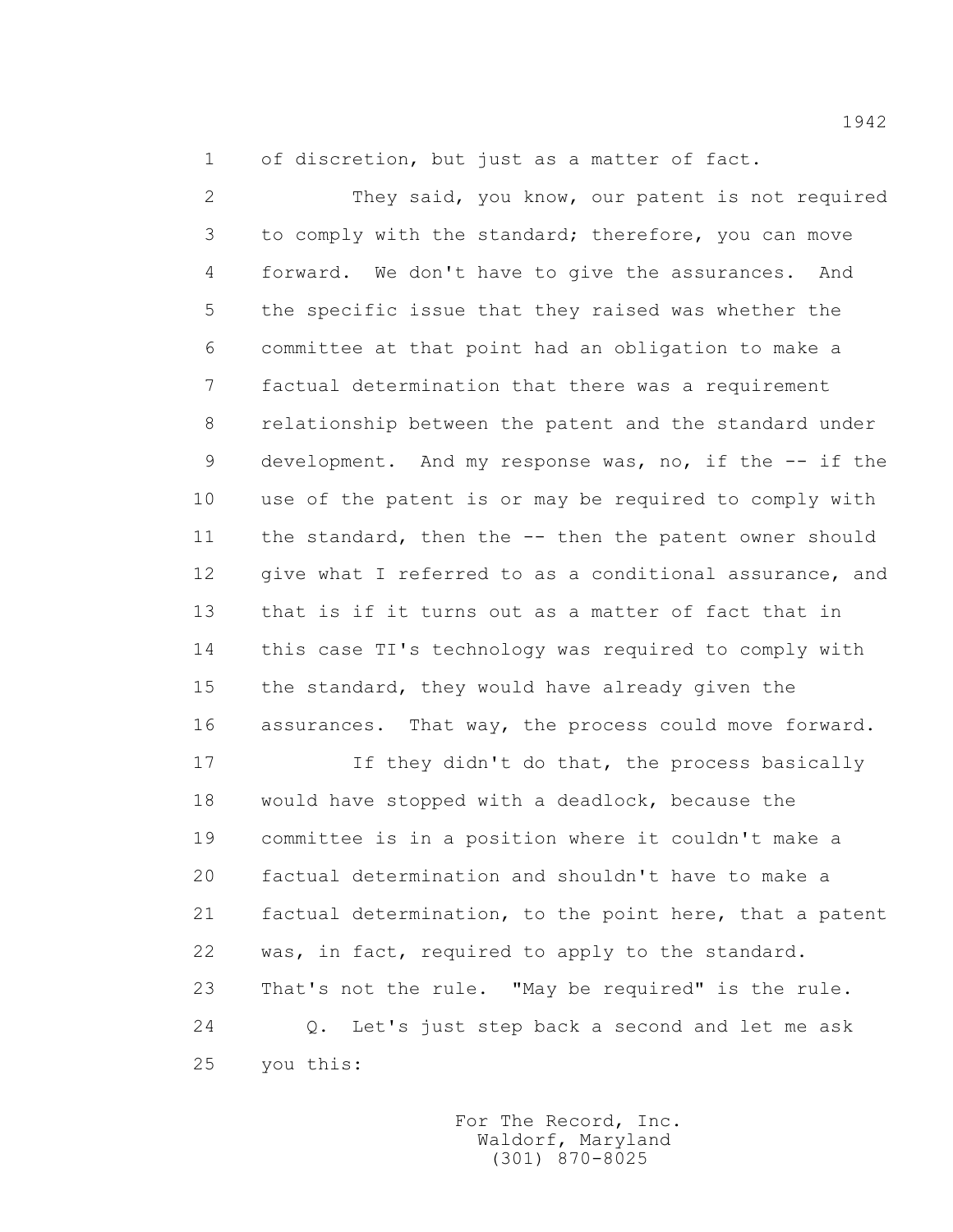1 of discretion, but just as a matter of fact.

 2 They said, you know, our patent is not required 3 to comply with the standard; therefore, you can move 4 forward. We don't have to give the assurances. And 5 the specific issue that they raised was whether the 6 committee at that point had an obligation to make a 7 factual determination that there was a requirement 8 relationship between the patent and the standard under 9 development. And my response was, no, if the -- if the 10 use of the patent is or may be required to comply with 11 the standard, then the -- then the patent owner should 12 give what I referred to as a conditional assurance, and 13 that is if it turns out as a matter of fact that in 14 this case TI's technology was required to comply with 15 the standard, they would have already given the 16 assurances. That way, the process could move forward.

 17 If they didn't do that, the process basically 18 would have stopped with a deadlock, because the 19 committee is in a position where it couldn't make a 20 factual determination and shouldn't have to make a 21 factual determination, to the point here, that a patent 22 was, in fact, required to apply to the standard. 23 That's not the rule. "May be required" is the rule. 24 Q. Let's just step back a second and let me ask 25 you this: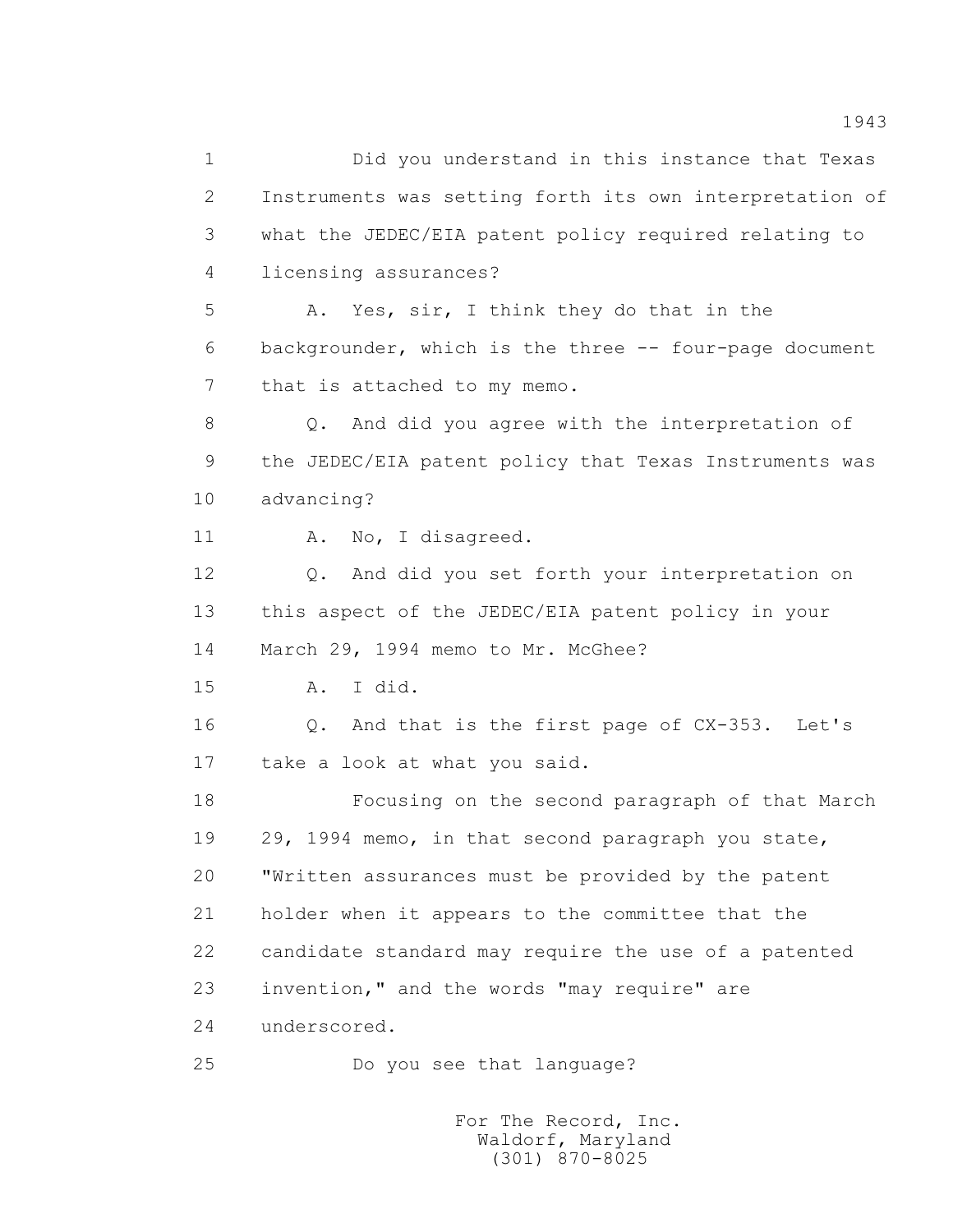1 Did you understand in this instance that Texas 2 Instruments was setting forth its own interpretation of 3 what the JEDEC/EIA patent policy required relating to 4 licensing assurances? 5 A. Yes, sir, I think they do that in the 6 backgrounder, which is the three -- four-page document 7 that is attached to my memo. 8 Q. And did you agree with the interpretation of 9 the JEDEC/EIA patent policy that Texas Instruments was 10 advancing? 11 A. No, I disagreed. 12 Q. And did you set forth your interpretation on 13 this aspect of the JEDEC/EIA patent policy in your 14 March 29, 1994 memo to Mr. McGhee? 15 A. I did. 16 Q. And that is the first page of CX-353. Let's 17 take a look at what you said. 18 Focusing on the second paragraph of that March 19 29, 1994 memo, in that second paragraph you state, 20 "Written assurances must be provided by the patent 21 holder when it appears to the committee that the 22 candidate standard may require the use of a patented 23 invention," and the words "may require" are 24 underscored. 25 Do you see that language?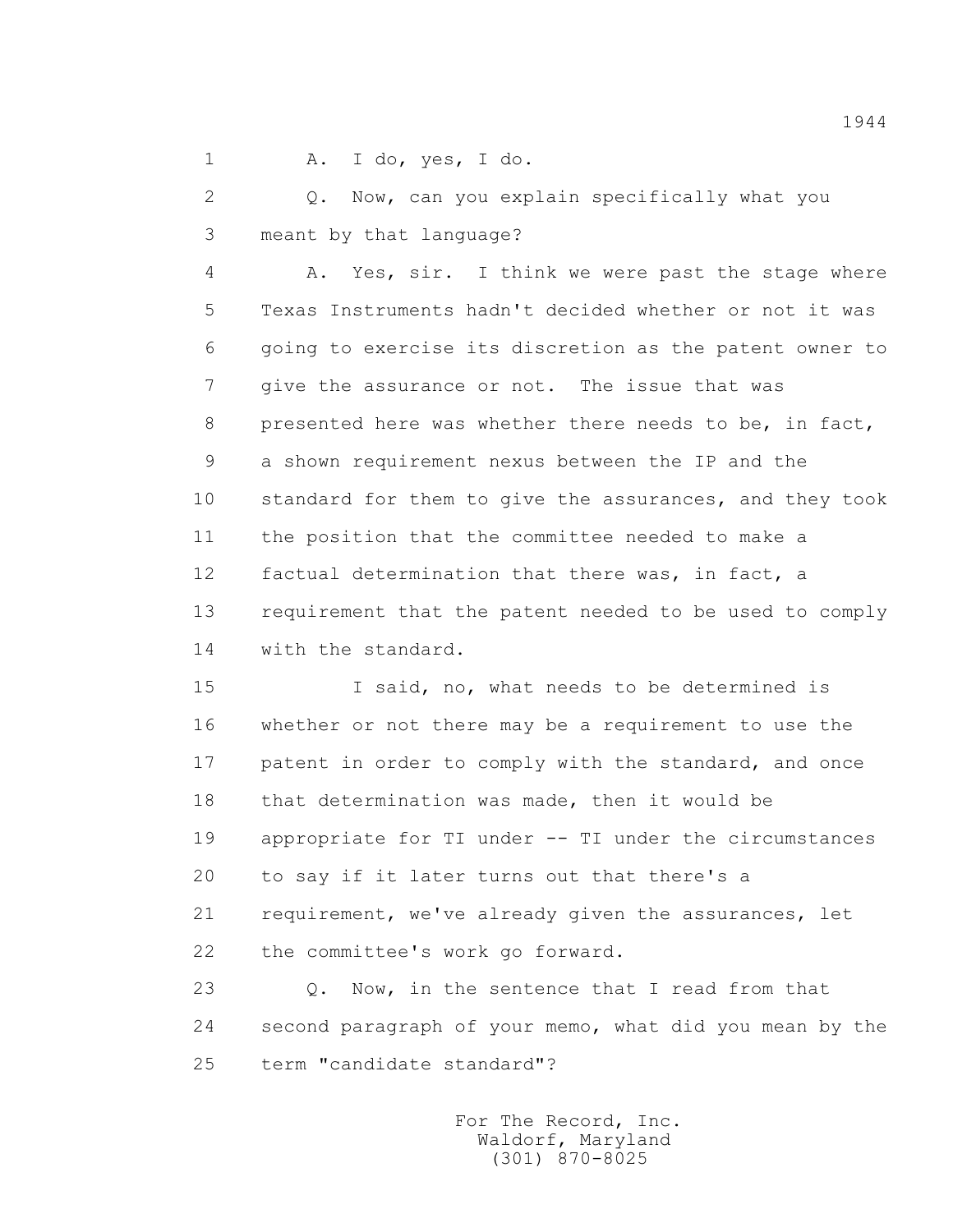1 A. I do, yes, I do.

 2 Q. Now, can you explain specifically what you 3 meant by that language?

 4 A. Yes, sir. I think we were past the stage where 5 Texas Instruments hadn't decided whether or not it was 6 going to exercise its discretion as the patent owner to 7 give the assurance or not. The issue that was 8 presented here was whether there needs to be, in fact, 9 a shown requirement nexus between the IP and the 10 standard for them to give the assurances, and they took 11 the position that the committee needed to make a 12 factual determination that there was, in fact, a 13 requirement that the patent needed to be used to comply 14 with the standard.

 15 I said, no, what needs to be determined is 16 whether or not there may be a requirement to use the 17 patent in order to comply with the standard, and once 18 that determination was made, then it would be 19 appropriate for TI under -- TI under the circumstances 20 to say if it later turns out that there's a 21 requirement, we've already given the assurances, let 22 the committee's work go forward.

23 0. Now, in the sentence that I read from that 24 second paragraph of your memo, what did you mean by the 25 term "candidate standard"?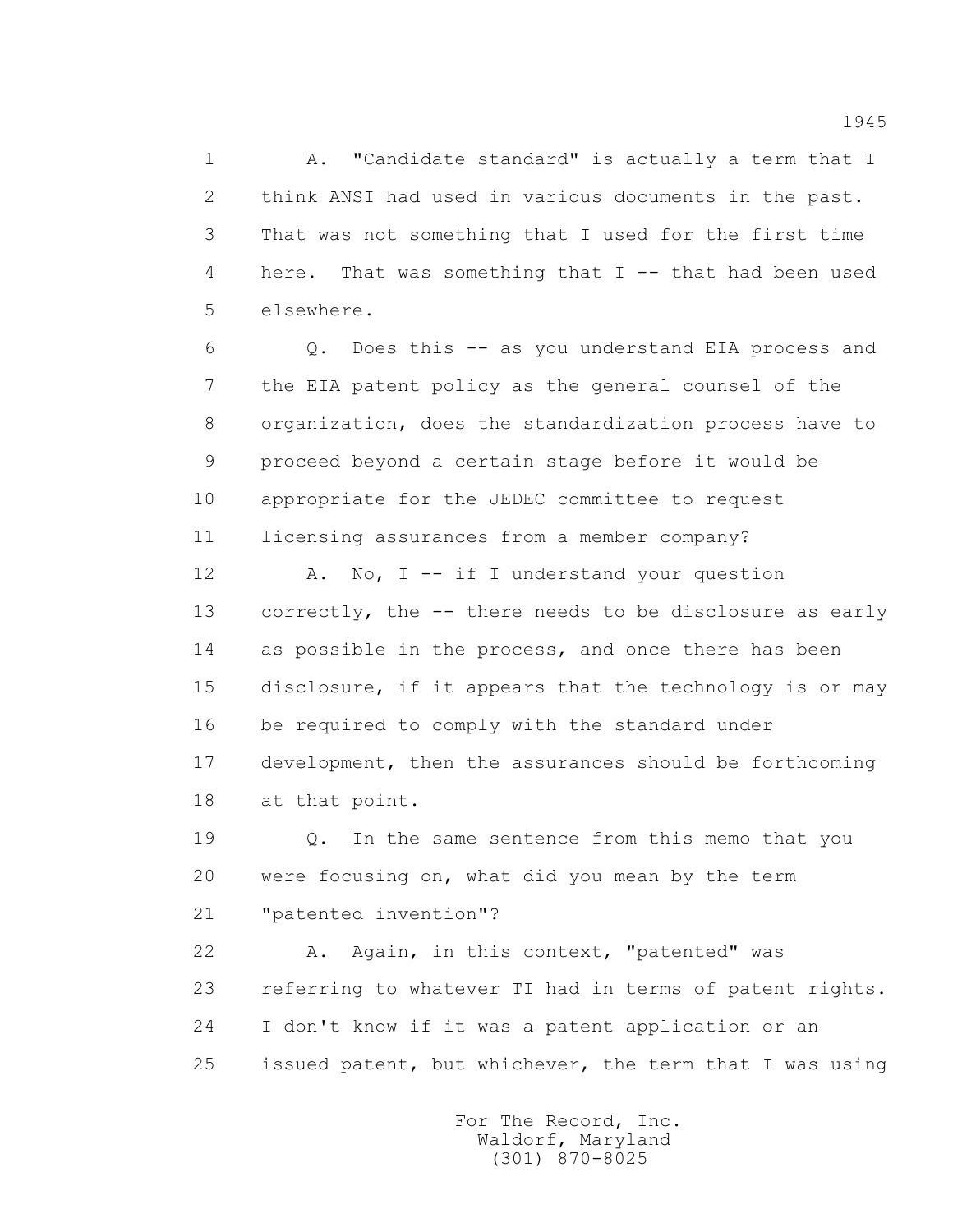1 A. "Candidate standard" is actually a term that I 2 think ANSI had used in various documents in the past. 3 That was not something that I used for the first time 4 here. That was something that I -- that had been used 5 elsewhere.

 6 Q. Does this -- as you understand EIA process and 7 the EIA patent policy as the general counsel of the 8 organization, does the standardization process have to 9 proceed beyond a certain stage before it would be 10 appropriate for the JEDEC committee to request 11 licensing assurances from a member company?

12 A. No, I -- if I understand your question 13 correctly, the -- there needs to be disclosure as early 14 as possible in the process, and once there has been 15 disclosure, if it appears that the technology is or may 16 be required to comply with the standard under 17 development, then the assurances should be forthcoming 18 at that point.

 19 Q. In the same sentence from this memo that you 20 were focusing on, what did you mean by the term 21 "patented invention"?

 22 A. Again, in this context, "patented" was 23 referring to whatever TI had in terms of patent rights. 24 I don't know if it was a patent application or an 25 issued patent, but whichever, the term that I was using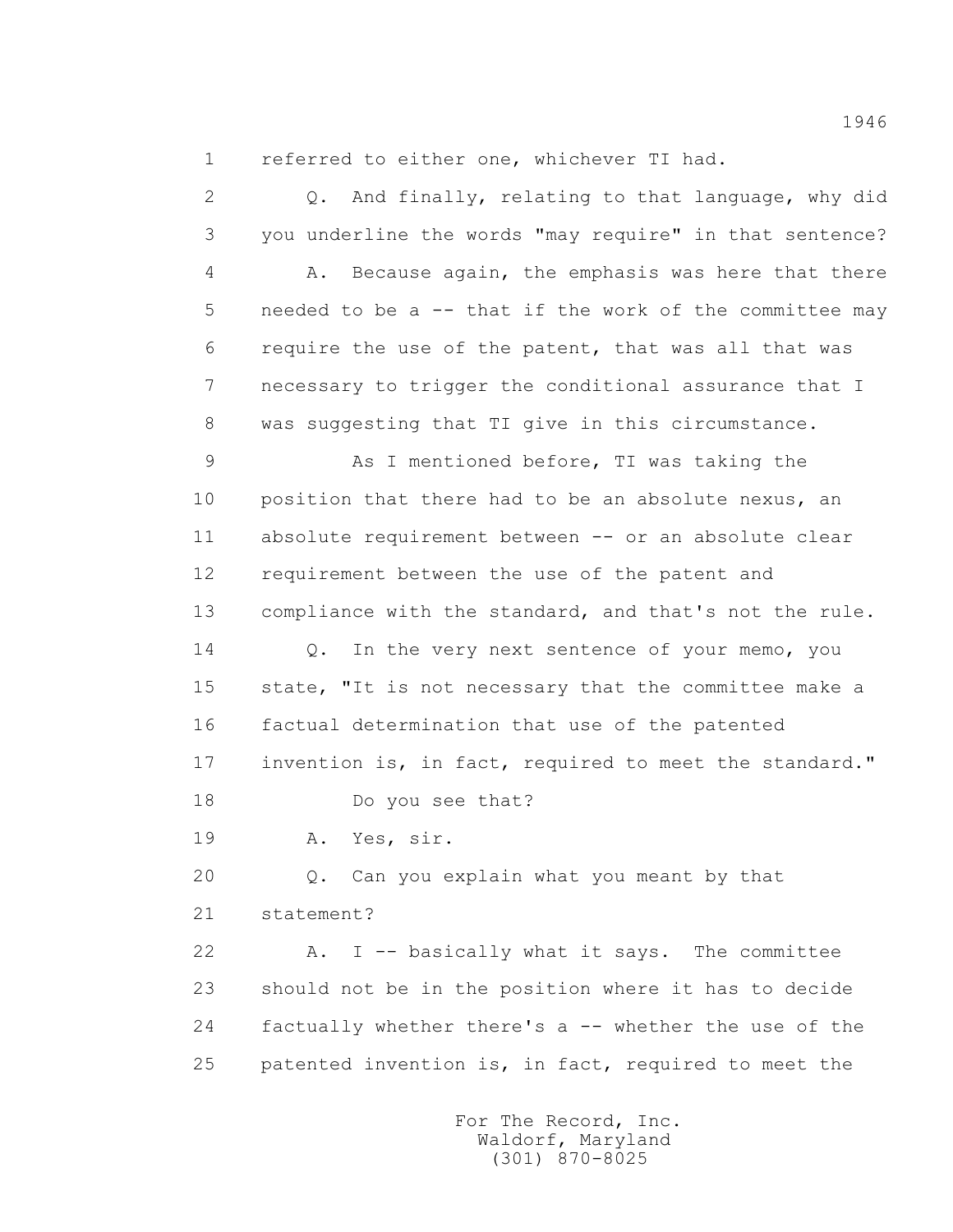1 referred to either one, whichever TI had.

 2 Q. And finally, relating to that language, why did 3 you underline the words "may require" in that sentence? 4 A. Because again, the emphasis was here that there 5 needed to be a -- that if the work of the committee may 6 require the use of the patent, that was all that was 7 necessary to trigger the conditional assurance that I 8 was suggesting that TI give in this circumstance. 9 As I mentioned before, TI was taking the 10 position that there had to be an absolute nexus, an 11 absolute requirement between -- or an absolute clear 12 requirement between the use of the patent and 13 compliance with the standard, and that's not the rule. 14 Q. In the very next sentence of your memo, you 15 state, "It is not necessary that the committee make a 16 factual determination that use of the patented 17 invention is, in fact, required to meet the standard." 18 Do you see that? 19 A. Yes, sir. 20 Q. Can you explain what you meant by that 21 statement? 22 A. I -- basically what it says. The committee 23 should not be in the position where it has to decide 24 factually whether there's a -- whether the use of the 25 patented invention is, in fact, required to meet the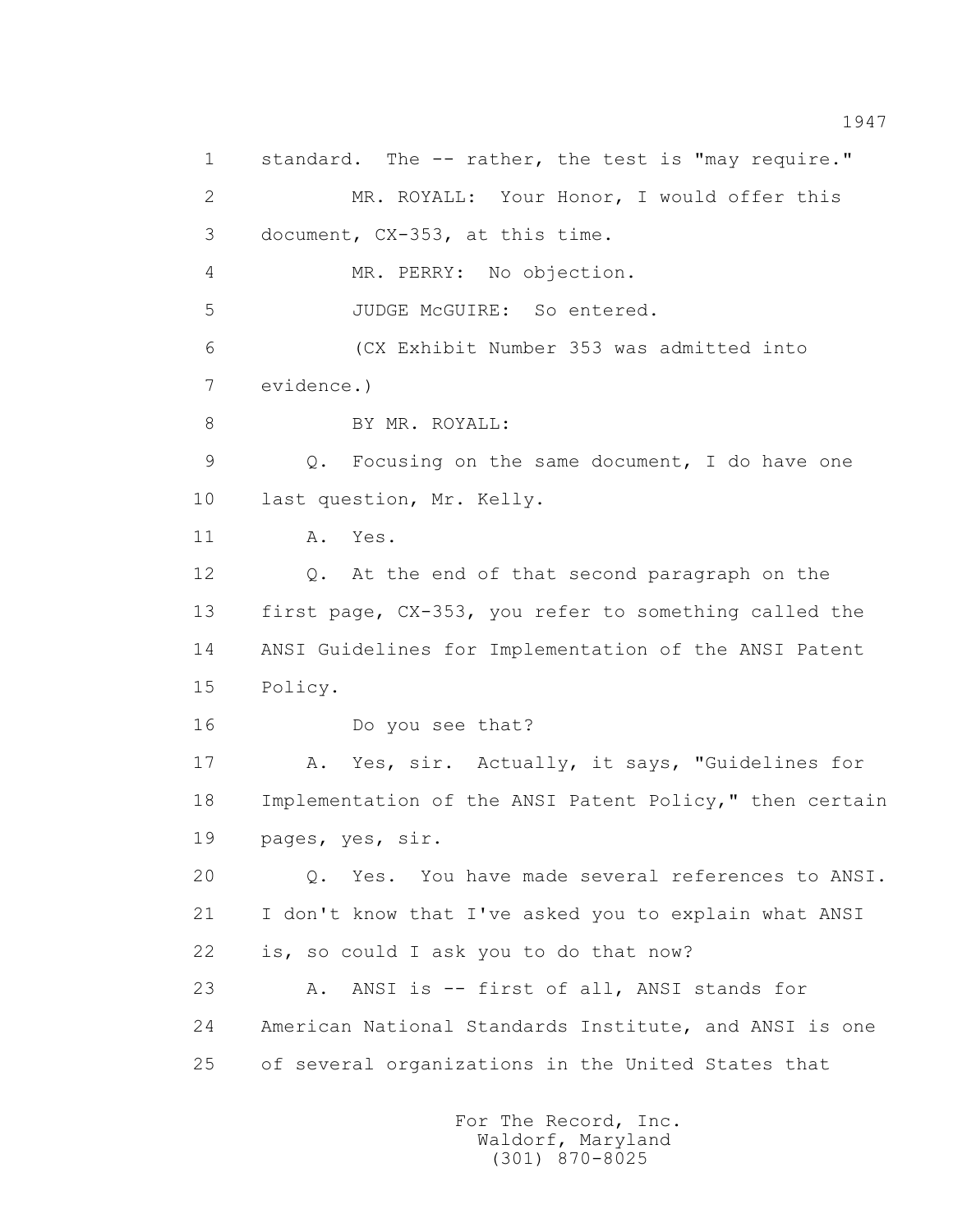1 standard. The -- rather, the test is "may require." 2 MR. ROYALL: Your Honor, I would offer this 3 document, CX-353, at this time. 4 MR. PERRY: No objection. 5 JUDGE McGUIRE: So entered. 6 (CX Exhibit Number 353 was admitted into 7 evidence.) 8 BY MR. ROYALL: 9 Q. Focusing on the same document, I do have one 10 last question, Mr. Kelly. 11 A. Yes. 12 Q. At the end of that second paragraph on the 13 first page, CX-353, you refer to something called the 14 ANSI Guidelines for Implementation of the ANSI Patent 15 Policy. 16 Do you see that? 17 A. Yes, sir. Actually, it says, "Guidelines for 18 Implementation of the ANSI Patent Policy," then certain 19 pages, yes, sir. 20 Q. Yes. You have made several references to ANSI. 21 I don't know that I've asked you to explain what ANSI 22 is, so could I ask you to do that now? 23 A. ANSI is -- first of all, ANSI stands for 24 American National Standards Institute, and ANSI is one 25 of several organizations in the United States that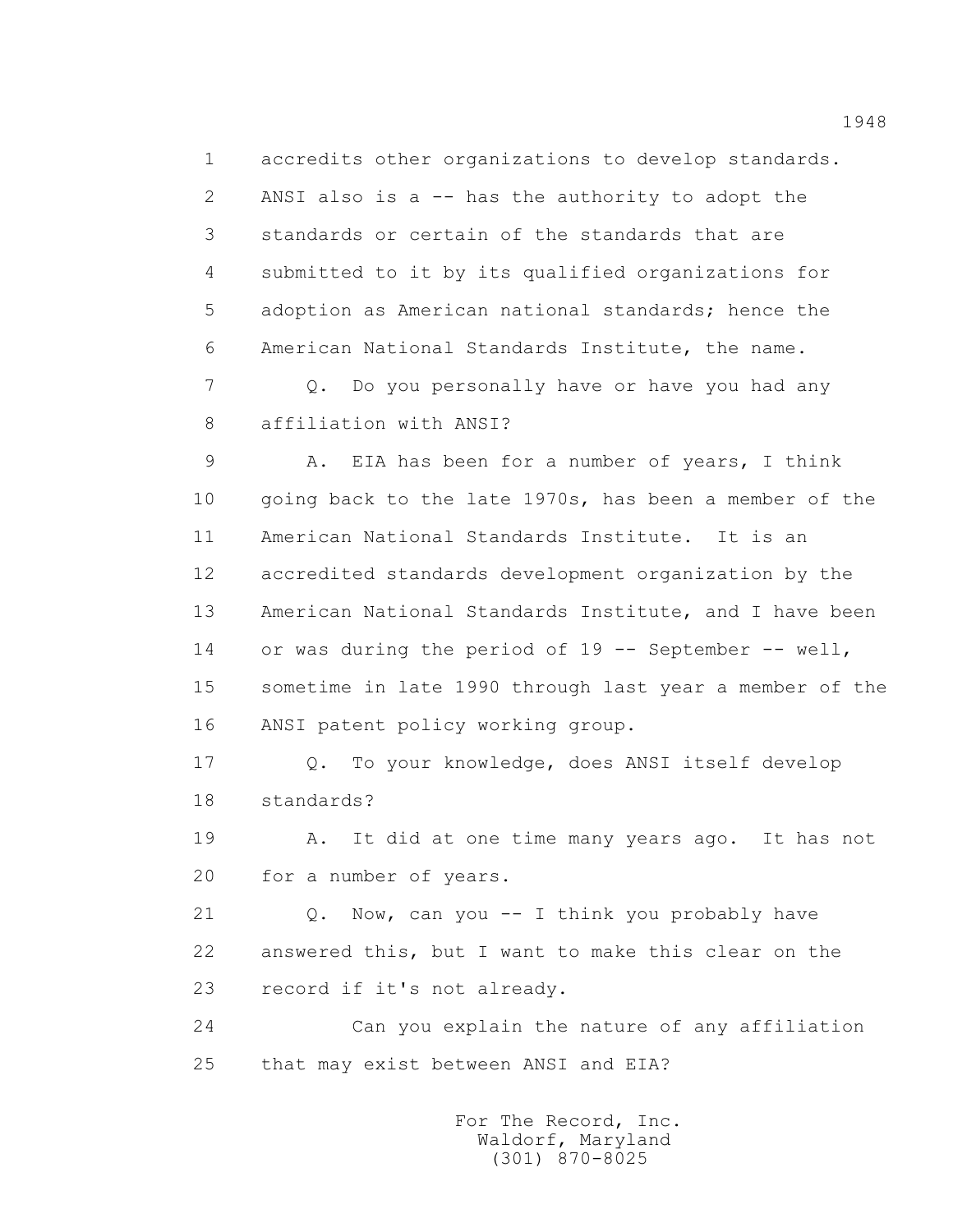1 accredits other organizations to develop standards. 2 ANSI also is a -- has the authority to adopt the 3 standards or certain of the standards that are 4 submitted to it by its qualified organizations for 5 adoption as American national standards; hence the 6 American National Standards Institute, the name.

 7 Q. Do you personally have or have you had any 8 affiliation with ANSI?

 9 A. EIA has been for a number of years, I think 10 going back to the late 1970s, has been a member of the 11 American National Standards Institute. It is an 12 accredited standards development organization by the 13 American National Standards Institute, and I have been 14 or was during the period of 19 -- September -- well, 15 sometime in late 1990 through last year a member of the 16 ANSI patent policy working group.

 17 Q. To your knowledge, does ANSI itself develop 18 standards?

 19 A. It did at one time many years ago. It has not 20 for a number of years.

 21 Q. Now, can you -- I think you probably have 22 answered this, but I want to make this clear on the 23 record if it's not already.

 24 Can you explain the nature of any affiliation 25 that may exist between ANSI and EIA?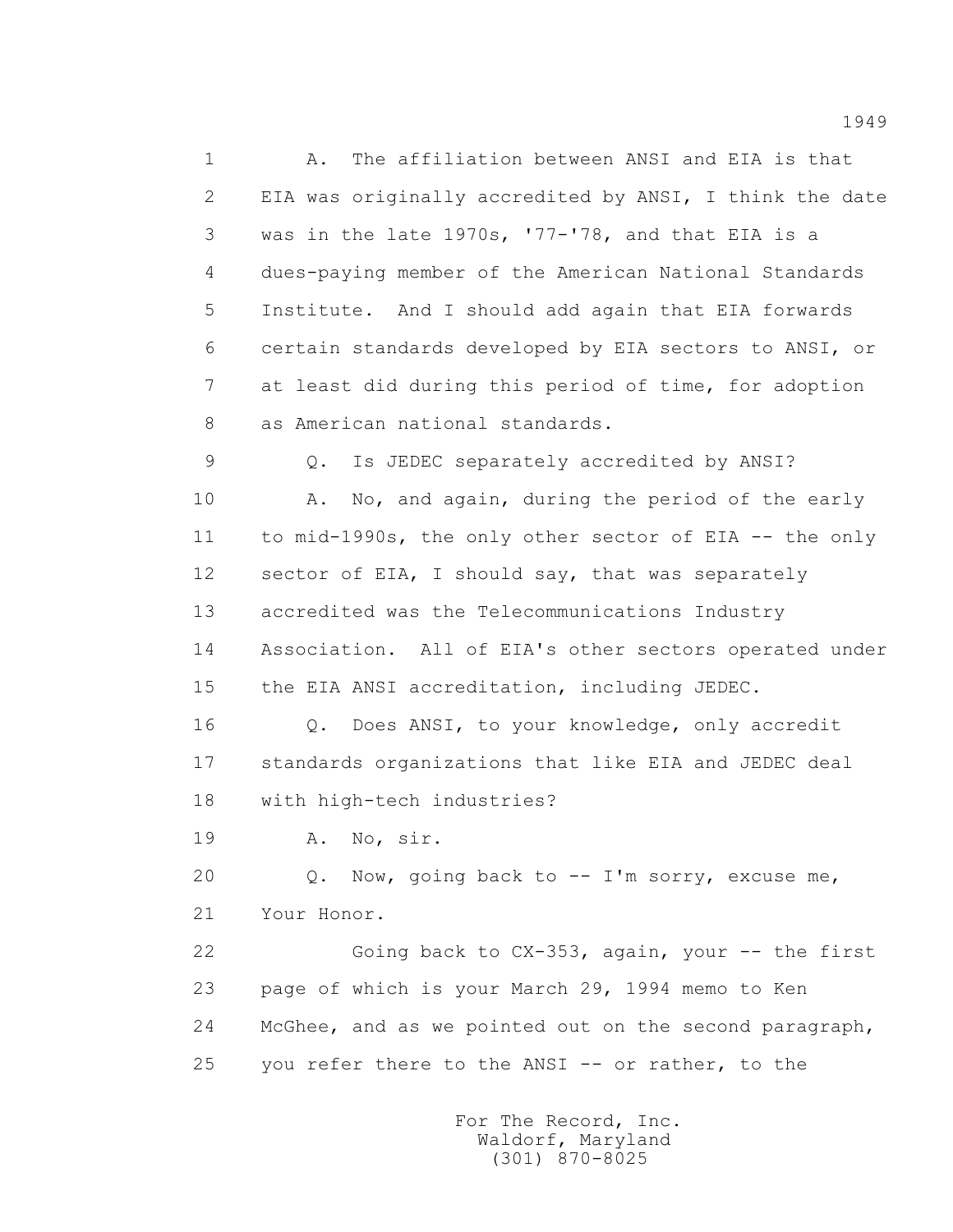1 A. The affiliation between ANSI and EIA is that 2 EIA was originally accredited by ANSI, I think the date 3 was in the late 1970s, '77-'78, and that EIA is a 4 dues-paying member of the American National Standards 5 Institute. And I should add again that EIA forwards 6 certain standards developed by EIA sectors to ANSI, or 7 at least did during this period of time, for adoption 8 as American national standards.

 9 Q. Is JEDEC separately accredited by ANSI? 10 A. No, and again, during the period of the early 11 to mid-1990s, the only other sector of EIA -- the only 12 sector of EIA, I should say, that was separately 13 accredited was the Telecommunications Industry 14 Association. All of EIA's other sectors operated under 15 the EIA ANSI accreditation, including JEDEC.

 16 Q. Does ANSI, to your knowledge, only accredit 17 standards organizations that like EIA and JEDEC deal 18 with high-tech industries?

19 A. No, sir.

 20 Q. Now, going back to -- I'm sorry, excuse me, 21 Your Honor.

22 Going back to CX-353, again, your -- the first 23 page of which is your March 29, 1994 memo to Ken 24 McGhee, and as we pointed out on the second paragraph, 25 you refer there to the ANSI -- or rather, to the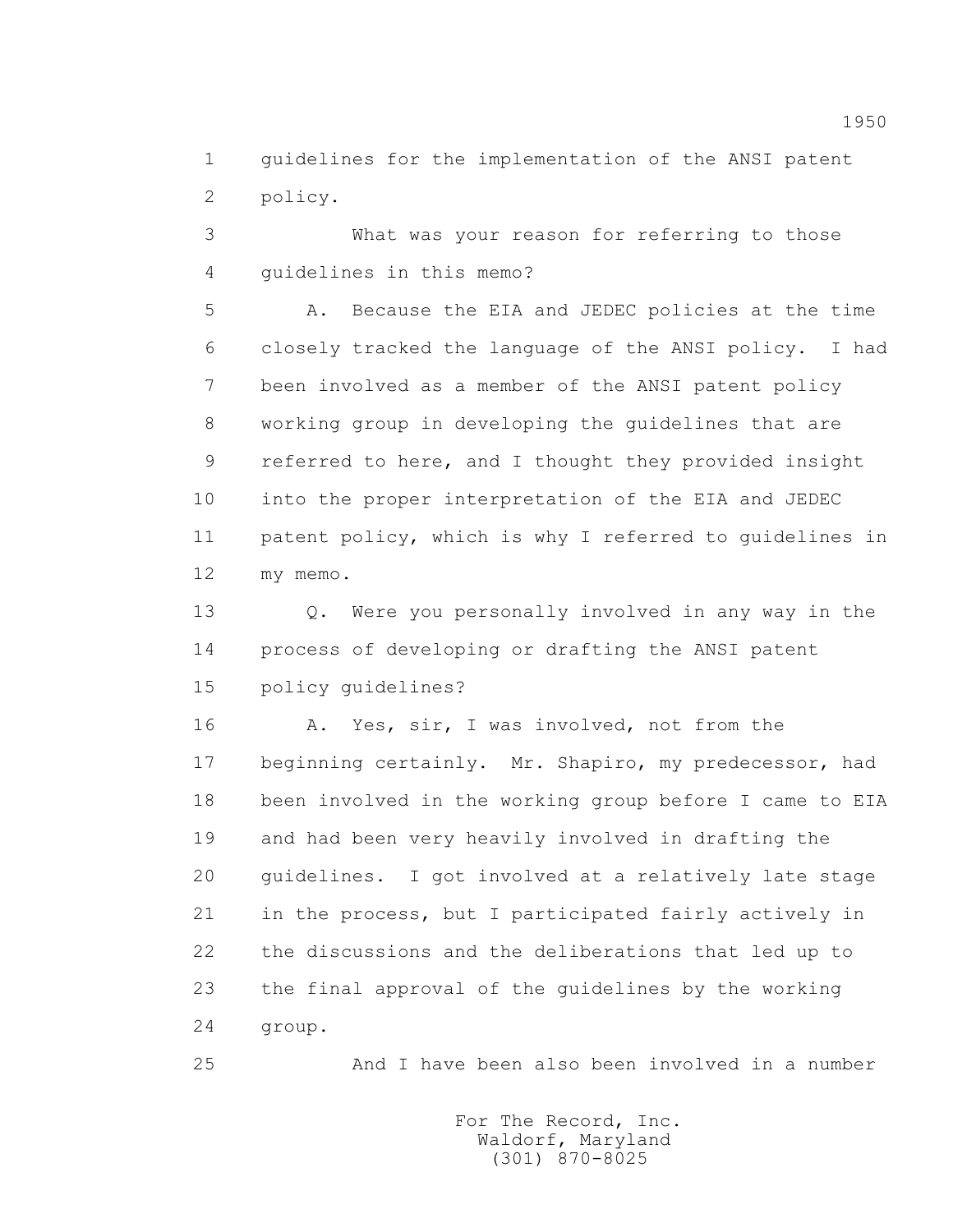1 guidelines for the implementation of the ANSI patent 2 policy.

 3 What was your reason for referring to those 4 guidelines in this memo?

 5 A. Because the EIA and JEDEC policies at the time 6 closely tracked the language of the ANSI policy. I had 7 been involved as a member of the ANSI patent policy 8 working group in developing the guidelines that are 9 referred to here, and I thought they provided insight 10 into the proper interpretation of the EIA and JEDEC 11 patent policy, which is why I referred to guidelines in 12 my memo.

13 O. Were you personally involved in any way in the 14 process of developing or drafting the ANSI patent 15 policy guidelines?

16 A. Yes, sir, I was involved, not from the 17 beginning certainly. Mr. Shapiro, my predecessor, had 18 been involved in the working group before I came to EIA 19 and had been very heavily involved in drafting the 20 guidelines. I got involved at a relatively late stage 21 in the process, but I participated fairly actively in 22 the discussions and the deliberations that led up to 23 the final approval of the guidelines by the working 24 group.

25 And I have been also been involved in a number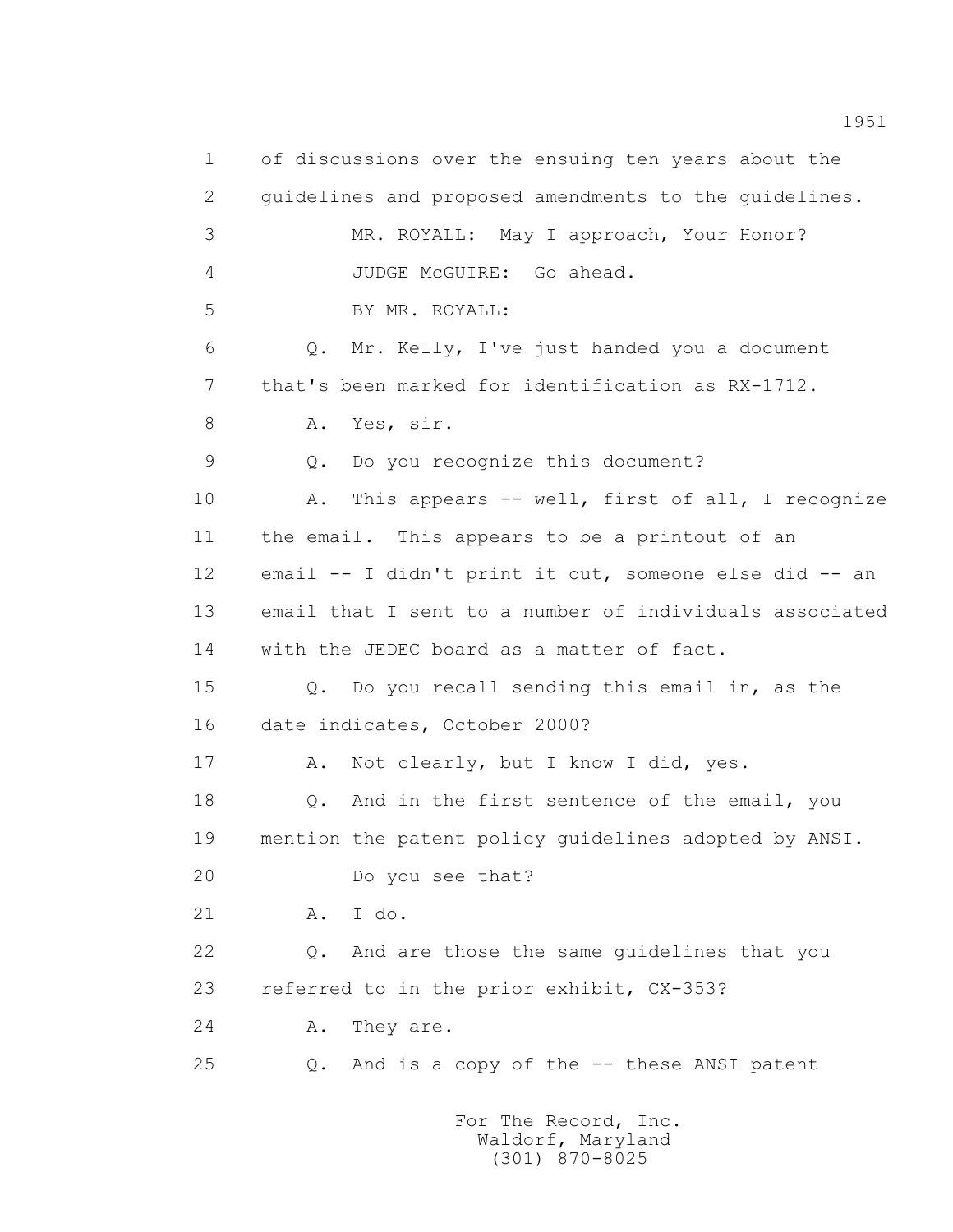1 of discussions over the ensuing ten years about the 2 guidelines and proposed amendments to the guidelines. 3 MR. ROYALL: May I approach, Your Honor? 4 JUDGE McGUIRE: Go ahead. 5 BY MR. ROYALL: 6 Q. Mr. Kelly, I've just handed you a document 7 that's been marked for identification as RX-1712. 8 A. Yes, sir. 9 Q. Do you recognize this document? 10 A. This appears -- well, first of all, I recognize 11 the email. This appears to be a printout of an 12 email -- I didn't print it out, someone else did -- an 13 email that I sent to a number of individuals associated 14 with the JEDEC board as a matter of fact. 15 Q. Do you recall sending this email in, as the 16 date indicates, October 2000? 17 A. Not clearly, but I know I did, yes. 18 0. And in the first sentence of the email, you 19 mention the patent policy guidelines adopted by ANSI. 20 Do you see that? 21 A. I do. 22 Q. And are those the same guidelines that you 23 referred to in the prior exhibit, CX-353? 24 A. They are. 25 Q. And is a copy of the -- these ANSI patent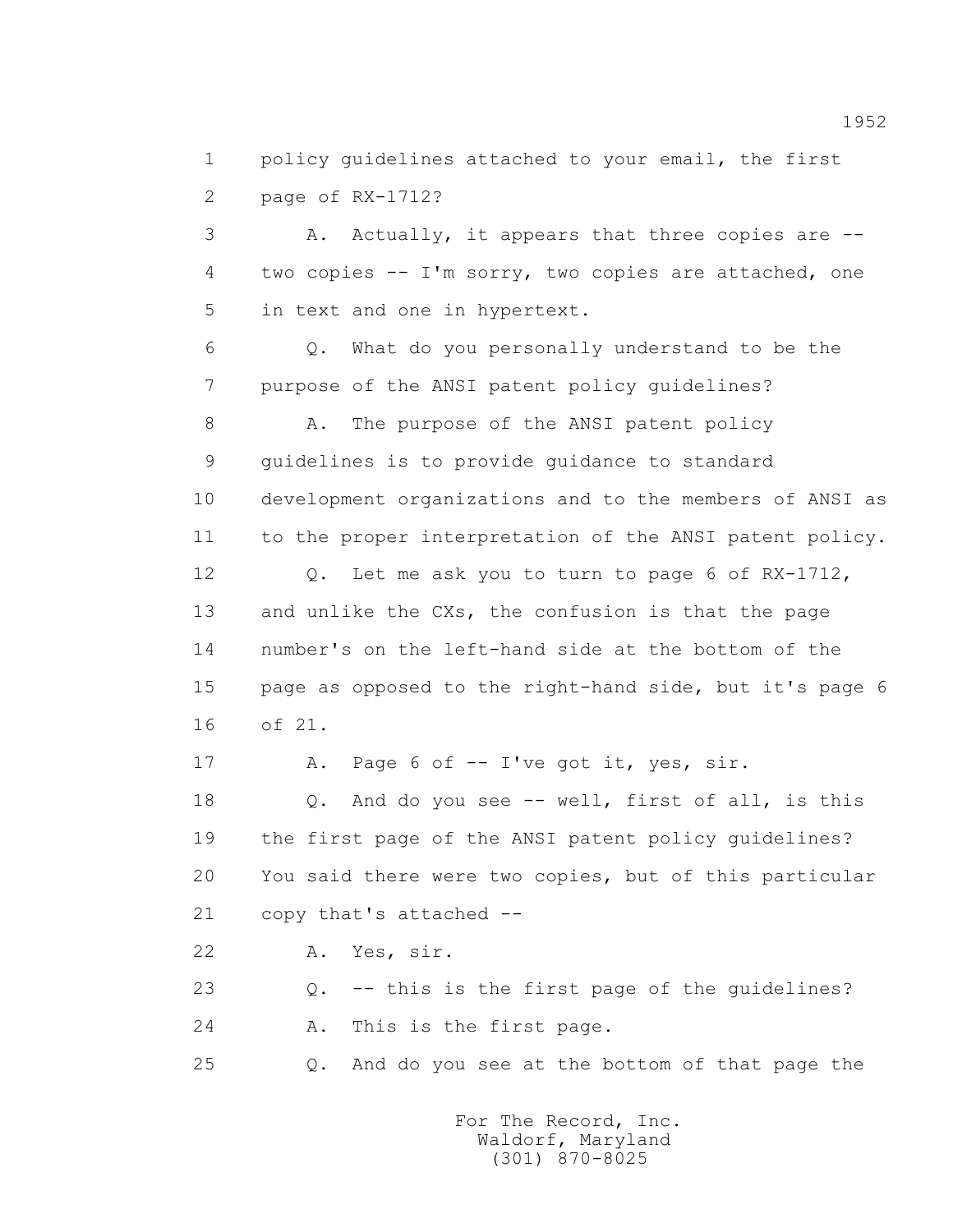1 policy guidelines attached to your email, the first 2 page of RX-1712?

 3 A. Actually, it appears that three copies are -- 4 two copies -- I'm sorry, two copies are attached, one 5 in text and one in hypertext.

 6 Q. What do you personally understand to be the 7 purpose of the ANSI patent policy guidelines?

8 A. The purpose of the ANSI patent policy 9 guidelines is to provide guidance to standard 10 development organizations and to the members of ANSI as 11 to the proper interpretation of the ANSI patent policy.

 12 Q. Let me ask you to turn to page 6 of RX-1712, 13 and unlike the CXs, the confusion is that the page 14 number's on the left-hand side at the bottom of the 15 page as opposed to the right-hand side, but it's page 6 16 of 21.

17 A. Page 6 of -- I've got it, yes, sir.

18 0. And do you see -- well, first of all, is this 19 the first page of the ANSI patent policy guidelines? 20 You said there were two copies, but of this particular 21 copy that's attached --

22 A. Yes, sir.

23 Q. -- this is the first page of the guidelines?

24 A. This is the first page.

25 Q. And do you see at the bottom of that page the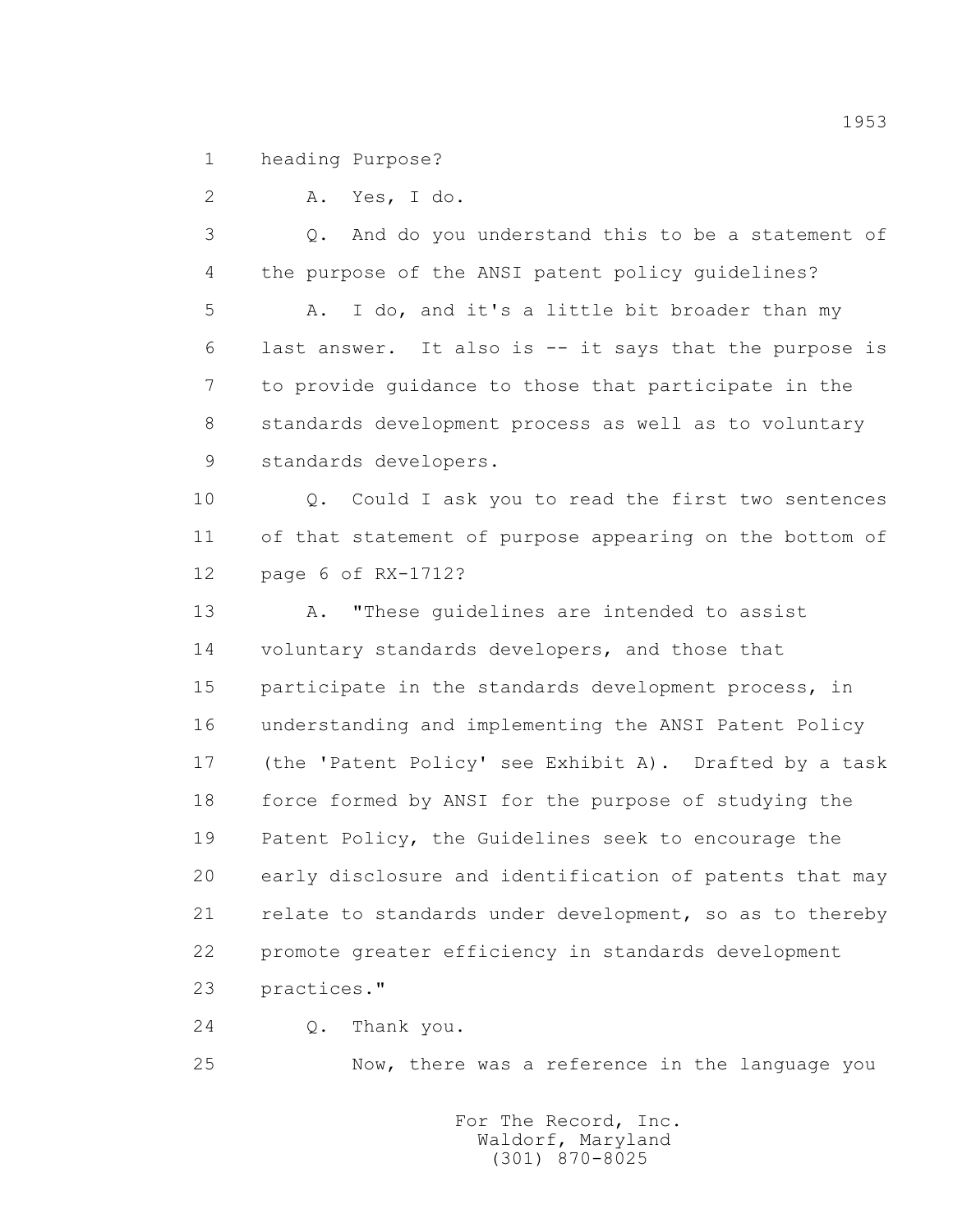1 heading Purpose?

2 A. Yes, I do.

 3 Q. And do you understand this to be a statement of 4 the purpose of the ANSI patent policy guidelines?

 5 A. I do, and it's a little bit broader than my 6 last answer. It also is -- it says that the purpose is 7 to provide guidance to those that participate in the 8 standards development process as well as to voluntary 9 standards developers.

10 0. Could I ask you to read the first two sentences 11 of that statement of purpose appearing on the bottom of 12 page 6 of RX-1712?

 13 A. "These guidelines are intended to assist 14 voluntary standards developers, and those that 15 participate in the standards development process, in 16 understanding and implementing the ANSI Patent Policy 17 (the 'Patent Policy' see Exhibit A). Drafted by a task 18 force formed by ANSI for the purpose of studying the 19 Patent Policy, the Guidelines seek to encourage the 20 early disclosure and identification of patents that may 21 relate to standards under development, so as to thereby 22 promote greater efficiency in standards development 23 practices."

24 Q. Thank you.

25 Now, there was a reference in the language you

 For The Record, Inc. Waldorf, Maryland (301) 870-8025

1953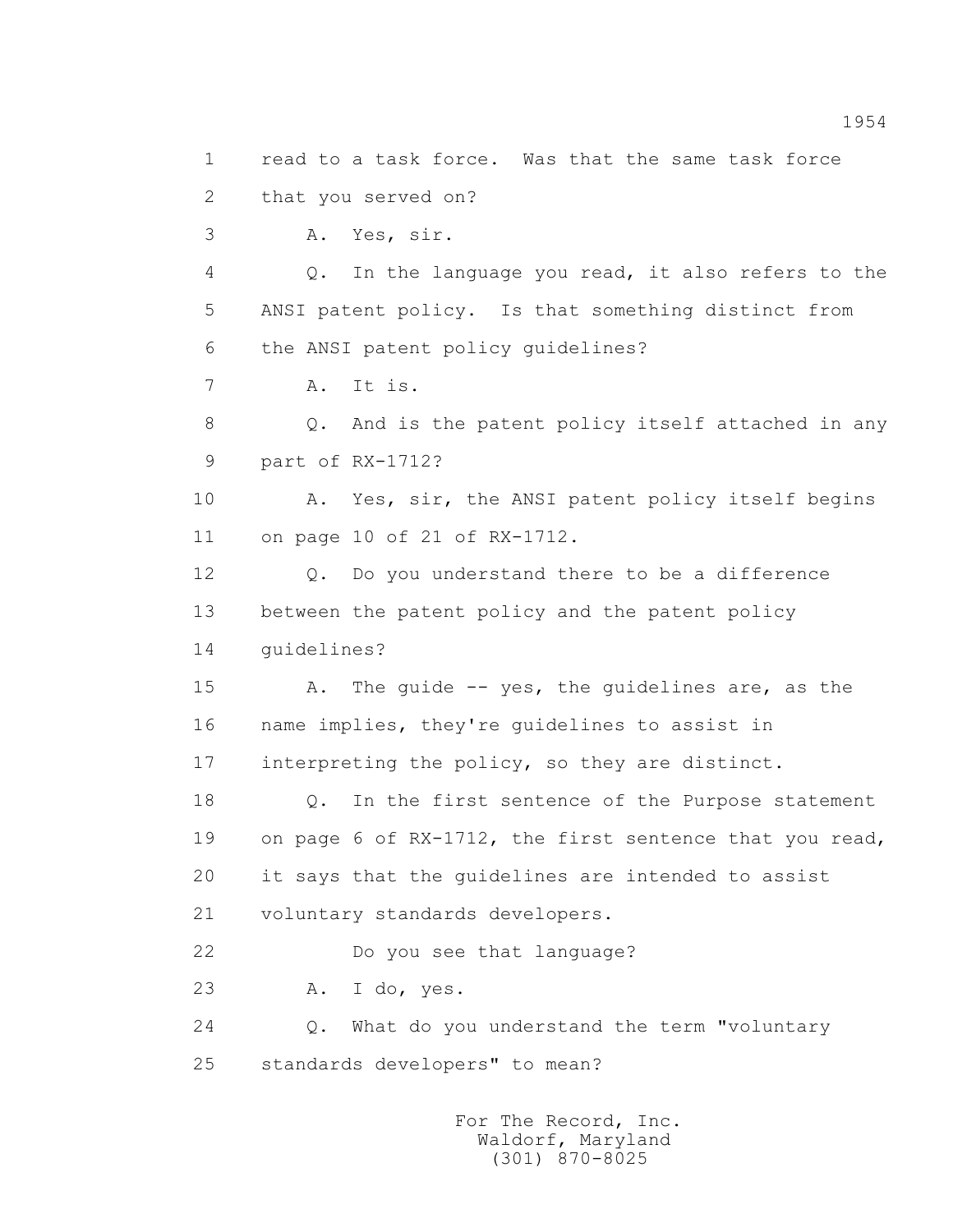1 read to a task force. Was that the same task force 2 that you served on? 3 A. Yes, sir. 4 Q. In the language you read, it also refers to the 5 ANSI patent policy. Is that something distinct from 6 the ANSI patent policy guidelines? 7 A. It is. 8 Q. And is the patent policy itself attached in any 9 part of RX-1712? 10 A. Yes, sir, the ANSI patent policy itself begins 11 on page 10 of 21 of RX-1712. 12 Q. Do you understand there to be a difference 13 between the patent policy and the patent policy 14 guidelines? 15 A. The guide -- yes, the guidelines are, as the 16 name implies, they're guidelines to assist in 17 interpreting the policy, so they are distinct. 18 Q. In the first sentence of the Purpose statement 19 on page 6 of RX-1712, the first sentence that you read, 20 it says that the guidelines are intended to assist 21 voluntary standards developers. 22 Do you see that language? 23 A. I do, yes. 24 Q. What do you understand the term "voluntary 25 standards developers" to mean?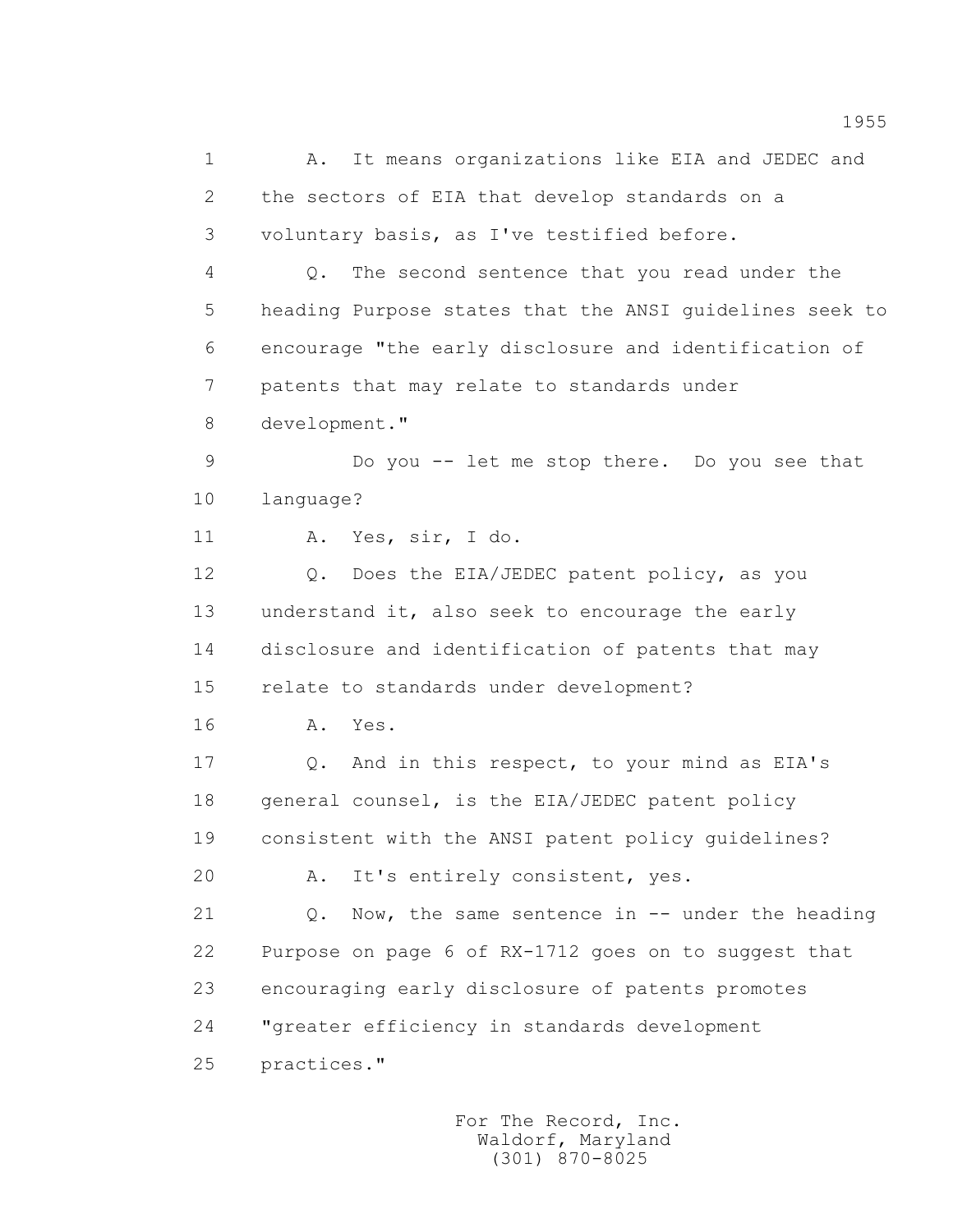1 A. It means organizations like EIA and JEDEC and 2 the sectors of EIA that develop standards on a 3 voluntary basis, as I've testified before. 4 Q. The second sentence that you read under the 5 heading Purpose states that the ANSI guidelines seek to 6 encourage "the early disclosure and identification of 7 patents that may relate to standards under 8 development." 9 Do you -- let me stop there. Do you see that 10 language? 11 A. Yes, sir, I do. 12 0. Does the EIA/JEDEC patent policy, as you 13 understand it, also seek to encourage the early 14 disclosure and identification of patents that may 15 relate to standards under development? 16 **A.** Yes. 17 Q. And in this respect, to your mind as EIA's 18 general counsel, is the EIA/JEDEC patent policy 19 consistent with the ANSI patent policy guidelines? 20 A. It's entirely consistent, yes. 21 Q. Now, the same sentence in -- under the heading 22 Purpose on page 6 of RX-1712 goes on to suggest that 23 encouraging early disclosure of patents promotes 24 "greater efficiency in standards development 25 practices."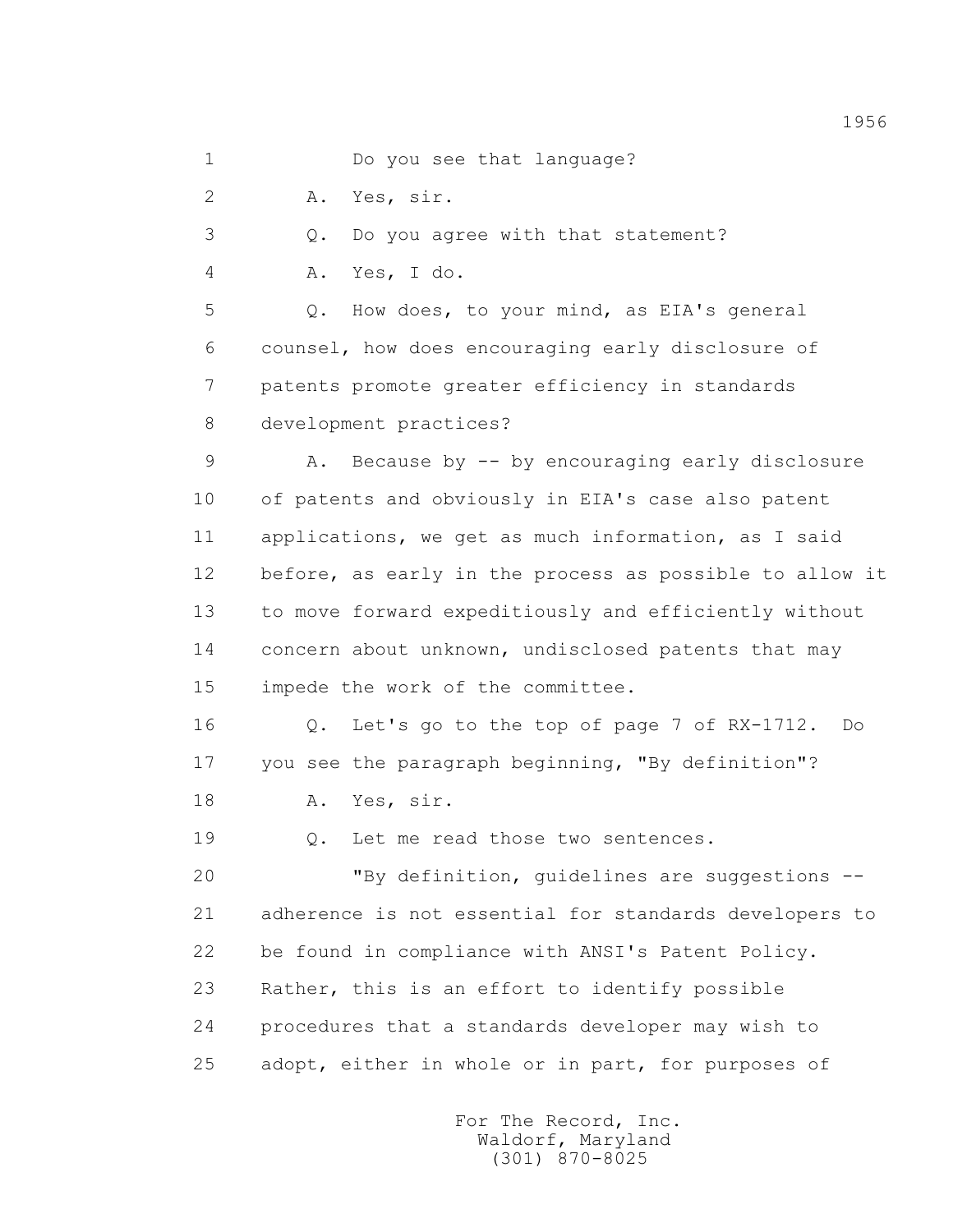1 Do you see that language?

2 A. Yes, sir.

3 Q. Do you agree with that statement?

4 A. Yes, I do.

 5 Q. How does, to your mind, as EIA's general 6 counsel, how does encouraging early disclosure of 7 patents promote greater efficiency in standards 8 development practices?

 9 A. Because by -- by encouraging early disclosure 10 of patents and obviously in EIA's case also patent 11 applications, we get as much information, as I said 12 before, as early in the process as possible to allow it 13 to move forward expeditiously and efficiently without 14 concern about unknown, undisclosed patents that may 15 impede the work of the committee.

 16 Q. Let's go to the top of page 7 of RX-1712. Do 17 you see the paragraph beginning, "By definition"?

18 A. Yes, sir.

19 Q. Let me read those two sentences.

 20 "By definition, guidelines are suggestions -- 21 adherence is not essential for standards developers to 22 be found in compliance with ANSI's Patent Policy. 23 Rather, this is an effort to identify possible 24 procedures that a standards developer may wish to 25 adopt, either in whole or in part, for purposes of

> For The Record, Inc. Waldorf, Maryland (301) 870-8025

1956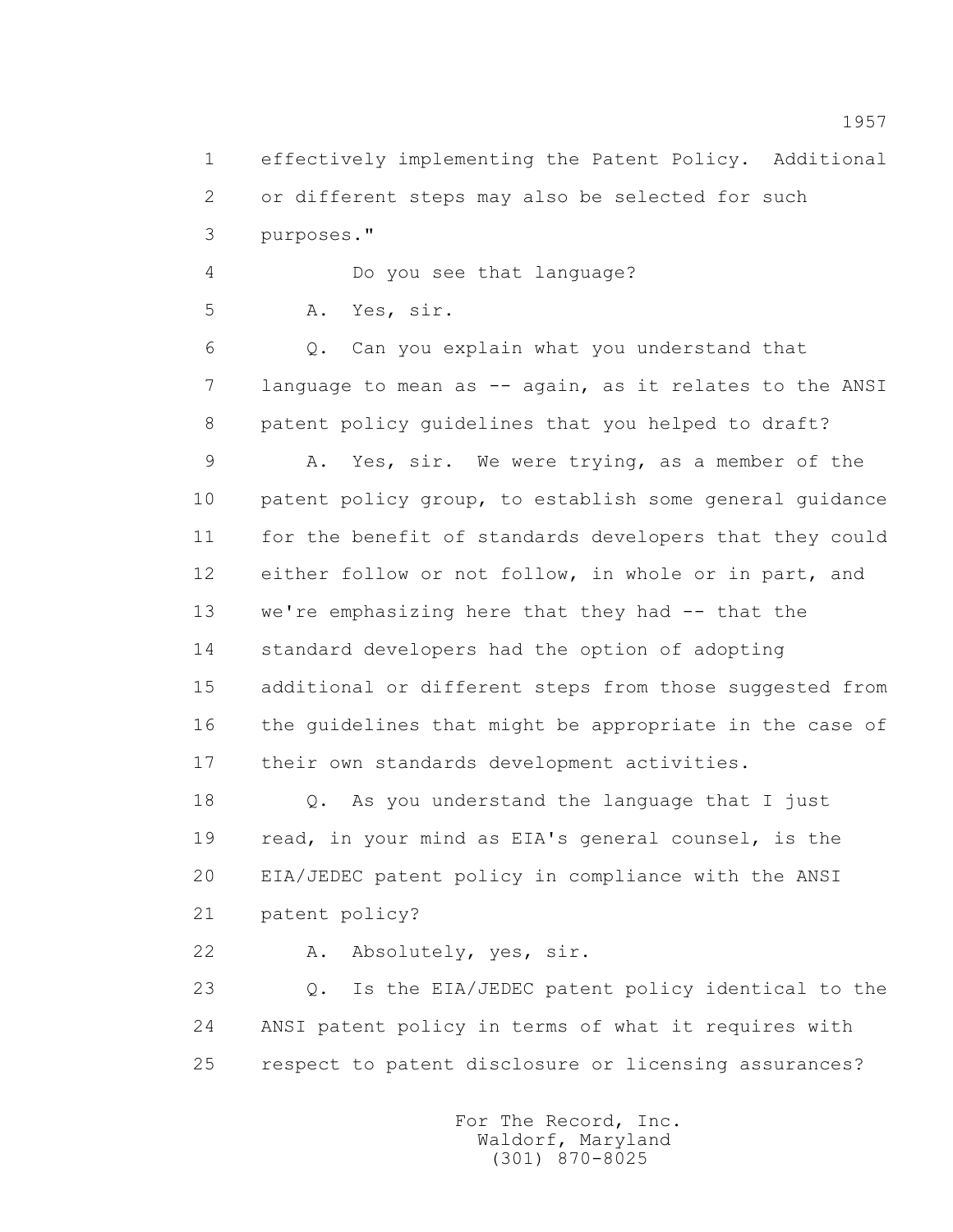1 effectively implementing the Patent Policy. Additional 2 or different steps may also be selected for such 3 purposes."

4 Do you see that language?

5 A. Yes, sir.

 6 Q. Can you explain what you understand that 7 language to mean as -- again, as it relates to the ANSI 8 patent policy guidelines that you helped to draft?

 9 A. Yes, sir. We were trying, as a member of the 10 patent policy group, to establish some general guidance 11 for the benefit of standards developers that they could 12 either follow or not follow, in whole or in part, and 13 we're emphasizing here that they had -- that the 14 standard developers had the option of adopting 15 additional or different steps from those suggested from 16 the guidelines that might be appropriate in the case of 17 their own standards development activities.

 18 Q. As you understand the language that I just 19 read, in your mind as EIA's general counsel, is the 20 EIA/JEDEC patent policy in compliance with the ANSI 21 patent policy?

22 A. Absolutely, yes, sir.

 23 Q. Is the EIA/JEDEC patent policy identical to the 24 ANSI patent policy in terms of what it requires with 25 respect to patent disclosure or licensing assurances?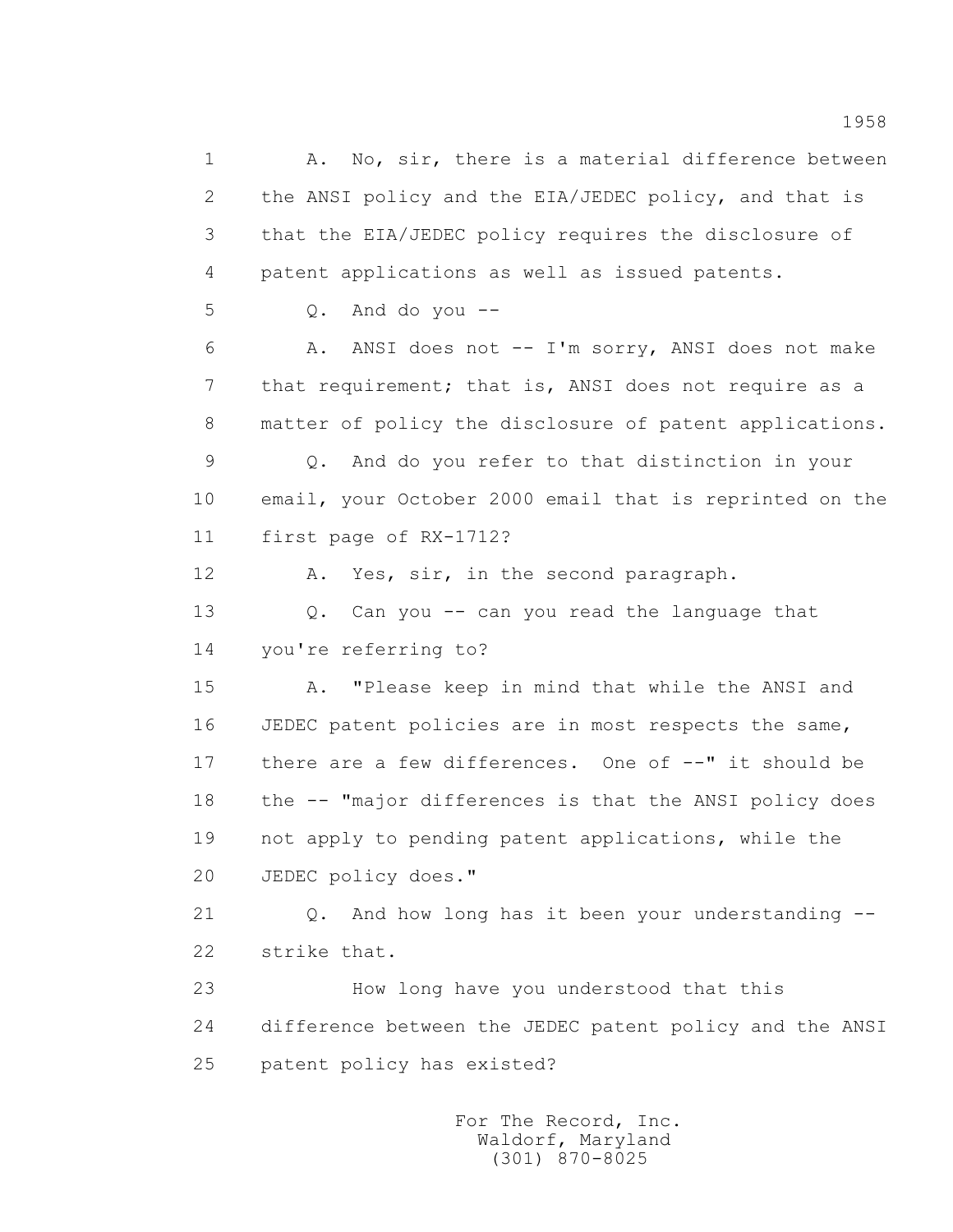1 A. No, sir, there is a material difference between 2 the ANSI policy and the EIA/JEDEC policy, and that is 3 that the EIA/JEDEC policy requires the disclosure of 4 patent applications as well as issued patents. 5 Q. And do you -- 6 A. ANSI does not -- I'm sorry, ANSI does not make 7 that requirement; that is, ANSI does not require as a 8 matter of policy the disclosure of patent applications. 9 Q. And do you refer to that distinction in your 10 email, your October 2000 email that is reprinted on the 11 first page of RX-1712? 12 A. Yes, sir, in the second paragraph. 13 Q. Can you -- can you read the language that 14 you're referring to? 15 A. "Please keep in mind that while the ANSI and 16 JEDEC patent policies are in most respects the same, 17 there are a few differences. One of --" it should be 18 the -- "major differences is that the ANSI policy does 19 not apply to pending patent applications, while the 20 JEDEC policy does." 21 Q. And how long has it been your understanding -- 22 strike that. 23 How long have you understood that this 24 difference between the JEDEC patent policy and the ANSI 25 patent policy has existed?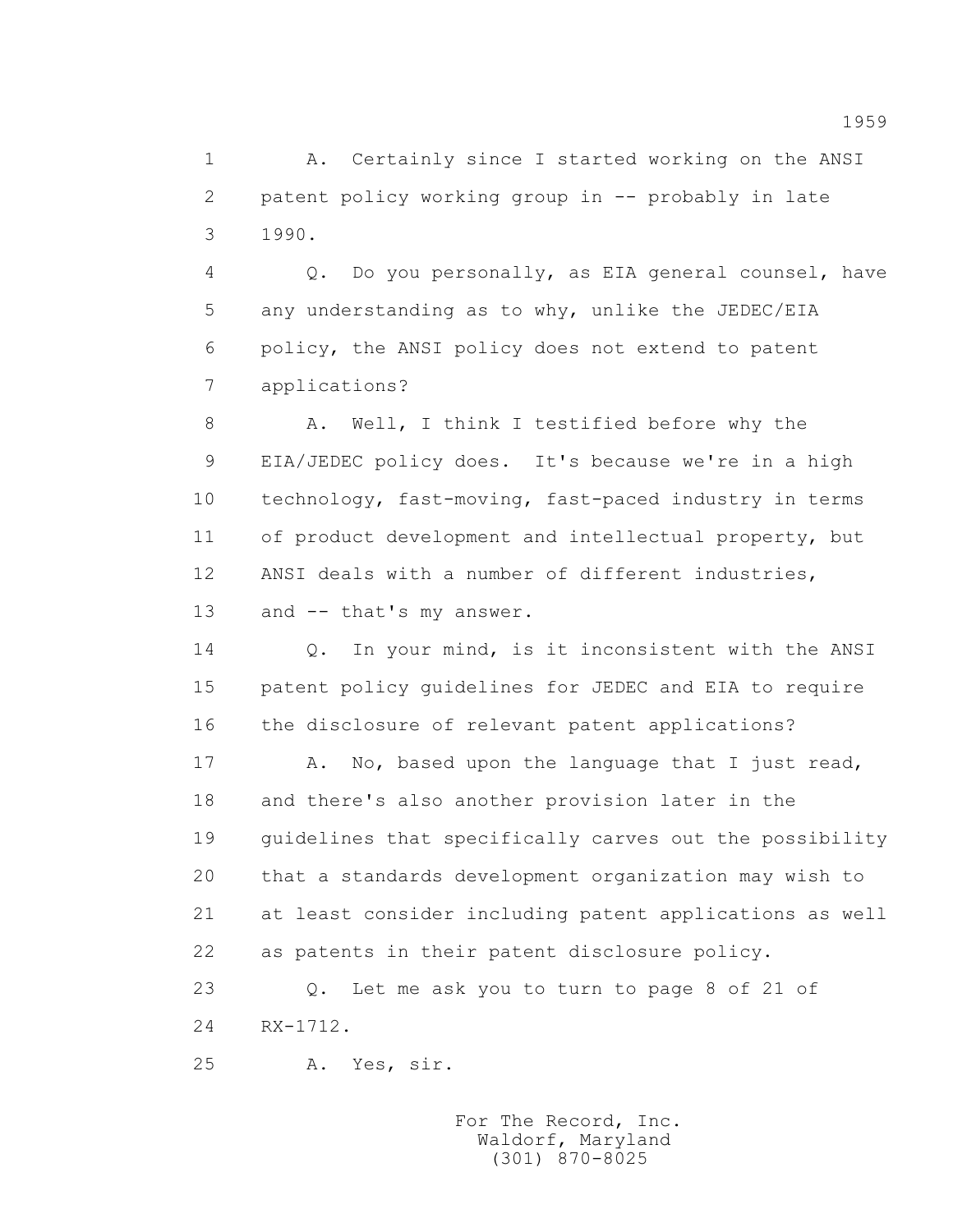1 A. Certainly since I started working on the ANSI 2 patent policy working group in -- probably in late 3 1990.

 4 Q. Do you personally, as EIA general counsel, have 5 any understanding as to why, unlike the JEDEC/EIA 6 policy, the ANSI policy does not extend to patent 7 applications?

8 A. Well, I think I testified before why the 9 EIA/JEDEC policy does. It's because we're in a high 10 technology, fast-moving, fast-paced industry in terms 11 of product development and intellectual property, but 12 ANSI deals with a number of different industries, 13 and -- that's my answer.

14 Q. In your mind, is it inconsistent with the ANSI 15 patent policy guidelines for JEDEC and EIA to require 16 the disclosure of relevant patent applications?

17 A. No, based upon the language that I just read, 18 and there's also another provision later in the 19 guidelines that specifically carves out the possibility 20 that a standards development organization may wish to 21 at least consider including patent applications as well 22 as patents in their patent disclosure policy.

 23 Q. Let me ask you to turn to page 8 of 21 of 24 RX-1712.

25 A. Yes, sir.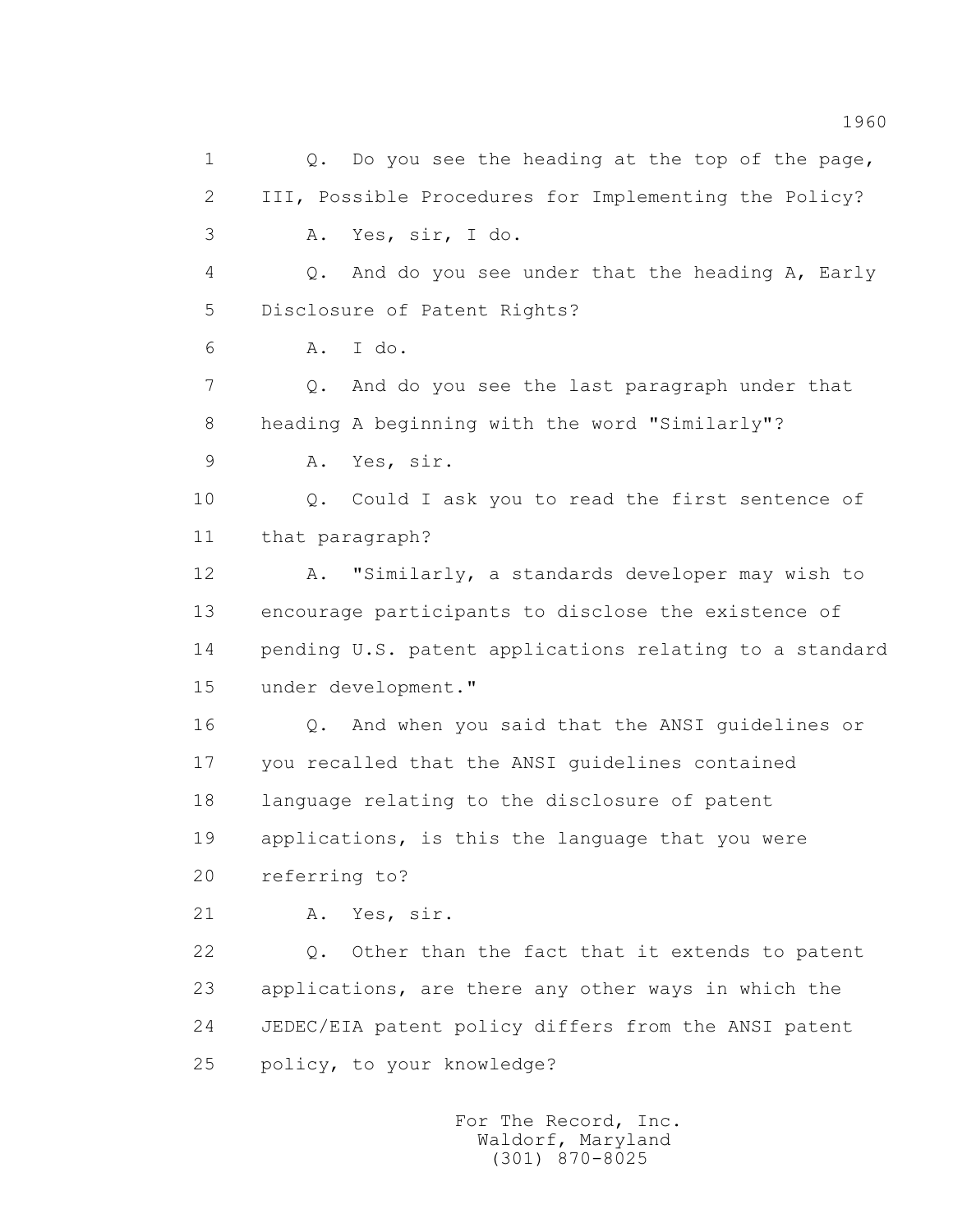1 0. Do you see the heading at the top of the page, 2 III, Possible Procedures for Implementing the Policy? 3 A. Yes, sir, I do. 4 Q. And do you see under that the heading A, Early 5 Disclosure of Patent Rights? 6 A. I do. 7 Q. And do you see the last paragraph under that 8 heading A beginning with the word "Similarly"? 9 A. Yes, sir. 10 0. Could I ask you to read the first sentence of 11 that paragraph? 12 A. "Similarly, a standards developer may wish to 13 encourage participants to disclose the existence of 14 pending U.S. patent applications relating to a standard 15 under development." 16 Q. And when you said that the ANSI guidelines or 17 you recalled that the ANSI guidelines contained 18 language relating to the disclosure of patent 19 applications, is this the language that you were 20 referring to? 21 A. Yes, sir. 22 Q. Other than the fact that it extends to patent 23 applications, are there any other ways in which the 24 JEDEC/EIA patent policy differs from the ANSI patent 25 policy, to your knowledge?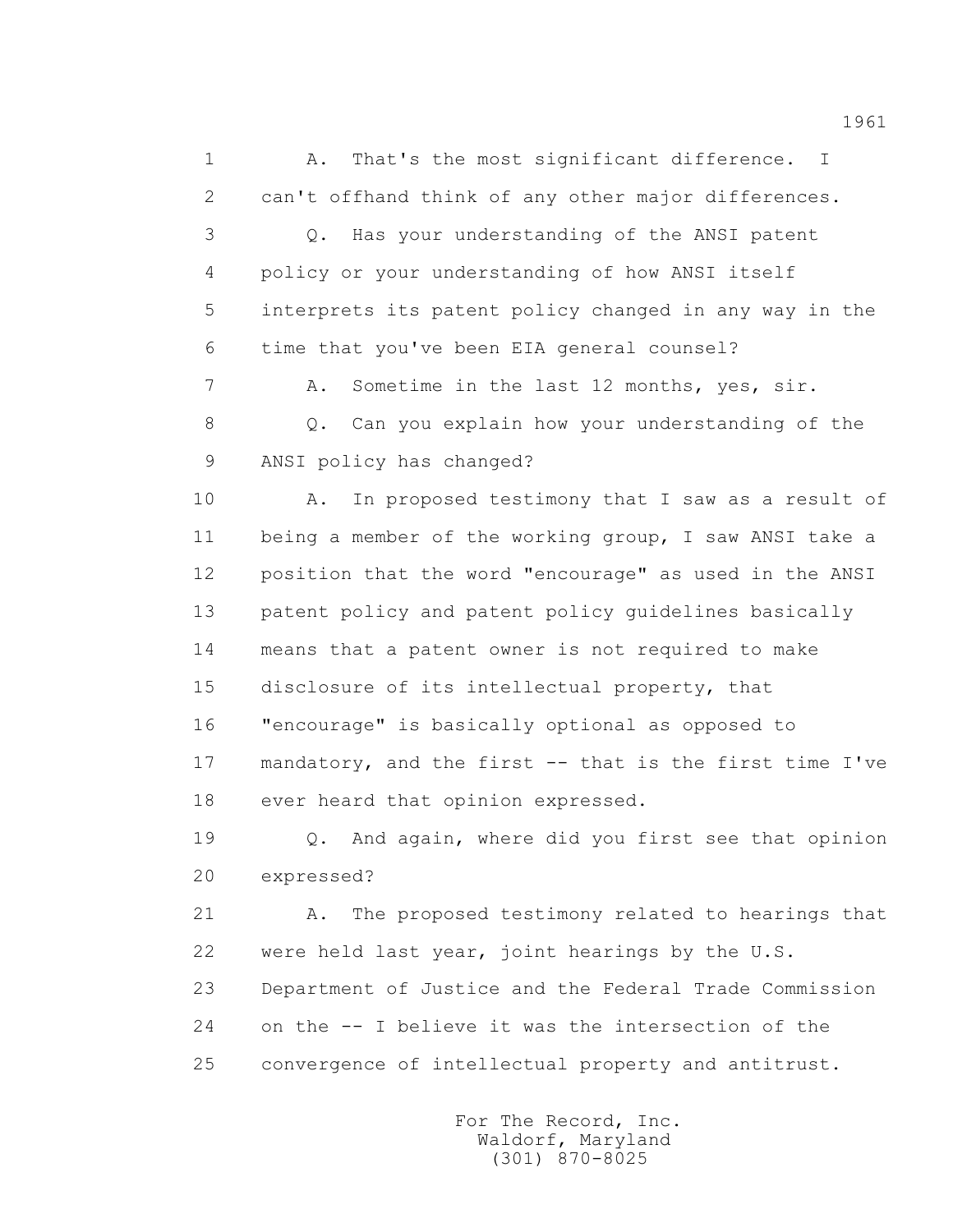1 A. That's the most significant difference. I 2 can't offhand think of any other major differences. 3 Q. Has your understanding of the ANSI patent 4 policy or your understanding of how ANSI itself 5 interprets its patent policy changed in any way in the 6 time that you've been EIA general counsel? 7 A. Sometime in the last 12 months, yes, sir. 8 Q. Can you explain how your understanding of the 9 ANSI policy has changed? 10 A. In proposed testimony that I saw as a result of 11 being a member of the working group, I saw ANSI take a 12 position that the word "encourage" as used in the ANSI 13 patent policy and patent policy guidelines basically 14 means that a patent owner is not required to make 15 disclosure of its intellectual property, that 16 "encourage" is basically optional as opposed to 17 mandatory, and the first -- that is the first time I've 18 ever heard that opinion expressed. 19 Q. And again, where did you first see that opinion 20 expressed? 21 A. The proposed testimony related to hearings that 22 were held last year, joint hearings by the U.S. 23 Department of Justice and the Federal Trade Commission

24 on the -- I believe it was the intersection of the

25 convergence of intellectual property and antitrust.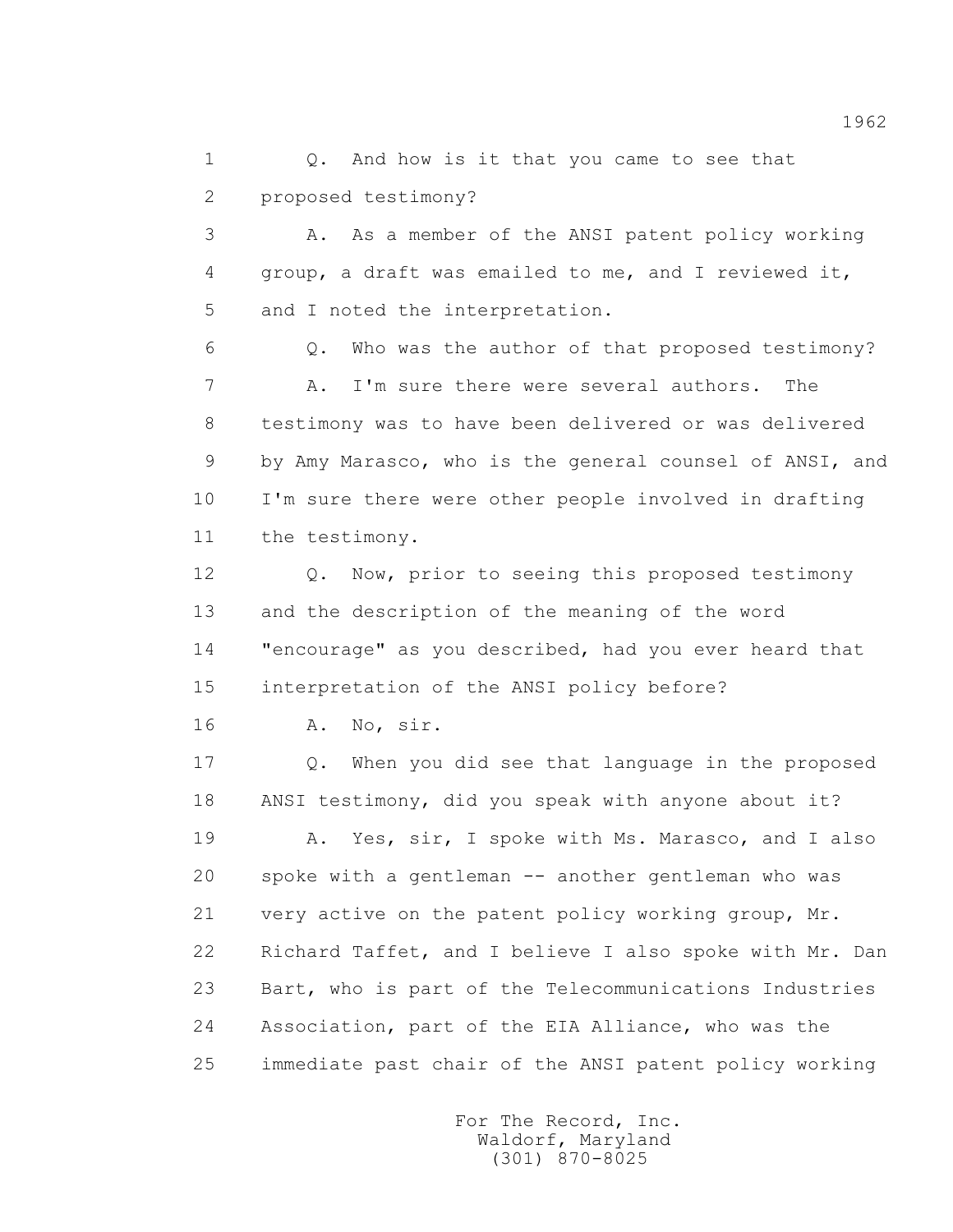1 0. And how is it that you came to see that 2 proposed testimony?

 3 A. As a member of the ANSI patent policy working 4 group, a draft was emailed to me, and I reviewed it, 5 and I noted the interpretation.

 6 Q. Who was the author of that proposed testimony? 7 A. I'm sure there were several authors. The 8 testimony was to have been delivered or was delivered 9 by Amy Marasco, who is the general counsel of ANSI, and 10 I'm sure there were other people involved in drafting 11 the testimony.

 12 Q. Now, prior to seeing this proposed testimony 13 and the description of the meaning of the word 14 "encourage" as you described, had you ever heard that 15 interpretation of the ANSI policy before?

16 A. No, sir.

 17 Q. When you did see that language in the proposed 18 ANSI testimony, did you speak with anyone about it? 19 A. Yes, sir, I spoke with Ms. Marasco, and I also 20 spoke with a gentleman -- another gentleman who was 21 very active on the patent policy working group, Mr. 22 Richard Taffet, and I believe I also spoke with Mr. Dan 23 Bart, who is part of the Telecommunications Industries 24 Association, part of the EIA Alliance, who was the

25 immediate past chair of the ANSI patent policy working

 For The Record, Inc. Waldorf, Maryland (301) 870-8025

1962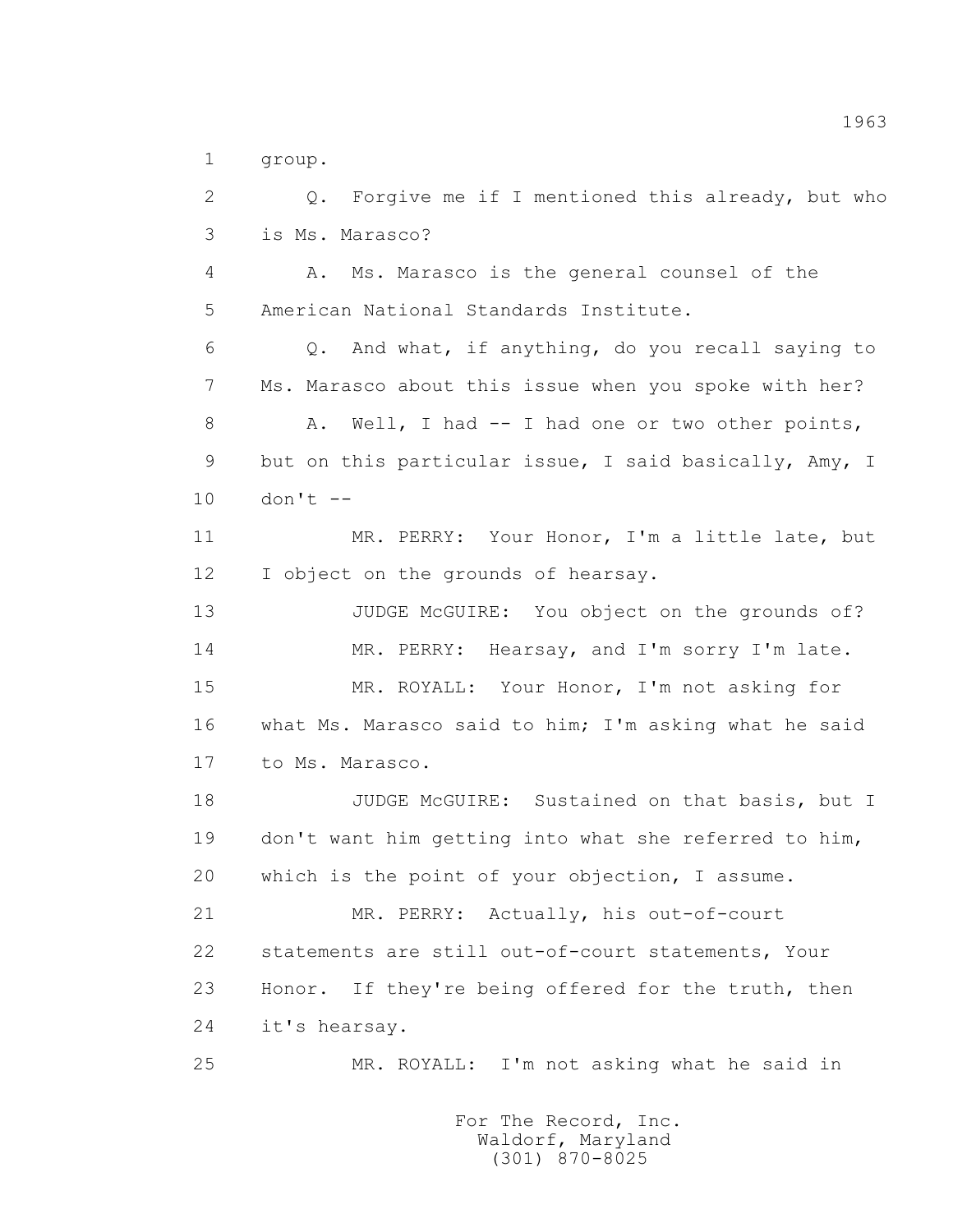1 group.

 2 Q. Forgive me if I mentioned this already, but who 3 is Ms. Marasco? 4 A. Ms. Marasco is the general counsel of the 5 American National Standards Institute. 6 Q. And what, if anything, do you recall saying to 7 Ms. Marasco about this issue when you spoke with her? 8 A. Well, I had -- I had one or two other points, 9 but on this particular issue, I said basically, Amy, I  $10$  don't  $-$ 11 MR. PERRY: Your Honor, I'm a little late, but 12 I object on the grounds of hearsay. 13 JUDGE McGUIRE: You object on the grounds of? 14 MR. PERRY: Hearsay, and I'm sorry I'm late. 15 MR. ROYALL: Your Honor, I'm not asking for 16 what Ms. Marasco said to him; I'm asking what he said 17 to Ms. Marasco. 18 JUDGE McGUIRE: Sustained on that basis, but I 19 don't want him getting into what she referred to him, 20 which is the point of your objection, I assume. 21 MR. PERRY: Actually, his out-of-court 22 statements are still out-of-court statements, Your 23 Honor. If they're being offered for the truth, then 24 it's hearsay. 25 MR. ROYALL: I'm not asking what he said in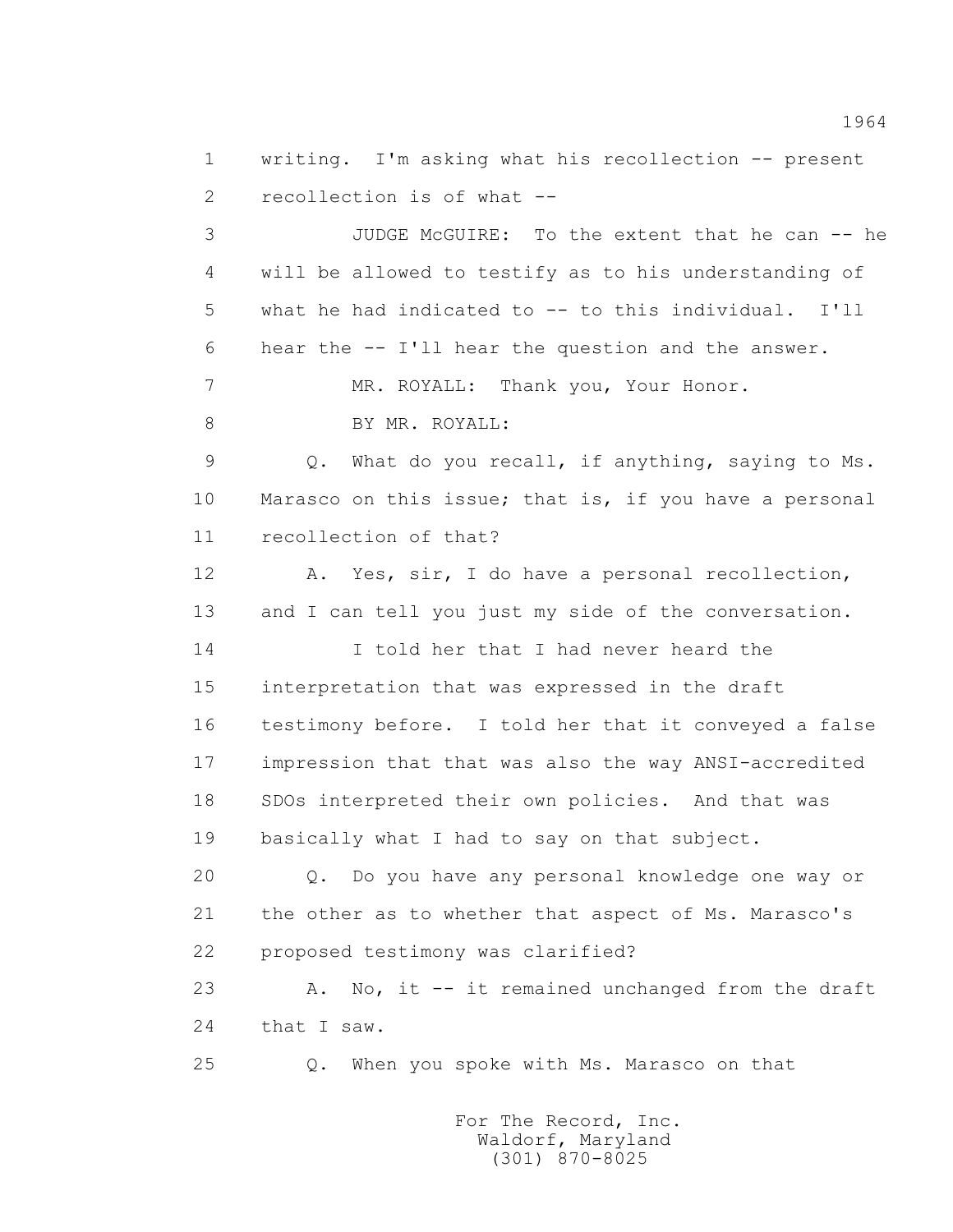1 writing. I'm asking what his recollection -- present 2 recollection is of what --

 3 JUDGE McGUIRE: To the extent that he can -- he 4 will be allowed to testify as to his understanding of 5 what he had indicated to -- to this individual. I'll 6 hear the -- I'll hear the question and the answer.

7 MR. ROYALL: Thank you, Your Honor.

8 BY MR. ROYALL:

 9 Q. What do you recall, if anything, saying to Ms. 10 Marasco on this issue; that is, if you have a personal 11 recollection of that?

 12 A. Yes, sir, I do have a personal recollection, 13 and I can tell you just my side of the conversation.

 14 I told her that I had never heard the 15 interpretation that was expressed in the draft 16 testimony before. I told her that it conveyed a false 17 impression that that was also the way ANSI-accredited 18 SDOs interpreted their own policies. And that was 19 basically what I had to say on that subject.

 20 Q. Do you have any personal knowledge one way or 21 the other as to whether that aspect of Ms. Marasco's 22 proposed testimony was clarified?

 23 A. No, it -- it remained unchanged from the draft 24 that I saw.

25 Q. When you spoke with Ms. Marasco on that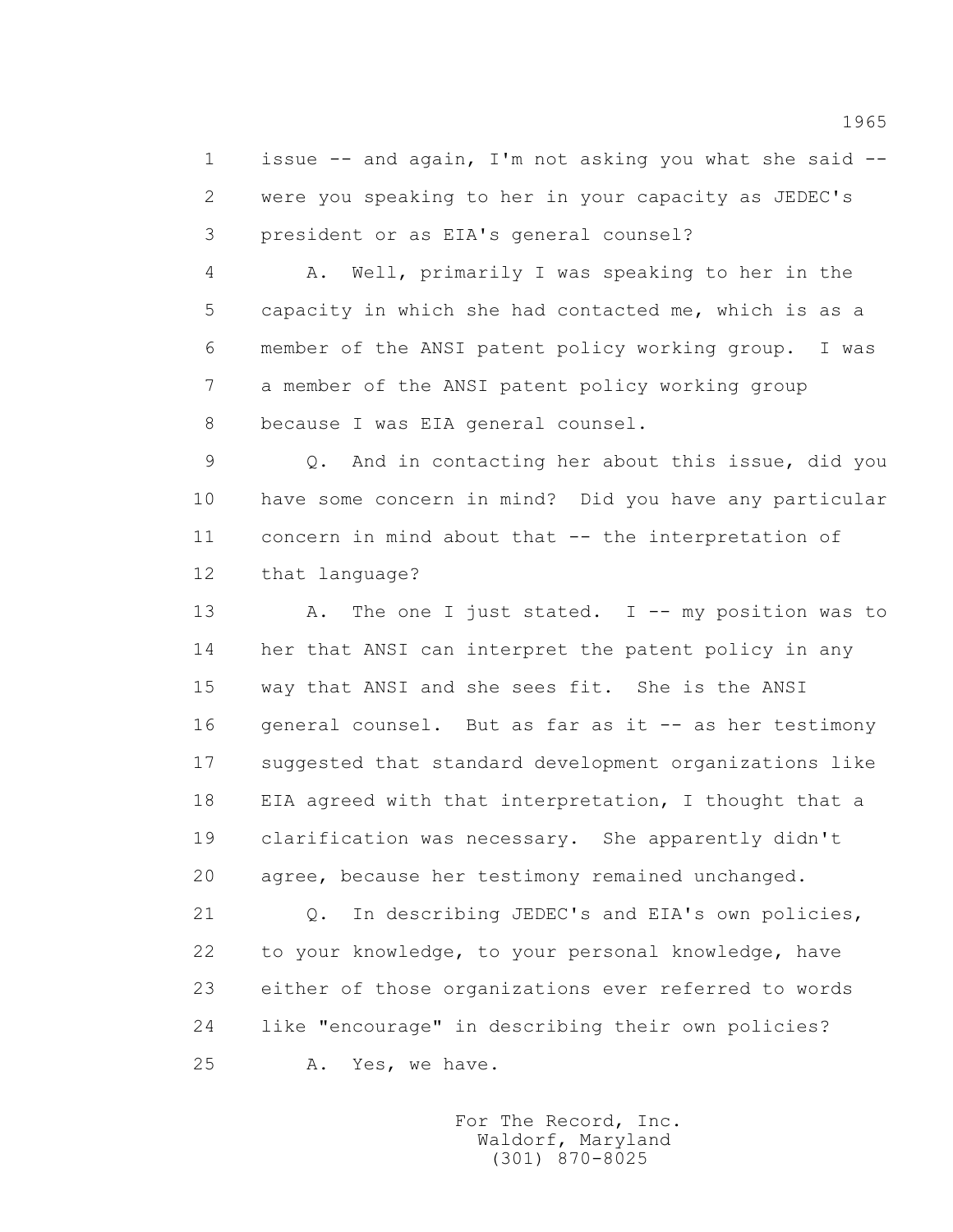1 issue -- and again, I'm not asking you what she said -- 2 were you speaking to her in your capacity as JEDEC's 3 president or as EIA's general counsel?

 4 A. Well, primarily I was speaking to her in the 5 capacity in which she had contacted me, which is as a 6 member of the ANSI patent policy working group. I was 7 a member of the ANSI patent policy working group 8 because I was EIA general counsel.

 9 Q. And in contacting her about this issue, did you 10 have some concern in mind? Did you have any particular 11 concern in mind about that -- the interpretation of 12 that language?

 13 A. The one I just stated. I -- my position was to 14 her that ANSI can interpret the patent policy in any 15 way that ANSI and she sees fit. She is the ANSI 16 general counsel. But as far as it -- as her testimony 17 suggested that standard development organizations like 18 EIA agreed with that interpretation, I thought that a 19 clarification was necessary. She apparently didn't 20 agree, because her testimony remained unchanged.

 21 Q. In describing JEDEC's and EIA's own policies, 22 to your knowledge, to your personal knowledge, have 23 either of those organizations ever referred to words 24 like "encourage" in describing their own policies? 25 A. Yes, we have.

> For The Record, Inc. Waldorf, Maryland (301) 870-8025

1965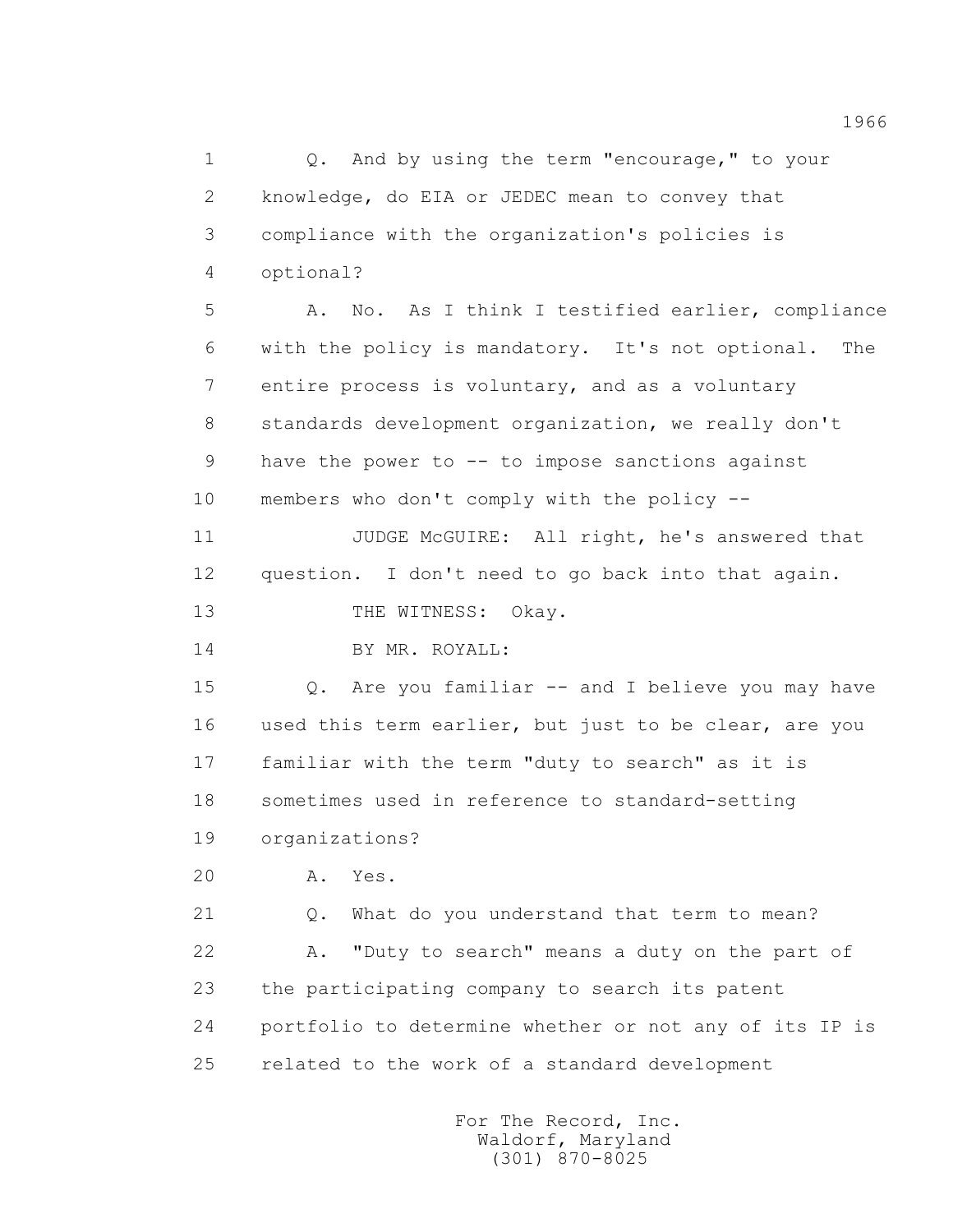1 Q. And by using the term "encourage," to your 2 knowledge, do EIA or JEDEC mean to convey that 3 compliance with the organization's policies is 4 optional?

 5 A. No. As I think I testified earlier, compliance 6 with the policy is mandatory. It's not optional. The 7 entire process is voluntary, and as a voluntary 8 standards development organization, we really don't 9 have the power to -- to impose sanctions against 10 members who don't comply with the policy --

 11 JUDGE McGUIRE: All right, he's answered that 12 question. I don't need to go back into that again. 13 THE WITNESS: Okay.

14 BY MR. ROYALL:

 15 Q. Are you familiar -- and I believe you may have 16 used this term earlier, but just to be clear, are you 17 familiar with the term "duty to search" as it is 18 sometimes used in reference to standard-setting

19 organizations?

20 A. Yes.

21 Q. What do you understand that term to mean?

 22 A. "Duty to search" means a duty on the part of 23 the participating company to search its patent 24 portfolio to determine whether or not any of its IP is 25 related to the work of a standard development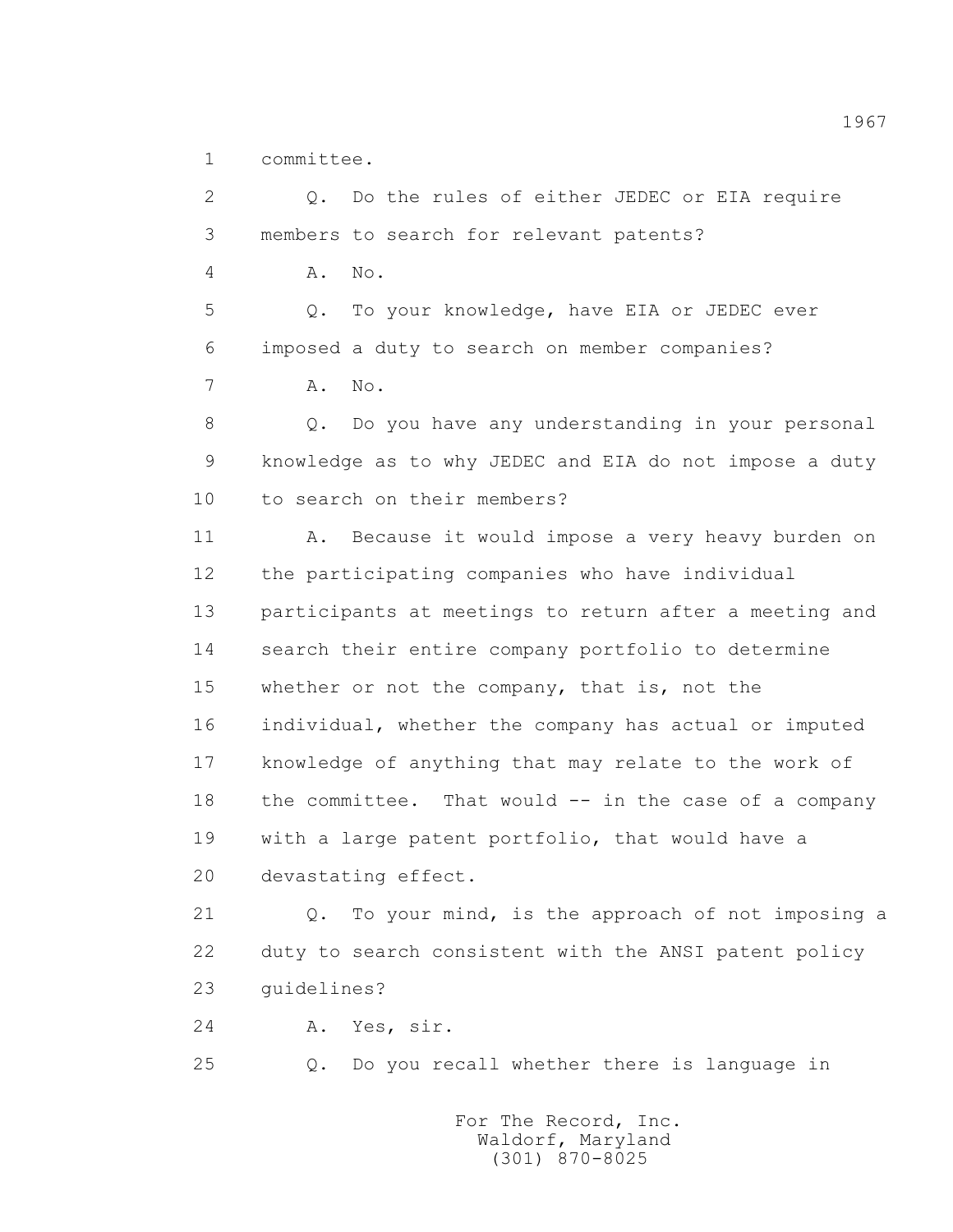1 committee.

 2 Q. Do the rules of either JEDEC or EIA require 3 members to search for relevant patents? 4 A. No. 5 Q. To your knowledge, have EIA or JEDEC ever 6 imposed a duty to search on member companies? 7 A. No. 8 Q. Do you have any understanding in your personal 9 knowledge as to why JEDEC and EIA do not impose a duty 10 to search on their members? 11 A. Because it would impose a very heavy burden on 12 the participating companies who have individual 13 participants at meetings to return after a meeting and 14 search their entire company portfolio to determine 15 whether or not the company, that is, not the 16 individual, whether the company has actual or imputed 17 knowledge of anything that may relate to the work of 18 the committee. That would -- in the case of a company 19 with a large patent portfolio, that would have a 20 devastating effect. 21 Q. To your mind, is the approach of not imposing a 22 duty to search consistent with the ANSI patent policy 23 guidelines? 24 A. Yes, sir. 25 Q. Do you recall whether there is language in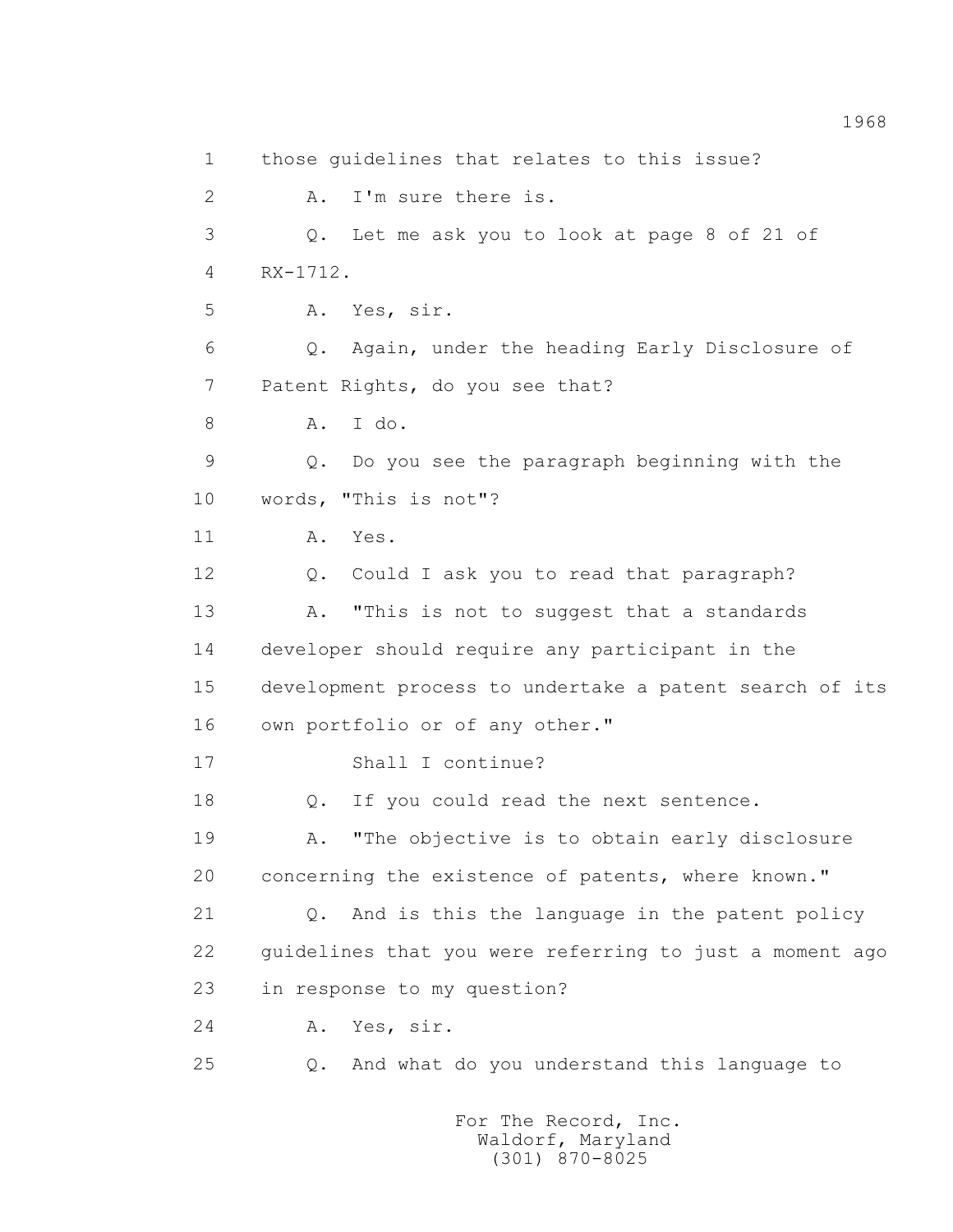1 those guidelines that relates to this issue? 2 A. I'm sure there is. 3 Q. Let me ask you to look at page 8 of 21 of 4 RX-1712. 5 A. Yes, sir. 6 Q. Again, under the heading Early Disclosure of 7 Patent Rights, do you see that? 8 A. I do. 9 Q. Do you see the paragraph beginning with the 10 words, "This is not"? 11 A. Yes. 12 Q. Could I ask you to read that paragraph? 13 A. "This is not to suggest that a standards 14 developer should require any participant in the 15 development process to undertake a patent search of its 16 own portfolio or of any other." 17 Shall I continue? 18 0. If you could read the next sentence. 19 A. "The objective is to obtain early disclosure 20 concerning the existence of patents, where known." 21 Q. And is this the language in the patent policy 22 guidelines that you were referring to just a moment ago 23 in response to my question? 24 A. Yes, sir. 25 Q. And what do you understand this language to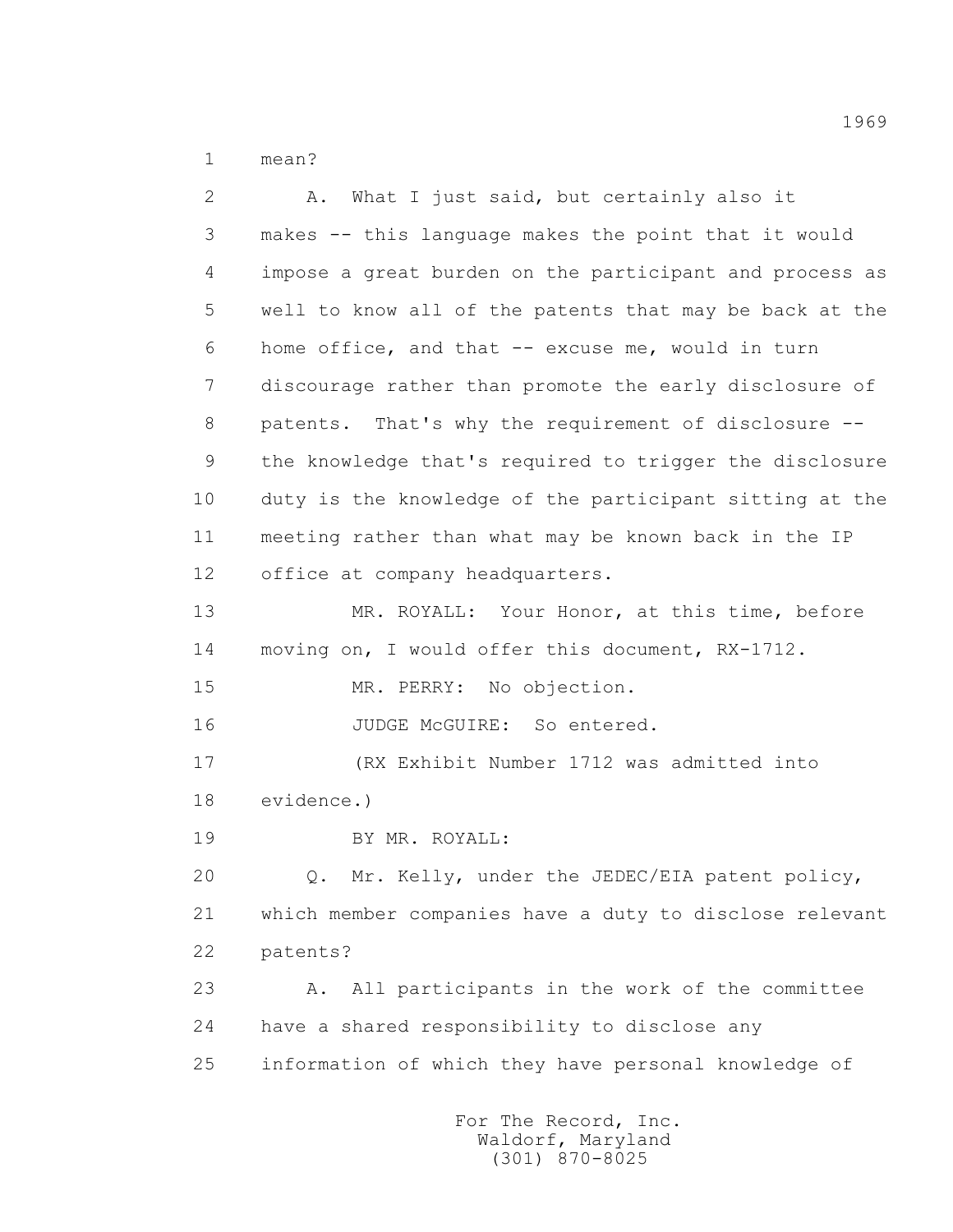1 mean?

 2 A. What I just said, but certainly also it 3 makes -- this language makes the point that it would 4 impose a great burden on the participant and process as 5 well to know all of the patents that may be back at the 6 home office, and that -- excuse me, would in turn 7 discourage rather than promote the early disclosure of 8 patents. That's why the requirement of disclosure -- 9 the knowledge that's required to trigger the disclosure 10 duty is the knowledge of the participant sitting at the 11 meeting rather than what may be known back in the IP 12 office at company headquarters. 13 MR. ROYALL: Your Honor, at this time, before 14 moving on, I would offer this document, RX-1712. 15 MR. PERRY: No objection. 16 JUDGE McGUIRE: So entered. 17 (RX Exhibit Number 1712 was admitted into 18 evidence.) 19 BY MR. ROYALL: 20 Q. Mr. Kelly, under the JEDEC/EIA patent policy, 21 which member companies have a duty to disclose relevant 22 patents? 23 A. All participants in the work of the committee 24 have a shared responsibility to disclose any 25 information of which they have personal knowledge of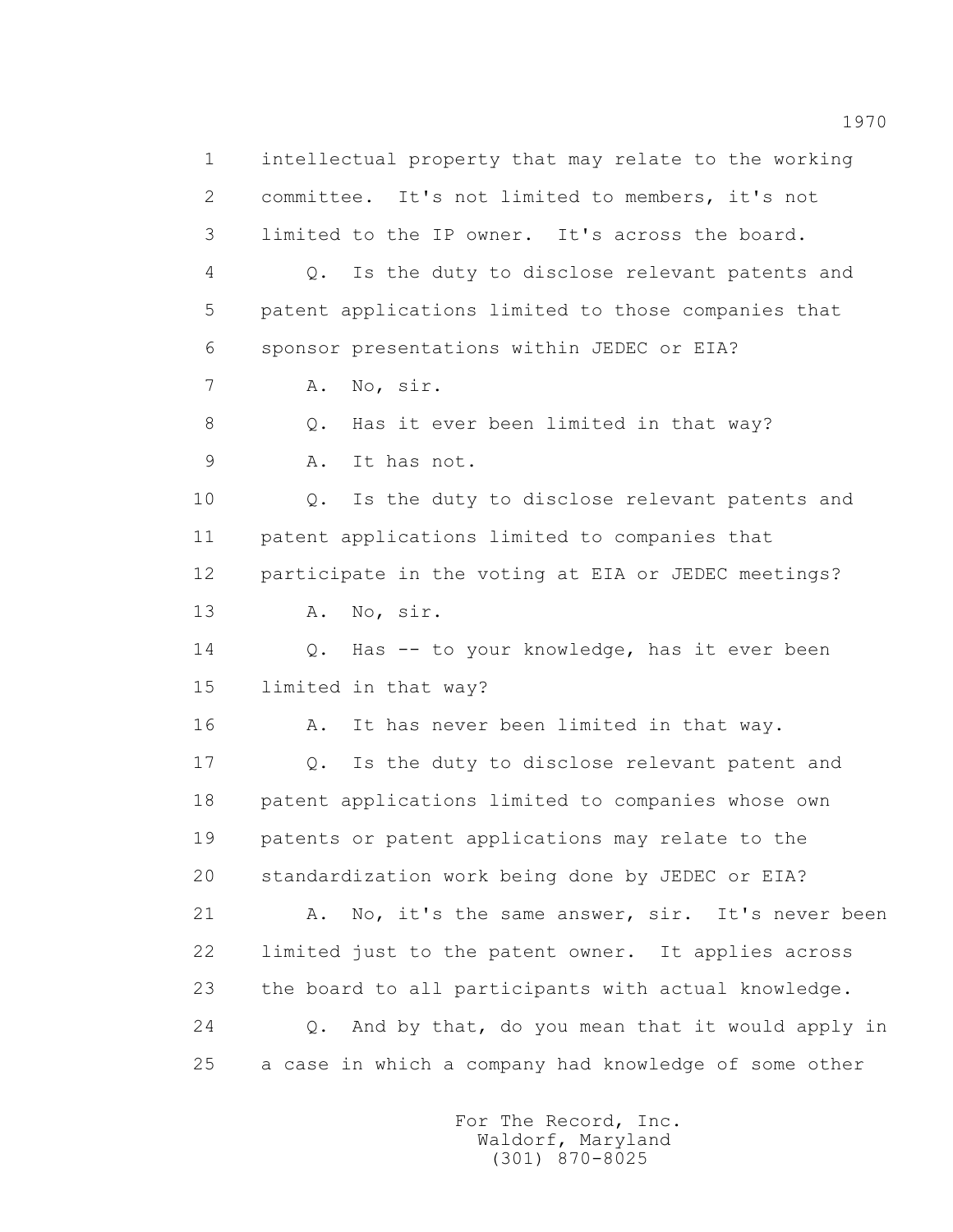1 intellectual property that may relate to the working 2 committee. It's not limited to members, it's not 3 limited to the IP owner. It's across the board. 4 Q. Is the duty to disclose relevant patents and 5 patent applications limited to those companies that 6 sponsor presentations within JEDEC or EIA? 7 A. No, sir. 8 Q. Has it ever been limited in that way? 9 A. It has not. 10 0. Is the duty to disclose relevant patents and 11 patent applications limited to companies that 12 participate in the voting at EIA or JEDEC meetings? 13 A. No, sir. 14 Q. Has -- to your knowledge, has it ever been 15 limited in that way? 16 A. It has never been limited in that way. 17 Q. Is the duty to disclose relevant patent and 18 patent applications limited to companies whose own 19 patents or patent applications may relate to the 20 standardization work being done by JEDEC or EIA? 21 A. No, it's the same answer, sir. It's never been 22 limited just to the patent owner. It applies across 23 the board to all participants with actual knowledge. 24 Q. And by that, do you mean that it would apply in 25 a case in which a company had knowledge of some other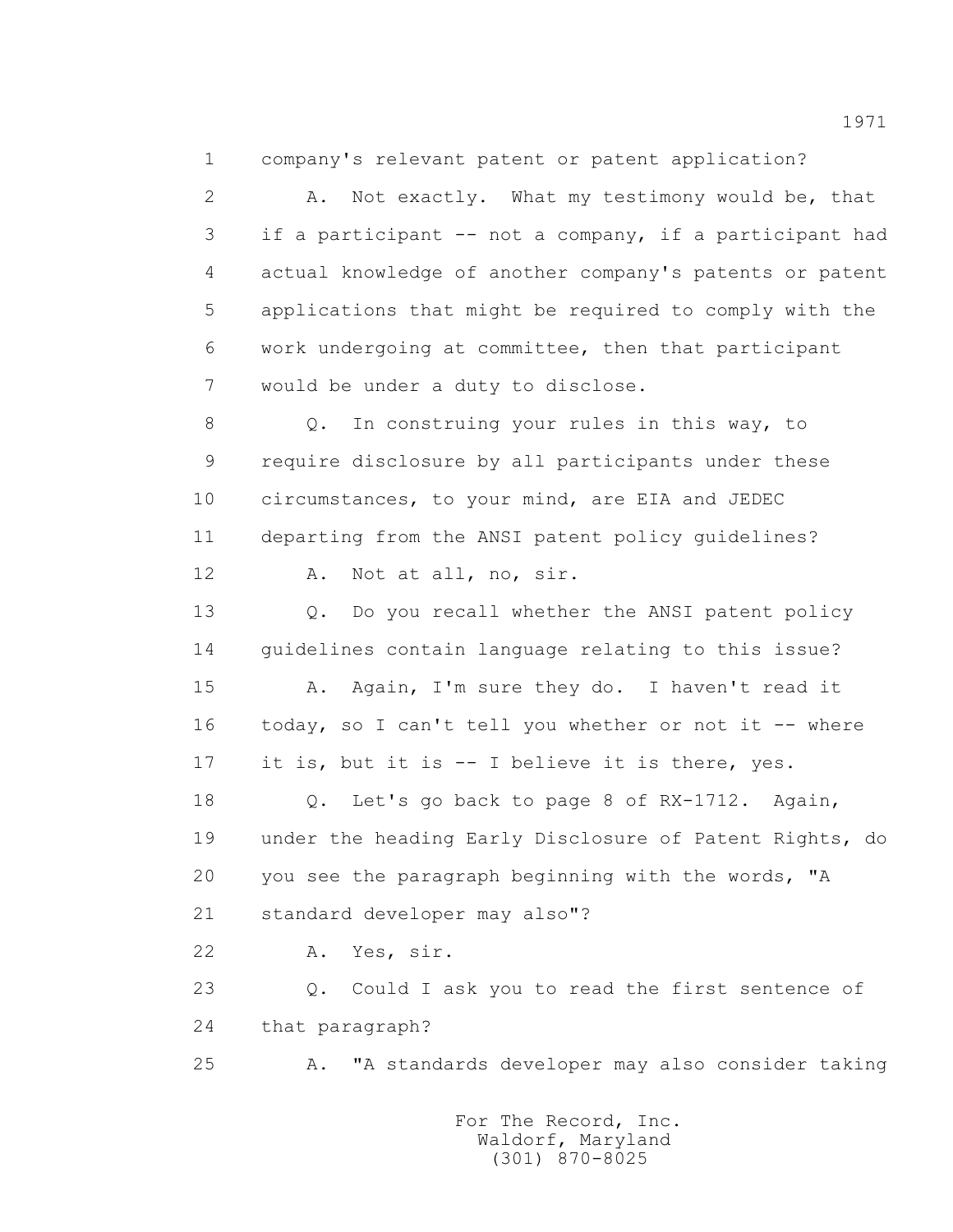1 company's relevant patent or patent application?

 2 A. Not exactly. What my testimony would be, that 3 if a participant -- not a company, if a participant had 4 actual knowledge of another company's patents or patent 5 applications that might be required to comply with the 6 work undergoing at committee, then that participant 7 would be under a duty to disclose.

 8 Q. In construing your rules in this way, to 9 require disclosure by all participants under these 10 circumstances, to your mind, are EIA and JEDEC 11 departing from the ANSI patent policy guidelines?

12 A. Not at all, no, sir.

13 0. Do you recall whether the ANSI patent policy 14 guidelines contain language relating to this issue?

 15 A. Again, I'm sure they do. I haven't read it 16 today, so I can't tell you whether or not it -- where 17 it is, but it is -- I believe it is there, yes.

18 0. Let's go back to page 8 of RX-1712. Again, 19 under the heading Early Disclosure of Patent Rights, do 20 you see the paragraph beginning with the words, "A 21 standard developer may also"?

22 A. Yes, sir.

 23 Q. Could I ask you to read the first sentence of 24 that paragraph?

25 A. "A standards developer may also consider taking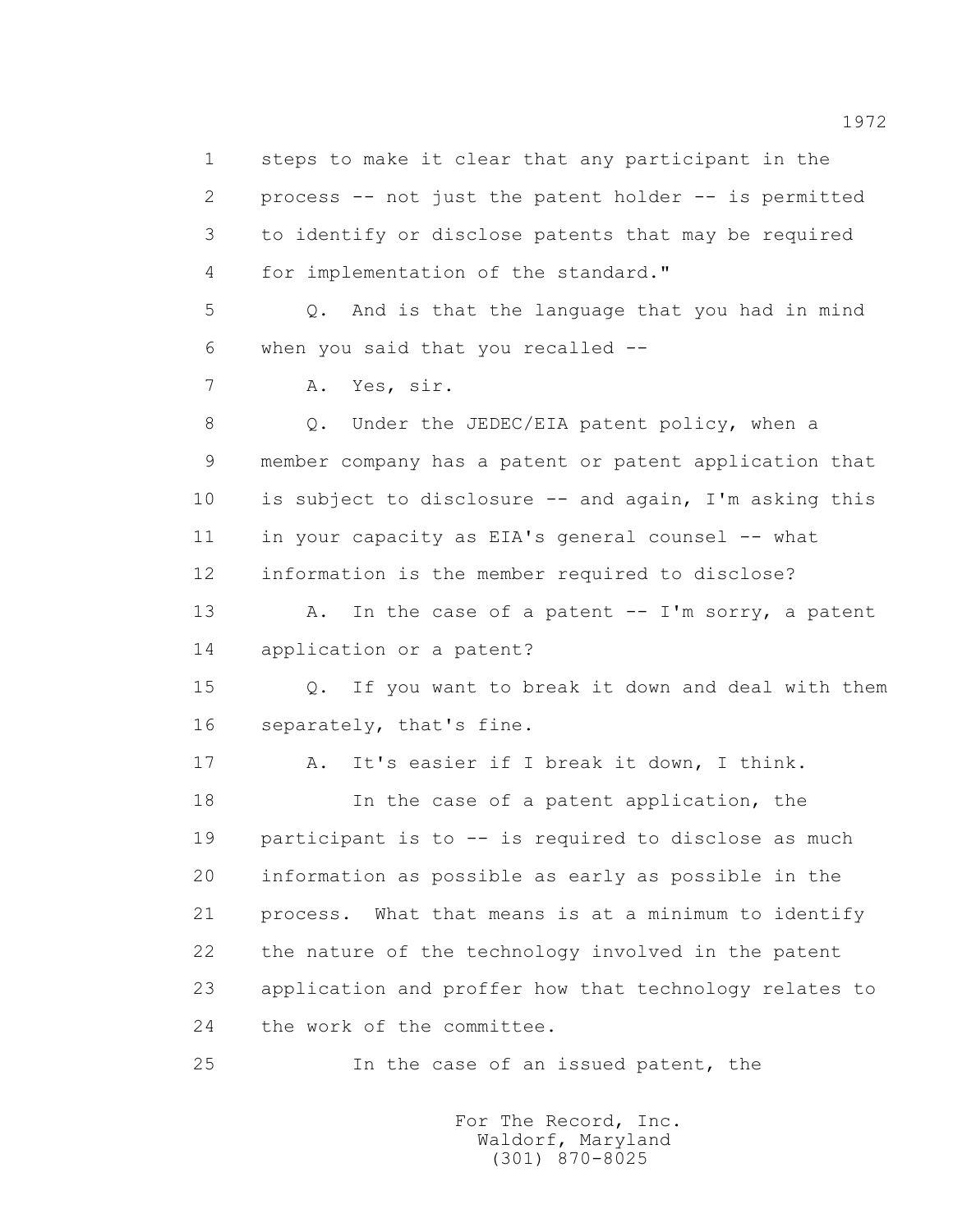1 steps to make it clear that any participant in the 2 process -- not just the patent holder -- is permitted 3 to identify or disclose patents that may be required 4 for implementation of the standard." 5 Q. And is that the language that you had in mind 6 when you said that you recalled -- 7 A. Yes, sir. 8 Q. Under the JEDEC/EIA patent policy, when a 9 member company has a patent or patent application that 10 is subject to disclosure -- and again, I'm asking this 11 in your capacity as EIA's general counsel -- what 12 information is the member required to disclose? 13 A. In the case of a patent -- I'm sorry, a patent 14 application or a patent? 15 Q. If you want to break it down and deal with them 16 separately, that's fine. 17 A. It's easier if I break it down, I think. 18 In the case of a patent application, the 19 participant is to -- is required to disclose as much 20 information as possible as early as possible in the 21 process. What that means is at a minimum to identify 22 the nature of the technology involved in the patent 23 application and proffer how that technology relates to 24 the work of the committee. 25 In the case of an issued patent, the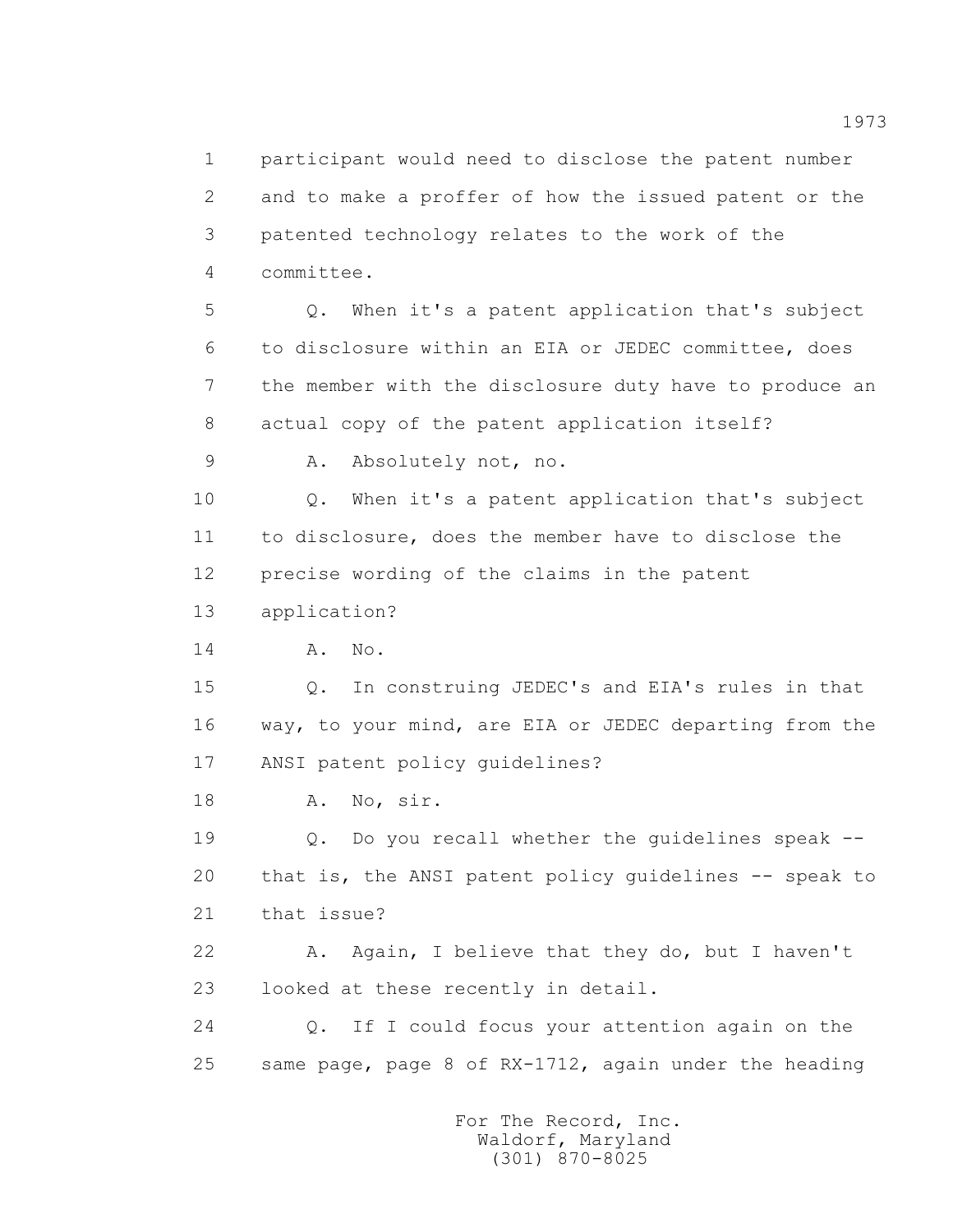1 participant would need to disclose the patent number 2 and to make a proffer of how the issued patent or the 3 patented technology relates to the work of the 4 committee.

 5 Q. When it's a patent application that's subject 6 to disclosure within an EIA or JEDEC committee, does 7 the member with the disclosure duty have to produce an 8 actual copy of the patent application itself?

9 A. Absolutely not, no.

 10 Q. When it's a patent application that's subject 11 to disclosure, does the member have to disclose the 12 precise wording of the claims in the patent

13 application?

14 A. No.

 15 Q. In construing JEDEC's and EIA's rules in that 16 way, to your mind, are EIA or JEDEC departing from the 17 ANSI patent policy guidelines?

18 A. No, sir.

 19 Q. Do you recall whether the guidelines speak -- 20 that is, the ANSI patent policy guidelines -- speak to 21 that issue?

 22 A. Again, I believe that they do, but I haven't 23 looked at these recently in detail.

 24 Q. If I could focus your attention again on the 25 same page, page 8 of RX-1712, again under the heading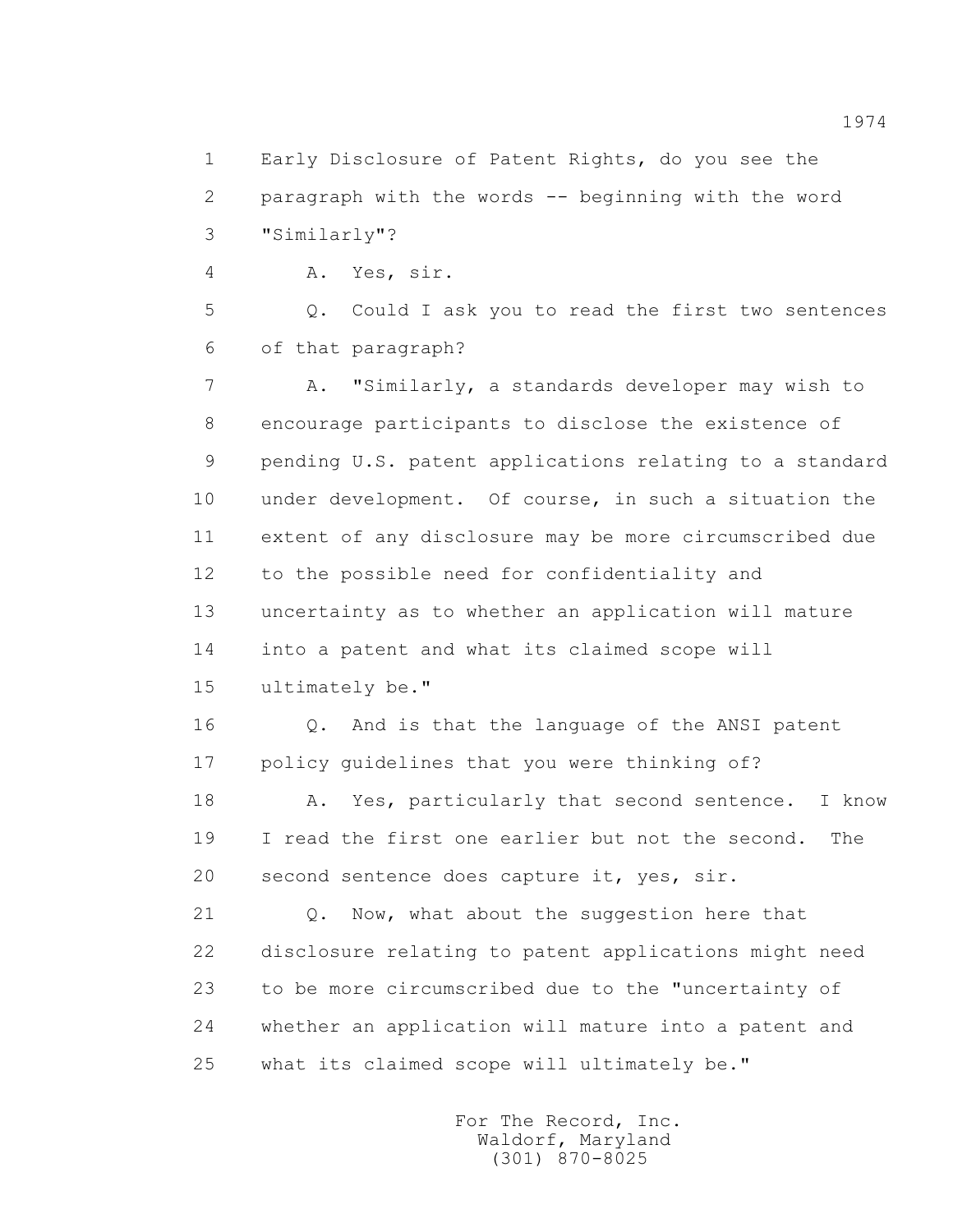1 Early Disclosure of Patent Rights, do you see the 2 paragraph with the words -- beginning with the word 3 "Similarly"?

4 A. Yes, sir.

 5 Q. Could I ask you to read the first two sentences 6 of that paragraph?

 7 A. "Similarly, a standards developer may wish to 8 encourage participants to disclose the existence of 9 pending U.S. patent applications relating to a standard 10 under development. Of course, in such a situation the 11 extent of any disclosure may be more circumscribed due 12 to the possible need for confidentiality and 13 uncertainty as to whether an application will mature 14 into a patent and what its claimed scope will 15 ultimately be."

 16 Q. And is that the language of the ANSI patent 17 policy guidelines that you were thinking of?

18 A. Yes, particularly that second sentence. I know 19 I read the first one earlier but not the second. The 20 second sentence does capture it, yes, sir.

 21 Q. Now, what about the suggestion here that 22 disclosure relating to patent applications might need 23 to be more circumscribed due to the "uncertainty of 24 whether an application will mature into a patent and 25 what its claimed scope will ultimately be."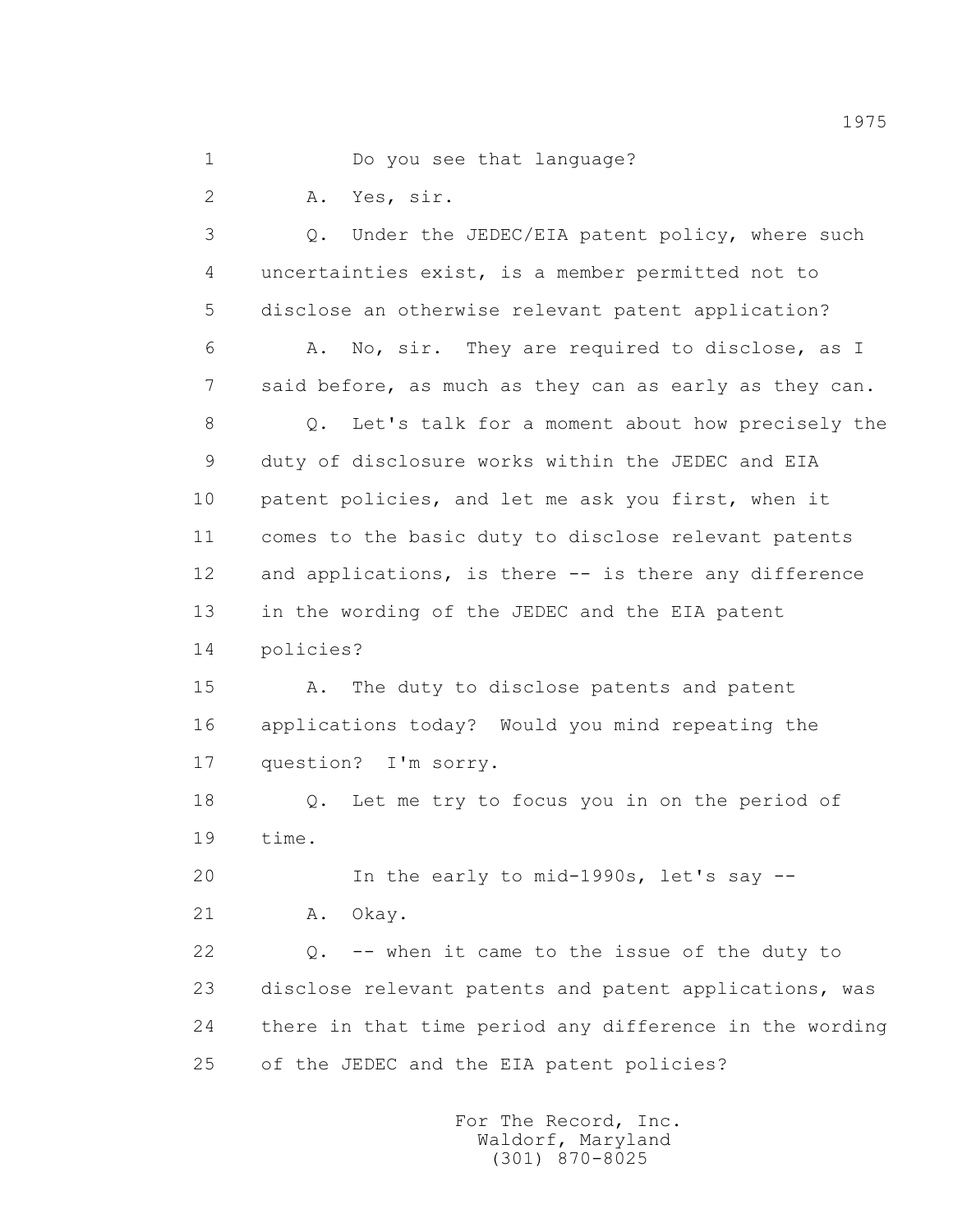1 Do you see that language?

2 A. Yes, sir.

 3 Q. Under the JEDEC/EIA patent policy, where such 4 uncertainties exist, is a member permitted not to 5 disclose an otherwise relevant patent application?

 6 A. No, sir. They are required to disclose, as I 7 said before, as much as they can as early as they can.

 8 Q. Let's talk for a moment about how precisely the 9 duty of disclosure works within the JEDEC and EIA 10 patent policies, and let me ask you first, when it 11 comes to the basic duty to disclose relevant patents 12 and applications, is there -- is there any difference 13 in the wording of the JEDEC and the EIA patent

14 policies?

 15 A. The duty to disclose patents and patent 16 applications today? Would you mind repeating the 17 question? I'm sorry.

 18 Q. Let me try to focus you in on the period of 19 time.

 20 In the early to mid-1990s, let's say -- 21 A. Okay.

 22 Q. -- when it came to the issue of the duty to 23 disclose relevant patents and patent applications, was 24 there in that time period any difference in the wording 25 of the JEDEC and the EIA patent policies?

> For The Record, Inc. Waldorf, Maryland (301) 870-8025

1975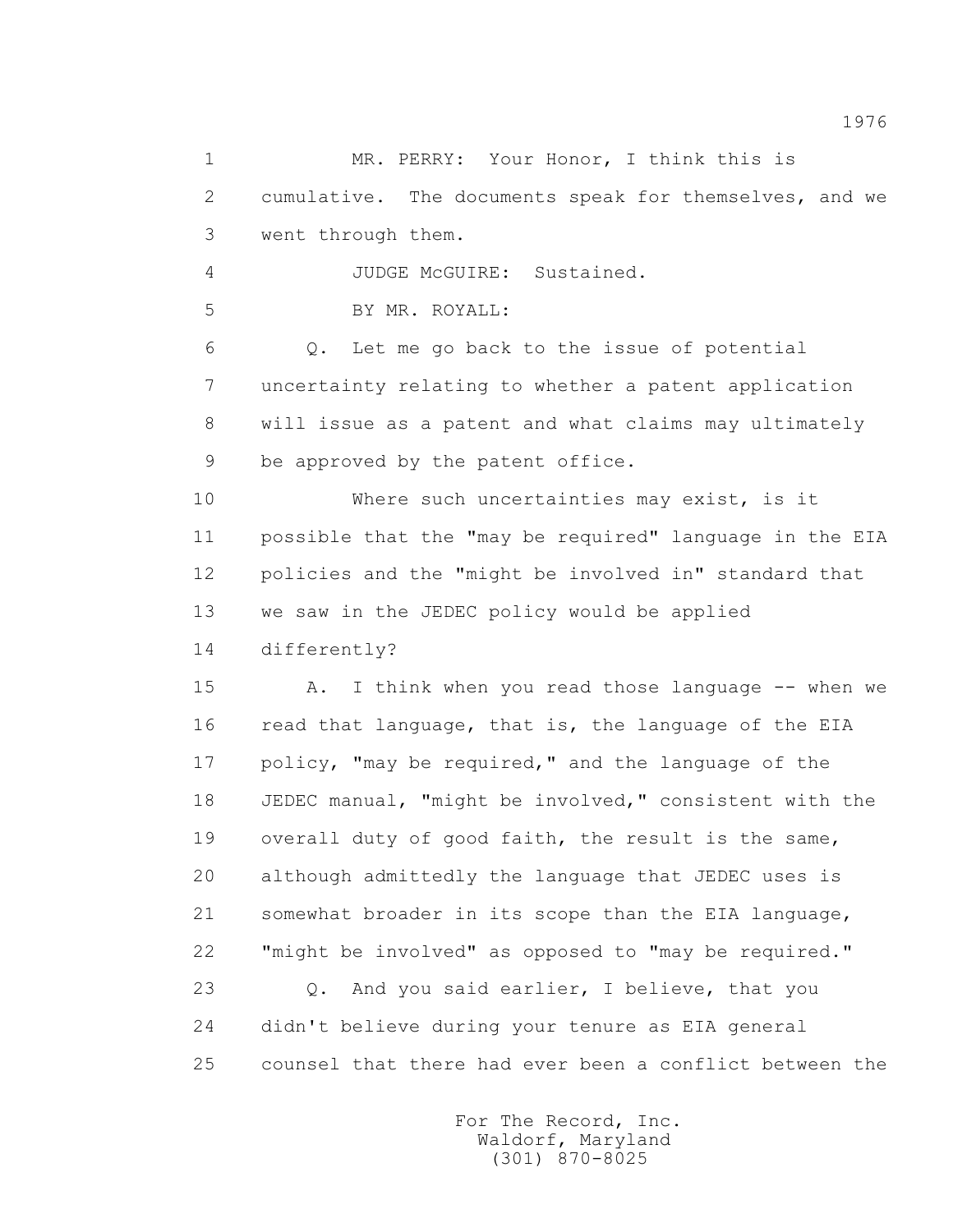1 MR. PERRY: Your Honor, I think this is 2 cumulative. The documents speak for themselves, and we 3 went through them. 4 JUDGE McGUIRE: Sustained. 5 BY MR. ROYALL: 6 Q. Let me go back to the issue of potential 7 uncertainty relating to whether a patent application 8 will issue as a patent and what claims may ultimately 9 be approved by the patent office. 10 Where such uncertainties may exist, is it 11 possible that the "may be required" language in the EIA 12 policies and the "might be involved in" standard that 13 we saw in the JEDEC policy would be applied 14 differently? 15 A. I think when you read those language -- when we 16 read that language, that is, the language of the EIA 17 policy, "may be required," and the language of the 18 JEDEC manual, "might be involved," consistent with the 19 overall duty of good faith, the result is the same, 20 although admittedly the language that JEDEC uses is 21 somewhat broader in its scope than the EIA language, 22 "might be involved" as opposed to "may be required." 23 Q. And you said earlier, I believe, that you 24 didn't believe during your tenure as EIA general 25 counsel that there had ever been a conflict between the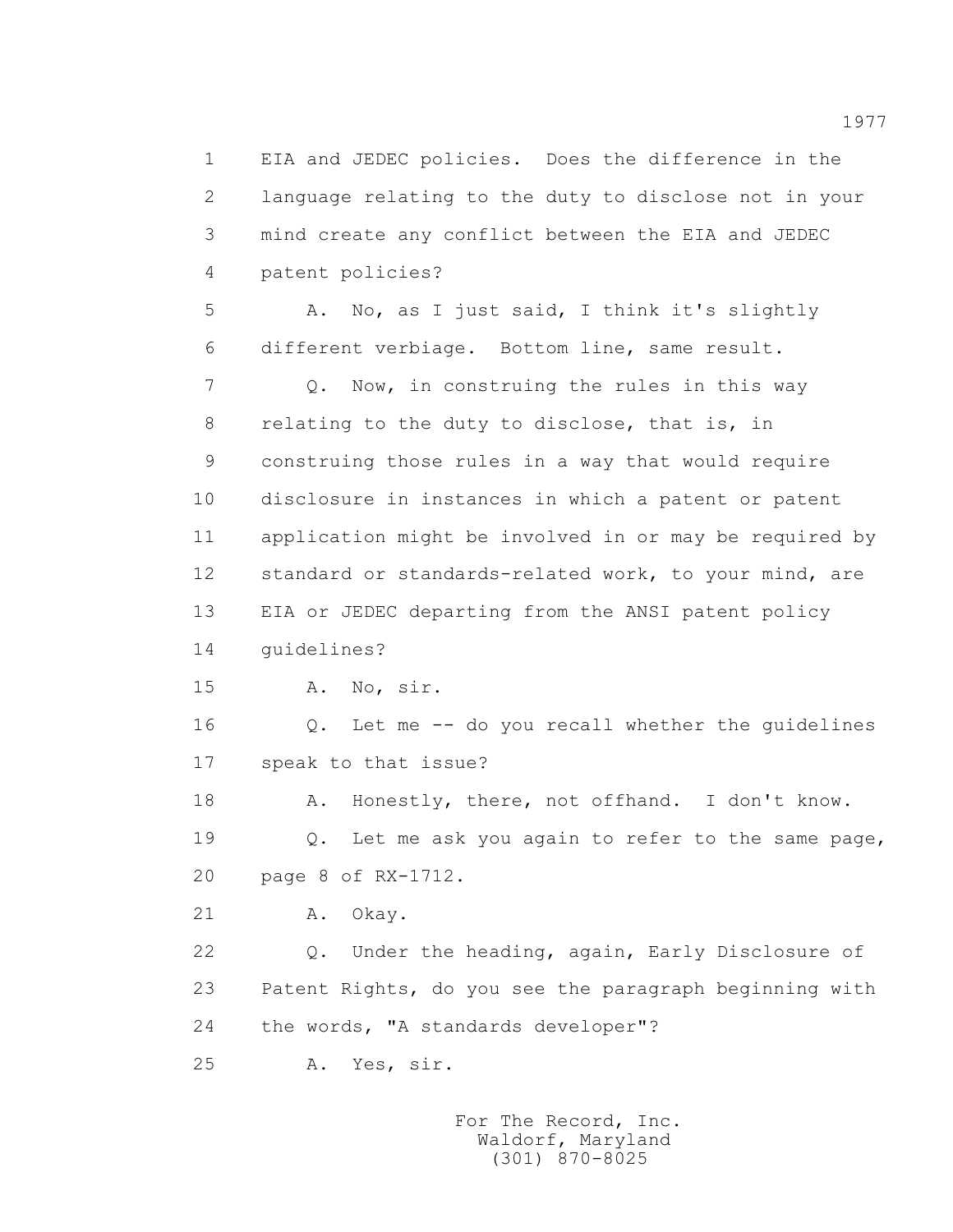1 EIA and JEDEC policies. Does the difference in the 2 language relating to the duty to disclose not in your 3 mind create any conflict between the EIA and JEDEC 4 patent policies?

 5 A. No, as I just said, I think it's slightly 6 different verbiage. Bottom line, same result.

 7 Q. Now, in construing the rules in this way 8 relating to the duty to disclose, that is, in 9 construing those rules in a way that would require 10 disclosure in instances in which a patent or patent 11 application might be involved in or may be required by 12 standard or standards-related work, to your mind, are 13 EIA or JEDEC departing from the ANSI patent policy 14 guidelines?

15 A. No, sir.

 16 Q. Let me -- do you recall whether the guidelines 17 speak to that issue?

18 A. Honestly, there, not offhand. I don't know. 19 Q. Let me ask you again to refer to the same page, 20 page 8 of RX-1712.

21 A. Okay.

 22 Q. Under the heading, again, Early Disclosure of 23 Patent Rights, do you see the paragraph beginning with 24 the words, "A standards developer"?

25 A. Yes, sir.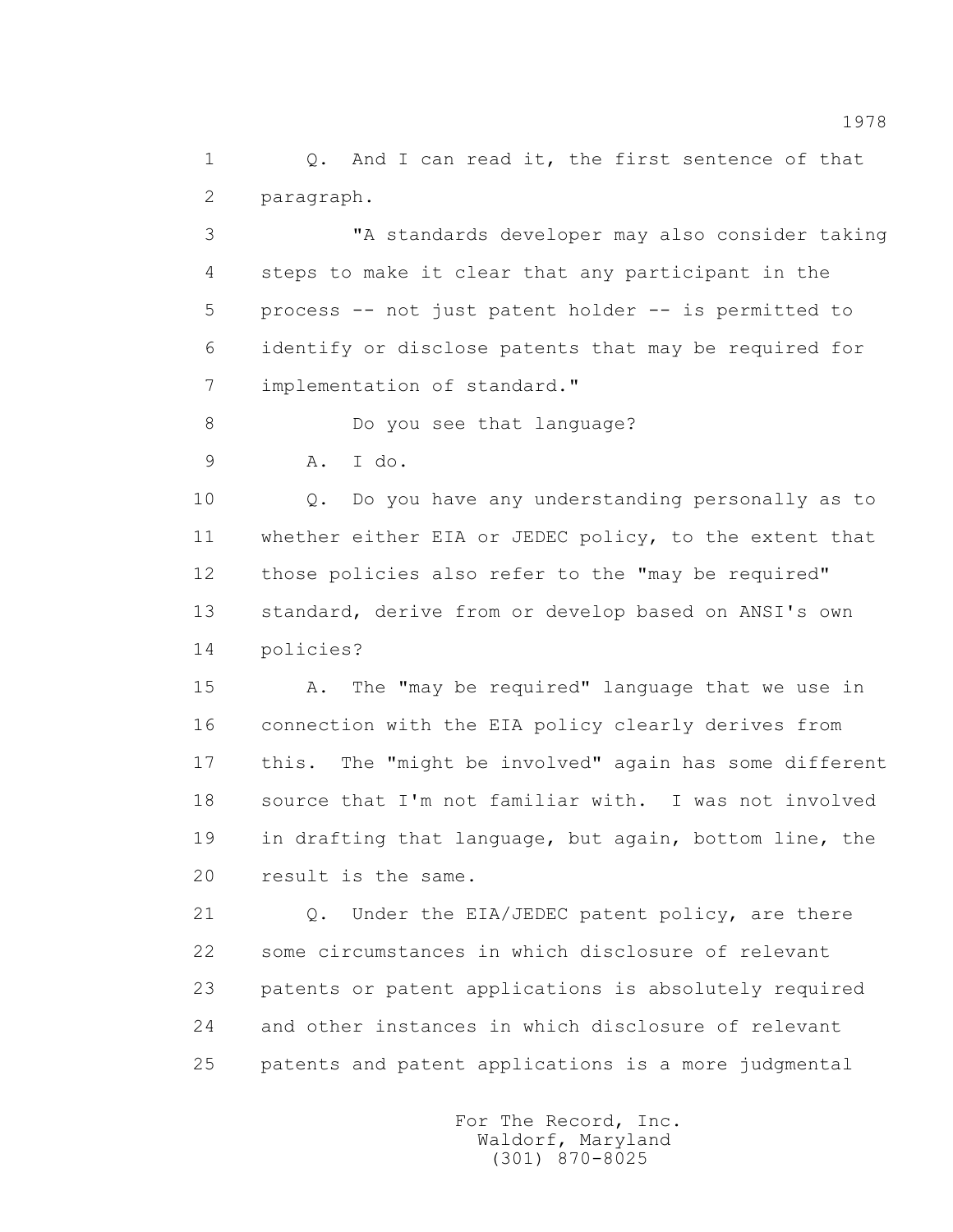1 0. And I can read it, the first sentence of that 2 paragraph.

 3 "A standards developer may also consider taking 4 steps to make it clear that any participant in the 5 process -- not just patent holder -- is permitted to 6 identify or disclose patents that may be required for 7 implementation of standard."

8 Do you see that language?

9 A. I do.

 10 Q. Do you have any understanding personally as to 11 whether either EIA or JEDEC policy, to the extent that 12 those policies also refer to the "may be required" 13 standard, derive from or develop based on ANSI's own 14 policies?

 15 A. The "may be required" language that we use in 16 connection with the EIA policy clearly derives from 17 this. The "might be involved" again has some different 18 source that I'm not familiar with. I was not involved 19 in drafting that language, but again, bottom line, the 20 result is the same.

21 Q. Under the EIA/JEDEC patent policy, are there 22 some circumstances in which disclosure of relevant 23 patents or patent applications is absolutely required 24 and other instances in which disclosure of relevant 25 patents and patent applications is a more judgmental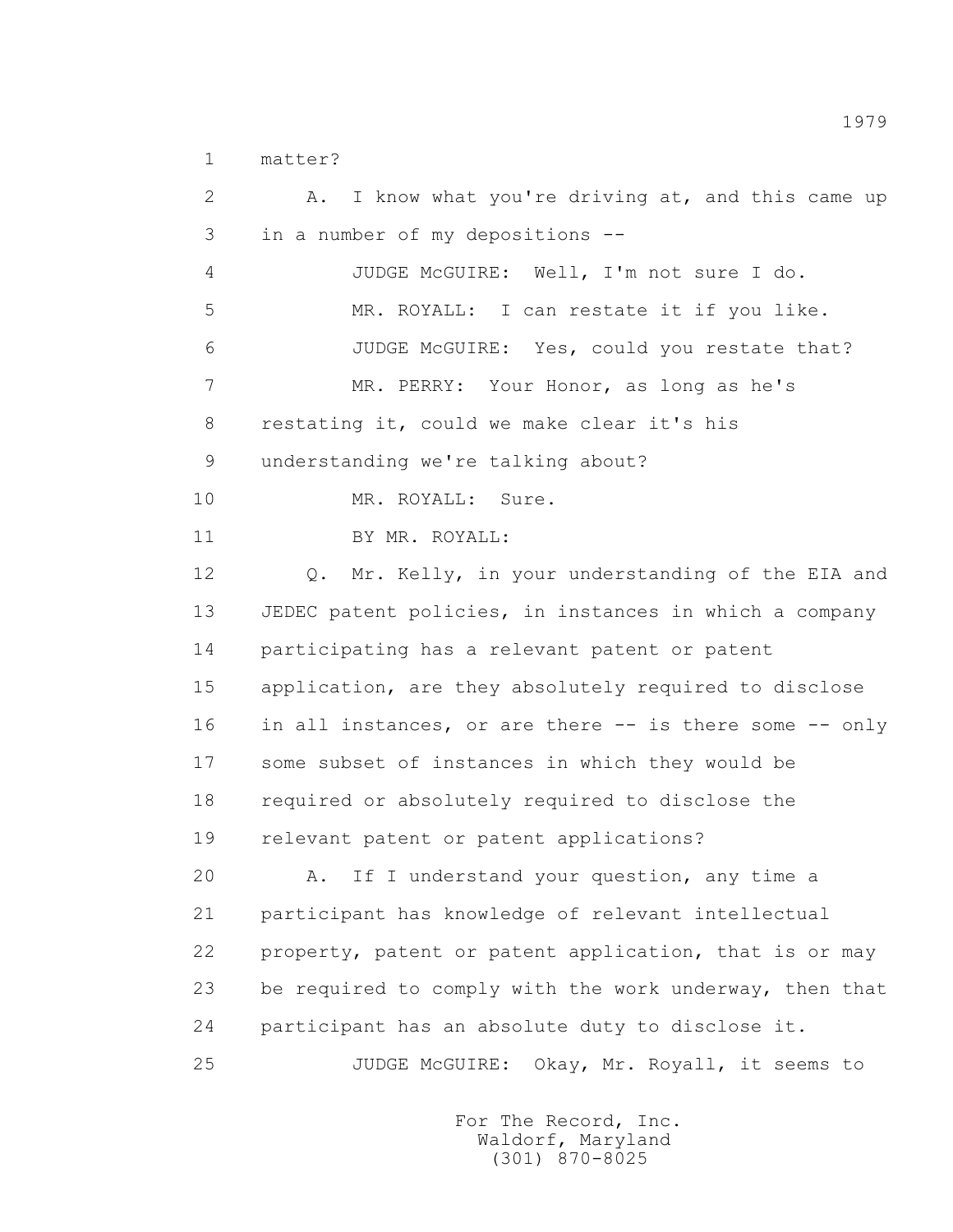1 matter?

 2 A. I know what you're driving at, and this came up 3 in a number of my depositions -- 4 JUDGE McGUIRE: Well, I'm not sure I do. 5 MR. ROYALL: I can restate it if you like. 6 JUDGE McGUIRE: Yes, could you restate that? 7 MR. PERRY: Your Honor, as long as he's 8 restating it, could we make clear it's his 9 understanding we're talking about? 10 MR. ROYALL: Sure. 11 BY MR. ROYALL: 12 Q. Mr. Kelly, in your understanding of the EIA and 13 JEDEC patent policies, in instances in which a company 14 participating has a relevant patent or patent 15 application, are they absolutely required to disclose 16 in all instances, or are there -- is there some -- only 17 some subset of instances in which they would be 18 required or absolutely required to disclose the 19 relevant patent or patent applications? 20 A. If I understand your question, any time a 21 participant has knowledge of relevant intellectual 22 property, patent or patent application, that is or may 23 be required to comply with the work underway, then that 24 participant has an absolute duty to disclose it. 25 JUDGE McGUIRE: Okay, Mr. Royall, it seems to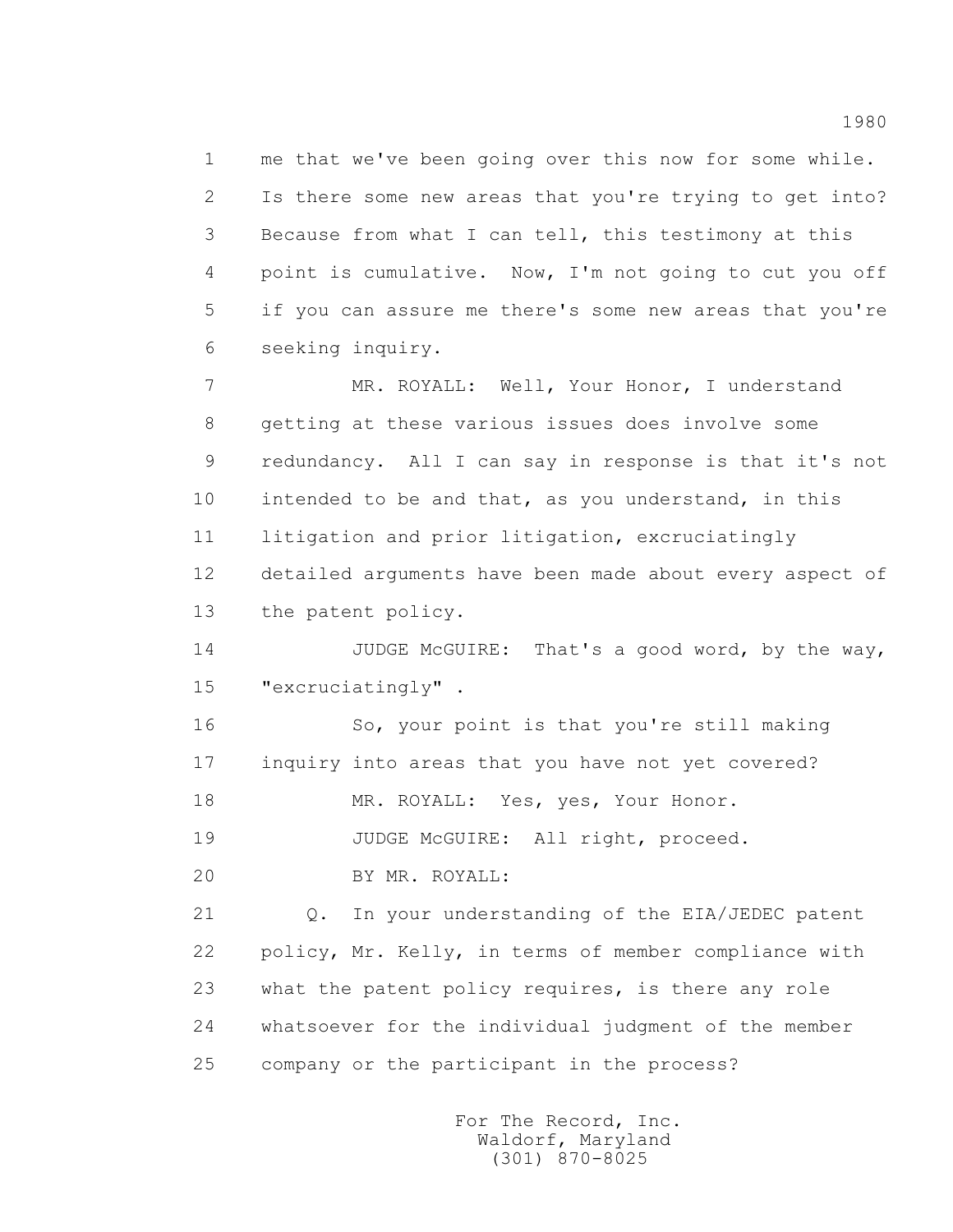1 me that we've been going over this now for some while. 2 Is there some new areas that you're trying to get into? 3 Because from what I can tell, this testimony at this 4 point is cumulative. Now, I'm not going to cut you off 5 if you can assure me there's some new areas that you're 6 seeking inquiry.

 7 MR. ROYALL: Well, Your Honor, I understand 8 getting at these various issues does involve some 9 redundancy. All I can say in response is that it's not 10 intended to be and that, as you understand, in this 11 litigation and prior litigation, excruciatingly 12 detailed arguments have been made about every aspect of 13 the patent policy.

14 JUDGE McGUIRE: That's a good word, by the way, 15 "excruciatingly" .

 16 So, your point is that you're still making 17 inquiry into areas that you have not yet covered?

18 MR. ROYALL: Yes, yes, Your Honor.

19 JUDGE McGUIRE: All right, proceed.

20 BY MR. ROYALL:

 21 Q. In your understanding of the EIA/JEDEC patent 22 policy, Mr. Kelly, in terms of member compliance with 23 what the patent policy requires, is there any role 24 whatsoever for the individual judgment of the member 25 company or the participant in the process?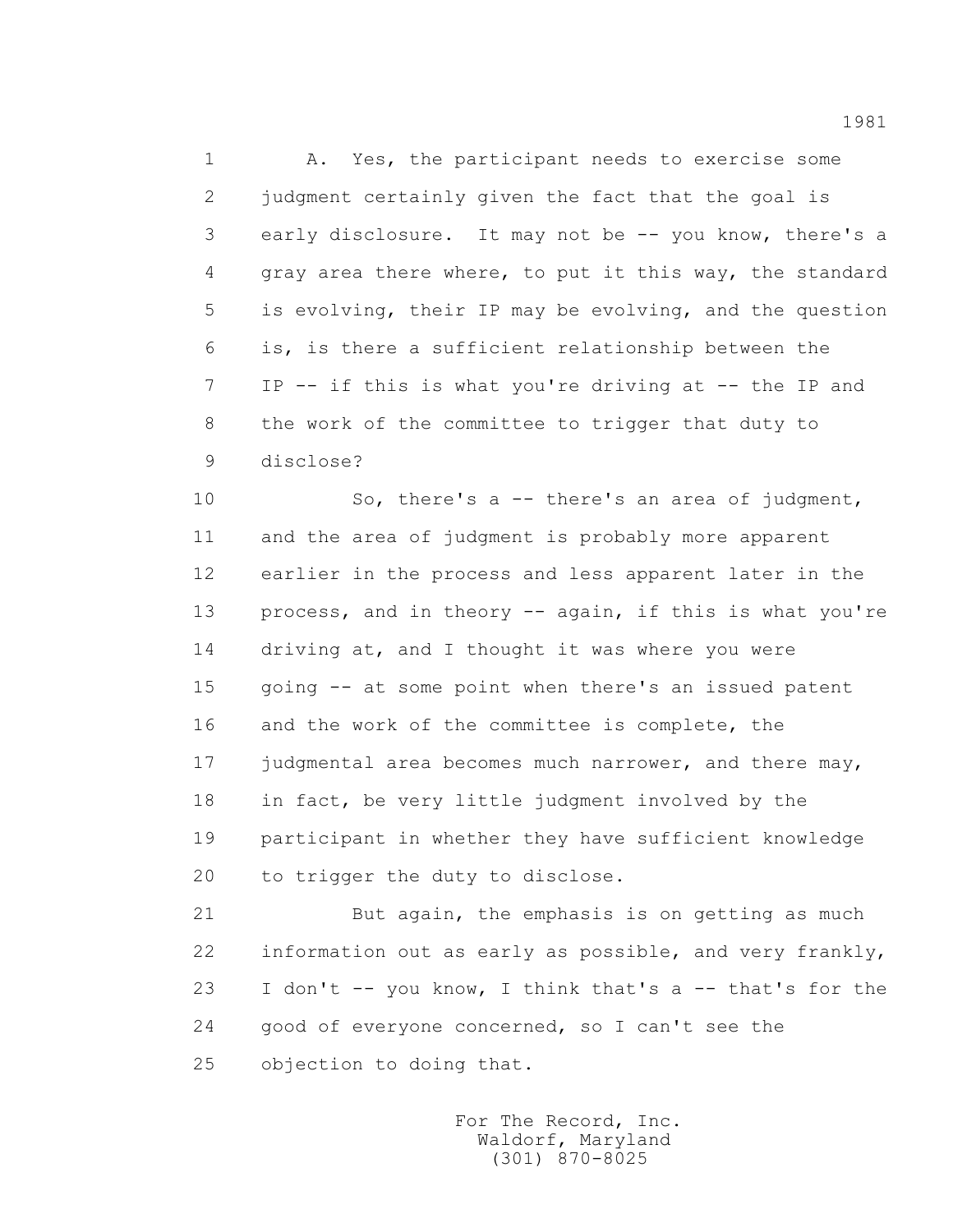1 A. Yes, the participant needs to exercise some 2 judgment certainly given the fact that the goal is 3 early disclosure. It may not be -- you know, there's a 4 gray area there where, to put it this way, the standard 5 is evolving, their IP may be evolving, and the question 6 is, is there a sufficient relationship between the 7 IP -- if this is what you're driving at -- the IP and 8 the work of the committee to trigger that duty to 9 disclose?

 10 So, there's a -- there's an area of judgment, 11 and the area of judgment is probably more apparent 12 earlier in the process and less apparent later in the 13 process, and in theory -- again, if this is what you're 14 driving at, and I thought it was where you were 15 going -- at some point when there's an issued patent 16 and the work of the committee is complete, the 17 judgmental area becomes much narrower, and there may, 18 in fact, be very little judgment involved by the 19 participant in whether they have sufficient knowledge 20 to trigger the duty to disclose.

 21 But again, the emphasis is on getting as much 22 information out as early as possible, and very frankly, 23 I don't -- you know, I think that's a -- that's for the 24 good of everyone concerned, so I can't see the 25 objection to doing that.

> For The Record, Inc. Waldorf, Maryland (301) 870-8025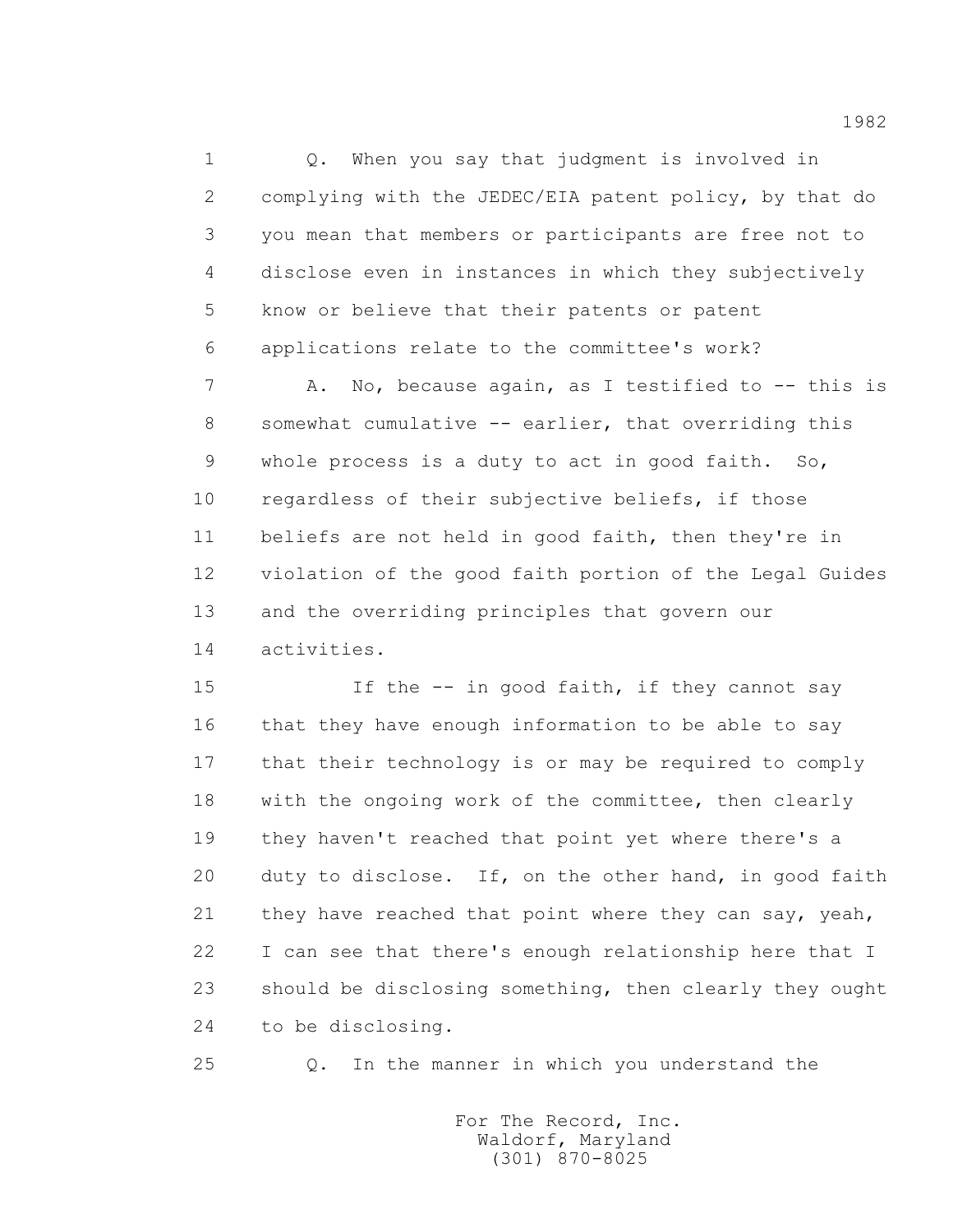1 Q. When you say that judgment is involved in 2 complying with the JEDEC/EIA patent policy, by that do 3 you mean that members or participants are free not to 4 disclose even in instances in which they subjectively 5 know or believe that their patents or patent 6 applications relate to the committee's work?

7 A. No, because again, as I testified to -- this is 8 somewhat cumulative -- earlier, that overriding this 9 whole process is a duty to act in good faith. So, 10 regardless of their subjective beliefs, if those 11 beliefs are not held in good faith, then they're in 12 violation of the good faith portion of the Legal Guides 13 and the overriding principles that govern our 14 activities.

15 15 If the  $-$  in good faith, if they cannot say 16 that they have enough information to be able to say 17 that their technology is or may be required to comply 18 with the ongoing work of the committee, then clearly 19 they haven't reached that point yet where there's a 20 duty to disclose. If, on the other hand, in good faith 21 they have reached that point where they can say, yeah, 22 I can see that there's enough relationship here that I 23 should be disclosing something, then clearly they ought 24 to be disclosing.

25 Q. In the manner in which you understand the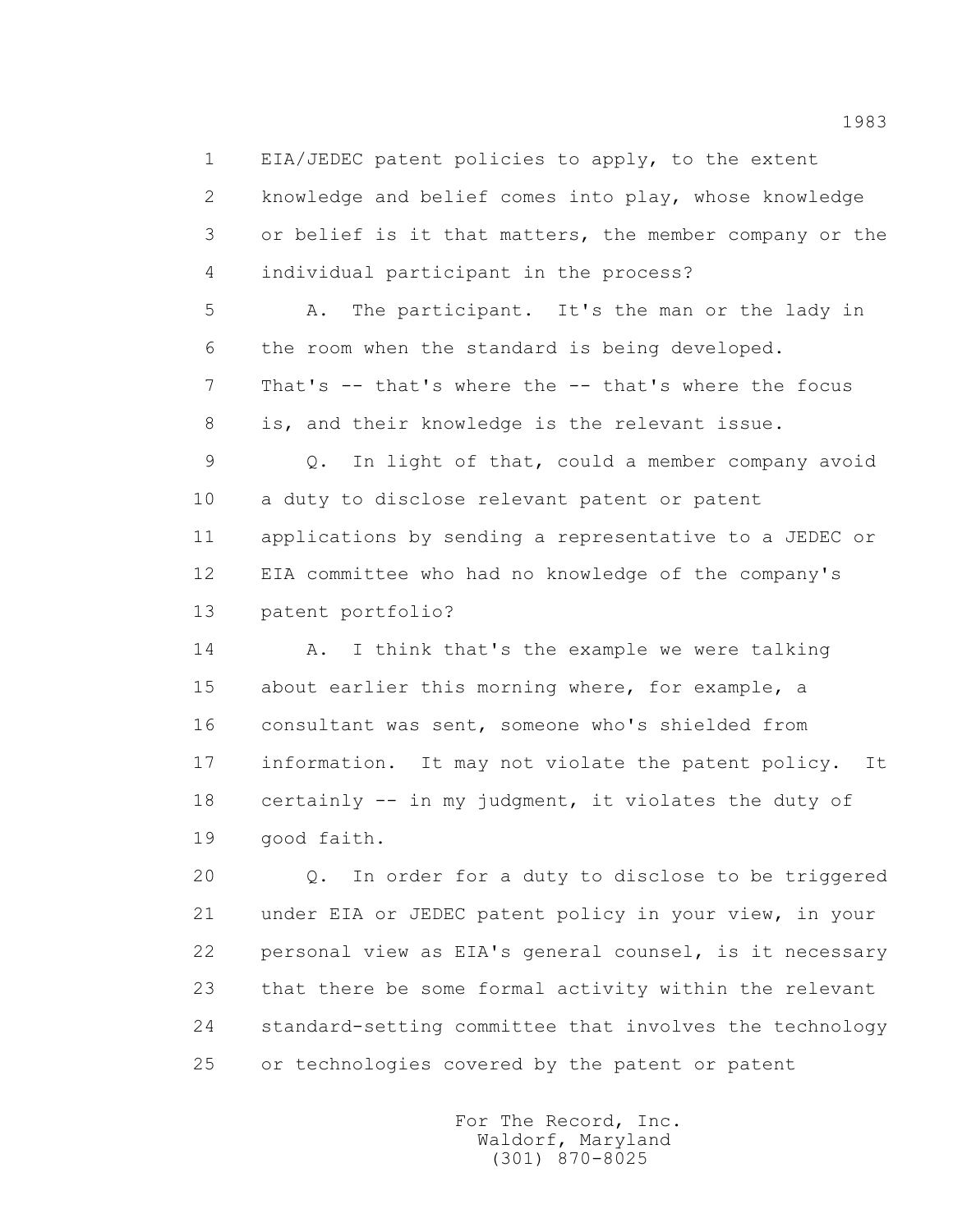1 EIA/JEDEC patent policies to apply, to the extent

 2 knowledge and belief comes into play, whose knowledge 3 or belief is it that matters, the member company or the 4 individual participant in the process?

 5 A. The participant. It's the man or the lady in 6 the room when the standard is being developed. 7 That's -- that's where the -- that's where the focus 8 is, and their knowledge is the relevant issue.

 9 Q. In light of that, could a member company avoid 10 a duty to disclose relevant patent or patent 11 applications by sending a representative to a JEDEC or 12 EIA committee who had no knowledge of the company's 13 patent portfolio?

14 A. I think that's the example we were talking 15 about earlier this morning where, for example, a 16 consultant was sent, someone who's shielded from 17 information. It may not violate the patent policy. It 18 certainly -- in my judgment, it violates the duty of 19 good faith.

 20 Q. In order for a duty to disclose to be triggered 21 under EIA or JEDEC patent policy in your view, in your 22 personal view as EIA's general counsel, is it necessary 23 that there be some formal activity within the relevant 24 standard-setting committee that involves the technology 25 or technologies covered by the patent or patent

> For The Record, Inc. Waldorf, Maryland (301) 870-8025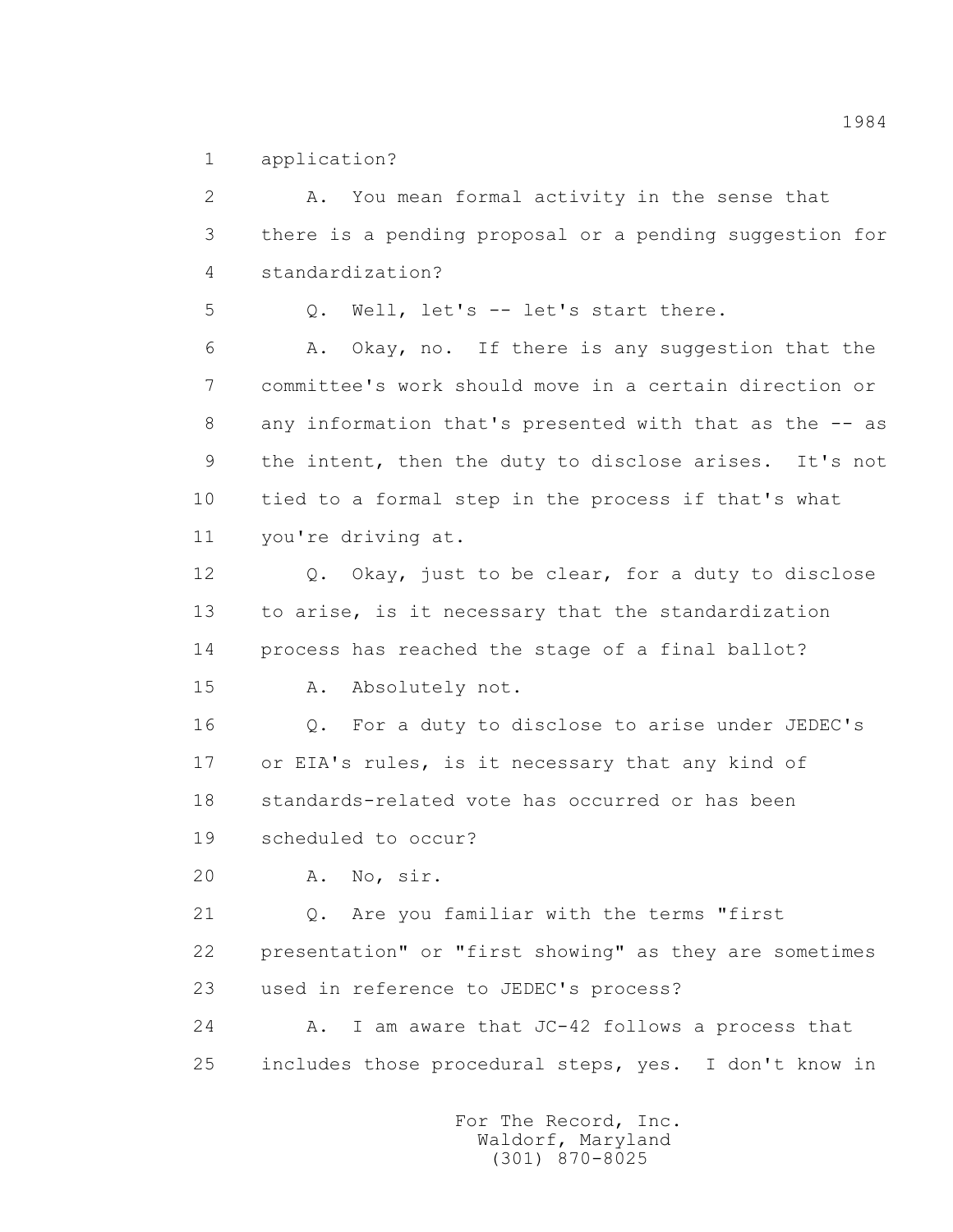1 application?

 2 A. You mean formal activity in the sense that 3 there is a pending proposal or a pending suggestion for 4 standardization? 5 Q. Well, let's -- let's start there. 6 A. Okay, no. If there is any suggestion that the 7 committee's work should move in a certain direction or 8 any information that's presented with that as the -- as 9 the intent, then the duty to disclose arises. It's not 10 tied to a formal step in the process if that's what 11 you're driving at. 12 Q. Okay, just to be clear, for a duty to disclose 13 to arise, is it necessary that the standardization 14 process has reached the stage of a final ballot? 15 A. Absolutely not. 16 Q. For a duty to disclose to arise under JEDEC's 17 or EIA's rules, is it necessary that any kind of 18 standards-related vote has occurred or has been 19 scheduled to occur? 20 A. No, sir. 21 Q. Are you familiar with the terms "first 22 presentation" or "first showing" as they are sometimes 23 used in reference to JEDEC's process? 24 A. I am aware that JC-42 follows a process that 25 includes those procedural steps, yes. I don't know in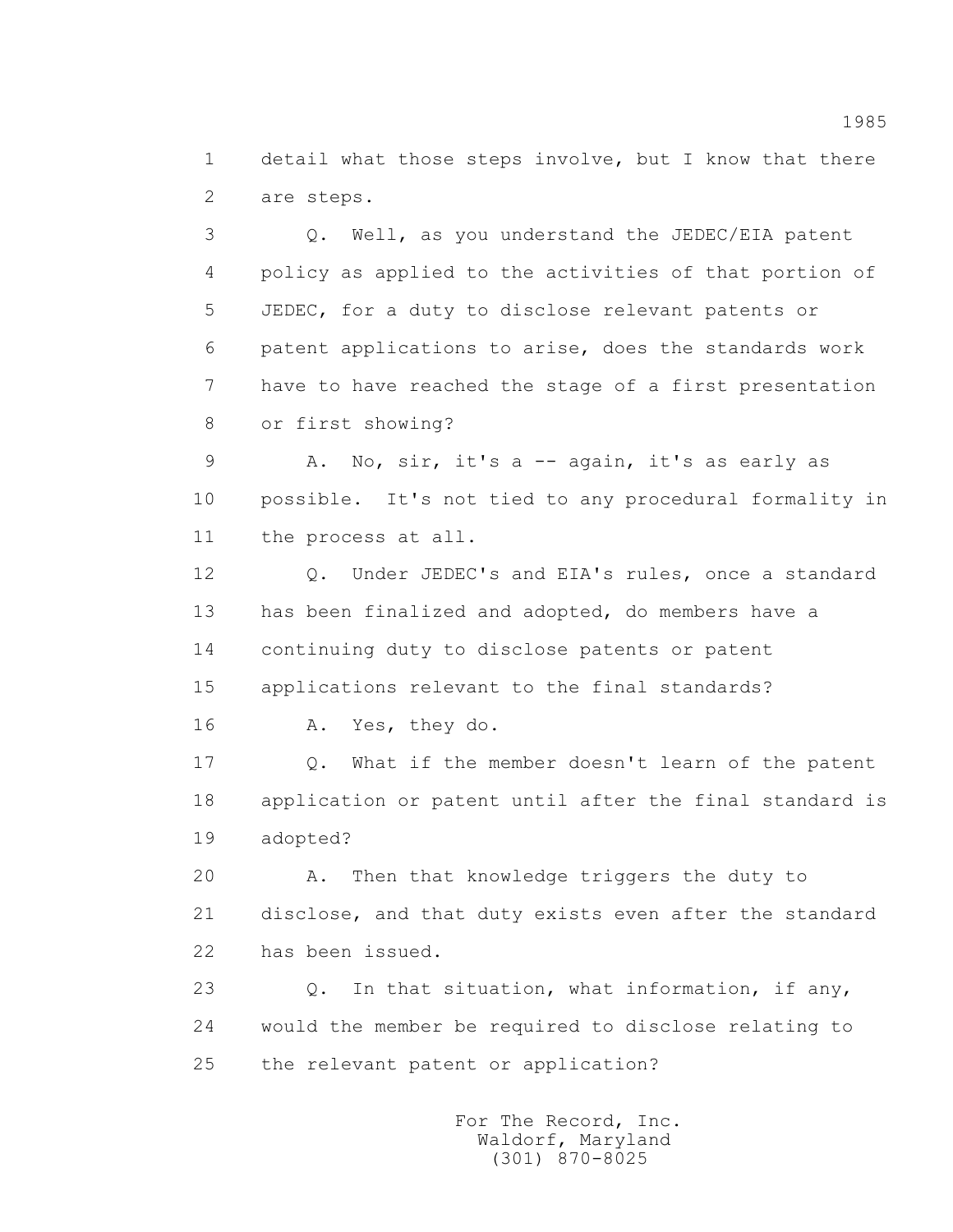1 detail what those steps involve, but I know that there 2 are steps.

 3 Q. Well, as you understand the JEDEC/EIA patent 4 policy as applied to the activities of that portion of 5 JEDEC, for a duty to disclose relevant patents or 6 patent applications to arise, does the standards work 7 have to have reached the stage of a first presentation 8 or first showing?

 9 A. No, sir, it's a -- again, it's as early as 10 possible. It's not tied to any procedural formality in 11 the process at all.

 12 Q. Under JEDEC's and EIA's rules, once a standard 13 has been finalized and adopted, do members have a 14 continuing duty to disclose patents or patent 15 applications relevant to the final standards?

16 A. Yes, they do.

 17 Q. What if the member doesn't learn of the patent 18 application or patent until after the final standard is 19 adopted?

 20 A. Then that knowledge triggers the duty to 21 disclose, and that duty exists even after the standard 22 has been issued.

 23 Q. In that situation, what information, if any, 24 would the member be required to disclose relating to 25 the relevant patent or application?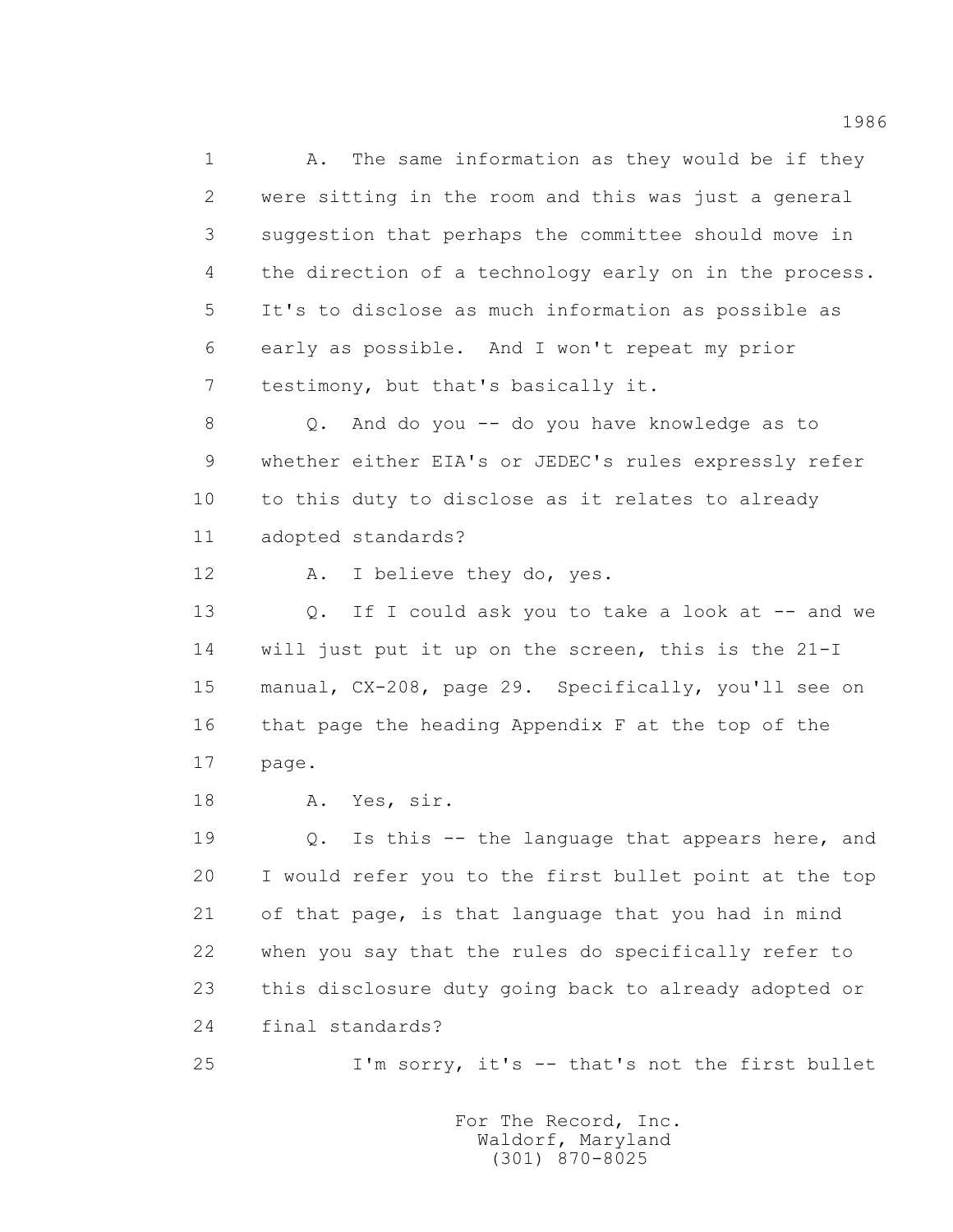1 A. The same information as they would be if they 2 were sitting in the room and this was just a general 3 suggestion that perhaps the committee should move in 4 the direction of a technology early on in the process. 5 It's to disclose as much information as possible as 6 early as possible. And I won't repeat my prior 7 testimony, but that's basically it.

 8 Q. And do you -- do you have knowledge as to 9 whether either EIA's or JEDEC's rules expressly refer 10 to this duty to disclose as it relates to already 11 adopted standards?

12 A. I believe they do, yes.

13 0. If I could ask you to take a look at -- and we 14 will just put it up on the screen, this is the 21-I 15 manual, CX-208, page 29. Specifically, you'll see on 16 that page the heading Appendix F at the top of the 17 page.

18 A. Yes, sir.

 19 Q. Is this -- the language that appears here, and 20 I would refer you to the first bullet point at the top 21 of that page, is that language that you had in mind 22 when you say that the rules do specifically refer to 23 this disclosure duty going back to already adopted or 24 final standards?

25 I'm sorry, it's -- that's not the first bullet

 For The Record, Inc. Waldorf, Maryland (301) 870-8025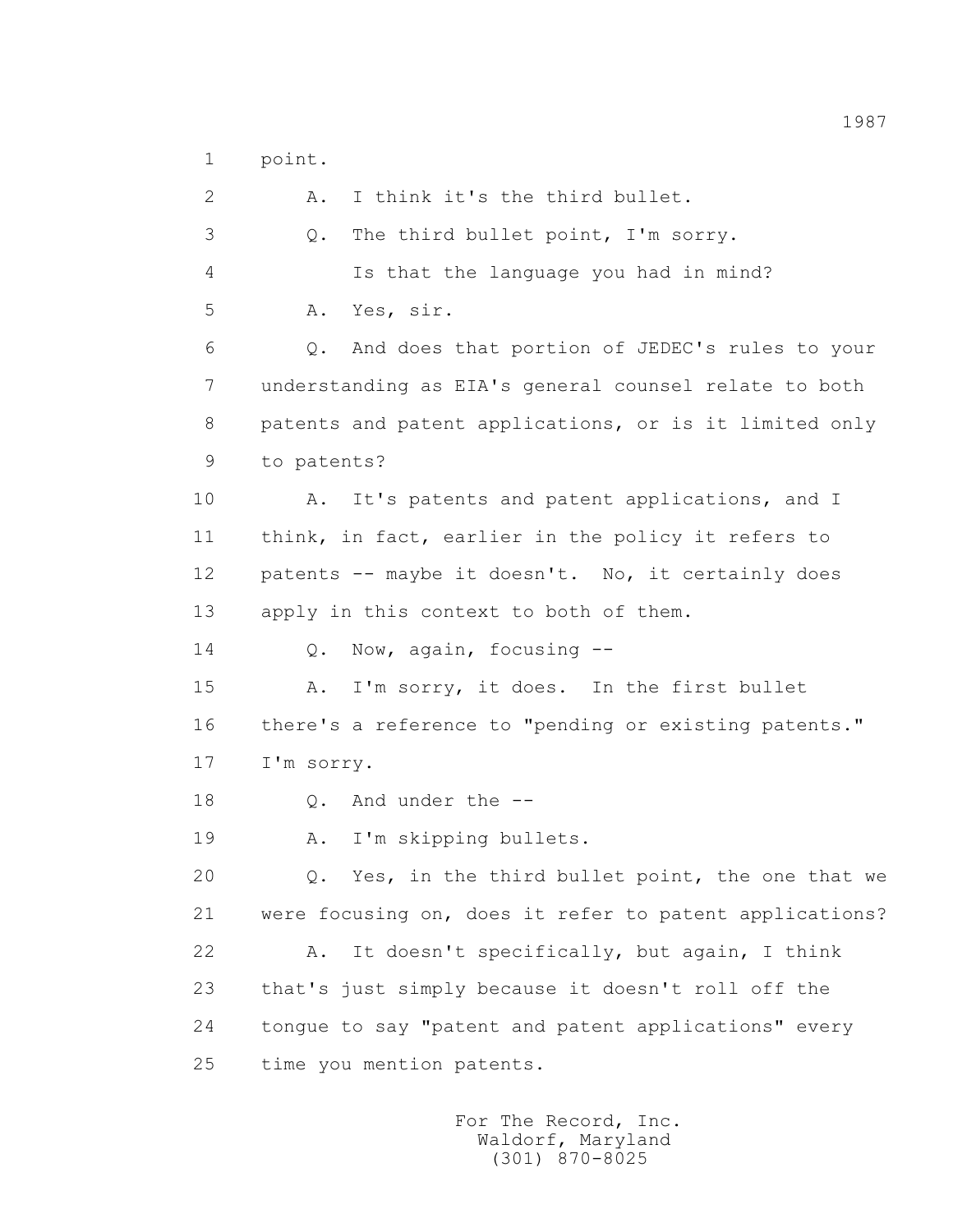1 point.

| $\overline{2}$ | I think it's the third bullet.<br>Α.                    |
|----------------|---------------------------------------------------------|
| 3              | The third bullet point, I'm sorry.<br>Q.                |
| 4              | Is that the language you had in mind?                   |
| 5              | Yes, sir.<br>Α.                                         |
| 6              | And does that portion of JEDEC's rules to your<br>Q.    |
| 7              | understanding as EIA's general counsel relate to both   |
| 8              | patents and patent applications, or is it limited only  |
| 9              | to patents?                                             |
| 10             | It's patents and patent applications, and I<br>Α.       |
| 11             | think, in fact, earlier in the policy it refers to      |
| 12             | patents -- maybe it doesn't. No, it certainly does      |
| 13             | apply in this context to both of them.                  |
| 14             | Now, again, focusing --<br>$Q$ .                        |
| 15             | I'm sorry, it does. In the first bullet<br>Α.           |
| 16             | there's a reference to "pending or existing patents."   |
| 17             | I'm sorry.                                              |
| 18             | And under the --<br>$Q$ .                               |
| 19             | I'm skipping bullets.<br>Α.                             |
| 20             | Yes, in the third bullet point, the one that we<br>Q.   |
| 21             | were focusing on, does it refer to patent applications? |
| 22             | It doesn't specifically, but again, I think<br>Α.       |
| 23             | that's just simply because it doesn't roll off the      |
| 24             | tonque to say "patent and patent applications" every    |
| 25             | time you mention patents.                               |
|                |                                                         |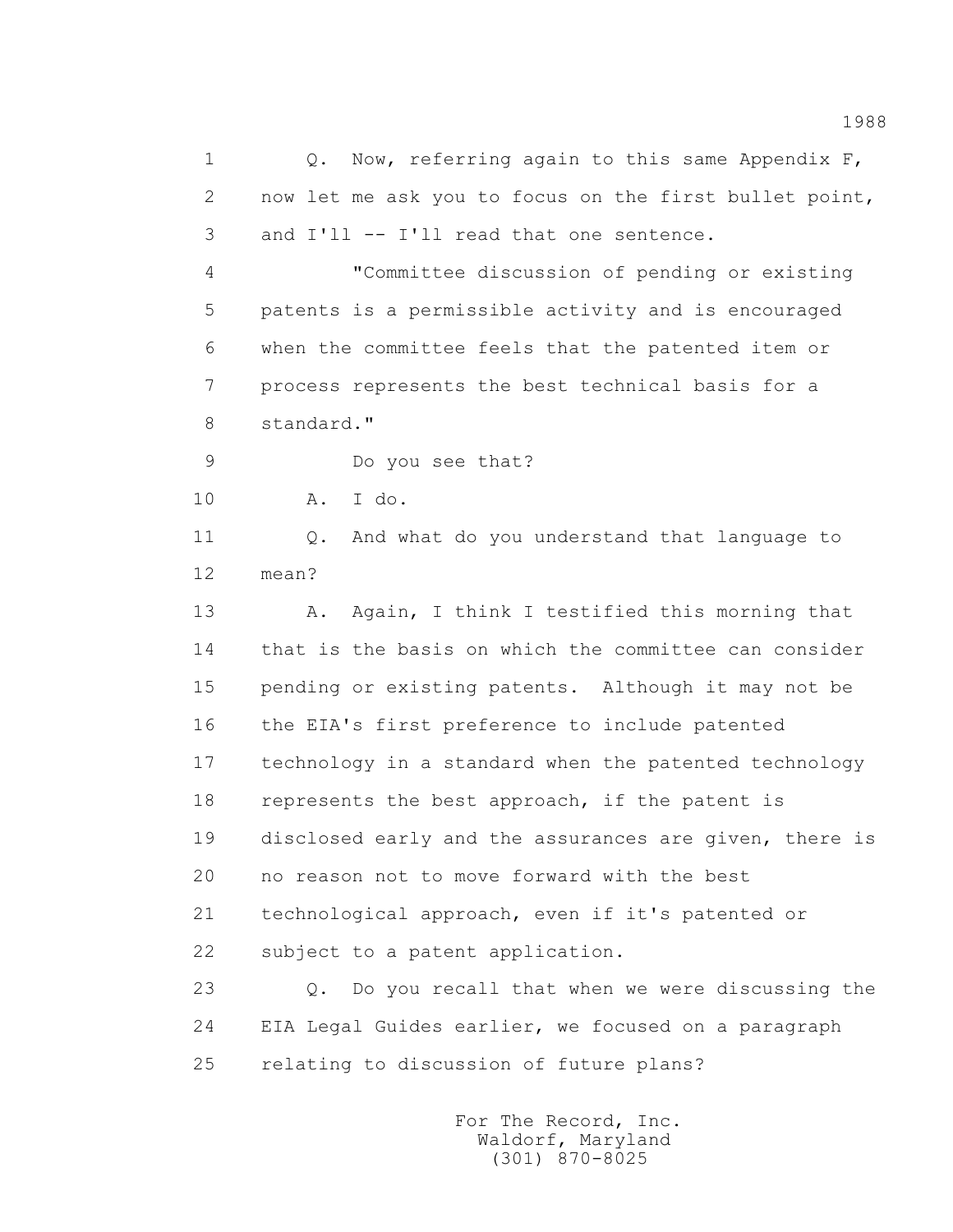1 Q. Now, referring again to this same Appendix F, 2 now let me ask you to focus on the first bullet point, 3 and I'll -- I'll read that one sentence. 4 "Committee discussion of pending or existing 5 patents is a permissible activity and is encouraged 6 when the committee feels that the patented item or 7 process represents the best technical basis for a 8 standard." 9 Do you see that? 10 A. I do. 11 Q. And what do you understand that language to 12 mean? 13 A. Again, I think I testified this morning that 14 that is the basis on which the committee can consider 15 pending or existing patents. Although it may not be 16 the EIA's first preference to include patented 17 technology in a standard when the patented technology 18 represents the best approach, if the patent is 19 disclosed early and the assurances are given, there is 20 no reason not to move forward with the best 21 technological approach, even if it's patented or 22 subject to a patent application. 23 Q. Do you recall that when we were discussing the 24 EIA Legal Guides earlier, we focused on a paragraph 25 relating to discussion of future plans?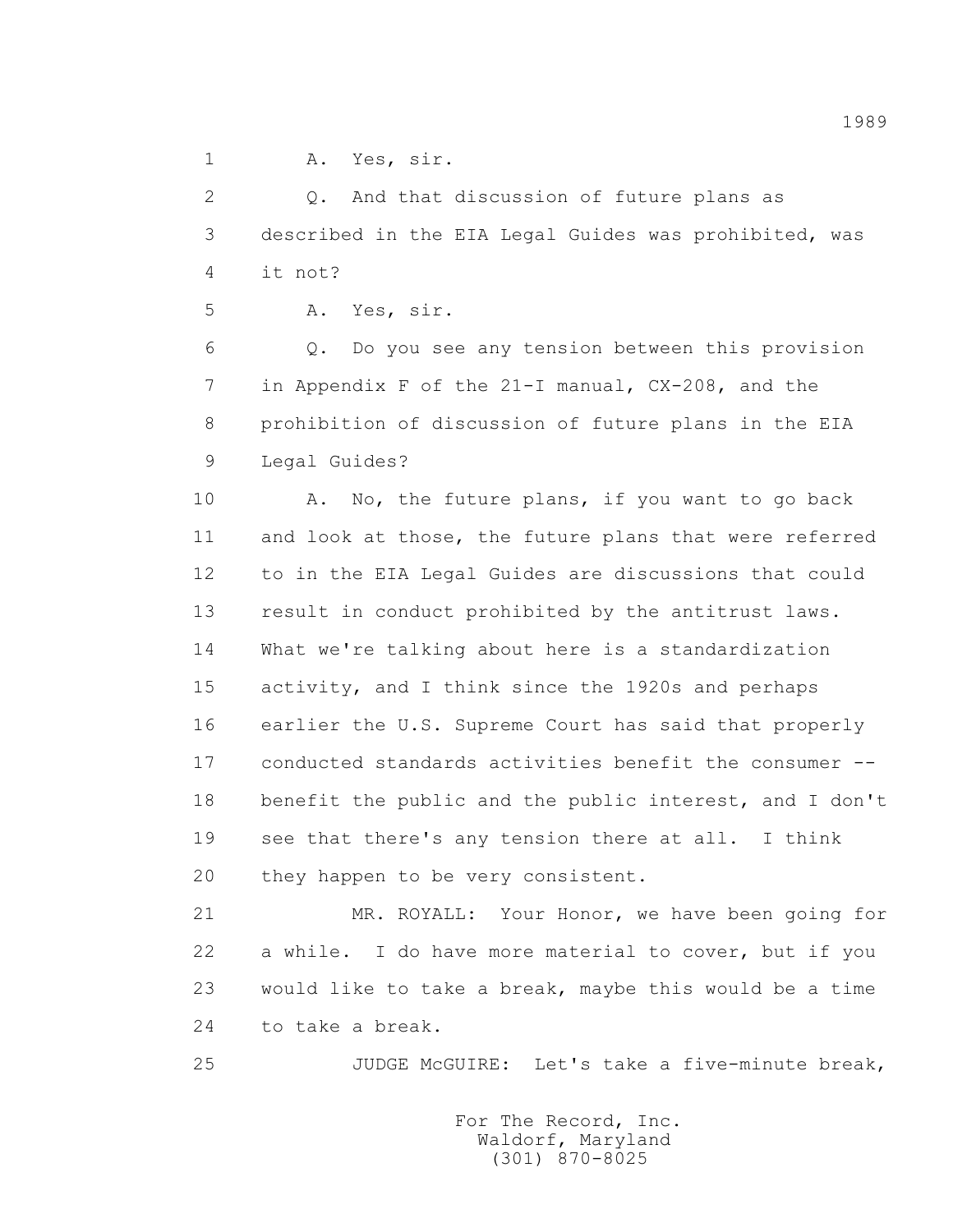1 A. Yes, sir.

2 Q. And that discussion of future plans as 3 described in the EIA Legal Guides was prohibited, was 4 it not?

5 A. Yes, sir.

 6 Q. Do you see any tension between this provision 7 in Appendix F of the 21-I manual, CX-208, and the 8 prohibition of discussion of future plans in the EIA 9 Legal Guides?

10 A. No, the future plans, if you want to go back 11 and look at those, the future plans that were referred 12 to in the EIA Legal Guides are discussions that could 13 result in conduct prohibited by the antitrust laws. 14 What we're talking about here is a standardization 15 activity, and I think since the 1920s and perhaps 16 earlier the U.S. Supreme Court has said that properly 17 conducted standards activities benefit the consumer -- 18 benefit the public and the public interest, and I don't 19 see that there's any tension there at all. I think 20 they happen to be very consistent.

 21 MR. ROYALL: Your Honor, we have been going for 22 a while. I do have more material to cover, but if you 23 would like to take a break, maybe this would be a time 24 to take a break.

25 JUDGE McGUIRE: Let's take a five-minute break,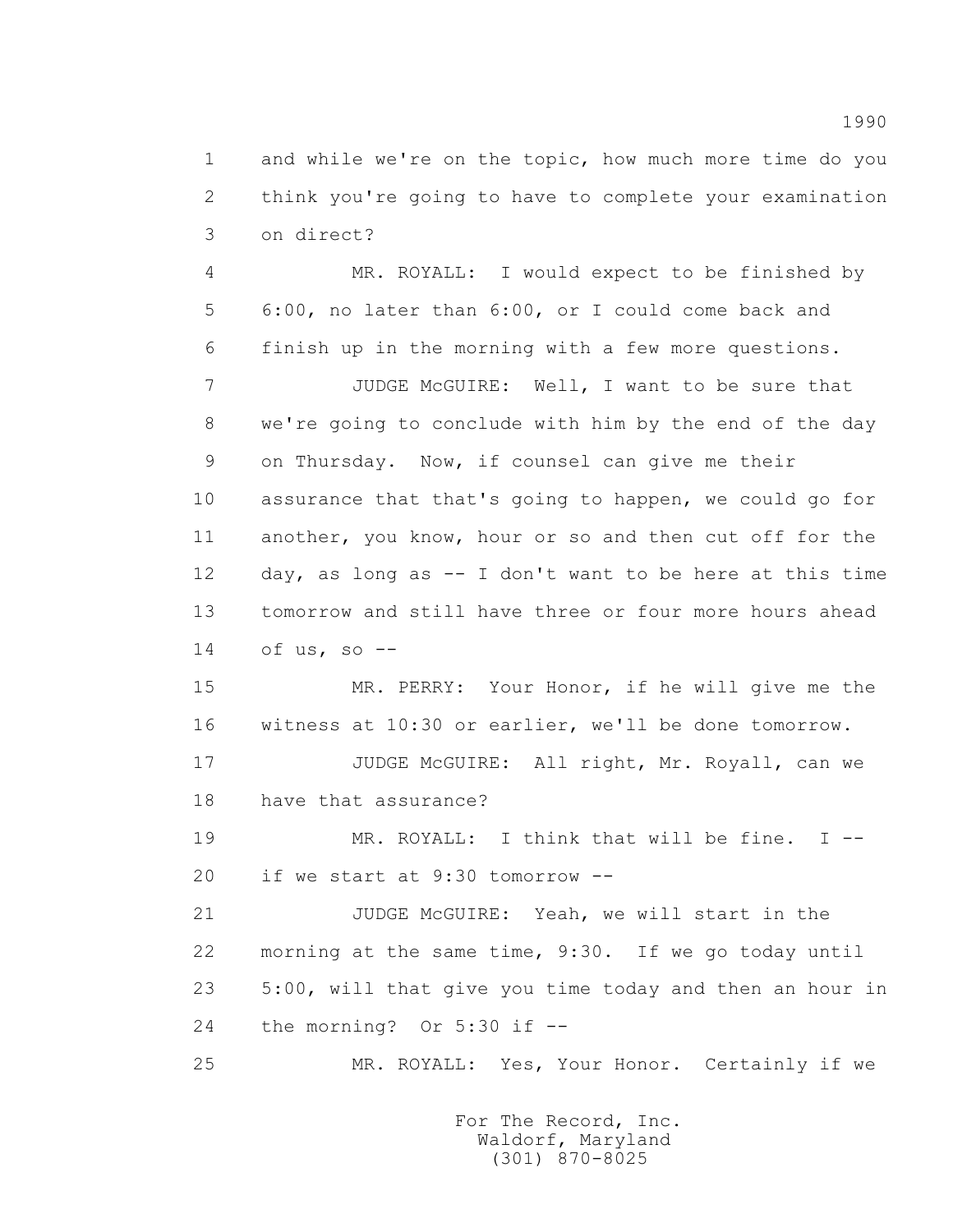1 and while we're on the topic, how much more time do you 2 think you're going to have to complete your examination 3 on direct?

 4 MR. ROYALL: I would expect to be finished by 5 6:00, no later than 6:00, or I could come back and 6 finish up in the morning with a few more questions.

 7 JUDGE McGUIRE: Well, I want to be sure that 8 we're going to conclude with him by the end of the day 9 on Thursday. Now, if counsel can give me their 10 assurance that that's going to happen, we could go for 11 another, you know, hour or so and then cut off for the 12 day, as long as -- I don't want to be here at this time 13 tomorrow and still have three or four more hours ahead 14 of us, so --

 15 MR. PERRY: Your Honor, if he will give me the 16 witness at 10:30 or earlier, we'll be done tomorrow.

 17 JUDGE McGUIRE: All right, Mr. Royall, can we 18 have that assurance?

 19 MR. ROYALL: I think that will be fine. I -- 20 if we start at 9:30 tomorrow --

 21 JUDGE McGUIRE: Yeah, we will start in the 22 morning at the same time, 9:30. If we go today until 23 5:00, will that give you time today and then an hour in 24 the morning? Or 5:30 if --

25 MR. ROYALL: Yes, Your Honor. Certainly if we

 For The Record, Inc. Waldorf, Maryland (301) 870-8025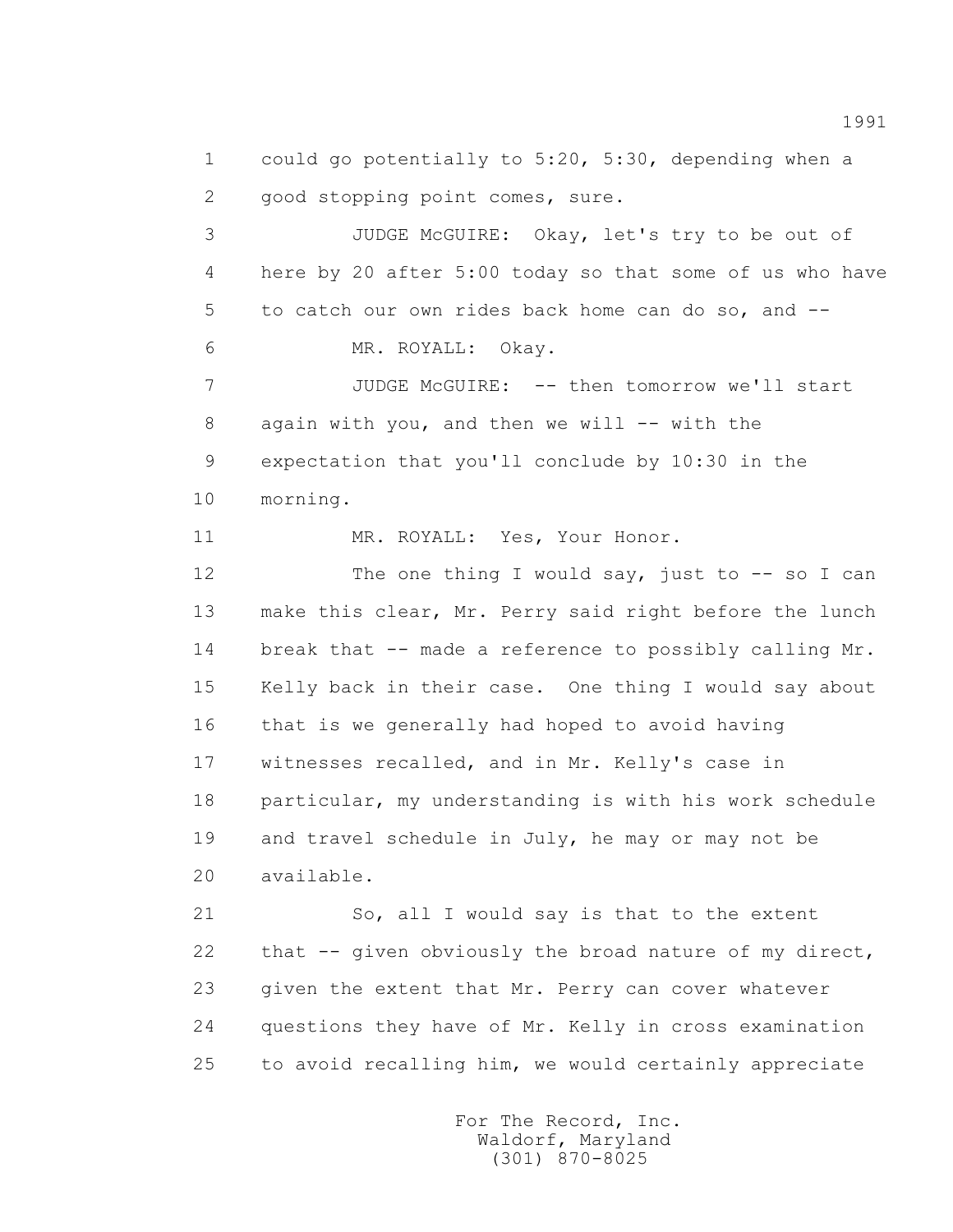1 could go potentially to 5:20, 5:30, depending when a 2 good stopping point comes, sure.

 3 JUDGE McGUIRE: Okay, let's try to be out of 4 here by 20 after 5:00 today so that some of us who have 5 to catch our own rides back home can do so, and -- 6 MR. ROYALL: Okay.

 7 JUDGE McGUIRE: -- then tomorrow we'll start 8 again with you, and then we will -- with the 9 expectation that you'll conclude by 10:30 in the 10 morning.

11 MR. ROYALL: Yes, Your Honor.

12 The one thing I would say, just to -- so I can 13 make this clear, Mr. Perry said right before the lunch 14 break that -- made a reference to possibly calling Mr. 15 Kelly back in their case. One thing I would say about 16 that is we generally had hoped to avoid having 17 witnesses recalled, and in Mr. Kelly's case in 18 particular, my understanding is with his work schedule 19 and travel schedule in July, he may or may not be 20 available.

 21 So, all I would say is that to the extent 22 that -- given obviously the broad nature of my direct, 23 given the extent that Mr. Perry can cover whatever 24 questions they have of Mr. Kelly in cross examination 25 to avoid recalling him, we would certainly appreciate

> For The Record, Inc. Waldorf, Maryland (301) 870-8025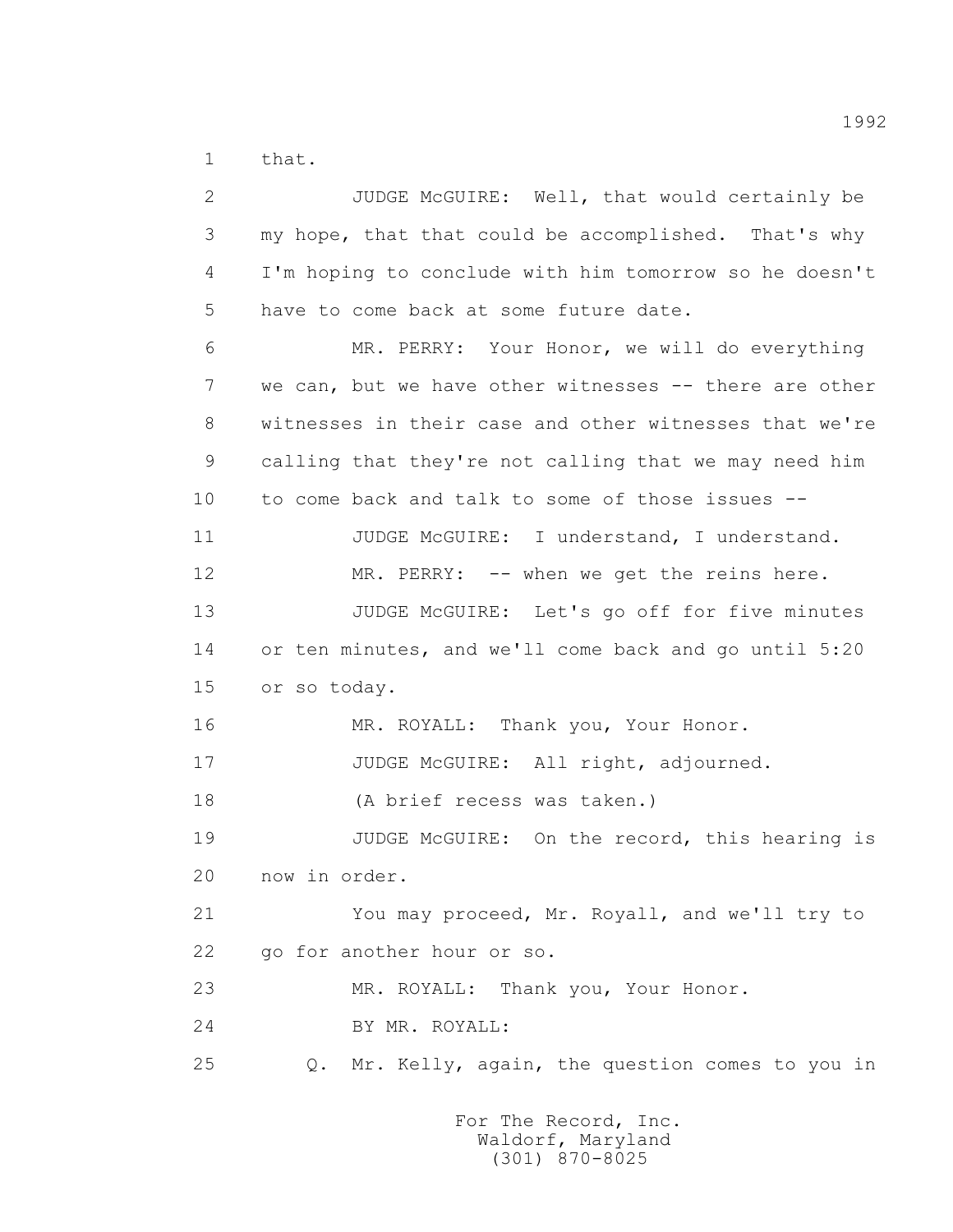1 that.

 2 JUDGE McGUIRE: Well, that would certainly be 3 my hope, that that could be accomplished. That's why 4 I'm hoping to conclude with him tomorrow so he doesn't 5 have to come back at some future date. 6 MR. PERRY: Your Honor, we will do everything 7 we can, but we have other witnesses -- there are other 8 witnesses in their case and other witnesses that we're 9 calling that they're not calling that we may need him 10 to come back and talk to some of those issues -- 11 JUDGE McGUIRE: I understand, I understand. 12 MR. PERRY: -- when we get the reins here. 13 JUDGE McGUIRE: Let's go off for five minutes 14 or ten minutes, and we'll come back and go until 5:20 15 or so today. 16 MR. ROYALL: Thank you, Your Honor. 17 JUDGE McGUIRE: All right, adjourned. 18 (A brief recess was taken.) 19 JUDGE McGUIRE: On the record, this hearing is 20 now in order. 21 You may proceed, Mr. Royall, and we'll try to 22 go for another hour or so. 23 MR. ROYALL: Thank you, Your Honor. 24 BY MR. ROYALL: 25 Q. Mr. Kelly, again, the question comes to you in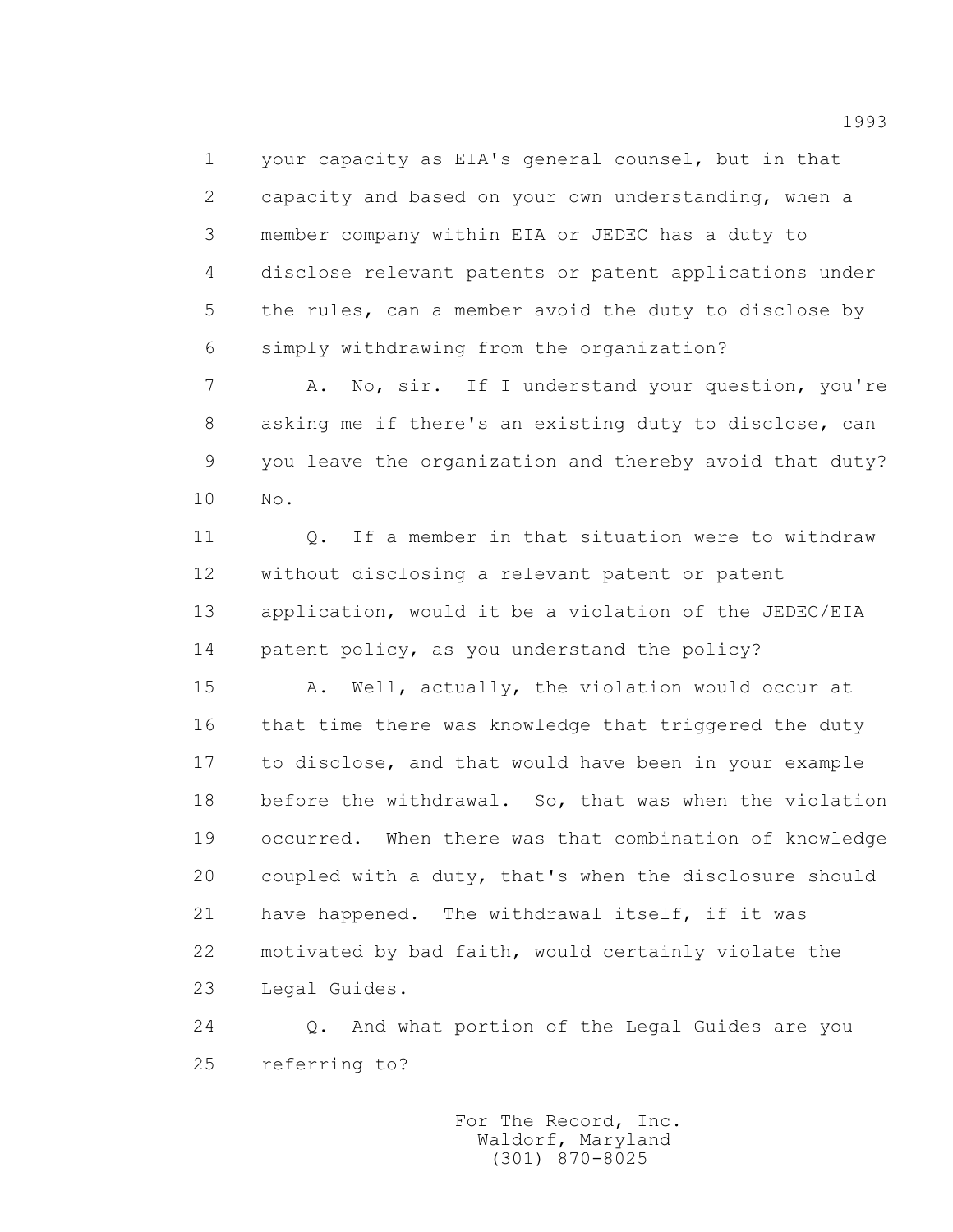1 your capacity as EIA's general counsel, but in that 2 capacity and based on your own understanding, when a 3 member company within EIA or JEDEC has a duty to 4 disclose relevant patents or patent applications under 5 the rules, can a member avoid the duty to disclose by 6 simply withdrawing from the organization?

 7 A. No, sir. If I understand your question, you're 8 asking me if there's an existing duty to disclose, can 9 you leave the organization and thereby avoid that duty? 10 No.

 11 Q. If a member in that situation were to withdraw 12 without disclosing a relevant patent or patent 13 application, would it be a violation of the JEDEC/EIA 14 patent policy, as you understand the policy?

 15 A. Well, actually, the violation would occur at 16 that time there was knowledge that triggered the duty 17 to disclose, and that would have been in your example 18 before the withdrawal. So, that was when the violation 19 occurred. When there was that combination of knowledge 20 coupled with a duty, that's when the disclosure should 21 have happened. The withdrawal itself, if it was 22 motivated by bad faith, would certainly violate the 23 Legal Guides.

 24 Q. And what portion of the Legal Guides are you 25 referring to?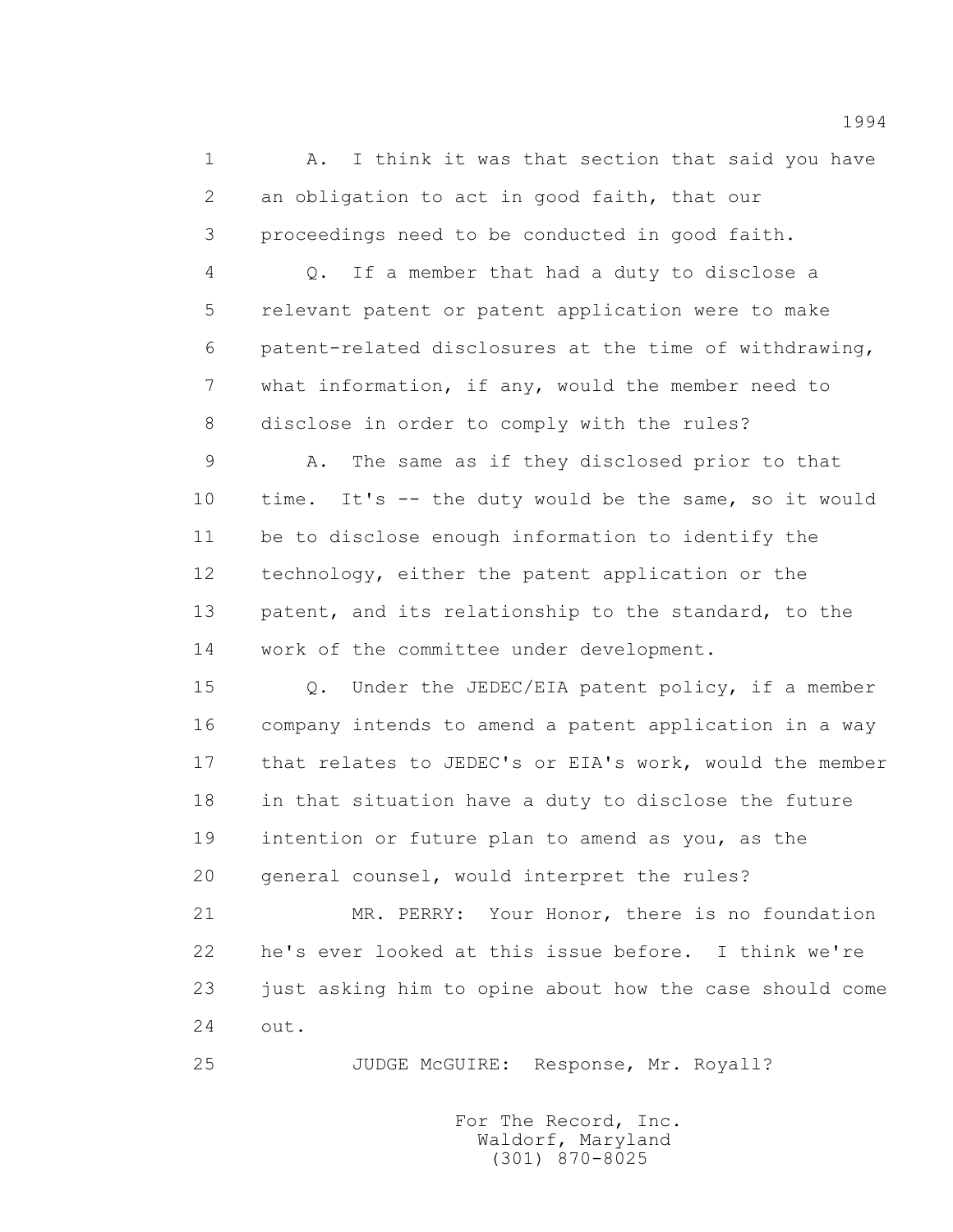1 A. I think it was that section that said you have 2 an obligation to act in good faith, that our 3 proceedings need to be conducted in good faith.

 4 Q. If a member that had a duty to disclose a 5 relevant patent or patent application were to make 6 patent-related disclosures at the time of withdrawing, 7 what information, if any, would the member need to 8 disclose in order to comply with the rules?

 9 A. The same as if they disclosed prior to that 10 time. It's -- the duty would be the same, so it would 11 be to disclose enough information to identify the 12 technology, either the patent application or the 13 patent, and its relationship to the standard, to the 14 work of the committee under development.

 15 Q. Under the JEDEC/EIA patent policy, if a member 16 company intends to amend a patent application in a way 17 that relates to JEDEC's or EIA's work, would the member 18 in that situation have a duty to disclose the future 19 intention or future plan to amend as you, as the 20 general counsel, would interpret the rules?

 21 MR. PERRY: Your Honor, there is no foundation 22 he's ever looked at this issue before. I think we're 23 just asking him to opine about how the case should come 24 out.

25 JUDGE McGUIRE: Response, Mr. Royall?

 For The Record, Inc. Waldorf, Maryland (301) 870-8025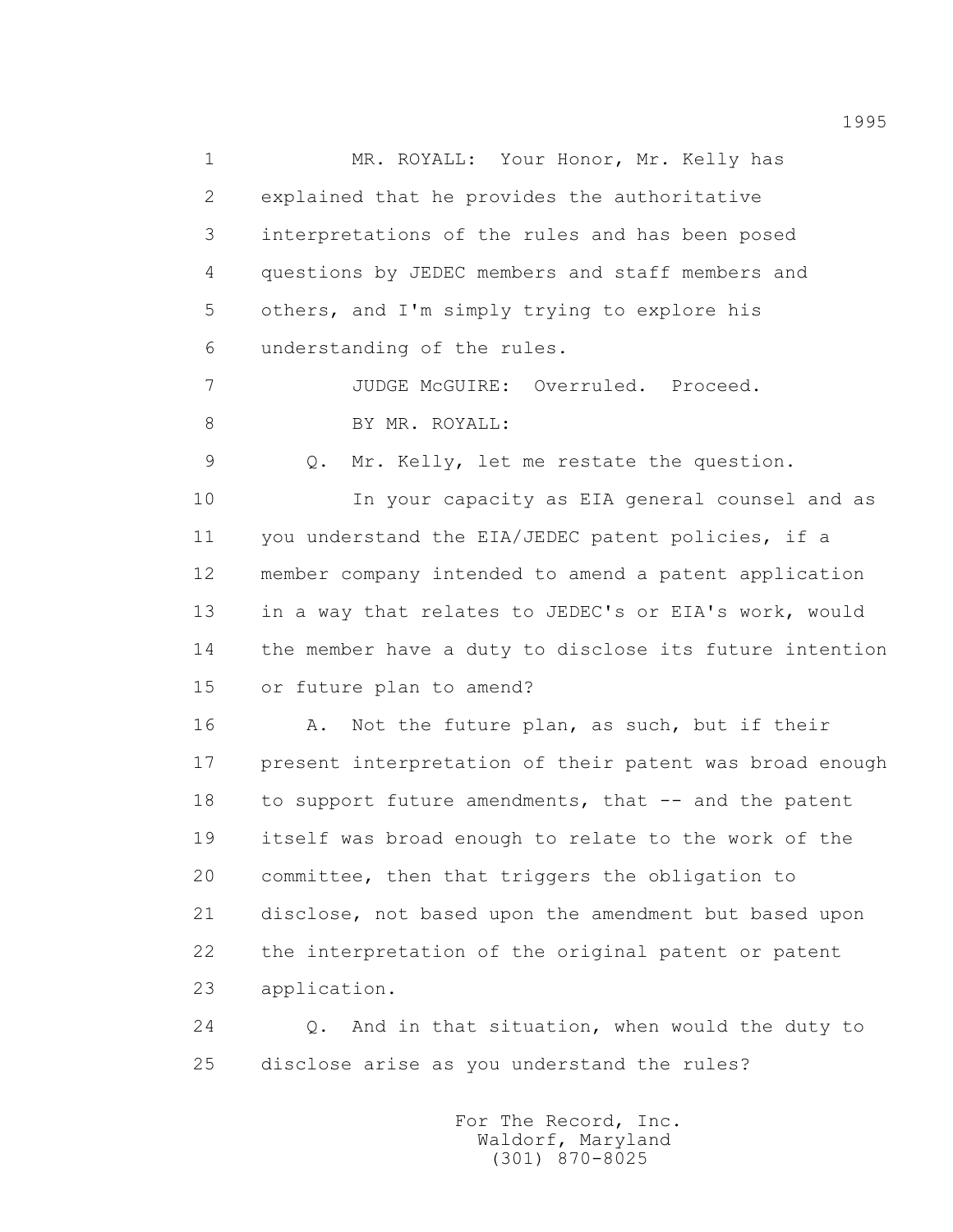1 MR. ROYALL: Your Honor, Mr. Kelly has 2 explained that he provides the authoritative 3 interpretations of the rules and has been posed 4 questions by JEDEC members and staff members and 5 others, and I'm simply trying to explore his 6 understanding of the rules. 7 JUDGE McGUIRE: Overruled. Proceed. 8 BY MR. ROYALL: 9 Q. Mr. Kelly, let me restate the question. 10 In your capacity as EIA general counsel and as 11 you understand the EIA/JEDEC patent policies, if a 12 member company intended to amend a patent application 13 in a way that relates to JEDEC's or EIA's work, would 14 the member have a duty to disclose its future intention 15 or future plan to amend? 16 A. Not the future plan, as such, but if their 17 present interpretation of their patent was broad enough 18 to support future amendments, that -- and the patent 19 itself was broad enough to relate to the work of the 20 committee, then that triggers the obligation to 21 disclose, not based upon the amendment but based upon 22 the interpretation of the original patent or patent 23 application.

 24 Q. And in that situation, when would the duty to 25 disclose arise as you understand the rules?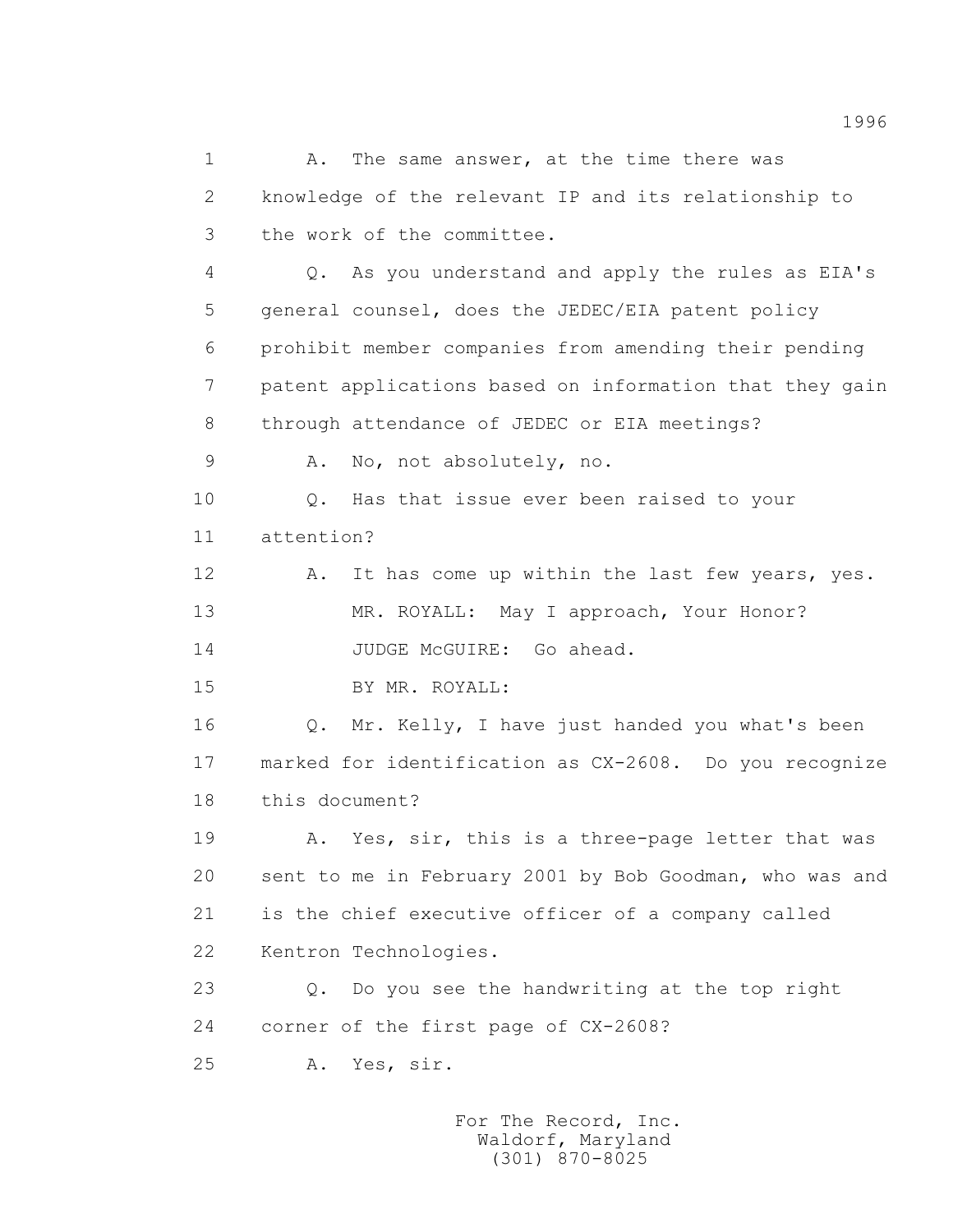1 A. The same answer, at the time there was 2 knowledge of the relevant IP and its relationship to 3 the work of the committee. 4 Q. As you understand and apply the rules as EIA's 5 general counsel, does the JEDEC/EIA patent policy 6 prohibit member companies from amending their pending 7 patent applications based on information that they gain 8 through attendance of JEDEC or EIA meetings? 9 A. No, not absolutely, no. 10 0. Has that issue ever been raised to your 11 attention? 12 A. It has come up within the last few years, yes. 13 MR. ROYALL: May I approach, Your Honor? 14 JUDGE McGUIRE: Go ahead. 15 BY MR. ROYALL: 16 Q. Mr. Kelly, I have just handed you what's been 17 marked for identification as CX-2608. Do you recognize 18 this document? 19 A. Yes, sir, this is a three-page letter that was 20 sent to me in February 2001 by Bob Goodman, who was and 21 is the chief executive officer of a company called 22 Kentron Technologies. 23 Q. Do you see the handwriting at the top right 24 corner of the first page of CX-2608? 25 A. Yes, sir.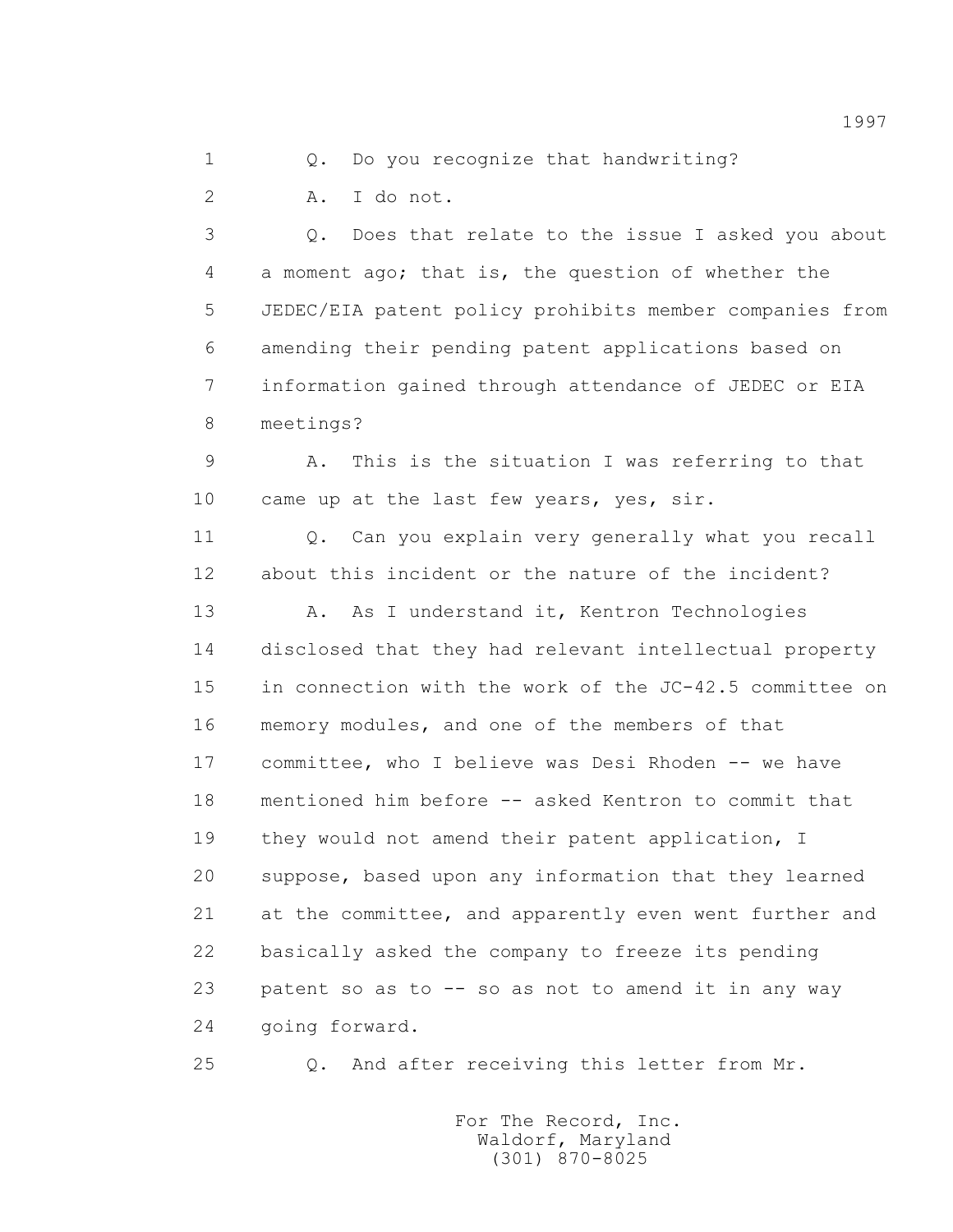1 0. Do you recognize that handwriting?

2 A. I do not.

 3 Q. Does that relate to the issue I asked you about 4 a moment ago; that is, the question of whether the 5 JEDEC/EIA patent policy prohibits member companies from 6 amending their pending patent applications based on 7 information gained through attendance of JEDEC or EIA 8 meetings?

 9 A. This is the situation I was referring to that 10 came up at the last few years, yes, sir.

 11 Q. Can you explain very generally what you recall 12 about this incident or the nature of the incident?

 13 A. As I understand it, Kentron Technologies 14 disclosed that they had relevant intellectual property 15 in connection with the work of the JC-42.5 committee on 16 memory modules, and one of the members of that 17 committee, who I believe was Desi Rhoden -- we have 18 mentioned him before -- asked Kentron to commit that 19 they would not amend their patent application, I 20 suppose, based upon any information that they learned 21 at the committee, and apparently even went further and 22 basically asked the company to freeze its pending 23 patent so as to -- so as not to amend it in any way 24 going forward.

25 Q. And after receiving this letter from Mr.

 For The Record, Inc. Waldorf, Maryland (301) 870-8025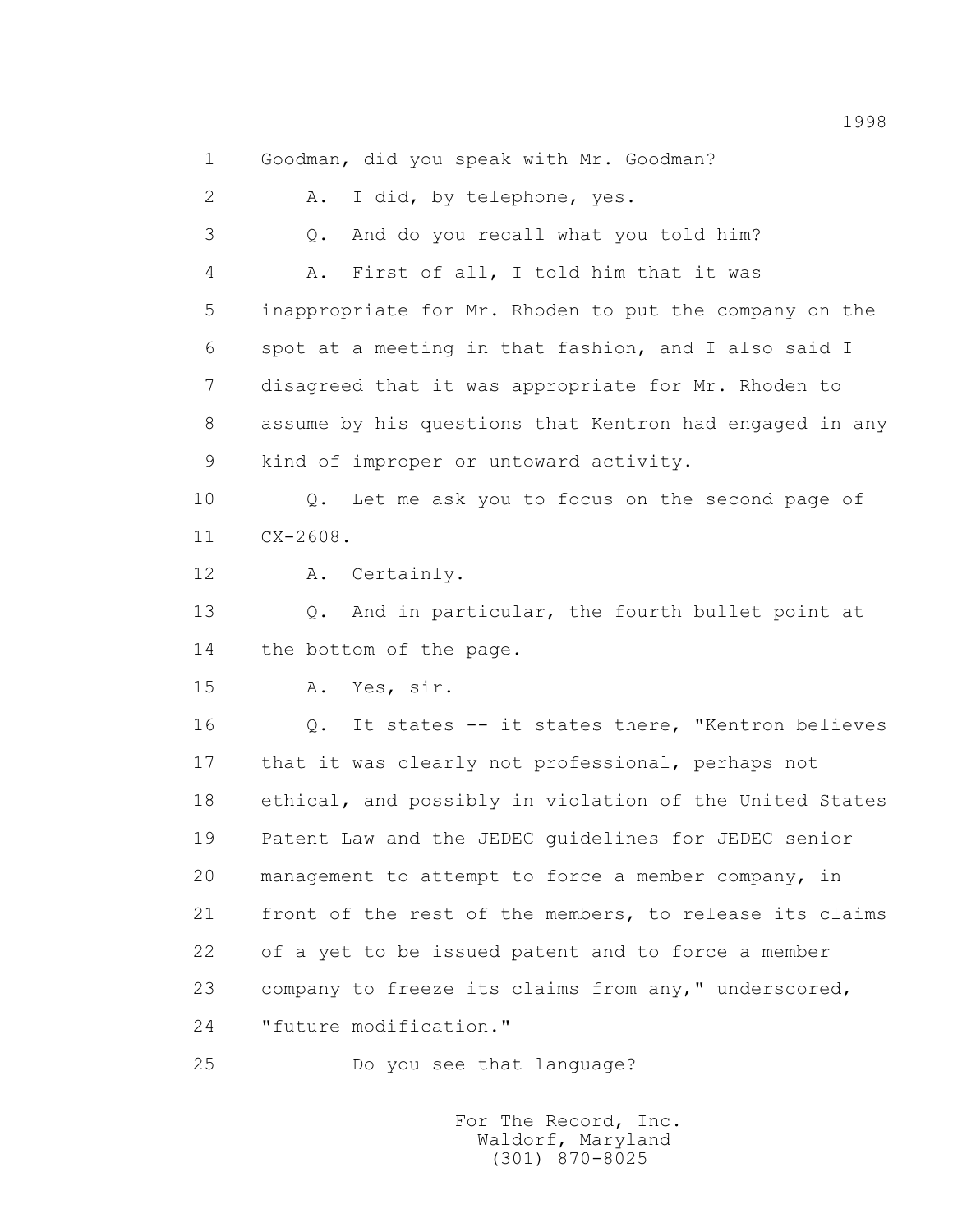1 Goodman, did you speak with Mr. Goodman? 2 A. I did, by telephone, yes. 3 Q. And do you recall what you told him? 4 A. First of all, I told him that it was 5 inappropriate for Mr. Rhoden to put the company on the 6 spot at a meeting in that fashion, and I also said I 7 disagreed that it was appropriate for Mr. Rhoden to 8 assume by his questions that Kentron had engaged in any 9 kind of improper or untoward activity. 10 Q. Let me ask you to focus on the second page of 11 CX-2608. 12 A. Certainly. 13 Q. And in particular, the fourth bullet point at 14 the bottom of the page. 15 A. Yes, sir. 16 Q. It states -- it states there, "Kentron believes 17 that it was clearly not professional, perhaps not 18 ethical, and possibly in violation of the United States

 19 Patent Law and the JEDEC guidelines for JEDEC senior 20 management to attempt to force a member company, in 21 front of the rest of the members, to release its claims 22 of a yet to be issued patent and to force a member 23 company to freeze its claims from any," underscored, 24 "future modification."

25 Do you see that language?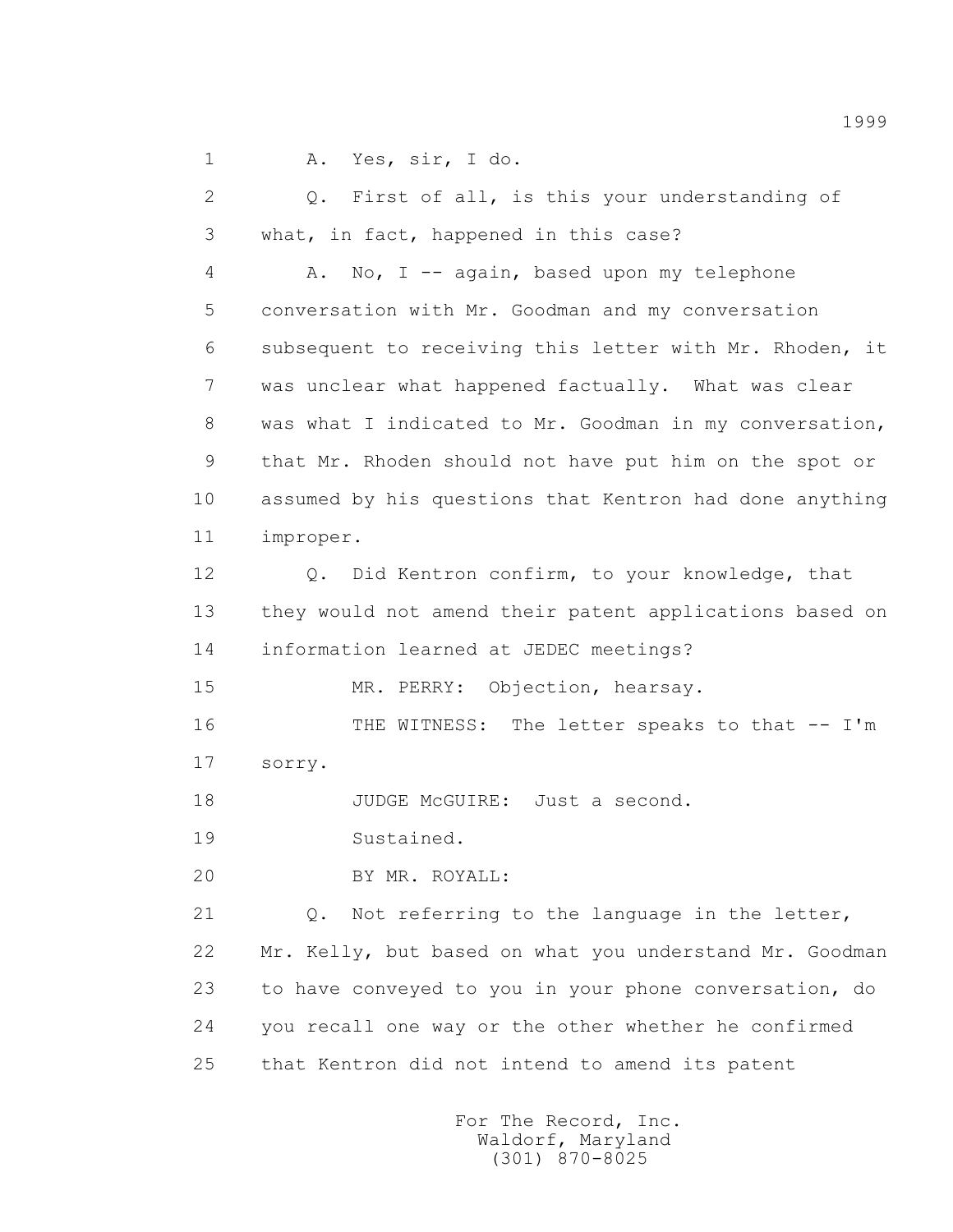1 A. Yes, sir, I do.

 2 Q. First of all, is this your understanding of 3 what, in fact, happened in this case? 4 A. No, I -- again, based upon my telephone 5 conversation with Mr. Goodman and my conversation 6 subsequent to receiving this letter with Mr. Rhoden, it 7 was unclear what happened factually. What was clear 8 was what I indicated to Mr. Goodman in my conversation, 9 that Mr. Rhoden should not have put him on the spot or 10 assumed by his questions that Kentron had done anything 11 improper. 12 Q. Did Kentron confirm, to your knowledge, that 13 they would not amend their patent applications based on 14 information learned at JEDEC meetings? 15 MR. PERRY: Objection, hearsay. 16 THE WITNESS: The letter speaks to that -- I'm 17 sorry. 18 JUDGE McGUIRE: Just a second. 19 Sustained. 20 BY MR. ROYALL: 21 Q. Not referring to the language in the letter, 22 Mr. Kelly, but based on what you understand Mr. Goodman 23 to have conveyed to you in your phone conversation, do 24 you recall one way or the other whether he confirmed 25 that Kentron did not intend to amend its patent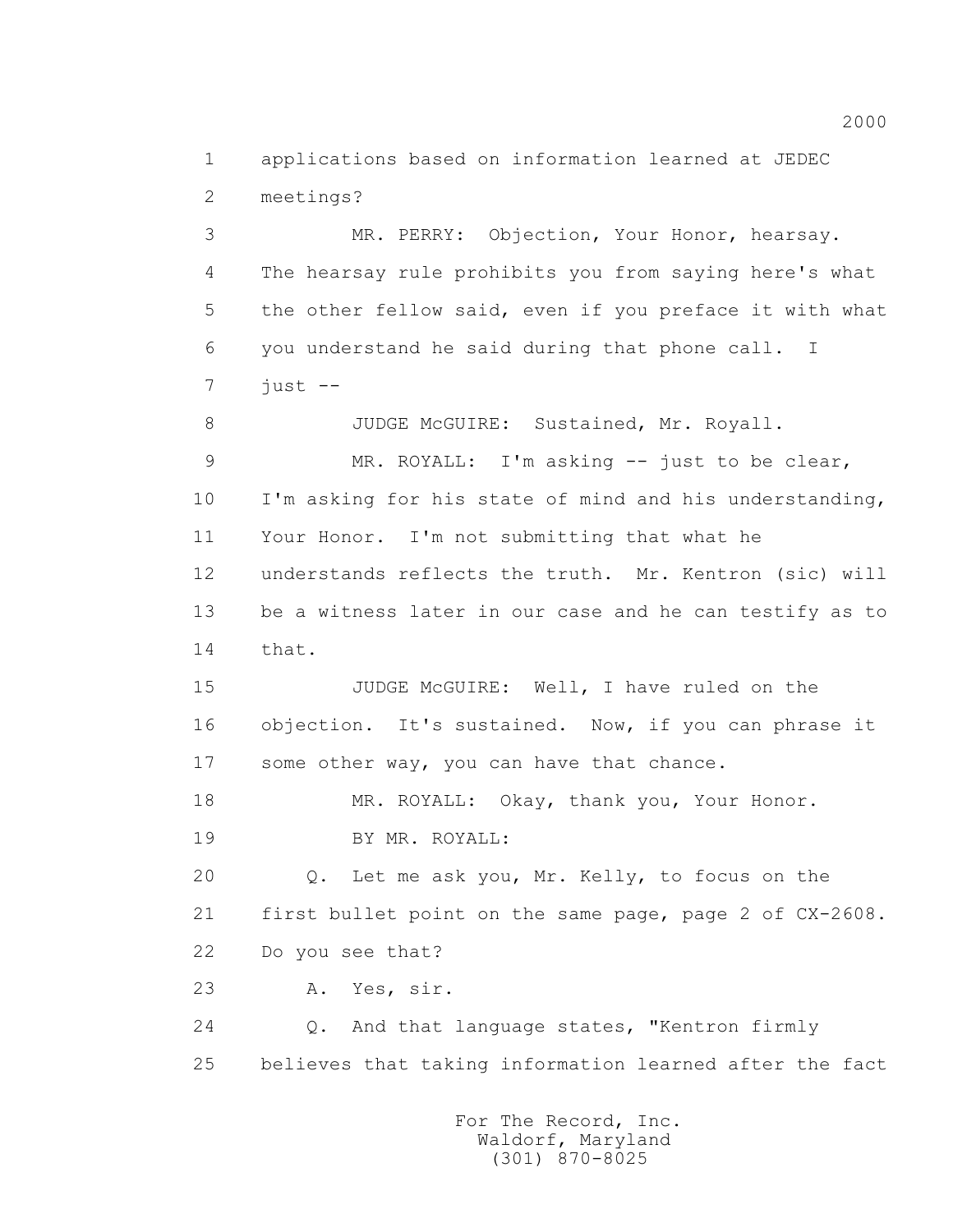1 applications based on information learned at JEDEC 2 meetings?

 3 MR. PERRY: Objection, Your Honor, hearsay. 4 The hearsay rule prohibits you from saying here's what 5 the other fellow said, even if you preface it with what 6 you understand he said during that phone call. I  $7 \quad \text{just --}$ 

8 JUDGE McGUIRE: Sustained, Mr. Royall.

 9 MR. ROYALL: I'm asking -- just to be clear, 10 I'm asking for his state of mind and his understanding, 11 Your Honor. I'm not submitting that what he 12 understands reflects the truth. Mr. Kentron (sic) will 13 be a witness later in our case and he can testify as to 14 that.

 15 JUDGE McGUIRE: Well, I have ruled on the 16 objection. It's sustained. Now, if you can phrase it 17 some other way, you can have that chance.

 18 MR. ROYALL: Okay, thank you, Your Honor. 19 BY MR. ROYALL:

 20 Q. Let me ask you, Mr. Kelly, to focus on the 21 first bullet point on the same page, page 2 of CX-2608. 22 Do you see that?

23 A. Yes, sir.

 24 Q. And that language states, "Kentron firmly 25 believes that taking information learned after the fact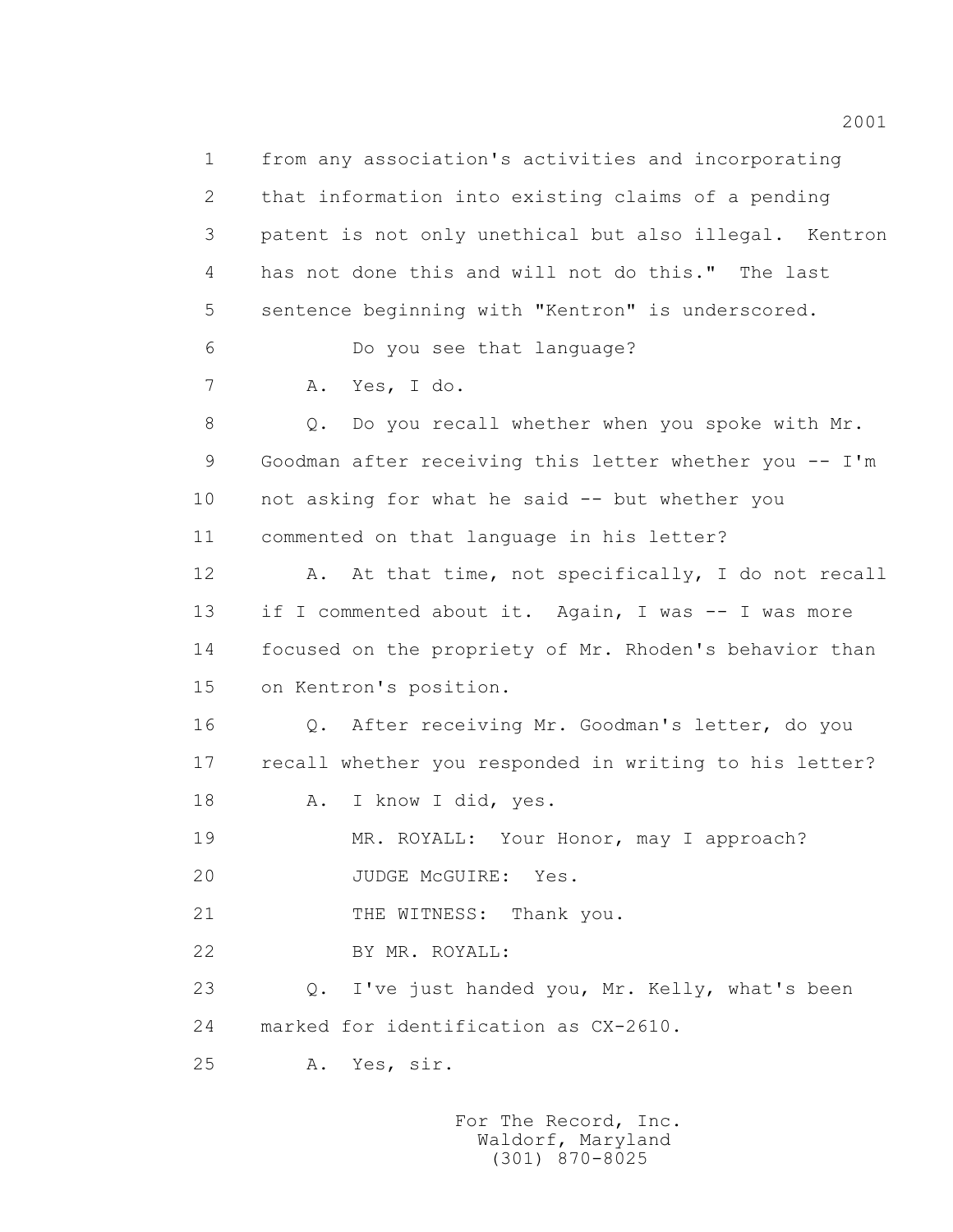1 from any association's activities and incorporating 2 that information into existing claims of a pending 3 patent is not only unethical but also illegal. Kentron 4 has not done this and will not do this." The last 5 sentence beginning with "Kentron" is underscored. 6 Do you see that language? 7 A. Yes, I do. 8 Q. Do you recall whether when you spoke with Mr. 9 Goodman after receiving this letter whether you -- I'm 10 not asking for what he said -- but whether you 11 commented on that language in his letter? 12 A. At that time, not specifically, I do not recall 13 if I commented about it. Again, I was -- I was more 14 focused on the propriety of Mr. Rhoden's behavior than 15 on Kentron's position. 16 Q. After receiving Mr. Goodman's letter, do you 17 recall whether you responded in writing to his letter? 18 A. I know I did, yes. 19 MR. ROYALL: Your Honor, may I approach? 20 JUDGE McGUIRE: Yes. 21 THE WITNESS: Thank you. 22 BY MR. ROYALL: 23 O. I've just handed you, Mr. Kelly, what's been 24 marked for identification as CX-2610. 25 A. Yes, sir.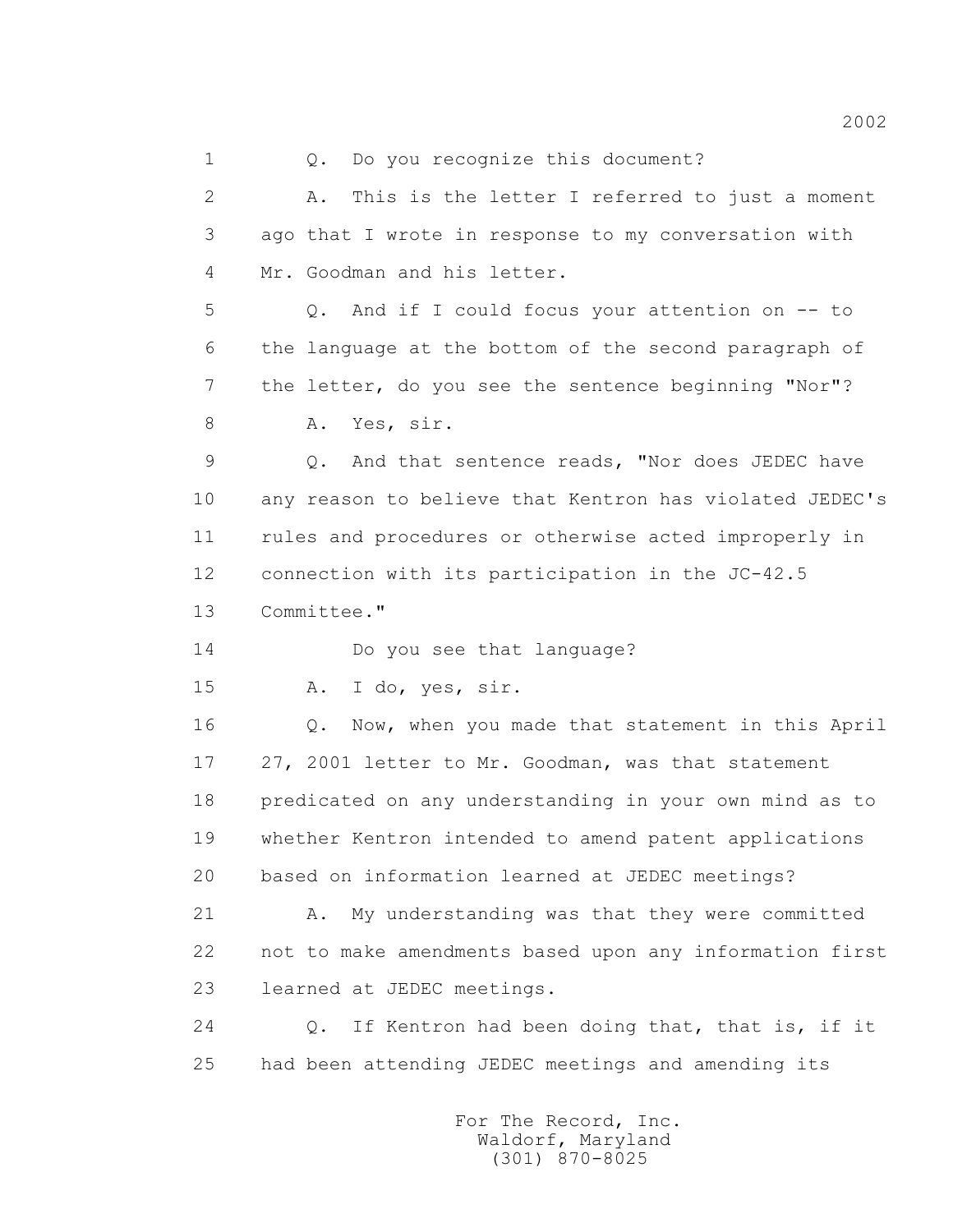1 0. Do you recognize this document? 2 A. This is the letter I referred to just a moment 3 ago that I wrote in response to my conversation with 4 Mr. Goodman and his letter. 5 Q. And if I could focus your attention on -- to 6 the language at the bottom of the second paragraph of 7 the letter, do you see the sentence beginning "Nor"? 8 A. Yes, sir. 9 Q. And that sentence reads, "Nor does JEDEC have 10 any reason to believe that Kentron has violated JEDEC's 11 rules and procedures or otherwise acted improperly in 12 connection with its participation in the JC-42.5 13 Committee." 14 Do you see that language? 15 A. I do, yes, sir. 16 Q. Now, when you made that statement in this April 17 27, 2001 letter to Mr. Goodman, was that statement 18 predicated on any understanding in your own mind as to 19 whether Kentron intended to amend patent applications 20 based on information learned at JEDEC meetings? 21 A. My understanding was that they were committed 22 not to make amendments based upon any information first 23 learned at JEDEC meetings. 24 Q. If Kentron had been doing that, that is, if it 25 had been attending JEDEC meetings and amending its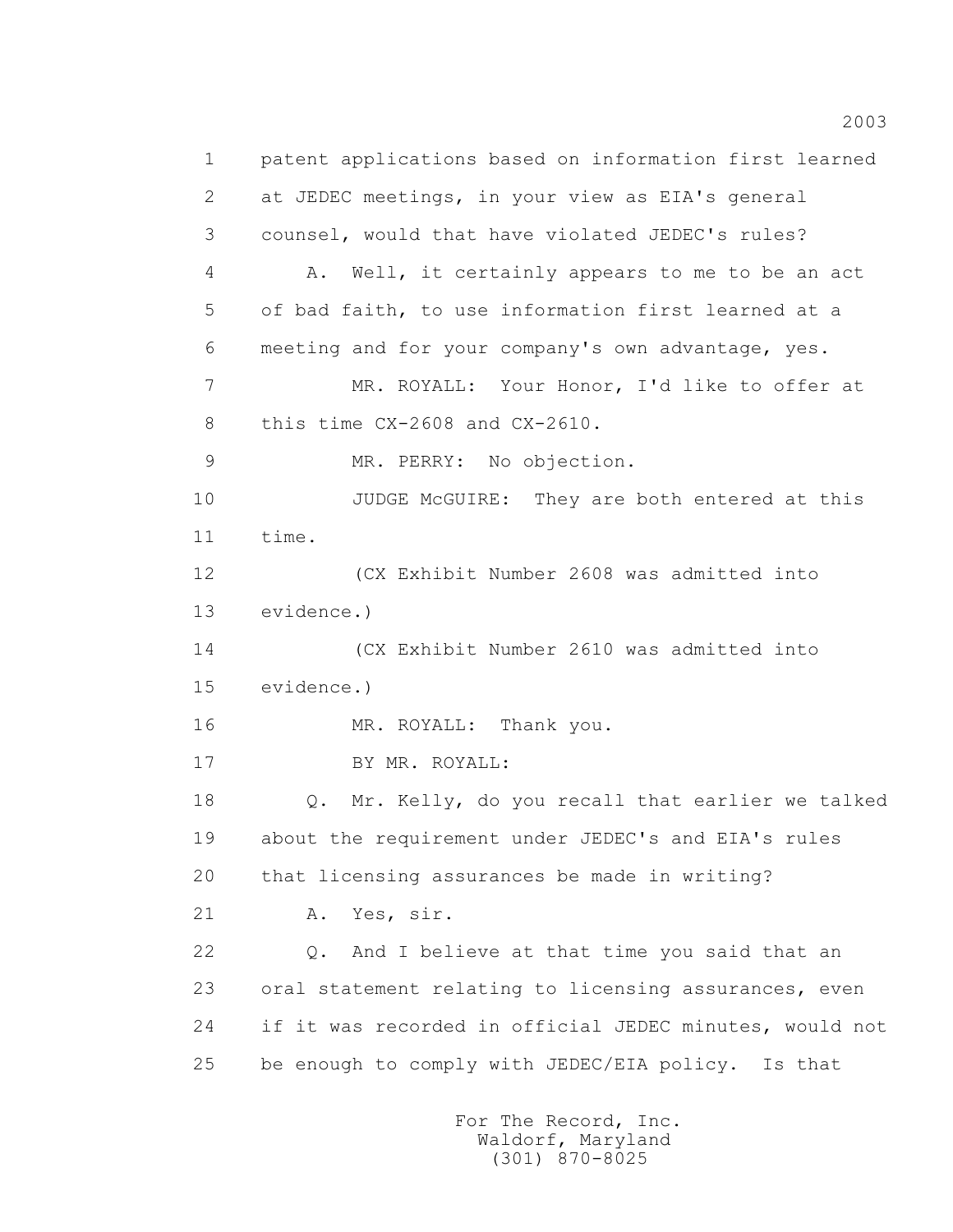1 patent applications based on information first learned 2 at JEDEC meetings, in your view as EIA's general 3 counsel, would that have violated JEDEC's rules? 4 A. Well, it certainly appears to me to be an act 5 of bad faith, to use information first learned at a 6 meeting and for your company's own advantage, yes. 7 MR. ROYALL: Your Honor, I'd like to offer at 8 this time CX-2608 and CX-2610. 9 MR. PERRY: No objection. 10 JUDGE McGUIRE: They are both entered at this 11 time. 12 (CX Exhibit Number 2608 was admitted into 13 evidence.) 14 (CX Exhibit Number 2610 was admitted into 15 evidence.) 16 MR. ROYALL: Thank you. 17 BY MR. ROYALL: 18 Q. Mr. Kelly, do you recall that earlier we talked 19 about the requirement under JEDEC's and EIA's rules 20 that licensing assurances be made in writing? 21 A. Yes, sir. 22 Q. And I believe at that time you said that an 23 oral statement relating to licensing assurances, even 24 if it was recorded in official JEDEC minutes, would not 25 be enough to comply with JEDEC/EIA policy. Is that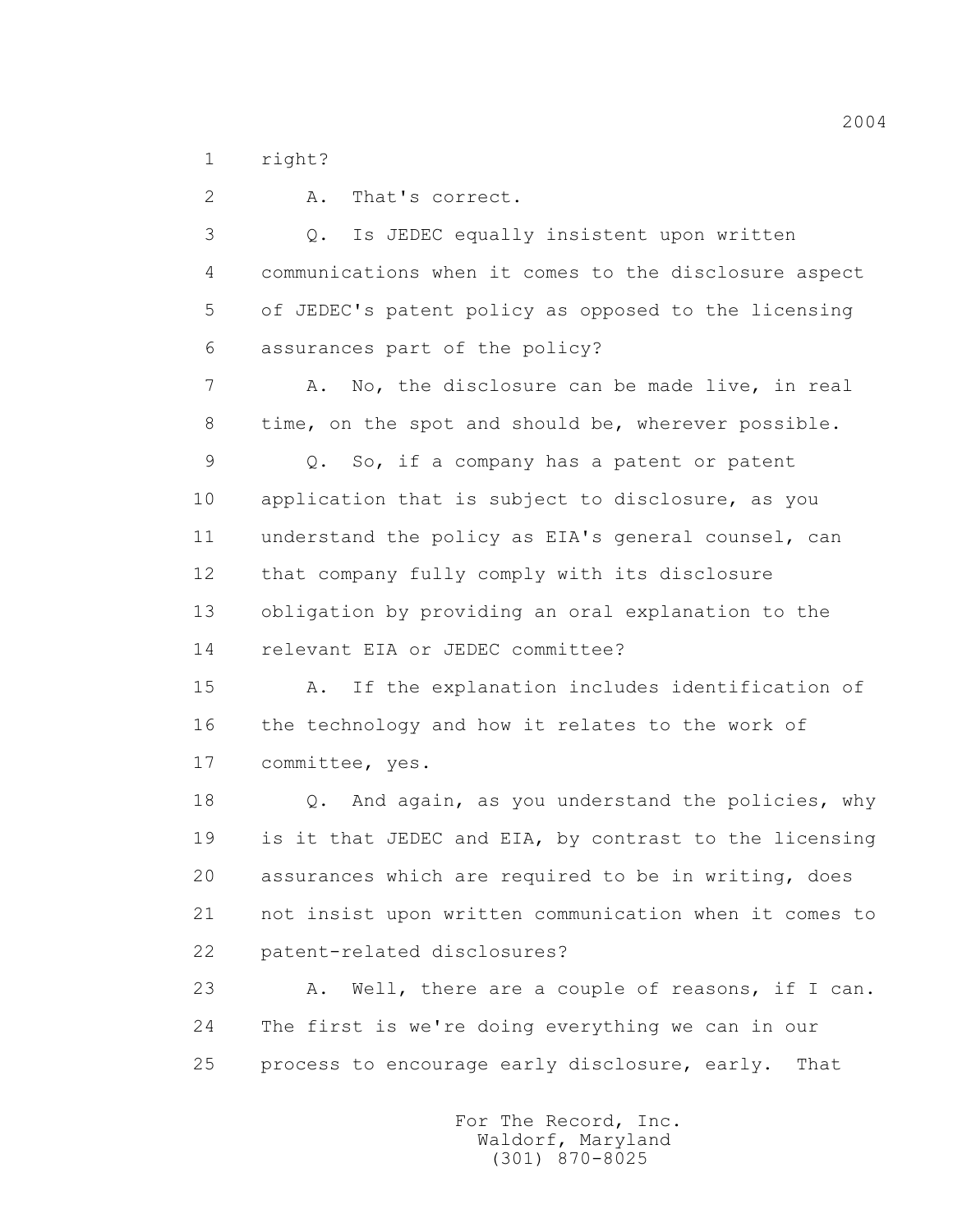1 right?

 2 A. That's correct. 3 Q. Is JEDEC equally insistent upon written 4 communications when it comes to the disclosure aspect 5 of JEDEC's patent policy as opposed to the licensing 6 assurances part of the policy? 7 A. No, the disclosure can be made live, in real 8 time, on the spot and should be, wherever possible. 9 Q. So, if a company has a patent or patent 10 application that is subject to disclosure, as you 11 understand the policy as EIA's general counsel, can 12 that company fully comply with its disclosure 13 obligation by providing an oral explanation to the 14 relevant EIA or JEDEC committee? 15 A. If the explanation includes identification of 16 the technology and how it relates to the work of 17 committee, yes. 18 0. And again, as you understand the policies, why 19 is it that JEDEC and EIA, by contrast to the licensing 20 assurances which are required to be in writing, does 21 not insist upon written communication when it comes to 22 patent-related disclosures? 23 A. Well, there are a couple of reasons, if I can. 24 The first is we're doing everything we can in our

25 process to encourage early disclosure, early. That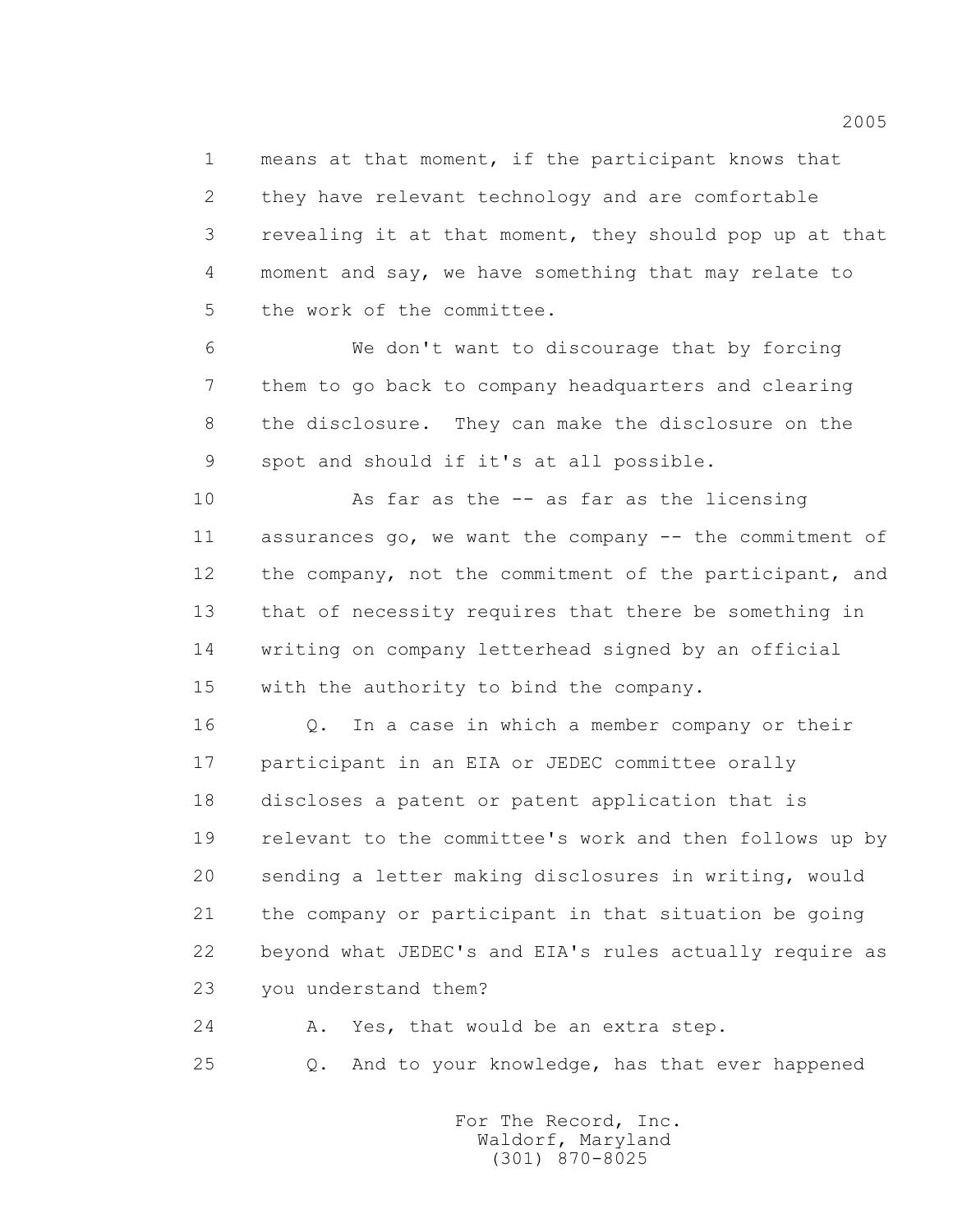1 means at that moment, if the participant knows that 2 they have relevant technology and are comfortable 3 revealing it at that moment, they should pop up at that 4 moment and say, we have something that may relate to 5 the work of the committee.

 6 We don't want to discourage that by forcing 7 them to go back to company headquarters and clearing 8 the disclosure. They can make the disclosure on the 9 spot and should if it's at all possible.

 10 As far as the -- as far as the licensing 11 assurances go, we want the company -- the commitment of 12 the company, not the commitment of the participant, and 13 that of necessity requires that there be something in 14 writing on company letterhead signed by an official 15 with the authority to bind the company.

 16 Q. In a case in which a member company or their 17 participant in an EIA or JEDEC committee orally 18 discloses a patent or patent application that is 19 relevant to the committee's work and then follows up by 20 sending a letter making disclosures in writing, would 21 the company or participant in that situation be going 22 beyond what JEDEC's and EIA's rules actually require as 23 you understand them?

24 A. Yes, that would be an extra step.

25 Q. And to your knowledge, has that ever happened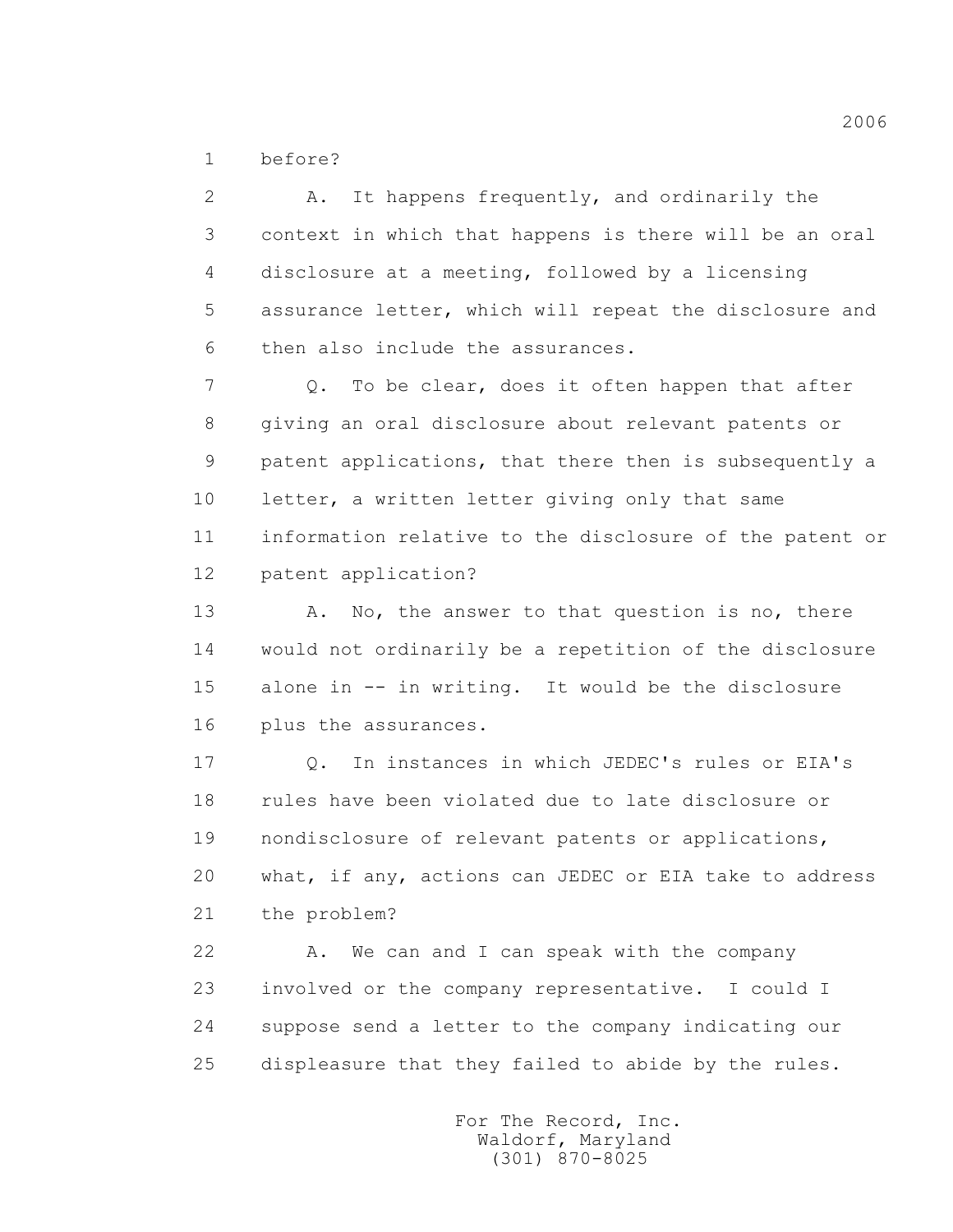1 before?

 2 A. It happens frequently, and ordinarily the 3 context in which that happens is there will be an oral 4 disclosure at a meeting, followed by a licensing 5 assurance letter, which will repeat the disclosure and 6 then also include the assurances. 7 0. To be clear, does it often happen that after 8 giving an oral disclosure about relevant patents or 9 patent applications, that there then is subsequently a 10 letter, a written letter giving only that same 11 information relative to the disclosure of the patent or

12 patent application?

13 A. No, the answer to that question is no, there 14 would not ordinarily be a repetition of the disclosure 15 alone in -- in writing. It would be the disclosure 16 plus the assurances.

 17 Q. In instances in which JEDEC's rules or EIA's 18 rules have been violated due to late disclosure or 19 nondisclosure of relevant patents or applications, 20 what, if any, actions can JEDEC or EIA take to address 21 the problem?

22 A. We can and I can speak with the company 23 involved or the company representative. I could I 24 suppose send a letter to the company indicating our 25 displeasure that they failed to abide by the rules.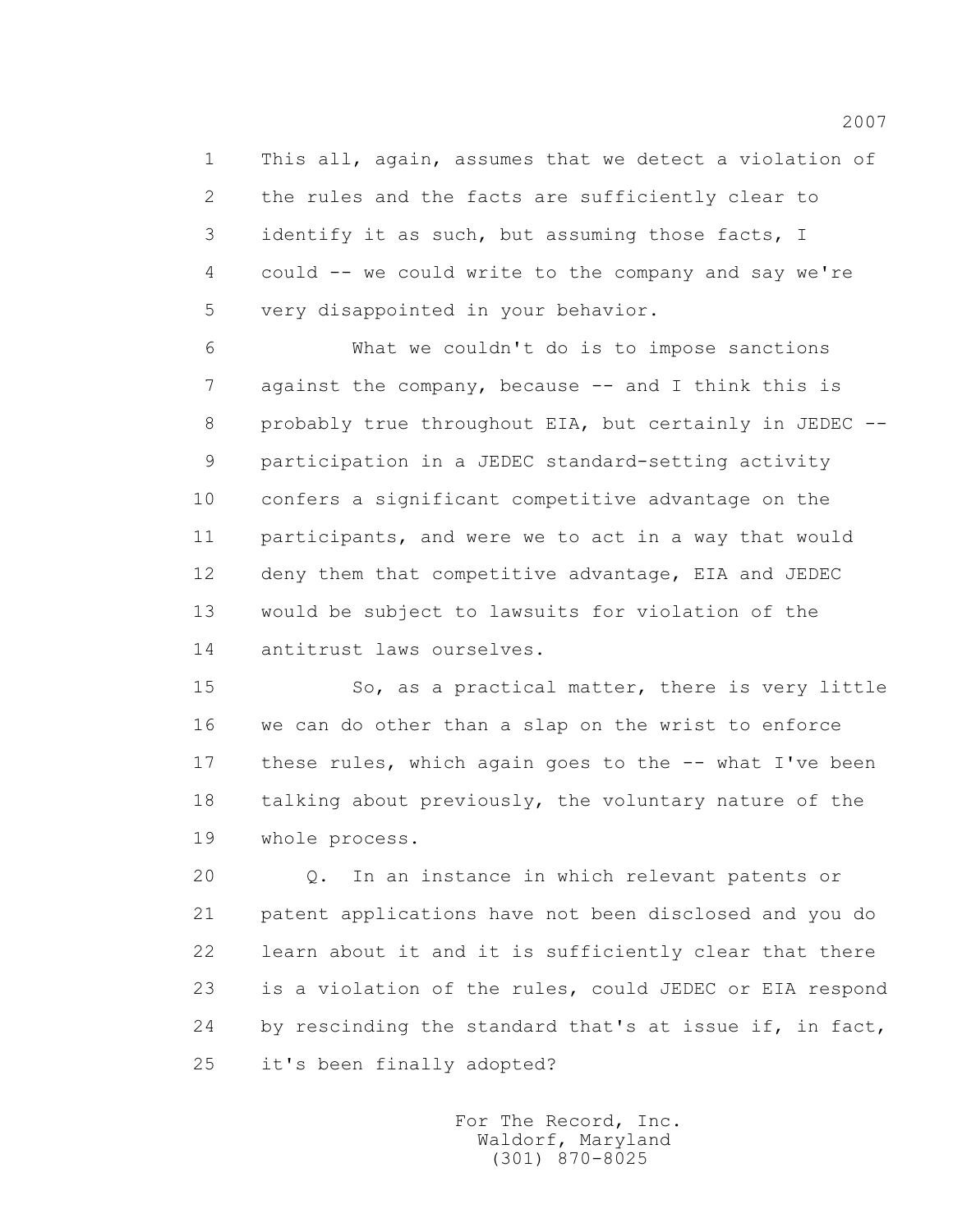1 This all, again, assumes that we detect a violation of 2 the rules and the facts are sufficiently clear to 3 identify it as such, but assuming those facts, I 4 could -- we could write to the company and say we're 5 very disappointed in your behavior.

 6 What we couldn't do is to impose sanctions 7 against the company, because -- and I think this is 8 probably true throughout EIA, but certainly in JEDEC -- 9 participation in a JEDEC standard-setting activity 10 confers a significant competitive advantage on the 11 participants, and were we to act in a way that would 12 deny them that competitive advantage, EIA and JEDEC 13 would be subject to lawsuits for violation of the 14 antitrust laws ourselves.

 15 So, as a practical matter, there is very little 16 we can do other than a slap on the wrist to enforce 17 these rules, which again goes to the -- what I've been 18 talking about previously, the voluntary nature of the 19 whole process.

 20 Q. In an instance in which relevant patents or 21 patent applications have not been disclosed and you do 22 learn about it and it is sufficiently clear that there 23 is a violation of the rules, could JEDEC or EIA respond 24 by rescinding the standard that's at issue if, in fact, 25 it's been finally adopted?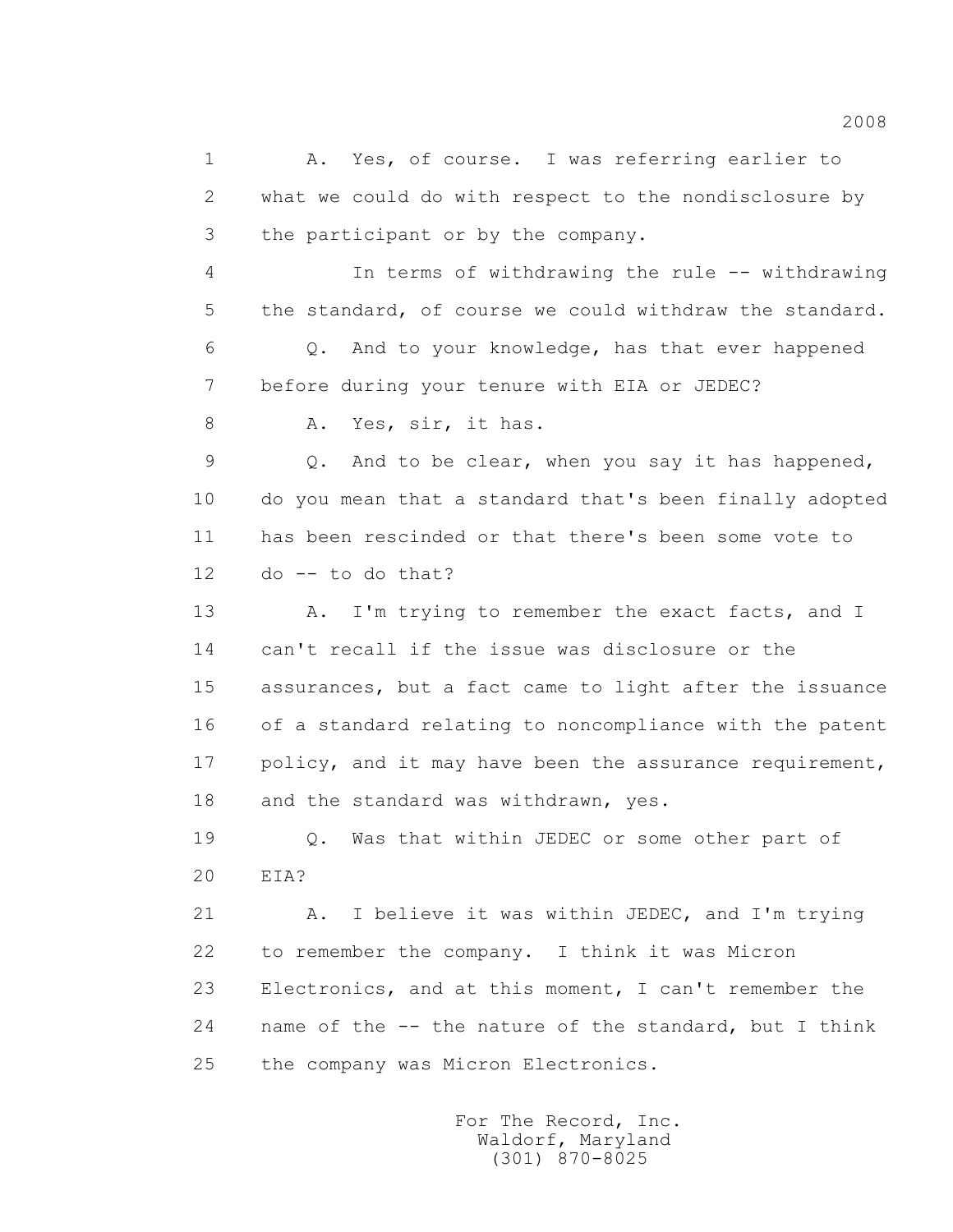1 A. Yes, of course. I was referring earlier to 2 what we could do with respect to the nondisclosure by 3 the participant or by the company. 4 In terms of withdrawing the rule -- withdrawing 5 the standard, of course we could withdraw the standard. 6 Q. And to your knowledge, has that ever happened 7 before during your tenure with EIA or JEDEC? 8 A. Yes, sir, it has. 9 Q. And to be clear, when you say it has happened, 10 do you mean that a standard that's been finally adopted 11 has been rescinded or that there's been some vote to  $12$  do  $-$  to do that? 13 A. I'm trying to remember the exact facts, and I 14 can't recall if the issue was disclosure or the 15 assurances, but a fact came to light after the issuance 16 of a standard relating to noncompliance with the patent 17 policy, and it may have been the assurance requirement, 18 and the standard was withdrawn, yes. 19 Q. Was that within JEDEC or some other part of 20 EIA? 21 A. I believe it was within JEDEC, and I'm trying 22 to remember the company. I think it was Micron 23 Electronics, and at this moment, I can't remember the 24 name of the -- the nature of the standard, but I think 25 the company was Micron Electronics.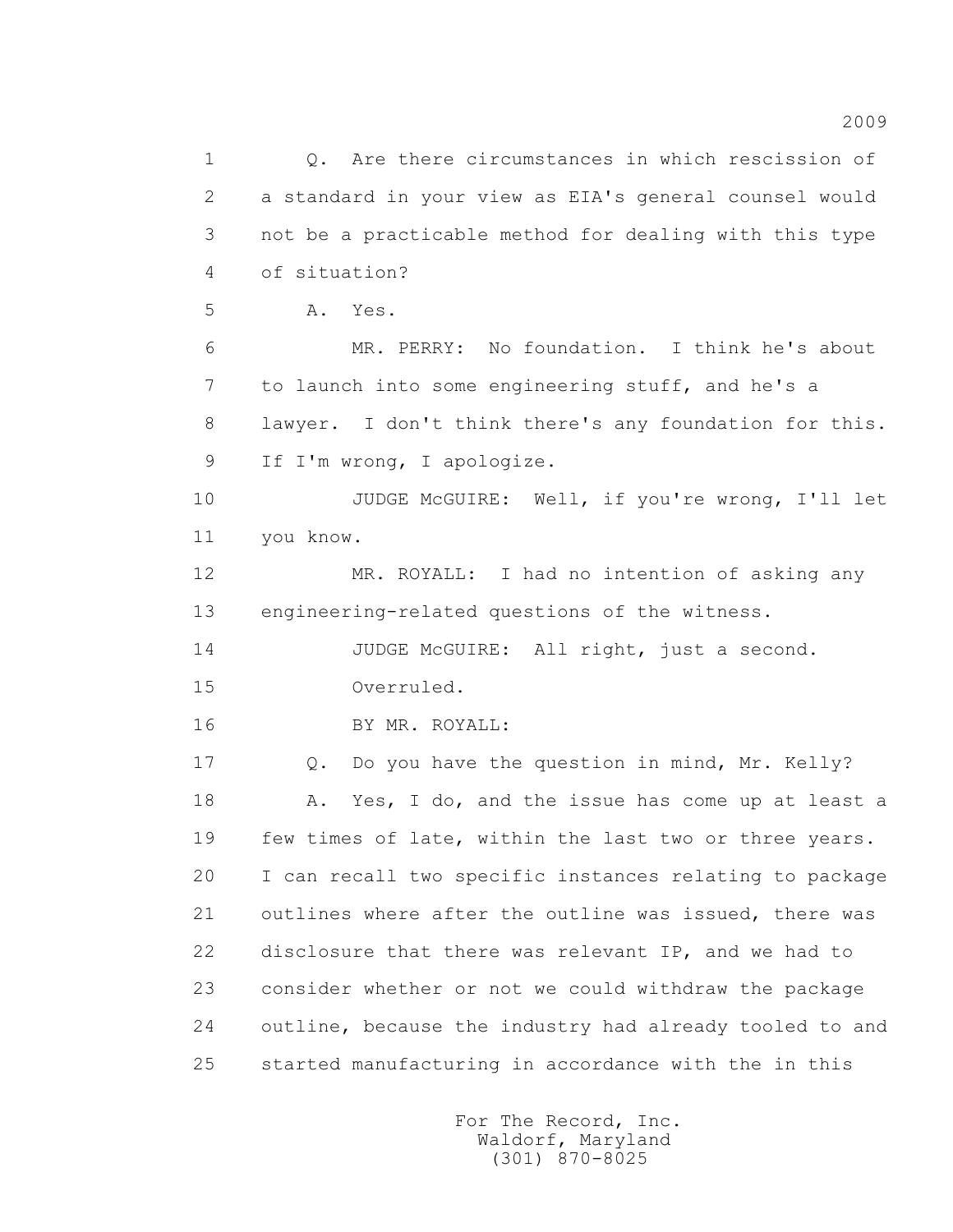1 Q. Are there circumstances in which rescission of 2 a standard in your view as EIA's general counsel would 3 not be a practicable method for dealing with this type 4 of situation? 5 A. Yes. 6 MR. PERRY: No foundation. I think he's about 7 to launch into some engineering stuff, and he's a 8 lawyer. I don't think there's any foundation for this. 9 If I'm wrong, I apologize. 10 JUDGE McGUIRE: Well, if you're wrong, I'll let 11 you know. 12 MR. ROYALL: I had no intention of asking any 13 engineering-related questions of the witness. 14 JUDGE McGUIRE: All right, just a second. 15 Overruled. 16 BY MR. ROYALL: 17 Q. Do you have the question in mind, Mr. Kelly? 18 A. Yes, I do, and the issue has come up at least a 19 few times of late, within the last two or three years. 20 I can recall two specific instances relating to package 21 outlines where after the outline was issued, there was 22 disclosure that there was relevant IP, and we had to 23 consider whether or not we could withdraw the package 24 outline, because the industry had already tooled to and 25 started manufacturing in accordance with the in this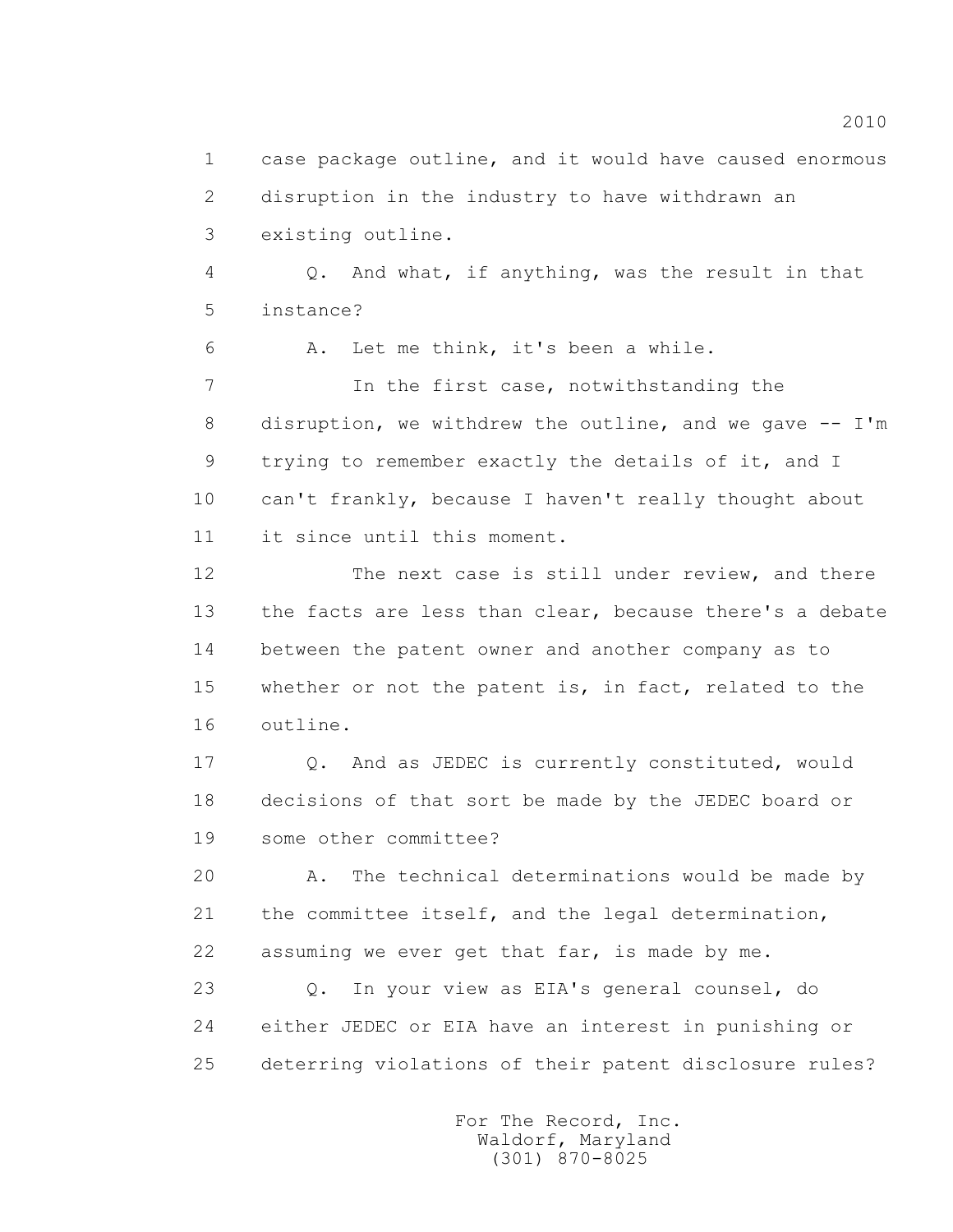1 case package outline, and it would have caused enormous 2 disruption in the industry to have withdrawn an 3 existing outline.

 4 Q. And what, if anything, was the result in that 5 instance?

6 A. Let me think, it's been a while.

 7 In the first case, notwithstanding the 8 disruption, we withdrew the outline, and we gave -- I'm 9 trying to remember exactly the details of it, and I 10 can't frankly, because I haven't really thought about 11 it since until this moment.

 12 The next case is still under review, and there 13 the facts are less than clear, because there's a debate 14 between the patent owner and another company as to 15 whether or not the patent is, in fact, related to the 16 outline.

 17 Q. And as JEDEC is currently constituted, would 18 decisions of that sort be made by the JEDEC board or 19 some other committee?

 20 A. The technical determinations would be made by 21 the committee itself, and the legal determination, 22 assuming we ever get that far, is made by me.

 23 Q. In your view as EIA's general counsel, do 24 either JEDEC or EIA have an interest in punishing or 25 deterring violations of their patent disclosure rules?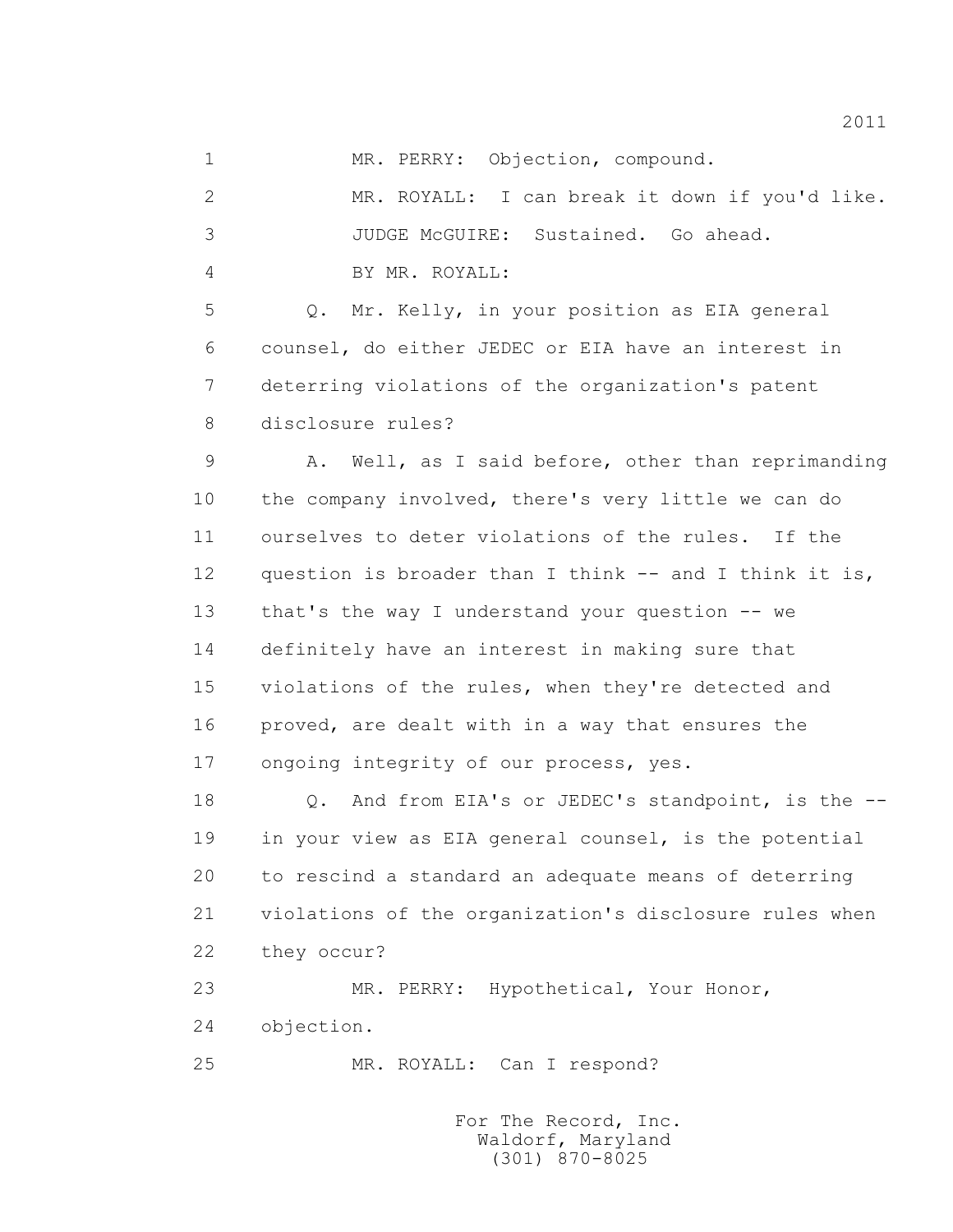1 MR. PERRY: Objection, compound.

 2 MR. ROYALL: I can break it down if you'd like. 3 JUDGE McGUIRE: Sustained. Go ahead. 4 BY MR. ROYALL:

 5 Q. Mr. Kelly, in your position as EIA general 6 counsel, do either JEDEC or EIA have an interest in 7 deterring violations of the organization's patent 8 disclosure rules?

 9 A. Well, as I said before, other than reprimanding 10 the company involved, there's very little we can do 11 ourselves to deter violations of the rules. If the 12 question is broader than I think -- and I think it is, 13 that's the way I understand your question -- we 14 definitely have an interest in making sure that 15 violations of the rules, when they're detected and 16 proved, are dealt with in a way that ensures the 17 ongoing integrity of our process, yes.

18 0. And from EIA's or JEDEC's standpoint, is the -- 19 in your view as EIA general counsel, is the potential 20 to rescind a standard an adequate means of deterring 21 violations of the organization's disclosure rules when 22 they occur?

 23 MR. PERRY: Hypothetical, Your Honor, 24 objection.

25 MR. ROYALL: Can I respond?

 For The Record, Inc. Waldorf, Maryland (301) 870-8025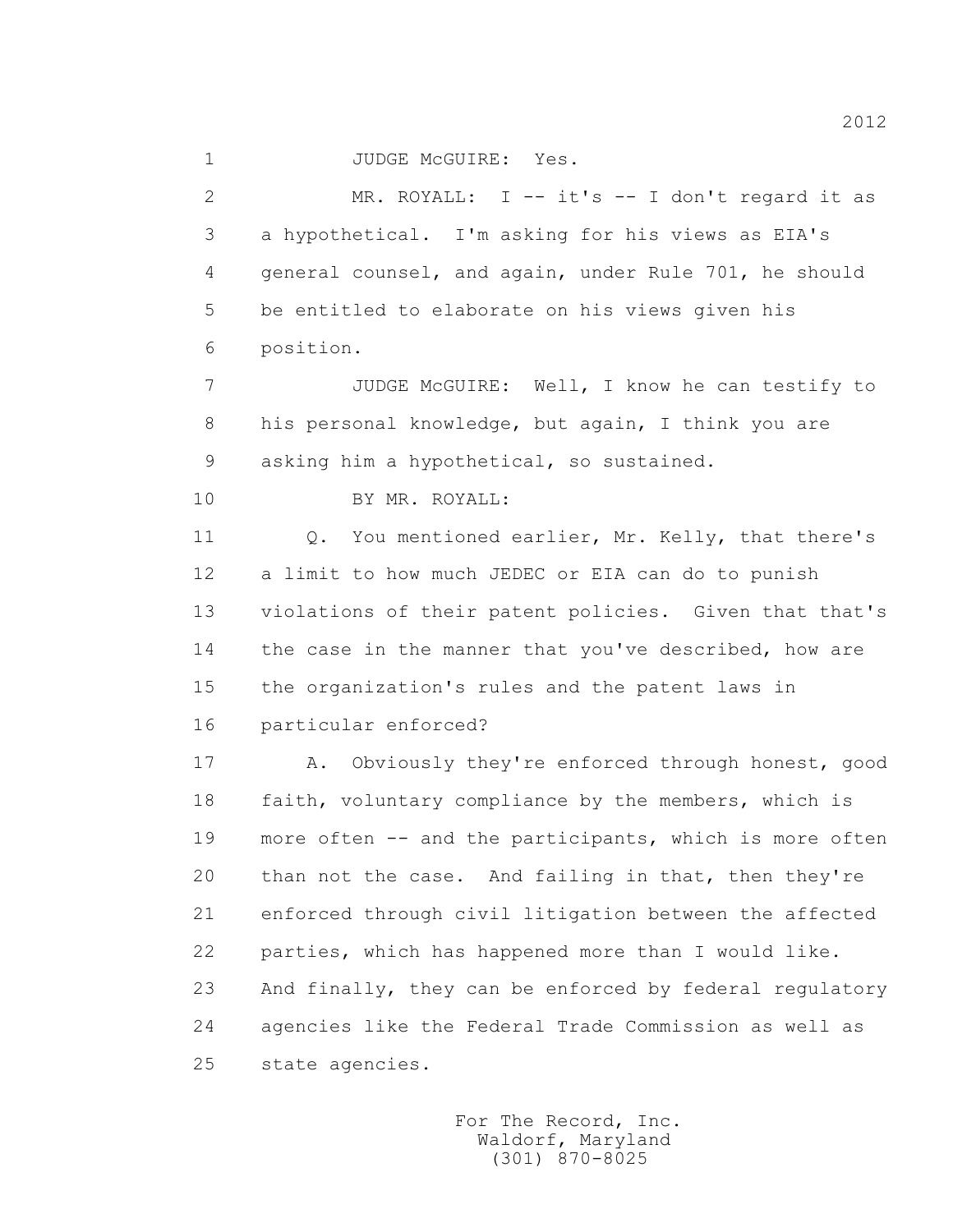1 JUDGE McGUIRE: Yes.

 2 MR. ROYALL: I -- it's -- I don't regard it as 3 a hypothetical. I'm asking for his views as EIA's 4 general counsel, and again, under Rule 701, he should 5 be entitled to elaborate on his views given his 6 position.

 7 JUDGE McGUIRE: Well, I know he can testify to 8 his personal knowledge, but again, I think you are 9 asking him a hypothetical, so sustained.

10 BY MR. ROYALL:

 11 Q. You mentioned earlier, Mr. Kelly, that there's 12 a limit to how much JEDEC or EIA can do to punish 13 violations of their patent policies. Given that that's 14 the case in the manner that you've described, how are 15 the organization's rules and the patent laws in 16 particular enforced?

 17 A. Obviously they're enforced through honest, good 18 faith, voluntary compliance by the members, which is 19 more often -- and the participants, which is more often 20 than not the case. And failing in that, then they're 21 enforced through civil litigation between the affected 22 parties, which has happened more than I would like. 23 And finally, they can be enforced by federal regulatory 24 agencies like the Federal Trade Commission as well as 25 state agencies.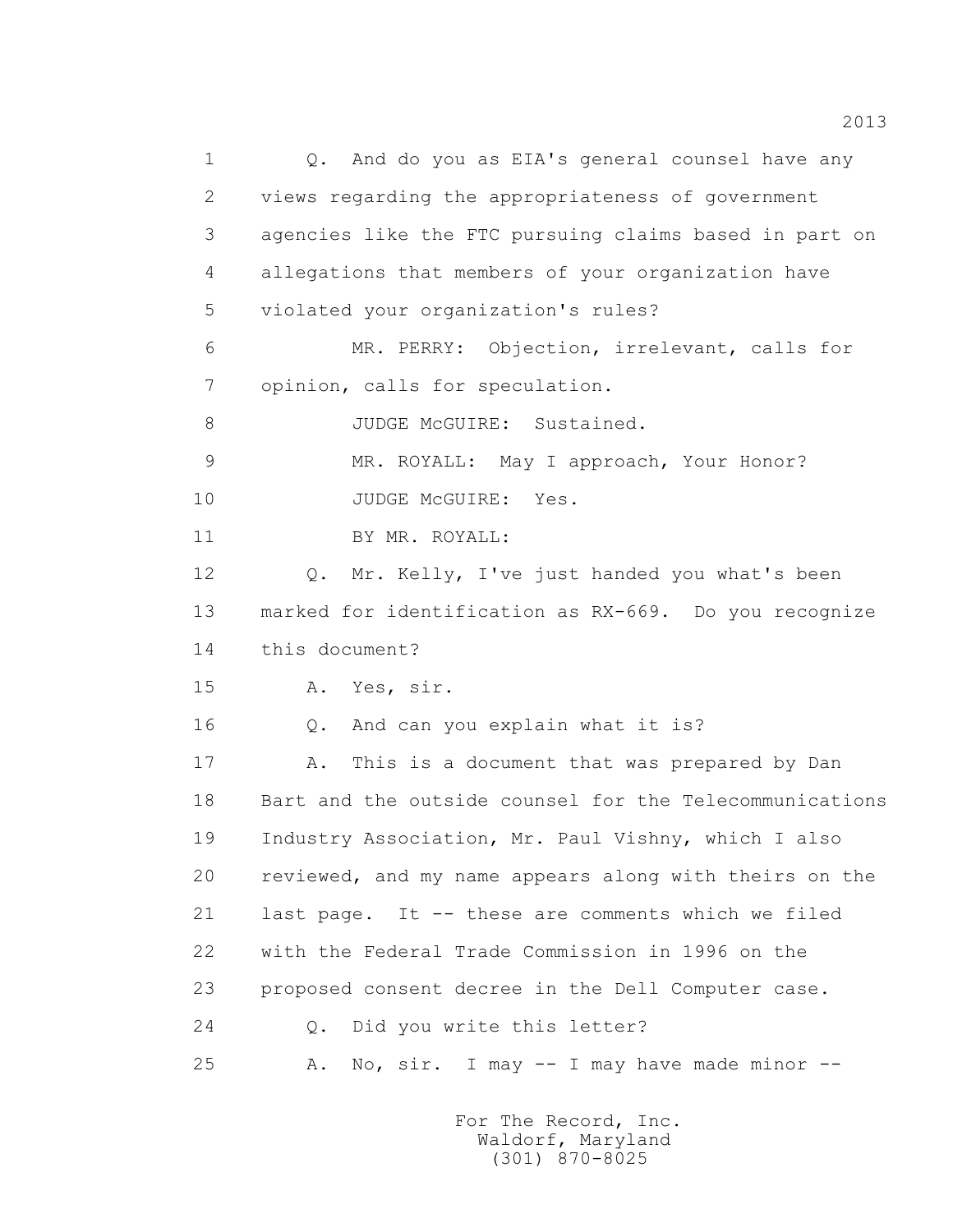1 0. And do you as EIA's general counsel have any 2 views regarding the appropriateness of government 3 agencies like the FTC pursuing claims based in part on 4 allegations that members of your organization have 5 violated your organization's rules? 6 MR. PERRY: Objection, irrelevant, calls for 7 opinion, calls for speculation. 8 JUDGE McGUIRE: Sustained. 9 MR. ROYALL: May I approach, Your Honor? 10 JUDGE McGUIRE: Yes. 11 BY MR. ROYALL: 12 O. Mr. Kelly, I've just handed you what's been 13 marked for identification as RX-669. Do you recognize 14 this document? 15 A. Yes, sir. 16 Q. And can you explain what it is? 17 A. This is a document that was prepared by Dan 18 Bart and the outside counsel for the Telecommunications 19 Industry Association, Mr. Paul Vishny, which I also 20 reviewed, and my name appears along with theirs on the 21 last page. It -- these are comments which we filed 22 with the Federal Trade Commission in 1996 on the 23 proposed consent decree in the Dell Computer case. 24 Q. Did you write this letter? 25 A. No, sir. I may -- I may have made minor --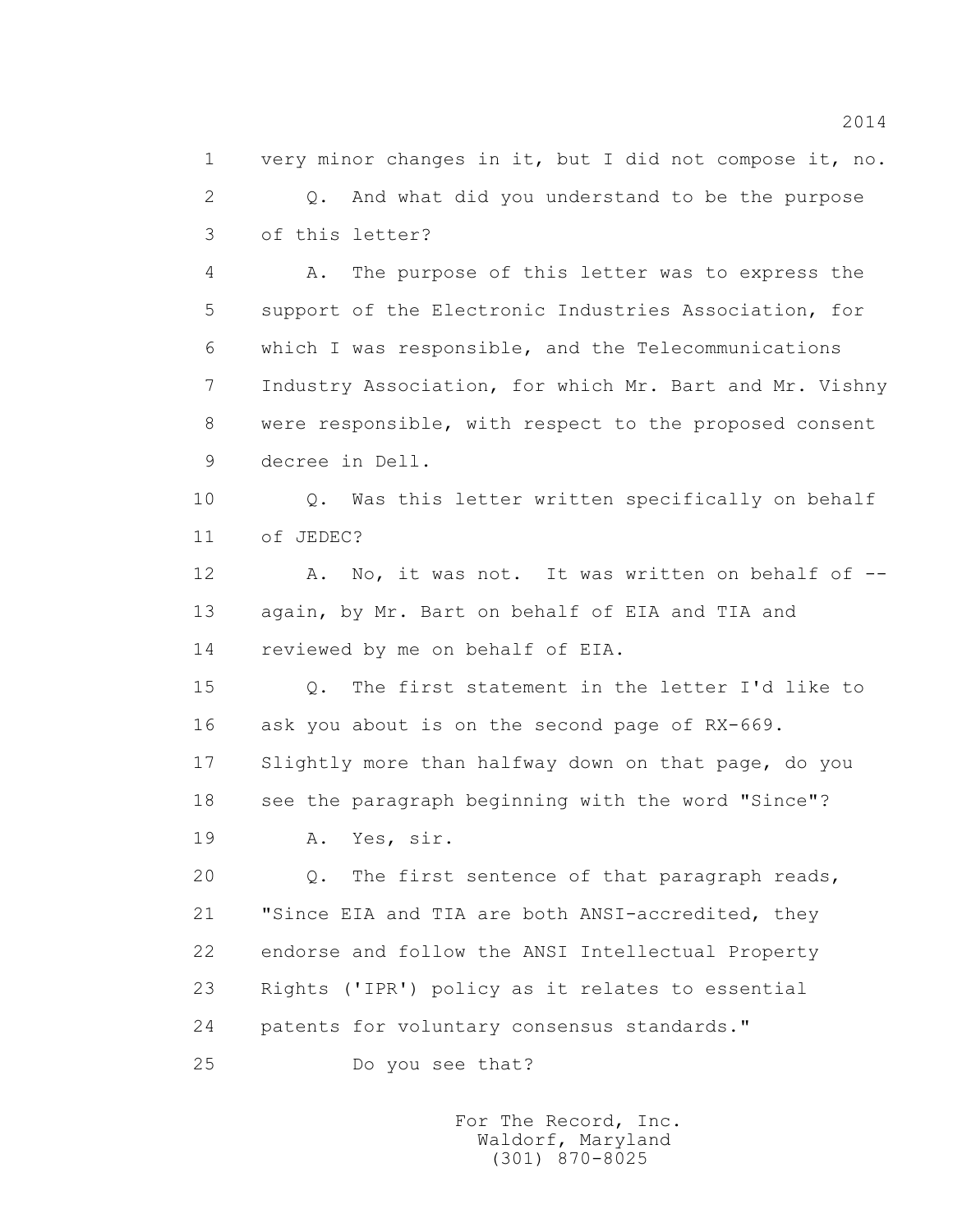1 very minor changes in it, but I did not compose it, no. 2 Q. And what did you understand to be the purpose 3 of this letter?

 4 A. The purpose of this letter was to express the 5 support of the Electronic Industries Association, for 6 which I was responsible, and the Telecommunications 7 Industry Association, for which Mr. Bart and Mr. Vishny 8 were responsible, with respect to the proposed consent 9 decree in Dell.

10 0. Was this letter written specifically on behalf 11 of JEDEC?

12 A. No, it was not. It was written on behalf of -- 13 again, by Mr. Bart on behalf of EIA and TIA and 14 reviewed by me on behalf of EIA.

 15 Q. The first statement in the letter I'd like to 16 ask you about is on the second page of RX-669. 17 Slightly more than halfway down on that page, do you 18 see the paragraph beginning with the word "Since"?

19 A. Yes, sir.

 20 Q. The first sentence of that paragraph reads, 21 "Since EIA and TIA are both ANSI-accredited, they 22 endorse and follow the ANSI Intellectual Property 23 Rights ('IPR') policy as it relates to essential 24 patents for voluntary consensus standards."

25 Do you see that?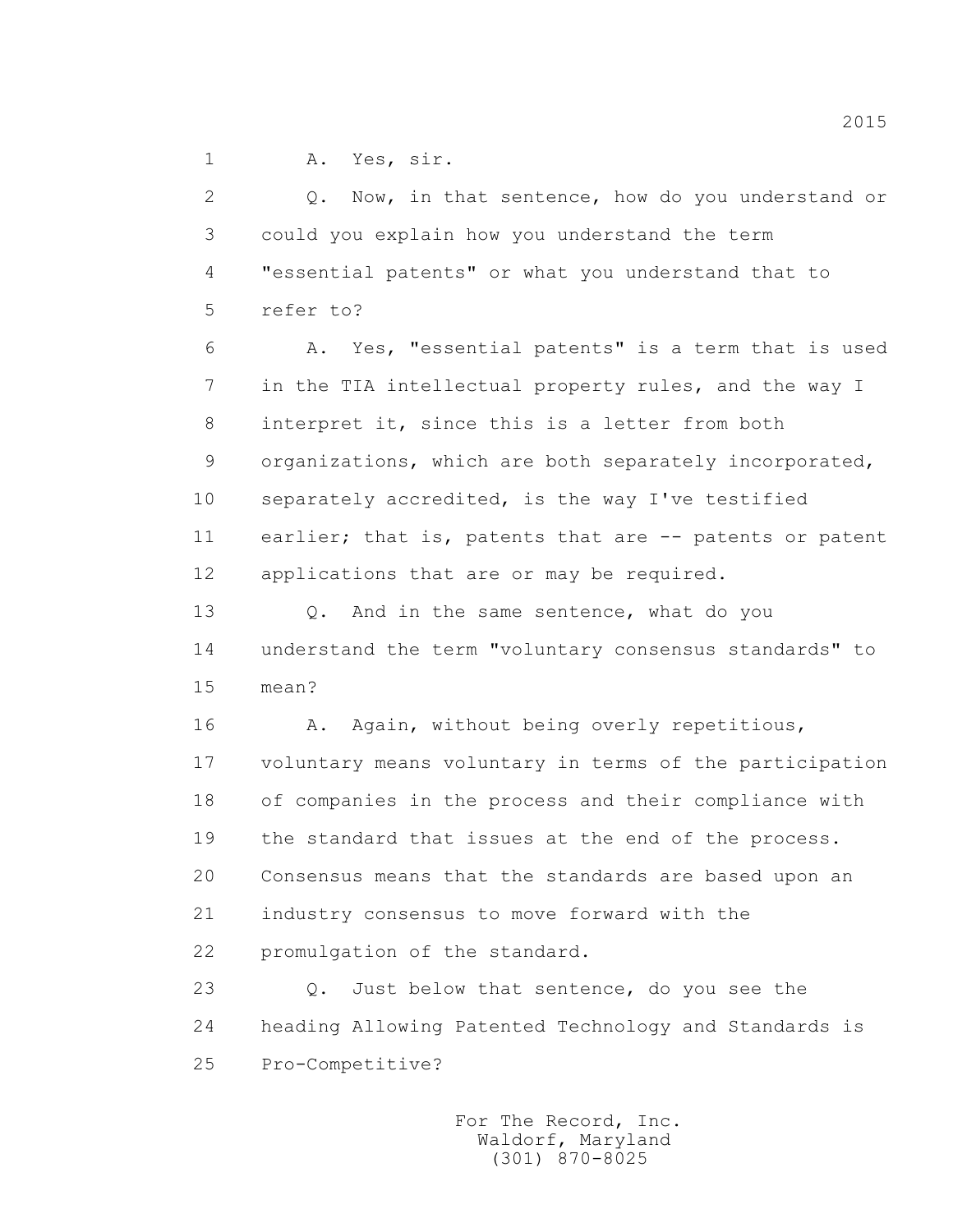1 A. Yes, sir.

 2 Q. Now, in that sentence, how do you understand or 3 could you explain how you understand the term 4 "essential patents" or what you understand that to 5 refer to? 6 A. Yes, "essential patents" is a term that is used 7 in the TIA intellectual property rules, and the way I 8 interpret it, since this is a letter from both 9 organizations, which are both separately incorporated, 10 separately accredited, is the way I've testified 11 earlier; that is, patents that are -- patents or patent 12 applications that are or may be required. 13 0. And in the same sentence, what do you 14 understand the term "voluntary consensus standards" to 15 mean? 16 A. Again, without being overly repetitious, 17 voluntary means voluntary in terms of the participation 18 of companies in the process and their compliance with 19 the standard that issues at the end of the process. 20 Consensus means that the standards are based upon an 21 industry consensus to move forward with the 22 promulgation of the standard. 23 Q. Just below that sentence, do you see the

 24 heading Allowing Patented Technology and Standards is 25 Pro-Competitive?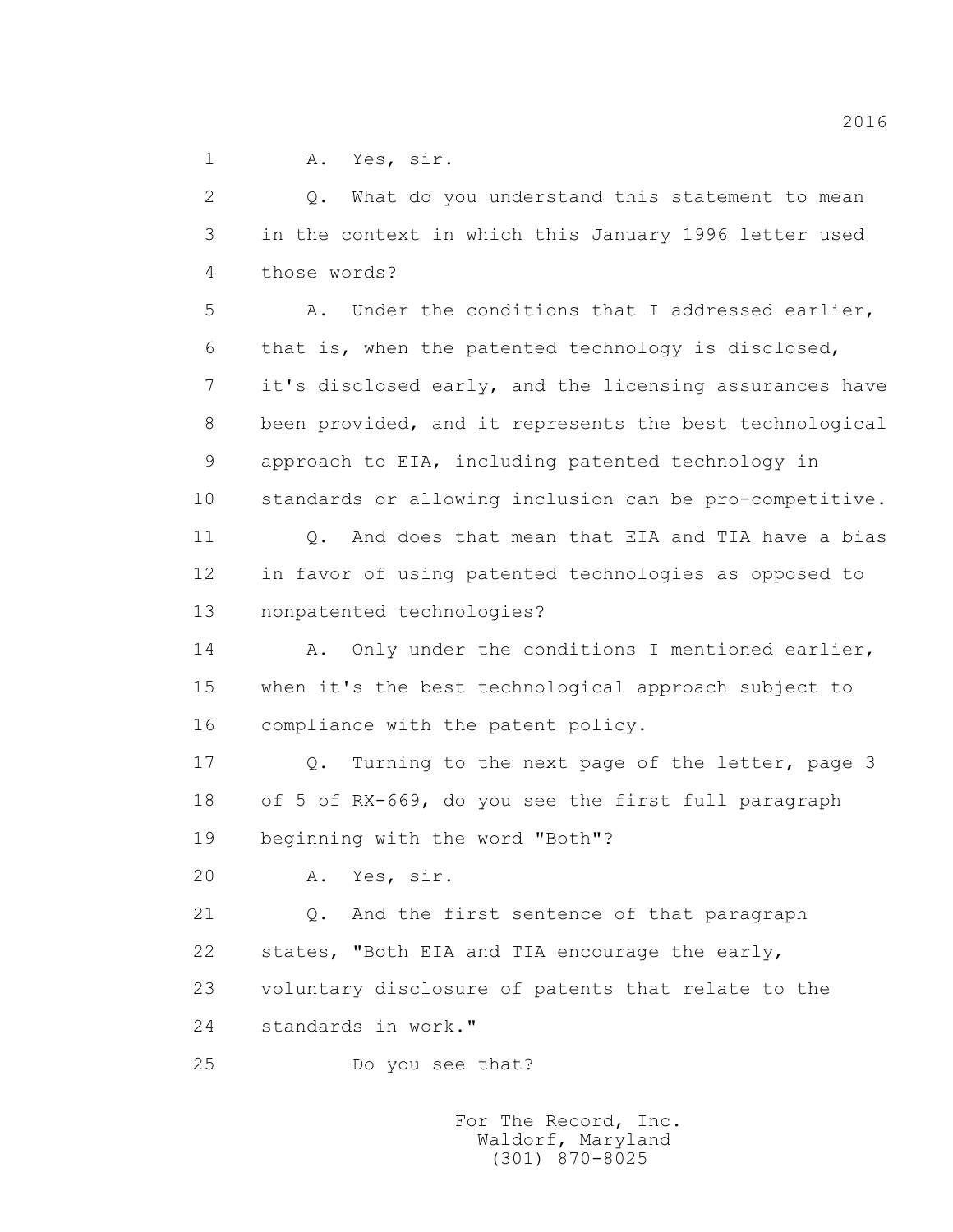1 A. Yes, sir.

 2 Q. What do you understand this statement to mean 3 in the context in which this January 1996 letter used 4 those words?

 5 A. Under the conditions that I addressed earlier, 6 that is, when the patented technology is disclosed, 7 it's disclosed early, and the licensing assurances have 8 been provided, and it represents the best technological 9 approach to EIA, including patented technology in 10 standards or allowing inclusion can be pro-competitive.

11 0. And does that mean that EIA and TIA have a bias 12 in favor of using patented technologies as opposed to 13 nonpatented technologies?

14 A. Only under the conditions I mentioned earlier, 15 when it's the best technological approach subject to 16 compliance with the patent policy.

 17 Q. Turning to the next page of the letter, page 3 18 of 5 of RX-669, do you see the first full paragraph 19 beginning with the word "Both"?

20 A. Yes, sir.

 21 Q. And the first sentence of that paragraph 22 states, "Both EIA and TIA encourage the early, 23 voluntary disclosure of patents that relate to the

24 standards in work."

25 Do you see that?

 For The Record, Inc. Waldorf, Maryland (301) 870-8025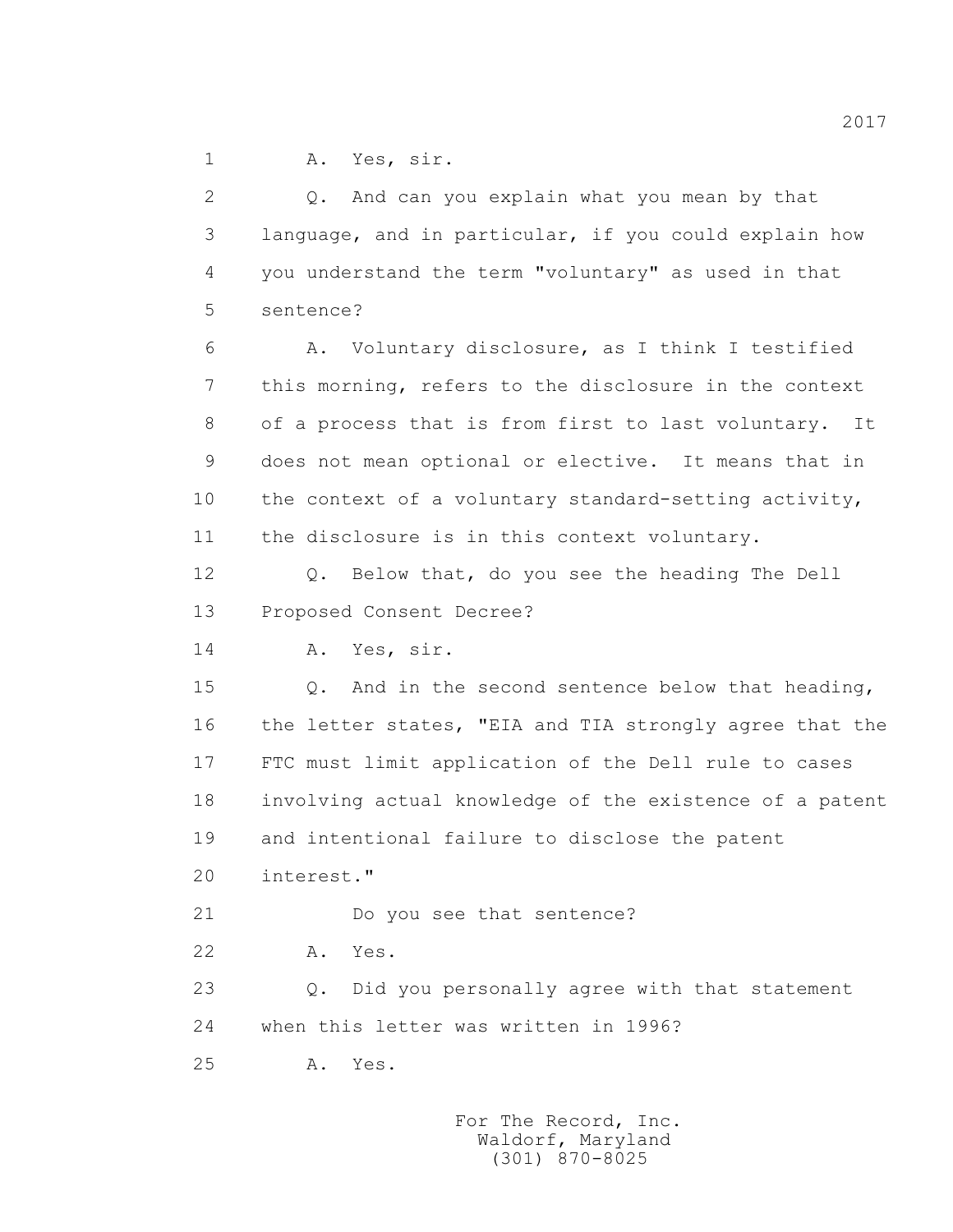1 A. Yes, sir.

 2 Q. And can you explain what you mean by that 3 language, and in particular, if you could explain how 4 you understand the term "voluntary" as used in that 5 sentence? 6 A. Voluntary disclosure, as I think I testified 7 this morning, refers to the disclosure in the context 8 of a process that is from first to last voluntary. It 9 does not mean optional or elective. It means that in 10 the context of a voluntary standard-setting activity, 11 the disclosure is in this context voluntary. 12 Q. Below that, do you see the heading The Dell 13 Proposed Consent Decree? 14 A. Yes, sir. 15 Q. And in the second sentence below that heading, 16 the letter states, "EIA and TIA strongly agree that the 17 FTC must limit application of the Dell rule to cases 18 involving actual knowledge of the existence of a patent 19 and intentional failure to disclose the patent 20 interest." 21 Do you see that sentence? 22 A. Yes. 23 Q. Did you personally agree with that statement 24 when this letter was written in 1996? 25 A. Yes.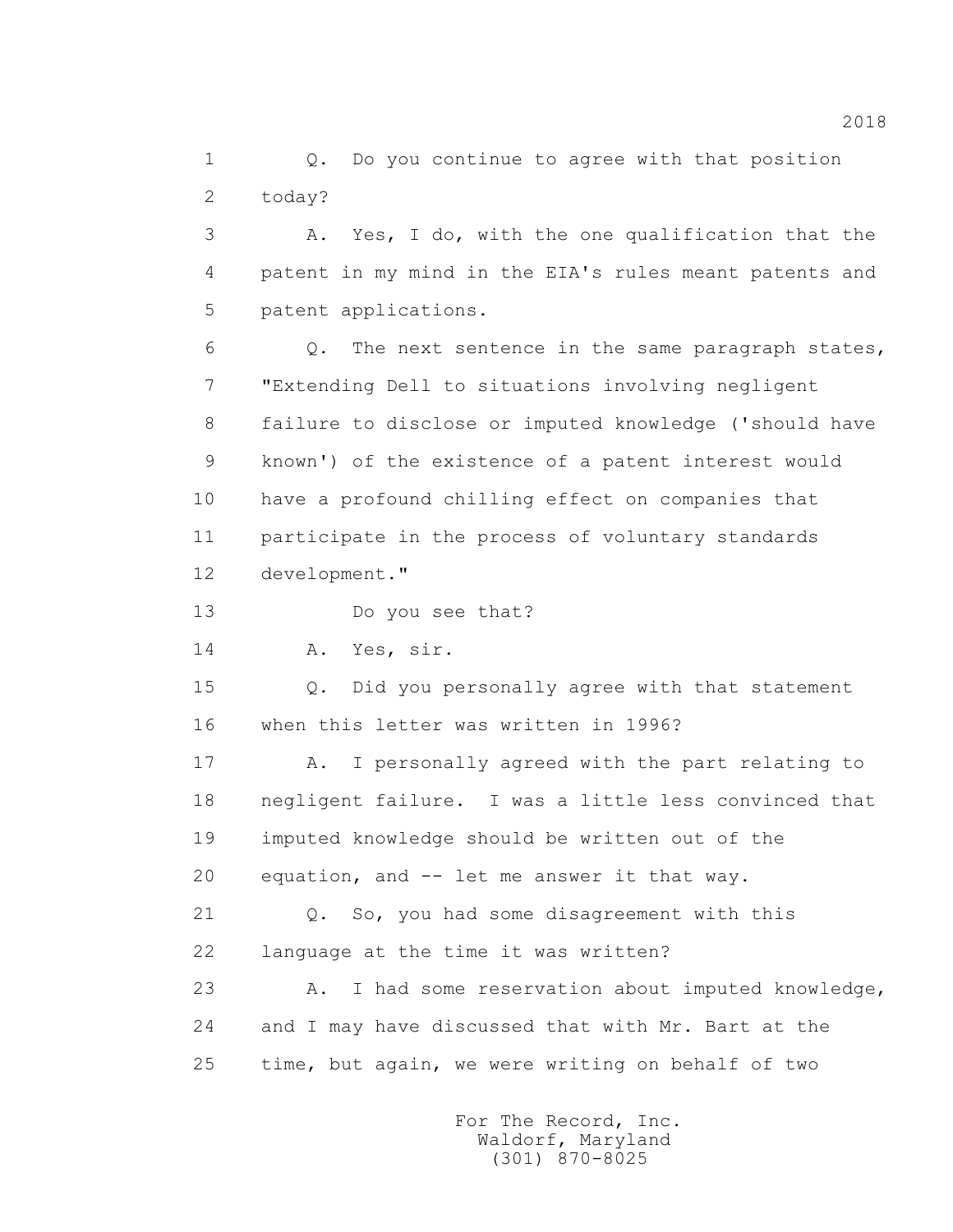1 0. Do you continue to agree with that position 2 today?

 3 A. Yes, I do, with the one qualification that the 4 patent in my mind in the EIA's rules meant patents and 5 patent applications.

 6 Q. The next sentence in the same paragraph states, 7 "Extending Dell to situations involving negligent 8 failure to disclose or imputed knowledge ('should have 9 known') of the existence of a patent interest would 10 have a profound chilling effect on companies that 11 participate in the process of voluntary standards 12 development."

13 Do you see that?

14 A. Yes, sir.

 15 Q. Did you personally agree with that statement 16 when this letter was written in 1996?

 17 A. I personally agreed with the part relating to 18 negligent failure. I was a little less convinced that 19 imputed knowledge should be written out of the 20 equation, and -- let me answer it that way.

 21 Q. So, you had some disagreement with this 22 language at the time it was written?

 23 A. I had some reservation about imputed knowledge, 24 and I may have discussed that with Mr. Bart at the 25 time, but again, we were writing on behalf of two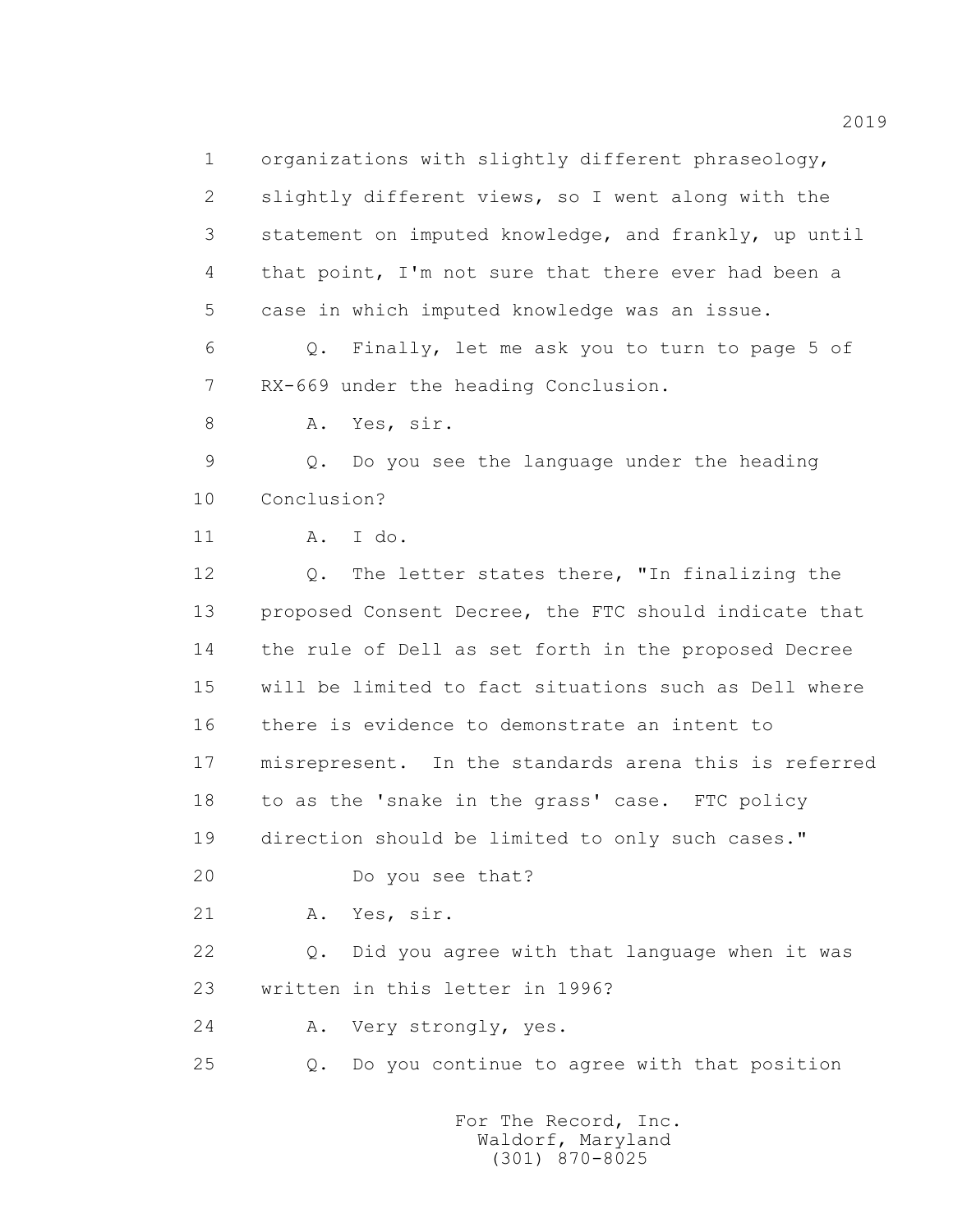1 organizations with slightly different phraseology, 2 slightly different views, so I went along with the 3 statement on imputed knowledge, and frankly, up until 4 that point, I'm not sure that there ever had been a 5 case in which imputed knowledge was an issue. 6 Q. Finally, let me ask you to turn to page 5 of 7 RX-669 under the heading Conclusion. 8 A. Yes, sir. 9 Q. Do you see the language under the heading 10 Conclusion? 11 A. I do. 12 Q. The letter states there, "In finalizing the 13 proposed Consent Decree, the FTC should indicate that 14 the rule of Dell as set forth in the proposed Decree 15 will be limited to fact situations such as Dell where 16 there is evidence to demonstrate an intent to 18 to as the 'snake in the grass' case. FTC policy 19 direction should be limited to only such cases." 20 Do you see that? 21 A. Yes, sir. 22 Q. Did you agree with that language when it was 23 written in this letter in 1996? 24 A. Very strongly, yes. 25 Q. Do you continue to agree with that position

> For The Record, Inc. Waldorf, Maryland (301) 870-8025

17 misrepresent. In the standards arena this is referred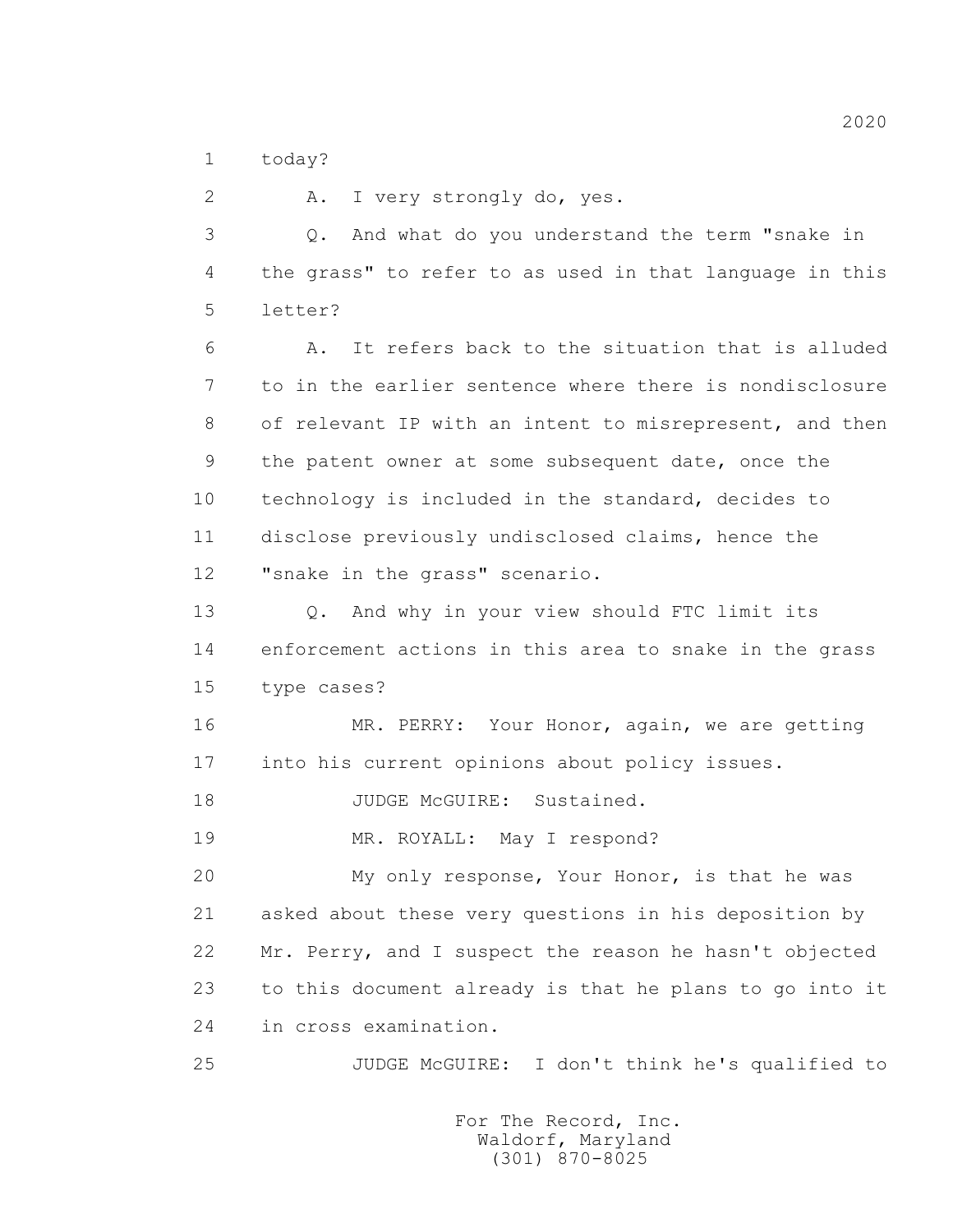1 today?

 2 A. I very strongly do, yes. 3 Q. And what do you understand the term "snake in 4 the grass" to refer to as used in that language in this 5 letter? 6 A. It refers back to the situation that is alluded 7 to in the earlier sentence where there is nondisclosure 8 of relevant IP with an intent to misrepresent, and then 9 the patent owner at some subsequent date, once the 10 technology is included in the standard, decides to 11 disclose previously undisclosed claims, hence the 12 "snake in the grass" scenario. 13 0. And why in your view should FTC limit its 14 enforcement actions in this area to snake in the grass 15 type cases? 16 MR. PERRY: Your Honor, again, we are getting 17 into his current opinions about policy issues. 18 JUDGE McGUIRE: Sustained. 19 MR. ROYALL: May I respond? 20 My only response, Your Honor, is that he was 21 asked about these very questions in his deposition by 22 Mr. Perry, and I suspect the reason he hasn't objected 23 to this document already is that he plans to go into it 24 in cross examination. 25 JUDGE McGUIRE: I don't think he's qualified to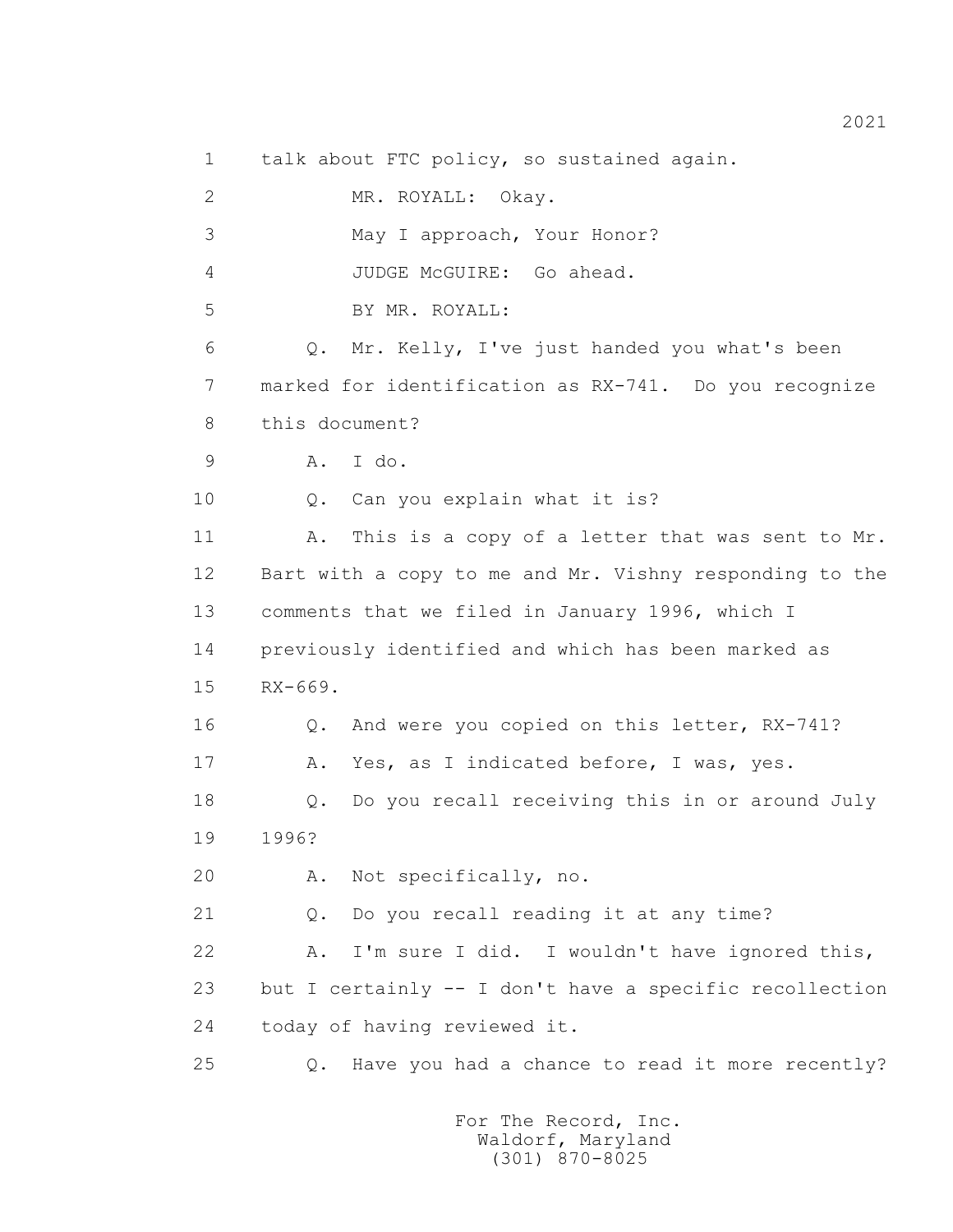1 talk about FTC policy, so sustained again.

2 MR. ROYALL: Okay.

3 May I approach, Your Honor?

4 JUDGE McGUIRE: Go ahead.

5 BY MR. ROYALL:

 6 Q. Mr. Kelly, I've just handed you what's been 7 marked for identification as RX-741. Do you recognize 8 this document?

9 A. I do.

10 Q. Can you explain what it is?

 11 A. This is a copy of a letter that was sent to Mr. 12 Bart with a copy to me and Mr. Vishny responding to the 13 comments that we filed in January 1996, which I 14 previously identified and which has been marked as 15 RX-669. 16 Q. And were you copied on this letter, RX-741?

17 A. Yes, as I indicated before, I was, yes.

 18 Q. Do you recall receiving this in or around July 19 1996?

20 A. Not specifically, no.

21 Q. Do you recall reading it at any time?

 22 A. I'm sure I did. I wouldn't have ignored this, 23 but I certainly -- I don't have a specific recollection 24 today of having reviewed it.

25 Q. Have you had a chance to read it more recently?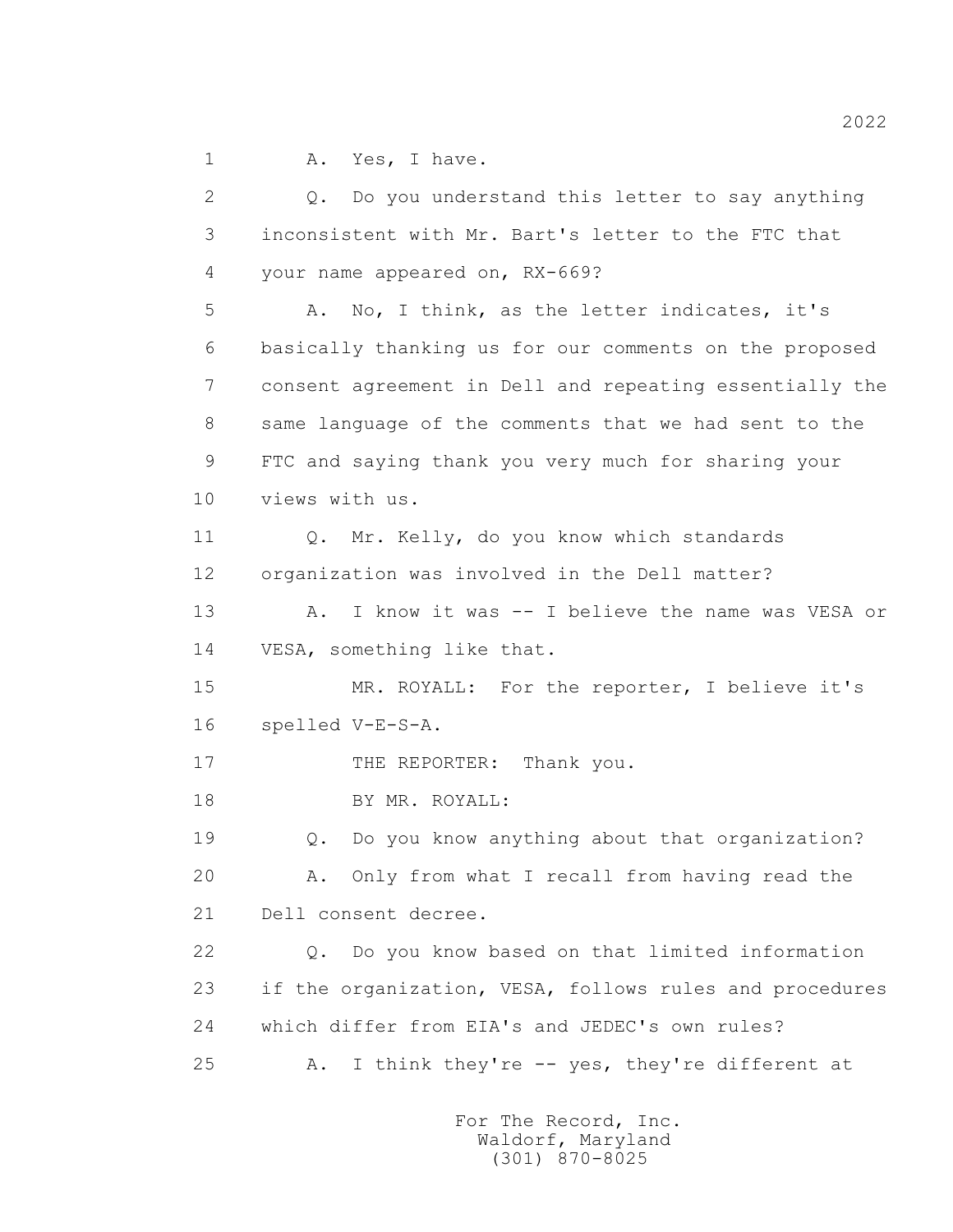1 A. Yes, I have.

 2 Q. Do you understand this letter to say anything 3 inconsistent with Mr. Bart's letter to the FTC that 4 your name appeared on, RX-669? 5 A. No, I think, as the letter indicates, it's 6 basically thanking us for our comments on the proposed 7 consent agreement in Dell and repeating essentially the 8 same language of the comments that we had sent to the 9 FTC and saying thank you very much for sharing your 10 views with us. 11 Q. Mr. Kelly, do you know which standards 12 organization was involved in the Dell matter? 13 A. I know it was -- I believe the name was VESA or 14 VESA, something like that. 15 MR. ROYALL: For the reporter, I believe it's 16 spelled V-E-S-A. 17 THE REPORTER: Thank you. 18 BY MR. ROYALL: 19 Q. Do you know anything about that organization? 20 A. Only from what I recall from having read the 21 Dell consent decree. 22 Q. Do you know based on that limited information 23 if the organization, VESA, follows rules and procedures 24 which differ from EIA's and JEDEC's own rules? 25 A. I think they're -- yes, they're different at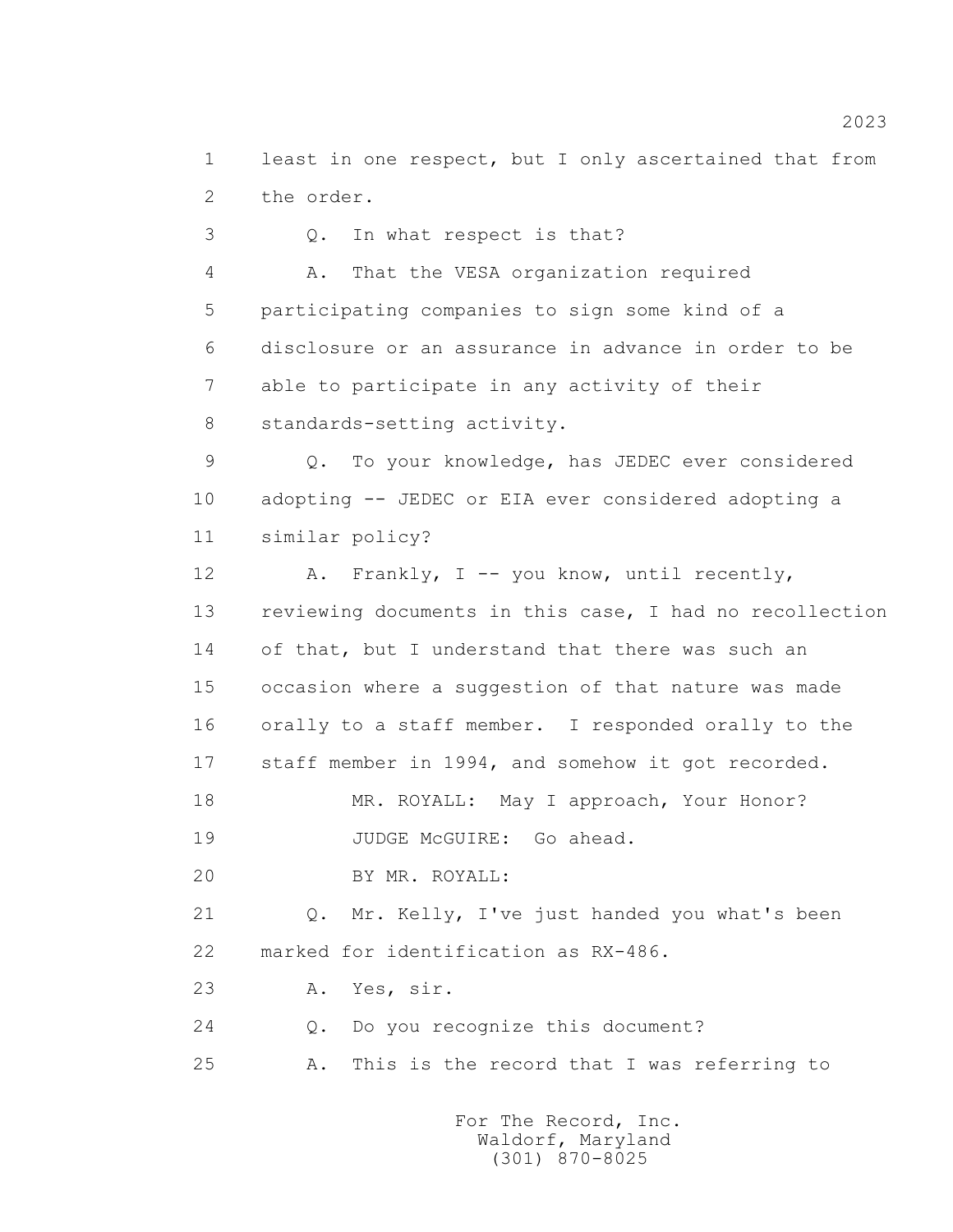1 least in one respect, but I only ascertained that from 2 the order.

 3 Q. In what respect is that? 4 A. That the VESA organization required 5 participating companies to sign some kind of a 6 disclosure or an assurance in advance in order to be 7 able to participate in any activity of their 8 standards-setting activity.

 9 Q. To your knowledge, has JEDEC ever considered 10 adopting -- JEDEC or EIA ever considered adopting a 11 similar policy?

 12 A. Frankly, I -- you know, until recently, 13 reviewing documents in this case, I had no recollection 14 of that, but I understand that there was such an 15 occasion where a suggestion of that nature was made 16 orally to a staff member. I responded orally to the 17 staff member in 1994, and somehow it got recorded. 18 MR. ROYALL: May I approach, Your Honor? 19 JUDGE McGUIRE: Go ahead. 20 BY MR. ROYALL:

 21 Q. Mr. Kelly, I've just handed you what's been 22 marked for identification as RX-486.

23 A. Yes, sir.

24 Q. Do you recognize this document?

25 A. This is the record that I was referring to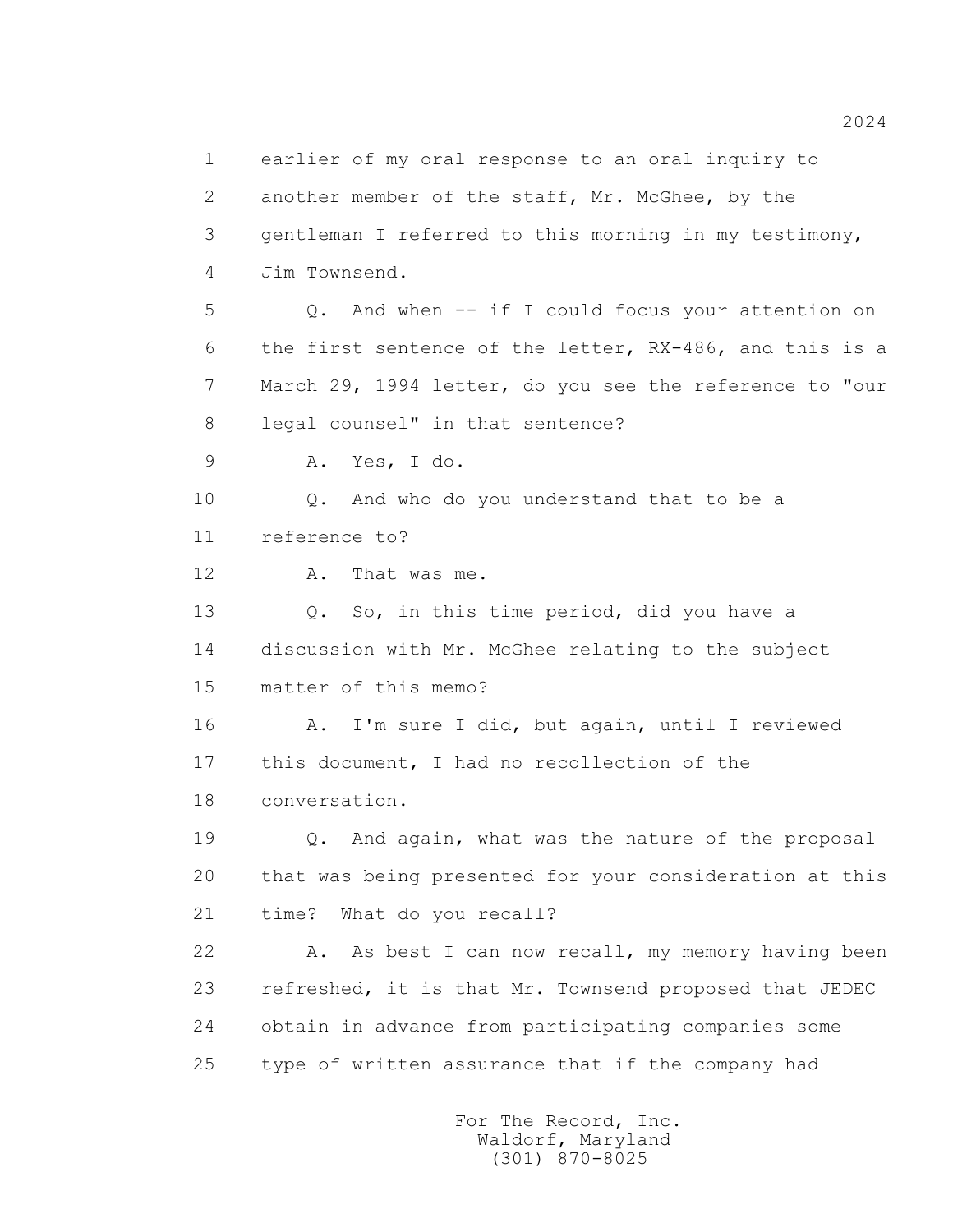1 earlier of my oral response to an oral inquiry to 2 another member of the staff, Mr. McGhee, by the 3 gentleman I referred to this morning in my testimony, 4 Jim Townsend. 5 Q. And when -- if I could focus your attention on 6 the first sentence of the letter, RX-486, and this is a 7 March 29, 1994 letter, do you see the reference to "our 8 legal counsel" in that sentence? 9 A. Yes, I do. 10 0. And who do you understand that to be a 11 reference to? 12 A. That was me. 13 O. So, in this time period, did you have a 14 discussion with Mr. McGhee relating to the subject 15 matter of this memo? 16 A. I'm sure I did, but again, until I reviewed 17 this document, I had no recollection of the 18 conversation. 19 Q. And again, what was the nature of the proposal 20 that was being presented for your consideration at this 21 time? What do you recall? 22 A. As best I can now recall, my memory having been 23 refreshed, it is that Mr. Townsend proposed that JEDEC 24 obtain in advance from participating companies some 25 type of written assurance that if the company had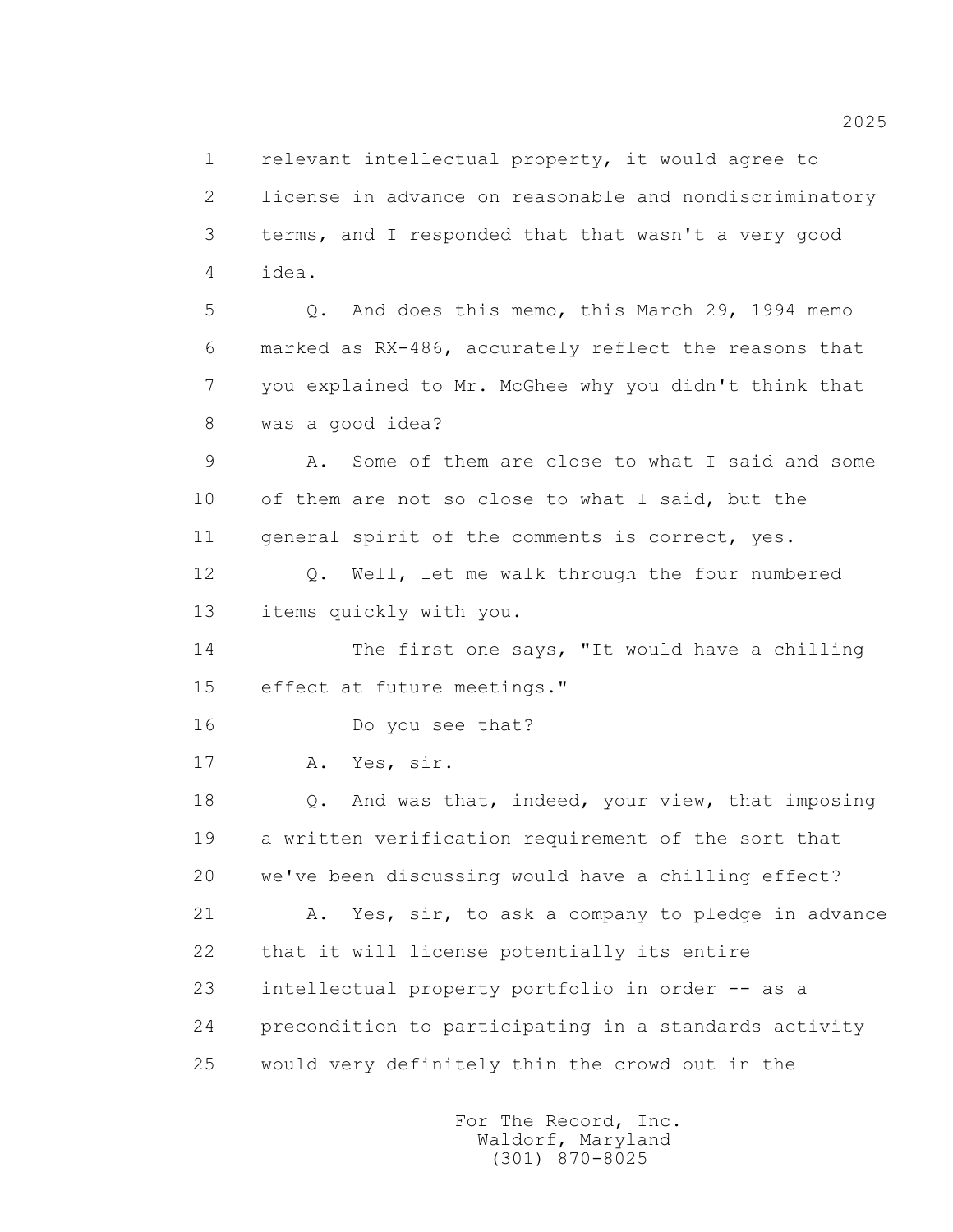1 relevant intellectual property, it would agree to 2 license in advance on reasonable and nondiscriminatory 3 terms, and I responded that that wasn't a very good 4 idea.

 5 Q. And does this memo, this March 29, 1994 memo 6 marked as RX-486, accurately reflect the reasons that 7 you explained to Mr. McGhee why you didn't think that 8 was a good idea?

 9 A. Some of them are close to what I said and some 10 of them are not so close to what I said, but the 11 general spirit of the comments is correct, yes.

 12 Q. Well, let me walk through the four numbered 13 items quickly with you.

 14 The first one says, "It would have a chilling 15 effect at future meetings."

16 Do you see that?

17 A. Yes, sir.

 18 Q. And was that, indeed, your view, that imposing 19 a written verification requirement of the sort that 20 we've been discussing would have a chilling effect? 21 A. Yes, sir, to ask a company to pledge in advance 22 that it will license potentially its entire 23 intellectual property portfolio in order -- as a 24 precondition to participating in a standards activity 25 would very definitely thin the crowd out in the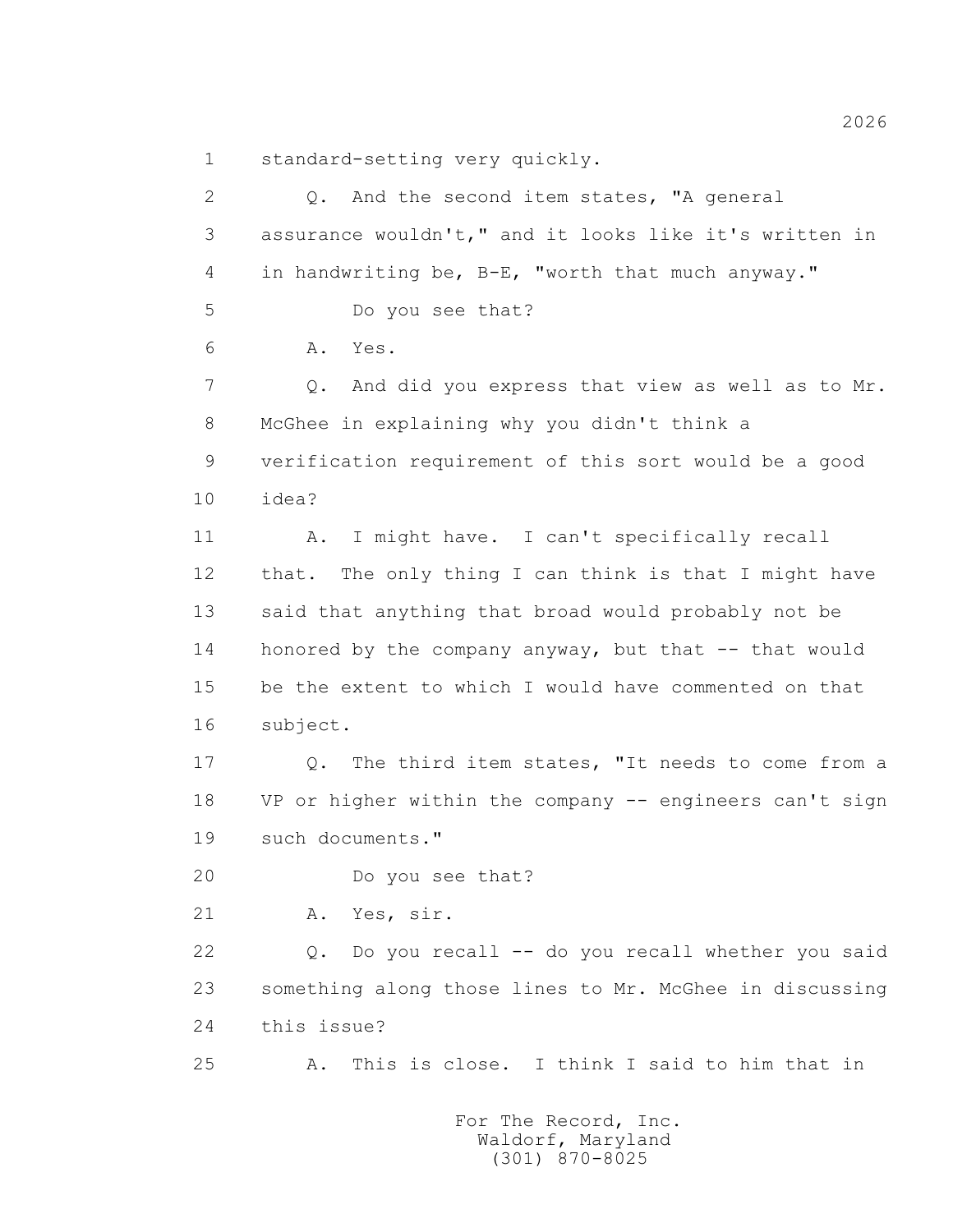1 standard-setting very quickly.

 2 Q. And the second item states, "A general 3 assurance wouldn't," and it looks like it's written in 4 in handwriting be, B-E, "worth that much anyway." 5 Do you see that? 6 A. Yes. 7 Q. And did you express that view as well as to Mr. 8 McGhee in explaining why you didn't think a 9 verification requirement of this sort would be a good 10 idea? 11 A. I might have. I can't specifically recall 12 that. The only thing I can think is that I might have 13 said that anything that broad would probably not be 14 honored by the company anyway, but that -- that would 15 be the extent to which I would have commented on that 16 subject. 17 Q. The third item states, "It needs to come from a 18 VP or higher within the company -- engineers can't sign 19 such documents." 20 Do you see that? 21 A. Yes, sir. 22 Q. Do you recall -- do you recall whether you said 23 something along those lines to Mr. McGhee in discussing 24 this issue? 25 A. This is close. I think I said to him that in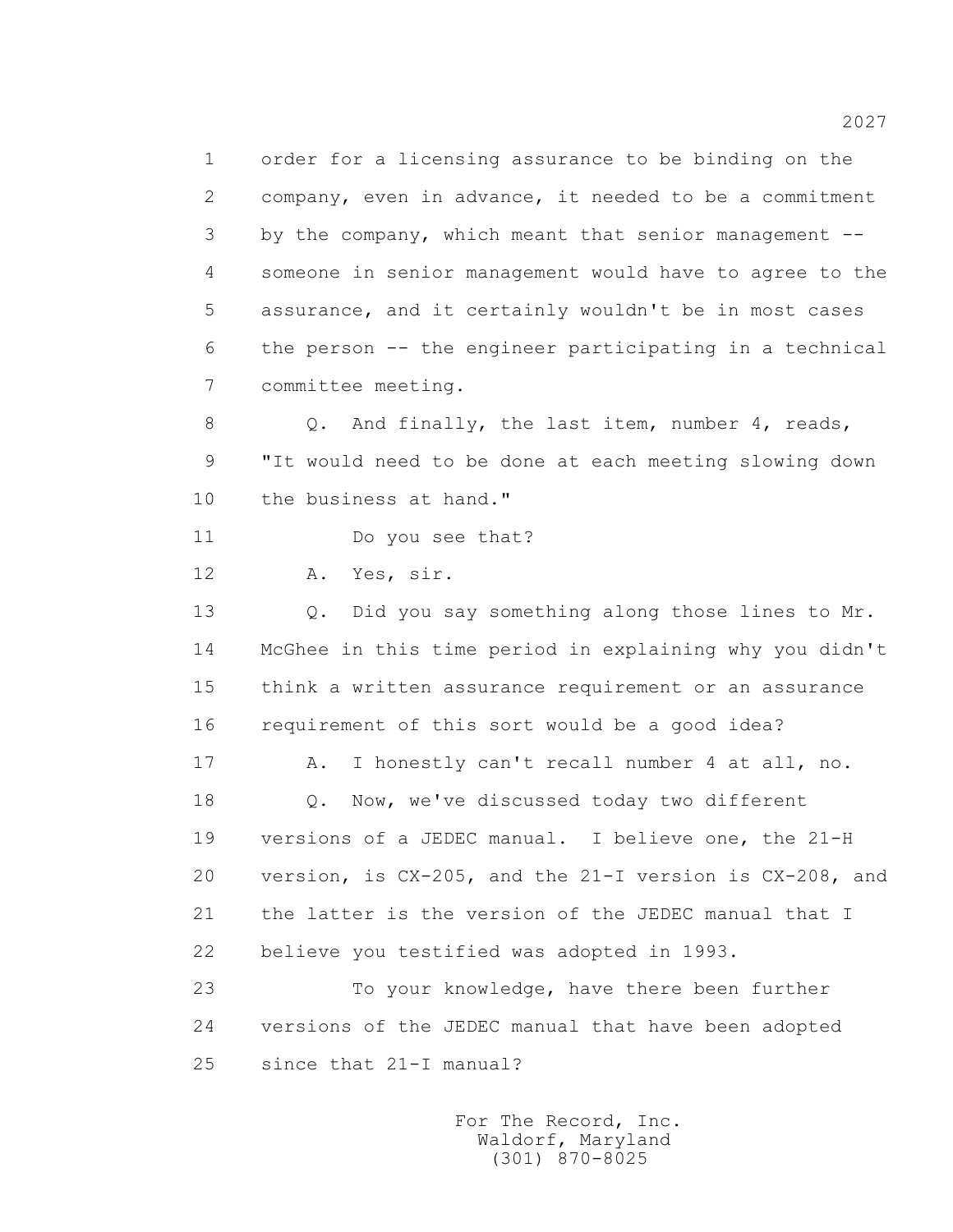1 order for a licensing assurance to be binding on the 2 company, even in advance, it needed to be a commitment 3 by the company, which meant that senior management -- 4 someone in senior management would have to agree to the 5 assurance, and it certainly wouldn't be in most cases 6 the person -- the engineer participating in a technical 7 committee meeting.

 8 Q. And finally, the last item, number 4, reads, 9 "It would need to be done at each meeting slowing down 10 the business at hand."

11 Do you see that?

12 A. Yes, sir.

13 O. Did you say something along those lines to Mr. 14 McGhee in this time period in explaining why you didn't 15 think a written assurance requirement or an assurance 16 requirement of this sort would be a good idea?

 17 A. I honestly can't recall number 4 at all, no. 18 0. Now, we've discussed today two different 19 versions of a JEDEC manual. I believe one, the 21-H 20 version, is CX-205, and the 21-I version is CX-208, and 21 the latter is the version of the JEDEC manual that I 22 believe you testified was adopted in 1993.

 23 To your knowledge, have there been further 24 versions of the JEDEC manual that have been adopted 25 since that 21-I manual?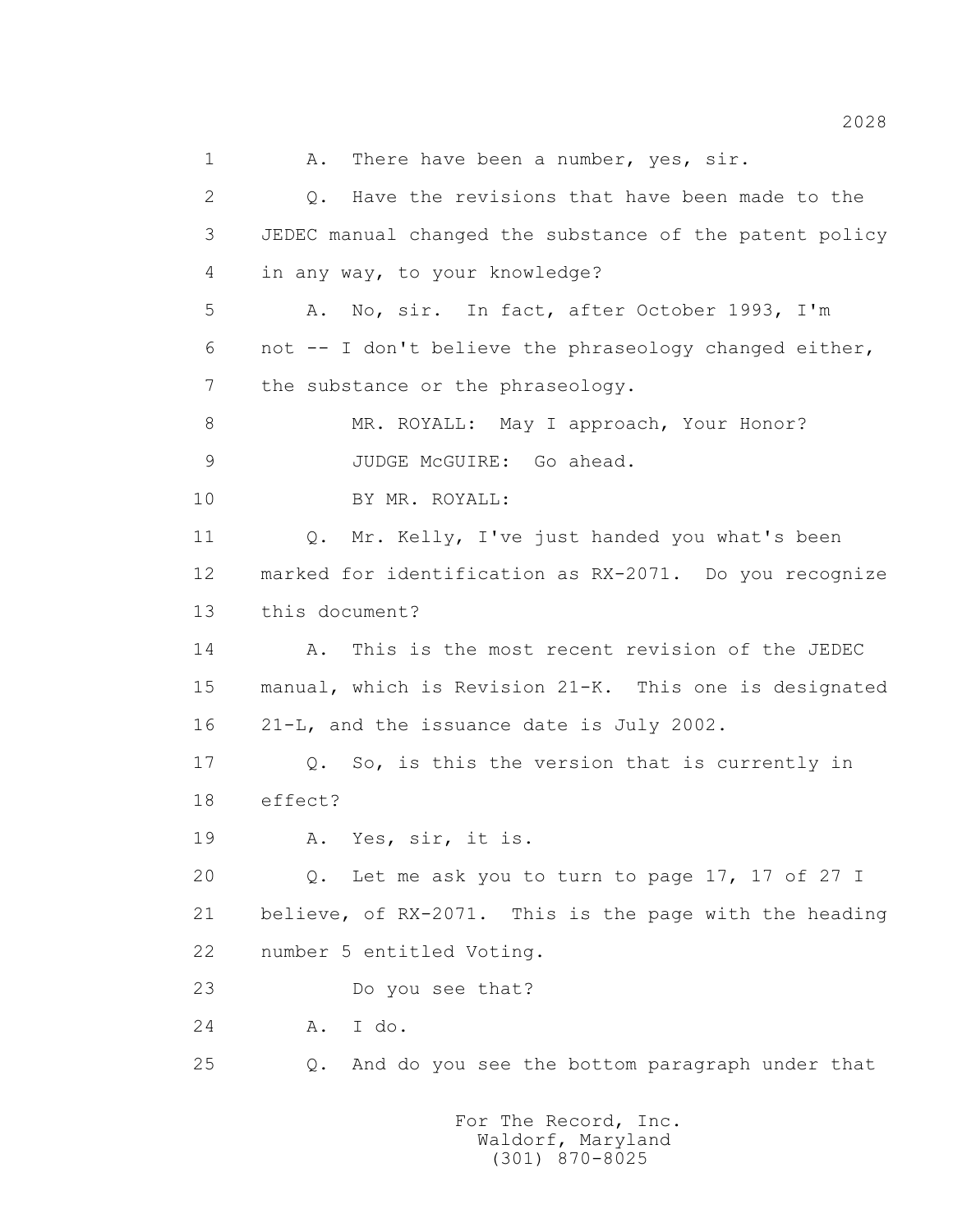1 A. There have been a number, yes, sir. 2 Q. Have the revisions that have been made to the 3 JEDEC manual changed the substance of the patent policy 4 in any way, to your knowledge? 5 A. No, sir. In fact, after October 1993, I'm 6 not -- I don't believe the phraseology changed either, 7 the substance or the phraseology. 8 MR. ROYALL: May I approach, Your Honor? 9 JUDGE McGUIRE: Go ahead. 10 BY MR. ROYALL: 11 Q. Mr. Kelly, I've just handed you what's been 12 marked for identification as RX-2071. Do you recognize 13 this document? 14 A. This is the most recent revision of the JEDEC 15 manual, which is Revision 21-K. This one is designated 16 21-L, and the issuance date is July 2002. 17 Q. So, is this the version that is currently in 18 effect? 19 A. Yes, sir, it is. 20 Q. Let me ask you to turn to page 17, 17 of 27 I 21 believe, of RX-2071. This is the page with the heading 22 number 5 entitled Voting. 23 Do you see that? 24 A. I do. 25 Q. And do you see the bottom paragraph under that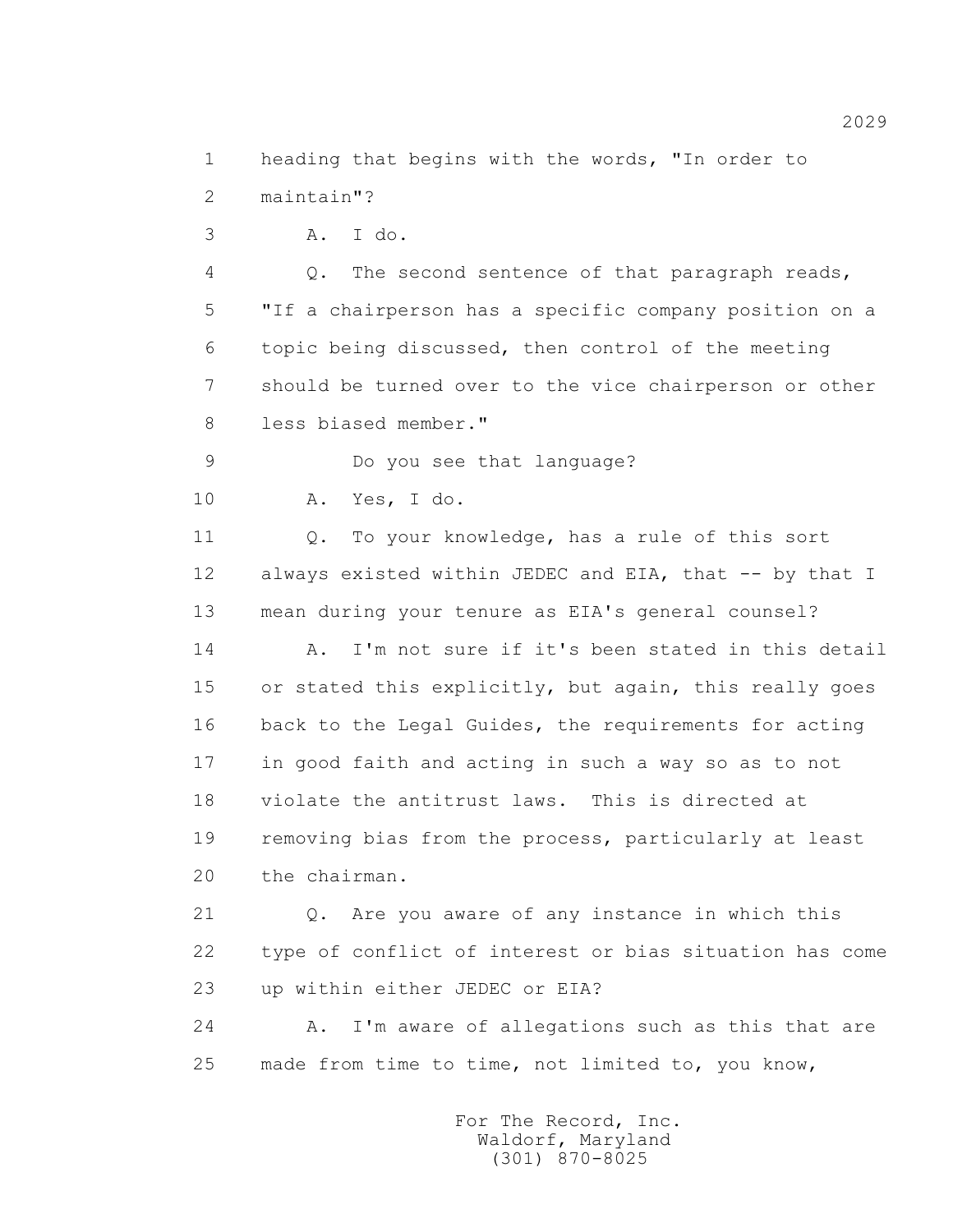1 heading that begins with the words, "In order to 2 maintain"?

3 A. I do.

 4 Q. The second sentence of that paragraph reads, 5 "If a chairperson has a specific company position on a 6 topic being discussed, then control of the meeting 7 should be turned over to the vice chairperson or other 8 less biased member."

9 Do you see that language?

10 A. Yes, I do.

 11 Q. To your knowledge, has a rule of this sort 12 always existed within JEDEC and EIA, that -- by that I 13 mean during your tenure as EIA's general counsel?

 14 A. I'm not sure if it's been stated in this detail 15 or stated this explicitly, but again, this really goes 16 back to the Legal Guides, the requirements for acting 17 in good faith and acting in such a way so as to not 18 violate the antitrust laws. This is directed at 19 removing bias from the process, particularly at least 20 the chairman.

 21 Q. Are you aware of any instance in which this 22 type of conflict of interest or bias situation has come 23 up within either JEDEC or EIA?

24 A. I'm aware of allegations such as this that are 25 made from time to time, not limited to, you know,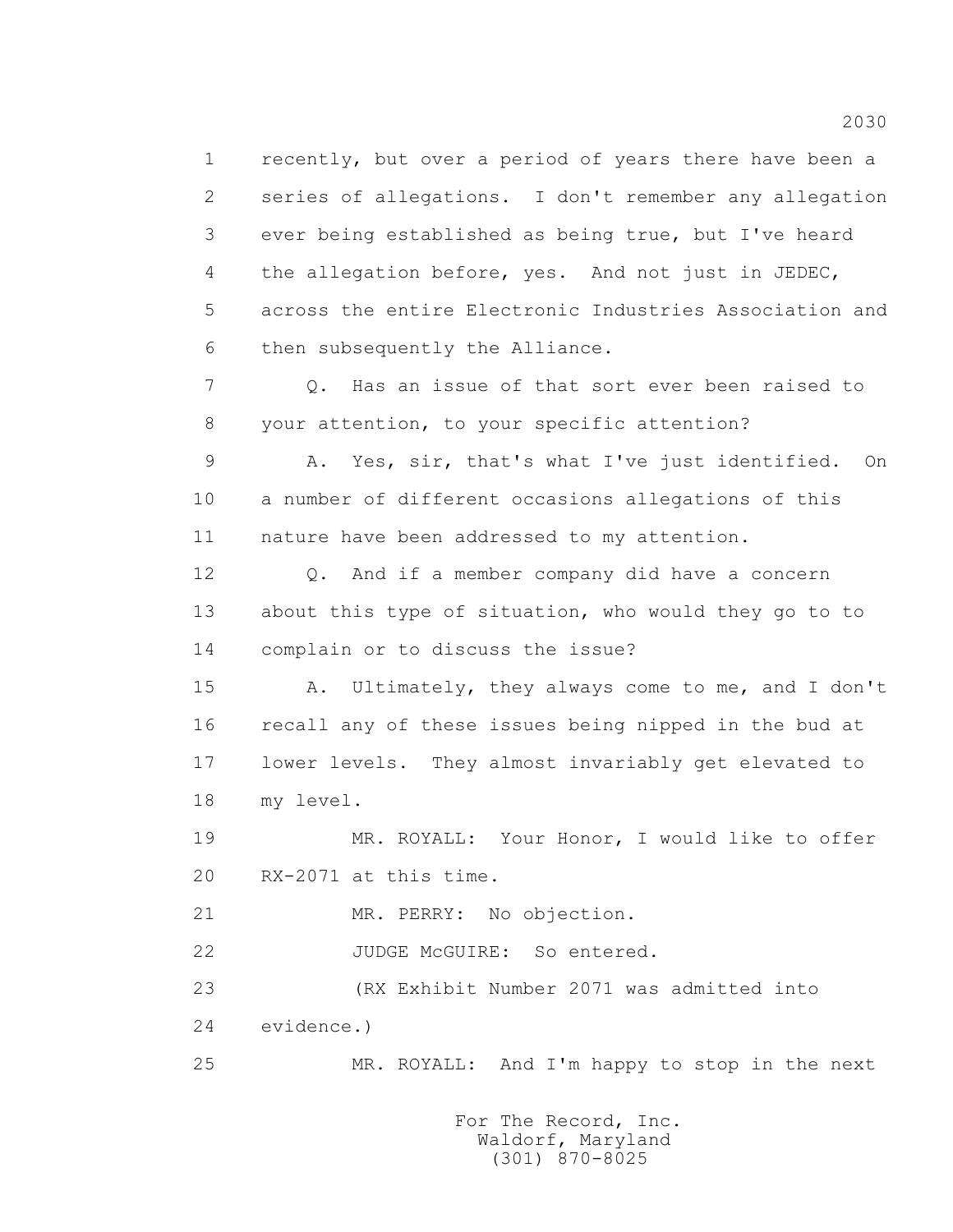1 recently, but over a period of years there have been a 2 series of allegations. I don't remember any allegation 3 ever being established as being true, but I've heard 4 the allegation before, yes. And not just in JEDEC, 5 across the entire Electronic Industries Association and 6 then subsequently the Alliance.

 7 Q. Has an issue of that sort ever been raised to 8 your attention, to your specific attention?

 9 A. Yes, sir, that's what I've just identified. On 10 a number of different occasions allegations of this 11 nature have been addressed to my attention.

 12 Q. And if a member company did have a concern 13 about this type of situation, who would they go to to 14 complain or to discuss the issue?

 15 A. Ultimately, they always come to me, and I don't 16 recall any of these issues being nipped in the bud at 17 lower levels. They almost invariably get elevated to 18 my level.

 19 MR. ROYALL: Your Honor, I would like to offer 20 RX-2071 at this time.

21 MR. PERRY: No objection.

22 JUDGE McGUIRE: So entered.

 23 (RX Exhibit Number 2071 was admitted into 24 evidence.)

25 MR. ROYALL: And I'm happy to stop in the next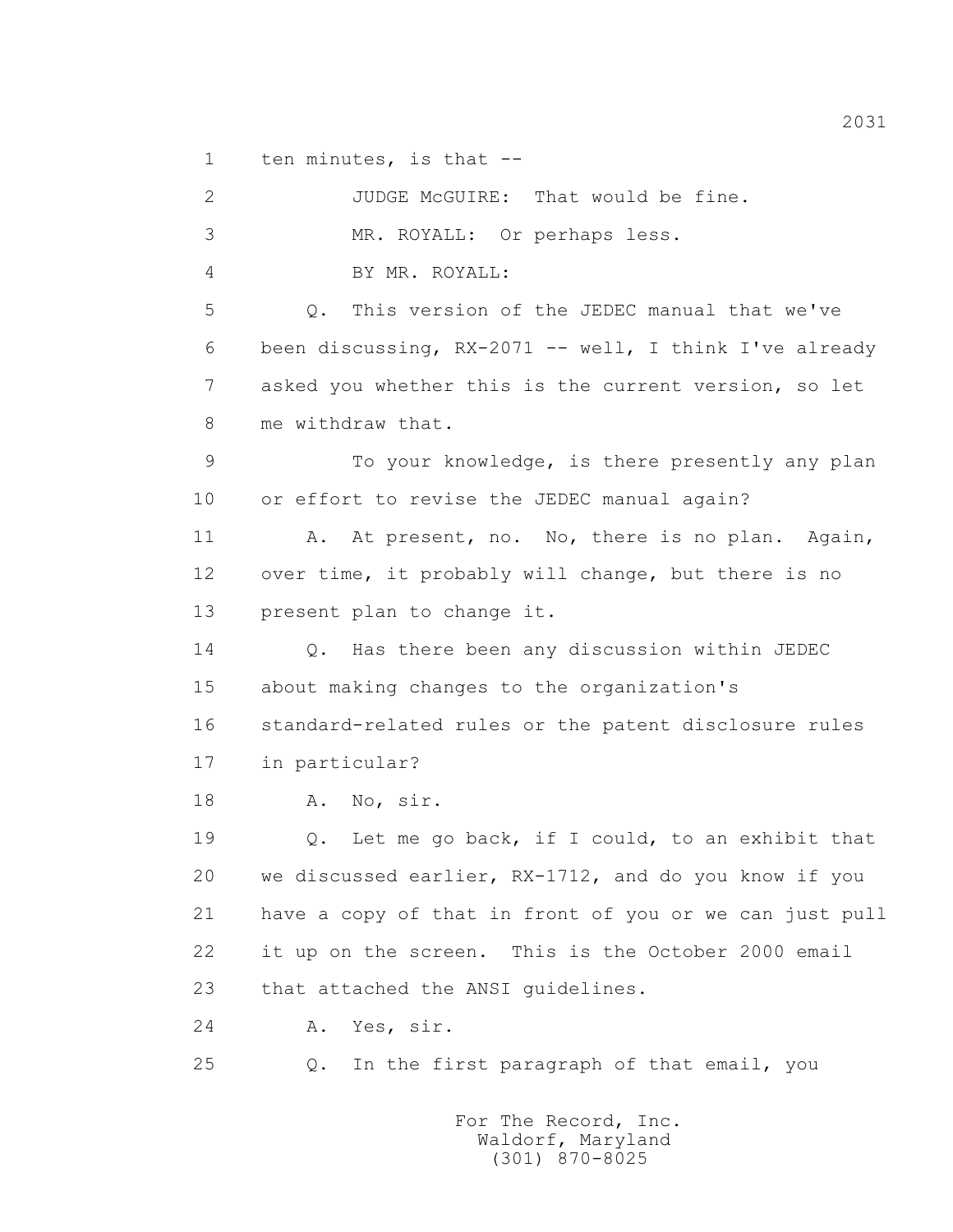1 ten minutes, is that --

 2 JUDGE McGUIRE: That would be fine. 3 MR. ROYALL: Or perhaps less. 4 BY MR. ROYALL: 5 Q. This version of the JEDEC manual that we've 6 been discussing, RX-2071 -- well, I think I've already 7 asked you whether this is the current version, so let 8 me withdraw that. 9 To your knowledge, is there presently any plan 10 or effort to revise the JEDEC manual again? 11 A. At present, no. No, there is no plan. Again, 12 over time, it probably will change, but there is no 13 present plan to change it. 14 Q. Has there been any discussion within JEDEC 15 about making changes to the organization's 16 standard-related rules or the patent disclosure rules 17 in particular? 18 A. No, sir. 19 Q. Let me go back, if I could, to an exhibit that 20 we discussed earlier, RX-1712, and do you know if you 21 have a copy of that in front of you or we can just pull 22 it up on the screen. This is the October 2000 email 23 that attached the ANSI guidelines. 24 A. Yes, sir. 25 Q. In the first paragraph of that email, you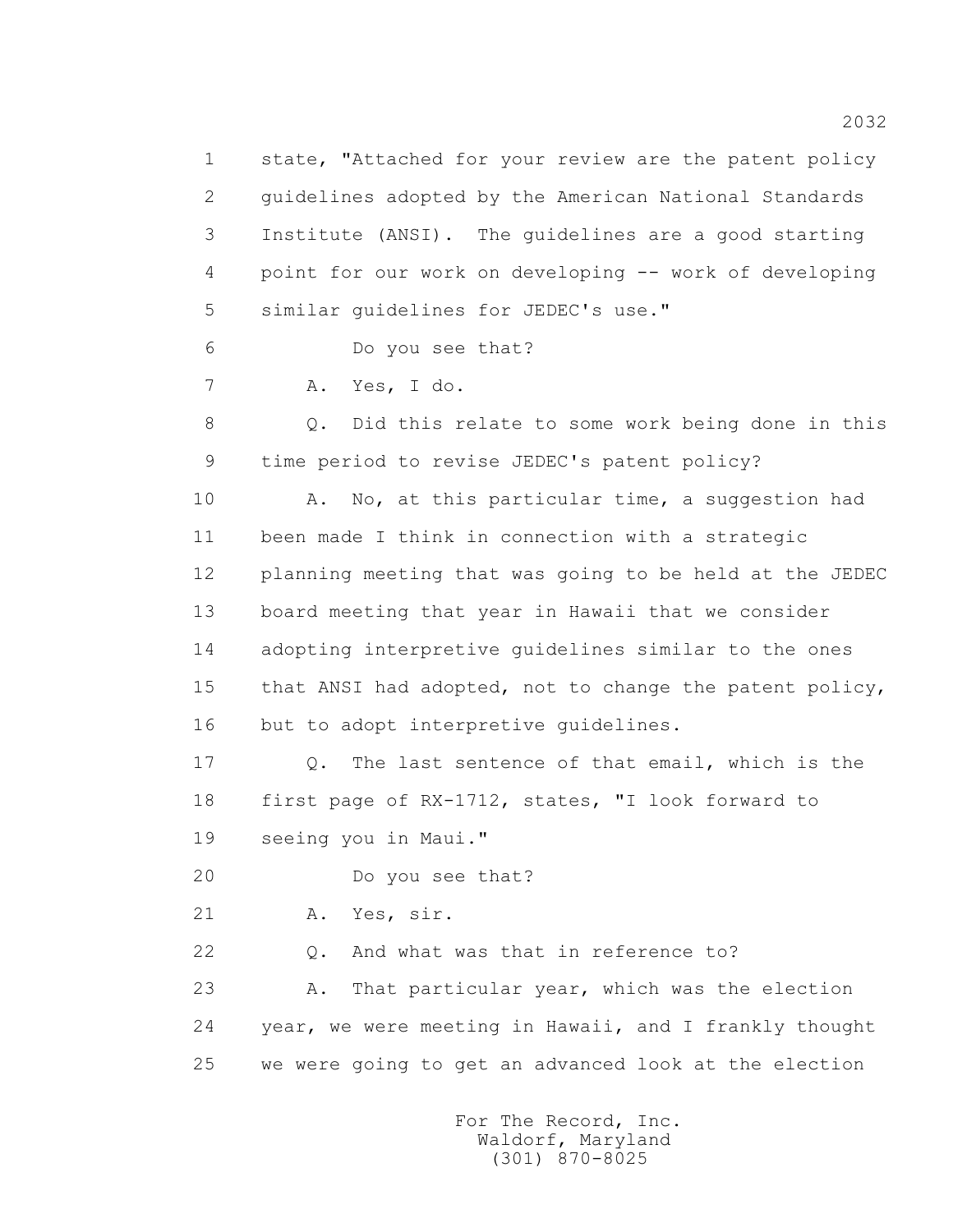1 state, "Attached for your review are the patent policy 2 guidelines adopted by the American National Standards 3 Institute (ANSI). The guidelines are a good starting 4 point for our work on developing -- work of developing 5 similar guidelines for JEDEC's use." 6 Do you see that? 7 A. Yes, I do. 8 Q. Did this relate to some work being done in this 9 time period to revise JEDEC's patent policy? 10 A. No, at this particular time, a suggestion had 11 been made I think in connection with a strategic 12 planning meeting that was going to be held at the JEDEC 13 board meeting that year in Hawaii that we consider 14 adopting interpretive guidelines similar to the ones 15 that ANSI had adopted, not to change the patent policy, 16 but to adopt interpretive guidelines. 17 Q. The last sentence of that email, which is the 18 first page of RX-1712, states, "I look forward to 19 seeing you in Maui." 20 Do you see that? 21 A. Yes, sir. 22 Q. And what was that in reference to? 23 A. That particular year, which was the election 24 year, we were meeting in Hawaii, and I frankly thought 25 we were going to get an advanced look at the election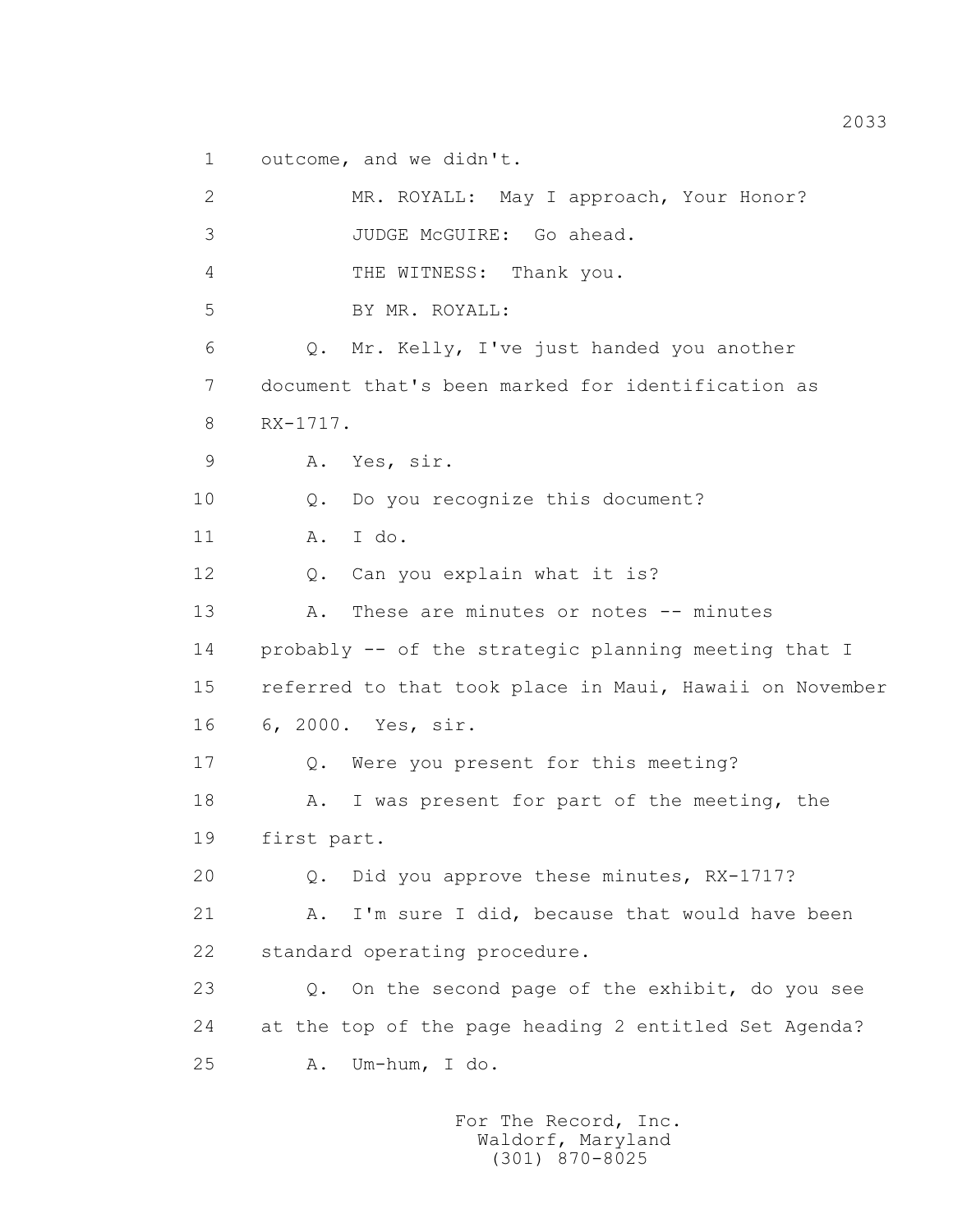1 outcome, and we didn't.

 2 MR. ROYALL: May I approach, Your Honor? 3 JUDGE McGUIRE: Go ahead. 4 THE WITNESS: Thank you. 5 BY MR. ROYALL: 6 Q. Mr. Kelly, I've just handed you another 7 document that's been marked for identification as 8 RX-1717. 9 A. Yes, sir. 10 0. Do you recognize this document? 11 A. I do. 12 O. Can you explain what it is? 13 A. These are minutes or notes -- minutes 14 probably -- of the strategic planning meeting that I 15 referred to that took place in Maui, Hawaii on November 16 6, 2000. Yes, sir. 17 Q. Were you present for this meeting? 18 A. I was present for part of the meeting, the 19 first part. 20 Q. Did you approve these minutes, RX-1717? 21 A. I'm sure I did, because that would have been 22 standard operating procedure. 23 Q. On the second page of the exhibit, do you see 24 at the top of the page heading 2 entitled Set Agenda? 25 A. Um-hum, I do.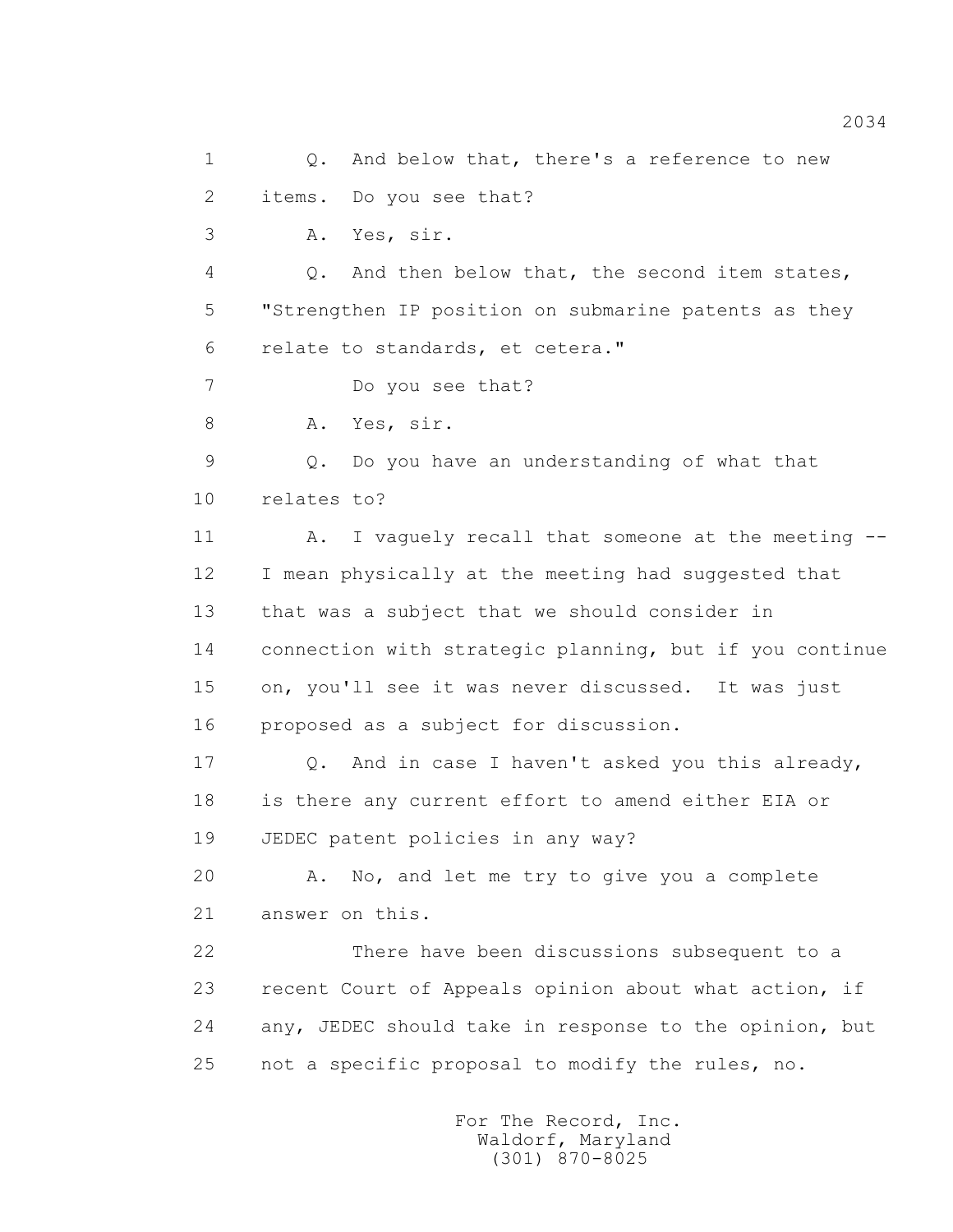1 0. And below that, there's a reference to new 2 items. Do you see that? 3 A. Yes, sir. 4 Q. And then below that, the second item states, 5 "Strengthen IP position on submarine patents as they 6 relate to standards, et cetera." 7 Do you see that? 8 A. Yes, sir. 9 Q. Do you have an understanding of what that 10 relates to? 11 A. I vaguely recall that someone at the meeting -- 12 I mean physically at the meeting had suggested that 13 that was a subject that we should consider in 14 connection with strategic planning, but if you continue 15 on, you'll see it was never discussed. It was just 16 proposed as a subject for discussion. 17 Q. And in case I haven't asked you this already, 18 is there any current effort to amend either EIA or 19 JEDEC patent policies in any way? 20 A. No, and let me try to give you a complete 21 answer on this. 22 There have been discussions subsequent to a 23 recent Court of Appeals opinion about what action, if 24 any, JEDEC should take in response to the opinion, but 25 not a specific proposal to modify the rules, no.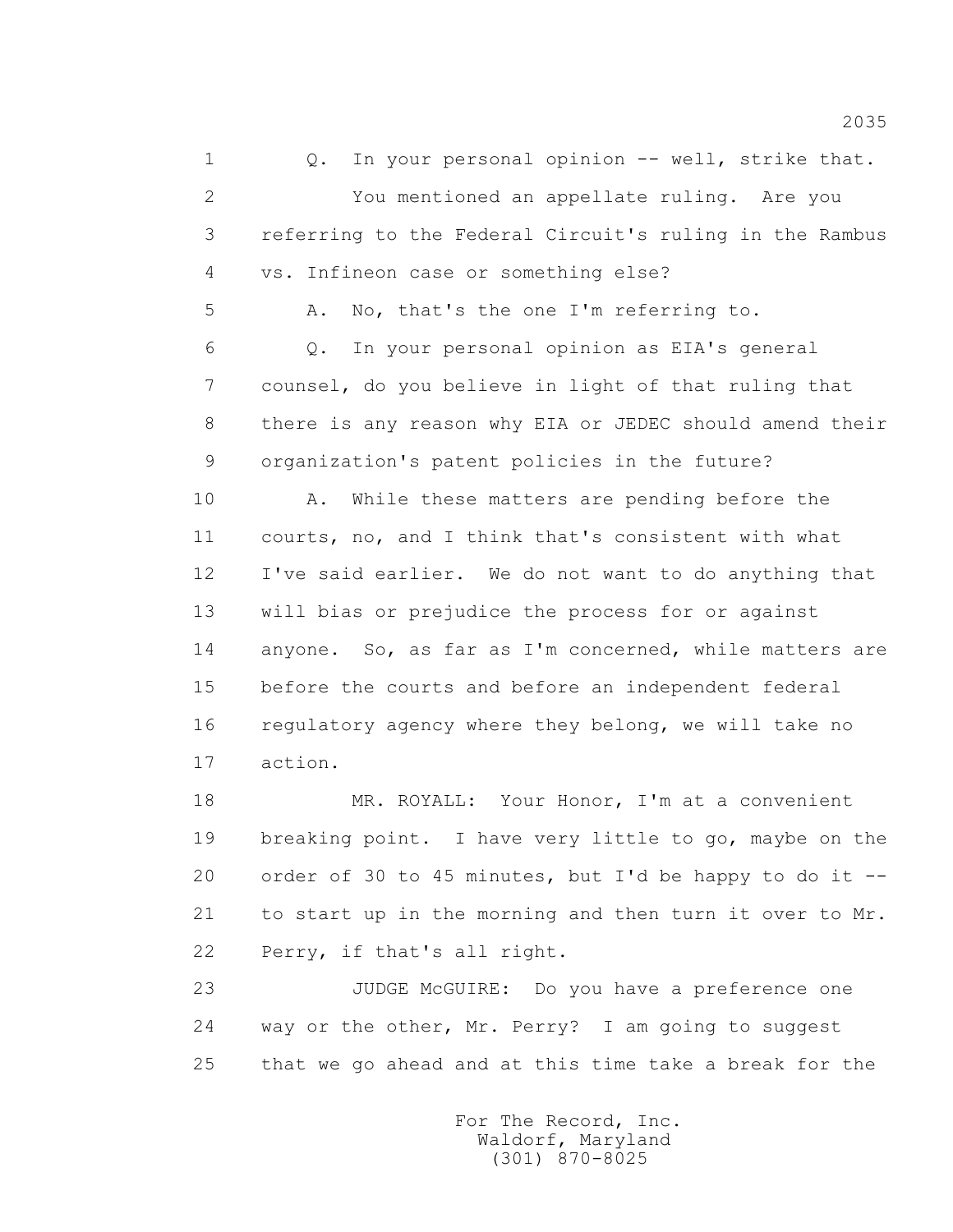1 Q. In your personal opinion -- well, strike that. 2 You mentioned an appellate ruling. Are you 3 referring to the Federal Circuit's ruling in the Rambus 4 vs. Infineon case or something else? 5 A. No, that's the one I'm referring to. 6 Q. In your personal opinion as EIA's general 7 counsel, do you believe in light of that ruling that 8 there is any reason why EIA or JEDEC should amend their 9 organization's patent policies in the future? 10 A. While these matters are pending before the 11 courts, no, and I think that's consistent with what 12 I've said earlier. We do not want to do anything that 13 will bias or prejudice the process for or against 14 anyone. So, as far as I'm concerned, while matters are 15 before the courts and before an independent federal 16 regulatory agency where they belong, we will take no 17 action.

 18 MR. ROYALL: Your Honor, I'm at a convenient 19 breaking point. I have very little to go, maybe on the 20 order of 30 to 45 minutes, but I'd be happy to do it -- 21 to start up in the morning and then turn it over to Mr. 22 Perry, if that's all right.

 23 JUDGE McGUIRE: Do you have a preference one 24 way or the other, Mr. Perry? I am going to suggest 25 that we go ahead and at this time take a break for the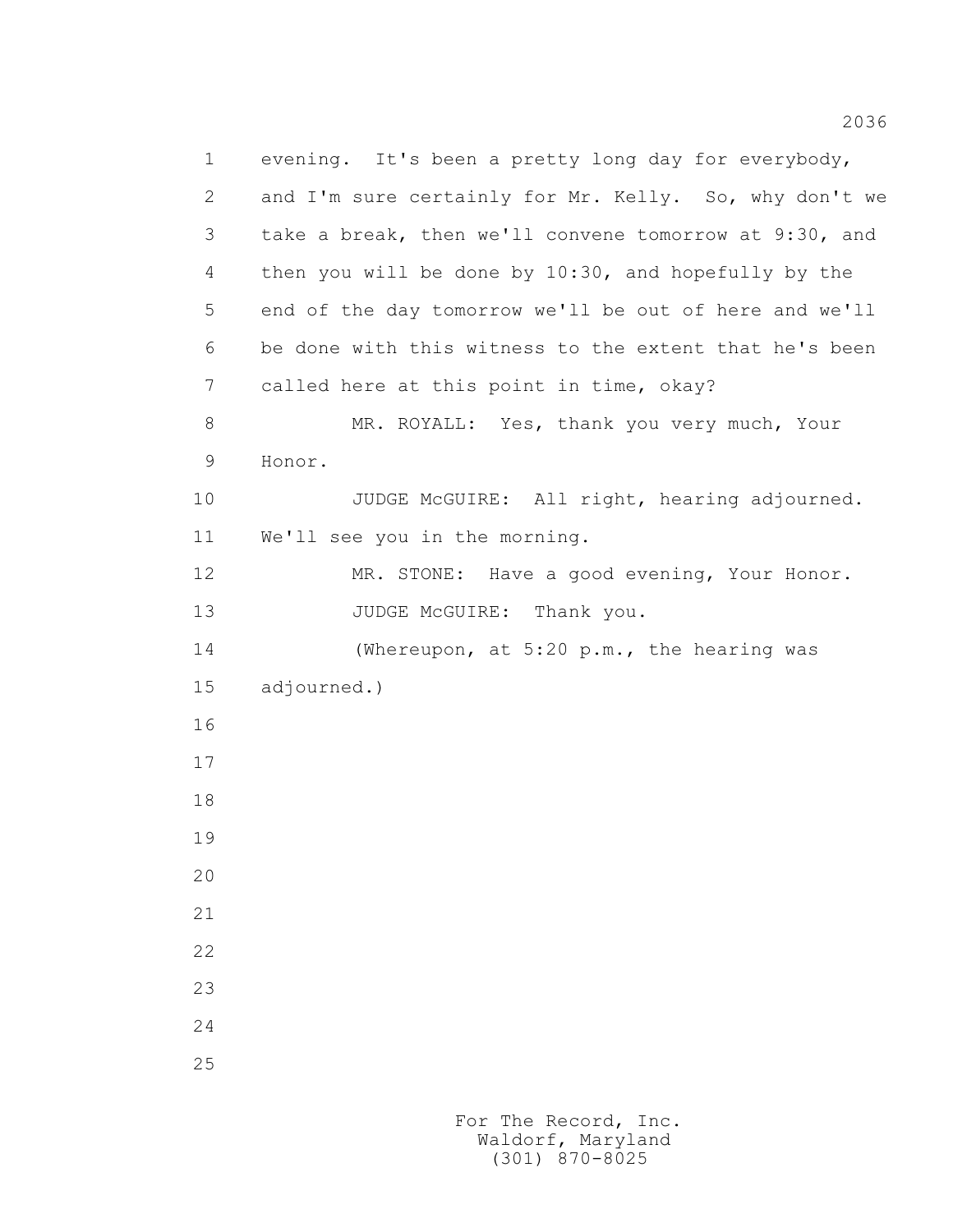1 evening. It's been a pretty long day for everybody, 2 and I'm sure certainly for Mr. Kelly. So, why don't we 3 take a break, then we'll convene tomorrow at 9:30, and 4 then you will be done by 10:30, and hopefully by the 5 end of the day tomorrow we'll be out of here and we'll 6 be done with this witness to the extent that he's been 7 called here at this point in time, okay? 8 MR. ROYALL: Yes, thank you very much, Your 9 Honor. 10 JUDGE McGUIRE: All right, hearing adjourned. 11 We'll see you in the morning. 12 MR. STONE: Have a good evening, Your Honor. 13 JUDGE McGUIRE: Thank you. 14 (Whereupon, at 5:20 p.m., the hearing was 15 adjourned.) 16 17 18 19 20 21 22 23 24 25